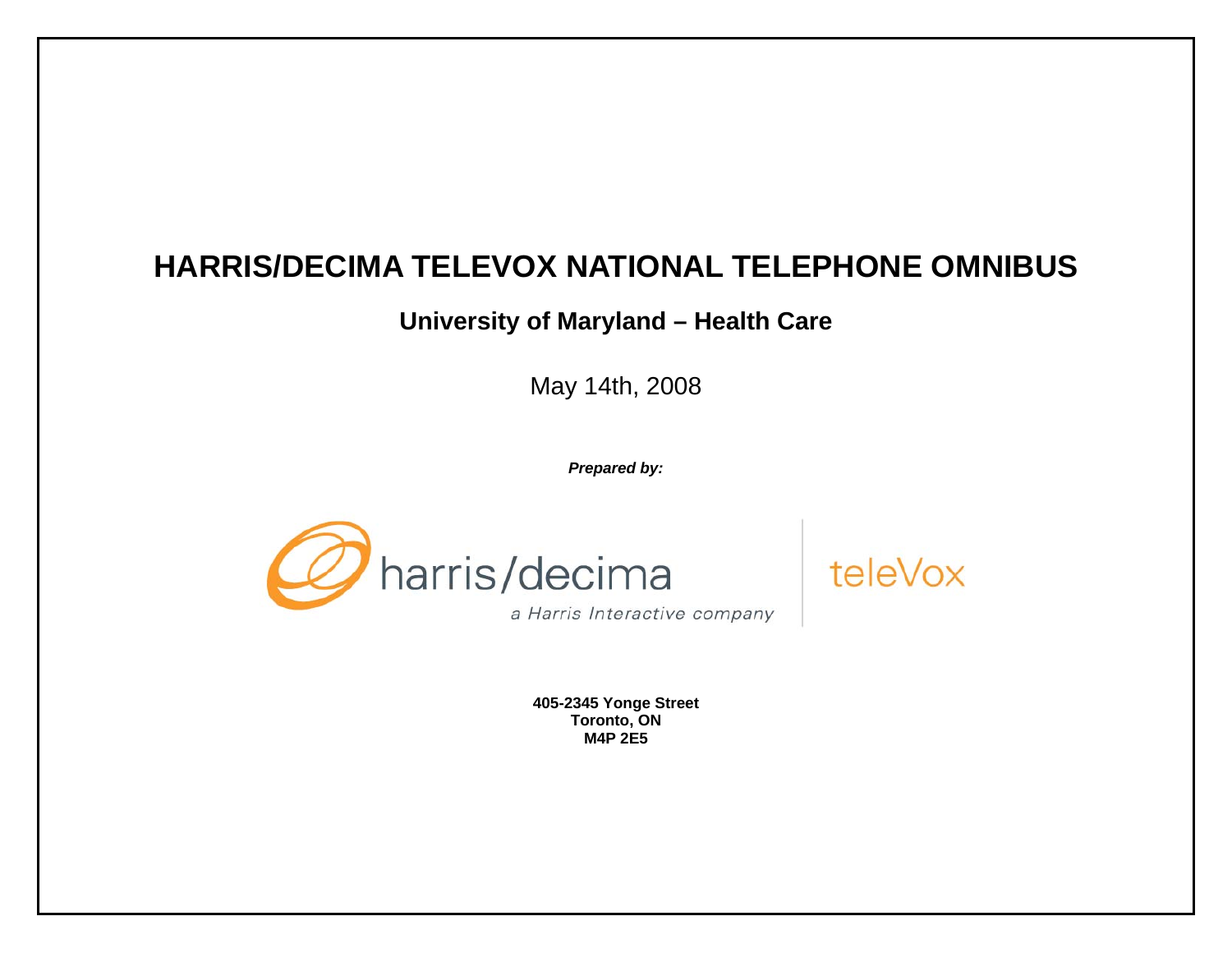# **HARRIS/DECIMA TELEVOX NATIONAL TELEPHONE OMNIBUS**

# **University of Maryland – Health Care**

May 14th, 2008

*Prepared by:* 





**405-2345 Yonge Street Toronto, ON M4P 2E5**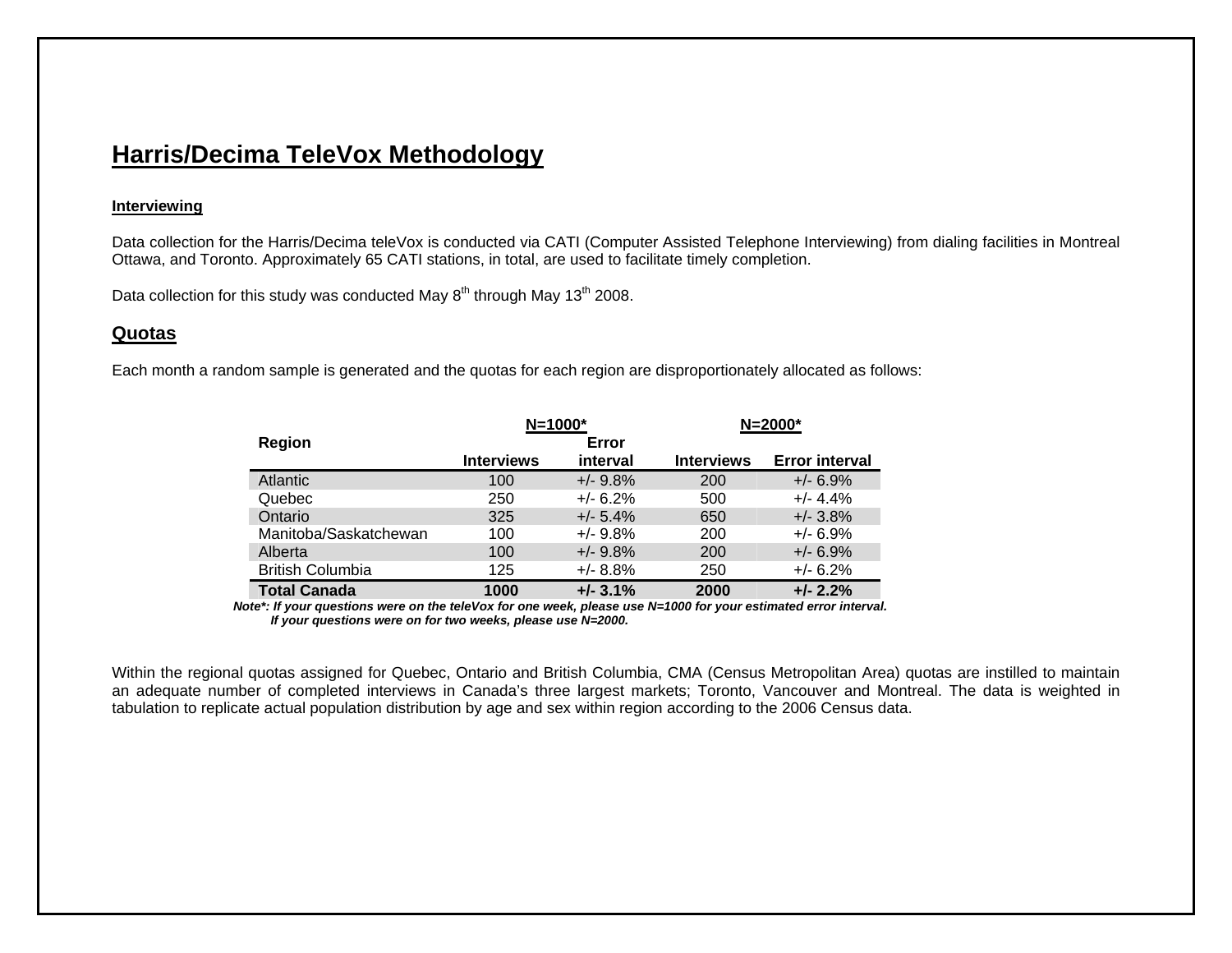# **Harris/Decima TeleVox Methodology**

# **Interviewing**

Data collection for the Harris/Decima teleVox is conducted via CATI (Computer Assisted Telephone Interviewing) from dialing facilities in Montreal Ottawa, and Toronto. Approximately 65 CATI stations, in total, are used to facilitate timely completion.

Data collection for this study was conducted May  $8<sup>th</sup>$  through May 1 $3<sup>th</sup>$  2008.

# **Quotas**

Each month a random sample is generated and the quotas for each region are disproportionately allocated as follows:

|                         | $N = 1000*$       |             |                   | $N = 2000*$           |
|-------------------------|-------------------|-------------|-------------------|-----------------------|
| <b>Region</b>           |                   | Error       |                   |                       |
|                         | <b>Interviews</b> | interval    | <b>Interviews</b> | <b>Error interval</b> |
| Atlantic                | 100               | $+/-$ 9.8%  | 200               | $+/- 6.9%$            |
| Quebec                  | 250               | $+/- 6.2%$  | 500               | $+/- 4.4%$            |
| Ontario                 | 325               | $+/- 5.4\%$ | 650               | $+/- 3.8\%$           |
| Manitoba/Saskatchewan   | 100               | $+/- 9.8%$  | 200               | $+/- 6.9%$            |
| Alberta                 | 100               | $+/- 9.8%$  | 200               | $+/- 6.9%$            |
| <b>British Columbia</b> | 125               | $+/- 8.8%$  | 250               | $+/- 6.2%$            |
| <b>Total Canada</b>     | 1000              | $+/- 3.1%$  | 2000              | $+/- 2.2%$            |

*Note\*: If your questions were on the teleVox for one week, please use N=1000 for your estimated error interval. If your questions were on for two weeks, please use N=2000.* 

Within the regional quotas assigned for Quebec, Ontario and British Columbia, CMA (Census Metropolitan Area) quotas are instilled to maintain an adequate number of completed interviews in Canada's three largest markets; Toronto, Vancouver and Montreal. The data is weighted in tabulation to replicate actual population distribution by age and sex within region according to the 2006 Census data.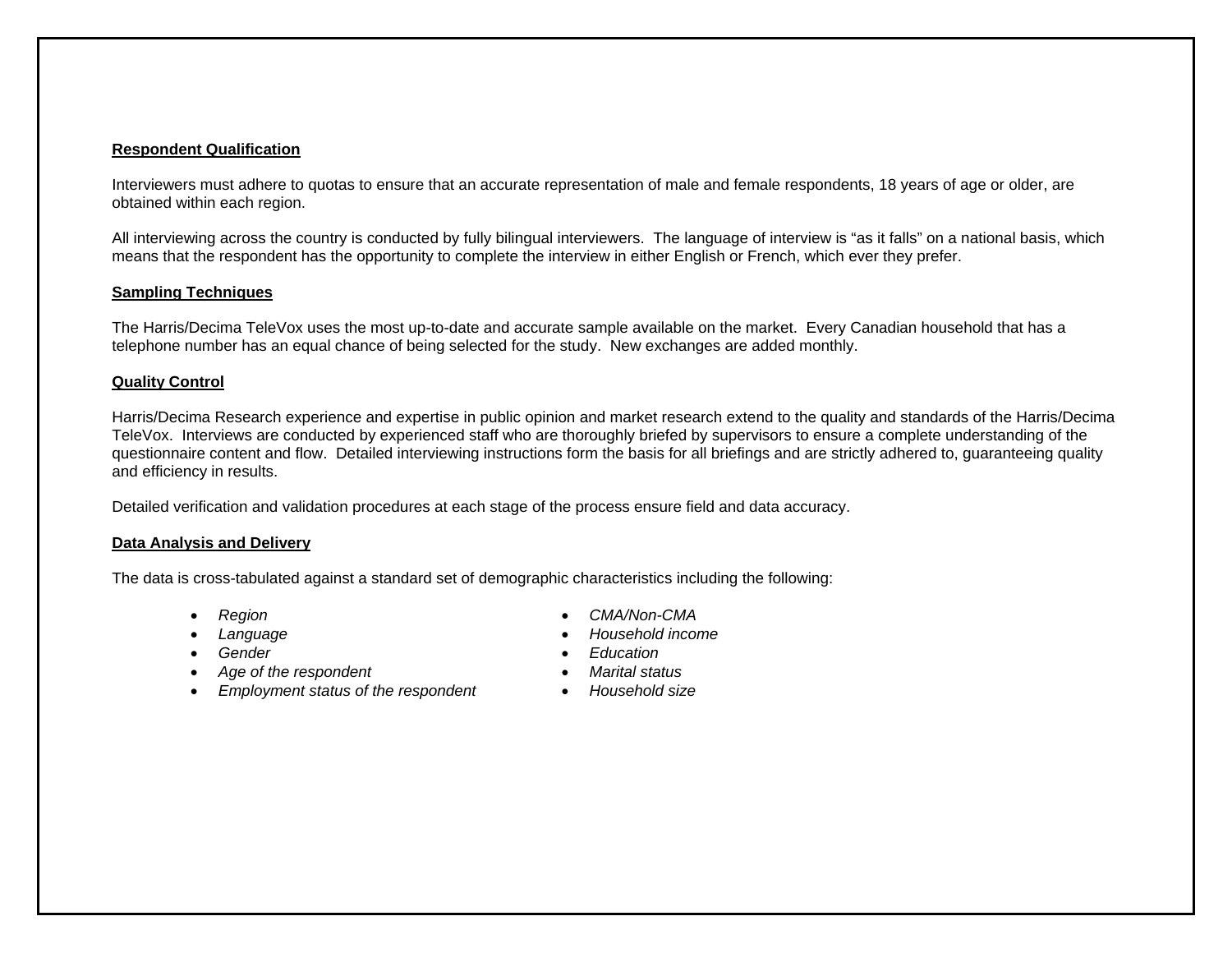# **Respondent Qualification**

Interviewers must adhere to quotas to ensure that an accurate representation of male and female respondents, 18 years of age or older, are obtained within each region.

All interviewing across the country is conducted by fully bilingual interviewers. The language of interview is "as it falls" on a national basis, which means that the respondent has the opportunity to complete the interview in either English or French, which ever they prefer.

# **Sampling Techniques**

The Harris/Decima TeleVox uses the most up-to-date and accurate sample available on the market. Every Canadian household that has a telephone number has an equal chance of being selected for the study. New exchanges are added monthly.

## **Quality Control**

Harris/Decima Research experience and expertise in public opinion and market research extend to the quality and standards of the Harris/Decima TeleVox. Interviews are conducted by experienced staff who are thoroughly briefed by supervisors to ensure a complete understanding of the questionnaire content and flow. Detailed interviewing instructions form the basis for all briefings and are strictly adhered to, guaranteeing quality and efficiency in results.

Detailed verification and validation procedures at each stage of the process ensure field and data accuracy.

## **Data Analysis and Delivery**

The data is cross-tabulated against a standard set of demographic characteristics including the following:

- •
- •
- Gender
- *Age of the respondent Marital status*
- *Employment status of the respondent Household size*
- *Region CMA/Non-CMA*
- *Language Household income* 
	- *Gender Education*
	-
	-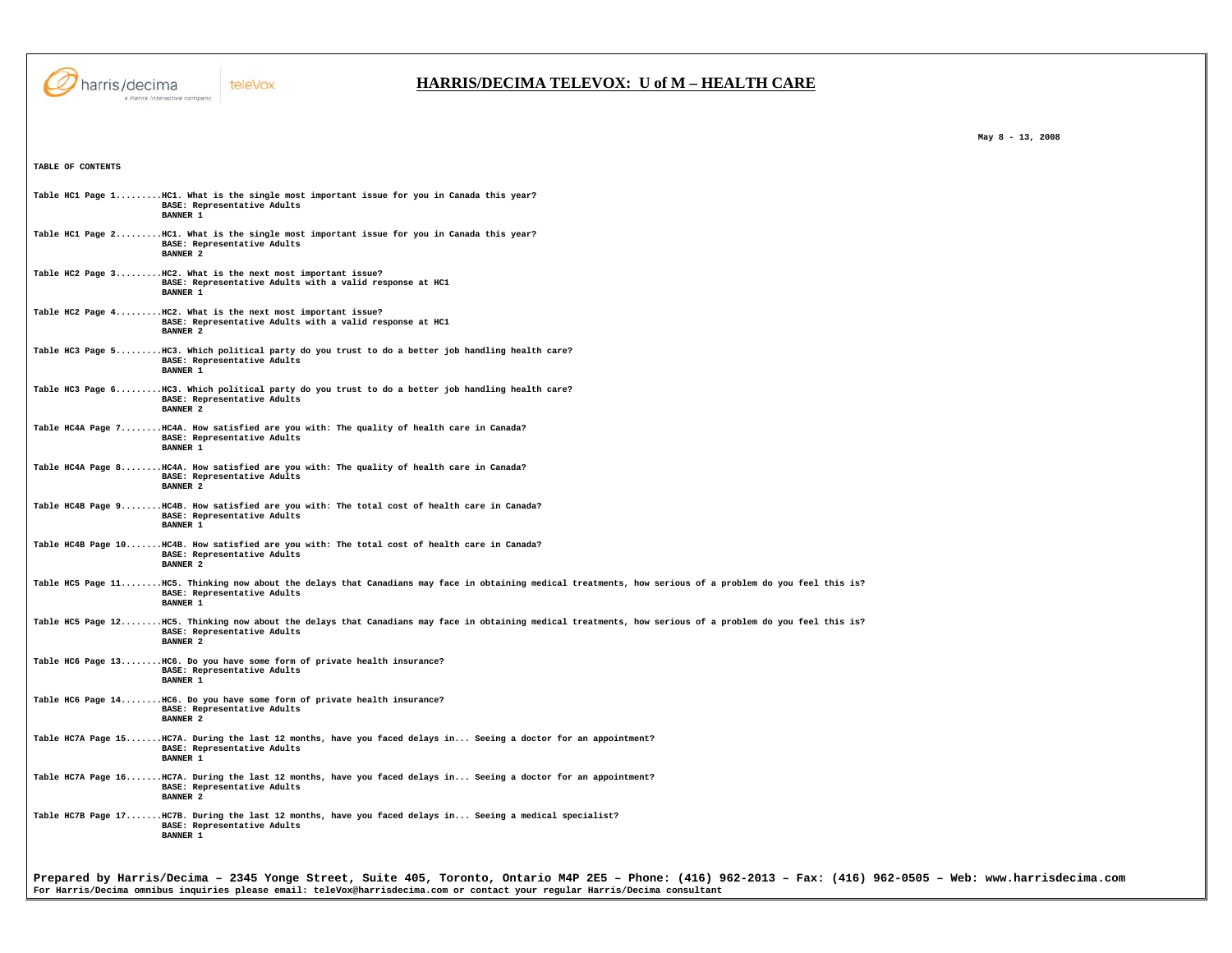

## **HARRIS/DECIMA TELEVOX: U of M – HEALTH CARE**

**TABLE OF CONTENTS Table HC1 Page 1.........HC1. What is the single most important issue for you in Canada this year? BASE: Representative Adults BANNER 1 Table HC1 Page 2.........HC1. What is the single most important issue for you in Canada this year? BASE: Representative Adults BANNER 2 Table HC2 Page 3.........HC2. What is the next most important issue? BASE: Representative Adults with a valid response at HC1 BANNER 1 Table HC2 Page 4.........HC2. What is the next most important issue? BASE: Representative Adults with a valid response at HC1 BANNER 2 Table HC3 Page 5.........HC3. Which political party do you trust to do a better job handling health care? BASE: Representative Adults BANNER 1 Table HC3 Page 6.........HC3. Which political party do you trust to do a better job handling health care? BASE: Representative Adults BANNER 2 Table HC4A Page 7........HC4A. How satisfied are you with: The quality of health care in Canada? BASE: Representative Adults**  BANNER 1 **Table HC4A Page 8........HC4A. How satisfied are you with: The quality of health care in Canada? BASE: Representative Adults BANNER 2 Table HC4B Page 9........HC4B. How satisfied are you with: The total cost of health care in Canada? BASE: Representative Adults BANNER 1 Table HC4B Page 10.......HC4B. How satisfied are you with: The total cost of health care in Canada? BASE: Representative Adults BANNER 2 Table HC5 Page 11........HC5. Thinking now about the delays that Canadians may face in obtaining medical treatments, how serious of a problem do you feel this is? BASE: Representative Adults BANNER 1 Table HC5 Page 12........HC5. Thinking now about the delays that Canadians may face in obtaining medical treatments, how serious of a problem do you feel this is? BASE: Representative Adults BANNER 2 Table HC6 Page 13........HC6. Do you have some form of private health insurance? BASE: Representative Adults BANNER 1 Table HC6 Page 14........HC6. Do you have some form of private health insurance? BASE: Representative Adults BANNER 2 Table HC7A Page 15.......HC7A. During the last 12 months, have you faced delays in... Seeing a doctor for an appointment? BASE: Representative Adults BANNER 1 Table HC7A Page 16.......HC7A. During the last 12 months, have you faced delays in... Seeing a doctor for an appointment? BASE: Representative Adults BANNER 2 Table HC7B Page 17.......HC7B. During the last 12 months, have you faced delays in... Seeing a medical specialist? BASE: Representative Adults BANNER 1** 

 **May 8 - 13, 2008** 

**Prepared by Harris/Decima – 2345 Yonge Street, Suite 405, Toronto, Ontario M4P 2E5 – Phone: (416) 962-2013 – Fax: (416) 962-0505 – Web: www.harrisdecima.com For Harris/Decima omnibus inquiries please email: teleVox@harrisdecima.com or contact your regular Harris/Decima consultant**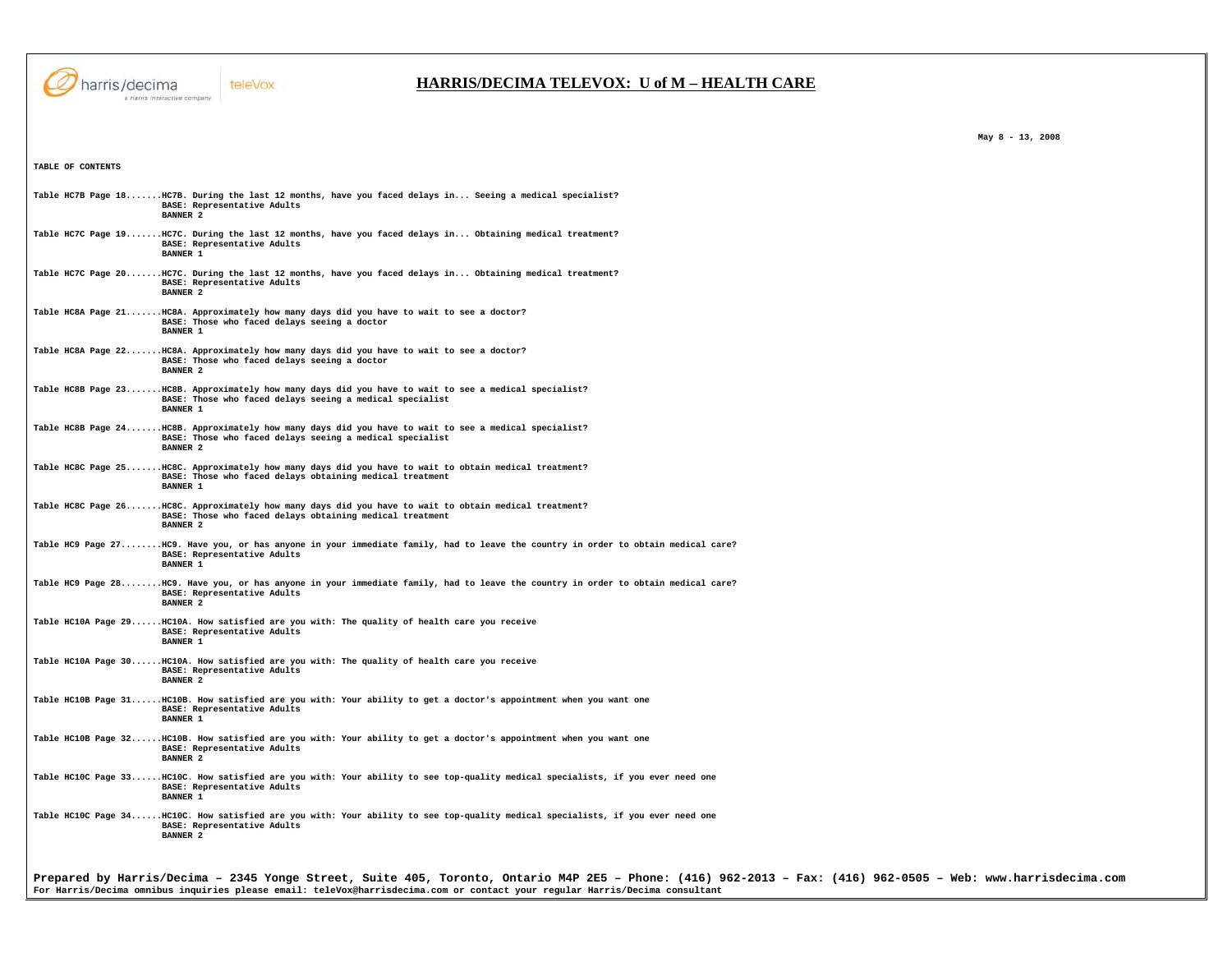

## **HARRIS/DECIMA TELEVOX: U of M – HEALTH CARE**

**TABLE OF CONTENTS Table HC7B Page 18.......HC7B. During the last 12 months, have you faced delays in... Seeing a medical specialist? BASE: Representative Adults BANNER 2 Table HC7C Page 19.......HC7C. During the last 12 months, have you faced delays in... Obtaining medical treatment? BASE: Representative Adults BANNER 1 Table HC7C Page 20.......HC7C. During the last 12 months, have you faced delays in... Obtaining medical treatment? BASE: Representative Adults BANNER 2 Table HC8A Page 21.......HC8A. Approximately how many days did you have to wait to see a doctor? BASE: Those who faced delays seeing a doctor BANNER 1 Table HC8A Page 22.......HC8A. Approximately how many days did you have to wait to see a doctor? BASE: Those who faced delays seeing a doctor BANNER 2 Table HC8B Page 23.......HC8B. Approximately how many days did you have to wait to see a medical specialist? BASE: Those who faced delays seeing a medical specialist BANNER 1 Table HC8B Page 24.......HC8B. Approximately how many days did you have to wait to see a medical specialist? BASE: Those who faced delays seeing a medical specialist BANNER 2 Table HC8C Page 25.......HC8C. Approximately how many days did you have to wait to obtain medical treatment? BASE: Those who faced delays obtaining medical treatment BANNER 1 Table HC8C Page 26.......HC8C. Approximately how many days did you have to wait to obtain medical treatment? BASE: Those who faced delays obtaining medical treatment BANNER 2 Table HC9 Page 27........HC9. Have you, or has anyone in your immediate family, had to leave the country in order to obtain medical care? BASE: Representative Adults BANNER 1 Table HC9 Page 28........HC9. Have you, or has anyone in your immediate family, had to leave the country in order to obtain medical care? BASE: Representative Adults BANNER 2 Table HC10A Page 29......HC10A. How satisfied are you with: The quality of health care you receive BASE: Representative Adults BANNER 1 Table HC10A Page 30......HC10A. How satisfied are you with: The quality of health care you receive BASE: Representative Adults BANNER 2 Table HC10B Page 31......HC10B. How satisfied are you with: Your ability to get a doctor's appointment when you want one BASE: Representative Adults BANNER 1 Table HC10B Page 32......HC10B. How satisfied are you with: Your ability to get a doctor's appointment when you want one BASE: Representative Adults BANNER 2 Table HC10C Page 33......HC10C. How satisfied are you with: Your ability to see top-quality medical specialists, if you ever need one BASE: Representative Adults BANNER 1** 

**Table HC10C Page 34......HC10C. How satisfied are you with: Your ability to see top-quality medical specialists, if you ever need one BASE: Representative Adults BANNER 2** 

**Prepared by Harris/Decima – 2345 Yonge Street, Suite 405, Toronto, Ontario M4P 2E5 – Phone: (416) 962-2013 – Fax: (416) 962-0505 – Web: www.harrisdecima.com For Harris/Decima omnibus inquiries please email: teleVox@harrisdecima.com or contact your regular Harris/Decima consultant**

 **May 8 - 13, 2008**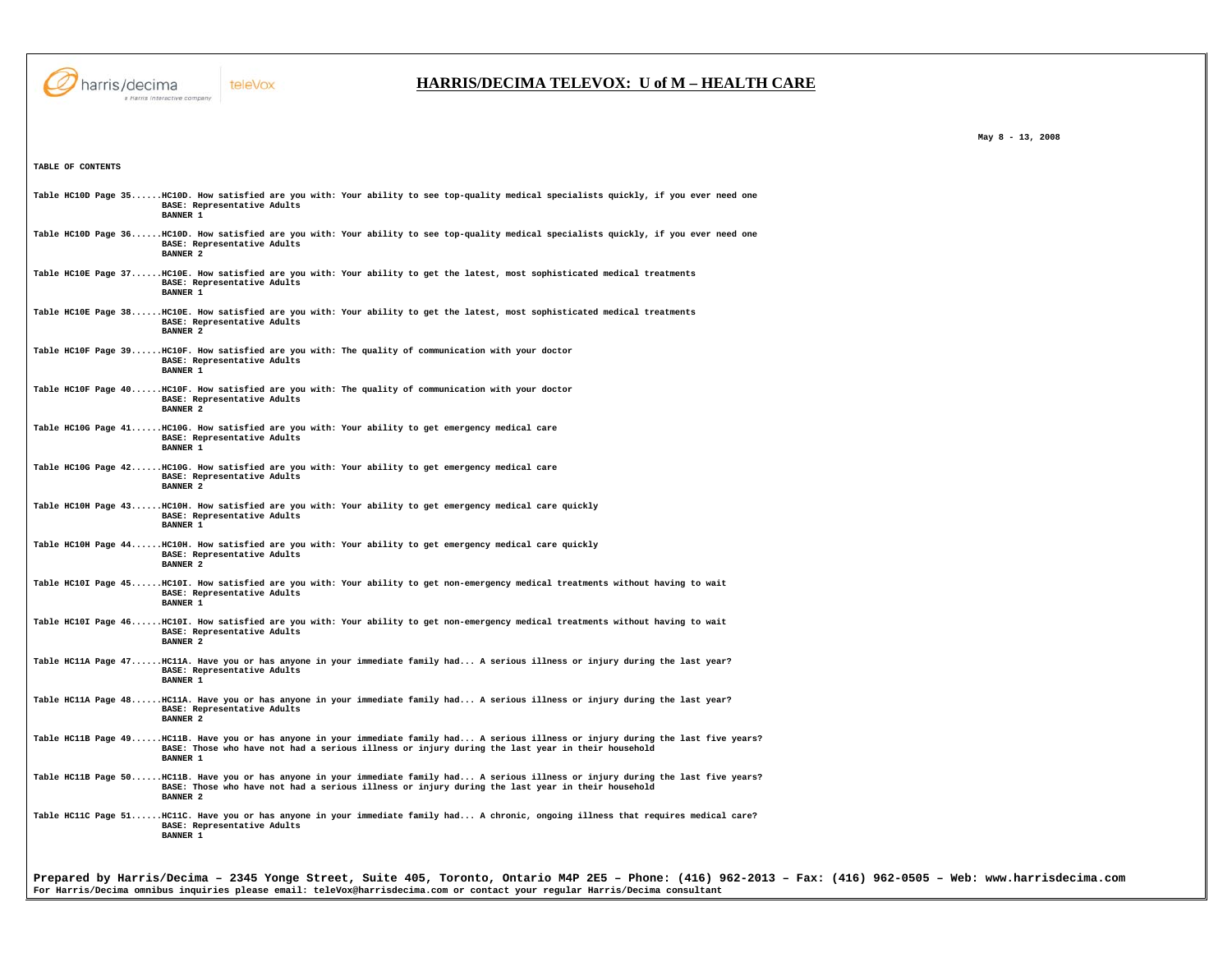

## **HARRIS/DECIMA TELEVOX: U of M – HEALTH CARE**

 **May 8 - 13, 2008** 

| TABLE OF CONTENTS |                                                                                                                                                                                                                                                                                             |
|-------------------|---------------------------------------------------------------------------------------------------------------------------------------------------------------------------------------------------------------------------------------------------------------------------------------------|
|                   | Table HC10D Page 35HC10D. How satisfied are you with: Your ability to see top-quality medical specialists quickly, if you ever need one<br>BASE: Representative Adults<br><b>BANNER 1</b>                                                                                                   |
|                   | Table HC10D Page 36HC10D. How satisfied are you with: Your ability to see top-quality medical specialists quickly, if you ever need one<br>BASE: Representative Adults<br><b>BANNER 2</b>                                                                                                   |
|                   | Table HC10E Page 37HC10E. How satisfied are you with: Your ability to get the latest, most sophisticated medical treatments<br>BASE: Representative Adults<br><b>BANNER 1</b>                                                                                                               |
|                   | Table HC10E Page 38HC10E. How satisfied are you with: Your ability to get the latest, most sophisticated medical treatments<br>BASE: Representative Adults<br><b>BANNER 2</b>                                                                                                               |
|                   | Table HC10F Page 39HC10F. How satisfied are you with: The quality of communication with your doctor<br>BASE: Representative Adults<br><b>BANNER 1</b>                                                                                                                                       |
|                   | Table HC10F Page 40HC10F. How satisfied are you with: The quality of communication with your doctor<br>BASE: Representative Adults<br><b>BANNER 2</b>                                                                                                                                       |
|                   | Table HC10G Page 41 HC10G. How satisfied are you with: Your ability to get emergency medical care<br>BASE: Representative Adults<br>BANNER <sub>1</sub>                                                                                                                                     |
|                   | Table HC10G Page 42 HC10G. How satisfied are you with: Your ability to get emergency medical care<br>BASE: Representative Adults<br><b>BANNER 2</b>                                                                                                                                         |
|                   | Table HC10H Page 43HC10H. How satisfied are you with: Your ability to get emergency medical care quickly<br>BASE: Representative Adults<br><b>BANNER 1</b>                                                                                                                                  |
|                   | Table HC10H Page 44HC10H. How satisfied are you with: Your ability to get emergency medical care quickly<br>BASE: Representative Adults<br><b>BANNER 2</b>                                                                                                                                  |
|                   | Table HC10I Page 45HC10I. How satisfied are you with: Your ability to get non-emergency medical treatments without having to wait<br>BASE: Representative Adults<br><b>BANNER 1</b>                                                                                                         |
|                   | Table HC10I Page 46HC10I. How satisfied are you with: Your ability to get non-emergency medical treatments without having to wait<br>BASE: Representative Adults<br>BANNER <sub>2</sub>                                                                                                     |
|                   | Table HCllA Page 47HCllA. Have you or has anyone in your immediate family had A serious illness or injury during the last year?<br>BASE: Representative Adults<br><b>BANNER 1</b>                                                                                                           |
|                   | Table HCllA Page 48HCllA. Have you or has anyone in your immediate family had A serious illness or injury during the last year?<br>BASE: Representative Adults<br><b>BANNER 2</b>                                                                                                           |
|                   | Table HCllB Page 49HCllB. Have you or has anyone in your immediate family had A serious illness or injury during the last five years?<br>BASE: Those who have not had a serious illness or injury during the last year in their household<br><b>BANNER 1</b>                                |
|                   | Table HCllB Page 50HCllB. Have you or has anyone in your immediate family had A serious illness or injury during the last five years?<br>BASE: Those who have not had a serious illness or injury during the last year in their household<br><b>BANNER 2</b>                                |
|                   | Table HCl1C Page 51HCl1C. Have you or has anyone in your immediate family had A chronic, ongoing illness that requires medical care?<br>BASE: Representative Adults<br><b>BANNER 1</b>                                                                                                      |
|                   |                                                                                                                                                                                                                                                                                             |
|                   | Prepared by Harris/Decima - 2345 Yonge Street, Suite 405, Toronto, Ontario M4P 2E5 - Phone: (416) 962-2013 - Fax: (416) 962-0505 - Web: www.harrisdecima.com<br>For Harris/Decima omnibus inquiries please email: teleVox@harrisdecima.com or contact your regular Harris/Decima consultant |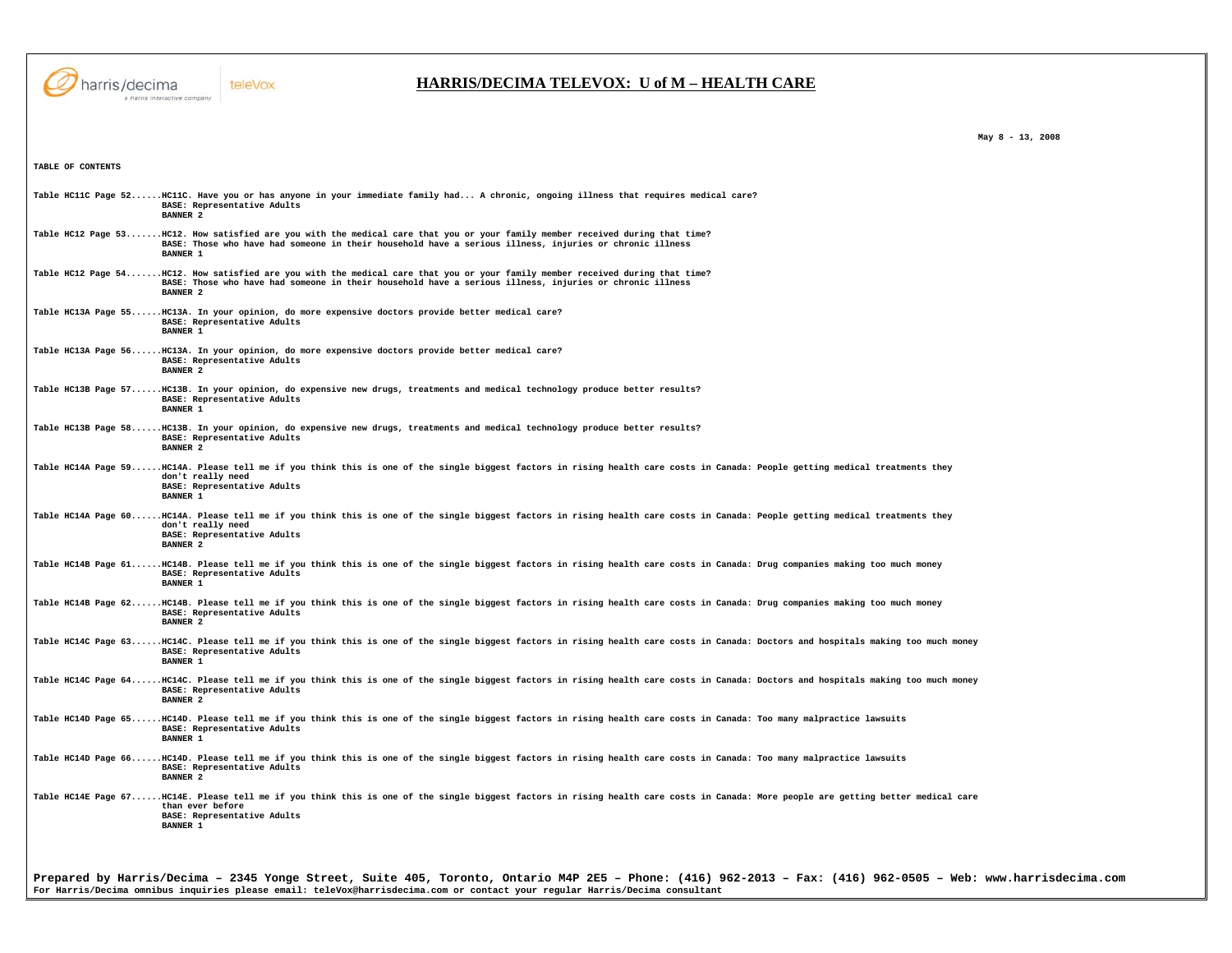

 **May 8 - 13, 2008** 

| TABLE OF CONTENTS                                                                                                                                                                                                                                           |  |
|-------------------------------------------------------------------------------------------------------------------------------------------------------------------------------------------------------------------------------------------------------------|--|
| Table HCl1C Page 52HCl1C. Have you or has anyone in your immediate family had A chronic, ongoing illness that requires medical care?<br>BASE: Representative Adults<br><b>BANNER 2</b>                                                                      |  |
| Table HCl2 Page 53HCl2. How satisfied are you with the medical care that you or your family member received during that time?<br>BASE: Those who have had someone in their household have a serious illness, injuries or chronic illness<br><b>BANNER 1</b> |  |
| Table HCl2 Page 54HCl2. How satisfied are you with the medical care that you or your family member received during that time?<br>BASE: Those who have had someone in their household have a serious illness, injuries or chronic illness<br><b>BANNER 2</b> |  |
| Table HC13A Page 55HC13A. In your opinion, do more expensive doctors provide better medical care?<br>BASE: Representative Adults<br><b>BANNER 1</b>                                                                                                         |  |
| Table HC13A Page 56HC13A. In your opinion, do more expensive doctors provide better medical care?<br>BASE: Representative Adults<br><b>BANNER 2</b>                                                                                                         |  |
| Table HC13B Page 57HC13B. In your opinion, do expensive new drugs, treatments and medical technology produce better results?<br>BASE: Representative Adults<br><b>BANNER 1</b>                                                                              |  |
| Table HC13B Page 58HC13B. In your opinion, do expensive new drugs, treatments and medical technology produce better results?<br>BASE: Representative Adults<br><b>BANNER 2</b>                                                                              |  |
| Table HC14A Page 59HC14A. Please tell me if you think this is one of the single biggest factors in rising health care costs in Canada: People getting medical treatments they<br>don't really need<br>BASE: Representative Adults<br><b>BANNER 1</b>        |  |
| Table HCl4A Page 60HCl4A. Please tell me if you think this is one of the single biggest factors in rising health care costs in Canada: People getting medical treatments they<br>don't really need<br>BASE: Representative Adults<br><b>BANNER 2</b>        |  |
| Table HC14B Page 61HC14B. Please tell me if you think this is one of the single biggest factors in rising health care costs in Canada: Drug companies making too much money<br>BASE: Representative Adults<br><b>BANNER 1</b>                               |  |
| Table HC14B Page 62HC14B. Please tell me if you think this is one of the single biggest factors in rising health care costs in Canada: Drug companies making too much money<br>BASE: Representative Adults<br><b>BANNER 2</b>                               |  |
| Table HCl4C Page 63HCl4C. Please tell me if you think this is one of the single biggest factors in rising health care costs in Canada: Doctors and hospitals making too much money<br>BASE: Representative Adults<br><b>BANNER 1</b>                        |  |
| Table HC14C Page 64HC14C. Please tell me if you think this is one of the single biggest factors in rising health care costs in Canada: Doctors and hospitals making too much money<br>BASE: Representative Adults<br><b>BANNER 2</b>                        |  |
| Table HC14D Page 65HC14D. Please tell me if you think this is one of the single biggest factors in rising health care costs in Canada: Too many malpractice lawsuits<br>BASE: Representative Adults<br><b>BANNER 1</b>                                      |  |
| Table HC14D Page 66HC14D. Please tell me if you think this is one of the single biggest factors in rising health care costs in Canada: Too many malpractice lawsuits<br>BASE: Representative Adults<br><b>BANNER 2</b>                                      |  |
| Table HCl4E Page 67HCl4E. Please tell me if you think this is one of the single biggest factors in rising health care costs in Canada: More people are getting better medical care<br>than ever before<br>BASE: Representative Adults<br><b>BANNER 1</b>    |  |
|                                                                                                                                                                                                                                                             |  |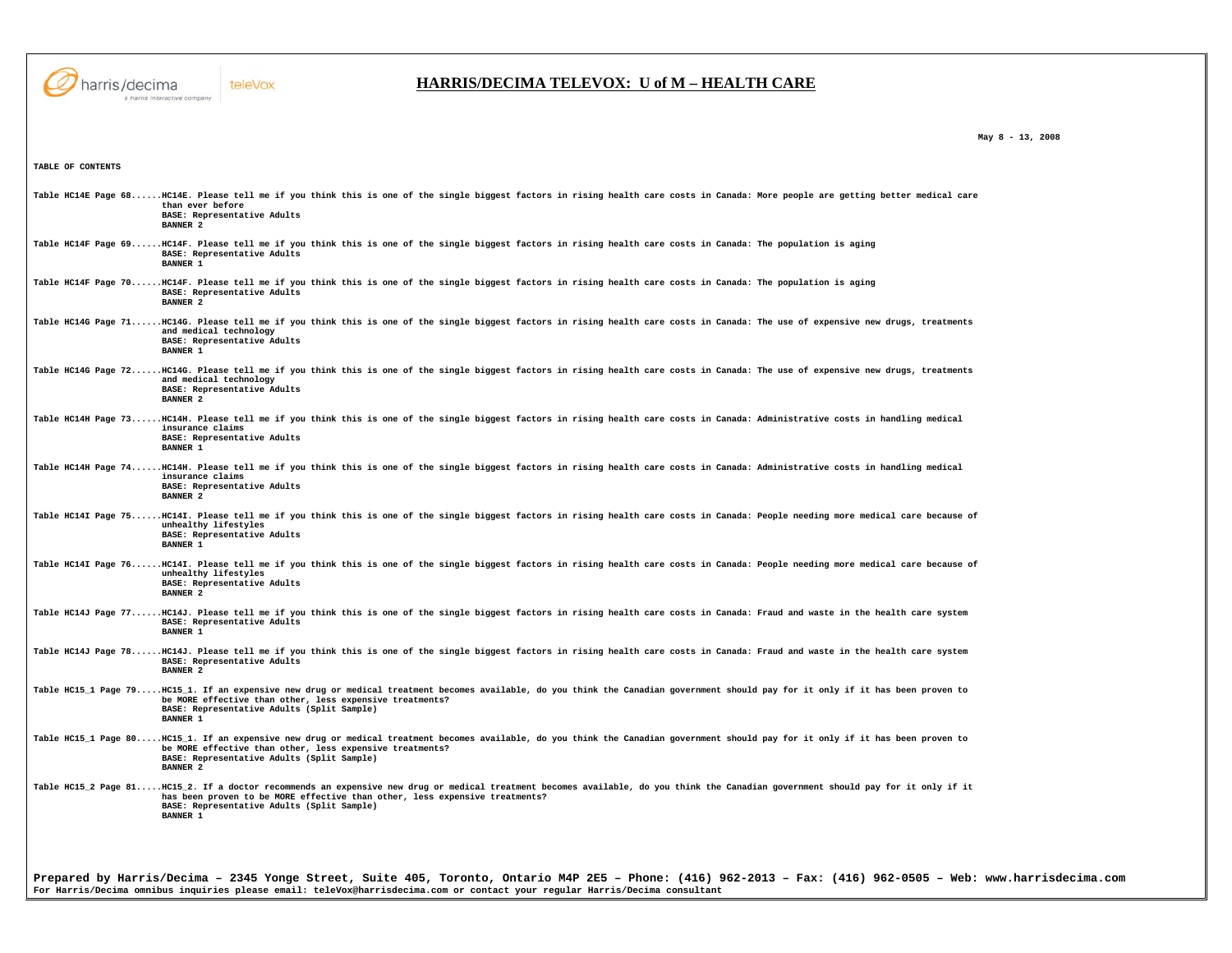

**TABLE OF CONTENTS** 

#### teleVox

## **HARRIS/DECIMA TELEVOX: U of M – HEALTH CARE**

 **May 8 - 13, 2008** 

**Prepared by Harris/Decima – 2345 Yonge Street, Suite 405, Toronto, Ontario M4P 2E5 – Phone: (416) 962-2013 – Fax: (416) 962-0505 – Web: www.harrisdecima.com For Harris/Decima omnibus inquiries please email: teleVox@harrisdecima.com or contact your regular Harris/Decima consultant Table HC14E Page 68......HC14E. Please tell me if you think this is one of the single biggest factors in rising health care costs in Canada: More people are getting better medical care than ever before BASE: Representative Adults BANNER 2 Table HC14F Page 69......HC14F. Please tell me if you think this is one of the single biggest factors in rising health care costs in Canada: The population is aging BASE: Representative Adults BANNER 1 Table HC14F Page 70......HC14F. Please tell me if you think this is one of the single biggest factors in rising health care costs in Canada: The population is aging BASE: Representative Adults BANNER 2 Table HC14G Page 71......HC14G. Please tell me if you think this is one of the single biggest factors in rising health care costs in Canada: The use of expensive new drugs, treatments and medical technology BASE: Representative Adults BANNER 1 Table HC14G Page 72......HC14G. Please tell me if you think this is one of the single biggest factors in rising health care costs in Canada: The use of expensive new drugs, treatments and medical technology BASE: Representative Adults BANNER 2 Table HC14H Page 73......HC14H. Please tell me if you think this is one of the single biggest factors in rising health care costs in Canada: Administrative costs in handling medical insurance claims BASE: Representative Adults BANNER 1 Table HC14H Page 74......HC14H. Please tell me if you think this is one of the single biggest factors in rising health care costs in Canada: Administrative costs in handling medical insurance claims BASE: Representative Adults BANNER 2** Table HC14I Page 75......HC14I. Please tell me if you think this is one of the single biggest factors in rising health care costs in Canada: People needing more medical care because of  **unhealthy lifestyles BASE: Representative Adults BANNER 1** Table HC14I Page 76......HC14I. Please tell me if you think this is one of the single biggest factors in rising health care costs in Canada: People needing more medical care because of  **unhealthy lifestyles BASE: Representative Adults BANNER 2 Table HC14J Page 77......HC14J. Please tell me if you think this is one of the single biggest factors in rising health care costs in Canada: Fraud and waste in the health care system BASE: Representative Adults BANNER 1 Table HC14J Page 78......HC14J. Please tell me if you think this is one of the single biggest factors in rising health care costs in Canada: Fraud and waste in the health care system BASE: Representative Adults BANNER 2 Table HC15\_1 Page 79.....HC15\_1. If an expensive new drug or medical treatment becomes available, do you think the Canadian government should pay for it only if it has been proven to be MORE effective than other, less expensive treatments? BASE: Representative Adults (Split Sample) BANNER 1 Table HC15\_1 Page 80.....HC15\_1. If an expensive new drug or medical treatment becomes available, do you think the Canadian government should pay for it only if it has been proven to be MORE effective than other, less expensive treatments? BASE: Representative Adults (Split Sample) BANNER 2 Table HC15\_2 Page 81.....HC15\_2. If a doctor recommends an expensive new drug or medical treatment becomes available, do you think the Canadian government should pay for it only if it has been proven to be MORE effective than other, less expensive treatments? BASE: Representative Adults (Split Sample) BANNER 1**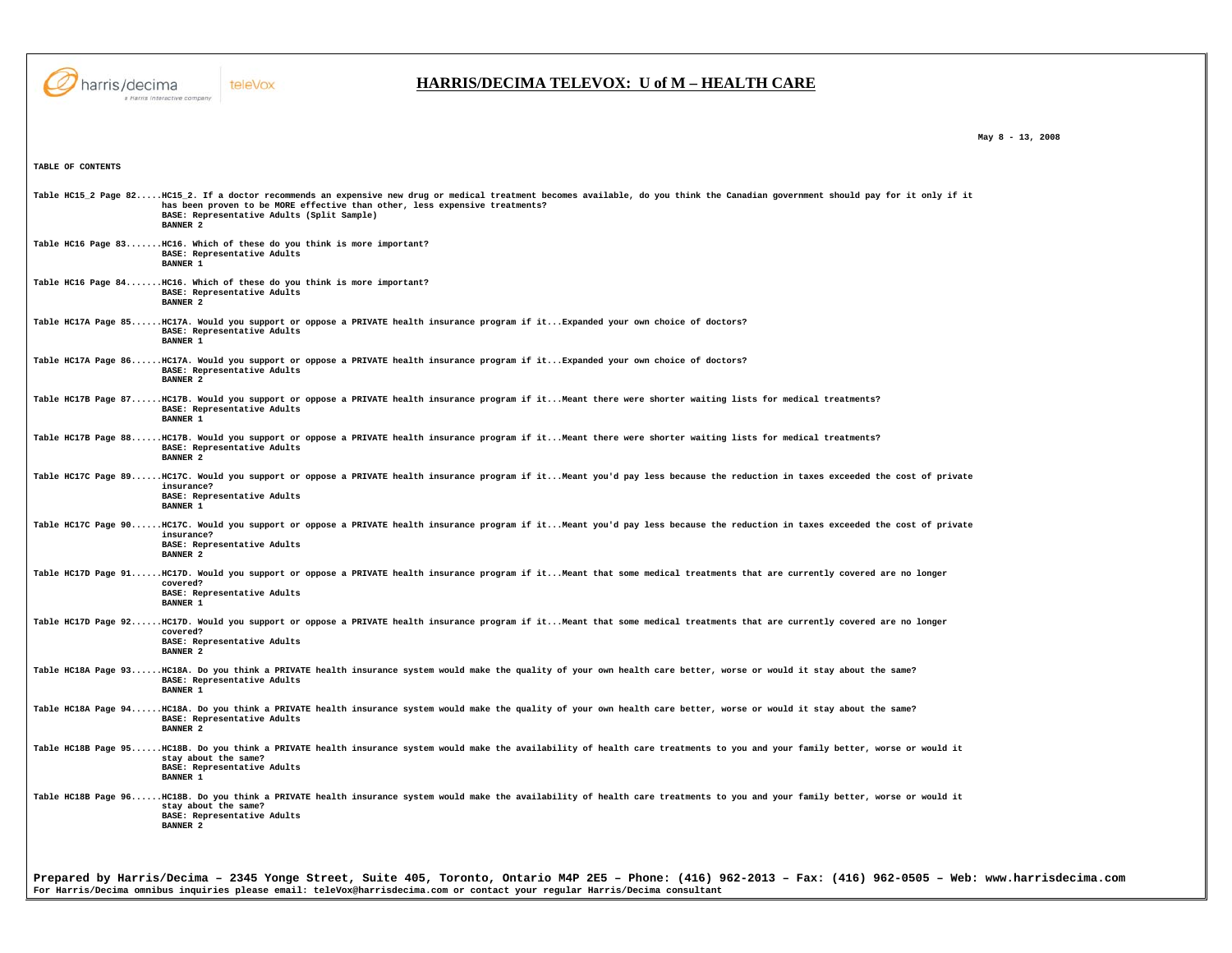

 **May 8 - 13, 2008** 

**TABLE OF CONTENTS** 

**Prepared by Harris/Decima – 2345 Yonge Street, Suite 405, Toronto, Ontario M4P 2E5 – Phone: (416) 962-2013 – Fax: (416) 962-0505 – Web: www.harrisdecima.com Table HC15\_2 Page 82.....HC15\_2. If a doctor recommends an expensive new drug or medical treatment becomes available, do you think the Canadian government should pay for it only if it has been proven to be MORE effective than other, less expensive treatments? BASE: Representative Adults (Split Sample) BANNER 2 Table HC16 Page 83.......HC16. Which of these do you think is more important? BASE: Representative Adults BANNER 1 Table HC16 Page 84.......HC16. Which of these do you think is more important? BASE: Representative Adults BANNER 2 Table HC17A Page 85......HC17A. Would you support or oppose a PRIVATE health insurance program if it...Expanded your own choice of doctors? BASE: Representative Adults BANNER 1 Table HC17A Page 86......HC17A. Would you support or oppose a PRIVATE health insurance program if it...Expanded your own choice of doctors? BASE: Representative Adults BANNER 2 Table HC17B Page 87......HC17B. Would you support or oppose a PRIVATE health insurance program if it...Meant there were shorter waiting lists for medical treatments? BASE: Representative Adults BANNER 1 Table HC17B Page 88......HC17B. Would you support or oppose a PRIVATE health insurance program if it...Meant there were shorter waiting lists for medical treatments? BASE: Representative Adults BANNER 2 Table HC17C Page 89......HC17C. Would you support or oppose a PRIVATE health insurance program if it...Meant you'd pay less because the reduction in taxes exceeded the cost of private insurance? BASE: Representative Adults BANNER 1 Table HC17C Page 90......HC17C. Would you support or oppose a PRIVATE health insurance program if it...Meant you'd pay less because the reduction in taxes exceeded the cost of private insurance? BASE: Representative Adults BANNER 2 Table HC17D Page 91......HC17D. Would you support or oppose a PRIVATE health insurance program if it...Meant that some medical treatments that are currently covered are no longer covered? BASE: Representative Adults BANNER 1 Table HC17D Page 92......HC17D. Would you support or oppose a PRIVATE health insurance program if it...Meant that some medical treatments that are currently covered are no longer covered? BASE: Representative Adults BANNER 2 Table HC18A Page 93......HC18A. Do you think a PRIVATE health insurance system would make the quality of your own health care better, worse or would it stay about the same? BASE: Representative Adults BANNER 1 Table HC18A Page 94......HC18A. Do you think a PRIVATE health insurance system would make the quality of your own health care better, worse or would it stay about the same? BASE: Representative Adults BANNER 2 Table HC18B Page 95......HC18B. Do you think a PRIVATE health insurance system would make the availability of health care treatments to you and your family better, worse or would it stay about the same? BASE: Representative Adults BANNER 1 Table HC18B Page 96......HC18B. Do you think a PRIVATE health insurance system would make the availability of health care treatments to you and your family better, worse or would it stay about the same? BASE: Representative Adults BANNER 2** 

**For Harris/Decima omnibus inquiries please email: teleVox@harrisdecima.com or contact your regular Harris/Decima consultant**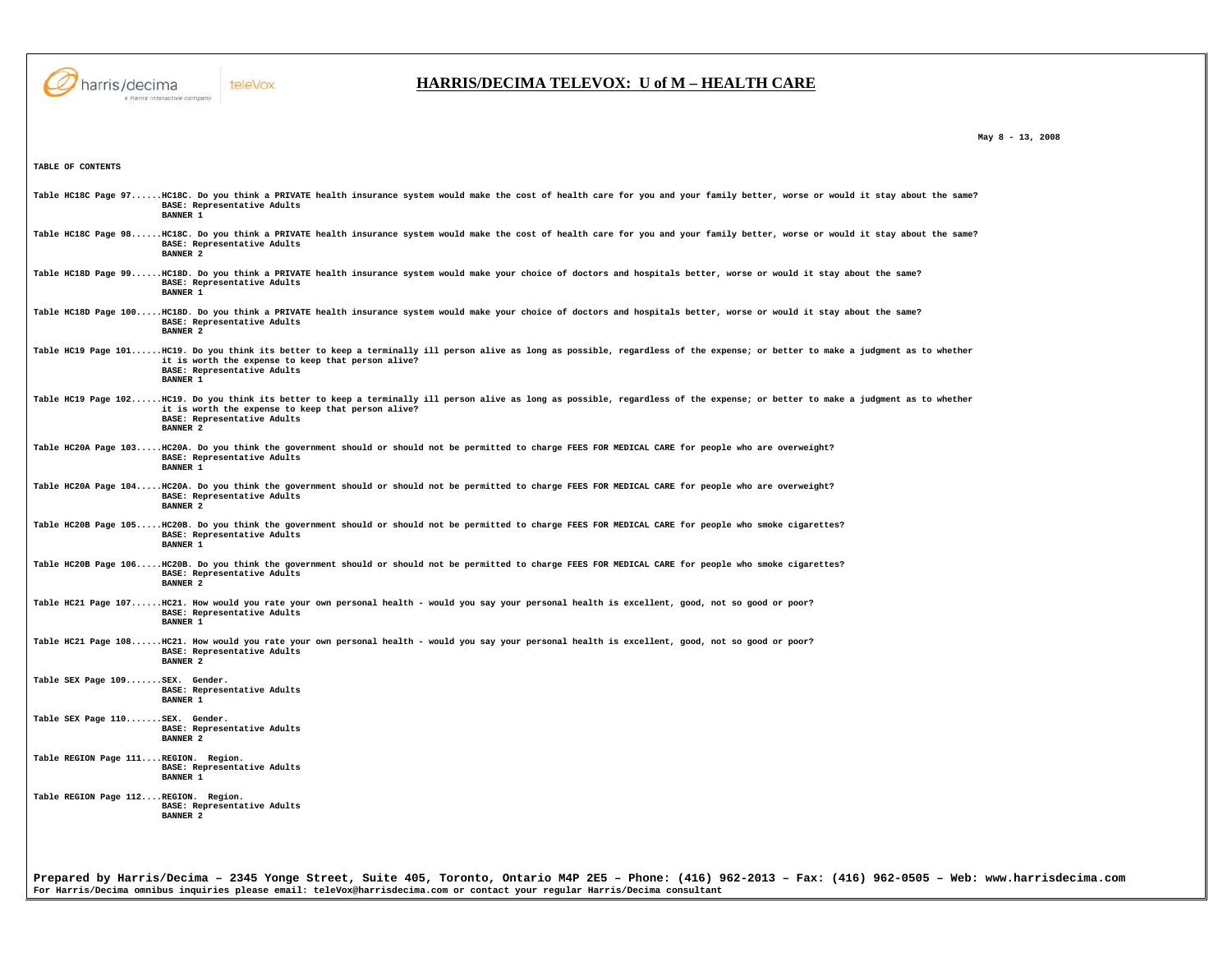

**TABLE OF CONTENTS** 

## teleVox

## **HARRIS/DECIMA TELEVOX: U of M – HEALTH CARE**

 **May 8 - 13, 2008** 

|                                      | Table HC18C Page 97HC18C. Do you think a PRIVATE health insurance system would make the cost of health care for you and your family better, worse or would it stay about the same?<br>BASE: Representative Adults<br><b>BANNER 1</b>                                                        |
|--------------------------------------|---------------------------------------------------------------------------------------------------------------------------------------------------------------------------------------------------------------------------------------------------------------------------------------------|
|                                      | Table HC18C Page 98HC18C. Do you think a PRIVATE health insurance system would make the cost of health care for you and your family better, worse or would it stay about the same?<br>BASE: Representative Adults<br><b>BANNER 2</b>                                                        |
|                                      | Table HC18D Page 99HC18D. Do you think a PRIVATE health insurance system would make your choice of doctors and hospitals better, worse or would it stay about the same?<br>BASE: Representative Adults<br><b>BANNER 1</b>                                                                   |
|                                      | Table HC18D Page 100HC18D. Do you think a PRIVATE health insurance system would make your choice of doctors and hospitals better, worse or would it stay about the same?<br>BASE: Representative Adults<br><b>BANNER 2</b>                                                                  |
|                                      | Table HC19 Page 101HC19. Do you think its better to keep a terminally ill person alive as long as possible, regardless of the expense; or better to make a judgment as to whether<br>it is worth the expense to keep that person alive?<br>BASE: Representative Adults<br><b>BANNER 1</b>   |
|                                      | Table HC19 Page 102HC19. Do you think its better to keep a terminally ill person alive as long as possible, regardless of the expense; or better to make a judgment as to whether<br>it is worth the expense to keep that person alive?<br>BASE: Representative Adults<br><b>BANNER 2</b>   |
|                                      | Table HC20A Page 103HC20A. Do you think the government should or should not be permitted to charge FEES FOR MEDICAL CARE for people who are overweight?<br>BASE: Representative Adults<br><b>BANNER 1</b>                                                                                   |
|                                      | Table HC20A Page 104HC20A. Do you think the government should or should not be permitted to charge FEES FOR MEDICAL CARE for people who are overweight?<br>BASE: Representative Adults<br><b>BANNER 2</b>                                                                                   |
|                                      | Table HC20B Page 105HC20B. Do you think the government should or should not be permitted to charge FEES FOR MEDICAL CARE for people who smoke cigarettes?<br>BASE: Representative Adults<br><b>BANNER 1</b>                                                                                 |
|                                      | Table HC20B Page 106HC20B. Do you think the government should or should not be permitted to charge FEES FOR MEDICAL CARE for people who smoke cigarettes?<br>BASE: Representative Adults<br><b>BANNER 2</b>                                                                                 |
|                                      | Table HC21 Page 107HC21. How would you rate your own personal health - would you say your personal health is excellent, good, not so good or poor?<br>BASE: Representative Adults<br><b>BANNER 1</b>                                                                                        |
|                                      | Table HC21 Page 108HC21. How would you rate your own personal health - would you say your personal health is excellent, good, not so good or poor?<br>BASE: Representative Adults<br><b>BANNER 2</b>                                                                                        |
| Table SEX Page 109SEX. Gender.       | BASE: Representative Adults<br><b>BANNER 1</b>                                                                                                                                                                                                                                              |
| Table SEX Page 110SEX. Gender.       | BASE: Representative Adults<br><b>BANNER 2</b>                                                                                                                                                                                                                                              |
| Table REGION Page 111REGION. Region. | BASE: Representative Adults<br><b>BANNER 1</b>                                                                                                                                                                                                                                              |
| Table REGION Page 112REGION. Region. | BASE: Representative Adults<br><b>BANNER 2</b>                                                                                                                                                                                                                                              |
|                                      |                                                                                                                                                                                                                                                                                             |
|                                      | Prepared by Harris/Decima - 2345 Yonge Street, Suite 405, Toronto, Ontario M4P 2E5 - Phone: (416) 962-2013 - Fax: (416) 962-0505 - Web: www.harrisdecima.com<br>For Harris/Decima omnibus inquiries please email: teleVox@harrisdecima.com or contact your regular Harris/Decima consultant |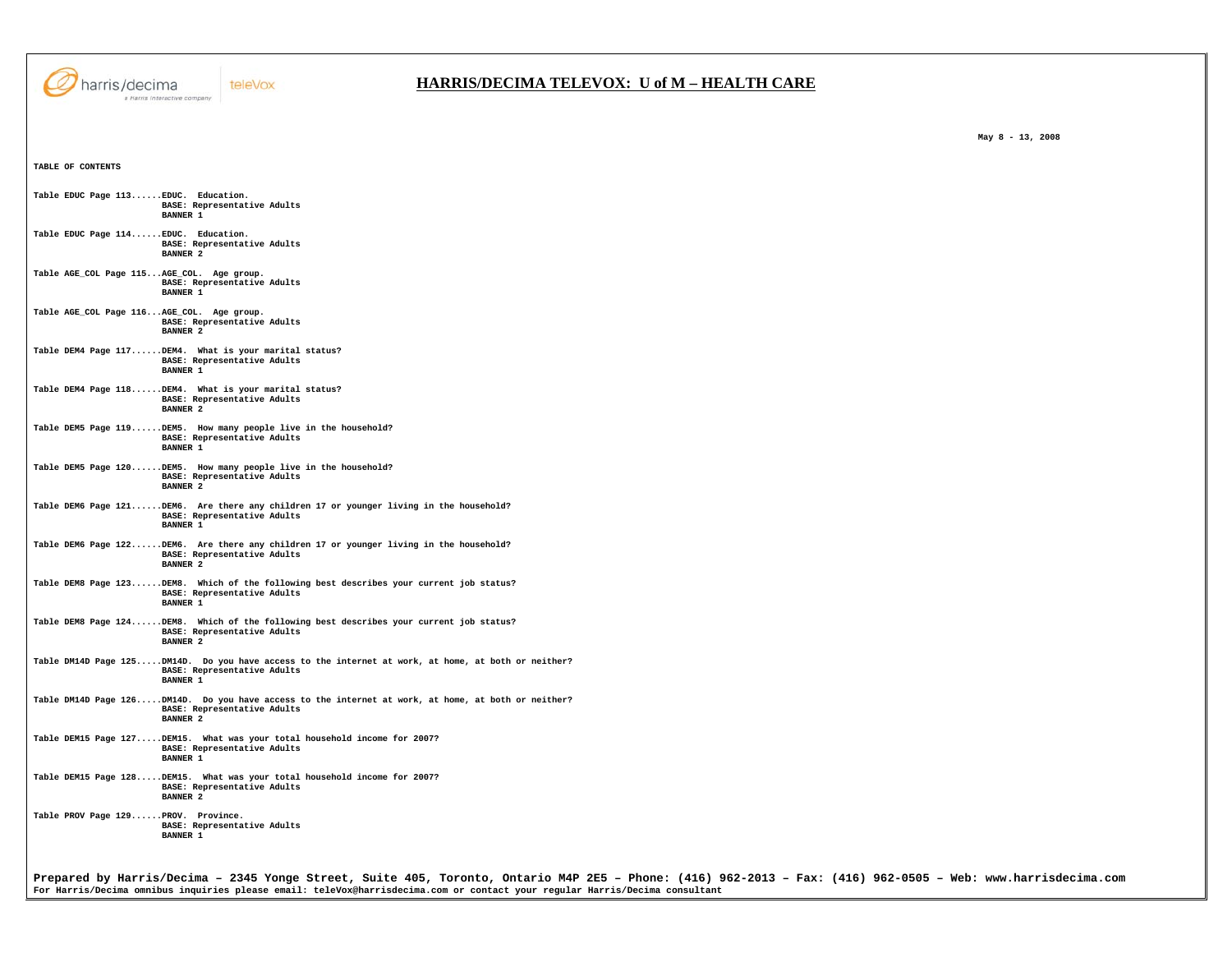

## **HARRIS/DECIMA TELEVOX: U of M – HEALTH CARE**

 **May 8 - 13, 2008** 

|  |  | Table EDUC Page 113 EDUC. Education.<br>BASE: Representative Adults<br><b>BANNER 1</b>                                                                |
|--|--|-------------------------------------------------------------------------------------------------------------------------------------------------------|
|  |  | Table EDUC Page 114 EDUC. Education.<br>BASE: Representative Adults<br><b>BANNER 2</b>                                                                |
|  |  | Table AGE_COL Page 115AGE_COL. Age group.<br>BASE: Representative Adults<br><b>BANNER 1</b>                                                           |
|  |  | Table AGE_COL Page 116AGE_COL. Age group.<br>BASE: Representative Adults<br><b>BANNER 2</b>                                                           |
|  |  | Table DEM4 Page 117DEM4. What is your marital status?<br>BASE: Representative Adults<br><b>BANNER 1</b>                                               |
|  |  | Table DEM4 Page 118DEM4. What is your marital status?<br>BASE: Representative Adults<br><b>BANNER 2</b>                                               |
|  |  | Table DEM5 Page 119DEM5. How many people live in the household?<br>BASE: Representative Adults<br><b>BANNER 1</b>                                     |
|  |  | Table DEM5 Page 120DEM5. How many people live in the household?<br>BASE: Representative Adults<br><b>BANNER 2</b>                                     |
|  |  | Table DEM6 Page 121DEM6. Are there any children 17 or younger living in the household?<br>BASE: Representative Adults<br><b>BANNER 1</b>              |
|  |  | Table DEM6 Page 122DEM6. Are there any children 17 or younger living in the household?<br>BASE: Representative Adults<br><b>BANNER 2</b>              |
|  |  | Table DEM8 Page 123DEM8. Which of the following best describes your current job status?<br>BASE: Representative Adults<br><b>BANNER 1</b>             |
|  |  | Table DEM8 Page 124DEM8. Which of the following best describes your current job status?<br>BASE: Representative Adults<br><b>BANNER 2</b>             |
|  |  | Table DM14D Page 125DM14D. Do you have access to the internet at work, at home, at both or neither?<br>BASE: Representative Adults<br><b>BANNER 1</b> |
|  |  | Table DM14D Page 126DM14D. Do you have access to the internet at work, at home, at both or neither?<br>BASE: Representative Adults<br><b>BANNER 2</b> |
|  |  | Table DEM15 Page 127DEM15. What was your total household income for 2007?<br>BASE: Representative Adults<br><b>BANNER 1</b>                           |
|  |  | Table DEM15 Page 128DEM15. What was your total household income for 2007?<br>BASE: Representative Adults<br><b>BANNER 2</b>                           |
|  |  | Table PROV Page 129PROV. Province.<br>BASE: Representative Adults<br><b>BANNER 1</b>                                                                  |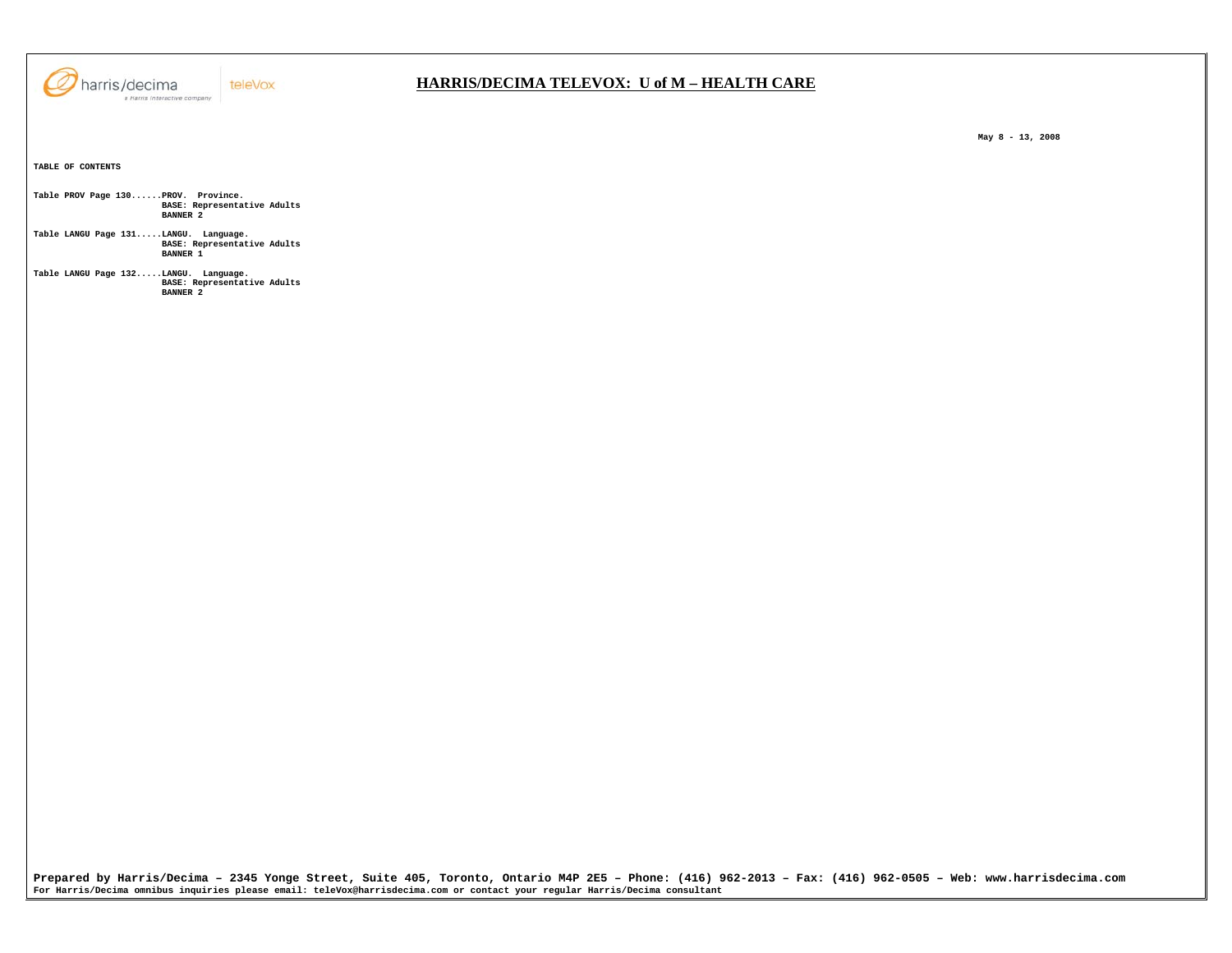

 **May 8 - 13, 2008** 

**TABLE OF CONTENTS Table PROV Page 130......PROV. Province. BASE: Representative Adults BANNER 2 Table LANGU Page 131.....LANGU. Language. BASE: Representative Adults BANNER 1 Table LANGU Page 132.....LANGU. Language. BASE: Representative Adults BANNER 2** 

**Prepared by Harris/Decima – 2345 Yonge Street, Suite 405, Toronto, Ontario M4P 2E5 – Phone: (416) 962-2013 – Fax: (416) 962-0505 – Web: www.harrisdecima.com For Harris/Decima omnibus inquiries please email: teleVox@harrisdecima.com or contact your regular Harris/Decima consultant**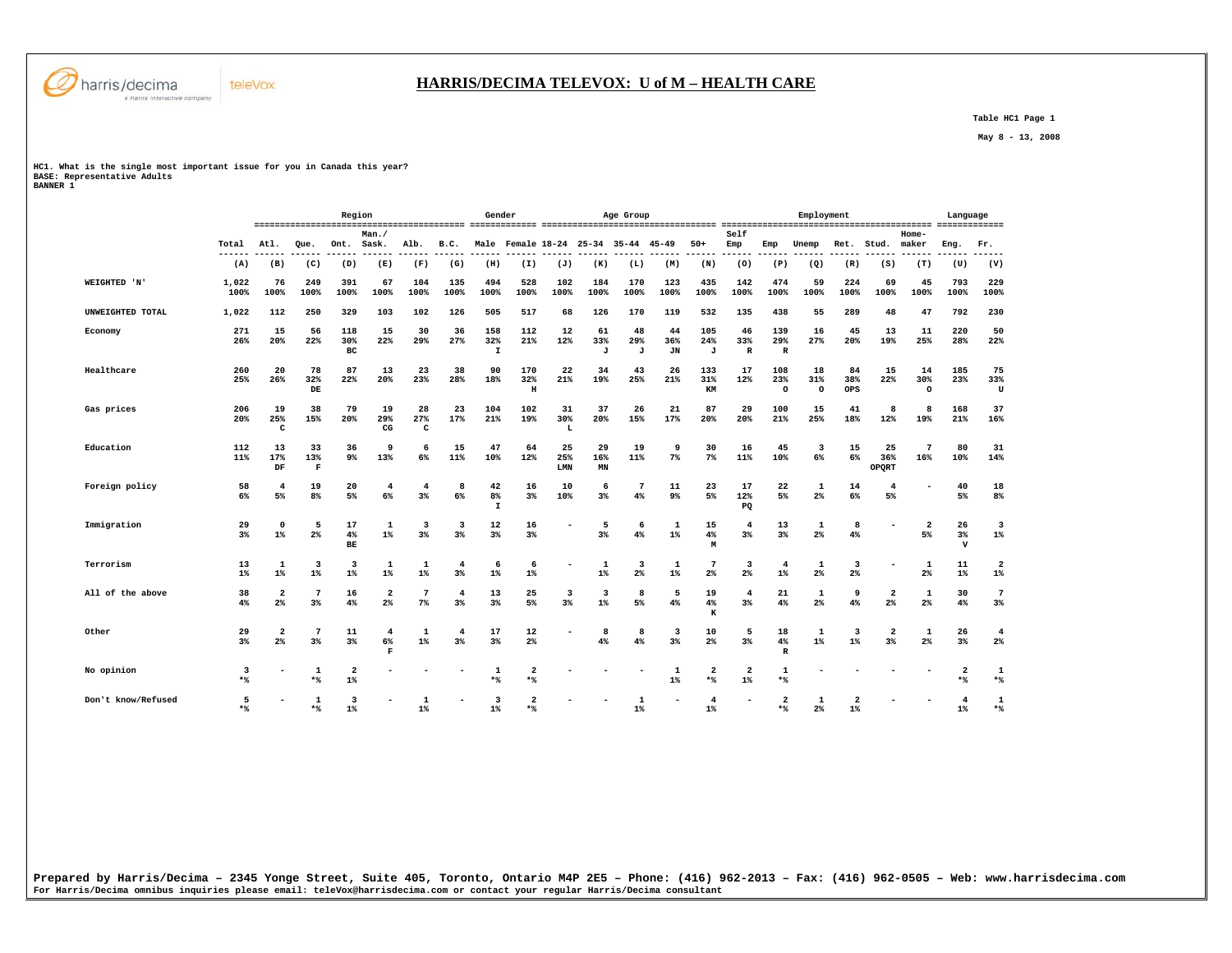

 **Table HC1 Page 1** 

 **May 8 - 13, 2008** 

## **HC1. What is the single most important issue for you in Canada this year? BASE: Representative Adults BANNER 1**

|                    |                      |                                  |                               | Region                           |                                     |                       |                               | Gender                     |                                     |                  |                       | Age Group           |                        |                        |                           |                                | Employment           |                      |                      |                      | Language                           |                                  |
|--------------------|----------------------|----------------------------------|-------------------------------|----------------------------------|-------------------------------------|-----------------------|-------------------------------|----------------------------|-------------------------------------|------------------|-----------------------|---------------------|------------------------|------------------------|---------------------------|--------------------------------|----------------------|----------------------|----------------------|----------------------|------------------------------------|----------------------------------|
|                    | Total                | Atl.                             | Que.                          | Ont.                             | Man.<br>Sask.                       | Alb.                  | B.C.                          |                            | Male Female 18-24 25-34 35-44 45-49 |                  |                       |                     |                        | $50+$                  | Self<br>Emp               | Emp                            | Unemp                | Ret.                 | Stud.                | Home-<br>maker       | Eng.                               | Fr.                              |
|                    | ---<br>(A)           | (B)                              | (C)                           | (D)                              | (E)                                 | (F)                   | (G)                           | (H)                        | (I)                                 | (J)              | (K)                   | (L)                 | (M)                    | (N)                    | (0)                       | (P)                            | (Q)                  | (R)                  | (S)                  | (T)                  | (U)                                | (V)                              |
| WEIGHTED 'N'       | 1,022<br>100%        | 76<br>100%                       | 249<br>100%                   | 391<br>100%                      | 67<br>100%                          | 104<br>100%           | 135<br>100%                   | 494<br>100%                | 528<br>100%                         | 102<br>100%      | 184<br>100%           | 170<br>100%         | 123<br>100%            | 435<br>100%            | 142<br>100%               | 474<br>100%                    | 59<br>100%           | 224<br>100%          | 69<br>100%           | 45<br>100%           | 793<br>100%                        | 229<br>100%                      |
| UNWEIGHTED TOTAL   | 1,022                | 112                              | 250                           | 329                              | 103                                 | 102                   | 126                           | 505                        | 517                                 | 68               | 126                   | 170                 | 119                    | 532                    | 135                       | 438                            | 55                   | 289                  | 48                   | 47                   | 792                                | 230                              |
| Economy            | 271<br>26%           | 15<br>20%                        | 56<br>22%                     | 118<br>30%<br>BC                 | 15<br>22%                           | 30<br>29%             | 36<br>27%                     | 158<br>32%<br>$\mathbf{I}$ | 112<br>21%                          | 12<br>12%        | 61<br>33%<br>J        | 48<br>29%<br>J      | 44<br>36%<br><b>JN</b> | 105<br>24%<br>J        | 46<br>33%<br>$\mathbb{R}$ | 139<br>29%<br>$\mathbb{R}$     | 16<br>27%            | 45<br>20%            | 13<br>19%            | 11<br>25%            | 220<br>28%                         | 50<br>22%                        |
| Healthcare         | 260<br>25%           | 20<br>26%                        | 78<br>32%<br>DE               | 87<br>22%                        | 13<br>20%                           | 23<br>23%             | 38<br>28%                     | 90<br>18%                  | 170<br>32%<br>$\,$ H                | 22<br>21%        | 34<br>19%             | 43<br>25%           | 26<br>21%              | 133<br>31%<br>KM       | 17<br>12%                 | 108<br>23%<br>$\circ$          | 18<br>31%<br>$\circ$ | 84<br>38%<br>OPS     | 15<br>22%            | 14<br>30%<br>$\circ$ | 185<br>23%                         | 75<br>33%<br>U                   |
| Gas prices         | 206<br>20%           | 19<br>25%<br>C                   | 38<br>15%                     | 79<br>20%                        | 19<br>29%<br>CG                     | 28<br>27%<br>C        | 23<br>17%                     | 104<br>21%                 | 102<br>19%                          | 31<br>30%<br>L   | 37<br>20%             | 26<br>15%           | 21<br>17%              | 87<br>20%              | 29<br>20%                 | 100<br>21%                     | 15<br>25%            | 41<br>18%            | 8<br>12%             | 8<br>19%             | 168<br>21%                         | 37<br>16%                        |
| Education          | 112<br>11%           | 13<br>17%<br>DF                  | 33<br>13%<br>F                | 36<br>$9\%$                      | 9<br>13%                            | 6<br>6%               | 15<br>11%                     | 47<br>10%                  | 64<br>12%                           | 25<br>25%<br>LMN | 29<br>16%<br>MN       | 19<br>11%           | 9<br>7%                | 30<br>7%               | 16<br>11%                 | 45<br>10%                      | 3<br>6%              | 15<br>6%             | 25<br>36%<br>OPQRT   | -7<br>16%            | 80<br>10%                          | 31<br>14%                        |
| Foreign policy     | 58<br>6%             | 4<br>5%                          | 19<br>8 <sup>°</sup>          | 20<br>5%                         | $\overline{4}$<br>6%                | 4<br>3 <sup>8</sup>   | 8<br>6%                       | 42<br>8%<br>I              | 16<br>3%                            | 10<br>10%        | 6<br>3%               | 7<br>4%             | 11<br>9 <sup>°</sup>   | 23<br>5%               | 17<br>12%<br>PQ           | 22<br>5%                       | 1<br>$2\%$           | 14<br>6%             | $\overline{4}$<br>5% | ٠                    | 40<br>5%                           | 18<br>8 <sup>°</sup>             |
| Immigration        | 29<br>3 <sup>8</sup> | $\Omega$<br>$1\%$                | 5<br>2%                       | 17<br>4%<br>BE                   | 1<br>$1\%$                          | 3<br>3%               | $\overline{\mathbf{3}}$<br>3% | 12<br>3%                   | 16<br>3%                            |                  | 5<br>3%               | 6<br>4%             | 1<br>$1\%$             | 15<br>4%<br>M          | 4<br>3%                   | 13<br>3%                       | 1<br>$2\%$           | 8<br>4%              |                      | $\overline{a}$<br>5% | 26<br>$3\%$<br>$\mathbf v$         | $\overline{\mathbf{3}}$<br>1%    |
| Terrorism          | 13<br>$1\%$          | 1<br>$1\%$                       | $\overline{\mathbf{3}}$<br>1% | $\overline{\mathbf{3}}$<br>$1\%$ | 1<br>$1\%$                          | 1<br>$1\%$            | 4<br>3%                       | 6<br>$1\%$                 | 6<br>$1\%$                          |                  | $\mathbf{1}$<br>$1\%$ | 3<br>2%             | 1<br>$1\%$             | 7<br>2 <sup>°</sup>    | 3<br>2%                   | $\overline{4}$<br>$1\%$        | 1<br>$2\%$           | 3<br>2%              |                      | 1<br>2%              | 11<br>$1\%$                        | $\overline{\mathbf{2}}$<br>$1\%$ |
| All of the above   | 38<br>4%             | 2<br>$2\%$                       | 7<br>$3\%$                    | 16<br>4%                         | 2<br>$2\%$                          | 7<br>$7\%$            | $\overline{4}$<br>$3\%$       | 13<br>3%                   | 25<br>5%                            | 3<br>3%          | 3<br>$1\%$            | 8<br>5%             | 5<br>4%                | 19<br>$4\%$<br>$\bf K$ | 4<br>$3\%$                | 21<br>4%                       | 1<br>$2\%$           | 9<br>4%              | $\overline{2}$<br>2% | 1<br>$2\%$           | 30<br>4%                           | $\overline{7}$<br>3%             |
| Other              | 29<br>3 <sup>8</sup> | $\overline{a}$<br>2 <sup>8</sup> | 7<br>3%                       | 11<br>3%                         | $\overline{4}$<br>6%<br>$\mathbf F$ | 1<br>$1\%$            | 4<br>3%                       | 17<br>3%                   | 12<br>2 <sup>°</sup>                |                  | 8<br>4%               | 8<br>4%             | 3<br>3%                | 10<br>2 <sup>°</sup>   | 5<br>3%                   | 18<br>4%<br>$\, {\bf R}$       | 1<br>$1\%$           | 3<br>$1\%$           | $\overline{2}$<br>3% | 1<br>2%              | 26<br>3%                           | $\overline{4}$<br>2%             |
| No opinion         | 3<br>$*$             |                                  | 1<br>$*$                      | $\overline{\mathbf{2}}$<br>$1\%$ |                                     |                       |                               | 1<br>**                    | $\overline{2}$<br>$*$               |                  |                       |                     | 1<br>$1\%$             | 2<br>$*$               | 2<br>$1\%$                | 1<br>$*$ %                     |                      |                      |                      |                      | $\overline{2}$<br>$*$              | 1<br>$*$                         |
| Don't know/Refused | 5<br>$*$             |                                  | 1<br>$*$                      | 3<br>$1$ <sup>*</sup>            |                                     | 1<br>$1$ <sup>*</sup> |                               | 3<br>1 <sup>8</sup>        | $\overline{2}$<br>$*$               |                  |                       | 1<br>1 <sup>8</sup> |                        | 4<br>$1$ <sup>*</sup>  |                           | $\overline{\mathbf{2}}$<br>$*$ | 1<br>2%              | $\overline{2}$<br>1% |                      |                      | $\overline{4}$<br>$1$ <sup>*</sup> | 1<br>$*$                         |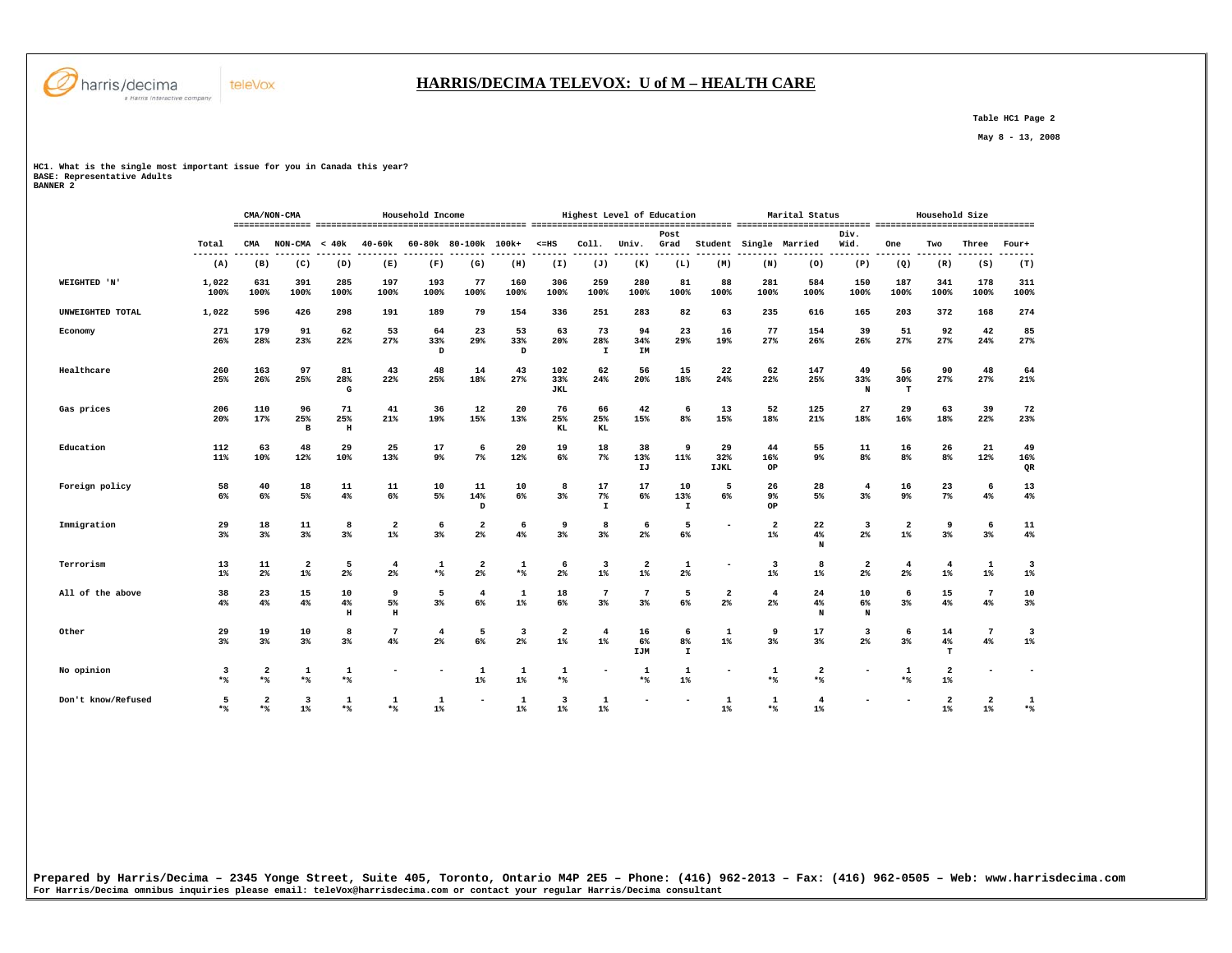

## **HARRIS/DECIMA TELEVOX: U of M – HEALTH CARE**

 **Table HC1 Page 2** 

 **May 8 - 13, 2008** 

**HC1. What is the single most important issue for you in Canada this year? BASE: Representative Adults BANNER 2** 

|                    |                |                       | CMA/NON-CMA                      |                     |                                  | Household Income        |                               |                                  |                          |                          | Highest Level of Education |                          |                                  |                                  | Marital Status         |                |                                  | Household Size                   |                      |                 |
|--------------------|----------------|-----------------------|----------------------------------|---------------------|----------------------------------|-------------------------|-------------------------------|----------------------------------|--------------------------|--------------------------|----------------------------|--------------------------|----------------------------------|----------------------------------|------------------------|----------------|----------------------------------|----------------------------------|----------------------|-----------------|
|                    | Total          | CMA                   | $NON-CMA < 40k$                  |                     | 40-60k                           |                         | 60-80k 80-100k 100k+          |                                  | $< = HS$                 | Coll.                    | Univ.                      | Post<br>Grad             |                                  |                                  | Student Single Married | Div.<br>Wid.   | One                              | Two                              | Three                | Four+           |
|                    | -------<br>(A) | (B)                   | (C)                              | (D)                 | (E)                              | (F)                     | (G)                           | ------<br>(H)                    | -------<br>(I)           | -------<br>(J)           | -------<br>(K)             | -------<br>(L)           | (M)                              | (N)                              | -----<br>(0)           | -------<br>(P) | -------<br>(Q)                   | -------<br>(R)                   | (S)                  | (T)             |
| WEIGHTED 'N'       | 1,022<br>100%  | 631<br>100%           | 391<br>100%                      | 285<br>100%         | 197<br>100%                      | 193<br>100%             | 77<br>100%                    | 160<br>100%                      | 306<br>100%              | 259<br>100%              | 280<br>100%                | 81<br>100%               | 88<br>100%                       | 281<br>100%                      | 584<br>100%            | 150<br>100%    | 187<br>100%                      | 341<br>100%                      | 178<br>100%          | 311<br>100%     |
| UNWEIGHTED TOTAL   | 1,022          | 596                   | 426                              | 298                 | 191                              | 189                     | 79                            | 154                              | 336                      | 251                      | 283                        | 82                       | 63                               | 235                              | 616                    | 165            | 203                              | 372                              | 168                  | 274             |
| Economy            | 271<br>26%     | 179<br>28%            | 91<br>23%                        | 62<br>22%           | 53<br>27%                        | 64<br>33%<br>D          | 23<br>29%                     | 53<br>33%<br>D                   | 63<br>20%                | 73<br>28%<br>I           | 94<br>34%<br>IM            | 23<br>29%                | 16<br>19%                        | 77<br>27%                        | 154<br>26%             | 39<br>26%      | 51<br>27%                        | 92<br>27%                        | 42<br>24%            | 85<br>27%       |
| Healthcare         | 260<br>25%     | 163<br>26%            | 97<br>25%                        | 81<br>28%<br>G      | 43<br>22%                        | 48<br>25%               | 14<br>18%                     | 43<br>27%                        | 102<br>33%<br><b>JKL</b> | 62<br>24%                | 56<br>20%                  | 15<br>18%                | 22<br>24%                        | 62<br>22%                        | 147<br>25%             | 49<br>33%<br>N | 56<br>30%<br>т                   | 90<br>27%                        | 48<br>27%            | 64<br>21%       |
| Gas prices         | 206<br>20%     | 110<br>17%            | 96<br>25%<br>B                   | 71<br>25%<br>H      | 41<br>21%                        | 36<br>19%               | 12<br>15%                     | 20<br>13%                        | 76<br>25%<br>KL          | 66<br>25%<br>KL          | 42<br>15%                  | 6<br>8 <sup>8</sup>      | 13<br>15%                        | 52<br>18%                        | 125<br>21%             | 27<br>18%      | 29<br>16%                        | 63<br>18%                        | 39<br>22%            | 72<br>23%       |
| Education          | 112<br>11%     | 63<br>10%             | 48<br>12%                        | 29<br>10%           | 25<br>13%                        | 17<br>$9\%$             | 6<br>7%                       | 20<br>12%                        | 19<br>6%                 | 18<br>$7\%$              | 38<br>13%<br>IJ            | 9<br>11%                 | 29<br>32%<br>IJKL                | 44<br>16%<br>OP                  | 55<br>9%               | 11<br>8%       | 16<br>8%                         | 26<br>8%                         | 21<br>12%            | 49<br>16%<br>QR |
| Foreign policy     | 58<br>6%       | 40<br>$6\%$           | 18<br>5%                         | 11<br>4%            | 11<br>6%                         | 10<br>5%                | 11<br>14%<br>D                | 10<br>$6\%$                      | 8<br>$3\%$               | 17<br>7%<br>$\mathbf{I}$ | 17<br>6%                   | 10<br>13%<br>$\mathtt I$ | 5<br>6%                          | 26<br>9%<br>OP                   | 28<br>5%               | 4<br>$3\%$     | 16<br>9%                         | 23<br>$7\%$                      | 6<br>4%              | 13<br>4%        |
| Immigration        | 29<br>3%       | 18<br>$3\%$           | 11<br>3 <sup>8</sup>             | 8<br>3%             | $\overline{\mathbf{2}}$<br>$1\%$ | 6<br>3%                 | $\overline{a}$<br>2%          | 6<br>4%                          | 9<br>3%                  | 8<br>3%                  | 6<br>2 <sup>°</sup>        | 5<br>6%                  |                                  | $\overline{a}$<br>$1\%$          | 22<br>4%<br>N          | 3<br>$2\%$     | $\overline{\mathbf{2}}$<br>$1\%$ | 9<br>3 <sup>8</sup>              | 6<br>3%              | 11<br>4%        |
| Terrorism          | 13<br>$1\%$    | 11<br>2%              | $\overline{\mathbf{2}}$<br>$1\%$ | 5<br>$2\%$          | $\overline{4}$<br>2 <sup>°</sup> | $\mathbf{1}$<br>$*$ %   | $\overline{\mathbf{2}}$<br>2% | 1<br>*%                          | 6<br>$2\%$               | 3<br>$1\%$               | $\overline{2}$<br>$1\%$    | 1<br>2 <sup>°</sup>      | -                                | $\overline{\mathbf{3}}$<br>$1\%$ | 8<br>1%                | 2<br>$2\%$     | 4<br>$2\%$                       | $\overline{4}$<br>$1\%$          | 1<br>$1\%$           | 3<br>$1\%$      |
| All of the above   | 38<br>4%       | 23<br>4%              | 15<br>4%                         | 10<br>4%<br>H       | 9<br>5%<br>$\mathbf H$           | 5<br>$3\%$              | $\overline{4}$<br>6%          | 1<br>$1\%$                       | 18<br>6%                 | 7<br>$3\%$               | 7<br>$3\%$                 | 5<br>6%                  | $\overline{\mathbf{2}}$<br>$2\%$ | 4<br>2%                          | 24<br>4%<br>N          | 10<br>6%<br>N  | 6<br>$3\%$                       | 15<br>$4\%$                      | 7<br>4%              | 10<br>$3\%$     |
| Other              | 29<br>$3\%$    | 19<br>3%              | 10<br>3%                         | 8<br>$3\%$          | $7\phantom{.0}$<br>4%            | $\overline{4}$<br>$2\%$ | 5<br>6%                       | $\overline{\mathbf{3}}$<br>$2\%$ | 2<br>$1\%$               | $\overline{4}$<br>$1\%$  | 16<br>6%<br>IJM            | 6<br>8%<br>I             | 1<br>$1\%$                       | 9<br>3%                          | 17<br>$3\%$            | 3<br>$2\%$     | 6<br>$3\%$                       | 14<br>4%<br>т                    | $\overline{7}$<br>4% | 3<br>$1\%$      |
| No opinion         | 3<br>$*$ %     | $\overline{2}$<br>*%  | 1<br>*%                          | 1<br>$*$            |                                  |                         | 1<br>$1\%$                    | 1<br>$1\%$                       | $\mathbf{1}$<br>$*$      |                          | 1<br>$*$                   | 1<br>$1\%$               |                                  | 1<br>$*$                         | 2<br>$*$               |                | 1<br>$*$                         | $\overline{\mathbf{2}}$<br>$1\%$ |                      |                 |
| Don't know/Refused | 5<br>$*$       | $\overline{a}$<br>$*$ | 3<br>$1\%$                       | $\mathbf{1}$<br>$*$ | 1<br>$*$                         | 1<br>$1\%$              | $\overline{\phantom{a}}$      | 1<br>$1\%$                       | 3<br>$1\%$               | 1<br>$1\%$               | $\overline{\phantom{a}}$   | $\overline{\phantom{a}}$ | 1<br>$1\%$                       | $\mathbf{1}$<br>$*$              | 4<br>$1\%$             |                |                                  | $\overline{\mathbf{2}}$<br>$1\%$ | 2<br>$1\%$           | 1<br>$*$        |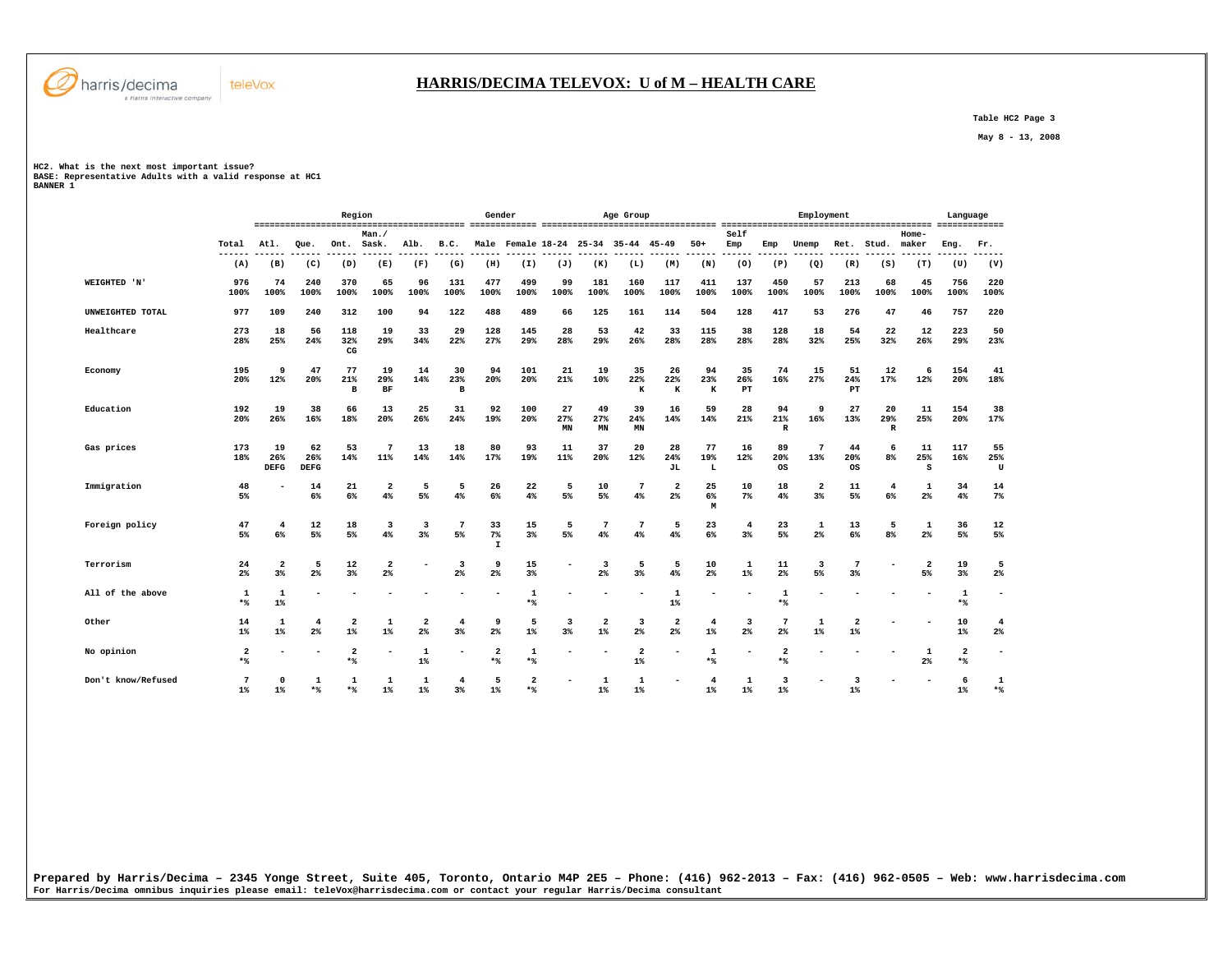

## **HARRIS/DECIMA TELEVOX: U of M – HEALTH CARE**

 **Table HC2 Page 3** 

 **May 8 - 13, 2008** 

**HC2. What is the next most important issue?** 

**BASE: Representative Adults with a valid response at HC1 BANNER 1** 

|                    |                       |                          |                          | Region                           |                         |                                           |                                  | Gender                        |                         |                 |                                           | Age Group               |                      |                         |                          |                           | Employment                                |                                    |                          |                               | Language                       |                          |
|--------------------|-----------------------|--------------------------|--------------------------|----------------------------------|-------------------------|-------------------------------------------|----------------------------------|-------------------------------|-------------------------|-----------------|-------------------------------------------|-------------------------|----------------------|-------------------------|--------------------------|---------------------------|-------------------------------------------|------------------------------------|--------------------------|-------------------------------|--------------------------------|--------------------------|
|                    | Total                 | Atl.                     | Oue.                     | Ont.                             | Man./<br>Sask.          | Alb.                                      | B.C.                             |                               | Male Female 18-24 25-34 |                 |                                           | 35-44                   | 45-49                | $50+$                   | Self<br>Emp              | Emp                       | Unemp                                     | Ret.                               | Stud.                    | Home-<br>maker                | Eng.                           | Fr.                      |
|                    | (A)                   | (B)                      | (C)                      | (D)                              | (E)                     | (F)                                       | (G)                              | (H)                           | (I)                     | (J)             | (K)                                       | (L)                     | (M)                  | (N)                     | (0)                      | (P)                       | (Q)                                       | (R)                                | (S)                      | (T)                           | (U)                            | (V)                      |
| WEIGHTED 'N'       | 976<br>100%           | 74<br>100%               | 240<br>100%              | 370<br>100%                      | 65<br>100%              | 96<br>100%                                | 131<br>100%                      | 477<br>100%                   | 499<br>100%             | 99<br>100%      | 181<br>100%                               | 160<br>100%             | 117<br>100%          | 411<br>100%             | 137<br>100%              | 450<br>100%               | 57<br>100%                                | 213<br>100%                        | 68<br>100%               | 45<br>100%                    | 756<br>100%                    | 220<br>100%              |
| UNWEIGHTED TOTAL   | 977                   | 109                      | 240                      | 312                              | 100                     | 94                                        | 122                              | 488                           | 489                     | 66              | 125                                       | 161                     | 114                  | 504                     | 128                      | 417                       | 53                                        | 276                                | 47                       | 46                            | 757                            | 220                      |
| Healthcare         | 273<br>28%            | 18<br>25%                | 56<br>24%                | 118<br>32%<br>$_{\rm CG}$        | 19<br>29%               | 33<br>34%                                 | 29<br>22%                        | 128<br>27%                    | 145<br>29%              | 28<br>28%       | 53<br>29%                                 | 42<br>26%               | 33<br>28%            | 115<br>28%              | 38<br>28%                | 128<br>28%                | 18<br>32%                                 | 54<br>25%                          | 22<br>32%                | 12<br>26%                     | 223<br>29%                     | 50<br>23%                |
| Economy            | 195<br>20%            | 9<br>12%                 | 47<br>20%                | 77<br>21%<br>в                   | 19<br>29%<br>BF         | 14<br>14%                                 | 30<br>23%<br>в                   | 94<br>20%                     | 101<br>20%              | 21<br>21%       | 19<br>10%                                 | 35<br>22%<br>$\bf K$    | 26<br>22%<br>K       | 94<br>23%<br>$\bf K$    | 35<br>26%<br>$_{\rm PT}$ | 74<br>16%                 | 15<br>27%                                 | 51<br>24%<br>PT                    | 12<br>17%                | 6<br>12%                      | 154<br>20%                     | 41<br>18%                |
| Education          | 192<br>20%            | 19<br>26%                | 38<br>16%                | 66<br>18%                        | 13<br>20%               | 25<br>26%                                 | 31<br>24%                        | 92<br>19%                     | 100<br>20%              | 27<br>27%<br>MN | 49<br>27%<br>MN                           | 39<br>24%<br>MN         | 16<br>14%            | 59<br>14%               | 28<br>21%                | 94<br>21%<br>$\, {\bf R}$ | 9<br>16%                                  | 27<br>13%                          | 20<br>29%<br>$\mathbb R$ | 11<br>25%                     | 154<br>20%                     | 38<br>17%                |
| Gas prices         | 173<br>18%            | 19<br>26%<br><b>DEFG</b> | 62<br>26%<br><b>DEFG</b> | 53<br>14%                        | 7<br>11%                | 13<br>14%                                 | 18<br>14%                        | 80<br>17%                     | 93<br>19%               | 11<br>11%       | 37<br>20%                                 | 20<br>12%               | 28<br>24%<br>JL      | 77<br>19%<br>L          | 16<br>12%                | 89<br>20%<br>os           | $7\phantom{.0}$<br>13%                    | 44<br>20%<br>os                    | 6<br>8%                  | 11<br>25%<br>S                | 117<br>16%                     | 55<br>25%<br>U           |
| Immigration        | 48<br>5%              |                          | 14<br>6%                 | 21<br>6%                         | $\overline{2}$<br>4%    | 5<br>5%                                   | 5<br>4%                          | 26<br>6%                      | 22<br>4%                | 5<br>5%         | 10<br>5%                                  | $7\phantom{.0}$<br>4%   | $\overline{2}$<br>2% | 25<br>6%<br>M           | 10<br>$7\%$              | 18<br>4%                  | $\overline{\mathbf{2}}$<br>3 <sup>8</sup> | 11<br>5%                           | 4<br>6%                  | 1<br>2%                       | 34<br>4%                       | 14<br>7%                 |
| Foreign policy     | 47<br>5%              | 4<br>6%                  | 12<br>5%                 | 18<br>5%                         | 3<br>4%                 | 3<br>3 <sup>8</sup>                       | $\overline{7}$<br>5%             | 33<br>$7\%$<br>$\mathbf{I}$   | 15<br>3 <sup>8</sup>    | 5<br>5%         | 7<br>4%                                   | $7\phantom{.0}$<br>4%   | 5<br>4%              | 23<br>6%                | $\overline{4}$<br>3%     | 23<br>5%                  | 1<br>$2\%$                                | 13<br>6%                           | 5<br>8%                  | 1<br>2%                       | 36<br>5%                       | 12<br>5%                 |
| Terrorism          | 24<br>$2\%$           | $\overline{2}$<br>3%     | 5<br>$2\%$               | 12<br>3%                         | $\overline{2}$<br>$2\%$ |                                           | $\overline{3}$<br>$2\%$          | 9<br>2%                       | 15<br>3%                |                 | $\overline{\mathbf{3}}$<br>2 <sup>°</sup> | 5<br>3%                 | 5<br>4%              | 10<br>2 <sup>°</sup>    | 1<br>$1\%$               | 11<br>2%                  | $\overline{\mathbf{3}}$<br>5%             | $3\%$                              |                          | $\overline{\mathbf{2}}$<br>5% | 19<br>$3\%$                    | 5<br>$2\%$               |
| All of the above   | 1<br>$*$              | 1<br>$1\%$               |                          |                                  |                         |                                           |                                  |                               | $\mathbf{1}$<br>$*$     |                 |                                           |                         | 1<br>$1\%$           |                         |                          | 1<br>$*$ %                |                                           |                                    |                          |                               | 1<br>$*$                       | $\overline{\phantom{0}}$ |
| Other              | 14<br>$1\%$           | 1<br>$1\%$               | $\overline{4}$<br>$2\%$  | $\overline{\mathbf{2}}$<br>$1\%$ | 1<br>$1\%$              | $\overline{\mathbf{2}}$<br>2 <sup>°</sup> | $\overline{4}$<br>3 <sup>8</sup> | 9<br>2%                       | 5<br>$1\%$              | 3<br>3%         | $\overline{\mathbf{2}}$<br>$1\%$          | 3<br>$2\%$              | $\overline{a}$<br>2% | $\overline{4}$<br>$1\%$ | 3<br>$2\%$               | 7<br>2 <sup>°</sup>       | 1<br>$1\%$                                | $\overline{2}$<br>$1\%$            |                          |                               | 10<br>$1\%$                    | $\overline{4}$<br>$2\%$  |
| No opinion         | $\overline{2}$<br>$*$ |                          |                          | $\overline{a}$<br>$*$            |                         | 1<br>$1\%$                                |                                  | $\overline{\mathbf{2}}$<br>** | $\mathbf{1}$<br>$*$ %   |                 |                                           | $\overline{a}$<br>$1\%$ |                      | 1<br>$*$ %              |                          | $\overline{2}$<br>$*$ %   |                                           |                                    |                          | 1<br>2%                       | $\overline{\mathbf{2}}$<br>$*$ | ٠                        |
| Don't know/Refused | 7<br>$1$ <sup>*</sup> | $\Omega$<br>1%           | 1<br>$*$                 | 1<br>$*$                         | 1<br>$1\%$              | 1<br>$1\%$                                | 4<br>$3*$                        | 5<br>1%                       | $\overline{2}$<br>$*$   |                 | $\mathbf{1}$<br>$1\%$                     | 1<br>1%                 |                      | 4<br>$1$ <sup>*</sup>   | 1<br>$1\%$               | $\overline{3}$<br>1%      |                                           | $\overline{3}$<br>$1$ <sup>*</sup> |                          |                               | 6<br>$1$ <sup>*</sup>          | 1<br>$*$                 |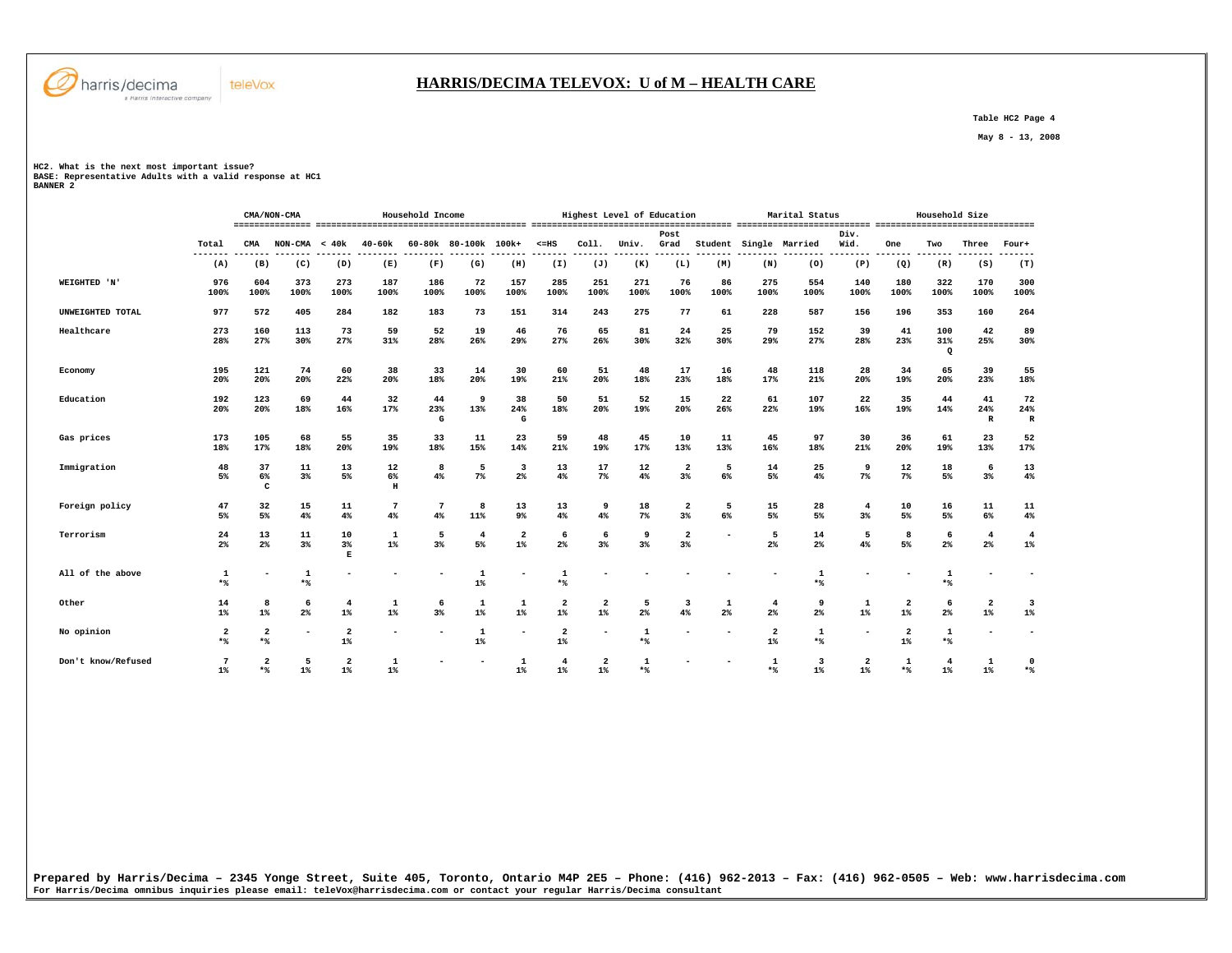

## **HARRIS/DECIMA TELEVOX: U of M – HEALTH CARE**

 **Table HC2 Page 4** 

 **May 8 - 13, 2008** 

**HC2. What is the next most important issue?** 

**BASE: Representative Adults with a valid response at HC1 BANNER 2** 

|                    |                          |                       | CMA/NON-CMA              |                                  |               | Household Income         |                       |                       |                                  |                                  | Highest Level of Education    |                               |                          |             | Marital Status         |              |                       | Household Size        |                                  |                          |
|--------------------|--------------------------|-----------------------|--------------------------|----------------------------------|---------------|--------------------------|-----------------------|-----------------------|----------------------------------|----------------------------------|-------------------------------|-------------------------------|--------------------------|-------------|------------------------|--------------|-----------------------|-----------------------|----------------------------------|--------------------------|
|                    | Total<br>---             | CMA                   | $NON-CMA < 40k$          |                                  | 40-60k        |                          | 60-80k 80-100k 100k+  |                       | $< = HS$                         | Coll.                            | Univ.                         | Post<br>Grad                  |                          |             | Student Single Married | Div.<br>Wid. | One                   | Two                   | Three                            | Four+                    |
|                    | (A)                      | (B)                   | (C)                      | (D)                              | (E)           | (F)                      | (G)                   | (H)                   | (I)                              | (J)                              | (K)                           | (L)                           | (M)                      | (N)         | (0)                    | (P)          | (Q)                   | (R)                   | (S)                              | (T)                      |
| WEIGHTED 'N'       | 976<br>100%              | 604<br>100%           | 373<br>100%              | 273<br>100%                      | 187<br>100%   | 186<br>100%              | 72<br>100%            | 157<br>100%           | 285<br>100%                      | 251<br>100%                      | 271<br>100%                   | 76<br>100%                    | 86<br>100%               | 275<br>100% | 554<br>100%            | 140<br>100%  | 180<br>100%           | 322<br>100%           | 170<br>100%                      | 300<br>100%              |
| UNWEIGHTED TOTAL   | 977                      | 572                   | 405                      | 284                              | 182           | 183                      | 73                    | 151                   | 314                              | 243                              | 275                           | 77                            | 61                       | 228         | 587                    | 156          | 196                   | 353                   | 160                              | 264                      |
| Healthcare         | 273<br>28%               | 160<br>27%            | 113<br>30%               | 73<br>27%                        | 59<br>31%     | 52<br>28%                | 19<br>26%             | 46<br>29%             | 76<br>27%                        | 65<br>26%                        | 81<br>30%                     | 24<br>32%                     | 25<br>30%                | 79<br>29%   | 152<br>27%             | 39<br>28%    | 41<br>23%             | 100<br>31%<br>$\circ$ | 42<br>25%                        | 89<br>30%                |
| Economy            | 195<br>20%               | 121<br>20%            | 74<br>20%                | 60<br>22%                        | 38<br>20%     | 33<br>18%                | 14<br>20%             | 30<br>19%             | 60<br>21%                        | 51<br>20%                        | 48<br>18%                     | 17<br>23%                     | 16<br>18%                | 48<br>17%   | 118<br>21%             | 28<br>20%    | 34<br>19%             | 65<br>20%             | 39<br>23%                        | 55<br>18%                |
| Education          | 192<br>20%               | 123<br>20%            | 69<br>18%                | 44<br>16%                        | 32<br>17%     | 44<br>23%<br>${\bf G}$   | 9<br>13%              | 38<br>24%<br>G        | 50<br>18%                        | 51<br>20%                        | 52<br>19%                     | 15<br>20%                     | 22<br>26%                | 61<br>22%   | 107<br>19%             | 22<br>16%    | 35<br>19%             | 44<br>14%             | 41<br>24%<br>$\mathbf R$         | 72<br>24%<br>$\mathbb R$ |
| Gas prices         | 173<br>18%               | 105<br>17%            | 68<br>18%                | 55<br>20%                        | 35<br>19%     | 33<br>18%                | 11<br>15%             | 23<br>14%             | 59<br>21%                        | 48<br>19%                        | 45<br>17%                     | 10<br>13%                     | 11<br>13%                | 45<br>16%   | 97<br>18%              | 30<br>21%    | 36<br>20%             | 61<br>19%             | 23<br>13%                        | 52<br>17%                |
| Immigration        | 48<br>5%                 | 37<br>$6\%$<br>c      | 11<br>$3\%$              | 13<br>5%                         | 12<br>6%<br>H | 8<br>4%                  | 5<br>7%               | 3<br>2%               | 13<br>4%                         | 17<br>$7\%$                      | 12<br>4%                      | 2<br>3%                       | 5<br>6%                  | 14<br>5%    | 25<br>$4\%$            | 9<br>$7\%$   | 12<br>$7\%$           | 18<br>5%              | 6<br>3%                          | 13<br>4%                 |
| Foreign policy     | 47<br>5%                 | 32<br>5%              | 15<br>4%                 | 11<br>4%                         | 7<br>4%       | 7<br>4%                  | 8<br>11%              | 13<br>9%              | 13<br>4%                         | 9<br>4%                          | 18<br>$7\%$                   | 2<br>3%                       | 5<br>6%                  | 15<br>5%    | 28<br>5%               | 4<br>$3\%$   | 10<br>5%              | 16<br>5%              | 11<br>6%                         | 11<br>4%                 |
| Terrorism          | 24<br>$2\%$              | 13<br>$2\%$           | 11<br>3%                 | 10<br>$3\%$<br>Е                 | 1<br>$1\%$    | 5<br>3%                  | $\overline{4}$<br>5%  | $\mathbf{2}$<br>$1\%$ | 6<br>$2\%$                       | 6<br>3 <sup>8</sup>              | 9<br>3%                       | $\overline{\mathbf{2}}$<br>3% | $\overline{\phantom{0}}$ | 5<br>$2\%$  | 14<br>$2\%$            | 5<br>4%      | 8<br>5%               | 6<br>$2\%$            | $\overline{4}$<br>$2\%$          | 4<br>$1\%$               |
| All of the above   | 1<br>$*$                 |                       | 1<br>$*$                 |                                  |               |                          | 1<br>$1\%$            |                       | $\mathbf{1}$<br>$*$              |                                  |                               |                               |                          |             | 1<br>$*$               |              |                       | 1<br>$*$              |                                  |                          |
| Other              | 14<br>$1\%$              | 8<br>$1\%$            | 6<br>$2\%$               | 4<br>$1\%$                       | 1<br>$1\%$    | 6<br>3%                  | 1<br>$1\%$            | 1<br>$1\%$            | 2<br>$1\%$                       | 2<br>$1\%$                       | 5<br>2%                       | 3<br>4%                       | 1<br>$2\%$               | 4<br>2%     | 9<br>$2\%$             | 1<br>$1\%$   | $\mathbf{2}$<br>$1\%$ | 6<br>$2\%$            | $\overline{\mathbf{2}}$<br>$1\%$ | 3<br>$1\%$               |
| No opinion         | 2<br>$*$                 | $\overline{2}$<br>$*$ | $\overline{\phantom{a}}$ | $\overline{\mathbf{2}}$<br>$1\%$ | -             | $\overline{\phantom{a}}$ | $\mathbf{1}$<br>$1\%$ | ۰                     | $\overline{\mathbf{2}}$<br>$1\%$ | -                                | $\mathbf{1}$<br>$\star$ $\!8$ |                               |                          | 2<br>$1\%$  | 1<br>$\star$ $\!\!8$   |              | 2<br>$1\%$            | 1<br>$\star$ $\!8$    |                                  | $\overline{\phantom{a}}$ |
| Don't know/Refused | $7\phantom{.0}$<br>$1\%$ | $\overline{2}$<br>$*$ | 5<br>$1\%$               | $\overline{\mathbf{2}}$<br>$1\%$ | 1<br>$1\%$    |                          |                       | $\mathbf{1}$<br>$1\%$ | 4<br>$1\%$                       | $\overline{\mathbf{2}}$<br>$1\%$ | 1<br>$*$                      |                               |                          | 1<br>$*$    | 3<br>$1\%$             | 2<br>$1\%$   | 1<br>$*$              | 4<br>$1\%$            | 1<br>$1\%$                       | 0<br>$*$                 |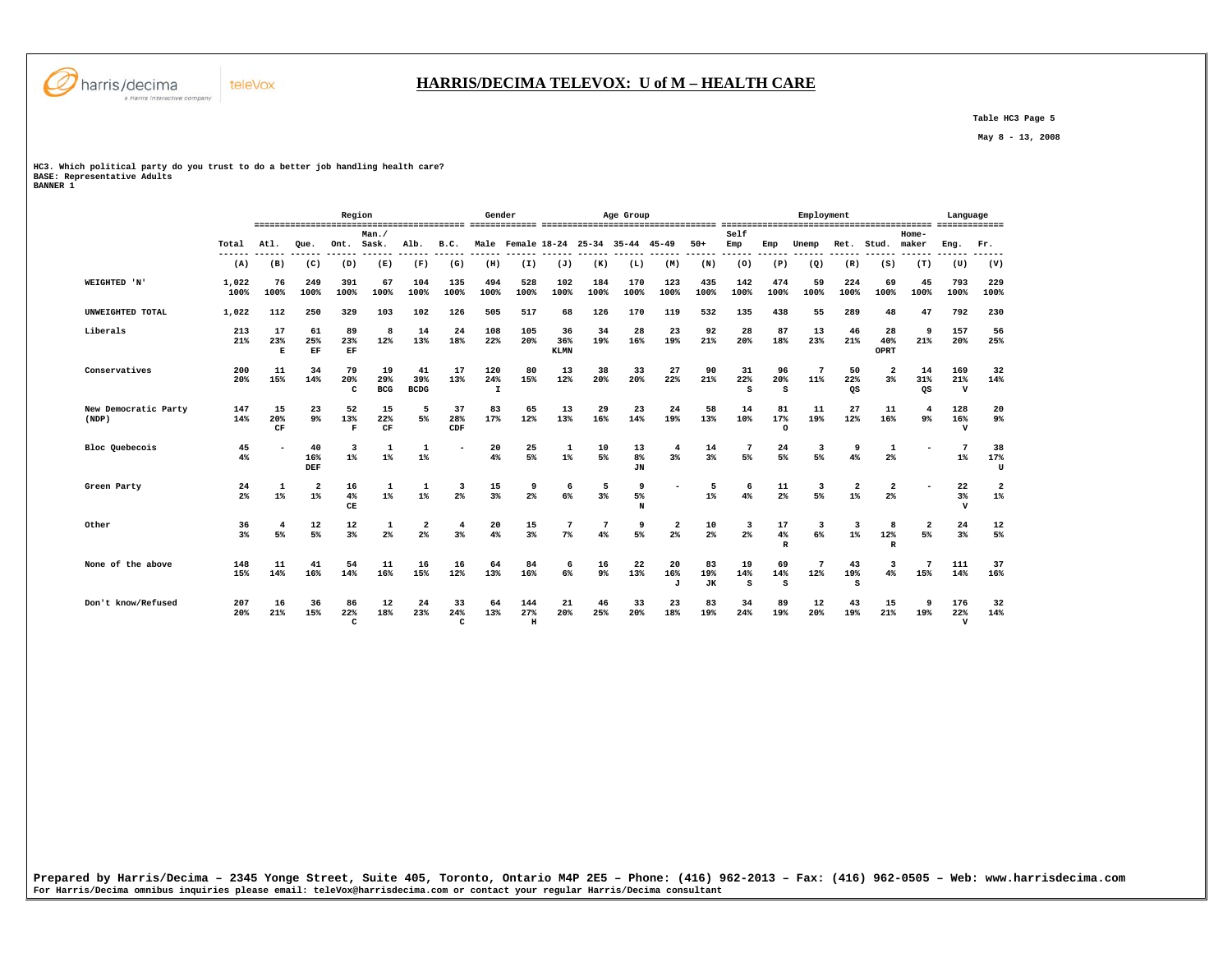

 **Table HC3 Page 5** 

 **May 8 - 13, 2008** 

**HC3. Which political party do you trust to do a better job handling health care? BASE: Representative Adults BANNER 1** 

teleVox

| <b>BANNER</b> |  |  |
|---------------|--|--|
|               |  |  |

|                               |                      |                      |                         | Region                    |                         |                          |                       | Gender                     |                            |                          |             | Age Group                           |                               |                        |                              |                          | Employment                    |                         |                                  |                         | Language                   |                         |
|-------------------------------|----------------------|----------------------|-------------------------|---------------------------|-------------------------|--------------------------|-----------------------|----------------------------|----------------------------|--------------------------|-------------|-------------------------------------|-------------------------------|------------------------|------------------------------|--------------------------|-------------------------------|-------------------------|----------------------------------|-------------------------|----------------------------|-------------------------|
|                               | Total<br>------      | Atl.<br>-----        | Oue.<br>------          | Ont. Sask.                | Man./                   | Alb.<br>$- - - - - -$    | B.C.<br>$- - - - - -$ |                            |                            |                          |             | Male Female 18-24 25-34 35-44 45-49 | ------                        | $50+$<br>------        | Self<br>Emp<br>$- - - - - -$ | Emp<br>------            | Unemp                         | Ret.                    | Stud.                            | $Home-$<br>maker        | Eng.                       | Fr.<br>-----            |
|                               | (A)                  | (B)                  | (C)                     | (D)                       | (E)                     | (F)                      | (G)                   | (H)                        | (I)                        | (J)                      | (K)         | (L)                                 | (M)                           | (N)                    | (0)                          | (P)                      | (Q)                           | (R)                     | (S)                              | (T)                     | (U)                        | (V)                     |
| WEIGHTED 'N'                  | 1,022<br>100%        | 76<br>100%           | 249<br>100%             | 391<br>100%               | 67<br>100%              | 104<br>100%              | 135<br>100%           | 494<br>100%                | 528<br>100%                | 102<br>100%              | 184<br>100% | 170<br>100%                         | 123<br>100%                   | 435<br>100%            | 142<br>100%                  | 474<br>100%              | 59<br>100%                    | 224<br>100%             | 69<br>100%                       | 45<br>100%              | 793<br>100%                | 229<br>100%             |
| UNWEIGHTED TOTAL              | 1,022                | 112                  | 250                     | 329                       | 103                     | 102                      | 126                   | 505                        | 517                        | 68                       | 126         | 170                                 | 119                           | 532                    | 135                          | 438                      | 55                            | 289                     | 48                               | 47                      | 792                        | 230                     |
| Liberals                      | 213<br>21%           | 17<br>23%<br>Е       | 61<br>25%<br>EF         | 89<br>23%<br>EF           | 8<br>12%                | 14<br>13%                | 24<br>18%             | 108<br>22%                 | 105<br>$20*$               | 36<br>36%<br><b>KLMN</b> | 34<br>19%   | 28<br>16%                           | 23<br>19%                     | 92<br>21%              | 28<br>$20*$                  | 87<br>18%                | 13<br>23%                     | 46<br>21%               | 28<br>40%<br>OPRT                | 9<br>21%                | 157<br>$20*$               | 56<br>25%               |
| Conservatives                 | 200<br>20%           | 11<br>15%            | 34<br>14%               | 79<br>20%<br>c            | 19<br>29%<br><b>BCG</b> | 41<br>39%<br><b>BCDG</b> | 17<br>13%             | 120<br>24%<br>$\mathbf{I}$ | 80<br>15%                  | 13<br>12%                | 38<br>20%   | 33<br>20%                           | 27<br>22%                     | 90<br>21%              | 31<br>22%<br>s               | 96<br>20%<br>s           | 7<br>11%                      | 50<br>22%<br>QS         | $\overline{2}$<br>3%             | 14<br>31%<br>QS         | 169<br>21%<br>$\mathbf v$  | 32<br>14%               |
| New Democratic Party<br>(NDP) | 147<br>14%           | 15<br>20%<br>CF      | 23<br>9%                | 52<br>13%<br>F            | 15<br>22%<br>CF         | 5<br>5%                  | 37<br>28%<br>CDF      | 83<br>17%                  | 65<br>12%                  | 13<br>13%                | 29<br>16%   | 23<br>14%                           | 24<br>19%                     | 58<br>13%              | 14<br>10%                    | 81<br>17%<br>$\Omega$    | 11<br>19%                     | 27<br>12%               | 11<br>16%                        | $\overline{4}$<br>$9\%$ | 128<br>16%<br>$\mathbf{v}$ | 20<br>9 <sub>8</sub>    |
| Bloc Quebecois                | 45<br>4%             |                      | 40<br>16%<br>DEF        | 3<br>$1\%$                | $\overline{1}$<br>$1\%$ | $\mathbf{1}$<br>$1\%$    | ۰                     | 20<br>4%                   | 25<br>5%                   | 1<br>$1\%$               | 10<br>5%    | 13<br>8%<br><b>JN</b>               | 4<br>3%                       | 14<br>3%               | $7\phantom{.0}$<br>5%        | 24<br>5%                 | $\overline{\mathbf{3}}$<br>5% | ٩<br>4%                 | 1<br>2%                          |                         | $\overline{ }$<br>$1\%$    | 38<br>17%<br>U          |
| Green Party                   | 24<br>2%             | 1<br>$1\%$           | $\overline{2}$<br>$1\%$ | 16<br>4%<br>CE            | 1<br>$1\%$              | 1<br>$1\%$               | 3<br>2 <sup>8</sup>   | 15<br>3%                   | 9<br>$2\%$                 | 6<br>6%                  | 5<br>$3\%$  | 9<br>5%<br>N                        |                               | 5<br>$1\%$             | 6<br>4%                      | 11<br>2%                 | 3<br>5%                       | $\overline{2}$<br>$1\%$ | $\overline{\mathbf{2}}$<br>$2\%$ |                         | 22<br>$3\%$<br>$\mathbf v$ | $\overline{a}$<br>$1\%$ |
| Other                         | 36<br>3 <sup>8</sup> | $\overline{4}$<br>5% | 12<br>5%                | 12<br>3%                  | 1<br>2%                 | 2<br>2%                  | $\overline{4}$<br>3%  | 20<br>4%                   | 15<br>3%                   | 7<br>$7\%$               | 4%          | 9<br>5%                             | $\overline{\mathbf{2}}$<br>2% | 10<br>2 <sup>°</sup>   | 2%                           | 17<br>4%<br>$\mathbb{R}$ | 3<br>6%                       | 3<br>$1\%$              | 12%<br>$\mathbf{R}$              | $\mathbf{2}$<br>5%      | 24<br>3%                   | 12<br>5%                |
| None of the above             | 148<br>15%           | 11<br>14%            | 41<br>16%               | 54<br>14%                 | 11<br>16%               | 16<br>15%                | 16<br>12%             | 64<br>13%                  | 84<br>16%                  | 6<br>6%                  | 16<br>9%    | 22<br>13%                           | 20<br>16%<br>J                | 83<br>19%<br><b>JK</b> | 19<br>14%<br>s               | 69<br>14%<br>s           | 7<br>12%                      | 43<br>19%<br>s          | ર<br>4%                          | 15%                     | 111<br>14%                 | 37<br>16%               |
| Don't know/Refused            | 207<br>20%           | 16<br>21%            | 36<br>15%               | 86<br>22%<br>$\mathtt{C}$ | 12<br>18%               | 24<br>23%                | 33<br>24%<br>c        | 64<br>13%                  | 144<br>27%<br>$\, {\rm H}$ | 21<br>20%                | 46<br>25%   | 33<br>20%                           | 23<br>18%                     | 83<br>19%              | 34<br>24%                    | 89<br>19%                | 12<br>20%                     | 43<br>19%               | 15<br>21%                        | -9<br>19%               | 176<br>22%<br>$\mathbf{v}$ | 32<br>14%               |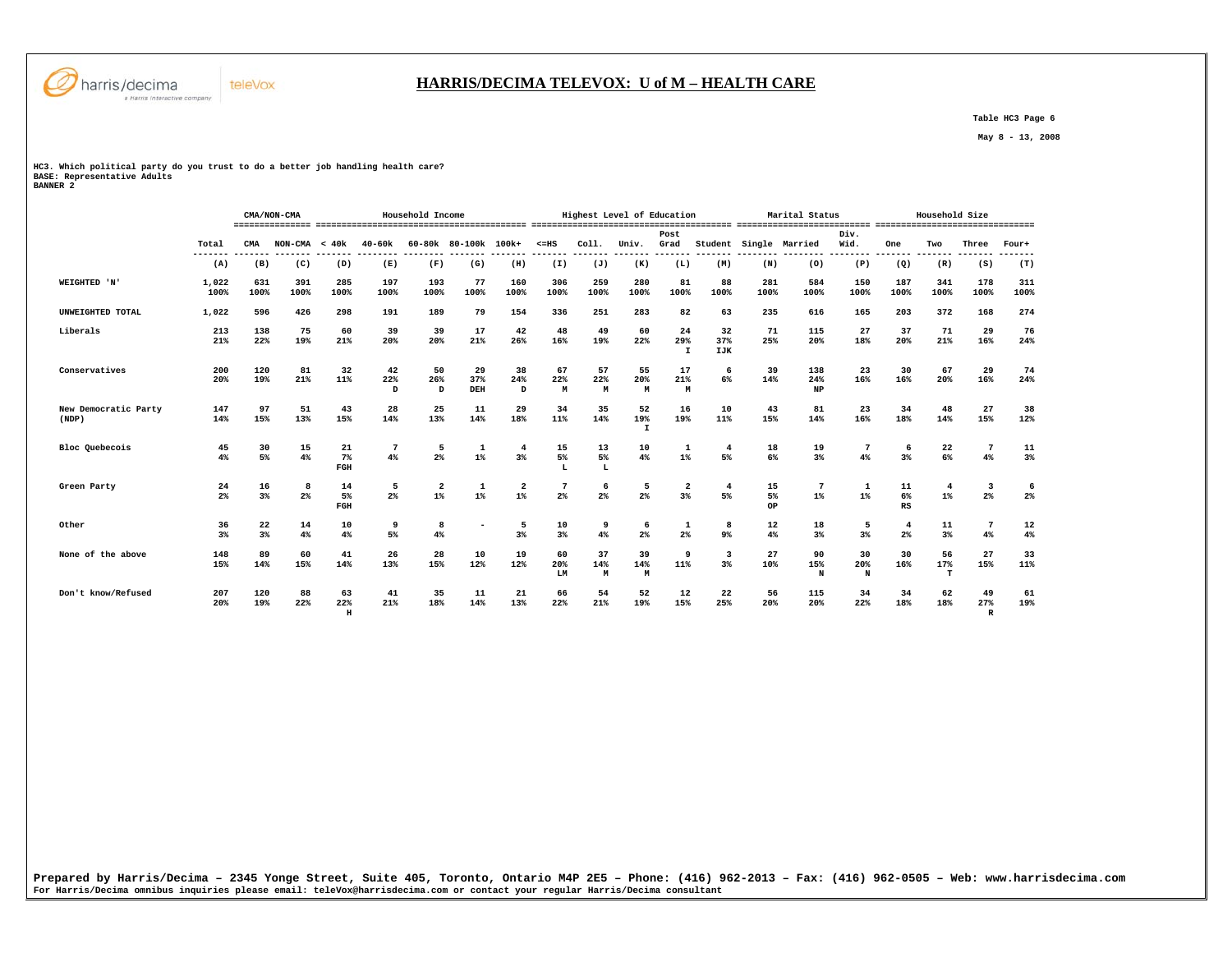

## **HARRIS/DECIMA TELEVOX: U of M – HEALTH CARE**

 **Table HC3 Page 6** 

 **May 8 - 13, 2008** 

**HC3. Which political party do you trust to do a better job handling health care? BASE: Representative Adults BANNER 2** 

 **CMA/NON-CMA Household Income Highest Level of Education Marital Status Household Size =============== ========================================= ======================================= ========================== =============================== Post Div.** Wid.  **Total CMA NON-CMA < 40k 40-60k 60-80k 80-100k 100k+ <=HS Coll. Univ. Grad Student Single Married Wid. One Two Three Four+ ------- ------- ------- ------- -------- -------- ------- ------- ------- ------- ------- ------- ------- -------- -------- -------- ------- ------- ------- -------**  $(T)$  **(A) (B) (C) (D) (E) (F) (G) (H) (I) (J) (K) (L) (M) (N) (O) (P) (Q) (R) (S) (T) WEIGHTED 'N' 1,022 631 391 285 197 193 77 160 306 259 280 81 88 281 584 150 187 341 178 311 100% 100% 100% 100% 100% 100% 100% 100% 100% 100% 100% 100% 100% 100% 100% 100% 100% 100% 100% 100% UNWEIGHTED TOTAL 1,022 596 426 298 191 189 79 154 336 251 283 82 63 235 616 165 203 372 168 274 Liberals 213 138 75 60 39 39 17 42 48 49 60 24 32 71 115 27 37 71 29 76 21% 22% 19% 21% 20% 20% 21% 26% 16% 19% 22% 29% 37% 25% 20% 18% 20% 21% 16% 24% I IJK Conservatives 200 120 81 32 42 50 29 38 67 57 55 17 6 39 138 23 30 67 29 74** 24%  **20% 19% 21% 11% 22% 26% 37% 24% 22% 22% 20% 21% 6% 14% 24% 16% 16% 20% 16% 24% D D DEH D M M M M NP New Democratic Party 147 97 51 43 28 25 11 29 34 35 52 16 10 43 81 23 34 48 27 38 (NDP) 14% 15% 13% 15% 14% 13% 14% 18% 11% 14% 19% 19% 11% 15% 14% 16% 18% 14% 15% 12%**  $\bf I$  **Bloc Quebecois 45 30 15 21 7 5 1 4 15 13 10 1 4 18 19 7 6 22 7 11 4% 5% 4% 7% 4% 2% 1% 3% 5% 5% 4% 1% 5% 6% 3% 4% 3% 6% 4% 3% FGH L L Green Party 24 16 8 14 5 2 1 2 7 6 5 2 4 15 7 1 11 4 3 6 2% 3% 2% 5% 2% 1% 1% 1% 2% 2% 2% 3% 5% 5% 1% 1% 6% 1% 2% 2% FGH OP RS Other 36 22 14 10 9 8 - 5 10 9 6 1 8 12 18 5 4 11 7 12**  $4%$  **3% 3% 4% 4% 5% 4% 3% 3% 4% 2% 2% 9% 4% 3% 3% 2% 3% 4% 4% None of the above 148 89 60 41 26 28 10 19 60 37 39 9 3 27 90 30 30 56 27 33 15% 14% 15% 14% 13% 15% 12% 12% 20% 14% 14% 11% 3% 10% 15% 20% 16% 17% 15% 11% LM M M N N T Don't know/Refused 207 120 88 63 41 35 11 21 66 54 52 12 22 56 115 34 34 62 49 61**  $\begin{array}{c} 61 \\ 19\% \end{array}$  **20% 19% 22% 22% 21% 18% 14% 13% 22% 21% 19% 15% 25% 20% 20% 22% 18% 18% 27% 19% H R** 

**Prepared by Harris/Decima – 2345 Yonge Street, Suite 405, Toronto, Ontario M4P 2E5 – Phone: (416) 962-2013 – Fax: (416) 962-0505 – Web: www.harrisdecima.com For Harris/Decima omnibus inquiries please email: teleVox@harrisdecima.com or contact your regular Harris/Decima consultant**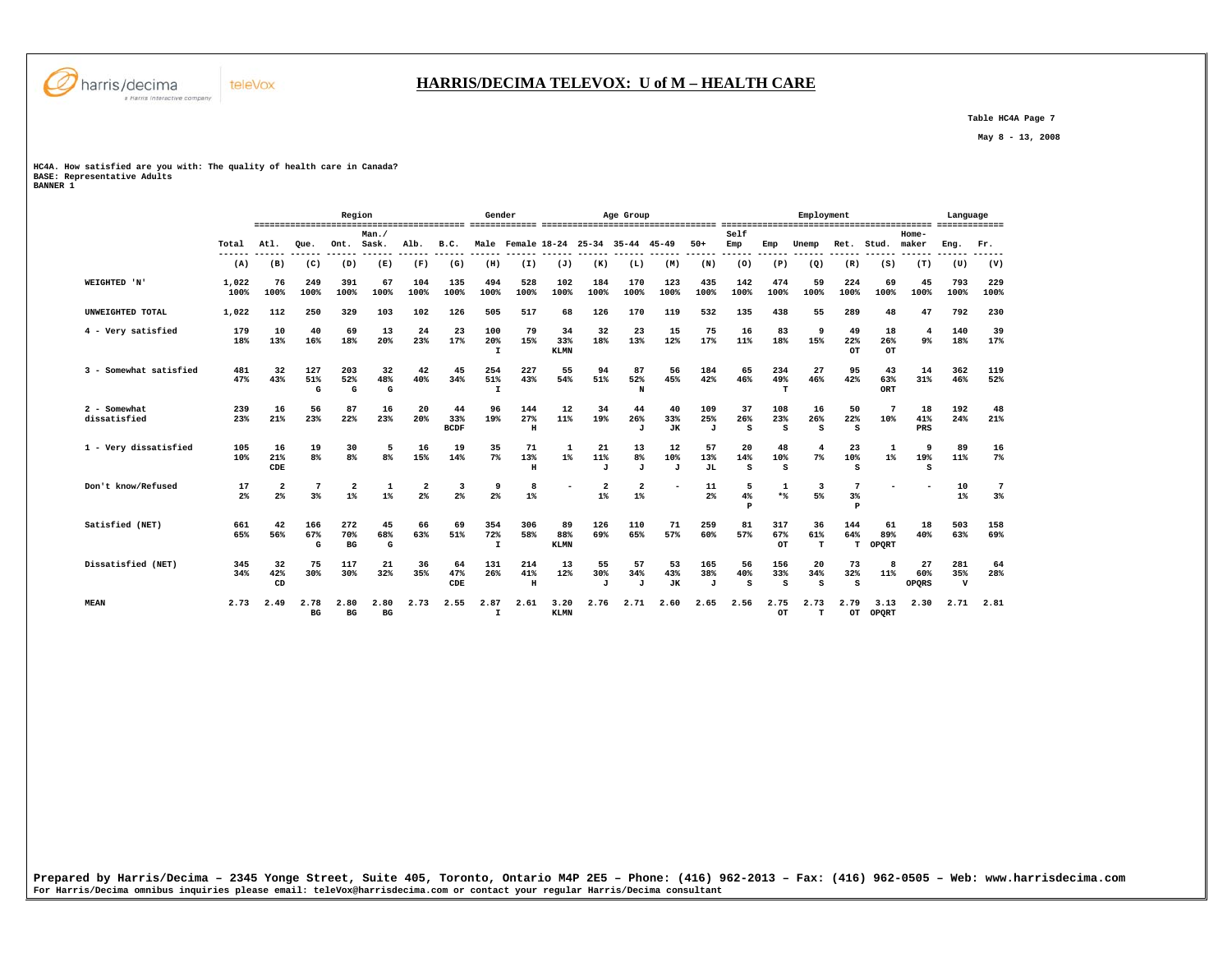

 **Table HC4A Page 7** 

 **May 8 - 13, 2008** 

## **HC4A. How satisfied are you with: The quality of health care in Canada? BASE: Representative Adults BANNER 1**

|                              |               |                               |                      | Region                             |                  |                               |                           | Gender                     |                            |                          |                                    | Age Group                           |                        |                            |                |                  | Employment           |                 |                    |                         | Language                   |             |
|------------------------------|---------------|-------------------------------|----------------------|------------------------------------|------------------|-------------------------------|---------------------------|----------------------------|----------------------------|--------------------------|------------------------------------|-------------------------------------|------------------------|----------------------------|----------------|------------------|----------------------|-----------------|--------------------|-------------------------|----------------------------|-------------|
|                              | Total         | Atl.                          | Oue.                 | Ont.                               | Man./<br>Sask.   | Alb.                          | B.C.                      |                            |                            |                          |                                    | Male Female 18-24 25-34 35-44 45-49 |                        | $50+$                      | Self<br>Emp    | Emp              | Unemp                | Ret.            | Stud.              | $Home-$<br>maker        | Eng.                       | Fr.         |
|                              | (A)           | (B)                           | (C)                  | (D)                                | (E)              | (F)                           | (G)                       | (H)                        | (I)                        | (J)                      | (K)                                | (L)                                 | (M)                    | (N)                        | ----<br>(0)    | (P)              | (Q)                  | (R)             | (S)                | (T)                     | (U)                        | (V)         |
| WEIGHTED 'N'                 | 1,022<br>100% | 76<br>100%                    | 249<br>100%          | 391<br>100%                        | 67<br>100%       | 104<br>100%                   | 135<br>100%               | 494<br>100%                | 528<br>100%                | 102<br>100%              | 184<br>100%                        | 170<br>100%                         | 123<br>100%            | 435<br>100%                | 142<br>100%    | 474<br>100%      | 59<br>100%           | 224<br>100%     | 69<br>100%         | 45<br>100%              | 793<br>100%                | 229<br>100% |
| UNWEIGHTED TOTAL             | 1,022         | 112                           | 250                  | 329                                | 103              | 102                           | 126                       | 505                        | 517                        | 68                       | 126                                | 170                                 | 119                    | 532                        | 135            | 438              | 55                   | 289             | 48                 | 47                      | 792                        | 230         |
| 4 - Very satisfied           | 179<br>18%    | 10<br>13%                     | 40<br>16%            | 69<br>18%                          | 13<br>20%        | 24<br>23%                     | 23<br>17%                 | 100<br>20%<br>$\mathbf{I}$ | 79<br>15%                  | 34<br>33%<br><b>KLMN</b> | 32<br>18%                          | 23<br>13%                           | 15<br>12%              | 75<br>17%                  | 16<br>11%      | 83<br>18%        | 9<br>15%             | 49<br>22%<br>OT | 18<br>26%<br>OT    | $\overline{4}$<br>$9\%$ | 140<br>18%                 | 39<br>17%   |
| 3 - Somewhat satisfied       | 481<br>47%    | 32<br>43%                     | 127<br>51%<br>G      | 203<br>52%<br>G                    | 32<br>48%<br>G   | 42<br>40%                     | 45<br>34%                 | 254<br>51%<br>$\mathbf I$  | 227<br>43%                 | 55<br>54%                | 94<br>51%                          | 87<br>52%<br>N                      | 56<br>45%              | 184<br>42%                 | 65<br>46%      | 234<br>49%<br>т  | 27<br>46%            | 95<br>42%       | 43<br>63%<br>ORT   | 14<br>31%               | 362<br>46%                 | 119<br>52%  |
| 2 - Somewhat<br>dissatisfied | 239<br>23%    | 16<br>21%                     | 56<br>23%            | 87<br>22%                          | 16<br>23%        | 20<br>20%                     | 44<br>33%<br><b>BCDF</b>  | 96<br>19%                  | 144<br>27%<br>$\, {\rm H}$ | 12<br>11%                | 34<br>19%                          | 44<br>26%<br>J                      | 40<br>33%<br><b>JK</b> | 109<br>25%<br>$\mathbf{J}$ | 37<br>26%<br>s | 108<br>23%<br>s  | 16<br>26%<br>S       | 50<br>22%<br>S  | 10%                | 18<br>41%<br>PRS        | 192<br>24%                 | 48<br>21%   |
| 1 - Verv dissatisfied        | 105<br>10%    | 16<br>21%<br>CDE              | 19<br>8 <sup>8</sup> | 30<br>8%                           | 5<br>8%          | 16<br>15%                     | 19<br>14%                 | 35<br>7%                   | 71<br>13%<br>$\,$ H        | 1<br>$1\%$               | 21<br>11%<br>$\cdot$ T             | 13<br>8 <sup>8</sup><br>J           | 12<br>10%<br>$\cdot$ T | 57<br>13%<br><b>JL</b>     | 20<br>14%<br>s | 48<br>10%<br>s   | $\overline{4}$<br>7% | 23<br>10%<br>s  | $1\%$              | 9<br>19%<br>s           | 89<br>11%                  | 16<br>$7\%$ |
| Don't know/Refused           | 17<br>2%      | $\overline{\mathbf{2}}$<br>2% | $3*$                 | $\overline{2}$<br>$1$ <sup>*</sup> | $1$ <sup>*</sup> | $\overline{\mathbf{2}}$<br>2% | 3<br>2%                   | 9<br>2%                    | 8<br>$1$ <sup>*</sup>      |                          | $\overline{2}$<br>$1$ <sup>*</sup> | $\overline{\mathbf{2}}$<br>1%       |                        | 11<br>2%                   | 5<br>4%<br>P   | 1<br>$*$         | 3<br>5%              | 3%<br>P         |                    |                         | 10<br>$1\%$                | 7<br>3%     |
| Satisfied (NET)              | 661<br>65%    | 42<br>56%                     | 166<br>67%<br>G      | 272<br>70%<br>BG                   | 45<br>68%<br>G   | 66<br>63%                     | 69<br>51%                 | 354<br>72%<br>$\mathbf{I}$ | 306<br>58%                 | 89<br>88%<br><b>KLMN</b> | 126<br>69%                         | 110<br>65%                          | 71<br>57%              | 259<br>60%                 | 81<br>57%      | 317<br>67%<br>OT | 36<br>61%<br>т       | 144<br>64%<br>т | 61<br>89%<br>OPORT | 18<br>40%               | 503<br>63%                 | 158<br>69%  |
| Dissatisfied (NET)           | 345<br>34%    | 32<br>42%<br>CD               | 75<br>30%            | 117<br>30%                         | 21<br>32%        | 36<br>35%                     | 64<br>47%<br>$_{\rm CDE}$ | 131<br>26%                 | 214<br>41%<br>$\, {\rm H}$ | 13<br>12%                | 55<br>30%<br>$\mathbf{J}$          | 57<br>34%<br>J                      | 53<br>43%<br><b>JK</b> | 165<br>38%<br>$\mathbf{J}$ | 56<br>40%<br>s | 156<br>33%<br>s  | 20<br>34%<br>s       | 73<br>32%<br>s  | я<br>11%           | 27<br>60%<br>OPORS      | 281<br>35%<br>$\mathbf{v}$ | 64<br>28%   |
| <b>MEAN</b>                  | 2.73          | 2.49                          | 2.78<br>BG           | 2.80<br>BG                         | 2.80<br>BG       | 2.73                          | 2.55                      | 2.87<br>$\mathbf I$        | 2.61                       | 3.20<br>KLMN             | 2.76                               | 2.71                                | 2.60                   | 2.65                       | 2.56           | 2.75<br>OT       | 2.73<br>т            | 2.79<br>OT      | 3.13<br>OPORT      | 2.30                    | 2.71                       | 2.81        |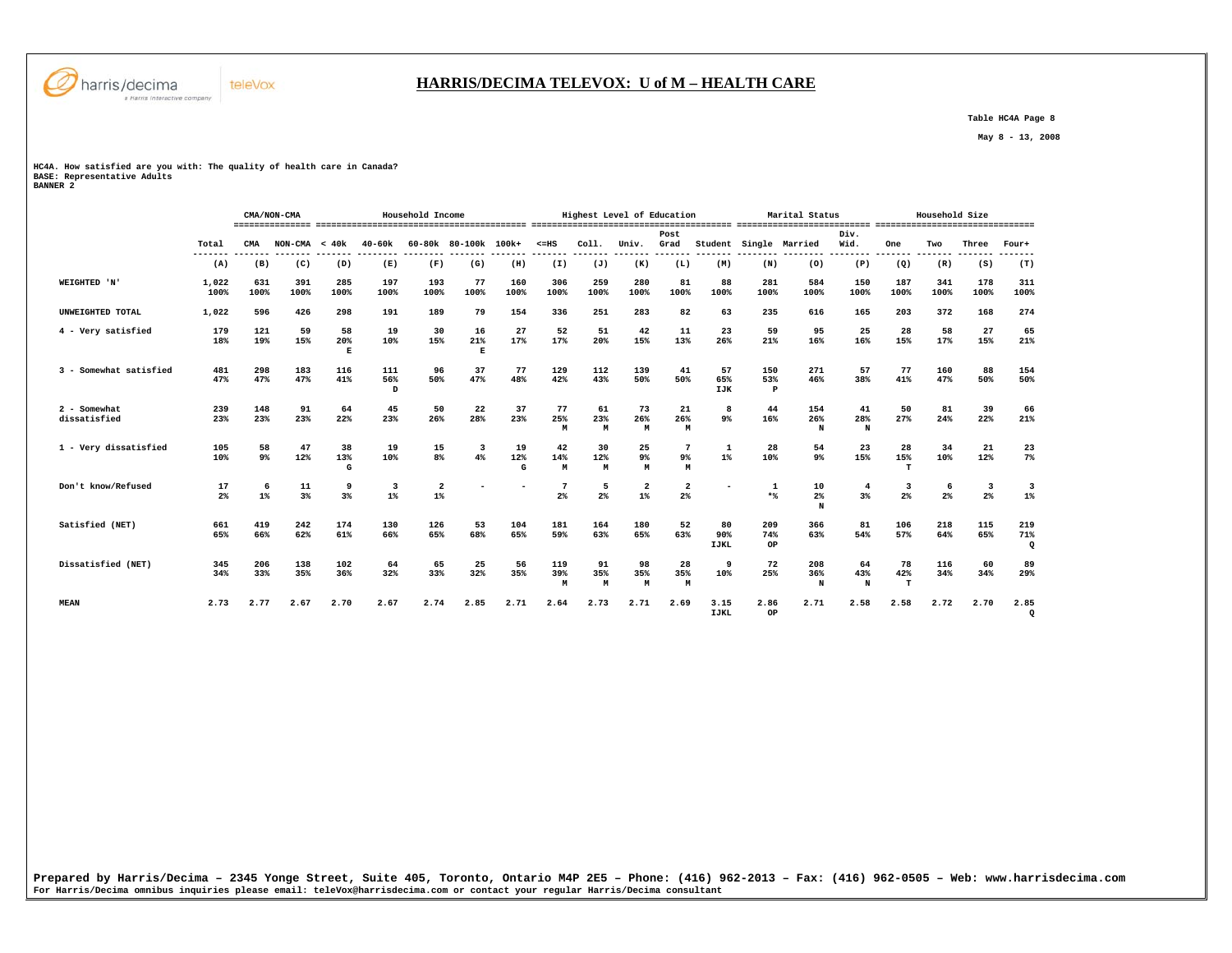

## **HARRIS/DECIMA TELEVOX: U of M – HEALTH CARE**

 **Table HC4A Page 8** 

 **May 8 - 13, 2008** 

**HC4A. How satisfied are you with: The quality of health care in Canada? BASE: Representative Adults BANNER 2** 

|                              |                      |             | CMA/NON-CMA     |                |                                  | Household Income                 |                               |                |                 |                     | Highest Level of Education |                |                          |                  | Marital Status            |                |                         | Household Size |                                           |                     |
|------------------------------|----------------------|-------------|-----------------|----------------|----------------------------------|----------------------------------|-------------------------------|----------------|-----------------|---------------------|----------------------------|----------------|--------------------------|------------------|---------------------------|----------------|-------------------------|----------------|-------------------------------------------|---------------------|
|                              | Total                | <b>CMA</b>  | $NON-CMA < 40k$ |                | $40 - 60k$                       |                                  | 60-80k 80-100k 100k+          |                | $< = HS$        | Coll.               | Univ.                      | Post<br>Grad   | Student                  |                  | Single Married            | Div.<br>Wid.   | One                     | Two            | Three                                     | Four+               |
|                              | (A)                  | (B)         | (C)             | (D)            | (E)                              | (F)                              | (G)                           | (H)            | (I)             | (J)                 | (K)                        | (L)            | (M)                      | (N)              | (0)                       | (P)            | (Q)                     | (R)            | (S)                                       | (T)                 |
| WEIGHTED 'N'                 | 1,022<br>100%        | 631<br>100% | 391<br>100%     | 285<br>100%    | 197<br>100%                      | 193<br>100%                      | 77<br>100%                    | 160<br>100%    | 306<br>100%     | 259<br>100%         | 280<br>100%                | 81<br>100%     | 88<br>100%               | 281<br>100%      | 584<br>100%               | 150<br>100%    | 187<br>100%             | 341<br>100%    | 178<br>100%                               | 311<br>100%         |
| UNWEIGHTED TOTAL             | 1,022                | 596         | 426             | 298            | 191                              | 189                              | 79                            | 154            | 336             | 251                 | 283                        | 82             | 63                       | 235              | 616                       | 165            | 203                     | 372            | 168                                       | 274                 |
| 4 - Very satisfied           | 179<br>18%           | 121<br>19%  | 59<br>15%       | 58<br>20%<br>E | 19<br>10%                        | 30<br>15%                        | 16<br>21%<br>E                | 27<br>17%      | 52<br>17%       | 51<br>20%           | 42<br>15%                  | 11<br>13%      | 23<br>26%                | 59<br>21%        | 95<br>16%                 | 25<br>16%      | 28<br>15%               | 58<br>17%      | 27<br>15%                                 | 65<br>21%           |
| 3 - Somewhat satisfied       | 481<br>47%           | 298<br>47%  | 183<br>47%      | 116<br>41%     | 111<br>56%<br>$\mathbf{D}$       | 96<br>50%                        | 37<br>47%                     | 77<br>48%      | 129<br>42%      | 112<br>43%          | 139<br>50%                 | 41<br>50%      | 57<br>65%<br>IJK         | 150<br>53%<br>P  | 271<br>46%                | 57<br>38%      | 77<br>41%               | 160<br>47%     | 88<br>50%                                 | 154<br>50%          |
| 2 - Somewhat<br>dissatisfied | 239<br>23%           | 148<br>23%  | 91<br>23%       | 64<br>22%      | 45<br>23%                        | 50<br>26%                        | 22<br>28%                     | 37<br>23%      | 77<br>25%<br>M  | 61<br>23%<br>M      | 73<br>26%<br>M             | 21<br>26%<br>M | 8<br>9%                  | 44<br>16%        | 154<br>26%<br>N           | 41<br>28%<br>N | 50<br>27%               | 81<br>24%      | 39<br>22%                                 | 66<br>21%           |
| 1 - Very dissatisfied        | 105<br>10%           | 58<br>9%    | 47<br>12%       | 38<br>13%<br>G | 19<br>10%                        | 15<br>$8\%$                      | $\overline{\mathbf{3}}$<br>4% | 19<br>12%<br>G | 42<br>14%<br>M  | 30<br>12%<br>M      | 25<br>9%<br>M              | 7<br>9%<br>M   | $\mathbf{1}$<br>$1\%$    | 28<br>10%        | 54<br>$9\%$               | 23<br>15%      | 28<br>15%               | 34<br>10%      | 21<br>12%                                 | 23<br>$7\%$         |
| Don't know/Refused           | 17<br>2 <sup>°</sup> | 6<br>$1\%$  | 11<br>3%        | 9<br>$3*$      | $\overline{\mathbf{3}}$<br>$1\%$ | $\overline{\mathbf{2}}$<br>$1\%$ |                               |                | 7<br>$2\%$      | 5<br>2 <sup>°</sup> | $\mathbf{2}$<br>$1\%$      | 2<br>2%        |                          | -1<br>$*$ %      | 10<br>2 <sup>8</sup><br>N | 4<br>3%        | $\overline{3}$<br>$2\%$ | 6<br>$2\%$     | $\overline{\mathbf{3}}$<br>2 <sup>8</sup> | 3<br>$1\%$          |
| Satisfied (NET)              | 661<br>65%           | 419<br>66%  | 242<br>62%      | 174<br>61%     | 130<br>66%                       | 126<br>65%                       | 53<br>68%                     | 104<br>65%     | 181<br>59%      | 164<br>63%          | 180<br>65%                 | 52<br>63%      | 80<br>90%<br><b>IJKL</b> | 209<br>74%<br>OP | 366<br>63%                | 81<br>54%      | 106<br>57%              | 218<br>64%     | 115<br>65%                                | 219<br>71%<br>Q     |
| Dissatisfied (NET)           | 345<br>34%           | 206<br>33%  | 138<br>35%      | 102<br>36%     | 64<br>32%                        | 65<br>33%                        | 25<br>32%                     | 56<br>35%      | 119<br>39%<br>M | 91<br>35%<br>М      | 98<br>35%<br>M             | 28<br>35%<br>M | 9<br>10%                 | 72<br>25%        | 208<br>36%<br>N           | 64<br>43%<br>N | 78<br>42%<br>т          | 116<br>34%     | 60<br>34%                                 | 89<br>29%           |
| <b>MEAN</b>                  | 2.73                 | 2.77        | 2.67            | 2.70           | 2.67                             | 2.74                             | 2.85                          | 2.71           | 2.64            | 2.73                | 2.71                       | 2.69           | 3.15<br><b>IJKL</b>      | 2.86<br>OP       | 2.71                      | 2.58           | 2.58                    | 2.72           | 2.70                                      | 2.85<br>$\mathbf Q$ |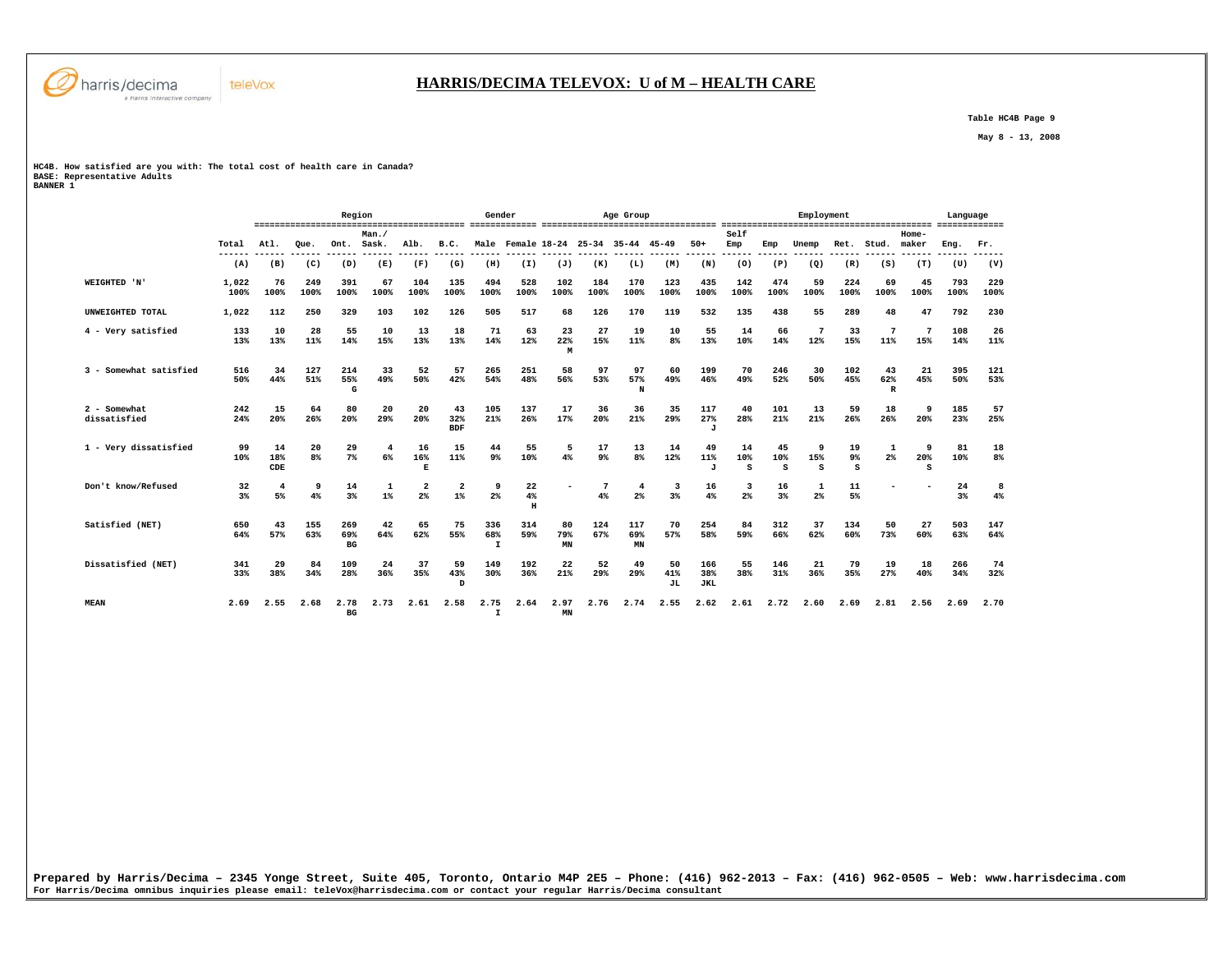

 **Table HC4B Page 9** 

 **May 8 - 13, 2008** 

## **HC4B. How satisfied are you with: The total cost of health care in Canada? BASE: Representative Adults BANNER 1**

|                              |                      |                      |             | Region                  |                       |                         |                         | Gender                     |                    |                 |             | Age Group                           |                 |                            |                |                | Employment    |                           |                           |                  | Language    |             |
|------------------------------|----------------------|----------------------|-------------|-------------------------|-----------------------|-------------------------|-------------------------|----------------------------|--------------------|-----------------|-------------|-------------------------------------|-----------------|----------------------------|----------------|----------------|---------------|---------------------------|---------------------------|------------------|-------------|-------------|
|                              | Total                | Atl.                 | Oue.        | Ont.                    | Man./<br>Sask.        | Alb.                    | B.C.                    |                            |                    |                 |             | Male Female 18-24 25-34 35-44 45-49 |                 | $50+$                      | Self<br>Emp    | Emp            | Unemp         | Ret.                      | Stud.                     | $Home-$<br>maker | Eng.        | Fr.         |
|                              | (A)                  | (B)                  | (C)         | (D)                     | (E)                   | (F)                     | (G)                     | (H)                        | (I)                | (J)             | (K)         | (L)                                 | (M)             | (N)                        | (0)            | (P)            | (Q)           | (R)                       | (S)                       | (T)              | (U)         | (V)         |
| WEIGHTED 'N'                 | 1,022<br>100%        | 76<br>100%           | 249<br>100% | 391<br>100%             | 67<br>100%            | 104<br>100%             | 135<br>100%             | 494<br>100%                | 528<br>100%        | 102<br>100%     | 184<br>100% | 170<br>100%                         | 123<br>100%     | 435<br>100%                | 142<br>100%    | 474<br>100%    | 59<br>100%    | 224<br>100%               | 69<br>100%                | 45<br>100%       | 793<br>100% | 229<br>100% |
| UNWEIGHTED TOTAL             | 1,022                | 112                  | 250         | 329                     | 103                   | 102                     | 126                     | 505                        | 517                | 68              | 126         | 170                                 | 119             | 532                        | 135            | 438            | 55            | 289                       | 48                        | 47               | 792         | 230         |
| 4 - Very satisfied           | 133<br>13%           | 10<br>13%            | 28<br>11%   | 55<br>14%               | 10<br>15%             | 13<br>13%               | 18<br>13%               | 71<br>14%                  | 63<br>12%          | 23<br>22%<br>M  | 27<br>15%   | 19<br>11%                           | 10<br>8%        | 55<br>13%                  | 14<br>10%      | 66<br>14%      | 7<br>12%      | 33<br>15%                 | 11%                       | 7<br>15%         | 108<br>14%  | 26<br>11%   |
| 3 - Somewhat satisfied       | 516<br>50%           | 34<br>44%            | 127<br>51%  | 214<br>55%<br>G         | 33<br>49%             | 52<br>50%               | 57<br>42%               | 265<br>54%                 | 251<br>48%         | 58<br>56%       | 97<br>53%   | 97<br>57%<br>N                      | 60<br>49%       | 199<br>46%                 | 70<br>49%      | 246<br>52%     | 30<br>50%     | 102<br>45%                | 43<br>62%<br>$\mathbb{R}$ | 21<br>45%        | 395<br>50%  | 121<br>53%  |
| 2 - Somewhat<br>dissatisfied | 242<br>24%           | 15<br>20%            | 64<br>26%   | 80<br>20%               | 20<br>29%             | 20<br>20%               | 43<br>32%<br><b>BDF</b> | 105<br>21%                 | 137<br>26%         | 17<br>17%       | 36<br>20%   | 36<br>21%                           | 35<br>29%       | 117<br>27%<br>$\mathbf{J}$ | 40<br>28%      | 101<br>21%     | 13<br>21%     | 59<br>26%                 | 18<br>26%                 | -9<br>20%        | 185<br>23%  | 57<br>25%   |
| 1 - Very dissatisfied        | 99<br>10%            | 14<br>18%<br>CDE     | 20<br>8%    | 29<br>$7\%$             | 4<br>6%               | 16<br>16%<br>E          | 15<br>11%               | 44<br>9%                   | 55<br>10%          | 5<br>4%         | 17<br>9%    | 13<br>8%                            | 14<br>12%       | 49<br>11%<br>$\mathbf{J}$  | 14<br>10%<br>s | 45<br>10%<br>s | 9<br>15%<br>s | 19<br>9 <sup>°</sup><br>s | 1<br>$2\%$                | 9<br>20%<br>s    | 81<br>10%   | 18<br>8%    |
| Don't know/Refused           | 32<br>3 <sup>8</sup> | $\overline{4}$<br>5% | 9<br>4%     | 14<br>3%                | $\mathbf{1}$<br>$1\%$ | $\overline{2}$<br>$2\%$ | $\overline{2}$<br>$1\%$ | 9<br>$2\%$                 | 22<br>4%<br>$\,$ H |                 | 4%          | $\overline{4}$<br>$2\%$             | 3<br>3%         | 16<br>4%                   | 3<br>2%        | 16<br>3%       | 1<br>$2\%$    | 11<br>5%                  |                           |                  | 24<br>3%    | 8<br>4%     |
| Satisfied (NET)              | 650<br>64%           | 43<br>57%            | 155<br>63%  | 269<br>69%<br>BG        | 42<br>64%             | 65<br>62%               | 75<br>55%               | 336<br>68%<br>$\mathbf{I}$ | 314<br>59%         | 80<br>79%<br>MN | 124<br>67%  | 117<br>69%<br>MN                    | 70<br>57%       | 254<br>58%                 | 84<br>59%      | 312<br>66%     | 37<br>62%     | 134<br>60%                | 50<br>73%                 | 27<br>60%        | 503<br>63%  | 147<br>64%  |
| Dissatisfied (NET)           | 341<br>33%           | 29<br>38%            | 84<br>34%   | 109<br>28%              | 24<br>36%             | 37<br>35%               | 59<br>43%<br>D          | 149<br>30%                 | 192<br>36%         | 22<br>21%       | 52<br>29%   | 49<br>29%                           | 50<br>41%<br>JL | 166<br>38%<br><b>JKL</b>   | 55<br>38%      | 146<br>31%     | 21<br>36%     | 79<br>35%                 | 19<br>27%                 | 18<br>40%        | 266<br>34%  | 74<br>32%   |
| <b>MEAN</b>                  | 2.69                 | 2.55                 | 2.68        | 2.78<br>BG <sub>r</sub> | 2.73                  | 2.61                    | 2.58                    | 2.75<br>$\mathbf{I}$       | 2.64               | 2.97<br>MN      | 2.76        | 2.74                                | 2.55            | 2.62                       | 2.61           | 2.72           | 2.60          | 2.69                      | 2.81                      | 2.56             | 2.69        | 2.70        |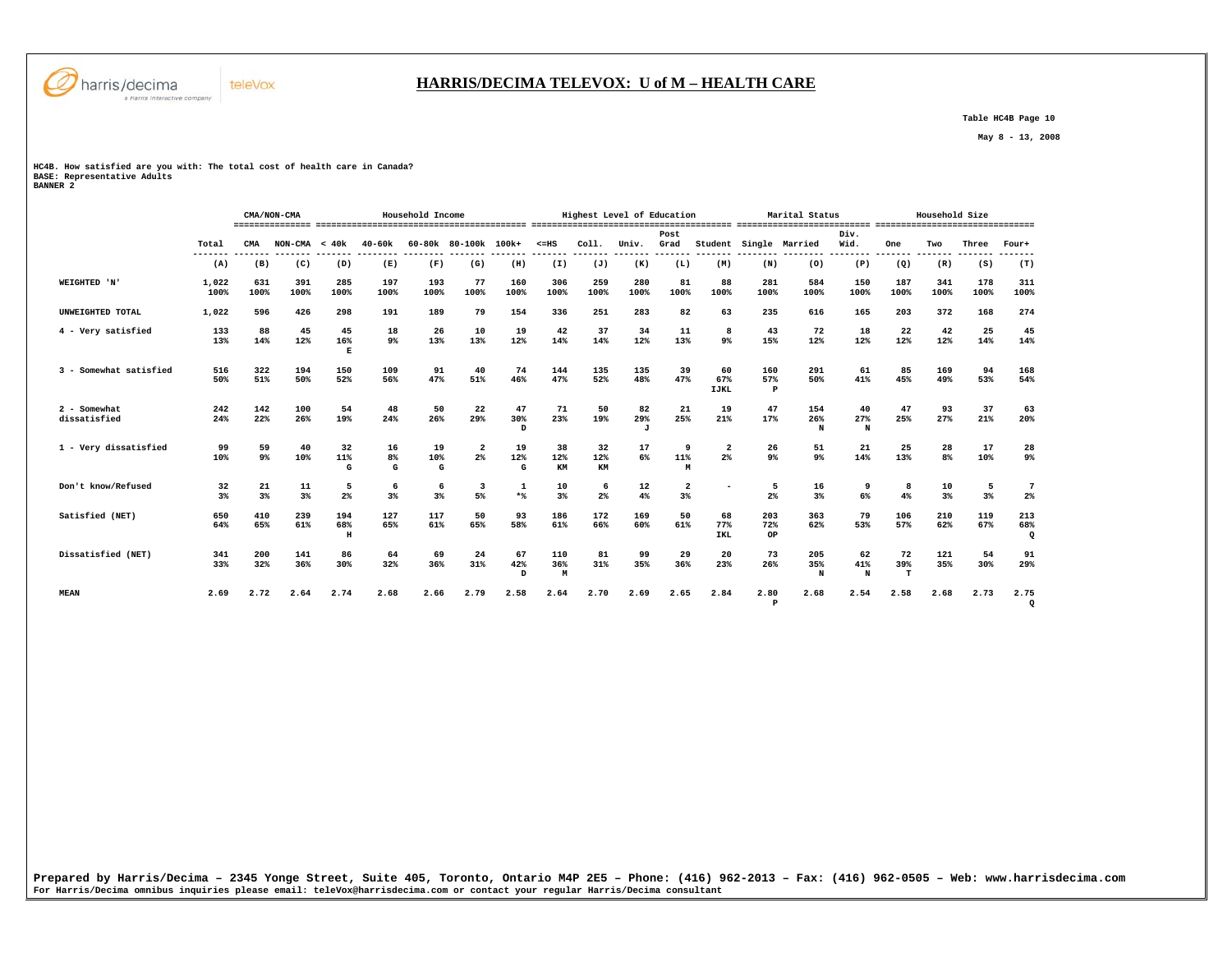

## **HARRIS/DECIMA TELEVOX: U of M – HEALTH CARE**

 **Table HC4B Page 10** 

 **May 8 - 13, 2008** 

**HC4B. How satisfied are you with: The total cost of health care in Canada? BASE: Representative Adults BANNER 2** 

|                              |                  |             | CMA/NON-CMA     |                          |               | Household Income |                               |                           |                            | Highest Level of Education |                           |                                  |                          |                            | Marital Status       |                   |                        | Household Size       |             |                       |
|------------------------------|------------------|-------------|-----------------|--------------------------|---------------|------------------|-------------------------------|---------------------------|----------------------------|----------------------------|---------------------------|----------------------------------|--------------------------|----------------------------|----------------------|-------------------|------------------------|----------------------|-------------|-----------------------|
|                              | Total<br>------- | <b>CMA</b>  | $NON-CMA < 40k$ |                          | $40 - 60k$    |                  | 60-80k 80-100k 100k+          |                           | $< = HS$<br>------ ------- | Coll.<br>--------          | Univ.<br>-------          | Post.<br>Grad<br>$- - - - - - -$ | Student<br>-------       |                            | Single Married       | Div.<br>Wid.<br>. | <b>One</b><br>-------- | Two<br>-------       | Three       | Four+                 |
|                              | (A)              | (B)         | (C)             | (D)                      | .<br>(E)      | (F)              | (G)                           | (H)                       | (I)                        | (J)                        | (K)                       | (L)                              | (M)                      | (N)                        | (0)                  | (P)               | (Q)                    | (R)                  | (S)         | (T)                   |
| WEIGHTED 'N'                 | 1,022<br>100%    | 631<br>100% | 391<br>100%     | 285<br>100%              | 197<br>100%   | 193<br>100%      | 77<br>100%                    | 160<br>100%               | 306<br>100%                | 259<br>100%                | 280<br>100%               | 81<br>100%                       | 88<br>100%               | 281<br>100%                | 584<br>100%          | 150<br>100%       | 187<br>100%            | 341<br>100%          | 178<br>100% | 311<br>100%           |
| UNWEIGHTED TOTAL             | 1,022            | 596         | 426             | 298                      | 191           | 189              | 79                            | 154                       | 336                        | 251                        | 283                       | 82                               | 63                       | 235                        | 616                  | 165               | 203                    | 372                  | 168         | 274                   |
| 4 - Very satisfied           | 133<br>13%       | 88<br>14%   | 45<br>12%       | 45<br>16%<br>$\mathbf E$ | 18<br>$9\%$   | 26<br>13%        | 10<br>13%                     | 19<br>12%                 | 42<br>14%                  | 37<br>14%                  | 34<br>12%                 | 11<br>13%                        | 8<br>$9\%$               | 43<br>15%                  | 72<br>12%            | 18<br>12%         | 22<br>12%              | 42<br>12%            | 25<br>14%   | 45<br>14%             |
| 3 - Somewhat satisfied       | 516<br>50%       | 322<br>51%  | 194<br>50%      | 150<br>52%               | 109<br>56%    | 91<br>47%        | 40<br>51%                     | 74<br>46%                 | 144<br>47%                 | 135<br>52%                 | 135<br>48%                | 39<br>47%                        | 60<br>67%<br><b>IJKL</b> | 160<br>57%<br>$\mathbf{P}$ | 291<br>50%           | 61<br>41%         | 85<br>45%              | 169<br>49%           | 94<br>53%   | 168<br>54%            |
| 2 - Somewhat<br>dissatisfied | 242<br>24%       | 142<br>22%  | 100<br>26%      | 54<br>19%                | 48<br>24%     | 50<br>26%        | 22<br>29%                     | 47<br>30%<br>D            | 71<br>23%                  | 50<br>19%                  | 82<br>29%<br>$\mathbf{J}$ | 21<br>25%                        | 19<br>21%                | 47<br>17%                  | 154<br>26%<br>N      | 40<br>27%<br>N    | 47<br>25%              | 93<br>27%            | 37<br>21%   | 63<br>20%             |
| 1 - Very dissatisfied        | 99<br>10%        | 59<br>9%    | 40<br>10%       | 32<br>11%<br>G           | 16<br>8%<br>G | 19<br>10%<br>G   | $\overline{2}$<br>$2\%$       | 19<br>12%<br>G            | 38<br>12%<br>KM            | 32<br>12%<br>KM            | 17<br>6%                  | 9<br>11%<br>M                    | $\overline{2}$<br>2%     | 26<br>9 <sup>°</sup>       | 51<br>9 <sup>°</sup> | 21<br>14%         | 25<br>13%              | 28<br>8 <sup>8</sup> | 17<br>10%   | 28<br>9%              |
| Don't know/Refused           | 32<br>3%         | 21<br>$3*$  | 11<br>$3*$      | 5<br>2%                  | 6<br>3%       | 6<br>3%          | $\overline{\mathbf{3}}$<br>5% | $\mathbf{1}$<br>$*$       | 10<br>3%                   | 6<br>2 <sup>8</sup>        | 12<br>4%                  | $\overline{\mathbf{2}}$<br>3%    | $\overline{\phantom{a}}$ | 5<br>2%                    | 16<br>3%             | 9<br>6%           | 8<br>4%                | 10<br>3%             | 5<br>3%     | $7\phantom{.0}$<br>2% |
| Satisfied (NET)              | 650<br>64%       | 410<br>65%  | 239<br>61%      | 194<br>68%<br>H          | 127<br>65%    | 117<br>61%       | 50<br>65%                     | 93<br>58%                 | 186<br>61%                 | 172<br>66%                 | 169<br>60%                | 50<br>61%                        | 68<br>77%<br>IKL         | 203<br>72%<br>OP           | 363<br>62%           | 79<br>53%         | 106<br>57%             | 210<br>62%           | 119<br>67%  | 213<br>68%<br>Q       |
| Dissatisfied (NET)           | 341<br>33%       | 200<br>32%  | 141<br>36%      | 86<br>30%                | 64<br>32%     | 69<br>36%        | 24<br>31%                     | 67<br>42%<br><sub>D</sub> | 110<br>36%<br>M            | 81<br>31%                  | 99<br>35%                 | 29<br>36%                        | 20<br>23%                | 73<br>26%                  | 205<br>35%<br>N      | 62<br>41%<br>N    | 72<br>39%<br>т         | 121<br>35%           | 54<br>30%   | 91<br>29%             |
| <b>MEAN</b>                  | 2.69             | 2.72        | 2.64            | 2.74                     | 2.68          | 2.66             | 2.79                          | 2.58                      | 2.64                       | 2.70                       | 2.69                      | 2.65                             | 2.84                     | 2.80<br>$\mathbf{P}$       | 2.68                 | 2.54              | 2.58                   | 2.68                 | 2.73        | 2.75<br>$\mathbf Q$   |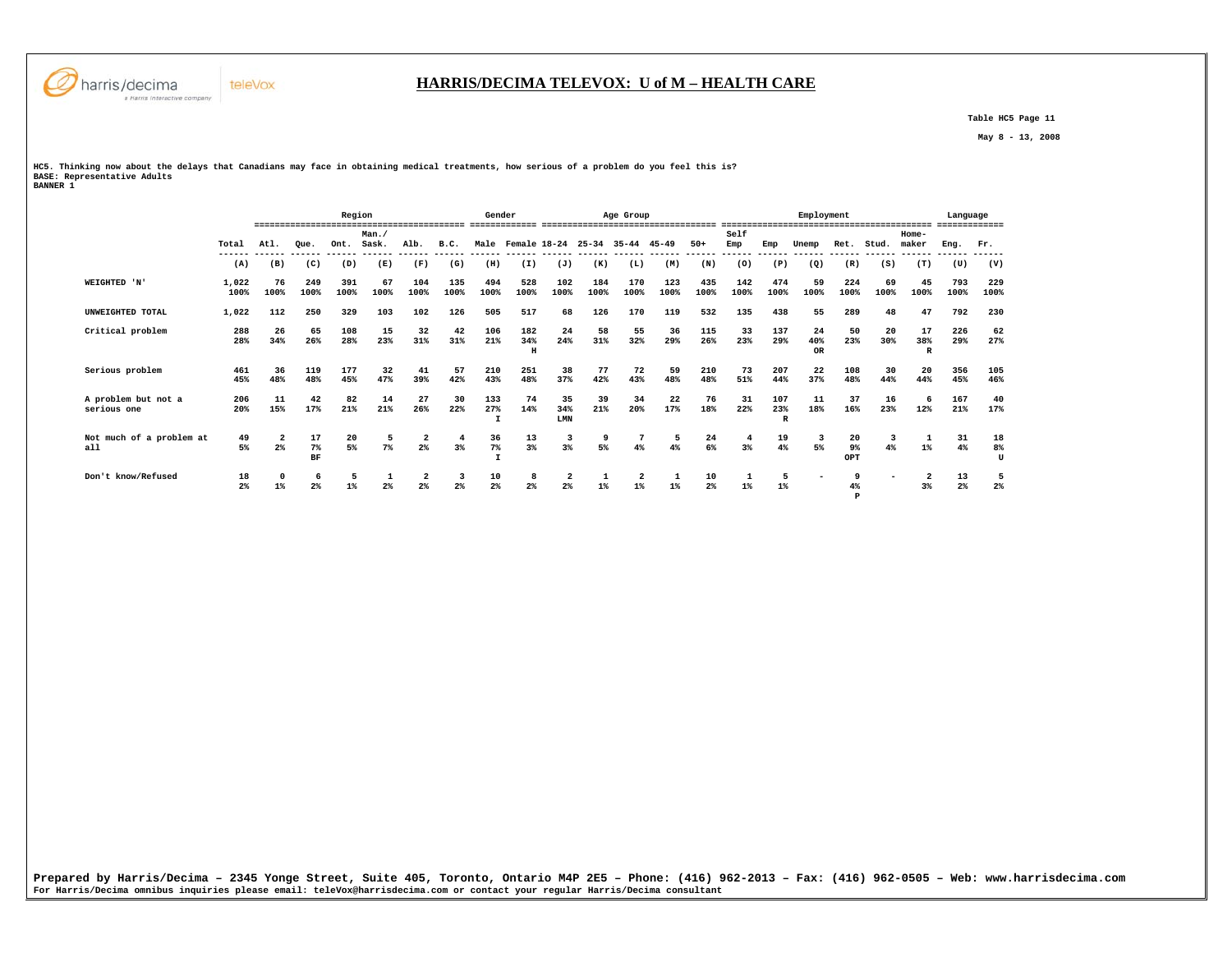

## **HARRIS/DECIMA TELEVOX: U of M – HEALTH CARE**

 **P** 

 **Table HC5 Page 11** 

 **May 8 - 13, 2008** 

**HC5. Thinking now about the delays that Canadians may face in obtaining medical treatments, how serious of a problem do you feel this is? BASE: Representative Adults BANNER 1** 

 **Region Gender Age Group Employment Language ========================================= ============= ================================== ========================================= ============= Man./ Self Home-** Ret. Stud. maker  **Total Atl. Que. Ont. Sask. Alb. B.C. Male Female 18-24 25-34 35-44 45-49 50+ Emp Emp Unemp Ret. Stud. maker Eng. Fr. ------ ------ ------ ------ ------ ------ ------ ------ ------ ------ ------ ------ ------ ------ ------ ------ ------ ------ ------ ------ ------ ------ (A) (B) (C) (D) (E) (F) (G) (H) (I) (J) (K) (L) (M) (N) (O) (P) (Q) (R) (S) (T) (U) (V) WEIGHTED 'N' 1,022 76 249 391 67 104 135 494 528 102 184 170 123 435 142 474 59 224 69 45 793 229 100% 100% 100% 100% 100% 100% 100% 100% 100% 100% 100% 100% 100% 100% 100% 100% 100% 100% 100% 100% 100% 100% UNWEIGHTED TOTAL 1,022 112 250 329 103 102 126 505 517 68 126 170 119 532 135 438 55 289 48 47 792 230 Critical problem 288 26 65 108 15 32 42 106 182 24 58 55 36 115 33 137 24 50 20 17 226 62 28% 34% 26% 28% 23% 31% 31% 21% 34% 24% 31% 32% 29% 26% 23% 29% 40% 23% 30% 38% 29% 27% H OR R Serious problem 461 36 119 177 32 41 57 210 251 38 77 72 59 210 73 207 22 108 30 20 356 105 45% 48% 48% 45% 47% 39% 42% 43% 48% 37% 42% 43% 48% 48% 51% 44% 37% 48% 44% 44% 45% 46% A problem but not a 206 11 42 82 14 27 30 133 74 35 39 34 22 76 31 107 11 37 16 6 167 40 serious one 20% 15% 17% 21% 21% 26% 22% 27% 14% 34% 21% 20% 17% 18% 22% 23% 18% 16% 23% 12% 21% 17%** 17%  **I LMN R Not much of a problem at 49 2 17 20 5 2 4 36 13 3 9 7 5 24 4 19 3 20 3 1 31 18 all 5% 2% 7% 5% 7% 2% 3% 7% 3% 3% 5% 4% 4% 6% 3% 4% 5% 9% 4% 1% 4% 8%**  $\mathbf{u}$  **BF I OPT U Don't know/Refused 18 0 6 5 1 2 3 10 8 2 1 2 1 10 1 5 - 9 - 2 13 5**  $2%$  **2% 1% 2% 1% 2% 2% 2% 2% 2% 2% 1% 1% 1% 2% 1% 1% 4% 3% 2% 2%** 

**Prepared by Harris/Decima – 2345 Yonge Street, Suite 405, Toronto, Ontario M4P 2E5 – Phone: (416) 962-2013 – Fax: (416) 962-0505 – Web: www.harrisdecima.com For Harris/Decima omnibus inquiries please email: teleVox@harrisdecima.com or contact your regular Harris/Decima consultant**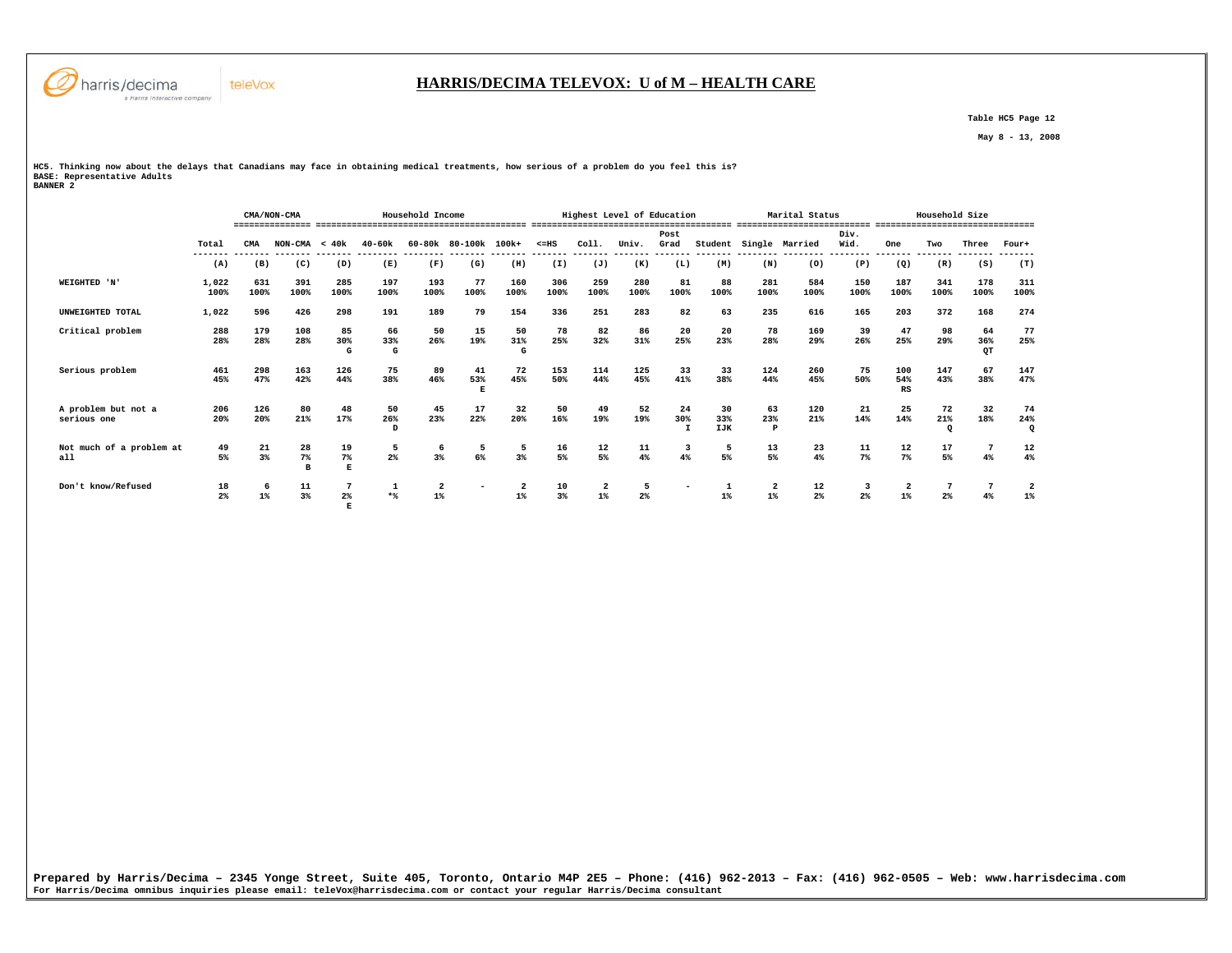

 **E** 

## **HARRIS/DECIMA TELEVOX: U of M – HEALTH CARE**

 **Table HC5 Page 12** 

 **May 8 - 13, 2008** 

**HC5. Thinking now about the delays that Canadians may face in obtaining medical treatments, how serious of a problem do you feel this is? BASE: Representative Adults BANNER 2** 

|                                    |                      |             | CMA/NON-CMA                   |                  |                     | Household Income        |                      |                |             | Highest Level of Education       |                |                             |                         | ,,,,,,,,, ,,,,,,,,,,, | Marital Status |              | -------------------------------- | Household Size       |                 |                |
|------------------------------------|----------------------|-------------|-------------------------------|------------------|---------------------|-------------------------|----------------------|----------------|-------------|----------------------------------|----------------|-----------------------------|-------------------------|-----------------------|----------------|--------------|----------------------------------|----------------------|-----------------|----------------|
|                                    | Total<br>-------     | CMA         | $NON-CMA < 40k$               |                  | $40 - 60k$          |                         | 60-80k 80-100k 100k+ |                | $< = HS$    | Coll.                            | Univ.          | Post<br>Grad                | Student                 |                       | Single Married | Div.<br>Wid. | One                              | Two                  | Three           | Four+          |
|                                    | (A)                  | (B)         | (C)                           | (D)              | (E)                 | (F)                     | (G)                  | (H)            | (I)         | (J)                              | (K)            | (L)                         | (M)                     | (N)                   | (0)            | (P)          | (Q)                              | (R)                  | (S)             | (T)            |
| WEIGHTED 'N'                       | 1,022<br>100%        | 631<br>100% | 391<br>100%                   | 285<br>100%      | 197<br>100%         | 193<br>100%             | 77<br>100%           | 160<br>100%    | 306<br>100% | 259<br>100%                      | 280<br>100%    | 81<br>100%                  | 88<br>100%              | 281<br>100%           | 584<br>100%    | 150<br>100%  | 187<br>100%                      | 341<br>100%          | 178<br>100%     | 311<br>100%    |
| UNWEIGHTED TOTAL                   | 1,022                | 596         | 426                           | 298              | 191                 | 189                     | 79                   | 154            | 336         | 251                              | 283            | 82                          | 63                      | 235                   | 616            | 165          | 203                              | 372                  | 168             | 274            |
| Critical problem                   | 288<br>28%           | 179<br>28%  | 108<br>28%                    | 85<br>30%<br>G   | 66<br>33%<br>G      | 50<br>26%               | 15<br>19%            | 50<br>31%<br>G | 78<br>25%   | 82<br>32%                        | 86<br>31%      | 20<br>25%                   | 20<br>23%               | 78<br>28%             | 169<br>29%     | 39<br>26%    | 47<br>25%                        | 98<br>29%            | 64<br>36%<br>QT | 77<br>25%      |
| Serious problem                    | 461<br>45%           | 298<br>47%  | 163<br>42%                    | 126<br>44%       | 75<br>38%           | 89<br>46%               | 41<br>53%<br>E       | 72<br>45%      | 153<br>50%  | 114<br>44%                       | 125<br>45%     | 33<br>41%                   | 33<br>38%               | 124<br>44%            | 260<br>45%     | 75<br>50%    | 100<br>54%<br>RS                 | 147<br>43%           | 67<br>38%       | 147<br>47%     |
| A problem but not a<br>serious one | 206<br>20%           | 126<br>20%  | 80<br>21%                     | 48<br>17%        | 50<br>26%<br>D      | 45<br>23%               | 17<br>22%            | 32<br>20%      | 50<br>16%   | 49<br>19%                        | 52<br>19%      | 24<br>30%<br>$\mathbf \tau$ | 30<br>33%<br><b>IJK</b> | 63<br>23%<br>P        | 120<br>21%     | 21<br>14%    | 25<br>14%                        | 72<br>21%<br>$\circ$ | 32<br>18%       | 74<br>24%<br>Q |
| Not much of a problem at<br>a11    | 49<br>5%             | 21<br>3%    | 28<br>$7\%$<br>$\overline{B}$ | 19<br>$7\%$<br>E | 5<br>$2\%$          | 6<br>$3\%$              | 5<br>6%              | 5<br>3%        | 16<br>5%    | 12<br>5%                         | 11<br>4%       | 3<br>4%                     | 5<br>5%                 | 13<br>5%              | 23<br>4%       | 11<br>$7\%$  | 12<br>$7\%$                      | 17<br>5%             | 4%              | 12<br>4%       |
| Don't know/Refused                 | 18<br>2 <sup>8</sup> | 6<br>$1\%$  | 11<br>3%                      | 2 <sup>8</sup>   | $\mathbf{1}$<br>$*$ | $\overline{2}$<br>$1\%$ |                      | $1\%$          | 10<br>3%    | $\overline{\mathbf{2}}$<br>$1\%$ | 2 <sup>°</sup> |                             | $1\%$                   | $1\%$                 | 12<br>$2\%$    | $2\%$        | $\overline{\mathbf{2}}$<br>$1\%$ | 2 <sup>8</sup>       | 4%              | 2<br>$1\%$     |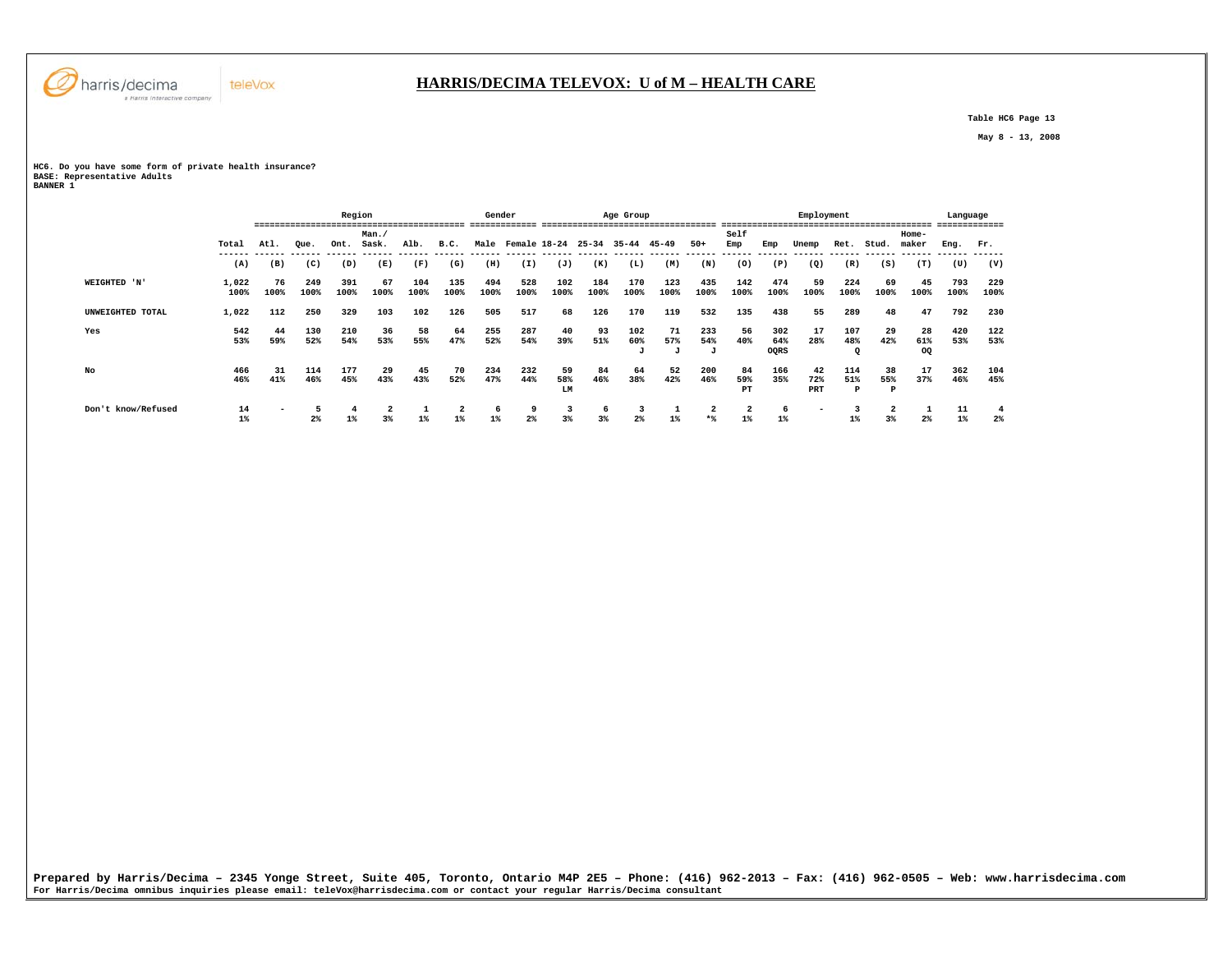

 **Table HC6 Page 13** 

 **May 8 - 13, 2008** 

## **HC6. Do you have some form of private health insurance? BASE: Representative Adults BANNER 1**

teleVox

|                    |               |            |             | Region      |                                          |             |                | Gender         |                              |                 |             | Age Group       |             |                 |                                  |                    | Employment               |                 |            |                                           | Language    |             |
|--------------------|---------------|------------|-------------|-------------|------------------------------------------|-------------|----------------|----------------|------------------------------|-----------------|-------------|-----------------|-------------|-----------------|----------------------------------|--------------------|--------------------------|-----------------|------------|-------------------------------------------|-------------|-------------|
|                    | Total         | Atl.       | Oue.        | Ont.        | Man./<br>Sask.                           | Alb.        | B.C.           | Male           | Female 18-24                 |                 | $25 - 34$   | 35-44           | 45-49       | $50+$           | Self<br>Emp                      | Emp                | Unemp                    | Ret.            | Stud.      | Home-<br>maker                            | Eng.        | Fr.         |
|                    | (A)           | (B)        | (C)         | (D)         | ------ ------ ------ ------ -----<br>(E) | (F)         | -------<br>(G) | -------<br>(H) | ------- ------ ------<br>(I) | (J)             | (K)         | (L)             | (M)         | (N)             | -------<br>(0)                   | -------<br>(P)     | (Q)                      | (R)             | (S)        | ------- ------ ------ ------ -----<br>(T) | (U)         | (V)         |
| WEIGHTED 'N'       | 1,022<br>100% | 76<br>100% | 249<br>100% | 391<br>100% | 67<br>100%                               | 104<br>100% | 135<br>100%    | 494<br>100%    | 528<br>100%                  | 102<br>100%     | 184<br>100% | 170<br>100%     | 123<br>100% | 435<br>100%     | 142<br>100%                      | 474<br>100%        | 59<br>100%               | 224<br>100%     | 69<br>100% | 45<br>100%                                | 793<br>100% | 229<br>100% |
| UNWEIGHTED TOTAL   | 1,022         | 112        | 250         | 329         | 103                                      | 102         | 126            | 505            | 517                          | 68              | 126         | 170             | 119         | 532             | 135                              | 438                | 55                       | 289             | 48         | 47                                        | 792         | 230         |
| Yes                | 542<br>53%    | 44<br>59%  | 130<br>52%  | 210<br>54%  | 36<br>53%                                | 58<br>55%   | 64<br>47%      | 255<br>52%     | 287<br>54%                   | 40<br>39%       | 93<br>51%   | 102<br>60%<br>J | 71<br>57%   | 233<br>54%<br>J | 56<br>40%                        | 302<br>64%<br>OQRS | 17<br>28%                | 107<br>48%      | 29<br>42%  | 28<br>61%<br>OQ                           | 420<br>53%  | 122<br>53%  |
| No                 | 466<br>46%    | 31<br>41%  | 114<br>46%  | 177<br>45%  | 29<br>43%                                | 45<br>43%   | 70<br>52%      | 234<br>47%     | 232<br>44%                   | 59<br>58%<br>LM | 84<br>46%   | 64<br>38%       | 52<br>42%   | 200<br>46%      | 84<br>59%<br>PT                  | 166<br>35%         | 42<br>72%<br>PRT         | 114<br>51%<br>P | 38<br>55%  | 17<br>37%                                 | 362<br>46%  | 104<br>45%  |
| Don't know/Refused | 14<br>$1\%$   |            | $2\%$       | 4<br>$1\%$  | 2<br>3%                                  | $1\%$       | 2<br>$1\%$     | 6<br>$1\%$     | 9<br>2 <sup>8</sup>          | 3<br>3%         | 3%          | 3<br>2%         |             | 2<br>$*$        | $\overline{\mathbf{2}}$<br>$1\%$ | -6<br>$1\%$        | $\overline{\phantom{0}}$ | 1%              | 3%         | $2\%$                                     | 11<br>$1\%$ | -4<br>$2\%$ |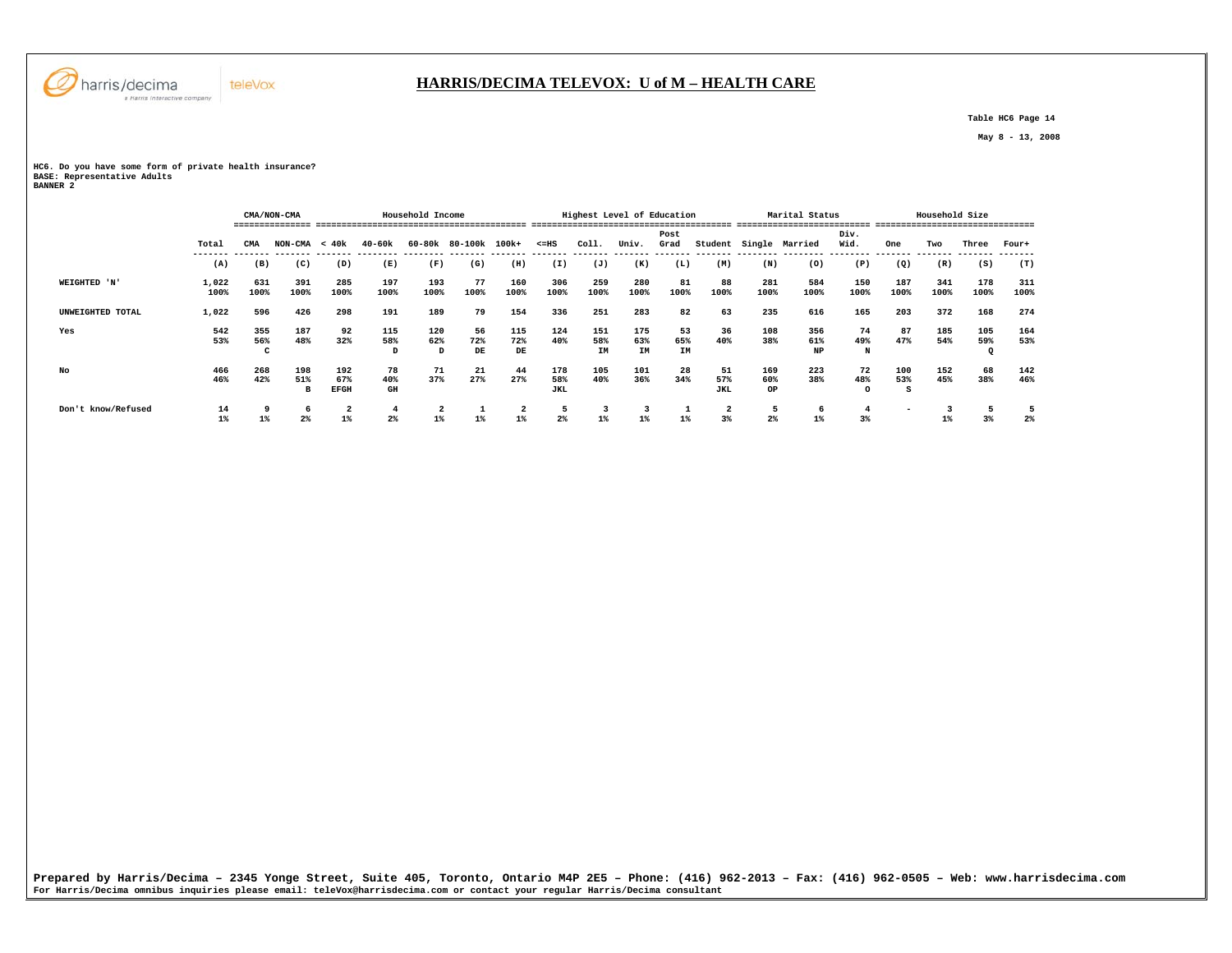

 **Table HC6 Page 14** 

 **May 8 - 13, 2008** 

**HC6. Do you have some form of private health insurance? BASE: Representative Adults BANNER 2** 

teleVox

|                    |               |             | CMA/NON-CMA         |                    |                      | Household Income        |                      |             |                   | Highest Level of Education |             |            |                   |             | Marital Status |                |             | Household Size |                |             |
|--------------------|---------------|-------------|---------------------|--------------------|----------------------|-------------------------|----------------------|-------------|-------------------|----------------------------|-------------|------------|-------------------|-------------|----------------|----------------|-------------|----------------|----------------|-------------|
|                    |               |             |                     |                    |                      |                         |                      |             |                   |                            |             |            |                   |             |                |                |             |                |                |             |
|                    |               |             |                     |                    |                      |                         |                      |             |                   |                            |             | Post       |                   |             |                | Div.           |             |                |                |             |
|                    | Total         | CMA         | $NON-CMA < 40k$     |                    | 40-60k               |                         | 60-80k 80-100k 100k+ |             | $< = HS$          | Coll.                      | Univ.       | Grad       | Student           |             | Single Married | Wid.           | One         | Two            | Three          | Four+       |
|                    | (A)           | (B)         | (C)                 | (D)                | (E)                  | (F)                     | (G)                  | (H)         | (I)               | (J)                        | (K)         | (L)        | (M)               | (N)         | (0)            | (P)            | (Q)         | (R)            | (S)            | (T)         |
| WEIGHTED 'N'       | 1,022<br>100% | 631<br>100% | 391<br>100%         | 285<br>100%        | 197<br>100%          | 193<br>100%             | 77<br>100%           | 160<br>100% | 306<br>100%       | 259<br>100%                | 280<br>100% | 81<br>100% | 88<br>100%        | 281<br>100% | 584<br>100%    | 150<br>100%    | 187<br>100% | 341<br>100%    | 178<br>100%    | 311<br>100% |
| UNWEIGHTED TOTAL   | 1,022         | 596         | 426                 | 298                | 191                  | 189                     | 79                   | 154         | 336               | 251                        | 283         | 82         | 63                | 235         | 616            | 165            | 203         | 372            | 168            | 274         |
| Yes                | 542<br>53%    | 355<br>56%  | 187<br>48%          | 92<br>32%          | 115<br>58%           | 120<br>62%              | 56<br>72%            | 115<br>72%  | 124<br>40%        | 151<br>58%                 | 175<br>63%  | 53<br>65%  | 36<br>40%         | 108<br>38%  | 356<br>61%     | 74<br>49%      | 87<br>47%   | 185<br>54%     | 105<br>59%     | 164<br>53%  |
|                    |               |             |                     |                    | D                    | D                       | DE                   | DE          |                   | IM                         | <b>IM</b>   | IM         |                   |             | NP             | N              |             |                |                |             |
| No                 | 466           | 268         | 198                 | 192                | 78                   | 71                      | 21                   | 44          | 178               | 105                        | 101         | 28         | 51                | 169         | 223            | 72             | 100         | 152            | 68             | 142         |
|                    | 46%           | 42%         | 51%<br>в            | 67%<br><b>EFGH</b> | 40%<br>GH            | 37%                     | 27%                  | 27%         | 58%<br><b>JKL</b> | 40%                        | 36%         | 34%        | 57%<br><b>JKL</b> | 60%<br>OP   | 38%            | 48%<br>$\circ$ | 53%         | 45%            | 38%            | 46%         |
| Don't know/Refused | 14<br>$1\%$   | $1\%$       | 6<br>2 <sup>°</sup> | 2                  | -4<br>2 <sup>8</sup> | $\overline{a}$<br>$1\%$ | 1%                   | 2<br>$1\%$  | 2%                | 3<br>$1\%$                 | $1\%$       | ᅩ<br>$1\%$ | 2<br>3%           | כ<br>2%     | 6<br>$1\%$     | $3\%$          |             | $1\%$          | 3 <sup>8</sup> | 2%          |
|                    |               |             |                     |                    |                      |                         |                      |             |                   |                            |             |            |                   |             |                |                |             |                |                |             |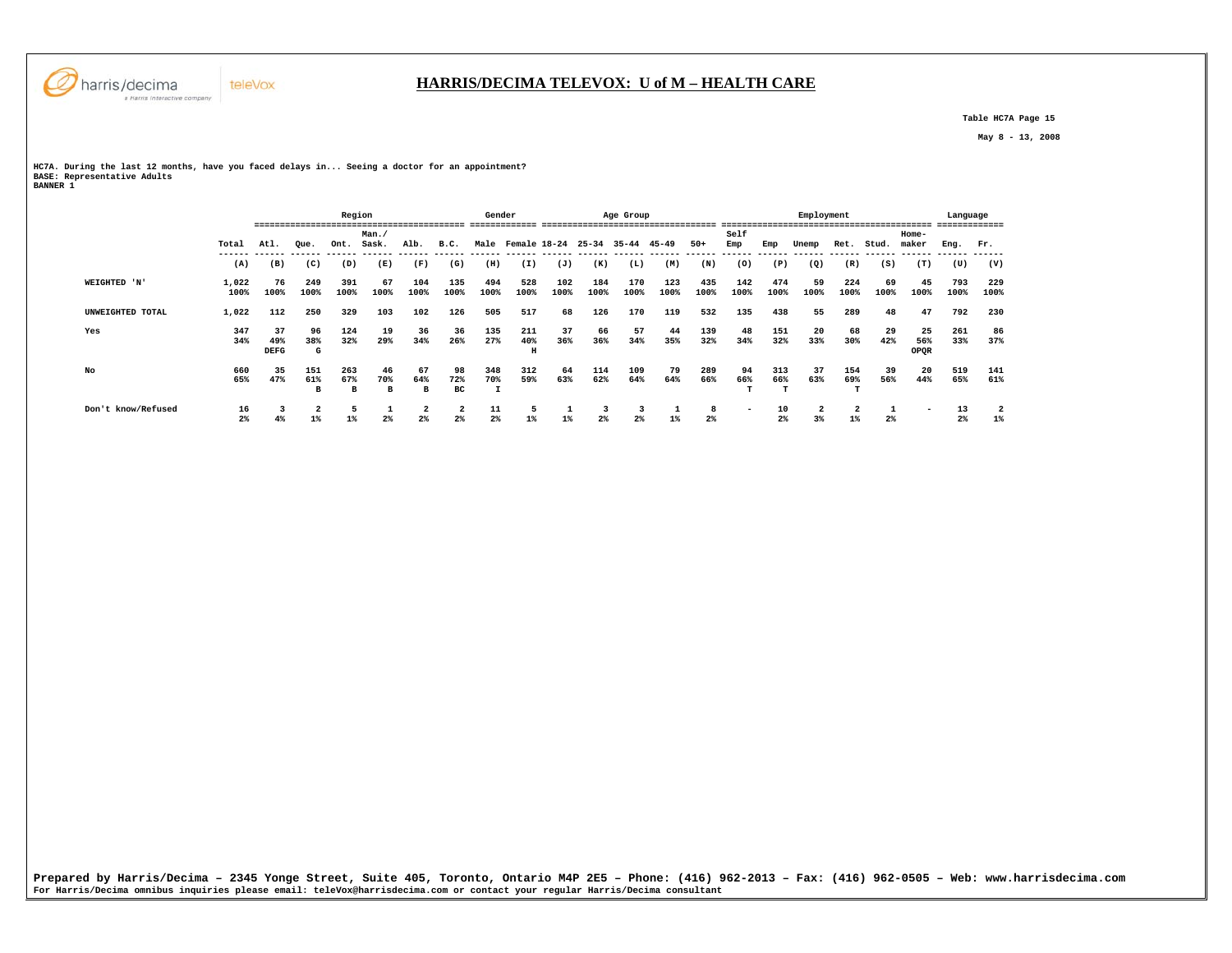

 **Table HC7A Page 15** 

 **May 8 - 13, 2008** 

**HC7A. During the last 12 months, have you faced delays in... Seeing a doctor for an appointment? BASE: Representative Adults BANNER 1** 

|                    |                      | ----                     |                 | Region          | ------------------------ |                |                                           | Gender      |                      |             |             | Age Group   |             |                     |             |             | Employment |                                  |            | ------                   | Language<br>------------- |                                  |
|--------------------|----------------------|--------------------------|-----------------|-----------------|--------------------------|----------------|-------------------------------------------|-------------|----------------------|-------------|-------------|-------------|-------------|---------------------|-------------|-------------|------------|----------------------------------|------------|--------------------------|---------------------------|----------------------------------|
|                    |                      |                          |                 |                 | Man./                    |                |                                           |             |                      |             |             |             |             |                     | Self        |             |            |                                  |            | Home-                    |                           |                                  |
|                    | Total                | Atl.                     | Que.            | Ont.            | Sask.                    | Alb.           | B.C.                                      |             | Male Female 18-24    |             | $25 - 34$   | 35-44 45-49 |             | $50+$               | Emp         | Emp         | Unemp      | Ret.                             | Stud.      | maker                    | Eng.                      | Fr.                              |
|                    | (A)                  | (B)                      | (C)             | (D)             | (E)                      | (F)            | (G)                                       | (H)         | (I)                  | (J)         | (K)         | (L)         | (M)         | (N)                 | (0)         | (P)         | (Q)        | (R)                              | (S)        | (T)                      | (U)                       | (V)                              |
| WEIGHTED 'N'       | 1,022<br>100%        | 76<br>100%               | 249<br>100%     | 391<br>100%     | 67<br>100%               | 104<br>100%    | 135<br>100%                               | 494<br>100% | 528<br>100%          | 102<br>100% | 184<br>100% | 170<br>100% | 123<br>100% | 435<br>100%         | 142<br>100% | 474<br>100% | 59<br>100% | 224<br>100%                      | 69<br>100% | 45<br>100%               | 793<br>100%               | 229<br>100%                      |
| UNWEIGHTED TOTAL   | 1,022                | 112                      | 250             | 329             | 103                      | 102            | 126                                       | 505         | 517                  | 68          | 126         | 170         | 119         | 532                 | 135         | 438         | 55         | 289                              | 48         | 47                       | 792                       | 230                              |
| Yes                | 347<br>34%           | 37<br>49%<br><b>DEFG</b> | 96<br>38%<br>G  | 124<br>32%      | 19<br>29%                | 36<br>34%      | 36<br>26%                                 | 135<br>27%  | 211<br>40%<br>$\,$ H | 37<br>36%   | 66<br>36%   | 57<br>34%   | 44<br>35%   | 139<br>32%          | 48<br>34%   | 151<br>32%  | 20<br>33%  | 68<br>30%                        | 29<br>42%  | 25<br>56%<br>OPQR        | 261<br>33%                | 86<br>37%                        |
| No                 | 660<br>65%           | 35<br>47%                | 151<br>61%<br>B | 263<br>67%<br>в | 46<br>70%<br>в           | 67<br>64%<br>в | 98<br>72%<br>вc                           | 348<br>70%  | 312<br>59%           | 64<br>63%   | 114<br>62%  | 109<br>64%  | 79<br>64%   | 289<br>66%          | 94<br>66%   | 313<br>66%  | 37<br>63%  | 154<br>69%                       | 39<br>56%  | 20<br>44%                | 519<br>65%                | 141<br>61%                       |
| Don't know/Refused | 16<br>2 <sup>°</sup> | 4%                       | $1\%$           | 5<br>$1\%$      | 2 <sup>°</sup>           | 2<br>2%        | $\overline{\mathbf{2}}$<br>2 <sup>8</sup> | 11<br>$2\%$ | 5<br>$1\%$           | $1\%$       | $2\%$       | 3<br>2%     |             | 8<br>2 <sup>8</sup> |             | 10<br>2%    | 2<br>3%    | $\overline{\mathbf{2}}$<br>$1\%$ | $2\%$      | $\overline{\phantom{0}}$ | 13<br>2 <sup>°</sup>      | $\overline{\mathbf{2}}$<br>$1\%$ |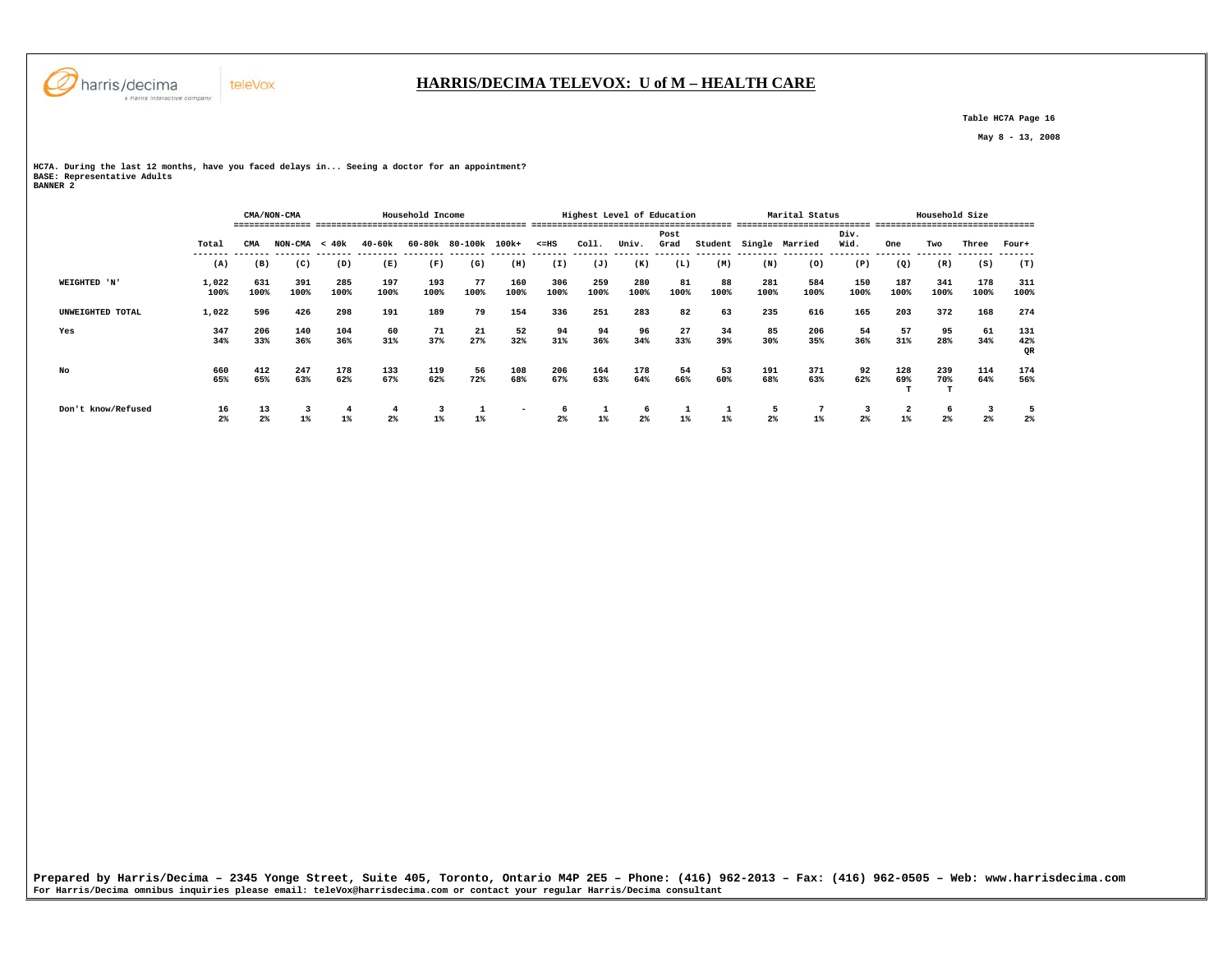

## **HARRIS/DECIMA TELEVOX: U of M – HEALTH CARE**

 **Table HC7A Page 16** 

 **May 8 - 13, 2008** 

**HC7A. During the last 12 months, have you faced delays in... Seeing a doctor for an appointment? BASE: Representative Adults BANNER 2** 

 **CMA/NON-CMA Household Income Highest Level of Education Marital Status Household Size =============== ========================================= ======================================= ========================== =============================== Post Div.** Wid.  **Total CMA NON-CMA < 40k 40-60k 60-80k 80-100k 100k+ <=HS Coll. Univ. Grad Student Single Married Wid. One Two Three Four+ ------- ------- ------- ------- -------- -------- ------- ------- ------- ------- ------- ------- ------- -------- -------- -------- ------- ------- ------- -------**  $(T)$  **(A) (B) (C) (D) (E) (F) (G) (H) (I) (J) (K) (L) (M) (N) (O) (P) (Q) (R) (S) (T) WEIGHTED 'N' 1,022 631 391 285 197 193 77 160 306 259 280 81 88 281 584 150 187 341 178 311 100% 100% 100% 100% 100% 100% 100% 100% 100% 100% 100% 100% 100% 100% 100% 100% 100% 100% 100% 100% UNWEIGHTED TOTAL 1,022 596 426 298 191 189 79 154 336 251 283 82 63 235 616 165 203 372 168 274 Yes 347 206 140 104 60 71 21 52 94 94 96 27 34 85 206 54 57 95 61 131 34% 33% 36% 36% 31% 37% 27% 32% 31% 36% 34% 33% 39% 30% 35% 36% 31% 28% 34% 42%** OR  **QR No 660 412 247 178 133 119 56 108 206 164 178 54 53 191 371 92 128 239 114 174 65% 65% 63% 62% 67% 62% 72% 68% 67% 63% 64% 66% 60% 68% 63% 62% 69% 70% 64% 56% T** T T  **Don't know/Refused 16 13 3 4 4 3 1 - 6 1 6 1 1 5 7 3 2 6 3 5**  $\frac{5}{2}$  **2% 2% 1% 1% 2% 1% 1% 2% 1% 2% 1% 1% 2% 1% 2% 1% 2% 2% 2%** 

**Prepared by Harris/Decima – 2345 Yonge Street, Suite 405, Toronto, Ontario M4P 2E5 – Phone: (416) 962-2013 – Fax: (416) 962-0505 – Web: www.harrisdecima.com For Harris/Decima omnibus inquiries please email: teleVox@harrisdecima.com or contact your regular Harris/Decima consultant**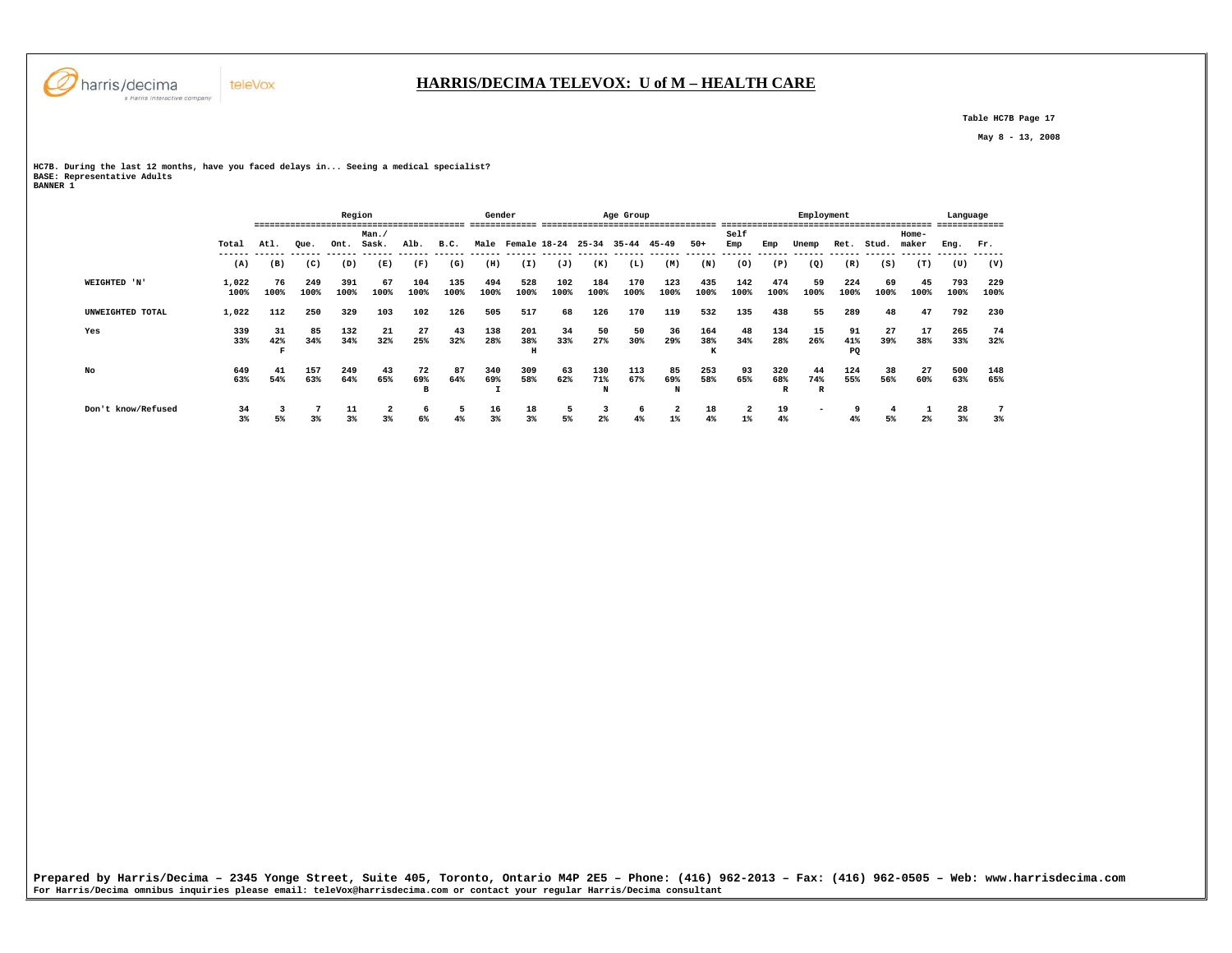

 **Table HC7B Page 17** 

 **May 8 - 13, 2008** 

**HC7B. During the last 12 months, have you faced delays in... Seeing a medical specialist? BASE: Representative Adults BANNER 1** 

|                    |                      |            |                | Region      |                               |                |             | Gender         |                      |                              |                 | Age Group   |                |                  |                |                            | Employment               |                 |                              |                | Language    |             |
|--------------------|----------------------|------------|----------------|-------------|-------------------------------|----------------|-------------|----------------|----------------------|------------------------------|-----------------|-------------|----------------|------------------|----------------|----------------------------|--------------------------|-----------------|------------------------------|----------------|-------------|-------------|
|                    | Total                | Atl.       | Oue.           | Ont.        | Man./<br>Sask.                | Alb.           | B.C.        |                | Male Female 18-24    |                              | $25 - 34$       | $35 - 44$   | $45 - 49$      | $50+$            | Self<br>Emp    | Emp                        | Unemp                    | Ret.            | Stud.                        | Home-<br>maker | Eng.        | Fr.         |
|                    | (A)                  | (B)        | (C)            | (D)         | ------- ------<br>(E)         | (F)            | (G)         | -------<br>(H) | (I)                  | ------- ------ ------<br>(J) | (K)             | (L)         | (M)            | (N)              | -------<br>(0) | (P)                        | -------<br>(Q)           | (R)             | ------- ------ ------<br>(S) | (T)            | (U)         | (V)         |
| WEIGHTED 'N'       | 1,022<br>100%        | 76<br>100% | 249<br>100%    | 391<br>100% | 67<br>100%                    | 104<br>100%    | 135<br>100% | 494<br>100%    | 528<br>100%          | 102<br>100%                  | 184<br>100%     | 170<br>100% | 123<br>100%    | 435<br>100%      | 142<br>100%    | 474<br>100%                | 59<br>100%               | 224<br>100%     | 69<br>100%                   | 45<br>100%     | 793<br>100% | 229<br>100% |
| UNWEIGHTED TOTAL   | 1,022                | 112        | 250            | 329         | 103                           | 102            | 126         | 505            | 517                  | 68                           | 126             | 170         | 119            | 532              | 135            | 438                        | 55                       | 289             | 48                           | 47             | 792         | 230         |
| Yes                | 339<br>33%           | 31<br>42%  | 85<br>34%      | 132<br>34%  | 21<br>32%                     | 27<br>25%      | 43<br>32%   | 138<br>28%     | 201<br>38%<br>$\,$ H | 34<br>33%                    | 50<br>27%       | 50<br>30%   | 36<br>29%      | 164<br>38%<br>к. | 48<br>34%      | 134<br>28%                 | 15<br>26%                | 91<br>41%<br>PQ | 27<br>39%                    | 17<br>38%      | 265<br>33%  | 74<br>32%   |
| No                 | 649<br>63%           | 41<br>54%  | 157<br>63%     | 249<br>64%  | 43<br>65%                     | 72<br>69%<br>в | 87<br>64%   | 340<br>69%     | 309<br>58%           | 63<br>62%                    | 130<br>71%<br>N | 113<br>67%  | 85<br>69%<br>N | 253<br>58%       | 93<br>65%      | 320<br>68%<br>$\mathbb{R}$ | 44<br>74%<br>R           | 124<br>55%      | 38<br>56%                    | 27<br>60%      | 500<br>63%  | 148<br>65%  |
| Don't know/Refused | 34<br>3 <sup>8</sup> | 5%         | 3 <sup>8</sup> | 11<br>3%    | $\overline{\mathbf{2}}$<br>3% | 6<br>6%        | 5<br>4%     | 16<br>3%       | 18<br>3%             | 5<br>5%                      | $2\%$           | 6<br>4%     | 2<br>$1\%$     | 18<br>4%         | 2<br>$1\%$     | 19<br>4%                   | $\overline{\phantom{a}}$ | 4%              | 5%                           | $2\%$          | 28<br>3%    | 3%          |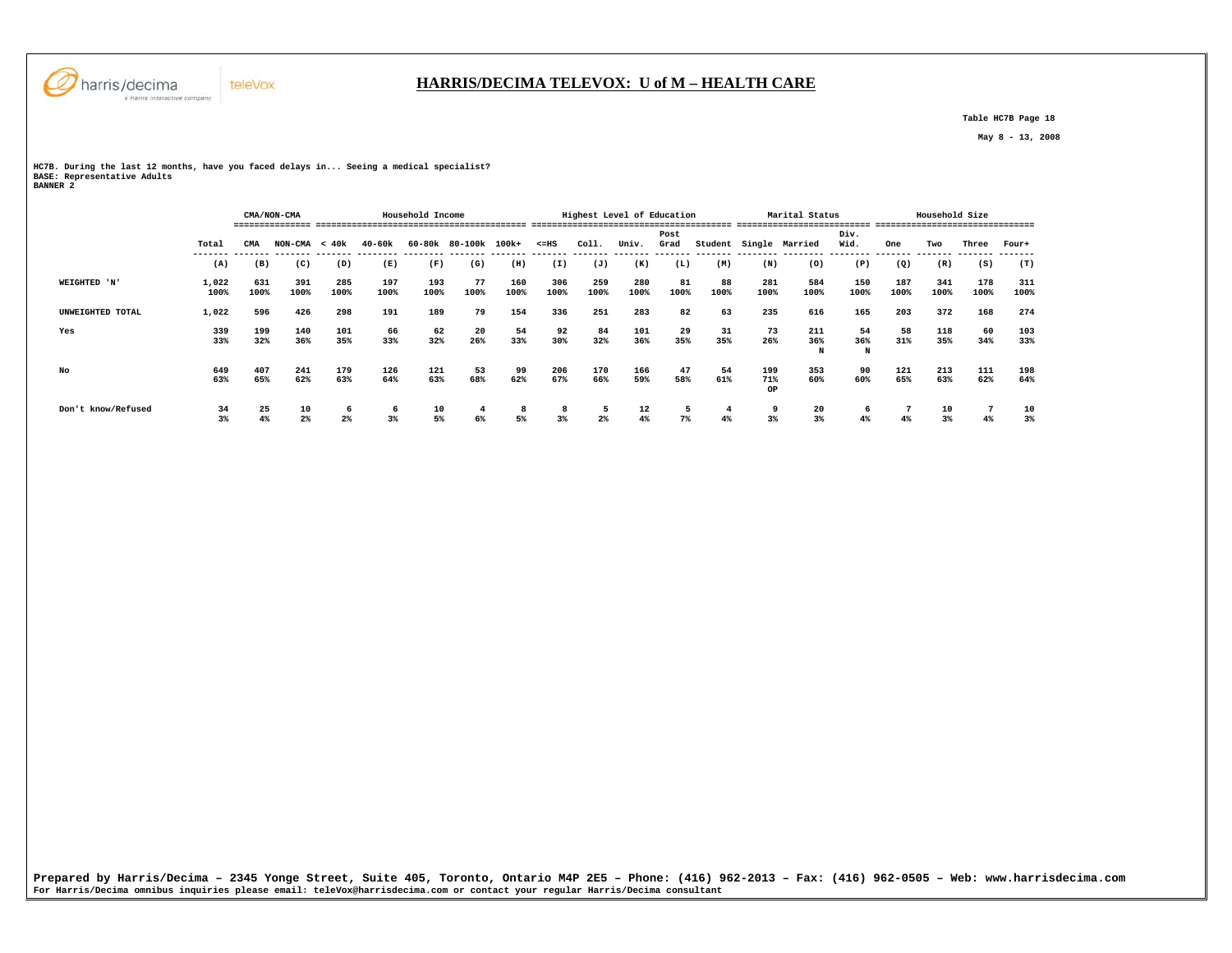

## **HARRIS/DECIMA TELEVOX: U of M – HEALTH CARE**

 **Table HC7B Page 18** 

 **May 8 - 13, 2008** 

**HC7B. During the last 12 months, have you faced delays in... Seeing a medical specialist? BASE: Representative Adults BANNER 2** 

|                    |               |             | CMA/NON-CMA     |                     |             | Household Income |                      |             |             | Highest Level of Education |             |            |            |             | Marital Status         |                |             | Household Size |             |             |
|--------------------|---------------|-------------|-----------------|---------------------|-------------|------------------|----------------------|-------------|-------------|----------------------------|-------------|------------|------------|-------------|------------------------|----------------|-------------|----------------|-------------|-------------|
|                    |               |             |                 |                     |             |                  |                      |             |             |                            |             |            |            |             |                        |                |             |                |             |             |
|                    |               |             |                 |                     |             |                  |                      |             |             |                            |             | Post       |            |             |                        | Div.           |             |                |             |             |
|                    | Total         | CMA         | $NON-CMA < 40k$ |                     | 40-60k      |                  | 60-80k 80-100k 100k+ |             | $< = HS$    | Coll.                      | Univ.       | Grad       |            |             | Student Single Married | Wid.           | One         | Two            | Three       | Four+       |
|                    | (A)           | (B)         | (C)             | (D)                 | (E)         | (F)              | (G)                  | (H)         | (I)         | (J)                        | (K)         | (L)        | (M)        | (N)         | (0)                    | (P)            | (Q)         | (R)            | (S)         | (T)         |
| WEIGHTED 'N'       | 1,022<br>100% | 631<br>100% | 391<br>100%     | 285<br>100%         | 197<br>100% | 193<br>100%      | 77<br>100%           | 160<br>100% | 306<br>100% | 259<br>100%                | 280<br>100% | 81<br>100% | 88<br>100% | 281<br>100% | 584<br>100%            | 150<br>100%    | 187<br>100% | 341<br>100%    | 178<br>100% | 311<br>100% |
| UNWEIGHTED TOTAL   | 1,022         | 596         | 426             | 298                 | 191         | 189              | 79                   | 154         | 336         | 251                        | 283         | 82         | 63         | 235         | 616                    | 165            | 203         | 372            | 168         | 274         |
| Yes                | 339           | 199         | 140             | 101                 | 66          | 62               | 20                   | 54          | 92          | 84                         | 101         | 29         | 31         | 73          | 211                    | 54             | 58          | 118            | 60          | 103         |
|                    | 33%           | 32%         | 36%             | 35%                 | 33%         | 32%              | 26%                  | 33%         | 30%         | 32%                        | 36%         | 35%        | 35%        | 26%         | 36%<br>N               | 36%<br>N       | 31%         | 35%            | 34%         | 33%         |
| No                 | 649           | 407         | 241             | 179                 | 126         | 121              | 53                   | 99          | 206         | 170                        | 166         | 47         | 54         | 199         | 353                    | 90             | 121         | 213            | 111         | 198         |
|                    | 63%           | 65%         | 62%             | 63%                 | 64%         | 63%              | 68%                  | 62%         | 67%         | 66%                        | 59%         | 58%        | 61%        | 71%<br>OP   | 60%                    | 60%            | 65%         | 63%            | 62%         | 64%         |
| Don't know/Refused | 34<br>3%      | 25<br>4%    | 10<br>$2\%$     | 6<br>2 <sup>°</sup> | 6<br>3%     | 10<br>5%         | 6%                   | 8<br>5%     | 8<br>3%     | -5<br>2 <sup>°</sup>       | 12<br>4%    | 5<br>7%    | 4<br>4%    | 9<br>3%     | 20<br>3%               | <b>b</b><br>4% | 4%          | 10<br>3%       | 4%          | 10<br>3%    |
|                    |               |             |                 |                     |             |                  |                      |             |             |                            |             |            |            |             |                        |                |             |                |             |             |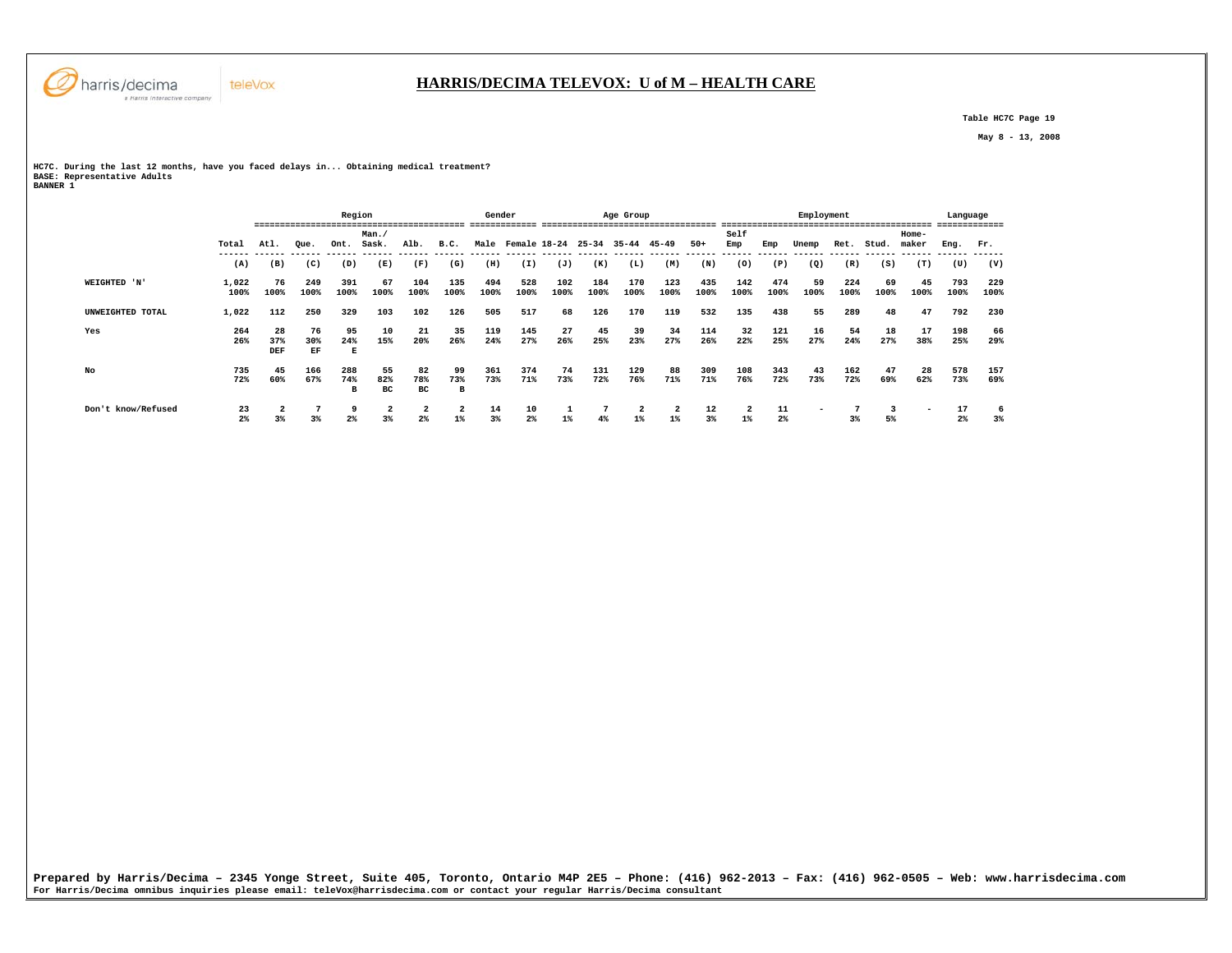

 **Table HC7C Page 19** 

 **May 8 - 13, 2008** 

**HC7C. During the last 12 months, have you faced delays in... Obtaining medical treatment? BASE: Representative Adults BANNER 1** 

|                    |                      |                  |                 | Region          |                               |                     |                         | Gender      |                         |             |             | Age Group   |             |             |             | --------------- | Employment               |             | --------------------------- |                | Language<br>-------------- |             |
|--------------------|----------------------|------------------|-----------------|-----------------|-------------------------------|---------------------|-------------------------|-------------|-------------------------|-------------|-------------|-------------|-------------|-------------|-------------|-----------------|--------------------------|-------------|-----------------------------|----------------|----------------------------|-------------|
|                    | Total                | Atl.             | Oue.            | Ont.            | Man.<br>Sask.                 | Alb.                | B.C.                    |             | Male Female 18-24 25-34 |             |             | 35-44 45-49 |             | $50+$       | Self<br>Emp | Emp             | Unemp                    | Ret.        | Stud.                       | Home-<br>maker | Eng.                       | Fr.         |
|                    | (A)                  | (B)              | (C)             | (D)             | (E)                           | (F)                 | (G)                     | (H)         | (I)                     | (J)         | (K)         | (L)         | (M)         | (N)         | (0)         | (P)             | (Q)                      | (R)         | (S)                         | (T)            | (U)                        | (V)         |
| WEIGHTED 'N'       | 1,022<br>100%        | 76<br>100%       | 249<br>100%     | 391<br>100%     | 67<br>100%                    | 104<br>100%         | 135<br>100%             | 494<br>100% | 528<br>100%             | 102<br>100% | 184<br>100% | 170<br>100% | 123<br>100% | 435<br>100% | 142<br>100% | 474<br>100%     | 59<br>100%               | 224<br>100% | 69<br>100%                  | 45<br>100%     | 793<br>100%                | 229<br>100% |
| UNWEIGHTED TOTAL   | 1,022                | 112              | 250             | 329             | 103                           | 102                 | 126                     | 505         | 517                     | 68          | 126         | 170         | 119         | 532         | 135         | 438             | 55                       | 289         | 48                          | 47             | 792                        | 230         |
| Yes                | 264<br>26%           | 28<br>37%<br>DEF | 76<br>30%<br>EF | 95<br>24%<br>Е  | 10<br>15%                     | 21<br>20%           | 35<br>26%               | 119<br>24%  | 145<br>27%              | 27<br>26%   | 45<br>25%   | 39<br>23%   | 34<br>27%   | 114<br>26%  | 32<br>22%   | 121<br>25%      | 16<br>27%                | 54<br>24%   | 18<br>27%                   | 17<br>38%      | 198<br>25%                 | 66<br>29%   |
| No                 | 735<br>72%           | 45<br>60%        | 166<br>67%      | 288<br>74%<br>в | 55<br>82%<br>вc               | 82<br>78%<br>вc     | 99<br>73%<br>в          | 361<br>73%  | 374<br>71%              | 74<br>73%   | 131<br>72%  | 129<br>76%  | 88<br>71%   | 309<br>71%  | 108<br>76%  | 343<br>72%      | 43<br>73%                | 162<br>72%  | 47<br>69%                   | 28<br>62%      | 578<br>73%                 | 157<br>69%  |
| Don't know/Refused | 23<br>2 <sup>°</sup> | 3 <sup>8</sup>   | 3 <sup>8</sup>  | 9<br>2%         | $\overline{\mathbf{2}}$<br>3% | 2<br>2 <sup>8</sup> | $\overline{a}$<br>$1\%$ | 14<br>3%    | 10<br>2 <sup>°</sup>    | $1\%$       | 4%          | 2<br>$1\%$  | 2<br>$1\%$  | 12<br>3%    | 2<br>$1\%$  | 11<br>$2\%$     | $\overline{\phantom{a}}$ | 3%          | 5%                          | -              | 17<br>2%                   | 6<br>3%     |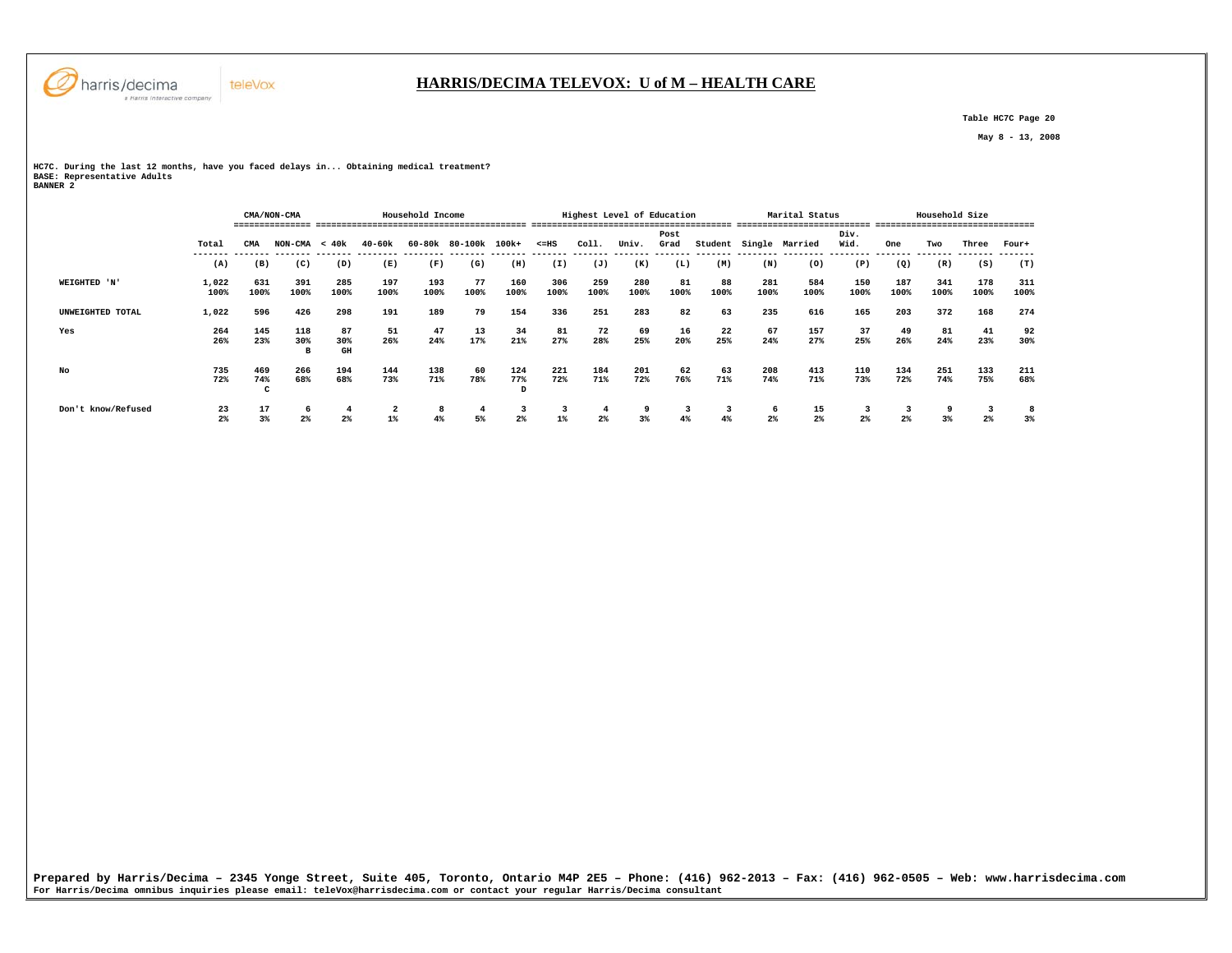

 **Table HC7C Page 20** 

 **May 8 - 13, 2008** 

**HC7C. During the last 12 months, have you faced delays in... Obtaining medical treatment? BASE: Representative Adults BANNER 2** 

teleVox

 **CMA/NON-CMA Household Income Highest Level of Education Marital Status Household Size =============== ========================================= ======================================= ========================== =============================== Post Div.** Wid.  **Total CMA NON-CMA < 40k 40-60k 60-80k 80-100k 100k+ <=HS Coll. Univ. Grad Student Single Married Wid. One Two Three Four+ ------- ------- ------- ------- -------- -------- ------- ------- ------- ------- ------- ------- ------- -------- -------- -------- ------- ------- ------- -------**  $(T)$  **(A) (B) (C) (D) (E) (F) (G) (H) (I) (J) (K) (L) (M) (N) (O) (P) (Q) (R) (S) (T) WEIGHTED 'N' 1,022 631 391 285 197 193 77 160 306 259 280 81 88 281 584 150 187 341 178 311 100% 100% 100% 100% 100% 100% 100% 100% 100% 100% 100% 100% 100% 100% 100% 100% 100% 100% 100% 100% UNWEIGHTED TOTAL 1,022 596 426 298 191 189 79 154 336 251 283 82 63 235 616 165 203 372 168 274 Yes 264 145 118 87 51 47 13 34 81 72 69 16 22 67 157 37 49 81 41 92 26% 23% 30% 30% 26% 24% 17% 21% 27% 28% 25% 20% 25% 24% 27% 25% 26% 24% 23% 30% B GH No 735 469 266 194 144 138 60 124 221 184 201 62 63 208 413 110 134 251 133 211** 68%  **72% 74% 68% 68% 73% 71% 78% 77% 72% 71% 72% 76% 71% 74% 71% 73% 72% 74% 75% 68% C D Don't know/Refused 23 17 6 4 2 8 4 3 3 4 9 3 3 6 15 3 3 9 3 8**  $3%$  **2% 3% 2% 2% 1% 4% 5% 2% 1% 2% 3% 4% 4% 2% 2% 2% 2% 3% 2% 3%** 

**Prepared by Harris/Decima – 2345 Yonge Street, Suite 405, Toronto, Ontario M4P 2E5 – Phone: (416) 962-2013 – Fax: (416) 962-0505 – Web: www.harrisdecima.com For Harris/Decima omnibus inquiries please email: teleVox@harrisdecima.com or contact your regular Harris/Decima consultant**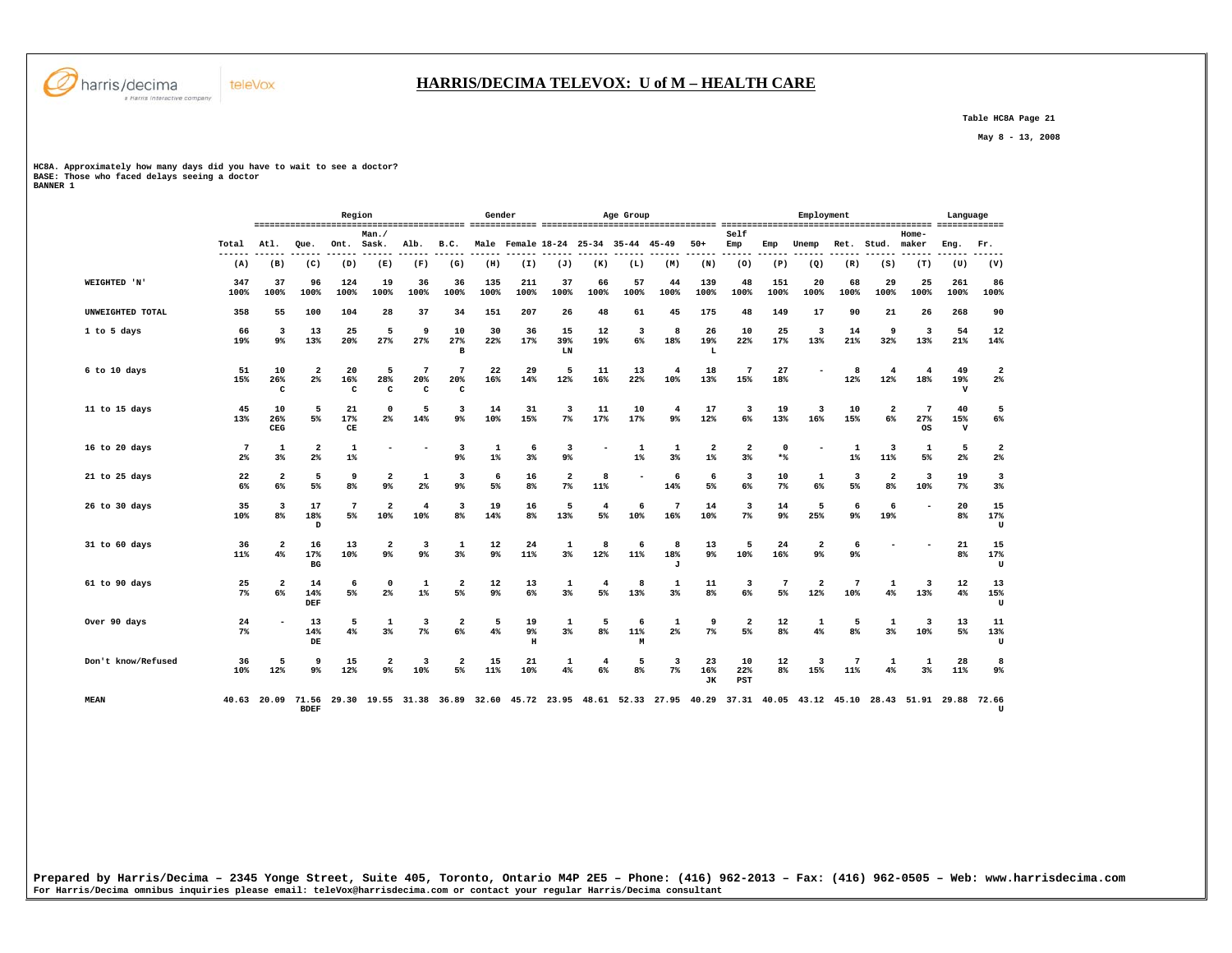

 **Table HC8A Page 21** 

 **May 8 - 13, 2008** 

**HC8A. Approximately how many days did you have to wait to see a doctor? BASE: Those who faced delays seeing a doctor BANNER 1** 

|                     |                       |                               |                                           | Region                            |                                                                                                                               |                     |                                           | Gender      |                                     |                 |                      | Age Group     |                          |                        |                               |                       | Employment                       |                       |                                  |                                | Language                  |                                  |
|---------------------|-----------------------|-------------------------------|-------------------------------------------|-----------------------------------|-------------------------------------------------------------------------------------------------------------------------------|---------------------|-------------------------------------------|-------------|-------------------------------------|-----------------|----------------------|---------------|--------------------------|------------------------|-------------------------------|-----------------------|----------------------------------|-----------------------|----------------------------------|--------------------------------|---------------------------|----------------------------------|
|                     | Total                 | Atl.                          | Que.                                      | Ont.                              | Man.<br>Sask.                                                                                                                 | Alb.                | B.C.                                      |             | Male Female 18-24 25-34 35-44 45-49 |                 |                      |               |                          | $50+$                  | Self<br>Emp                   | Emp                   | Unemp                            | Ret.                  | Stud.                            | Home-<br>maker                 | Eng.                      | Fr.                              |
|                     | (A)                   | (B)                           | (C)                                       | (D)                               | (E)                                                                                                                           | (F)                 | (G)                                       | (H)         | (I)                                 | (J)             | (K)                  | (L)           | (M)                      | (N)                    | (0)                           | (P)                   | (Q)                              | (R)                   | (S)                              | (T)                            | (U)                       | -----<br>(V)                     |
| <b>WEIGHTED 'N'</b> | 347<br>100%           | 37<br>100%                    | 96<br>100%                                | 124<br>100%                       | 19<br>100%                                                                                                                    | 36<br>100%          | 36<br>100%                                | 135<br>100% | 211<br>100%                         | 37<br>100%      | 66<br>100%           | 57<br>100%    | 44<br>100%               | 139<br>100%            | 48<br>100%                    | 151<br>100%           | 20<br>100%                       | 68<br>100%            | 29<br>100%                       | 25<br>100%                     | 261<br>100%               | 86<br>100%                       |
| UNWEIGHTED TOTAL    | 358                   | 55                            | 100                                       | 104                               | 28                                                                                                                            | 37                  | 34                                        | 151         | 207                                 | 26              | 48                   | 61            | 45                       | 175                    | 48                            | 149                   | 17                               | 90                    | 21                               | 26                             | 268                       | 90                               |
| 1 to 5 days         | 66<br>19%             | 3<br>9%                       | 13<br>13%                                 | 25<br>20%                         | 5<br>27%                                                                                                                      | 9<br>27%            | 10<br>27%<br>$\mathbf{B}$                 | 30<br>22%   | 36<br>17%                           | 15<br>39%<br>LN | 12<br>19%            | 3<br>6%       | 8<br>18%                 | 26<br>19%<br>L         | 10<br>22%                     | 25<br>17%             | 3<br>13%                         | 14<br>21%             | 9<br>32%                         | 3<br>13%                       | 54<br>21%                 | 12<br>14%                        |
| 6 to 10 days        | 51<br>15%             | 10<br>26%<br>c                | $\overline{\mathbf{2}}$<br>$2\%$          | 20<br>16%<br>c                    | 5<br>28%<br>c                                                                                                                 | 7<br>20%<br>C       | 7<br>20%<br>c                             | 22<br>16%   | 29<br>14%                           | 5<br>12%        | 11<br>16%            | 13<br>22%     | $\overline{4}$<br>10%    | 18<br>13%              | 7<br>15%                      | 27<br>18%             |                                  | 8<br>12%              | $\overline{4}$<br>12%            | $\overline{4}$<br>18%          | 49<br>19%<br>$\mathbf v$  | $\overline{2}$<br>$2\%$          |
| 11 to 15 days       | 45<br>13%             | 10<br>26%<br>CEG              | 5<br>5%                                   | 21<br>17%<br>$\mathbf C\mathbf E$ | $\Omega$<br>2 <sup>8</sup>                                                                                                    | 5<br>14%            | 3<br>$9\%$                                | 14<br>10%   | 31<br>15%                           | 3<br>$7\%$      | 11<br>17%            | 10<br>17%     | 4<br>9%                  | 17<br>12%              | 3<br>6%                       | 19<br>13%             | 3<br>16%                         | 10<br>15%             | $\overline{2}$<br>6%             | $7\phantom{.0}$<br>27%<br>0S   | 40<br>15%<br>$\mathbf{v}$ | 5<br>6%                          |
| 16 to 20 days       | $7\phantom{.0}$<br>2% | 1<br>3 <sup>8</sup>           | $\overline{\mathbf{2}}$<br>2 <sup>°</sup> | 1<br>$1\%$                        |                                                                                                                               |                     | 3<br>9 <sup>°</sup>                       | 1<br>$1\%$  | 6<br>3 <sup>8</sup>                 | 3<br>9%         |                      | 1<br>$1\%$    | 1<br>3%                  | 2<br>$1\%$             | $\overline{\mathbf{2}}$<br>3% | $\Omega$<br>$*$       |                                  | 1<br>$1\%$            | 3<br>11%                         | 1<br>5%                        | 5<br>2 <sup>°</sup>       | $\overline{\mathbf{2}}$<br>$2\%$ |
| 21 to 25 days       | 22<br>6%              | $\overline{2}$<br>6%          | 5<br>5%                                   | 9<br>8 <sup>8</sup>               | $\overline{\mathbf{2}}$<br>9 <sup>°</sup>                                                                                     | 1<br>2 <sup>°</sup> | $\overline{\mathbf{3}}$<br>$9\%$          | 6<br>5%     | 16<br>8 <sup>8</sup>                | 2<br>$7\%$      | 8<br>11%             |               | 6<br>14%                 | 6<br>5%                | 3<br>6%                       | 10<br>7%              | 1<br>6%                          | 3<br>5%               | $\overline{2}$<br>8 <sup>°</sup> | $\overline{\mathbf{3}}$<br>10% | 19<br>7 <sup>8</sup>      | $\overline{\mathbf{3}}$<br>3%    |
| 26 to 30 days       | 35<br>10%             | 3<br>8 <sup>8</sup>           | 17<br>18%<br>D                            | $7\phantom{.0}$<br>5%             | $\overline{2}$<br>10%                                                                                                         | 4<br>10%            | $\overline{\mathbf{3}}$<br>8 <sup>8</sup> | 19<br>14%   | 16<br>8%                            | 5<br>13%        | 4<br>5%              | -6<br>10%     | $7\phantom{.0}$<br>16%   | 14<br>10%              | 3<br>$7\%$                    | 14<br>9 <sup>°</sup>  | 5<br>25%                         | 6<br>9 <sup>°</sup>   | 6<br>19%                         |                                | 20<br>8 <sup>8</sup>      | 15<br>17%<br>U                   |
| 31 to 60 days       | 36<br>11%             | $\overline{\mathbf{2}}$<br>4% | 16<br>17%<br>BG                           | 13<br>10%                         | $\overline{2}$<br>9 <sup>°</sup>                                                                                              | 3<br>9 <sup>°</sup> | 1<br>3%                                   | 12<br>9%    | 24<br>11%                           | 1<br>3%         | 8<br>12%             | 6<br>11%      | 8<br>18%<br>$\mathbf{J}$ | 13<br>9%               | 5<br>10%                      | 24<br>16%             | $\overline{\mathbf{2}}$<br>$9\%$ | 6<br>9 <sup>°</sup>   |                                  |                                | 21<br>8%                  | 15<br>17%<br>U                   |
| 61 to 90 days       | 25<br>7%              | $\overline{a}$<br>6%          | 14<br>14%<br>DEF                          | 6<br>5%                           | $\Omega$<br>2%                                                                                                                | 1<br>$1\%$          | $\overline{\mathbf{2}}$<br>5%             | 12<br>9%    | 13<br>6%                            | 1<br>3%         | 4<br>5%              | 8<br>13%      | 1<br>3%                  | 11<br>8 <sup>°</sup>   | 3<br>$6\%$                    | $7\phantom{.0}$<br>5% | $\overline{\mathbf{2}}$<br>12%   | $\overline{7}$<br>10% | 1<br>4%                          | $\overline{\mathbf{3}}$<br>13% | 12<br>4%                  | 13<br>15%<br>U                   |
| Over 90 days        | 24<br>7%              |                               | 13<br>14%<br>DE                           | 5<br>4%                           | 1<br>3%                                                                                                                       | 3<br>$7\%$          | $\overline{\mathbf{2}}$<br>6%             | 5<br>4%     | 19<br>9%<br>$\,$ H                  | 1<br>3%         | 5<br>8 <sup>°</sup>  | 6<br>11%<br>M | 1<br>2%                  | 9<br>$7\%$             | $\overline{\mathbf{2}}$<br>5% | 12<br>8 <sup>°</sup>  | 1<br>4%                          | 5<br>8%               | 1<br>3%                          | 3<br>10%                       | 13<br>5%                  | 11<br>13%<br>U                   |
| Don't know/Refused  | 36<br>10%             | 5<br>12%                      | 9<br>$9\%$                                | 15<br>12%                         | $\overline{\mathbf{2}}$<br>9%                                                                                                 | 3<br>10%            | 2<br>5%                                   | 15<br>11%   | 21<br>10%                           | 1<br>4%         | $\overline{4}$<br>6% | 5<br>8%       | 3<br>$7\%$               | 23<br>16%<br><b>JK</b> | 10<br>22%<br>PST              | 12<br>8%              | 3<br>15%                         | 7<br>11%              | 1<br>4%                          | 1<br>3%                        | 28<br>11%                 | 8<br>9%                          |
| <b>MEAN</b>         |                       |                               | <b>BDEF</b>                               |                                   | 40.63 20.09 71.56 29.30 19.55 31.38 36.89 32.60 45.72 23.95 48.61 52.33 27.95 40.29 37.31 40.05 43.12 45.10 28.43 51.91 29.88 |                     |                                           |             |                                     |                 |                      |               |                          |                        |                               |                       |                                  |                       |                                  |                                |                           | 72.66<br>$\mathbf{U}$            |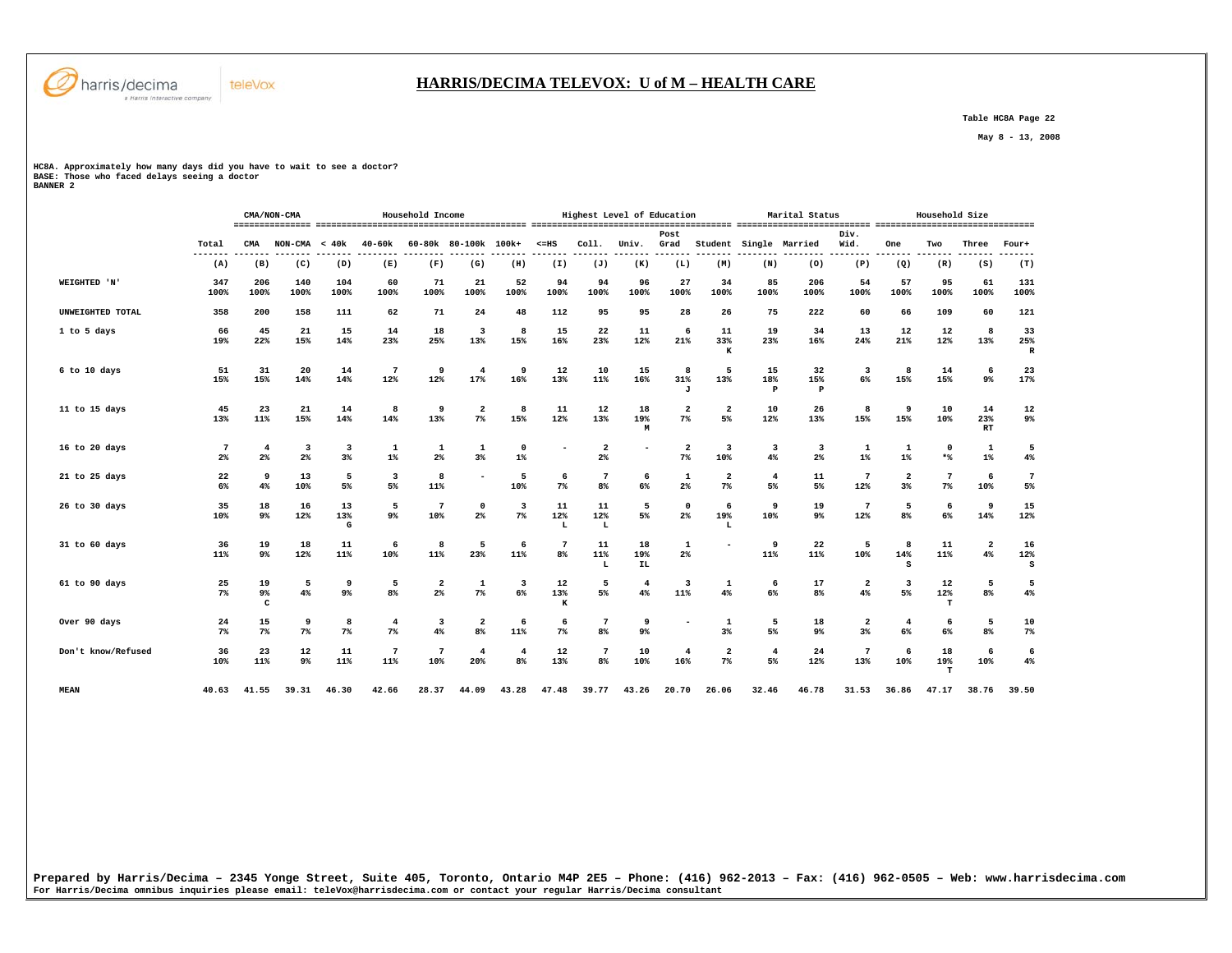

## **HARRIS/DECIMA TELEVOX: U of M – HEALTH CARE**

 **Table HC8A Page 22** 

 **May 8 - 13, 2008** 

**HC8A. Approximately how many days did you have to wait to see a doctor? BASE: Those who faced delays seeing a doctor BANNER 2** 

 **CMA/NON-CMA Household Income Highest Level of Education Marital Status Household Size =============== ========================================= ======================================= ========================== =============================== Post Div.** Wid.  **Total CMA NON-CMA < 40k 40-60k 60-80k 80-100k 100k+ <=HS Coll. Univ. Grad Student Single Married Wid. One Two Three Four+ ------- ------- ------- ------- -------- -------- ------- ------- ------- ------- ------- ------- ------- -------- -------- -------- ------- ------- ------- -------**  $(T)$  **(A) (B) (C) (D) (E) (F) (G) (H) (I) (J) (K) (L) (M) (N) (O) (P) (Q) (R) (S) (T) WEIGHTED 'N' 347 206 140 104 60 71 21 52 94 94 96 27 34 85 206 54 57 95 61 131**  $\begin{array}{c} 131 \\ 100\% \end{array}$  **100% 100% 100% 100% 100% 100% 100% 100% 100% 100% 100% 100% 100% 100% 100% 100% 100% 100% 100% 100% UNWEIGHTED TOTAL 358 200 158 111 62 71 24 48 112 95 95 28 26 75 222 60 66 109 60 121 1 to 5 days 66 45 21 15 14 18 3 8 15 22 11 6 11 19 34 13 12 12 8 33 19% 22% 15% 14% 23% 25% 13% 15% 16% 23% 12% 21% 33% 23% 16% 24% 21% 12% 13% 25%**  $\overline{\mathbf{R}}$  **K R 6 to 10 days 51 31 20 14 7 9 4 9 12 10 15 8 5 15 32 3 8 14 6 23 15% 15% 14% 14% 12% 12% 17% 16% 13% 11% 16% 31% 13% 18% 15% 6% 15% 15% 9% 17% J P P 11 to 15 days 45 23 21 14 8 9 2 8 11 12 18 2 2 10 26 8 9 10 14 12 13% 11% 15% 14% 14% 13% 7% 15% 12% 13% 19% 7% 5% 12% 13% 15% 15% 10% 23% 9% M RT**  $\mathbf{RT}$  **16 to 20 days 7 4 3 3 1 1 1 0 - 2 - 2 3 3 3 1 1 0 1 5 2% 2% 2% 3% 1% 2% 3% 1% 2% 7% 10% 4% 2% 1% 1% \*% 1% 4% 21 to 25 days 22 9 13 5 3 8 - 5 6 7 6 1 2 4 11 7 2 7 6 7 6% 4% 10% 5% 5% 11% 10% 7% 8% 6% 2% 7% 5% 5% 12% 3% 7% 10% 5% 26 to 30 days 35 18 16 13 5 7 0 3 11 11 5 0 6 9 19 7 5 6 9 15 10% 9% 12% 13% 9% 10% 2% 7% 12% 12% 5% 2% 19% 10% 9% 12% 8% 6% 14% 12% G L L L 31 to 60 days 36 19 18 11 6 8 5 6 7 11 18 1 - 9 22 5 8 11 2 16 11% 9% 12% 11% 10% 11% 23% 11% 8% 11% 19% 2% 11% 11% 10% 14% 11% 4% 12% L IL S S 61 to 90 days 25 19 5 9 5 2 1 3 12 5 4 3 1 6 17 2 3 12 5 5 7% 9% 4% 9% 8% 2% 7% 6% 13% 5% 4% 11% 4% 6% 8% 4% 5% 12% 8% 4%**  $4%$  **C K T Over 90 days 24 15 9 8 4 3 2 6 6 7 9 - 1 5 18 2 4 6 5 10 7% 7% 7% 7% 7% 4% 8% 11% 7% 8% 9% 3% 5% 9% 3% 6% 6% 8% 7%**  $7%$  **Don't know/Refused 36 23 12 11 7 7 4 4 12 7 10 4 2 4 24 7 6 18 6 6 10% 11% 9% 11% 11% 10% 20% 8% 13% 8% 10% 16% 7% 5% 12% 13% 10% 19% 10% 4%**  $\bf{T}$  **MEAN 40.63 41.55 39.31 46.30 42.66 28.37 44.09 43.28 47.48 39.77 43.26 20.70 26.06 32.46 46.78 31.53 36.86 47.17 38.76 39.50** 

**Prepared by Harris/Decima – 2345 Yonge Street, Suite 405, Toronto, Ontario M4P 2E5 – Phone: (416) 962-2013 – Fax: (416) 962-0505 – Web: www.harrisdecima.com For Harris/Decima omnibus inquiries please email: teleVox@harrisdecima.com or contact your regular Harris/Decima consultant**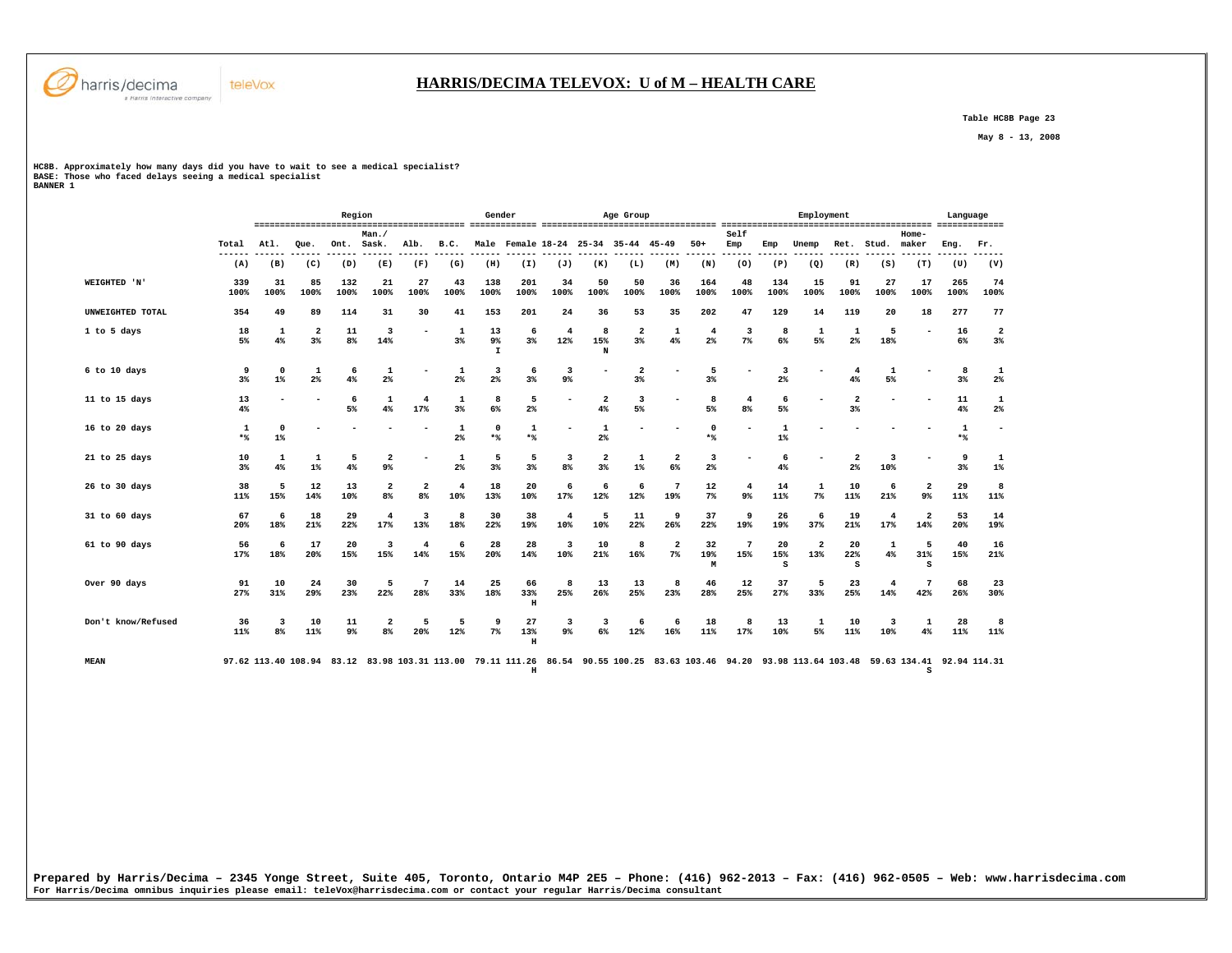

 **Table HC8B Page 23** 

 **May 8 - 13, 2008** 

**HC8B. Approximately how many days did you have to wait to see a medical specialist? BASE: Those who faced delays seeing a medical specialist BANNER 1** 

teleVox

|                     |                      |                      |                      | Region      |                                           |                      |                       | Gender                   |                           |                       |                               | Age Group                     |                               |                         |                                  |                | Employment                     |                                  |            |                                                                                                                                                     | Language    |                          |
|---------------------|----------------------|----------------------|----------------------|-------------|-------------------------------------------|----------------------|-----------------------|--------------------------|---------------------------|-----------------------|-------------------------------|-------------------------------|-------------------------------|-------------------------|----------------------------------|----------------|--------------------------------|----------------------------------|------------|-----------------------------------------------------------------------------------------------------------------------------------------------------|-------------|--------------------------|
|                     | Total                | Atl.                 | Oue.                 | Ont.        | Man.<br>Sask.                             | Alb.                 | B.C.                  | Male                     |                           |                       |                               | Female 18-24 25-34 35-44      | 45-49                         | $50+$                   | Self<br>Emp                      | Emp            | Unemp                          | Ret.                             | Stud.      | Home-<br>maker                                                                                                                                      | Eng.        | Fr.                      |
|                     | $---$<br>(A)         | (B)                  | (C)                  | (D)         | (E)                                       | (F)                  | (G)                   | (H)                      | (I)                       | (J)                   | (K)                           | (L)                           | (M)                           | (N)                     | (0)                              | (P)            | (Q)                            | (R)                              | (S)        | (T)                                                                                                                                                 | (U)         | .<br>(V)                 |
| <b>WEIGHTED 'N'</b> | 339<br>100%          | 31<br>100%           | 85<br>100%           | 132<br>100% | 21<br>100%                                | 27<br>100%           | 43<br>100%            | 138<br>100%              | 201<br>100%               | 34<br>100%            | 50<br>100%                    | 50<br>100%                    | 36<br>100%                    | 164<br>100%             | 48<br>100%                       | 134<br>100%    | 15<br>100%                     | 91<br>100%                       | 27<br>100% | 17<br>100%                                                                                                                                          | 265<br>100% | 74<br>100%               |
| UNWEIGHTED TOTAL    | 354                  | 49                   | 89                   | 114         | 31                                        | 30                   | 41                    | 153                      | 201                       | 24                    | 36                            | 53                            | 35                            | 202                     | 47                               | 129            | 14                             | 119                              | 20         | 18                                                                                                                                                  | 277         | 77                       |
| 1 to 5 days         | 18<br>5%             | 1<br>4%              | $\overline{2}$<br>3% | 11<br>8%    | 3<br>14%                                  |                      | 1<br>3%               | 13<br>9%<br>$\mathbf{I}$ | 6<br>$3\%$                | 4<br>12%              | 8<br>15%<br>N                 | $\overline{\mathbf{2}}$<br>3% | 1<br>4%                       | $\overline{4}$<br>$2\%$ | 3<br>$7\%$                       | 8<br>6%        | 1<br>5%                        | 1<br>$2\%$                       | 5<br>18%   | $\overline{\phantom{a}}$                                                                                                                            | 16<br>6%    | $\overline{2}$<br>3%     |
| 6 to 10 days        | 9<br>3 <sup>8</sup>  | $\mathbf 0$<br>$1\%$ | 1<br>2%              | 6<br>4%     | 1<br>2%                                   |                      | 1<br>$2\%$            | 3<br>2%                  | 6<br>3%                   | 3<br>9%               |                               | $\overline{\mathbf{2}}$<br>3% |                               | 5<br>3%                 |                                  | 3<br>$2\%$     |                                | 4<br>4%                          | 1<br>5%    |                                                                                                                                                     | 8<br>$3\%$  | 1<br>2 <sup>°</sup>      |
| 11 to 15 days       | 13<br>4%             |                      |                      | 6<br>5%     | 1<br>4%                                   | 4<br>17%             | 1<br>3 <sup>8</sup>   | 8<br>$6\%$               | 5<br>$2\%$                |                       | $\overline{2}$<br>4%          | 3<br>5%                       |                               | 8<br>5%                 | $\overline{4}$<br>8 <sup>°</sup> | 6<br>5%        |                                | $\overline{2}$<br>3%             |            |                                                                                                                                                     | 11<br>4%    | 1<br>$2\%$               |
| 16 to 20 days       | 1<br>$*$             | $\mathbf 0$<br>1%    |                      |             |                                           |                      | 1<br>$2\%$            | $\mathbf 0$<br>$*$       | 1<br>$*$                  |                       | $\mathbf{1}$<br>$2\%$         |                               |                               | $\mathbf 0$<br>$*$ %    |                                  | 1<br>$1\%$     |                                |                                  |            |                                                                                                                                                     | 1<br>$*$    | $\overline{\phantom{0}}$ |
| 21 to 25 days       | 10<br>3 <sup>8</sup> | 1<br>4%              | 1<br>$1\%$           | 5<br>4%     | $\overline{2}$<br>9 <sup>°</sup>          |                      | 1<br>2%               | 5<br>3%                  | 5<br>3%                   | 3<br>8 <sup>8</sup>   | $\overline{\mathbf{2}}$<br>3% | 1<br>$1\%$                    | $\overline{\mathbf{2}}$<br>6% | 3<br>2 <sup>°</sup>     |                                  | 6<br>4%        |                                | $\overline{2}$<br>2 <sup>°</sup> | 3<br>10%   |                                                                                                                                                     | 9<br>3%     | 1<br>$1\%$               |
| 26 to 30 days       | 38<br>11%            | 5<br>15%             | 12<br>14%            | 13<br>10%   | $\overline{\mathbf{2}}$<br>8 <sup>°</sup> | $\overline{a}$<br>8% | $\overline{4}$<br>10% | 18<br>13%                | 20<br>10%                 | 6<br>17%              | 6<br>12%                      | 6<br>12%                      | 7<br>19%                      | 12<br>$7\%$             | $\overline{4}$<br>9%             | 14<br>11%      | $\mathbf 1$<br>$7\%$           | 10<br>11%                        | 6<br>21%   | $\overline{\mathbf{2}}$<br>$9\%$                                                                                                                    | 29<br>11%   | 8<br>11%                 |
| 31 to 60 days       | 67<br>20%            | 6<br>18%             | 18<br>21%            | 29<br>22%   | $\overline{4}$<br>17%                     | 3<br>13%             | 8<br>18%              | 30<br>22%                | 38<br>19%                 | $\overline{4}$<br>10% | -5<br>10%                     | 11<br>22%                     | 9<br>26%                      | 37<br>22%               | 9<br>19%                         | 26<br>19%      | 6<br>37%                       | 19<br>21%                        | 4<br>17%   | $\overline{a}$<br>14%                                                                                                                               | 53<br>20%   | 14<br>19%                |
| 61 to 90 days       | 56<br>17%            | 6<br>18%             | 17<br>20%            | 20<br>15%   | 3<br>15%                                  | 4<br>14%             | 6<br>15%              | 28<br>20%                | 28<br>14%                 | 3<br>10%              | 10<br>21%                     | 8<br>16%                      | 2<br>$7\%$                    | 32<br>19%<br>M          | 7<br>15%                         | 20<br>15%<br>s | $\overline{\mathbf{2}}$<br>13% | 20<br>22%<br>s                   | 1<br>4%    | 5<br>31%<br>s                                                                                                                                       | 40<br>15%   | 16<br>21%                |
| Over 90 days        | 91<br>27%            | 10<br>31%            | 24<br>29%            | 30<br>23%   | 5<br>22%                                  | 7<br>28%             | 14<br>33%             | 25<br>18%                | 66<br>33%<br>н            | 8<br>25%              | 13<br>26%                     | 13<br>25%                     | 8<br>23%                      | 46<br>28%               | 12<br>25%                        | 37<br>27%      | 5<br>33%                       | 23<br>25%                        | 4<br>14%   | 7<br>42%                                                                                                                                            | 68<br>26%   | 23<br>30%                |
| Don't know/Refused  | 36<br>11%            | 3<br>8 <sup>8</sup>  | 10<br>11%            | 11<br>9%    | $\overline{2}$<br>8 <sup>°</sup>          | 5<br>20%             | 5<br>12%              | 9<br>$7\%$               | 27<br>13%<br>$\, {\rm H}$ | 3<br>9%               | -3<br>$6\%$                   | 6<br>12%                      | 6<br>16%                      | 18<br>11%               | 8<br>17%                         | 13<br>10%      | 1<br>5%                        | 10<br>11%                        | 3<br>10%   | 1<br>4%                                                                                                                                             | 28<br>11%   | 8<br>11%                 |
| <b>MEAN</b>         |                      |                      |                      |             |                                           |                      |                       |                          | $\,$ H                    |                       |                               |                               |                               |                         |                                  |                |                                |                                  |            | 97.62 113.40 108.94 83.12 83.98 103.31 113.00 79.11 111.26 86.54 90.55 100.25 83.63 103.46 94.20 93.98 113.64 103.48 59.63 134.41 92.94 114.31<br>s |             |                          |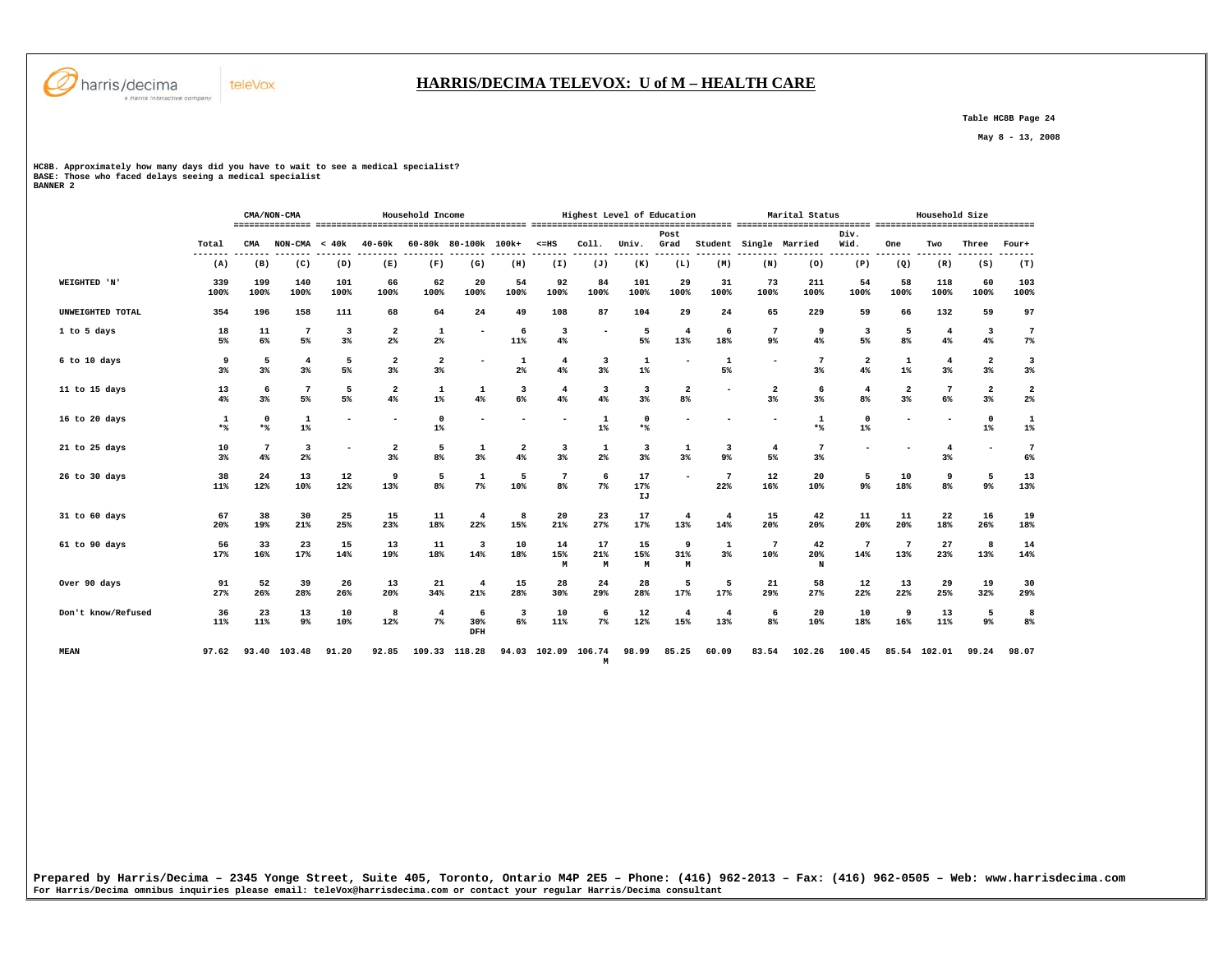

## **HARRIS/DECIMA TELEVOX: U of M – HEALTH CARE**

 **Table HC8B Page 24** 

 **May 8 - 13, 2008** 

**HC8B. Approximately how many days did you have to wait to see a medical specialist? BASE: Those who faced delays seeing a medical specialist BANNER 2** 

|                    |             |                    | CMA/NON-CMA                      | Household Income |                                           |                                  |                                |                               | Highest Level of Education        |                      |                    |                                           |                       | Marital Status           |                       |                                  | Household Size         |                      |                               |                               |
|--------------------|-------------|--------------------|----------------------------------|------------------|-------------------------------------------|----------------------------------|--------------------------------|-------------------------------|-----------------------------------|----------------------|--------------------|-------------------------------------------|-----------------------|--------------------------|-----------------------|----------------------------------|------------------------|----------------------|-------------------------------|-------------------------------|
|                    | Total       | CMA                | $NON-CMA < 40k$                  |                  | 40-60k                                    |                                  | 60-80k 80-100k 100k+           |                               | $< = HS$                          | Coll.                | Univ.              | Post<br>Grad                              | Student               |                          | Single Married        | Div.<br>Wid.                     | One                    | Two                  | Three                         | Four+<br>----                 |
|                    | (A)         | (B)                | (C)                              | (D)              | (E)                                       | (F)                              | (G)                            | (H)                           | (I)                               | (J)                  | (K)                | (L)                                       | (M)                   | (N)                      | (0)                   | (P)                              | (Q)                    | (R)                  | (S)                           | (T)                           |
| WEIGHTED 'N'       | 339<br>100% | 199<br>100%        | 140<br>100%                      | 101<br>100%      | 66<br>100%                                | 62<br>100%                       | 20<br>100%                     | 54<br>100%                    | 92<br>100%                        | 84<br>100%           | 101<br>100%        | 29<br>100%                                | 31<br>100%            | 73<br>100%               | 211<br>100%           | 54<br>100%                       | 58<br>100%             | 118<br>100%          | 60<br>100%                    | 103<br>100%                   |
| UNWEIGHTED TOTAL   | 354         | 196                | 158                              | 111              | 68                                        | 64                               | 24                             | 49                            | 108                               | 87                   | 104                | 29                                        | 24                    | 65                       | 229                   | 59                               | 66                     | 132                  | 59                            | 97                            |
| 1 to 5 days        | 18<br>5%    | $11\,$<br>6%       | $\overline{7}$<br>5%             | 3<br>3%          | $\overline{\mathbf{2}}$<br>2 <sup>°</sup> | 1<br>2 <sup>°</sup>              |                                | 6<br>11%                      | 3<br>4%                           |                      | 5<br>5%            | $\overline{4}$<br>13%                     | 6<br>18%              | 7<br>9 <sup>°</sup>      | 9<br>4%               | 3<br>5%                          | 5<br>8 <sup>8</sup>    | $\overline{4}$<br>4% | 3<br>4%                       | $\overline{7}$<br>7%          |
| 6 to 10 days       | 9<br>3%     | 5<br>3%            | $\overline{4}$<br>3 <sup>8</sup> | 5<br>5%          | $\overline{\mathbf{2}}$<br>3%             | $\overline{\mathbf{2}}$<br>$3\%$ | ۰                              | $\mathbf{1}$<br>$2\%$         | 4<br>4%                           | 3<br>3%              | 1<br>$1\%$         | $\overline{\phantom{a}}$                  | $\mathbf{1}$<br>5%    | $\overline{\phantom{0}}$ | $7\phantom{.0}$<br>3% | $\overline{\mathbf{2}}$<br>4%    | 1<br>$1\%$             | $\overline{4}$<br>3% | $\overline{2}$<br>3%          | 3<br>3%                       |
| 11 to 15 days      | 13<br>4%    | 6<br>3%            | $\overline{7}$<br>5%             | 5<br>5%          | $\overline{a}$<br>4%                      | 1<br>$1\%$                       | 1<br>4%                        | $\overline{\mathbf{3}}$<br>6% | $\overline{4}$<br>4%              | 3<br>4%              | 3<br>3%            | $\overline{\mathbf{2}}$<br>8 <sup>°</sup> | ٠                     | $\overline{2}$<br>3%     | 6<br>3%               | $\overline{4}$<br>8 <sup>8</sup> | 2<br>3%                | 7<br>$6\%$           | $\overline{\mathbf{2}}$<br>3% | $\overline{\mathbf{2}}$<br>2% |
| 16 to 20 days      | 1<br>$*$    | $\mathbf 0$<br>$*$ | $\mathbf{1}$<br>$1\%$            |                  | $\overline{\phantom{a}}$                  | $\mathbf 0$<br>$1\%$             |                                |                               |                                   | $\mathbf 1$<br>$1\%$ | $\mathbf 0$<br>$*$ | $\overline{\phantom{a}}$                  | ٠                     |                          | 1<br>$*$              | 0<br>$1\%$                       |                        |                      | $\mathbf 0$<br>$1\%$          | $\mathbf 1$<br>$1\%$          |
| 21 to 25 days      | 10<br>3%    | 7<br>4%            | 3<br>$2\%$                       |                  | $\overline{\mathbf{2}}$<br>3%             | 5<br>8%                          | 1<br>3%                        | $\overline{\mathbf{2}}$<br>4% | 3<br>3%                           | 1<br>$2\%$           | 3<br>3%            | 1<br>3%                                   | 3<br>9%               | $\overline{4}$<br>5%     | 7<br>3%               |                                  |                        | 4<br>$3\%$           |                               | $\overline{7}$<br>6%          |
| 26 to 30 days      | 38<br>11%   | 24<br>12%          | 13<br>10%                        | 12<br>12%        | 9<br>13%                                  | 5<br>8%                          | $\mathbf 1$<br>7%              | 5<br>10%                      | $7\phantom{.0}$<br>8 <sup>°</sup> | 6<br>7%              | 17<br>17%<br>IJ    | $\overline{\phantom{a}}$                  | $\overline{7}$<br>22% | 12<br>16%                | 20<br>10%             | 5<br>9%                          | 10<br>18%              | 9<br>8%              | 5<br>9%                       | 13<br>13%                     |
| 31 to 60 days      | 67<br>20%   | 38<br>19%          | 30<br>21%                        | 25<br>25%        | 15<br>23%                                 | 11<br>18%                        | $\overline{4}$<br>22%          | 8<br>15%                      | 20<br>21%                         | 23<br>27%            | 17<br>17%          | $\overline{4}$<br>13%                     | 4<br>14%              | 15<br>20%                | 42<br>20%             | 11<br>20%                        | 11<br>20%              | 22<br>18%            | 16<br>26%                     | 19<br>18%                     |
| 61 to 90 days      | 56<br>17%   | 33<br>16%          | 23<br>17%                        | 15<br>14%        | 13<br>19%                                 | 11<br>18%                        | $\overline{\mathbf{3}}$<br>14% | 10<br>18%                     | 14<br>15%<br>M                    | 17<br>21%<br>М       | 15<br>15%<br>M     | 9<br>31%<br>M                             | 1<br>3%               | $\overline{7}$<br>10%    | 42<br>20%<br>N        | 7<br>14%                         | $7\phantom{.0}$<br>13% | 27<br>23%            | 8<br>13%                      | 14<br>14%                     |
| Over 90 days       | 91<br>27%   | 52<br>26%          | 39<br>28%                        | 26<br>26%        | 13<br>20%                                 | 21<br>34%                        | $\overline{4}$<br>21%          | 15<br>28%                     | 28<br>30%                         | 24<br>29%            | 28<br>28%          | 5<br>17%                                  | 5<br>17%              | 21<br>29%                | 58<br>27%             | 12<br>22%                        | 13<br>22%              | 29<br>25%            | 19<br>32%                     | 30<br>29%                     |
| Don't know/Refused | 36<br>11%   | 23<br>11%          | 13<br>9%                         | 10<br>10%        | 8<br>12%                                  | $\overline{4}$<br>$7\%$          | 6<br>30%<br>DFH                | 3<br>6%                       | 10<br>11%                         | 6<br>$7\%$           | 12<br>12%          | $\overline{4}$<br>15%                     | $\overline{4}$<br>13% | 6<br>8 <sup>°</sup>      | 20<br>10%             | 10<br>18%                        | 9<br>16%               | 13<br>11%            | 5<br>9%                       | 8<br>8%                       |
| <b>MEAN</b>        | 97.62       |                    | 93.40 103.48                     | 91.20            | 92.85                                     |                                  | 109.33 118.28                  | 94.03                         | 102.09                            | 106.74<br>M          | 98.99              | 85.25                                     | 60.09                 | 83.54                    | 102.26                | 100.45                           |                        | 85.54 102.01         | 99.24                         | 98.07                         |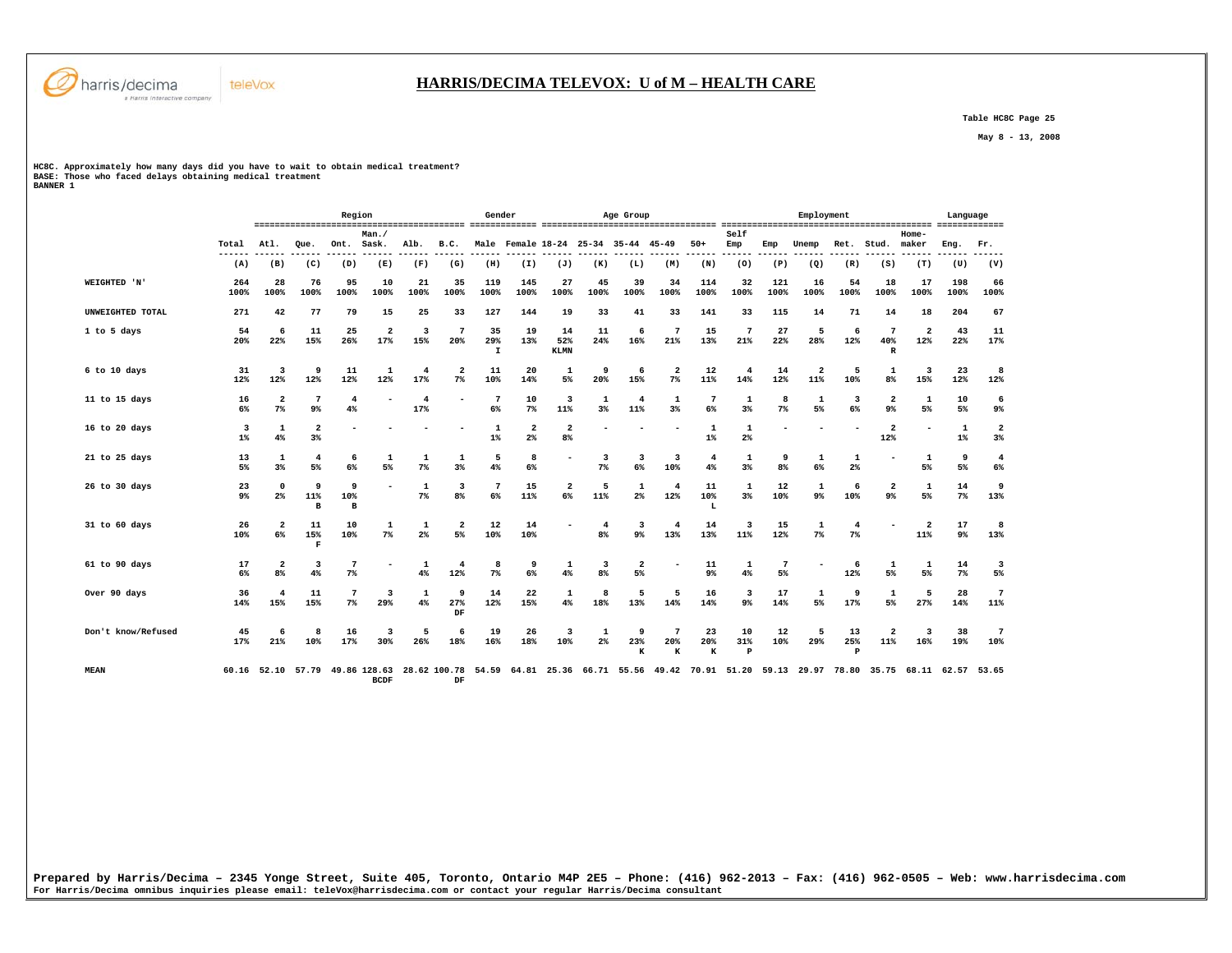

 **Table HC8C Page 25** 

 **May 8 - 13, 2008** 

**HC8C. Approximately how many days did you have to wait to obtain medical treatment? BASE: Those who faced delays obtaining medical treatment BANNER 1** 

teleVox

|                    |                      |                               |                         | Region                   |                             |            |                         | Gender                   |                                  |                                |                       | Age Group                     |                                                             |                         |                                |                     | Employment            |                           |                                  |                                | Language             |                       |
|--------------------|----------------------|-------------------------------|-------------------------|--------------------------|-----------------------------|------------|-------------------------|--------------------------|----------------------------------|--------------------------------|-----------------------|-------------------------------|-------------------------------------------------------------|-------------------------|--------------------------------|---------------------|-----------------------|---------------------------|----------------------------------|--------------------------------|----------------------|-----------------------|
|                    | Total<br>---         | Atl.                          | Oue.                    | Ont.                     | Man.<br>Sask.               | Alb.       | B.C.                    |                          |                                  |                                |                       | Male Female 18-24 25-34 35-44 | 45-49                                                       | $50+$                   | Self<br>Emp                    | Emp                 | Unemp                 | Ret.                      | Stud.                            | Home-<br>maker                 | Eng.                 | Fr.                   |
|                    | (A)                  | (B)                           | (C)                     | (D)                      | (E)                         | (F)        | (G)                     | (H)                      | (I)                              | (J)                            | (K)                   | (L)                           | (M)                                                         | (N)                     | (0)                            | (P)                 | (Q)                   | (R)                       | (S)                              | (T)                            | (U)                  | (V)                   |
| WEIGHTED 'N'       | 264<br>100%          | 28<br>100%                    | 76<br>100%              | 95<br>100%               | 10<br>100%                  | 21<br>100% | 35<br>100%              | 119<br>100%              | 145<br>100%                      | 27<br>100%                     | 45<br>100%            | 39<br>100%                    | 34<br>100%                                                  | 114<br>100%             | 32<br>100%                     | 121<br>100%         | 16<br>100%            | 54<br>100%                | 18<br>100%                       | 17<br>100%                     | 198<br>100%          | 66<br>100%            |
| UNWEIGHTED TOTAL   | 271                  | 42                            | 77                      | 79                       | 15                          | 25         | 33                      | 127                      | 144                              | 19                             | 33                    | 41                            | 33                                                          | 141                     | 33                             | 115                 | 14                    | 71                        | 14                               | 18                             | 204                  | 67                    |
| 1 to 5 days        | 54<br>20%            | 6<br>22%                      | 11<br>15%               | 25<br>26%                | $\overline{2}$<br>17%       | 3<br>15%   | -7<br>20%               | 35<br>29%<br>I           | 19<br>13%                        | 14<br>52%<br><b>KLMN</b>       | 11<br>24%             | 6<br>16%                      | 7<br>21%                                                    | 15<br>13%               | 7<br>21%                       | 27<br>22%           | 5<br>28%              | 6<br>12%                  | 7<br>40%<br>$\, {\bf R}$         | $\overline{2}$<br>12%          | 43<br>22%            | 11<br>17%             |
| 6 to 10 days       | 31<br>12%            | 3<br>12%                      | 9<br>12%                | 11<br>12%                | 1<br>12%                    | 4<br>17%   | $\overline{2}$<br>$7\%$ | 11<br>10%                | 20<br>14%                        | $\mathbf{1}$<br>5%             | 9<br>20%              | 6<br>15%                      | $\overline{2}$<br>$7\%$                                     | 12<br>11%               | 4<br>14%                       | 14<br>12%           | $\overline{2}$<br>11% | 5<br>10%                  | $\mathbf{1}$<br>8%               | $\overline{\mathbf{3}}$<br>15% | 23<br>12%            | 8<br>12%              |
| 11 to 15 days      | 16<br>6%             | $\overline{2}$<br>$7\%$       | 7<br>9 <sup>°</sup>     | $\overline{4}$<br>4%     |                             | 4<br>17%   |                         | $7\phantom{.0}$<br>$6\%$ | 10<br>7%                         | 3<br>11%                       | $\mathbf{1}$<br>$3\%$ | $\overline{4}$<br>11%         | 1<br>3%                                                     | 7<br>6%                 | 1<br>$3\%$                     | 8<br>$7\%$          | 1<br>5%               | 3<br>6%                   | $\overline{2}$<br>9 <sub>8</sub> | 1<br>5%                        | 10<br>5%             | 6<br>9%               |
| 16 to 20 days      | 3<br>$1\%$           | 1<br>4%                       | $\overline{a}$<br>$3\%$ |                          |                             |            |                         | $\mathbf{1}$<br>$1\%$    | $\overline{\mathbf{2}}$<br>$2\%$ | $\mathbf{2}$<br>8 <sup>8</sup> |                       |                               |                                                             | 1<br>$1\%$              | 1<br>2 <sup>8</sup>            |                     |                       |                           | $\overline{a}$<br>12%            | ۰                              | $\mathbf 1$<br>$1\%$ | $\overline{a}$<br>3%  |
| 21 to 25 days      | 13<br>5%             | 1<br>3%                       | $\overline{4}$<br>5%    | 6<br>6%                  | 1<br>5%                     | 1<br>$7\%$ | 1<br>3%                 | 5<br>4%                  | 8<br>$6\%$                       |                                | 3<br>7 <sup>8</sup>   | 3<br>6%                       | 3<br>10%                                                    | $\overline{4}$<br>$4\%$ | 1<br>3%                        | 9<br>8 <sup>°</sup> | 1<br>6%               | 1<br>2 <sup>°</sup>       |                                  | 1<br>5%                        | 9<br>5%              | $\overline{4}$<br>6%  |
| 26 to 30 days      | 23<br>9 <sup>°</sup> | $\mathbf 0$<br>$2\%$          | 9<br>11%<br>B           | 9<br>10%<br>в            |                             | 1<br>$7\%$ | 3<br>8%                 | $7\phantom{.0}$<br>$6\%$ | 15<br>11%                        | 2<br>6%                        | 5<br>11%              | $\mathbf 1$<br>$2\%$          | 4<br>12%                                                    | 11<br>10%<br>L          | 1<br>3%                        | 12<br>10%           | 1<br>$9\%$            | 6<br>10%                  | $\overline{2}$<br>9 <sup>°</sup> | $\mathbf 1$<br>5%              | 14<br>$7\%$          | 9<br>13%              |
| 31 to 60 days      | 26<br>10%            | $\overline{a}$<br>6%          | 11<br>15%<br>F          | 10<br>10%                | 1<br>7%                     | 1<br>$2\%$ | $\overline{a}$<br>5%    | 12<br>10%                | 14<br>10%                        |                                | 4<br>8 <sup>°</sup>   | 3<br>$9\%$                    | 4<br>13%                                                    | 14<br>13%               | $\overline{\mathbf{3}}$<br>11% | 15<br>12%           | 1<br>$7\%$            | $\overline{4}$<br>$7\%$   |                                  | $\overline{\mathbf{2}}$<br>11% | 17<br>9%             | 8<br>13%              |
| 61 to 90 days      | 17<br>6%             | $\overline{\mathbf{2}}$<br>8% | 3<br>4%                 | 7<br>7%                  |                             | 1<br>4%    | $\overline{4}$<br>12%   | 8<br>7 <sup>8</sup>      | 9<br>6%                          | 1<br>4%                        | 3<br>8%               | $\overline{\mathbf{2}}$<br>5% |                                                             | 11<br>9 <sup>°</sup>    | 1<br>4%                        | 7<br>5%             |                       | 6<br>12%                  | 1<br>5%                          | 1<br>5%                        | 14<br>7 <sup>8</sup> | 3<br>5%               |
| Over 90 days       | 36<br>14%            | 4<br>15%                      | 11<br>15%               | $7\phantom{.0}$<br>$7\%$ | 3<br>29%                    | 1<br>4%    | 9<br>27%<br>DF          | 14<br>12%                | 22<br>15%                        | 1<br>4%                        | 8<br>18%              | 5<br>13%                      | -5<br>14%                                                   | 16<br>14%               | 3<br>9%                        | 17<br>14%           | 1<br>5%               | 9<br>17%                  | 1<br>5%                          | 5<br>27%                       | 28<br>14%            | $\overline{7}$<br>11% |
| Don't know/Refused | 45<br>17%            | 6<br>21%                      | 8<br>10%                | 16<br>17%                | 3<br>30%                    | 5<br>26%   | 6<br>18%                | 19<br>16%                | 26<br>18%                        | 3<br>10%                       | $\mathbf{1}$<br>$2\%$ | 9<br>23%<br>K                 | 7<br>20%<br>K                                               | 23<br>20%<br>$\bf K$    | 10<br>31%<br>$\mathbf{P}$      | 12<br>10%           | 5<br>29%              | 13<br>25%<br>$\mathbf{P}$ | $\overline{2}$<br>11%            | 3<br>16%                       | 38<br>19%            | 7<br>10%              |
| <b>MEAN</b>        | 60.16                |                               | 52.10 57.79             |                          | 49.86 128.63<br><b>BCDF</b> |            | 28.62 100.78<br>DF      | 54.59                    |                                  |                                |                       |                               | 64.81 25.36 66.71 55.56 49.42 70.91 51.20 59.13 29.97 78.80 |                         |                                |                     |                       |                           |                                  | 35.75 68.11 62.57              |                      | 53.65                 |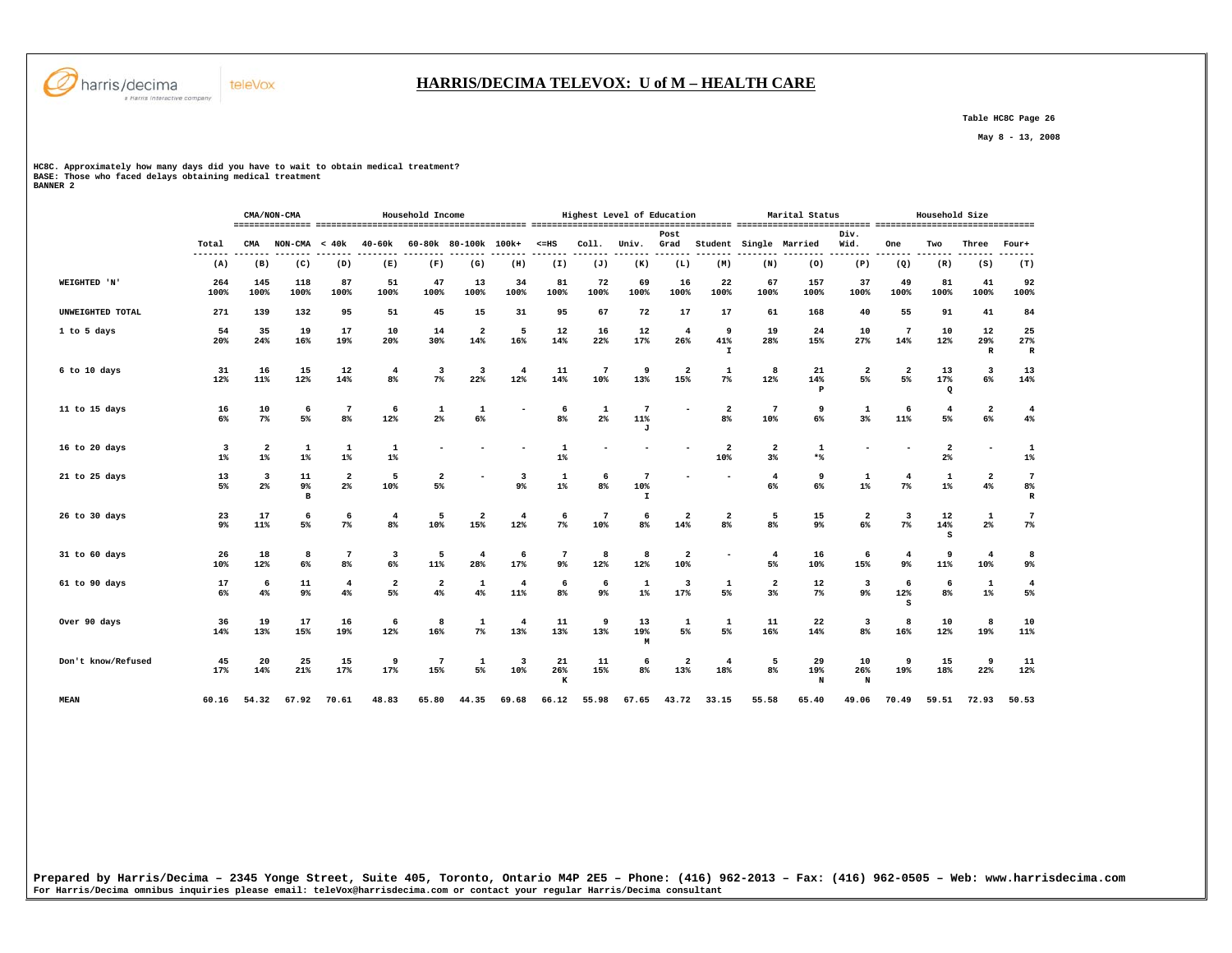

## **HARRIS/DECIMA TELEVOX: U of M – HEALTH CARE**

 **Table HC8C Page 26** 

 **May 8 - 13, 2008** 

**HC8C. Approximately how many days did you have to wait to obtain medical treatment? BASE: Those who faced delays obtaining medical treatment BANNER 2** 

|                    |                      |                         | CMA/NON-CMA   |                                           |                               | Household Income              |                                |                       |                      |                       | Highest Level of Education            |                                |                                           |                               | Marital Status            |                               |                                  | Household Size                   |                                  |                            |
|--------------------|----------------------|-------------------------|---------------|-------------------------------------------|-------------------------------|-------------------------------|--------------------------------|-----------------------|----------------------|-----------------------|---------------------------------------|--------------------------------|-------------------------------------------|-------------------------------|---------------------------|-------------------------------|----------------------------------|----------------------------------|----------------------------------|----------------------------|
|                    | Total                | CMA                     | NON-CMA       | < 40k                                     | $40 - 60k$                    |                               | 60-80k 80-100k 100k+           |                       | $< = HS$             | Coll.                 | Univ.                                 | Post<br>Grad                   | Student                                   |                               | Single Married            | Div.<br>Wid.                  | One                              | Two                              | Three                            | Four+                      |
|                    | ---<br>(A)           | (B)                     | (C)           | (D)                                       | (E)                           | (F)                           | (G)                            | (H)                   | (I)                  | (J)                   | (K)                                   | (L)                            | (M)                                       | (N)                           | (0)                       | (P)                           | (Q)                              | (R)                              | (S)                              | (T)                        |
| WEIGHTED 'N'       | 264<br>100%          | 145<br>100%             | 118<br>100%   | 87<br>100%                                | 51<br>100%                    | 47<br>100%                    | 13<br>100%                     | 34<br>100%            | 81<br>100%           | 72<br>100%            | 69<br>100%                            | 16<br>100%                     | 22<br>100%                                | 67<br>100%                    | 157<br>100%               | 37<br>100%                    | 49<br>100%                       | 81<br>100%                       | 41<br>100%                       | 92<br>100%                 |
| UNWEIGHTED TOTAL   | 271                  | 139                     | 132           | 95                                        | 51                            | 45                            | 15                             | 31                    | 95                   | 67                    | 72                                    | 17                             | 17                                        | 61                            | 168                       | 40                            | 55                               | 91                               | 41                               | 84                         |
| 1 to 5 days        | 54<br>20%            | 35<br>24%               | 19<br>16%     | 17<br>19%                                 | 10<br>20%                     | 14<br>30%                     | $\overline{2}$<br>14%          | 5<br>16%              | 12<br>14%            | 16<br>22%             | 12<br>17%                             | $\overline{4}$<br>26%          | 9<br>41%<br>$\mathbf{I}$                  | 19<br>28%                     | 24<br>15%                 | 10<br>27%                     | 7<br>14%                         | 10<br>12%                        | 12<br>29%<br>$\, {\bf R}$        | 25<br>27%<br>R             |
| 6 to 10 days       | 31<br>12%            | 16<br>11%               | 15<br>12%     | 12<br>14%                                 | $\overline{4}$<br>8%          | 3<br>$7\%$                    | $\overline{\mathbf{3}}$<br>22% | $\overline{4}$<br>12% | 11<br>14%            | $\overline{7}$<br>10% | 9<br>13%                              | $\mathbf{2}$<br>15%            | $\mathbf 1$<br>$7\%$                      | 8<br>12%                      | 21<br>14%<br>$\, {\bf P}$ | $\overline{2}$<br>5%          | $\overline{2}$<br>5%             | 13<br>17%<br>Q                   | $\overline{\mathbf{3}}$<br>6%    | 13<br>14%                  |
| 11 to 15 days      | 16<br>6%             | 10<br>$7\%$             | 6<br>5%       | $\overline{7}$<br>8%                      | 6<br>12%                      | 1<br>2 <sup>°</sup>           | 1<br>6%                        |                       | 6<br>8 <sup>8</sup>  | 1<br>$2\%$            | 7<br>11%<br>J                         |                                | $\overline{\mathbf{2}}$<br>8 <sup>8</sup> | $\overline{7}$<br>10%         | 9<br>6%                   | 1<br>3 <sup>8</sup>           | 6<br>11%                         | 4<br>5%                          | $\overline{\mathbf{2}}$<br>6%    | $\overline{4}$<br>4%       |
| 16 to 20 days      | 3<br>$1\%$           | $\overline{2}$<br>$1\%$ | 1<br>$1\%$    | $\mathbf 1$<br>$1\%$                      | $\mathbf 1$<br>$1\%$          |                               |                                |                       | $\mathbf 1$<br>$1\%$ |                       |                                       |                                | $\overline{a}$<br>10%                     | $\overline{\mathbf{2}}$<br>3% | $\mathbf 1$<br>$*$        |                               |                                  | $\overline{\mathbf{2}}$<br>$2\%$ |                                  | 1<br>$1\%$                 |
| 21 to 25 days      | 13<br>5%             | 3<br>2%                 | 11<br>9%<br>в | $\overline{\mathbf{2}}$<br>2 <sup>°</sup> | 5<br>10%                      | $\overline{2}$<br>5%          |                                | 3<br>$9\%$            | 1<br>$1\%$           | 6<br>8 <sup>8</sup>   | $\overline{7}$<br>10%<br>$\mathbf{I}$ |                                |                                           | $\overline{4}$<br>6%          | 9<br>6%                   | 1<br>$1\%$                    | $\overline{4}$<br>7%             | 1<br>$1\%$                       | $\overline{\mathbf{2}}$<br>$4\%$ | $7\phantom{.0}$<br>8%<br>R |
| 26 to 30 days      | 23<br>9 <sup>°</sup> | 17<br>11%               | 6<br>5%       | 6<br>7 <sup>8</sup>                       | $\overline{4}$<br>8%          | 5<br>10%                      | $\overline{a}$<br>15%          | $\overline{4}$<br>12% | 6<br>$7\%$           | $\overline{7}$<br>10% | 6<br>8 <sup>°</sup>                   | $\overline{\mathbf{2}}$<br>14% | $\overline{\mathbf{2}}$<br>8%             | 5<br>8%                       | 15<br>9%                  | $\overline{\mathbf{2}}$<br>6% | $\overline{\mathbf{3}}$<br>$7\%$ | 12<br>14%<br>s                   | $\mathbf 1$<br>$2\%$             | $7\phantom{.0}$<br>$7\%$   |
| 31 to 60 days      | 26<br>10%            | 18<br>12%               | 8<br>6%       | 7<br>8%                                   | 3<br>6%                       | 5<br>11%                      | $\overline{4}$<br>28%          | 6<br>17%              | 7<br>9%              | 8<br>12%              | 8<br>12%                              | $\overline{\mathbf{2}}$<br>10% |                                           | $\overline{4}$<br>5%          | 16<br>10%                 | 6<br>15%                      | $\overline{4}$<br>9 <sup>°</sup> | 9<br>11%                         | $\overline{4}$<br>10%            | 8<br>9%                    |
| 61 to 90 days      | 17<br>6%             | 6<br>4%                 | 11<br>9%      | $\overline{4}$<br>4%                      | $\overline{\mathbf{2}}$<br>5% | $\overline{\mathbf{2}}$<br>4% | 1<br>4%                        | 4<br>11%              | 6<br>8 <sup>8</sup>  | 6<br>9%               | 1<br>$1\%$                            | 3<br>17%                       | 1<br>5%                                   | $\overline{\mathbf{2}}$<br>3% | 12<br>$7\%$               | 3<br>9%                       | 6<br>12%<br>S                    | 6<br>8 <sup>8</sup>              | $\mathbf 1$<br>$1\%$             | $\overline{4}$<br>5%       |
| Over 90 days       | 36<br>14%            | 19<br>13%               | 17<br>15%     | 16<br>19%                                 | 6<br>12%                      | 8<br>16%                      | $\mathbf{1}$<br>$7\%$          | $\overline{4}$<br>13% | 11<br>13%            | 9<br>13%              | 13<br>19%<br>M                        | $\mathbf{1}$<br>5%             | $\mathbf 1$<br>5%                         | 11<br>16%                     | 22<br>14%                 | 3<br>8%                       | 8<br>16%                         | 10<br>12%                        | 8<br>19%                         | 10<br>$11\%$               |
| Don't know/Refused | 45<br>17%            | 20<br>14%               | 25<br>21%     | 15<br>17%                                 | 9<br>17%                      | 7<br>15%                      | 1<br>5%                        | 3<br>10%              | 21<br>26%<br>к       | 11<br>15%             | 6<br>8 <sup>°</sup>                   | $\overline{\mathbf{2}}$<br>13% | $\overline{4}$<br>18%                     | 5<br>8%                       | 29<br>19%<br>N            | 10<br>26%<br>N                | 9<br>19%                         | 15<br>18%                        | 9<br>22%                         | 11<br>12%                  |
| <b>MEAN</b>        | 60.16                | 54.32                   | 67.92         | 70.61                                     | 48.83                         | 65.80                         | 44.35                          | 69.68                 | 66.12                | 55.98                 | 67.65                                 | 43.72                          | 33.15                                     | 55.58                         | 65.40                     | 49.06                         | 70.49                            | 59.51                            | 72.93                            | 50.53                      |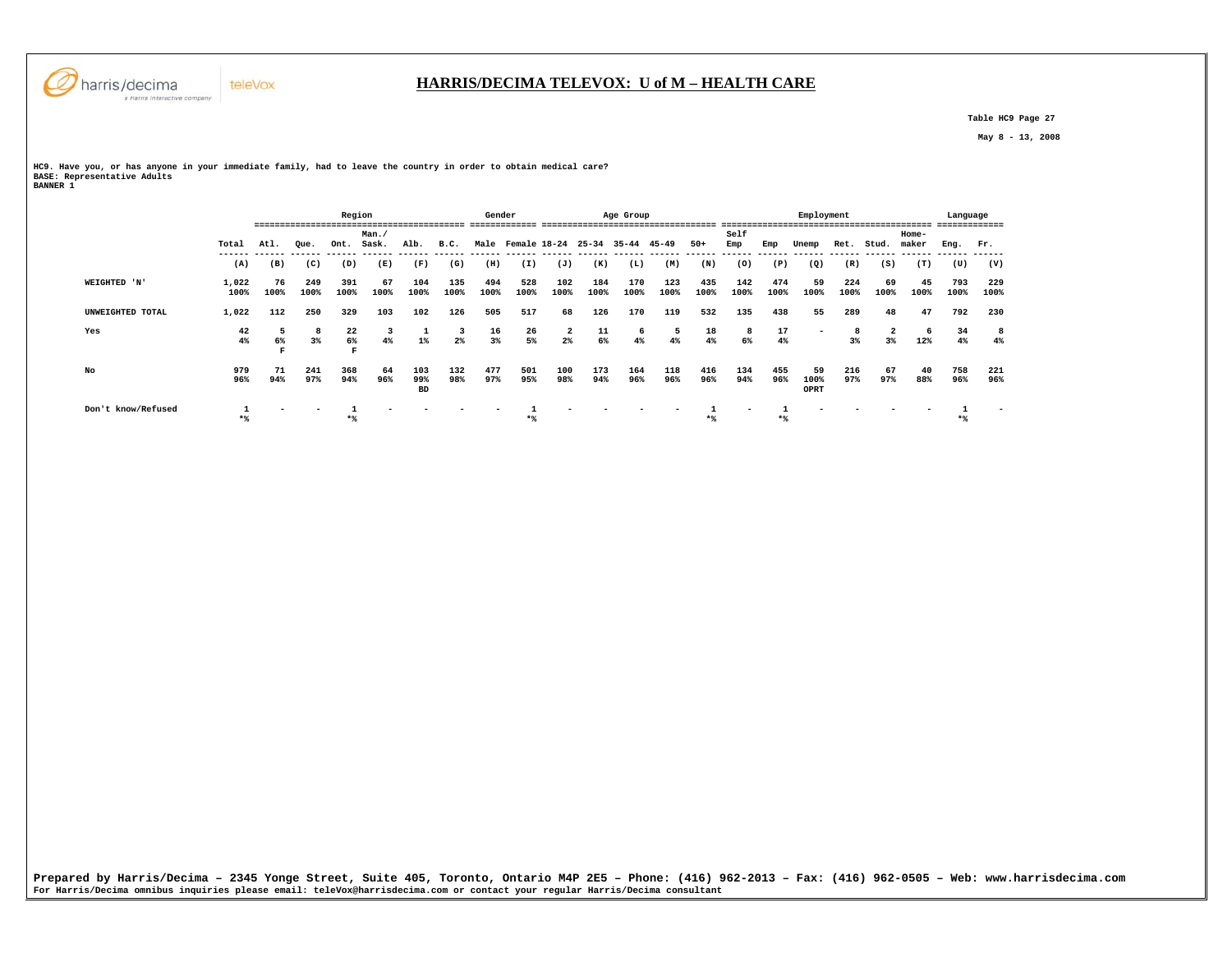

 **Table HC9 Page 27** 

 **May 8 - 13, 2008** 

**HC9. Have you, or has anyone in your immediate family, had to leave the country in order to obtain medical care? BASE: Representative Adults BANNER 1** 

|                    |                  |            | ------------------- | Region                |               |                         |                 | Gender         |                                     |               |                  | Age Group       |             |                  |             |             | Employment               |             |            |                | Language    | ----------- |
|--------------------|------------------|------------|---------------------|-----------------------|---------------|-------------------------|-----------------|----------------|-------------------------------------|---------------|------------------|-----------------|-------------|------------------|-------------|-------------|--------------------------|-------------|------------|----------------|-------------|-------------|
|                    | Total            | Atl.       | Que.                | Ont.                  | Man.<br>Sask. | Alb.                    | B.C.            |                | Male Female 18-24 25-34 35-44 45-49 |               |                  |                 |             | $50+$            | Self<br>Emp | Emp         | Unemp                    |             | Ret. Stud. | Home-<br>maker | Eng. Fr.    |             |
|                    | (A)              | (B)        | (C)                 | (D)                   | (E)           | (F)                     | (G)             | (H)            | (I)                                 | (J)           | (K)              | (L)             | (M)         | (N)              | (0)         | (P)         | (Q)                      | (R)         | (S)        | (T)            | (U)         | (V)         |
| WEIGHTED 'N'       | 1,022<br>100%    | 76<br>100% | 249<br>100%         | 391<br>100%           | 67<br>100%    | 104<br>100%             | 135<br>100%     | 494<br>100%    | 528<br>100%                         | 102<br>100%   | 184<br>100%      | 170<br>100%     | 123<br>100% | 435<br>100%      | 142<br>100% | 474<br>100% | 59<br>100%               | 224<br>100% | 69<br>100% | 45<br>100%     | 793<br>100% | 229<br>100% |
| UNWEIGHTED TOTAL   | 1,022            | 112        | 250                 | 329                   | 103           | 102                     | 126             | 505            | 517                                 | 68            | 126              | 170             | 119         | 532              | 135         | 438         | 55                       | 289         | 48         | 47             | 792         | 230         |
| Yes                | $\frac{42}{4\%}$ | 6%         | 3%                  | $\frac{22}{6\%}$<br>F | 4%            | $\frac{1}{1\%}$         | $\frac{3}{2\%}$ | $\frac{16}{3}$ | $\frac{26}{5}$                      | $\frac{2}{2}$ | $\frac{11}{6\%}$ | $\frac{6}{4\%}$ | 5<br>4%     | $\frac{18}{4\%}$ | 8<br>6%     | 17<br>4%    | $\overline{\phantom{0}}$ | $3\%$       | $3\%$      | - 6<br>12%     | 34<br>4%    | 4%          |
| No                 | 979<br>96%       | 71<br>94%  | 241<br>97%          | 368<br>94%            | 64<br>96%     | 103<br>99%<br><b>BD</b> | 132<br>98%      | 477<br>97%     | 501<br>95%                          | 100<br>98%    | 173<br>94%       | 164<br>96%      | 118<br>96%  | 416<br>96%       | 134<br>94%  | 455<br>96%  | 59<br>100%<br>OPRT       | 216<br>97%  | 67<br>97%  | 40<br>88%      | 758<br>96%  | 221<br>96%  |
| Don't know/Refused | $*$              |            |                     | $*$                   |               |                         |                 |                | $*$                                 |               |                  |                 |             | $*$              |             | $*$ %       |                          |             |            |                |             |             |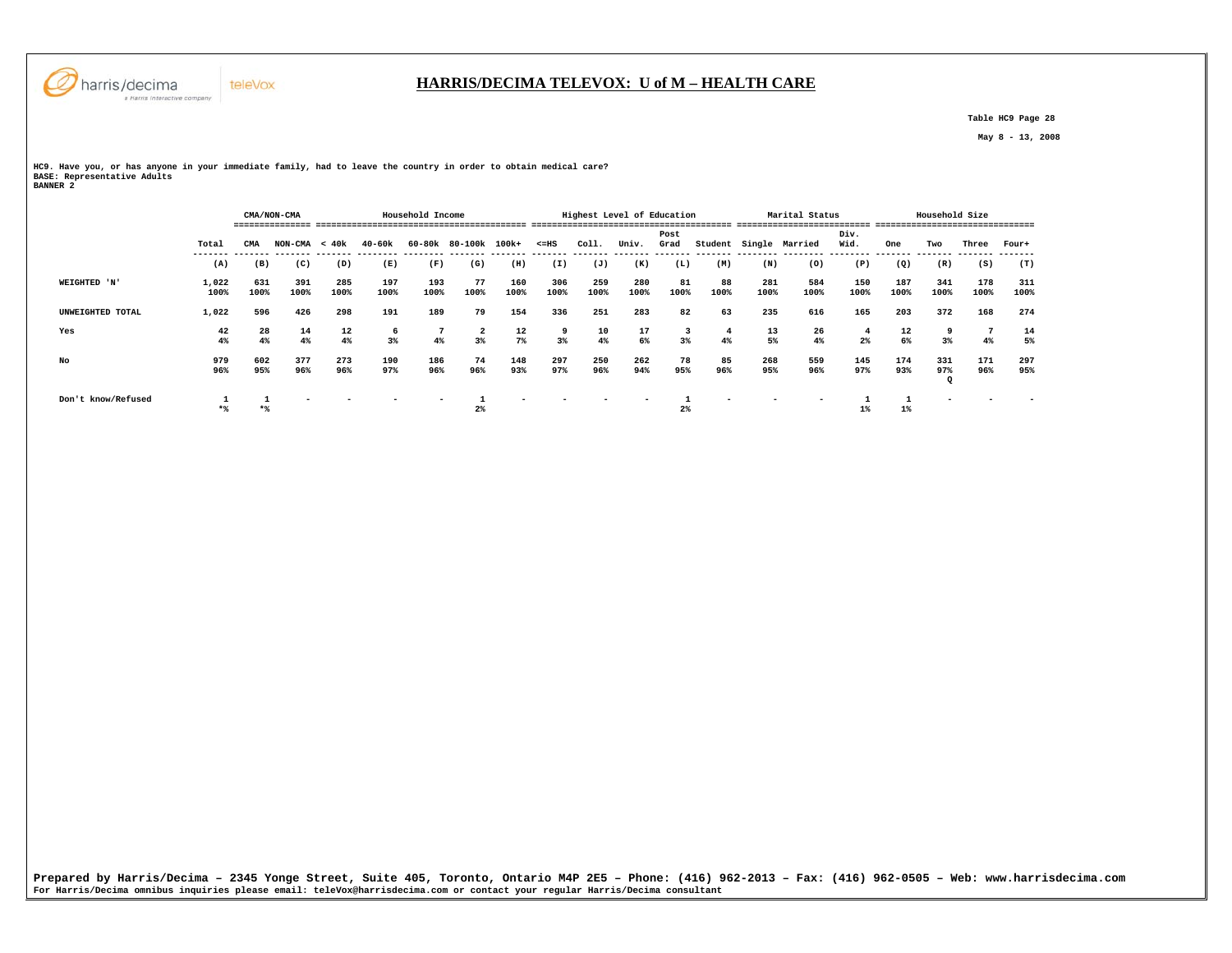

 **Table HC9 Page 28** 

 **May 8 - 13, 2008** 

**HC9. Have you, or has anyone in your immediate family, had to leave the country in order to obtain medical care? BASE: Representative Adults BANNER 2** 

teleVox

 **CMA/NON-CMA Household Income Highest Level of Education Marital Status Household Size =============== ========================================= ======================================= ========================== =============================== Post Div.** Wid.  **Total CMA NON-CMA < 40k 40-60k 60-80k 80-100k 100k+ <=HS Coll. Univ. Grad Student Single Married Wid. One Two Three Four+ ------- ------- ------- ------- -------- -------- ------- ------- ------- ------- ------- ------- ------- -------- -------- -------- ------- ------- ------- -------**  $(T)$  **(A) (B) (C) (D) (E) (F) (G) (H) (I) (J) (K) (L) (M) (N) (O) (P) (Q) (R) (S) (T) WEIGHTED 'N' 1,022 631 391 285 197 193 77 160 306 259 280 81 88 281 584 150 187 341 178 311 100% 100% 100% 100% 100% 100% 100% 100% 100% 100% 100% 100% 100% 100% 100% 100% 100% 100% 100% 100% UNWEIGHTED TOTAL 1,022 596 426 298 191 189 79 154 336 251 283 82 63 235 616 165 203 372 168 274 Yes 42 28 14 12 6 7 2 12 9 10 17 3 4 13 26 4 12 9 7 14 4% 4% 4% 4% 3% 4% 3% 7% 3% 4% 6% 3% 4% 5% 4% 2% 6% 3% 4% 5% No 979 602 377 273 190 186 74 148 297 250 262 78 85 268 559 145 174 331 171 297 96% 95% 96% 96% 97% 96% 96% 93% 97% 96% 94% 95% 96% 95% 96% 97% 93% 97% 96% 95% Q Don't know/Refused 1 1 - - - - 1 - - - - 1 - - - 1 1 - - - \*% \*% 2% 2% 1% 1%**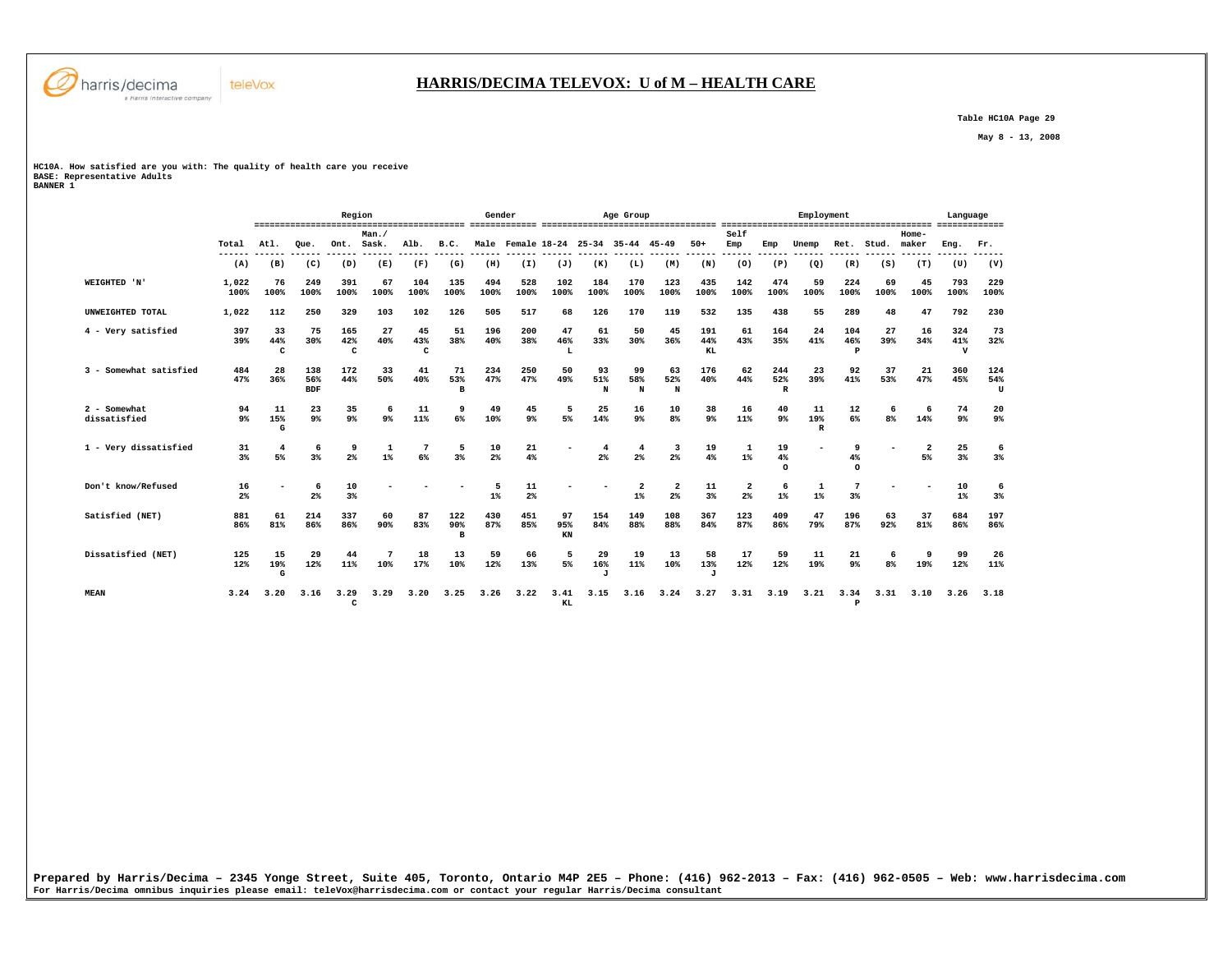

 **Table HC10A Page 29** 

 **May 8 - 13, 2008** 

# **HC10A. How satisfied are you with: The quality of health care you receive BASE: Representative Adults BANNER 1**

|                              |                      |                |                          | Region          |                                  |                |                            | Gender      |                      |                 |                           | Age Group                           |                               |                           |                      |                            | Employment                |                     |            |                      | Language                  |                 |
|------------------------------|----------------------|----------------|--------------------------|-----------------|----------------------------------|----------------|----------------------------|-------------|----------------------|-----------------|---------------------------|-------------------------------------|-------------------------------|---------------------------|----------------------|----------------------------|---------------------------|---------------------|------------|----------------------|---------------------------|-----------------|
|                              | Total                | Atl.           | Oue.                     | Ont.            | Man./<br>Sask.                   | Alb.           | B.C.<br>----               |             |                      |                 |                           | Male Female 18-24 25-34 35-44 45-49 |                               | $50+$                     | Self<br>Emp<br>----- | Emp                        | Unemp                     | Ret.                | Stud.      | Home-<br>maker       | Eng.                      | Fr.             |
|                              | (A)                  | (B)            | (C)                      | (D)             | (E)                              | (F)            | (G)                        | (H)         | (I)                  | (J)             | (K)                       | (L)                                 | (M)                           | (N)                       | (0)                  | (P)                        | (Q)                       | (R)                 | (S)        | (T)                  | (U)                       | (V)             |
| WEIGHTED 'N'                 | 1,022<br>100%        | 76<br>100%     | 249<br>100%              | 391<br>100%     | 67<br>100%                       | 104<br>100%    | 135<br>100%                | 494<br>100% | 528<br>100%          | 102<br>100%     | 184<br>100%               | 170<br>100%                         | 123<br>100%                   | 435<br>100%               | 142<br>100%          | 474<br>100%                | 59<br>100%                | 224<br>100%         | 69<br>100% | 45<br>100%           | 793<br>100%               | 229<br>100%     |
| UNWEIGHTED TOTAL             | 1,022                | 112            | 250                      | 329             | 103                              | 102            | 126                        | 505         | 517                  | 68              | 126                       | 170                                 | 119                           | 532                       | 135                  | 438                        | 55                        | 289                 | 48         | 47                   | 792                       | 230             |
| 4 - Very satisfied           | 397<br>39%           | 33<br>44%<br>c | 75<br>30%                | 165<br>42%<br>c | 27<br>40%                        | 45<br>43%<br>C | 51<br>38%                  | 196<br>40%  | 200<br>38%           | 47<br>46%<br>L  | 61<br>33%                 | 50<br>30%                           | 45<br>36%                     | 191<br>44%<br>KL          | 61<br>43%            | 164<br>35%                 | 24<br>41%                 | 104<br>46%<br>Þ     | 27<br>39%  | 16<br>34%            | 324<br>41%<br>$\mathbf v$ | 73<br>32%       |
| 3 - Somewhat satisfied       | 484<br>47%           | 28<br>36%      | 138<br>56%<br><b>BDF</b> | 172<br>44%      | 33<br>50%                        | 41<br>40%      | 71<br>53%<br>в             | 234<br>47%  | 250<br>47%           | 50<br>49%       | 93<br>51%<br>N            | 99<br>58%<br>N                      | 63<br>52%<br>N                | 176<br>40%                | 62<br>44%            | 244<br>52%<br>$\mathbb{R}$ | 23<br>39%                 | 92<br>41%           | 37<br>53%  | 21<br>47%            | 360<br>45%                | 124<br>54%<br>U |
| 2 - Somewhat<br>dissatisfied | 94<br>9 <sup>°</sup> | 11<br>15%<br>G | 23<br>$9\%$              | 35<br>$9\%$     | 6<br>9 <sup>°</sup>              | 11<br>11%      | 9<br>6%                    | 49<br>10%   | 45<br>$9\%$          | 5<br>5%         | 25<br>14%                 | 16<br>$9\%$                         | 10<br>8 <sup>°</sup>          | 38<br>9%                  | 16<br>11%            | 40<br>9 <sup>°</sup>       | 11<br>19%<br>$\mathbb{R}$ | 12<br>6%            | 6<br>8%    | 6<br>14%             | 74<br>9 <sup>°</sup>      | 20<br>9%        |
| 1 - Verv dissatisfied        | 31<br>3%             | 4<br>5%        | 6<br>3%                  | 9<br>2%         | $\mathbf{1}$<br>$1$ <sup>*</sup> | 6%             | 5<br>3%                    | 10<br>2%    | 21<br>4%             |                 | $2\%$                     | $\overline{4}$<br>$2\%$             | $2\%$                         | 19<br>4%                  | $1\%$                | 19<br>$4\%$<br>$\Omega$    |                           | 9<br>4%<br>$\Omega$ |            | $\overline{2}$<br>5% | 25<br>3%                  | 6<br>3%         |
| Don't know/Refused           | 16<br>2 <sup>°</sup> |                | 6<br>2%                  | 10<br>3%        |                                  |                |                            | 5<br>$1\%$  | 11<br>2 <sup>8</sup> |                 |                           | $\overline{a}$<br>$1\%$             | $\overline{\mathbf{2}}$<br>2% | 11<br>3%                  | 2<br>2%              | -6<br>$1\%$                | 1<br>$1\%$                | 3%                  |            |                      | 10<br>$1\%$               | 6<br>3%         |
| Satisfied (NET)              | 881<br>86%           | 61<br>81%      | 214<br>86%               | 337<br>86%      | 60<br>90%                        | 87<br>83%      | 122<br>90%<br>$\mathbf{B}$ | 430<br>87%  | 451<br>85%           | 97<br>95%<br>KN | 154<br>84%                | 149<br>88%                          | 108<br>88%                    | 367<br>84%                | 123<br>87%           | 409<br>86%                 | 47<br>79%                 | 196<br>87%          | 63<br>92%  | 37<br>81%            | 684<br>86%                | 197<br>86%      |
| Dissatisfied (NET)           | 125<br>12%           | 15<br>19%<br>G | 29<br>12%                | 44<br>11%       | 10%                              | 18<br>17%      | 13<br>10%                  | 59<br>12%   | 66<br>13%            | 5<br>5%         | 29<br>16%<br>$\mathbf{J}$ | 19<br>11%                           | 13<br>10%                     | 58<br>13%<br>$\mathbf{J}$ | 17<br>12%            | 59<br>12%                  | 11<br>19%                 | 21<br>9%            | 6<br>8%    | 9<br>19%             | 99<br>12%                 | 26<br>11%       |
| <b>MEAN</b>                  | 3.24                 | 3.20           | 3.16                     | 3.29<br>C       | 3.29                             | 3.20           | 3.25                       | 3.26        | 3.22                 | 3.41<br>KL      | 3.15                      | 3.16                                | 3.24                          | 3.27                      | 3.31                 | 3.19                       | 3.21                      | 3.34<br>P           | 3.31       | 3.10                 | 3.26                      | 3.18            |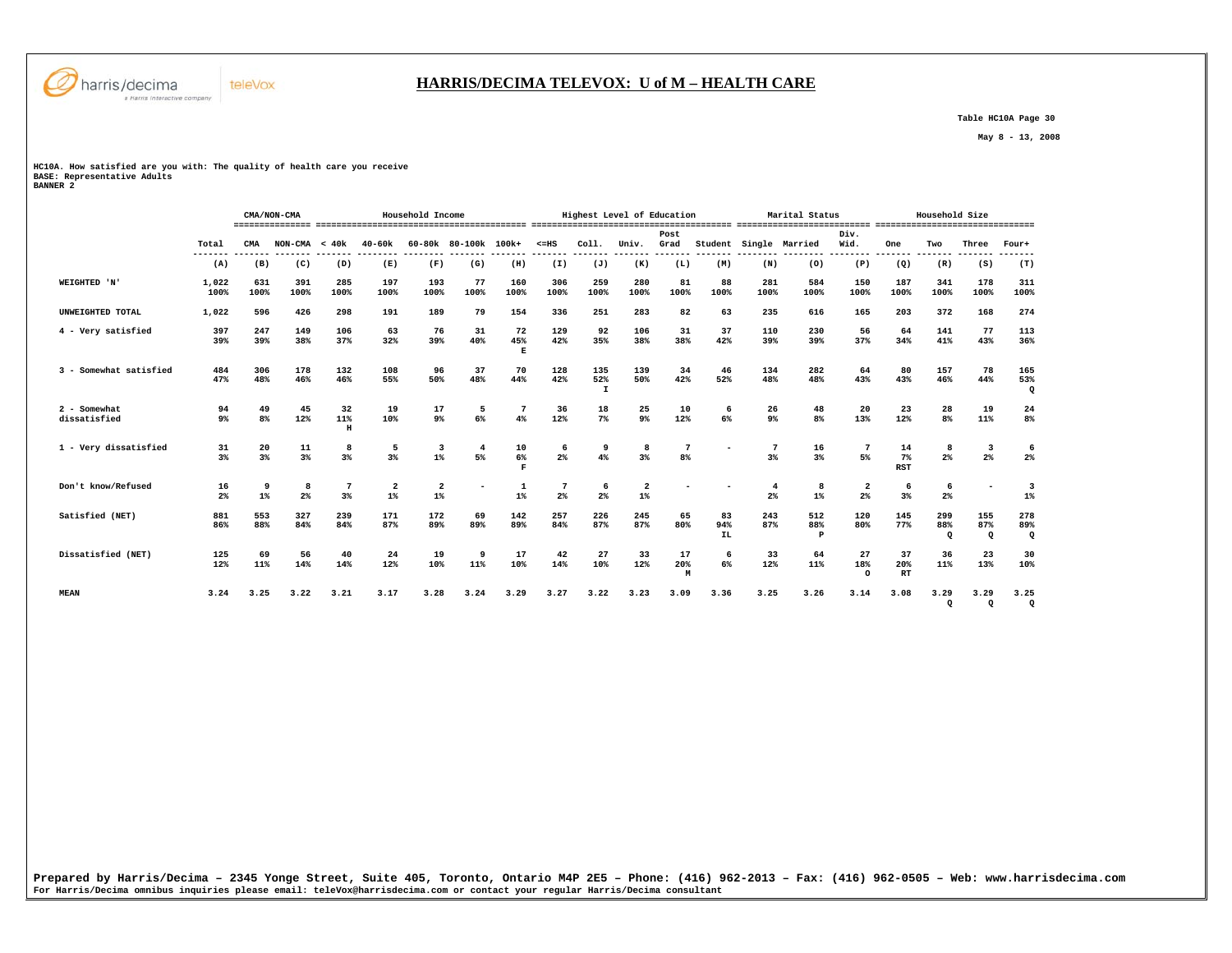

## **HARRIS/DECIMA TELEVOX: U of M – HEALTH CARE**

 **Table HC10A Page 30** 

 **May 8 - 13, 2008** 

**HC10A. How satisfied are you with: The quality of health care you receive BASE: Representative Adults BANNER 2** 

|                              |                      |             | CMA/NON-CMA         |                          |                                  | Household Income        |                      |                |                             |                            | Highest Level of Education |                         |                        |                        | Marital Status  |                                           |                        | Household Size        |                       |                        |
|------------------------------|----------------------|-------------|---------------------|--------------------------|----------------------------------|-------------------------|----------------------|----------------|-----------------------------|----------------------------|----------------------------|-------------------------|------------------------|------------------------|-----------------|-------------------------------------------|------------------------|-----------------------|-----------------------|------------------------|
|                              | Total<br>-------     | CMA         | $NON-CMA < 40k$     |                          | $40 - 60k$<br>--------           |                         | 60-80k 80-100k 100k+ |                | $< = HS$<br>------- ------- | Coll.<br>--------          | Univ.<br>--------          | Post<br>Grad<br>------- |                        | Student Single Married | -----           | Div.<br>Wid.<br>-------                   | <b>One</b><br>-------- | Two<br>-------        | Three                 | Four+                  |
|                              | (A)                  | (B)         | (C)                 | (D)                      | (E)                              | (F)                     | (G)                  | (H)            | (I)                         | (J)                        | (K)                        | (L)                     | (M)                    | (N)                    | (0)             | (P)                                       | (Q)                    | (R)                   | (S)                   | (T)                    |
| WEIGHTED 'N'                 | 1,022<br>100%        | 631<br>100% | 391<br>100%         | 285<br>100%              | 197<br>100%                      | 193<br>100%             | 77<br>100%           | 160<br>100%    | 306<br>100%                 | 259<br>100%                | 280<br>100%                | 81<br>100%              | 88<br>100%             | 281<br>100%            | 584<br>100%     | 150<br>100%                               | 187<br>100%            | 341<br>100%           | 178<br>100%           | 311<br>100%            |
| UNWEIGHTED TOTAL             | 1,022                | 596         | 426                 | 298                      | 191                              | 189                     | 79                   | 154            | 336                         | 251                        | 283                        | 82                      | 63                     | 235                    | 616             | 165                                       | 203                    | 372                   | 168                   | 274                    |
| 4 - Very satisfied           | 397<br>39%           | 247<br>39%  | 149<br>38%          | 106<br>37%               | 63<br>32%                        | 76<br>39%               | 31<br>40%            | 72<br>45%<br>Е | 129<br>42%                  | 92<br>35%                  | 106<br>38%                 | 31<br>38%               | 37<br>42%              | 110<br>39%             | 230<br>39%      | 56<br>37%                                 | 64<br>34%              | 141<br>41%            | 77<br>43%             | 113<br>36%             |
| 3 - Somewhat satisfied       | 484<br>47%           | 306<br>48%  | 178<br>46%          | 132<br>46%               | 108<br>55%                       | 96<br>50%               | 37<br>48%            | 70<br>44%      | 128<br>42%                  | 135<br>52%<br>$\mathbf{I}$ | 139<br>50%                 | 34<br>42%               | 46<br>52%              | 134<br>48%             | 282<br>48%      | 64<br>43%                                 | 80<br>43%              | 157<br>46%            | 78<br>44%             | 165<br>53%<br>$\Omega$ |
| 2 - Somewhat<br>dissatisfied | 94<br>9 <sup>°</sup> | 49<br>8%    | 45<br>12%           | 32<br>11%<br>$\mathbf H$ | 19<br>10%                        | 17<br>9%                | 5<br>6%              | 7<br>4%        | 36<br>12%                   | 18<br>7 <sup>8</sup>       | 25<br>9%                   | 10<br>12%               | 6<br>6%                | 26<br>9 <sup>°</sup>   | 48<br>8%        | 20<br>13%                                 | 23<br>12%              | 28<br>8 <sup>8</sup>  | 19<br>11%             | 24<br>8%               |
| 1 - Very dissatisfied        | 31<br>3%             | 20<br>3%    | 11<br>3%            | 8<br>3%                  | 5<br>$3\%$                       | 3<br>$1\%$              | 4<br>5%              | 10<br>6%<br>F  | 6<br>2 <sup>°</sup>         | 9<br>4%                    | 8<br>3%                    | 7<br>8 <sup>8</sup>     |                        | 3%                     | 16<br>$3\%$     | 7<br>5%                                   | 14<br>$7\%$<br>RST     | 8<br>2 <sup>8</sup>   | 3<br>$2\%$            | 6<br>2%                |
| Don't know/Refused           | 16<br>2%             | 9<br>$1\%$  | 8<br>2 <sup>°</sup> | 7<br>3%                  | $\overline{\mathbf{2}}$<br>$1\%$ | $\overline{2}$<br>$1\%$ |                      | 1<br>$1\%$     | 7<br>2 <sup>°</sup>         | 6<br>2 <sup>°</sup>        | $\overline{2}$<br>$1\%$    |                         |                        | $2\%$                  | 8<br>$1\%$      | $\overline{\mathbf{2}}$<br>2 <sup>8</sup> | 6<br>3%                | 6<br>2 <sup>8</sup>   |                       | 3<br>$1\%$             |
| Satisfied (NET)              | 881<br>86%           | 553<br>88%  | 327<br>84%          | 239<br>84%               | 171<br>87%                       | 172<br>89%              | 69<br>89%            | 142<br>89%     | 257<br>84%                  | 226<br>87%                 | 245<br>87%                 | 65<br>80%               | 83<br>94%<br><b>IL</b> | 243<br>87%             | 512<br>88%<br>P | 120<br>80%                                | 145<br>77%             | 299<br>88%<br>$\circ$ | 155<br>87%<br>$\circ$ | 278<br>89%<br>$\Omega$ |
| Dissatisfied (NET)           | 125<br>12%           | 69<br>11%   | 56<br>14%           | 40<br>14%                | 24<br>12%                        | 19<br>10%               | 9<br>11%             | 17<br>10%      | 42<br>14%                   | 27<br>10%                  | 33<br>12%                  | 17<br>20%<br>M          | 6<br>6%                | 33<br>12%              | 64<br>11%       | 27<br>18%<br>$\Omega$                     | 37<br>20%<br>RT        | 36<br>11%             | 23<br>13%             | 30<br>10%              |
| <b>MEAN</b>                  | 3.24                 | 3.25        | 3.22                | 3.21                     | 3.17                             | 3.28                    | 3.24                 | 3.29           | 3.27                        | 3.22                       | 3.23                       | 3.09                    | 3.36                   | 3.25                   | 3.26            | 3.14                                      | 3.08                   | 3.29<br>$\Omega$      | 3.29<br>$\mathbf Q$   | 3.25<br>$\Omega$       |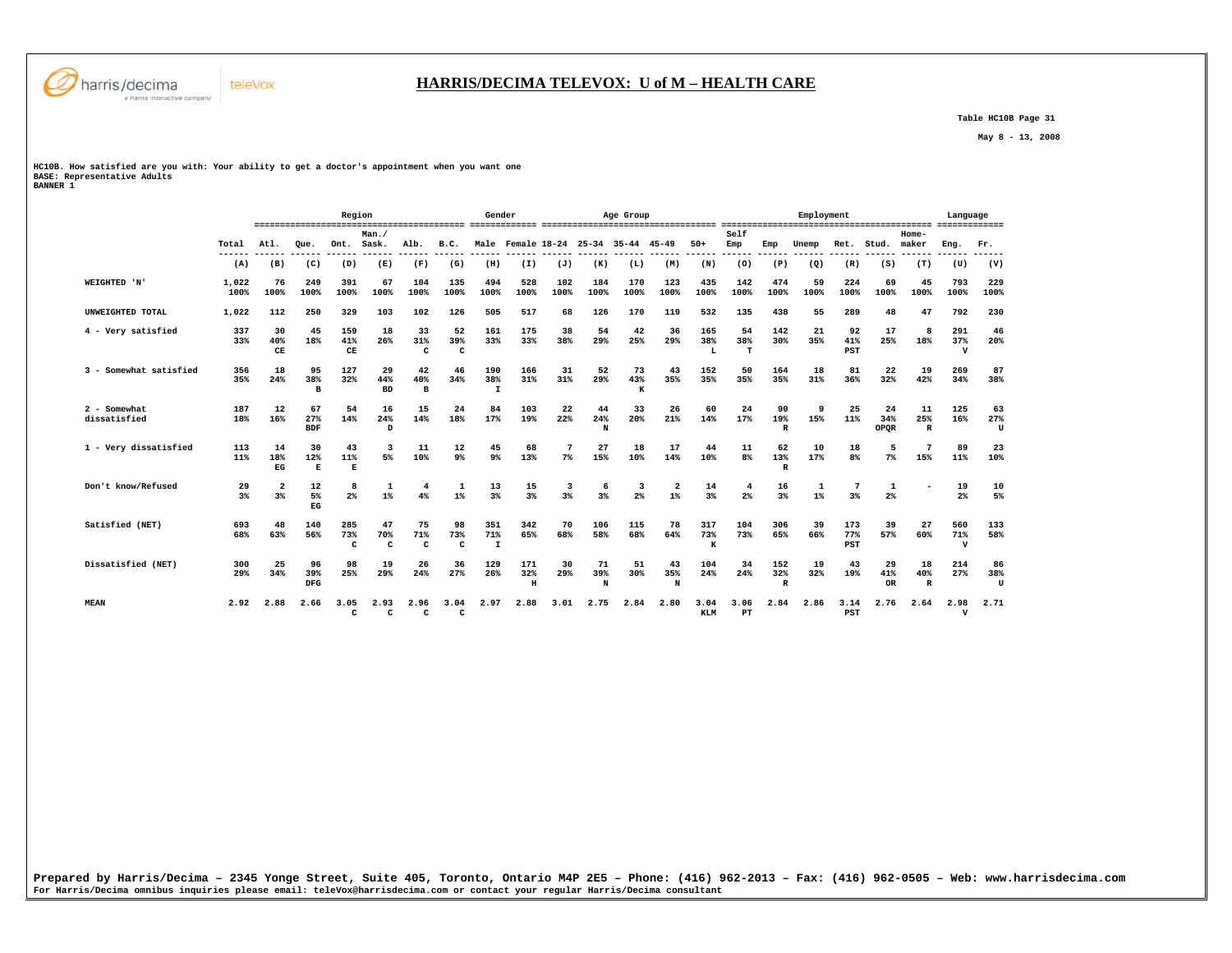

# **HARRIS/DECIMA TELEVOX: U of M – HEALTH CARE**

 **Table HC10B Page 31** 

 **May 8 - 13, 2008** 

**HC10B. How satisfied are you with: Your ability to get a doctor's appointment when you want one BASE: Representative Adults BANNER 1** 

|                              |                      |                                   |                           | Region               |                           |                           |                           | Gender                     |                      |             |                | Age Group                           |                               |                    |                |                            | Employment |                      |                          |                           | Language                   |                |
|------------------------------|----------------------|-----------------------------------|---------------------------|----------------------|---------------------------|---------------------------|---------------------------|----------------------------|----------------------|-------------|----------------|-------------------------------------|-------------------------------|--------------------|----------------|----------------------------|------------|----------------------|--------------------------|---------------------------|----------------------------|----------------|
|                              | Total                | Atl.                              | Oue.                      | Ont.                 | Man.<br>Sask.             | Alb.                      | B.C.                      |                            |                      |             |                | Male Female 18-24 25-34 35-44 45-49 |                               | $50+$              | Self<br>Emp    | Emp                        | Unemp      | Ret.                 | Stud.                    | Home-<br>maker            | Eng.                       | Fr.            |
|                              | (A)                  | (B)                               | (C)                       | (D)                  | (E)                       | (F)                       | (G)                       | (H)                        | (I)                  | (J)         | (K)            | (L)                                 | (M)                           | (N)                | (0)            | (P)                        | (Q)        | (R)                  | (S)                      | (T)                       | (U)                        | (V)            |
| WEIGHTED 'N'                 | 1,022<br>100%        | 76<br>100%                        | 249<br>100%               | 391<br>100%          | 67<br>100%                | 104<br>100%               | 135<br>100%               | 494<br>100%                | 528<br>100%          | 102<br>100% | 184<br>100%    | 170<br>100%                         | 123<br>100%                   | 435<br>100%        | 142<br>100%    | 474<br>100%                | 59<br>100% | 224<br>100%          | 69<br>100%               | 45<br>100%                | 793<br>100%                | 229<br>100%    |
| UNWEIGHTED TOTAL             | 1,022                | 112                               | 250                       | 329                  | 103                       | 102                       | 126                       | 505                        | 517                  | 68          | 126            | 170                                 | 119                           | 532                | 135            | 438                        | 55         | 289                  | 48                       | 47                        | 792                        | 230            |
| 4 - Very satisfied           | 337<br>33%           | 30<br>40%<br>$\mathbf C\mathbf E$ | 45<br>18%                 | 159<br>41%<br>CE     | 18<br>26%                 | 33<br>31%<br>C            | 52<br>39%<br>C            | 161<br>33%                 | 175<br>33%           | 38<br>38%   | 54<br>29%      | 42<br>25%                           | 36<br>29%                     | 165<br>38%<br>L    | 54<br>38%<br>T | 142<br>30%                 | 21<br>35%  | 92<br>41%<br>PST     | 17<br>25%                | 8<br>18%                  | 291<br>37%<br>$\mathbf{v}$ | 46<br>20%      |
| 3 - Somewhat satisfied       | 356<br>35%           | 18<br>24%                         | 95<br>38%<br>$\mathbf{B}$ | 127<br>32%           | 29<br>44%<br><b>BD</b>    | 42<br>40%<br>$\mathbf{B}$ | 46<br>34%                 | 190<br>38%<br>$\mathbf{I}$ | 166<br>31%           | 31<br>31%   | 52<br>29%      | 73<br>43%<br>к                      | 43<br>35%                     | 152<br>35%         | 50<br>35%      | 164<br>35%                 | 18<br>31%  | 81<br>36%            | 22<br>32%                | 19<br>42%                 | 269<br>34%                 | 87<br>38%      |
| 2 - Somewhat<br>dissatisfied | 187<br>18%           | 12<br>16%                         | 67<br>27%<br><b>BDF</b>   | 54<br>14%            | 16<br>24%<br>D            | 15<br>14%                 | 24<br>18%                 | 84<br>17%                  | 103<br>19%           | 22<br>22%   | 44<br>24%<br>N | 33<br>20%                           | 26<br>21%                     | 60<br>14%          | 24<br>17%      | 90<br>19%<br>R             | 9<br>15%   | 25<br>11%            | 24<br>34%<br><b>OPOR</b> | 11<br>25%<br>$\mathbb{R}$ | 125<br>16%                 | 63<br>27%<br>U |
| 1 - Very dissatisfied        | 113<br>11%           | 14<br>18%<br>EG                   | 30<br>12%<br>Е            | 43<br>11%<br>Е       | 3<br>5%                   | 11<br>10%                 | 12<br>9 <sup>°</sup>      | 45<br>9%                   | 68<br>13%            | $7\%$       | 27<br>15%      | 18<br>10%                           | 17<br>14%                     | 44<br>10%          | 11<br>8%       | 62<br>13%<br>$\mathbb{R}$  | 10<br>17%  | 18<br>8 <sup>8</sup> | 5<br>7%                  | 7<br>15%                  | 89<br>11%                  | 23<br>10%      |
| Don't know/Refused           | 29<br>3 <sup>8</sup> | $\overline{a}$<br>3%              | 12<br>5%<br>EG            | 8<br>2%              | $1\%$                     | 4<br>4%                   | -1<br>$1\%$               | 13<br>3%                   | 15<br>3%             | 3<br>3%     | -6<br>$3*$     | 3<br>2%                             | $\overline{\mathbf{2}}$<br>1% | 14<br>3%           | 4<br>2%        | 16<br>$3*$                 | 1<br>$1\%$ | $3*$                 | 1<br>2 <sup>°</sup>      |                           | 19<br>2 <sup>o</sup>       | 10<br>5%       |
| Satisfied (NET)              | 693<br>68%           | 48<br>63%                         | 140<br>56%                | 285<br>73%<br>C      | 47<br>70%<br>$\mathbf{C}$ | 75<br>71%<br>$\mathbf{C}$ | 98<br>73%<br>$\mathbf{C}$ | 351<br>71%<br>$\mathbf{I}$ | 342<br>65%           | 70<br>68%   | 106<br>58%     | 115<br>68%                          | 78<br>64%                     | 317<br>73%<br>K    | 104<br>73%     | 306<br>65%                 | 39<br>66%  | 173<br>77%<br>PST    | 39<br>57%                | 27<br>60%                 | 560<br>71%<br>$\mathbf{v}$ | 133<br>58%     |
| Dissatisfied (NET)           | 300<br>29%           | 25<br>34%                         | 96<br>39%<br>DFG          | 98<br>25%            | 19<br>29%                 | 26<br>24%                 | 36<br>27%                 | 129<br>26%                 | 171<br>32%<br>$\,$ H | 30<br>29%   | 71<br>39%<br>N | 51<br>30%                           | 43<br>35%<br>N                | 104<br>24%         | 34<br>24%      | 152<br>32%<br>$\mathbb{R}$ | 19<br>32%  | 43<br>19%            | 29<br>41%<br><b>OR</b>   | 18<br>40%<br>$\mathbb{R}$ | 214<br>27%                 | 86<br>38%<br>U |
| <b>MEAN</b>                  | 2.92                 | 2.88                              | 2.66                      | 3.05<br>$\mathbf{C}$ | 2.93<br>$\mathbf{C}$      | 2.96<br>c                 | 3.04<br>c                 | 2.97                       | 2.88                 | 3.01        | 2.75           | 2.84                                | 2.80                          | 3.04<br><b>KLM</b> | 3.06<br>PT     | 2.84                       | 2.86       | 3.14<br>PST          | 2.76                     | 2.64                      | 2.98<br>$\mathbf v$        | 2.71           |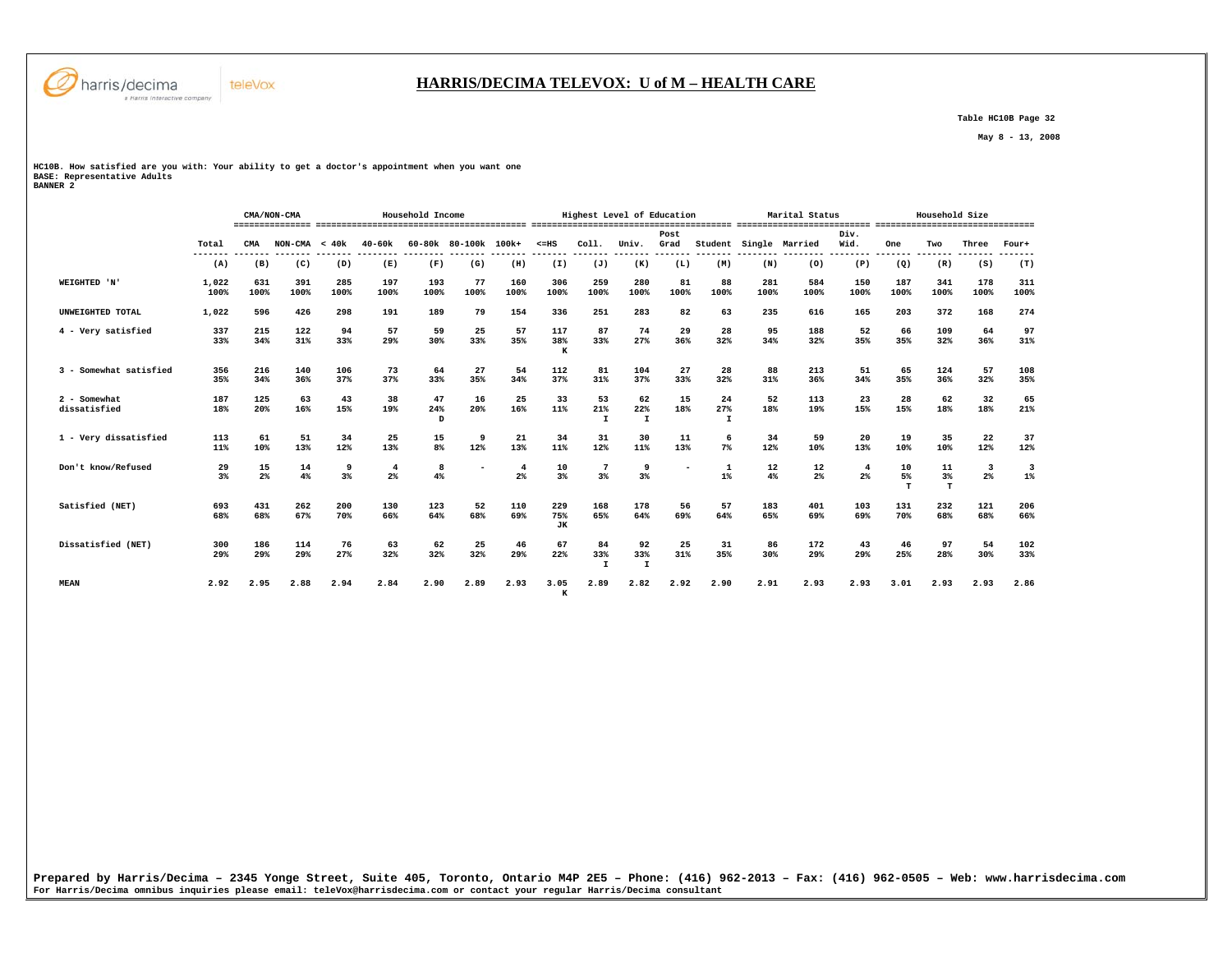

## **HARRIS/DECIMA TELEVOX: U of M – HEALTH CARE**

 **Table HC10B Page 32** 

 **May 8 - 13, 2008** 

**HC10B. How satisfied are you with: Your ability to get a doctor's appointment when you want one BASE: Representative Adults BANNER 2** 

|                              |                  |                | CMA/NON-CMA                 |             |                                  | Household Income |                      |                      |                         |                                  | Highest Level of Education |                              |                           |             | Marital Status                     |                         |                 | Household Size  |                  |             |
|------------------------------|------------------|----------------|-----------------------------|-------------|----------------------------------|------------------|----------------------|----------------------|-------------------------|----------------------------------|----------------------------|------------------------------|---------------------------|-------------|------------------------------------|-------------------------|-----------------|-----------------|------------------|-------------|
|                              | Total<br>------- | CMA<br>------- | $NON-CMA < 40k$<br>-------- | --------    | $40 - 60k$<br>--------- -------- |                  | 60-80k 80-100k 100k+ |                      | $< = HS$                | Col1.                            | Univ.                      | Post<br>Grad                 |                           |             | Student Single Married<br>-------- | Div.<br>Wid.<br>------- | One<br>-------- | Two<br>-------- | Three<br>------- | Four+       |
|                              | (A)              | (B)            | (C)                         | (D)         | (E)                              | (F)              | (G)                  | (H)                  | (I)                     | (J)                              | (K)                        | (L)                          | (M)                       | (N)         | (0)                                | (P)                     | (Q)             | (R)             | (S)              | (T)         |
| WEIGHTED 'N'                 | 1,022<br>100%    | 631<br>100%    | 391<br>100%                 | 285<br>100% | 197<br>100%                      | 193<br>100%      | 77<br>100%           | 160<br>100%          | 306<br>100%             | 259<br>100%                      | 280<br>100%                | 81<br>100%                   | 88<br>100%                | 281<br>100% | 584<br>100%                        | 150<br>100%             | 187<br>100%     | 341<br>100%     | 178<br>100%      | 311<br>100% |
| UNWEIGHTED TOTAL             | 1,022            | 596            | 426                         | 298         | 191                              | 189              | 79                   | 154                  | 336                     | 251                              | 283                        | 82                           | 63                        | 235         | 616                                | 165                     | 203             | 372             | 168              | 274         |
| 4 - Very satisfied           | 337<br>33%       | 215<br>34%     | 122<br>31%                  | 94<br>33%   | 57<br>29%                        | 59<br>30%        | 25<br>33%            | 57<br>35%            | 117<br>38%<br>к         | 87<br>33%                        | 74<br>27%                  | 29<br>36%                    | 28<br>32%                 | 95<br>34%   | 188<br>32%                         | 52<br>35%               | 66<br>35%       | 109<br>32%      | 64<br>36%        | 97<br>31%   |
| 3 - Somewhat satisfied       | 356<br>35%       | 216<br>34%     | 140<br>36%                  | 106<br>37%  | 73<br>37%                        | 64<br>33%        | 27<br>35%            | 54<br>34%            | 112<br>37%              | 81<br>31%                        | 104<br>37%                 | 27<br>33%                    | 28<br>32%                 | 88<br>31%   | 213<br>36%                         | 51<br>34%               | 65<br>35%       | 124<br>36%      | 57<br>32%        | 108<br>35%  |
| 2 - Somewhat<br>dissatisfied | 187<br>18%       | 125<br>20%     | 63<br>16%                   | 43<br>15%   | 38<br>19%                        | 47<br>24%<br>D   | 16<br>$20*$          | 25<br>16%            | 33<br>11%               | 53<br>21%<br>$\mathbf{I}$        | 62<br>22%<br>$\mathbf{I}$  | 15<br>18%                    | 24<br>27%<br>$\mathbf{I}$ | 52<br>18%   | 113<br>19%                         | 23<br>15%               | 28<br>15%       | 62<br>18%       | 32<br>18%        | 65<br>21%   |
| 1 - Very dissatisfied        | 113<br>11%       | 61<br>10%      | 51<br>13%                   | 34<br>12%   | 25<br>13%                        | 15<br>$8\%$      | 9<br>12%             | 21<br>13%            | 34<br>11%               | 31<br>12%                        | 30<br>11%                  | 11<br>13%                    | 6<br>$7\%$                | 34<br>12%   | 59<br>10%                          | 20<br>13%               | 19<br>10%       | 35<br>10%       | 22<br>12%        | 37<br>12%   |
| Don't know/Refused           | 29<br>3%         | 15<br>2%       | 14<br>4%                    | 9<br>3%     | $\overline{4}$<br>2%             | 8<br>4%          |                      | $\overline{4}$<br>2% | 10<br>$3*$              | $\overline{7}$<br>3 <sup>8</sup> | 9<br>$3*$                  | $\qquad \qquad \blacksquare$ | $\mathbf{1}$<br>$1\%$     | 12<br>4%    | 12<br>$2\%$                        | 2 <sup>8</sup>          | 10<br>5%<br>т   | 11<br>3%<br>T   | 3<br>$2\%$       | 3<br>$1\%$  |
| Satisfied (NET)              | 693<br>68%       | 431<br>68%     | 262<br>67%                  | 200<br>70%  | 130<br>66%                       | 123<br>64%       | 52<br>68%            | 110<br>69%           | 229<br>75%<br><b>JK</b> | 168<br>65%                       | 178<br>64%                 | 56<br>69%                    | 57<br>64%                 | 183<br>65%  | 401<br>69%                         | 103<br>69%              | 131<br>70%      | 232<br>68%      | 121<br>68%       | 206<br>66%  |
| Dissatisfied (NET)           | 300<br>29%       | 186<br>29%     | 114<br>29%                  | 76<br>27%   | 63<br>32%                        | 62<br>32%        | 25<br>32%            | 46<br>29%            | 67<br>22%               | 84<br>33%<br>$\mathbf{r}$        | 92<br>33%<br>$\mathbf{I}$  | 25<br>31%                    | 31<br>35%                 | 86<br>30%   | 172<br>29%                         | 43<br>29%               | 46<br>25%       | 97<br>28%       | 54<br>30%        | 102<br>33%  |
| <b>MEAN</b>                  | 2.92             | 2.95           | 2.88                        | 2.94        | 2.84                             | 2.90             | 2.89                 | 2.93                 | 3.05<br>$\mathbf{K}$    | 2.89                             | 2.82                       | 2.92                         | 2.90                      | 2.91        | 2.93                               | 2.93                    | 3.01            | 2.93            | 2.93             | 2.86        |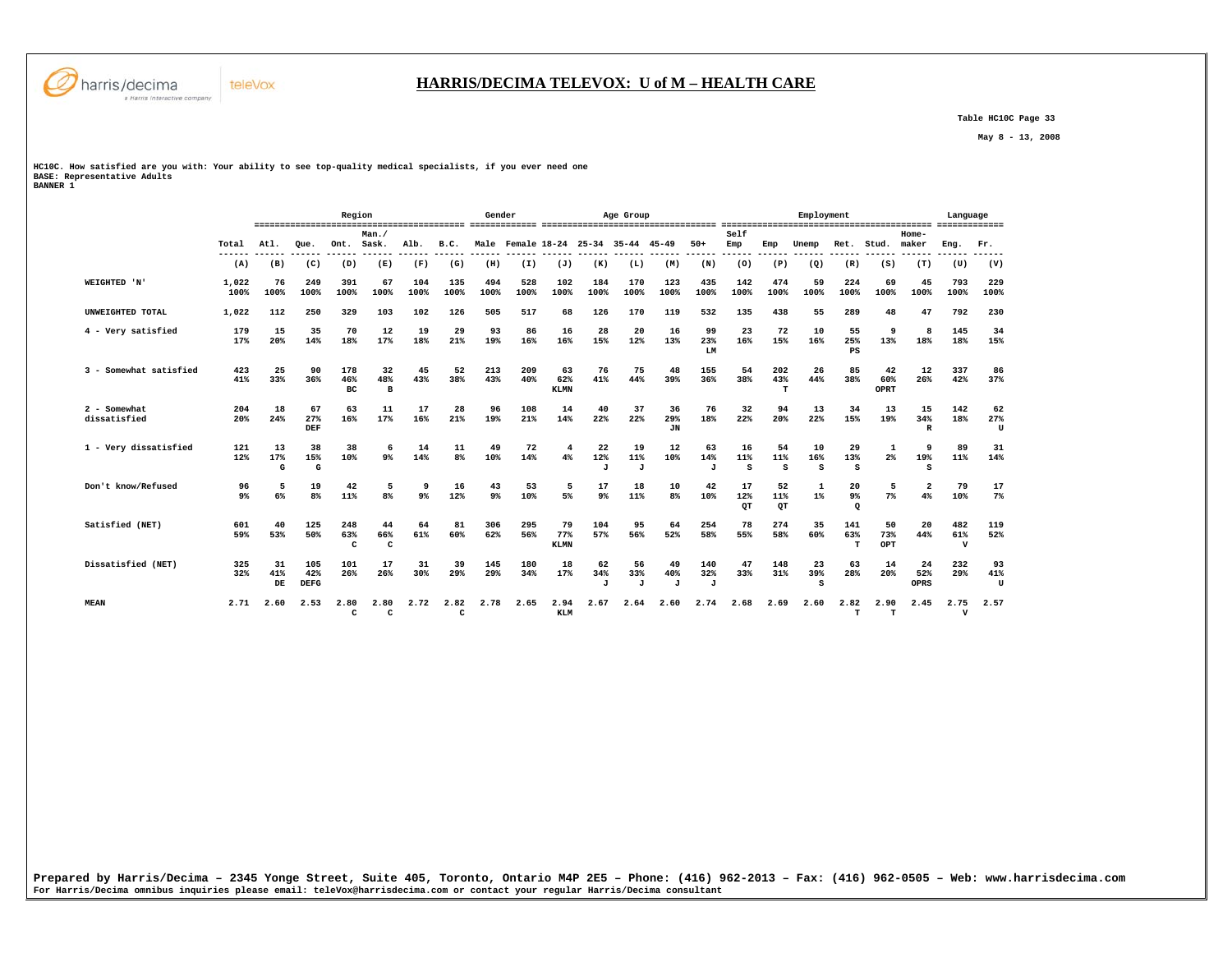

 **Table HC10C Page 33** 

 **May 8 - 13, 2008** 

**HC10C. How satisfied are you with: Your ability to see top-quality medical specialists, if you ever need one BASE: Representative Adults BANNER 1** 

teleVox

|                              |                      |                 |                           | Region               |                           |                |                      | Gender      |             |                          |                           | Age Group                           |                 |                            |                 |                 | Employment     |                                  |                     |                               | Language                   |                |
|------------------------------|----------------------|-----------------|---------------------------|----------------------|---------------------------|----------------|----------------------|-------------|-------------|--------------------------|---------------------------|-------------------------------------|-----------------|----------------------------|-----------------|-----------------|----------------|----------------------------------|---------------------|-------------------------------|----------------------------|----------------|
|                              | Total                | Atl.            | Oue.                      | Ont.                 | Man./<br>Sask.            | Alb.           | B.C.                 |             |             |                          |                           | Male Female 18-24 25-34 35-44 45-49 |                 | $50+$                      | Self<br>Emp     | Emp             | Unemp          | Ret.                             | Stud.               | Home-<br>maker                | Eng.                       | Fr.            |
|                              | (A)                  | (B)             | (C)                       | (D)                  | (E)                       | (F)            | (G)                  | (H)         | (I)         | (J)                      | (K)                       | (L)                                 | (M)             | (N)                        | (0)             | (P)             | (Q)            | (R)                              | (S)                 | (T)                           | (U)                        | (V)            |
| WEIGHTED 'N'                 | 1,022<br>100%        | 76<br>100%      | 249<br>100%               | 391<br>100%          | 67<br>100%                | 104<br>100%    | 135<br>100%          | 494<br>100% | 528<br>100% | 102<br>100%              | 184<br>100%               | 170<br>100%                         | 123<br>100%     | 435<br>100%                | 142<br>100%     | 474<br>100%     | 59<br>100%     | 224<br>100%                      | 69<br>100%          | 45<br>100%                    | 793<br>100%                | 229<br>100%    |
| UNWEIGHTED TOTAL             | 1,022                | 112             | 250                       | 329                  | 103                       | 102            | 126                  | 505         | 517         | 68                       | 126                       | 170                                 | 119             | 532                        | 135             | 438             | 55             | 289                              | 48                  | 47                            | 792                        | 230            |
| 4 - Very satisfied           | 179<br>17%           | 15<br>20%       | 35<br>14%                 | 70<br>18%            | 12<br>17%                 | 19<br>18%      | 29<br>21%            | 93<br>19%   | 86<br>16%   | 16<br>16%                | 28<br>15%                 | 20<br>12%                           | 16<br>13%       | 99<br>23%<br>LM            | 23<br>16%       | 72<br>15%       | 10<br>16%      | 55<br>25%<br>PS                  | 9<br>13%            | 8<br>18%                      | 145<br>18%                 | 34<br>15%      |
| 3 - Somewhat satisfied       | 423<br>41%           | 25<br>33%       | 90<br>36%                 | 178<br>46%<br>вc     | 32<br>48%<br>$\mathbf{B}$ | 45<br>43%      | 52<br>38%            | 213<br>43%  | 209<br>40%  | 63<br>62%<br><b>KLMN</b> | 76<br>41%                 | 75<br>44%                           | 48<br>39%       | 155<br>36%                 | 54<br>38%       | 202<br>43%<br>т | 26<br>44%      | 85<br>38%                        | 42<br>60%<br>OPRT   | 12<br>26%                     | 337<br>42%                 | 86<br>37%      |
| 2 - Somewhat<br>dissatisfied | 204<br>20%           | 18<br>24%       | 67<br>27%<br>DEF          | 63<br>16%            | 11<br>17%                 | 17<br>16%      | 28<br>21%            | 96<br>19%   | 108<br>21%  | 14<br>14%                | 40<br>22%                 | 37<br>22%                           | 36<br>29%<br>JN | 76<br>18%                  | 32<br>22%       | 94<br>20%       | 13<br>22%      | 34<br>15%                        | 13<br>19%           | 15<br>34%<br>R                | 142<br>18%                 | 62<br>27%<br>U |
| 1 - Verv dissatisfied        | 121<br>12%           | 13<br>17%<br>G  | 38<br>15%<br>G            | 38<br>10%            | 6<br>9%                   | 14<br>14%      | 11<br>8%             | 49<br>10%   | 72<br>14%   | 4%                       | 22<br>12%                 | 19<br>11%<br>J                      | 12<br>10%       | 63<br>14%<br>$\mathbf{J}$  | 16<br>11%<br>s  | 54<br>11%<br>s  | 10<br>16%<br>s | 29<br>13%<br>s                   | $2\%$               | 9<br>19%<br>s                 | 89<br>11%                  | 31<br>14%      |
| Don't know/Refused           | 96<br>9 <sup>°</sup> | 5<br>6%         | 19<br>8 <sup>8</sup>      | 42<br>11%            | 5<br>8 <sup>8</sup>       | 9 <sup>°</sup> | 16<br>12%            | 43<br>9%    | 53<br>10%   | 5<br>5%                  | 17<br>9 <sup>°</sup>      | 18<br>11%                           | 10<br>8%        | 42<br>10%                  | 17<br>12%<br>QT | 52<br>11%<br>QT | 1<br>$1\%$     | 20<br>9 <sup>°</sup><br>$\Omega$ | 5<br>$7\%$          | $\overline{\mathbf{2}}$<br>4% | 79<br>10%                  | 17<br>$7\%$    |
| Satisfied (NET)              | 601<br>59%           | 40<br>53%       | 125<br>50%                | 248<br>63%<br>c      | 44<br>66%<br>c            | 64<br>61%      | 81<br>60%            | 306<br>62%  | 295<br>56%  | 79<br>77%<br>KLMN        | 104<br>57%                | 95<br>56%                           | 64<br>52%       | 254<br>58%                 | 78<br>55%       | 274<br>58%      | 35<br>60%      | 141<br>63%<br>T                  | 50<br>73%<br>OPT    | 20<br>44%                     | 482<br>61%<br>$\mathbf{v}$ | 119<br>52%     |
| Dissatisfied (NET)           | 325<br>32%           | 31<br>41%<br>DE | 105<br>42%<br><b>DEFG</b> | 101<br>26%           | 17<br>26%                 | 31<br>30%      | 39<br>29%            | 145<br>29%  | 180<br>34%  | 18<br>17%                | 62<br>34%<br>$\mathbf{J}$ | 56<br>33%<br>J                      | 49<br>40%<br>J  | 140<br>32%<br>$\mathbf{J}$ | 47<br>33%       | 148<br>31%      | 23<br>39%<br>s | 63<br>28%                        | 14<br>20%           | 24<br>52%<br>OPRS             | 232<br>29%                 | 93<br>41%<br>U |
| <b>MEAN</b>                  | 2.71                 | 2.60            | 2.53                      | 2.80<br>$\mathbf{C}$ | 2.80<br>$\mathbf{C}$      | 2.72           | 2.82<br>$\mathbf{C}$ | 2.78        | 2.65        | 2.94<br><b>KLM</b>       | 2.67                      | 2.64                                | 2.60            | 2.74                       | 2.68            | 2.69            | 2.60           | 2.82<br>$\mathbf T$              | 2.90<br>$\mathbf T$ | 2.45                          | 2.75<br>$\mathbf v$        | 2.57           |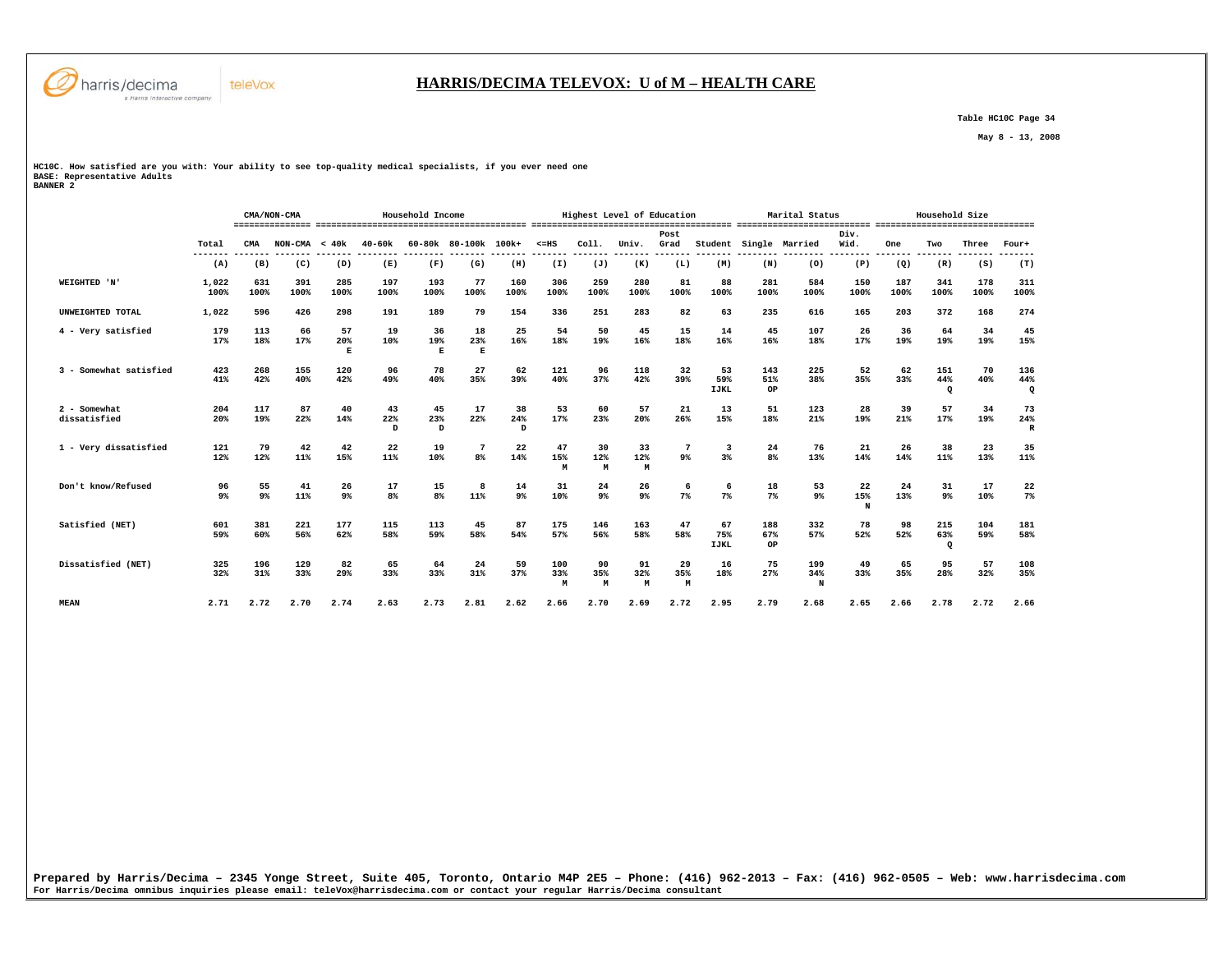

### **HARRIS/DECIMA TELEVOX: U of M – HEALTH CARE**

 **Table HC10C Page 34** 

 **May 8 - 13, 2008** 

**HC10C. How satisfied are you with: Your ability to see top-quality medical specialists, if you ever need one BASE: Representative Adults BANNER 2** 

|                              |                  |                      | CMA/NON-CMA     |                      |                       | Household Income                |                           |                 |                     |                  | Highest Level of Education |                         |                          |                  | Marital Status             |                         |                | Household Size        |             |                 |
|------------------------------|------------------|----------------------|-----------------|----------------------|-----------------------|---------------------------------|---------------------------|-----------------|---------------------|------------------|----------------------------|-------------------------|--------------------------|------------------|----------------------------|-------------------------|----------------|-----------------------|-------------|-----------------|
|                              | Total<br>------- | CMA                  | $NON-CMA < 40k$ |                      | $40 - 60k$<br>------- |                                 | 60-80k 80-100k            | 100k+<br>------ | $< = HS$<br>------- | COL1.<br>------- | Univ.<br>-------           | Post<br>Grad<br>------- | Student<br>-------       |                  | Single Married<br>-------- | Div.<br>Wid.<br>------- | One<br>------- | Two<br>-------        | Three       | Four+<br>------ |
|                              | (A)              | (B)                  | (C)             | (D)                  | (E)                   | (F)                             | (G)                       | (H)             | (I)                 | (J)              | (K)                        | (L)                     | (M)                      | (N)              | (0)                        | (P)                     | (Q)            | (R)                   | (S)         | (T)             |
| WEIGHTED 'N'                 | 1,022<br>100%    | 631<br>100%          | 391<br>100%     | 285<br>100%          | 197<br>100%           | 193<br>100%                     | 77<br>100%                | 160<br>100%     | 306<br>100%         | 259<br>100%      | 280<br>100%                | 81<br>100%              | 88<br>100%               | 281<br>100%      | 584<br>100%                | 150<br>100%             | 187<br>100%    | 341<br>100%           | 178<br>100% | 311<br>100%     |
| UNWEIGHTED TOTAL             | 1,022            | 596                  | 426             | 298                  | 191                   | 189                             | 79                        | 154             | 336                 | 251              | 283                        | 82                      | 63                       | 235              | 616                        | 165                     | 203            | 372                   | 168         | 274             |
| 4 - Very satisfied           | 179<br>17%       | 113<br>18%           | 66<br>17%       | 57<br>20%<br>E       | 19<br>10%             | 36<br>19%<br>$\mathbf{E}% _{0}$ | 18<br>23%<br>$\mathbf{E}$ | 25<br>16%       | 54<br>18%           | 50<br>19%        | 45<br>16%                  | 15<br>18%               | 14<br>16%                | 45<br>16%        | 107<br>18%                 | 26<br>17%               | 36<br>19%      | 64<br>19%             | 34<br>19%   | 45<br>15%       |
| 3 - Somewhat satisfied       | 423<br>41%       | 268<br>42%           | 155<br>40%      | 120<br>42%           | 96<br>49%             | 78<br>40%                       | 27<br>35%                 | 62<br>39%       | 121<br>40%          | 96<br>37%        | 118<br>42%                 | 32<br>39%               | 53<br>59%<br><b>IJKL</b> | 143<br>51%<br>OP | 225<br>38%                 | 52<br>35%               | 62<br>33%      | 151<br>44%<br>$\circ$ | 70<br>40%   | 136<br>44%<br>Q |
| 2 - Somewhat<br>dissatisfied | 204<br>20%       | 117<br>19%           | 87<br>22%       | 40<br>14%            | 43<br>22%<br>D        | 45<br>23%<br>D                  | 17<br>22%                 | 38<br>24%<br>D  | 53<br>17%           | 60<br>23%        | 57<br>20%                  | 21<br>26%               | 13<br>15%                | 51<br>18%        | 123<br>21%                 | 28<br>19%               | 39<br>21%      | 57<br>17%             | 34<br>19%   | 73<br>24%<br>R  |
| 1 - Very dissatisfied        | 121<br>12%       | 79<br>12%            | 42<br>11%       | 42<br>15%            | 22<br>11%             | 19<br>10%                       | 8%                        | 22<br>14%       | 47<br>15%<br>M      | 30<br>12%<br>М   | 33<br>12%<br>M             | 7<br>9%                 | 3<br>$3\%$               | 24<br>8%         | 76<br>13%                  | 21<br>14%               | 26<br>14%      | 38<br>11%             | 23<br>13%   | 35<br>11%       |
| Don't know/Refused           | 96<br>9%         | 55<br>9 <sup>°</sup> | 41<br>11%       | 26<br>9 <sup>°</sup> | 17<br>8%              | 15<br>8%                        | 8<br>11%                  | 14<br>$9\%$     | 31<br>10%           | 24<br>9%         | 26<br>9 <sup>°</sup>       | 6<br>7%                 | 6<br>$7\%$               | 18<br>$7\%$      | 53<br>9%                   | 22<br>15%<br>N          | 24<br>13%      | 31<br>$9\%$           | 17<br>10%   | 22<br>$7\%$     |
| Satisfied (NET)              | 601<br>59%       | 381<br>60%           | 221<br>56%      | 177<br>62%           | 115<br>58%            | 113<br>59%                      | 45<br>58%                 | 87<br>54%       | 175<br>57%          | 146<br>56%       | 163<br>58%                 | 47<br>58%               | 67<br>75%<br><b>IJKL</b> | 188<br>67%<br>OP | 332<br>57%                 | 78<br>52%               | 98<br>52%      | 215<br>63%<br>$\circ$ | 104<br>59%  | 181<br>58%      |
| Dissatisfied (NET)           | 325<br>32%       | 196<br>31%           | 129<br>33%      | 82<br>29%            | 65<br>33%             | 64<br>33%                       | 24<br>31%                 | 59<br>37%       | 100<br>33%<br>M     | 90<br>35%<br>M   | 91<br>32%<br>M             | 29<br>35%<br>M          | 16<br>18%                | 75<br>27%        | 199<br>34%<br>N            | 49<br>33%               | 65<br>35%      | 95<br>28%             | 57<br>32%   | 108<br>35%      |
| <b>MEAN</b>                  | 2.71             | 2.72                 | 2.70            | 2.74                 | 2.63                  | 2.73                            | 2.81                      | 2.62            | 2.66                | 2.70             | 2.69                       | 2.72                    | 2.95                     | 2.79             | 2.68                       | 2.65                    | 2.66           | 2.78                  | 2.72        | 2.66            |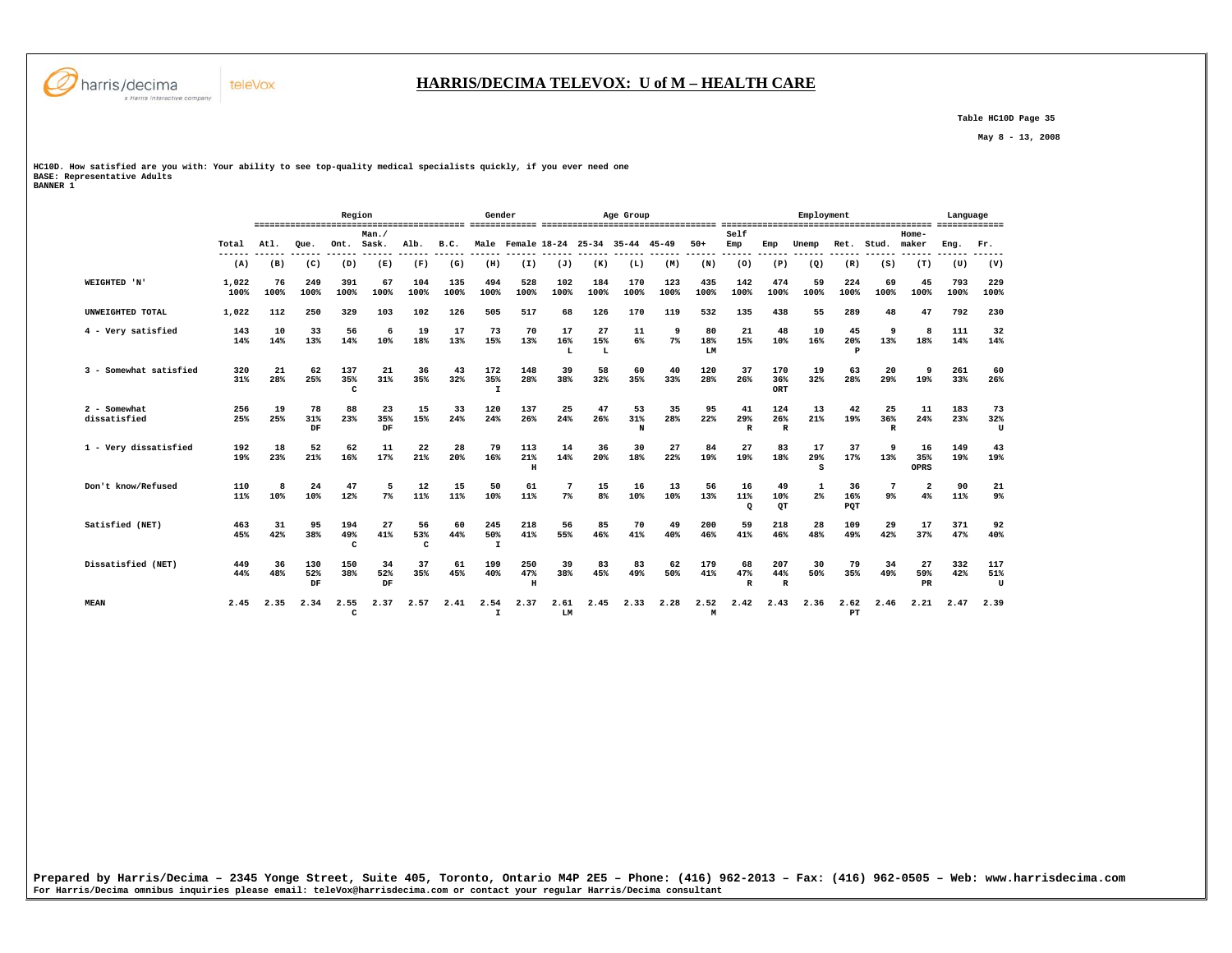

 **Table HC10D Page 35** 

 **May 8 - 13, 2008** 

**HC10D. How satisfied are you with: Your ability to see top-quality medical specialists quickly, if you ever need one BASE: Representative Adults BANNER 1** 

|                                |                 |               |                  | Region          |                 |                |                | Gender                     |                                     |                |                      | Age Group      |             |                 |                           |                            | Employment     |                  |                           |                               | Language    |                 |
|--------------------------------|-----------------|---------------|------------------|-----------------|-----------------|----------------|----------------|----------------------------|-------------------------------------|----------------|----------------------|----------------|-------------|-----------------|---------------------------|----------------------------|----------------|------------------|---------------------------|-------------------------------|-------------|-----------------|
|                                | Total<br>------ | Atl.<br>----- | Que.<br>------   | Ont. Sask.      | Man.            | Alb.<br>------ | B.C.<br>------ | .                          | Male Female 18-24 25-34 35-44 45-49 |                |                      |                |             | $50+$<br>------ | Self<br>Emp<br>------     | Emp                        | Unemp<br>----- | Ret.             | Stud.                     | Home-<br>maker                | Eng.        | Fr.             |
|                                | (A)             | (B)           | (C)              | (D)             | (E)             | (F)            | (G)            | (H)                        | (I)                                 | (J)            | (K)                  | (L)            | (M)         | (N)             | (0)                       | (P)                        | (Q)            | (R)              | (S)                       | (T)                           | (U)         | (V)             |
| WEIGHTED 'N'                   | 1,022<br>100%   | 76<br>100%    | 249<br>100%      | 391<br>100%     | 67<br>100%      | 104<br>100%    | 135<br>100%    | 494<br>100%                | 528<br>100%                         | 102<br>100%    | 184<br>100%          | 170<br>100%    | 123<br>100% | 435<br>100%     | 142<br>100%               | 474<br>100%                | 59<br>100%     | 224<br>100%      | 69<br>100%                | 45<br>100%                    | 793<br>100% | 229<br>100%     |
| UNWEIGHTED TOTAL               | 1,022           | 112           | 250              | 329             | 103             | 102            | 126            | 505                        | 517                                 | 68             | 126                  | 170            | 119         | 532             | 135                       | 438                        | 55             | 289              | 48                        | 47                            | 792         | 230             |
| 4 - Very satisfied             | 143<br>14%      | 10<br>14%     | 33<br>13%        | 56<br>14%       | 6<br>10%        | 19<br>18%      | 17<br>13%      | 73<br>15%                  | 70<br>13%                           | 17<br>16%<br>L | 27<br>15%<br>L       | 11<br>6%       | 9<br>$7\%$  | 80<br>18%<br>LM | 21<br>15%                 | 48<br>10%                  | 10<br>16%      | 45<br>20%<br>P   | 9<br>13%                  | 8<br>18%                      | 111<br>14%  | 32<br>14%       |
| 3 - Somewhat satisfied         | 320<br>31%      | 21<br>28%     | 62<br>25%        | 137<br>35%<br>c | 21<br>31%       | 36<br>35%      | 43<br>32%      | 172<br>35%<br>$\mathbf{I}$ | 148<br>28%                          | 39<br>38%      | 58<br>32%            | 60<br>35%      | 40<br>33%   | 120<br>28%      | 37<br>26%                 | 170<br>36%<br>ORT          | 19<br>32%      | 63<br>28%        | 20<br>29%                 | <b>q</b><br>19%               | 261<br>33%  | 60<br>26%       |
| $2 -$ Somewhat<br>dissatisfied | 256<br>25%      | 19<br>25%     | 78<br>31%<br>DF  | 88<br>23%       | 23<br>35%<br>DF | 15<br>15%      | 33<br>24%      | 120<br>24%                 | 137<br>26%                          | 25<br>24%      | 47<br>26%            | 53<br>31%<br>N | 35<br>28%   | 95<br>22%       | 41<br>29%<br>$\mathbb{R}$ | 124<br>26%<br>$\mathbb{R}$ | 13<br>21%      | 42<br>19%        | 25<br>36%<br>$\mathbb{R}$ | 11<br>24%                     | 183<br>23%  | 73<br>32%<br>U  |
| 1 - Very dissatisfied          | 192<br>19%      | 18<br>23%     | 52<br>21%        | 62<br>16%       | 11<br>17%       | 22<br>21%      | 28<br>20%      | 79<br>16%                  | 113<br>21%<br>$\mathbf H$           | 14<br>14%      | 36<br>20%            | 30<br>18%      | 27<br>22%   | 84<br>19%       | 27<br>19%                 | 83<br>18%                  | 17<br>29%<br>s | 37<br>17%        | 13%                       | 16<br>35%<br>OPRS             | 149<br>19%  | 43<br>19%       |
| Don't know/Refused             | 110<br>11%      | 8<br>10%      | 24<br>10%        | 47<br>12%       | 5<br>$7\%$      | 12<br>11%      | 15<br>11%      | 50<br>10%                  | 61<br>11%                           | $7\%$          | 15<br>8 <sup>8</sup> | 16<br>$10*$    | 13<br>10%   | 56<br>13%       | 16<br>11%<br>$\Omega$     | 49<br>10%<br>OT            | 1<br>2%        | 36<br>16%<br>PQT | 9 <sup>°</sup>            | $\overline{\mathbf{2}}$<br>4% | 90<br>11%   | 21<br>$9\%$     |
| Satisfied (NET)                | 463<br>45%      | 31<br>42%     | 95<br>38%        | 194<br>49%<br>c | 27<br>41%       | 56<br>53%<br>C | 60<br>44%      | 245<br>50%<br>$\mathbf{I}$ | 218<br>41%                          | 56<br>55%      | 85<br>46%            | 70<br>41%      | 49<br>40%   | 200<br>46%      | 59<br>41%                 | 218<br>46%                 | 28<br>48%      | 109<br>49%       | 29<br>42%                 | 17<br>37%                     | 371<br>47%  | 92<br>40%       |
| Dissatisfied (NET)             | 449<br>44%      | 36<br>48%     | 130<br>52%<br>DF | 150<br>38%      | 34<br>52%<br>DF | 37<br>35%      | 61<br>45%      | 199<br>40%                 | 250<br>47%<br>$\,$ H                | 39<br>38%      | 83<br>45%            | 83<br>49%      | 62<br>50%   | 179<br>41%      | 68<br>47%<br>$\mathbb{R}$ | 207<br>44%<br>$\mathbb{R}$ | 30<br>50%      | 79<br>35%        | 34<br>49%                 | 27<br>59%<br>PR               | 332<br>42%  | 117<br>51%<br>U |
| <b>MEAN</b>                    | 2.45            | 2.35          | 2.34             | 2.55<br>C       | 2.37            | 2.57           | 2.41           | 2.54<br>$\mathbf{I}$       | 2.37                                | 2.61<br>LM     | 2.45                 | 2.33           | 2.28        | 2.52<br>M       | 2.42                      | 2.43                       | 2.36           | 2.62<br>PT       | 2.46                      | 2.21                          | 2.47        | 2.39            |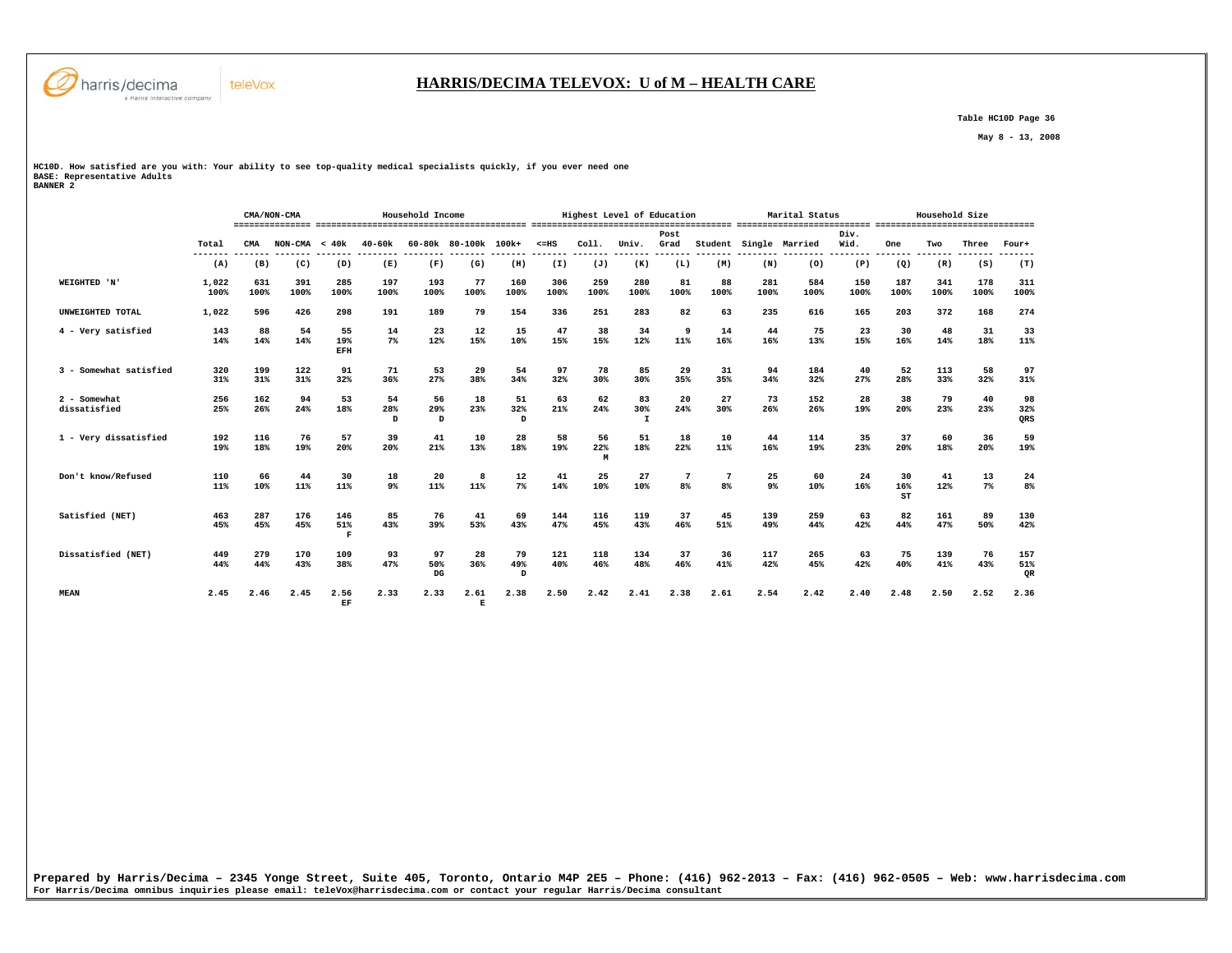

# **HARRIS/DECIMA TELEVOX: U of M – HEALTH CARE**

 **Table HC10D Page 36** 

 **May 8 - 13, 2008** 

**HC10D. How satisfied are you with: Your ability to see top-quality medical specialists quickly, if you ever need one BASE: Representative Adults BANNER 2** 

 **CMA/NON-CMA Household Income Highest Level of Education Marital Status Household Size =============== ========================================= ======================================= ========================== =============================== Post Div.** Wid.  **Total CMA NON-CMA < 40k 40-60k 60-80k 80-100k 100k+ <=HS Coll. Univ. Grad Student Single Married Wid. One Two Three Four+ ------- ------- ------- ------- -------- -------- ------- ------- ------- ------- ------- ------- ------- -------- -------- -------- ------- ------- ------- -------**  $(T)$  **(A) (B) (C) (D) (E) (F) (G) (H) (I) (J) (K) (L) (M) (N) (O) (P) (Q) (R) (S) (T) WEIGHTED 'N' 1,022 631 391 285 197 193 77 160 306 259 280 81 88 281 584 150 187 341 178 311 100% 100% 100% 100% 100% 100% 100% 100% 100% 100% 100% 100% 100% 100% 100% 100% 100% 100% 100% 100% UNWEIGHTED TOTAL 1,022 596 426 298 191 189 79 154 336 251 283 82 63 235 616 165 203 372 168 274 4 - Very satisfied 143 88 54 55 14 23 12 15 47 38 34 9 14 44 75 23 30 48 31 33 14% 14% 14% 19% 7% 12% 15% 10% 15% 15% 12% 11% 16% 16% 13% 15% 16% 14% 18% 11% EFH 3 - Somewhat satisfied 320 199 122 91 71 53 29 54 97 78 85 29 31 94 184 40 52 113 58 97** 31%  **31% 31% 31% 32% 36% 27% 38% 34% 32% 30% 30% 35% 35% 34% 32% 27% 28% 33% 32% 31% 2 - Somewhat 256 162 94 53 54 56 18 51 63 62 83 20 27 73 152 28 38 79 40 98** 98<br>32%  **dissatisfied 25% 26% 24% 18% 28% 29% 23% 32% 21% 24% 30% 24% 30% 26% 26% 19% 20% 23% 23% 32%** QRS  **D D D I QRS 1 - Very dissatisfied 192 116 76 57 39 41 10 28 58 56 51 18 10 44 114 35 37 60 36 59 19% 18% 19% 20% 20% 21% 13% 18% 19% 22% 18% 22% 11% 16% 19% 23% 20% 18% 20% 19% M Don't know/Refused 110 66 44 30 18 20 8 12 41 25 27 7 7 25 60 24 30 41 13 24**  $8<sup>8</sup>$  **11% 10% 11% 11% 9% 11% 11% 7% 14% 10% 10% 8% 8% 9% 10% 16% 16% 12% 7% 8% ST Satisfied (NET) 463 287 176 146 85 76 41 69 144 116 119 37 45 139 259 63 82 161 89 130 45% 45% 45% 51% 43% 39% 53% 43% 47% 45% 43% 46% 51% 49% 44% 42% 44% 47% 50% 42% F F F F F F F F Dissatisfied (NET) 449 279 170 109 93 97 28 79 121 118 134 37 36 117 265 63 75 139 76 157 44% 44% 43% 38% 47% 50% 36% 49% 40% 46% 48% 46% 41% 42% 45% 42% 40% 41% 43% 51%** QR  **DG D QR MEAN 2.45 2.46 2.45 2.56 2.33 2.33 2.61 2.38 2.50 2.42 2.41 2.38 2.61 2.54 2.42 2.40 2.48 2.50 2.52 2.36 EF E**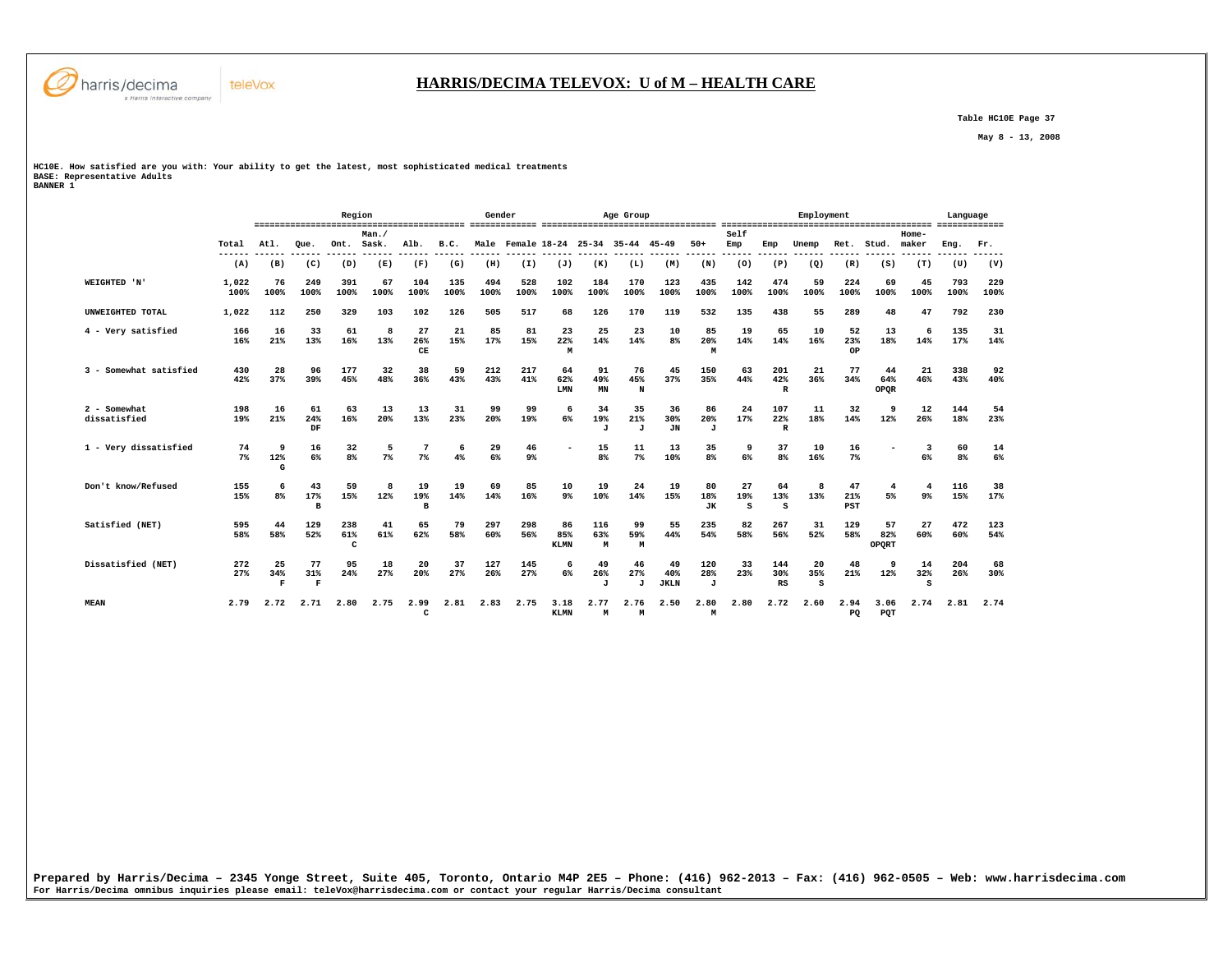

 **Table HC10E Page 37** 

 **May 8 - 13, 2008** 

**HC10E. How satisfied are you with: Your ability to get the latest, most sophisticated medical treatments BASE: Representative Adults BANNER 1** 

teleVox

|                              |                 |                     |                           | Region               |                                |                       |                       | Gender      |                                     |                          |                           | Age Group      |                          |                           |                        |                            | Employment      |                  |                    |                | Language    |             |
|------------------------------|-----------------|---------------------|---------------------------|----------------------|--------------------------------|-----------------------|-----------------------|-------------|-------------------------------------|--------------------------|---------------------------|----------------|--------------------------|---------------------------|------------------------|----------------------------|-----------------|------------------|--------------------|----------------|-------------|-------------|
|                              | Total<br>------ | Atl.<br>------      | Oue.<br>$- - - - - -$     | Ont.                 | Man.<br>Sask.<br>$- - - - - -$ | Alb.<br>$- - - - - -$ | B.C.<br>$- - - - - -$ |             | Male Female 18-24 25-34 35-44 45-49 |                          |                           |                |                          | $50+$<br>------           | Self<br>Emp<br>------- | Emp<br>------              | Unemp<br>------ | Ret.             | Stud.              | Home-<br>maker | Eng.        | Fr.         |
|                              | (A)             | (B)                 | (C)                       | (D)                  | (E)                            | (F)                   | (G)                   | (H)         | (I)                                 | (J)                      | (K)                       | (L)            | (M)                      | (N)                       | (0)                    | (P)                        | (Q)             | (R)              | (S)                | (T)            | (U)         | (V)         |
| WEIGHTED 'N'                 | 1,022<br>100%   | 76<br>100%          | 249<br>100%               | 391<br>100%          | 67<br>100%                     | 104<br>100%           | 135<br>100%           | 494<br>100% | 528<br>100%                         | 102<br>100%              | 184<br>100%               | 170<br>100%    | 123<br>100%              | 435<br>100%               | 142<br>100%            | 474<br>100%                | 59<br>100%      | 224<br>100%      | 69<br>100%         | 45<br>100%     | 793<br>100% | 229<br>100% |
| UNWEIGHTED TOTAL             | 1,022           | 112                 | 250                       | 329                  | 103                            | 102                   | 126                   | 505         | 517                                 | 68                       | 126                       | 170            | 119                      | 532                       | 135                    | 438                        | 55              | 289              | 48                 | 47             | 792         | 230         |
| 4 - Very satisfied           | 166<br>16%      | 16<br>21%           | 33<br>13%                 | 61<br>16%            | 8<br>13%                       | 27<br>26%<br>CE       | 21<br>15%             | 85<br>17%   | 81<br>15%                           | 23<br>22%<br>M           | 25<br>14%                 | 23<br>14%      | 10<br>8%                 | 85<br>20%<br>M            | 19<br>14%              | 65<br>14%                  | 10<br>16%       | 52<br>23%<br>OP  | 13<br>18%          | 6<br>14%       | 135<br>17%  | 31<br>14%   |
| 3 - Somewhat satisfied       | 430<br>42%      | 28<br>37%           | 96<br>39%                 | 177<br>45%           | 32<br>48%                      | 38<br>36%             | 59<br>43%             | 212<br>43%  | 217<br>41%                          | 64<br>62%<br>LMN         | 91<br>49%<br>MN           | 76<br>45%<br>N | 45<br>37%                | 150<br>35%                | 63<br>44%              | 201<br>42%<br>$\mathbb{R}$ | 21<br>36%       | 77<br>34%        | 44<br>64%<br>OPQR  | 21<br>46%      | 338<br>43%  | 92<br>40%   |
| 2 - Somewhat<br>dissatisfied | 198<br>19%      | 16<br>21%           | 61<br>24%<br>DF           | 63<br>16%            | 13<br>20%                      | 13<br>13%             | 31<br>23%             | 99<br>20%   | 99<br>19%                           | 6<br>6%                  | 34<br>19%<br>J            | 35<br>21%<br>J | 36<br>30%<br><b>JN</b>   | 86<br>20%<br>$\mathbf{J}$ | 24<br>17%              | 107<br>22%<br>$\mathbb{R}$ | 11<br>18%       | 32<br>14%        | q<br>12%           | 12<br>26%      | 144<br>18%  | 54<br>23%   |
| 1 - Very dissatisfied        | 74<br>$7\%$     | 9<br>12%<br>G       | 16<br>6%                  | 32<br>8 <sup>°</sup> | 5<br>7%                        | 7 <sup>8</sup>        | 6<br>4%               | 29<br>6%    | 46<br>$9\%$                         |                          | 15<br>8 <sup>°</sup>      | 11<br>$7\%$    | 13<br>10%                | 35<br>8%                  | 9<br>6%                | 37<br>8%                   | 10<br>16%       | 16<br>$7\%$      |                    | 3<br>6%        | 60<br>8%    | 14<br>6%    |
| Don't know/Refused           | 155<br>15%      | 6<br>8 <sup>8</sup> | 43<br>17%<br>B            | 59<br>15%            | 8<br>12%                       | 19<br>19%<br>в        | 19<br>14%             | 69<br>14%   | 85<br>16%                           | 10<br>9 <sup>°</sup>     | 19<br>10%                 | 24<br>14%      | 19<br>15%                | 80<br>18%<br><b>JK</b>    | 27<br>19%<br>s         | 64<br>13%<br>s             | 8<br>13%        | 47<br>21%<br>PST | 4<br>5%            | 4<br>$9\%$     | 116<br>15%  | 38<br>17%   |
| Satisfied (NET)              | 595<br>58%      | 44<br>58%           | 129<br>52%                | 238<br>61%<br>C      | 41<br>61%                      | 65<br>62%             | 79<br>58%             | 297<br>60%  | 298<br>56%                          | 86<br>85%<br><b>KLMN</b> | 116<br>63%<br>M           | 99<br>59%<br>M | 55<br>44%                | 235<br>54%                | 82<br>58%              | 267<br>56%                 | 31<br>52%       | 129<br>58%       | 57<br>82%<br>OPORT | 27<br>60%      | 472<br>60%  | 123<br>54%  |
| Dissatisfied (NET)           | 272<br>27%      | 25<br>34%<br>F      | 77<br>31%<br>$\mathbf{F}$ | 95<br>24%            | 18<br>27%                      | 20<br>20%             | 37<br>27%             | 127<br>26%  | 145<br>27%                          | 6<br>6%                  | 49<br>26%<br>$\mathbf{J}$ | 46<br>27%<br>J | 49<br>40%<br><b>JKLN</b> | 120<br>28%<br>J           | 33<br>23%              | 144<br>30%<br>RS           | 20<br>35%<br>s  | 48<br>21%        | q<br>12%           | 14<br>32%<br>s | 204<br>26%  | 68<br>30%   |
| <b>MEAN</b>                  | 2.79            | 2.72                | 2.71                      | 2.80                 | 2.75                           | 2.99<br>c             | 2.81                  | 2.83        | 2.75                                | 3.18<br><b>KLMN</b>      | 2.77<br>M                 | 2.76<br>M      | 2.50                     | 2.80<br>M                 | 2.80                   | 2.72                       | 2.60            | 2.94<br>PO       | 3.06<br>POT        | 2.74           | 2.81        | 2.74        |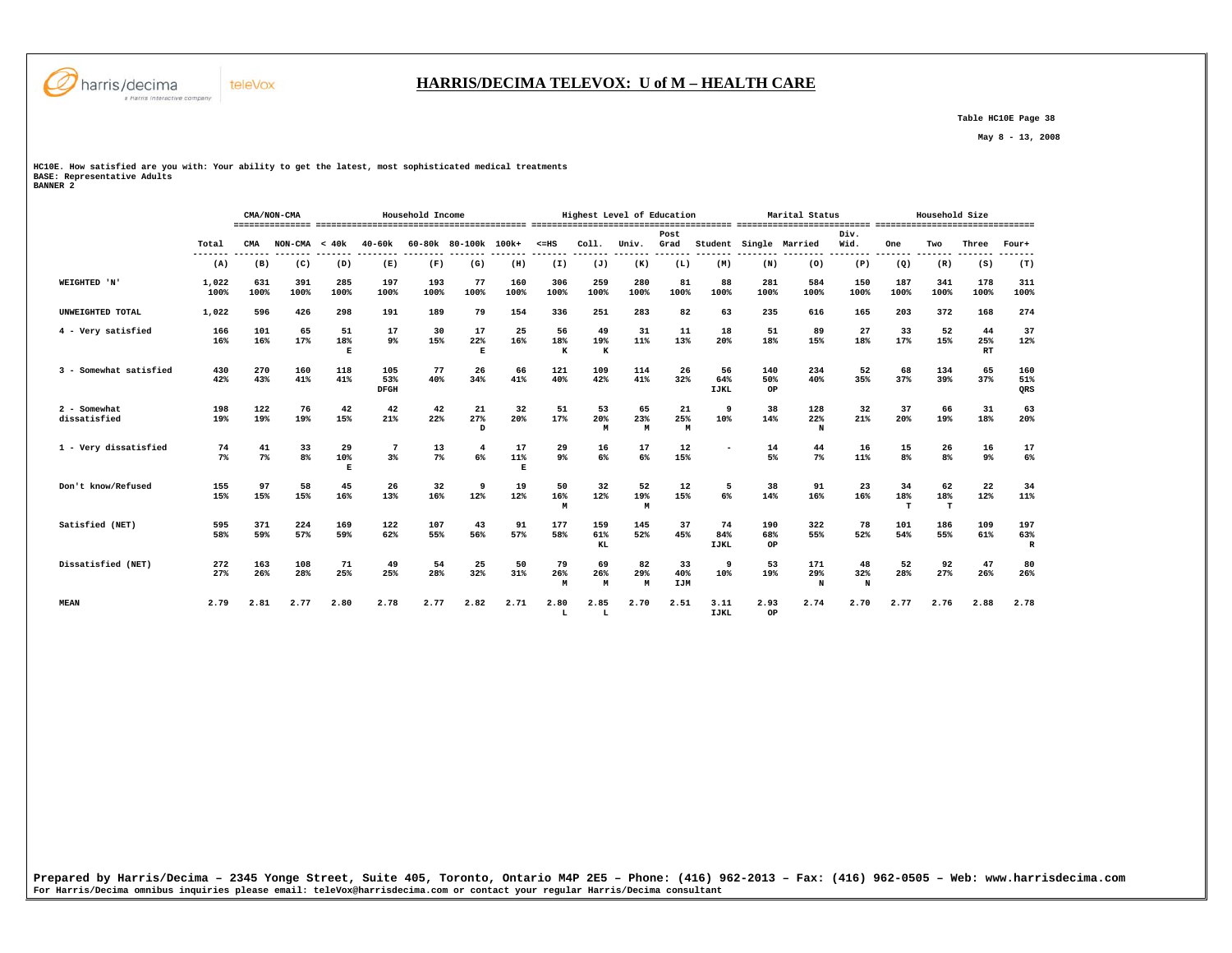

## **HARRIS/DECIMA TELEVOX: U of M – HEALTH CARE**

 **Table HC10E Page 38** 

 **May 8 - 13, 2008** 

**HC10E. How satisfied are you with: Your ability to get the latest, most sophisticated medical treatments BASE: Representative Adults BANNER 2** 

|                              |               |             | CMA/NON-CMA          |                 |                           | Household Income |                      |                |                |                      | Highest Level of Education |                         |                          |                  | Marital Status  |                |                      | Household Size |                 |                           |
|------------------------------|---------------|-------------|----------------------|-----------------|---------------------------|------------------|----------------------|----------------|----------------|----------------------|----------------------------|-------------------------|--------------------------|------------------|-----------------|----------------|----------------------|----------------|-----------------|---------------------------|
|                              | Total         | CMA         | $NON-CMA < 40k$      |                 | $40 - 60k$                |                  | 60-80k 80-100k 100k+ |                | $< = HS$       | Col1.                | Univ.                      | Post<br>Grad            | Student                  |                  | Single Married  | Div.<br>Wid.   | One                  | Two            | Three           | Four+                     |
|                              | (A)           | (B)         | (C)                  | (D)             | (E)                       | (F)              | (G)                  | (H)            | (I)            | (J)                  | (K)                        | (L)                     | (M)                      | (N)              | (0)             | (P)            | (Q)                  | (R)            | (S)             | (T)                       |
| WEIGHTED 'N'                 | 1,022<br>100% | 631<br>100% | 391<br>100%          | 285<br>100%     | 197<br>100%               | 193<br>100%      | 77<br>100%           | 160<br>100%    | 306<br>100%    | 259<br>100%          | 280<br>100%                | 81<br>100%              | 88<br>100%               | 281<br>100%      | 584<br>100%     | 150<br>100%    | 187<br>100%          | 341<br>100%    | 178<br>100%     | 311<br>100%               |
| UNWEIGHTED TOTAL             | 1,022         | 596         | 426                  | 298             | 191                       | 189              | 79                   | 154            | 336            | 251                  | 283                        | 82                      | 63                       | 235              | 616             | 165            | 203                  | 372            | 168             | 274                       |
| 4 - Very satisfied           | 166<br>16%    | 101<br>16%  | 65<br>17%            | 51<br>18%<br>E  | 17<br>9%                  | 30<br>15%        | 17<br>22%<br>E       | 25<br>16%      | 56<br>18%<br>к | 49<br>19%<br>$\bf K$ | 31<br>11%                  | 11<br>13%               | 18<br>20%                | 51<br>18%        | 89<br>15%       | 27<br>18%      | 33<br>17%            | 52<br>15%      | 44<br>25%<br>RT | 37<br>12%                 |
| 3 - Somewhat satisfied       | 430<br>42%    | 270<br>43%  | 160<br>41%           | 118<br>41%      | 105<br>53%<br><b>DFGH</b> | 77<br>40%        | 26<br>34%            | 66<br>41%      | 121<br>40%     | 109<br>42%           | 114<br>41%                 | 26<br>32%               | 56<br>64%<br><b>IJKL</b> | 140<br>50%<br>OP | 234<br>40%      | 52<br>35%      | 68<br>37%            | 134<br>39%     | 65<br>37%       | 160<br>51%<br>QRS         |
| 2 - Somewhat<br>dissatisfied | 198<br>19%    | 122<br>19%  | 76<br>19%            | 42<br>15%       | 42<br>21%                 | 42<br>22%        | 21<br>27%<br>D       | 32<br>20%      | 51<br>17%      | 53<br>20%<br>M       | 65<br>23%<br>M             | 21<br>25%<br>M          | 9<br>10%                 | 38<br>14%        | 128<br>22%<br>N | 32<br>21%      | 37<br>20%            | 66<br>19%      | 31<br>18%       | 63<br>20%                 |
| 1 - Very dissatisfied        | 74<br>7%      | 41<br>7%    | 33<br>8 <sup>8</sup> | 29<br>10%<br>R. | $\overline{7}$<br>3%      | 13<br>$7\%$      | 4<br>6%              | 17<br>11%<br>E | 29<br>9%       | 16<br>6%             | 17<br>6%                   | 12<br>15%               |                          | 14<br>5%         | 44<br>$7\%$     | 16<br>11%      | 15<br>8 <sup>°</sup> | 26<br>8%       | 16<br>$9\%$     | 17<br>$6\%$               |
| Don't know/Refused           | 155<br>15%    | 97<br>15%   | 58<br>15%            | 45<br>16%       | 26<br>13%                 | 32<br>16%        | 9<br>12%             | 19<br>12%      | 50<br>16%<br>M | 32<br>12%            | 52<br>19%<br>M             | 12<br>15%               | 5<br>6%                  | 38<br>14%        | 91<br>16%       | 23<br>16%      | 34<br>18%<br>T       | 62<br>18%<br>т | 22<br>12%       | 34<br>11%                 |
| Satisfied (NET)              | 595<br>58%    | 371<br>59%  | 224<br>57%           | 169<br>59%      | 122<br>62%                | 107<br>55%       | 43<br>56%            | 91<br>57%      | 177<br>58%     | 159<br>61%<br>KL     | 145<br>52%                 | 37<br>45%               | 74<br>84%<br><b>IJKL</b> | 190<br>68%<br>OP | 322<br>55%      | 78<br>52%      | 101<br>54%           | 186<br>55%     | 109<br>61%      | 197<br>63%<br>$\mathbb R$ |
| Dissatisfied (NET)           | 272<br>27%    | 163<br>26%  | 108<br>28%           | 71<br>25%       | 49<br>25%                 | 54<br>28%        | 25<br>32%            | 50<br>31%      | 79<br>26%<br>M | 69<br>26%<br>М       | 82<br>29%<br>M             | 33<br>40%<br><b>IJM</b> | 9<br>10%                 | 53<br>19%        | 171<br>29%<br>N | 48<br>32%<br>N | 52<br>28%            | 92<br>27%      | 47<br>26%       | 80<br>26%                 |
| <b>MEAN</b>                  | 2.79          | 2.81        | 2.77                 | 2.80            | 2.78                      | 2.77             | 2.82                 | 2.71           | 2.80<br>L      | 2.85<br>L            | 2.70                       | 2.51                    | 3.11<br><b>IJKL</b>      | 2.93<br>OP       | 2.74            | 2.70           | 2.77                 | 2.76           | 2.88            | 2.78                      |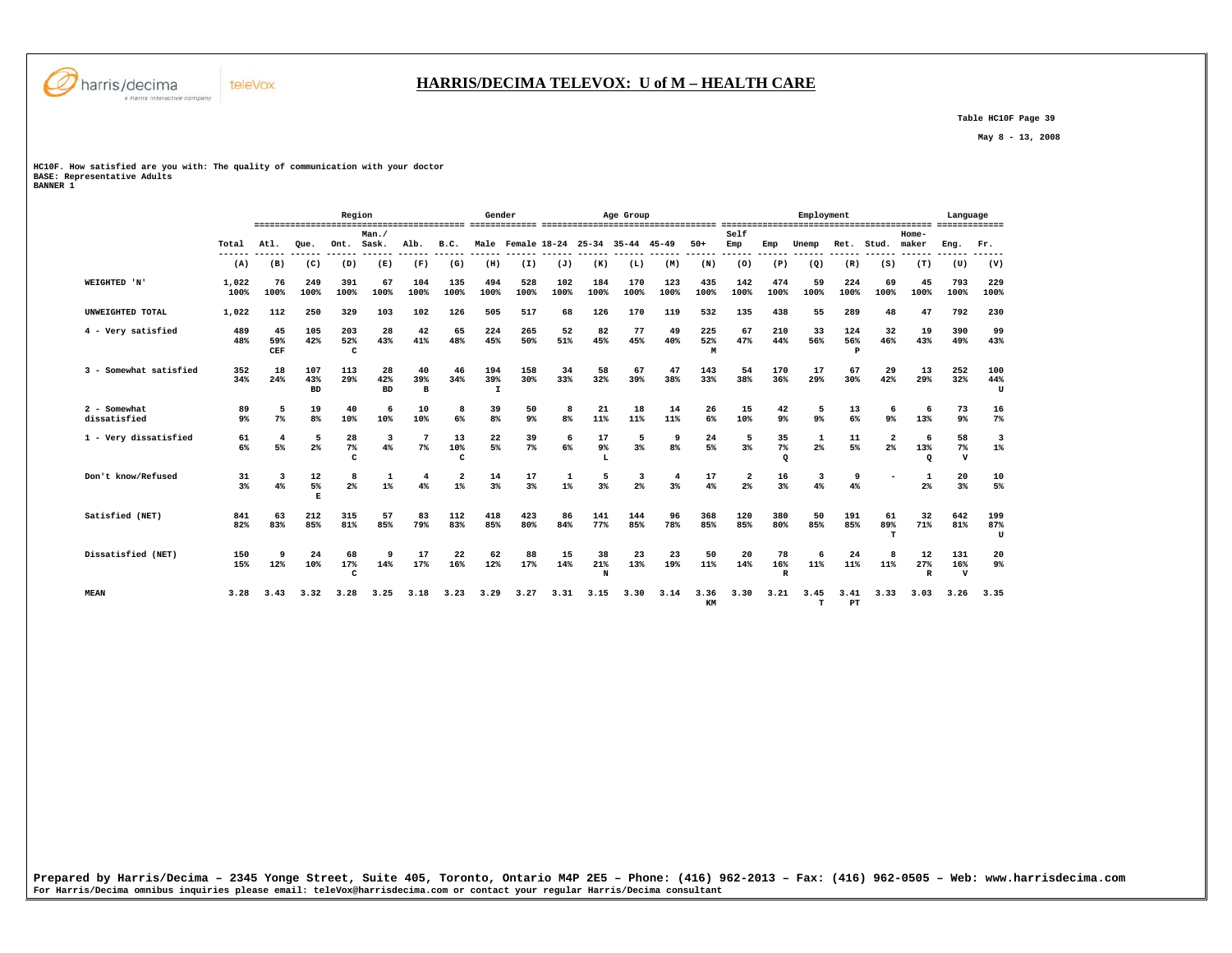

 **Table HC10F Page 39** 

 **May 8 - 13, 2008** 

**HC10F. How satisfied are you with: The quality of communication with your doctor BASE: Representative Adults BANNER 1** 

|                              |                      |                  |                         | Region          |                        |                           |                                  | Gender          |                      |             |                | Age Group                           |                     |                 |                      |                           | Employment   |                 |                |                           | Language                  |                 |
|------------------------------|----------------------|------------------|-------------------------|-----------------|------------------------|---------------------------|----------------------------------|-----------------|----------------------|-------------|----------------|-------------------------------------|---------------------|-----------------|----------------------|---------------------------|--------------|-----------------|----------------|---------------------------|---------------------------|-----------------|
|                              | Total                | Atl.             | Oue.                    | Ont. Sask.      | Man.                   | Alb.                      | B.C.                             |                 |                      |             |                | Male Female 18-24 25-34 35-44 45-49 |                     | $50+$           | Self<br>Emp          | Emp                       | Unemp        | Ret.            | Stud.          | Home-<br>maker            | Eng.                      | Fr.             |
|                              | (A)                  | (B)              | (C)                     | (D)             | (E)                    | (F)                       | (G)                              | (H)             | (I)                  | (J)         | (K)            | (L)                                 | (M)                 | (N)             | (0)                  | (P)                       | (Q)          | (R)             | (S)            | (T)                       | (U)                       | (V)             |
| <b>WEIGHTED 'N'</b>          | 1,022<br>100%        | 76<br>100%       | 249<br>100%             | 391<br>100%     | 67<br>100%             | 104<br>100%               | 135<br>100%                      | 494<br>100%     | 528<br>100%          | 102<br>100% | 184<br>100%    | 170<br>100%                         | 123<br>100%         | 435<br>100%     | 142<br>100%          | 474<br>100%               | 59<br>100%   | 224<br>100%     | 69<br>100%     | 45<br>100%                | 793<br>100%               | 229<br>100%     |
| UNWEIGHTED TOTAL             | 1,022                | 112              | 250                     | 329             | 103                    | 102                       | 126                              | 505             | 517                  | 68          | 126            | 170                                 | 119                 | 532             | 135                  | 438                       | 55           | 289             | 48             | 47                        | 792                       | 230             |
| 4 - Very satisfied           | 489<br>48%           | 45<br>59%<br>CEF | 105<br>42%              | 203<br>52%<br>c | 28<br>43%              | 42<br>41%                 | 65<br>48%                        | 224<br>45%      | 265<br>50%           | 52<br>51%   | 82<br>45%      | 77<br>45%                           | 49<br>40%           | 225<br>52%<br>M | 67<br>47%            | 210<br>44%                | 33<br>56%    | 124<br>56%<br>P | 32<br>46%      | 19<br>43%                 | 390<br>49%                | 99<br>43%       |
| 3 - Somewhat satisfied       | 352<br>34%           | 18<br>24%        | 107<br>43%<br><b>BD</b> | 113<br>29%      | 28<br>42%<br><b>BD</b> | 40<br>39%<br>$\mathbf{B}$ | 46<br>34%                        | 194<br>39%<br>I | 158<br>30%           | 34<br>33%   | 58<br>32%      | 67<br>39%                           | 47<br>38%           | 143<br>33%      | 54<br>38%            | 170<br>36%                | 17<br>29%    | 67<br>30%       | 29<br>42%      | 13<br>29%                 | 252<br>32%                | 100<br>44%<br>U |
| 2 - Somewhat<br>dissatisfied | 89<br>9 <sup>°</sup> | 5<br>$7\%$       | 19<br>8 <sup>8</sup>    | 40<br>10%       | 6<br>10%               | 10<br>10%                 | 8<br>6%                          | 39<br>8%        | 50<br>9 <sup>°</sup> | 8<br>8%     | 21<br>11%      | 18<br>11%                           | 14<br>11%           | 26<br>6%        | 15<br>10%            | 42<br>9 <sup>°</sup>      | 5<br>$9\%$   | 13<br>6%        | 6<br>9%        | -6<br>13%                 | 73<br>9 <sup>°</sup>      | 16<br>$7\%$     |
| 1 - Very dissatisfied        | 61<br>6%             | 4<br>5%          | 5<br>$2\%$              | 28<br>7%<br>c   | 3<br>4%                | 7<br>7%                   | 13<br>10%<br>C                   | 22<br>5%        | 39<br>7%             | 6<br>6%     | 17<br>9%       | 5<br>3%                             | 9<br>8 <sup>°</sup> | 24<br>5%        | 5<br>3%              | 35<br>$7\%$<br>$\Omega$   | 1<br>$2\%$   | 11<br>5%        | 2<br>$2\%$     | - 6<br>13%<br>$\Omega$    | 58<br>7%<br>$\mathbf v$   | $1\%$           |
| Don't know/Refused           | 31<br>$3\%$          | 3<br>4%          | 12<br>5%<br>尾           | 8<br>2%         | $\mathbf{1}$<br>$1\%$  | 4<br>4%                   | $\overline{\mathbf{2}}$<br>$1\%$ | 14<br>3%        | 17<br>3%             | 1<br>$1\%$  | 5<br>3%        | 3<br>$2\%$                          | 4<br>3%             | 17<br>4%        | $\overline{a}$<br>2% | 16<br>3%                  | 3<br>4%      | 9<br>4%         |                | 1<br>$2\%$                | 20<br>3%                  | 10<br>5%        |
| Satisfied (NET)              | 841<br>82%           | 63<br>83%        | 212<br>85%              | 315<br>81%      | 57<br>85%              | 83<br>79%                 | 112<br>83%                       | 418<br>85%      | 423<br>80%           | 86<br>84%   | 141<br>77%     | 144<br>85%                          | 96<br>78%           | 368<br>85%      | 120<br>85%           | 380<br>80%                | 50<br>85%    | 191<br>85%      | 61<br>89%<br>т | 32<br>71%                 | 642<br>81%                | 199<br>87%<br>U |
| Dissatisfied (NET)           | 150<br>15%           | 9<br>12%         | 24<br>10%               | 68<br>17%<br>с  | 9<br>14%               | 17<br>17%                 | 22<br>16%                        | 62<br>12%       | 88<br>17%            | 15<br>14%   | 38<br>21%<br>N | 23<br>13%                           | 23<br>19%           | 50<br>11%       | 20<br>14%            | 78<br>16%<br>$\mathbb{R}$ | -6<br>$11\%$ | 24<br>11%       | 11%            | 12<br>27%<br>$\mathbb{R}$ | 131<br>16%<br>$\mathbf v$ | 20<br>$9\%$     |
| <b>MEAN</b>                  | 3.28                 | 3.43             | 3.32                    | 3.28            | 3.25                   | 3.18                      | 3.23                             | 3.29            | 3.27                 | 3.31        | 3.15           | 3.30                                | 3.14                | 3.36<br>KM      | 3.30                 | 3.21                      | 3.45<br>т    | 3.41<br>PT      | 3.33           | 3.03                      | 3.26                      | 3.35            |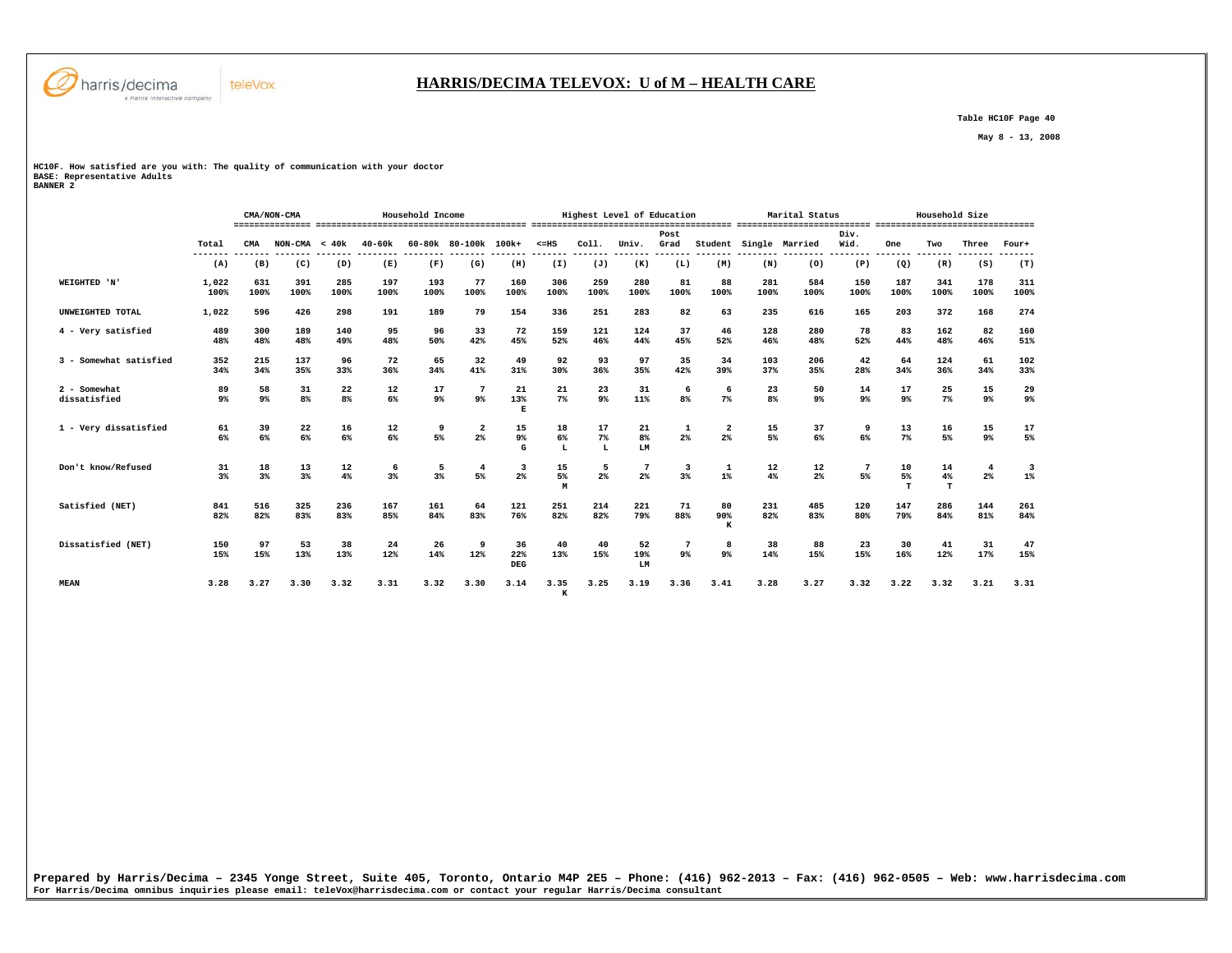

## **HARRIS/DECIMA TELEVOX: U of M – HEALTH CARE**

 **Table HC10F Page 40** 

 **May 8 - 13, 2008** 

**HC10F. How satisfied are you with: The quality of communication with your doctor BASE: Representative Adults BANNER 2** 

|                              |                      |             | CMA/NON-CMA          |                      |             | Household Income     |                               |                  |                             | Highest Level of Education |                            |                          |                        |                      | Marital Status       |                      |                 | Household Size |                      |             |
|------------------------------|----------------------|-------------|----------------------|----------------------|-------------|----------------------|-------------------------------|------------------|-----------------------------|----------------------------|----------------------------|--------------------------|------------------------|----------------------|----------------------|----------------------|-----------------|----------------|----------------------|-------------|
|                              | Total                | CMA         | $NON-CMA < 40k$      |                      | $40 - 60k$  |                      | 60-80k 80-100k 100k+          |                  | $< = HS$<br>------- ------- | Coll.<br>--------          | Univ.<br>-------- -------  | Post<br>Grad             | Student Single Married |                      |                      | Div.<br>Wid.         | One<br>-------- | Two            | Three                | Four+       |
|                              | (A)                  | (B)         | (C)                  | (D)                  | (E)         | (F)                  | (G)                           | (H)              | (I)                         | (J)                        | (K)                        | (L)                      | (M)                    | (N)                  | (0)                  | (P)                  | (Q)             | (R)            | (S)                  | (T)         |
| WEIGHTED 'N'                 | 1,022<br>100%        | 631<br>100% | 391<br>100%          | 285<br>100%          | 197<br>100% | 193<br>100%          | 77<br>100%                    | 160<br>100%      | 306<br>100%                 | 259<br>100%                | 280<br>100%                | 81<br>100%               | 88<br>100%             | 281<br>100%          | 584<br>100%          | 150<br>100%          | 187<br>100%     | 341<br>100%    | 178<br>100%          | 311<br>100% |
| UNWEIGHTED TOTAL             | 1,022                | 596         | 426                  | 298                  | 191         | 189                  | 79                            | 154              | 336                         | 251                        | 283                        | 82                       | 63                     | 235                  | 616                  | 165                  | 203             | 372            | 168                  | 274         |
| 4 - Very satisfied           | 489<br>48%           | 300<br>48%  | 189<br>48%           | 140<br>49%           | 95<br>48%   | 96<br>50%            | 33<br>42%                     | 72<br>45%        | 159<br>52%                  | 121<br>46%                 | 124<br>44%                 | 37<br>45%                | 46<br>52%              | 128<br>46%           | 280<br>48%           | 78<br>52%            | 83<br>44%       | 162<br>48%     | 82<br>46%            | 160<br>51%  |
| 3 - Somewhat satisfied       | 352<br>34%           | 215<br>34%  | 137<br>35%           | 96<br>33%            | 72<br>36%   | 65<br>34%            | 32<br>41%                     | 49<br>31%        | 92<br>30%                   | 93<br>36%                  | 97<br>35%                  | 35<br>42%                | 34<br>39%              | 103<br>37%           | 206<br>35%           | 42<br>28%            | 64<br>34%       | 124<br>36%     | 61<br>34%            | 102<br>33%  |
| 2 - Somewhat<br>dissatisfied | 89<br>9 <sup>°</sup> | 58<br>9%    | 31<br>8 <sup>8</sup> | 22<br>8 <sup>°</sup> | 12<br>$6\%$ | 17<br>9 <sup>°</sup> | 7<br>9 <sup>°</sup>           | 21<br>13%<br>E   | 21<br>7 <sup>8</sup>        | 23<br>9%                   | 31<br>11%                  | 6<br>8 <sup>8</sup>      | 6<br>7%                | 23<br>8 <sup>°</sup> | 50<br>9 <sup>°</sup> | 14<br>9 <sup>°</sup> | 17<br>9%        | 25<br>7%       | 15<br>9%             | 29<br>9%    |
| 1 - Very dissatisfied        | 61<br>6%             | 39<br>6%    | 22<br>$6\%$          | 16<br>6%             | 12<br>$6\%$ | 9<br>5%              | $\overline{\mathbf{2}}$<br>2% | 15<br>9%<br>G    | 18<br>6%<br>L               | 17<br>$7\%$<br>L           | 21<br>8 <sup>8</sup><br>LM | 1<br>$2\%$               | $\overline{2}$<br>2%   | 15<br>5%             | 37<br>6%             | 9<br>6%              | 13<br>$7\%$     | 16<br>5%       | 15<br>9%             | 17<br>5%    |
| Don't know/Refused           | 31<br>3%             | 18<br>3%    | 13<br>3%             | 12<br>4%             | 6<br>3%     | 5<br>3%              | 4<br>5%                       | 3<br>2%          | 15<br>5%<br>M               | 5<br>2 <sup>°</sup>        | $\overline{7}$<br>2%       | 3<br>3%                  | 1<br>$1\%$             | 12<br>4%             | 12<br>$2\%$          | 7<br>5%              | 10<br>5%<br>T   | 14<br>4%<br>т  | $\overline{4}$<br>2% | 3<br>$1\%$  |
| Satisfied (NET)              | 841<br>82%           | 516<br>82%  | 325<br>83%           | 236<br>83%           | 167<br>85%  | 161<br>84%           | 64<br>83%                     | 121<br>76%       | 251<br>82%                  | 214<br>82%                 | 221<br>79%                 | 71<br>88%                | 80<br>90%<br>K         | 231<br>82%           | 485<br>83%           | 120<br>80%           | 147<br>79%      | 286<br>84%     | 144<br>81%           | 261<br>84%  |
| Dissatisfied (NET)           | 150<br>15%           | 97<br>15%   | 53<br>13%            | 38<br>13%            | 24<br>12%   | 26<br>14%            | 9<br>12%                      | 36<br>22%<br>DEG | 40<br>13%                   | 40<br>15%                  | 52<br>19%<br>LM            | $7\phantom{.0}$<br>$9\%$ | 8<br>9%                | 38<br>14%            | 88<br>15%            | 23<br>15%            | 30<br>16%       | 41<br>12%      | 31<br>17%            | 47<br>15%   |
| <b>MEAN</b>                  | 3.28                 | 3.27        | 3.30                 | 3.32                 | 3.31        | 3.32                 | 3.30                          | 3.14             | 3.35<br>к                   | 3.25                       | 3.19                       | 3.36                     | 3.41                   | 3.28                 | 3.27                 | 3.32                 | 3.22            | 3.32           | 3.21                 | 3.31        |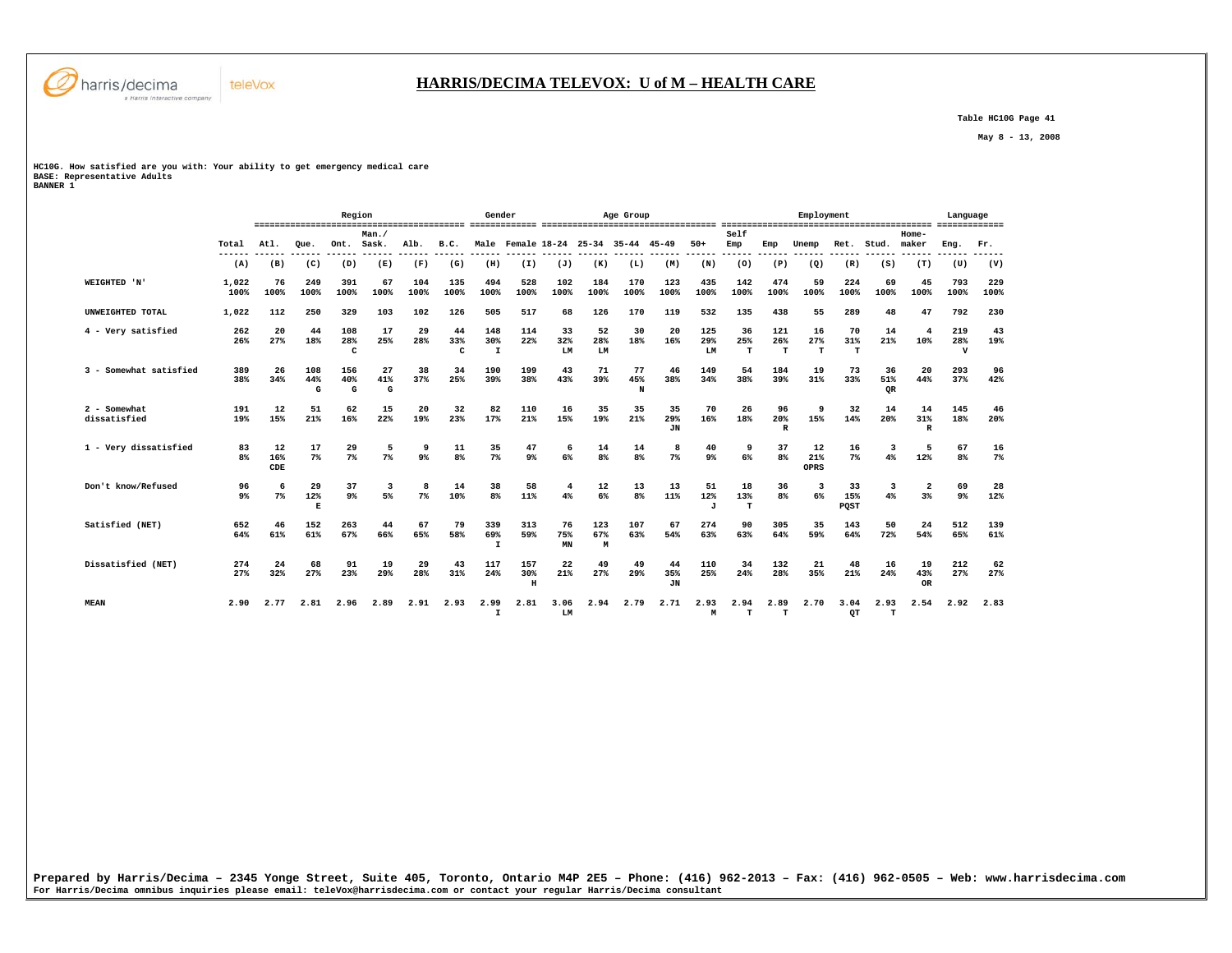

 **Table HC10G Page 41** 

 **May 8 - 13, 2008** 

**HC10G. How satisfied are you with: Your ability to get emergency medical care BASE: Representative Adults BANNER 1** 

|                              |                      |                  |                 | Region               |                |                     |                | Gender                     |                      |                 |                      | Age Group                           |                        |                        |                          |                           | Employment        |                      |                 |                               | Language                   |             |
|------------------------------|----------------------|------------------|-----------------|----------------------|----------------|---------------------|----------------|----------------------------|----------------------|-----------------|----------------------|-------------------------------------|------------------------|------------------------|--------------------------|---------------------------|-------------------|----------------------|-----------------|-------------------------------|----------------------------|-------------|
|                              | Total                | Atl.             | Oue.            | Ont. Sask.           | Man.           | Alb.                | B.C.           |                            |                      |                 |                      | Male Female 18-24 25-34 35-44 45-49 |                        | $50+$                  | Self<br>Emp              | Emp                       | Unemp             | Ret.                 | Stud.           | Home-<br>maker                | Eng.                       | Fr.         |
|                              | (A)                  | (B)              | (C)             | (D)                  | (E)            | (F)                 | (G)            | (H)                        | (I)                  | (J)             | (K)                  | (L)                                 | (M)                    | (N)                    | (0)                      | (P)                       | (Q)               | (R)                  | (S)             | (T)                           | (U)                        | (V)         |
| WEIGHTED 'N'                 | 1,022<br>100%        | 76<br>100%       | 249<br>100%     | 391<br>100%          | 67<br>100%     | 104<br>100%         | 135<br>100%    | 494<br>100%                | 528<br>100%          | 102<br>100%     | 184<br>100%          | 170<br>100%                         | 123<br>100%            | 435<br>100%            | 142<br>100%              | 474<br>100%               | 59<br>100%        | 224<br>100%          | 69<br>100%      | 45<br>100%                    | 793<br>100%                | 229<br>100% |
| UNWEIGHTED TOTAL             | 1,022                | 112              | 250             | 329                  | 103            | 102                 | 126            | 505                        | 517                  | 68              | 126                  | 170                                 | 119                    | 532                    | 135                      | 438                       | 55                | 289                  | 48              | 47                            | 792                        | 230         |
| 4 - Very satisfied           | 262<br>26%           | 20<br>27%        | 44<br>18%       | 108<br>28%<br>C      | 17<br>25%      | 29<br>28%           | 44<br>33%<br>C | 148<br>30%<br>$\mathbf I$  | 114<br>22%           | 33<br>32%<br>LM | 52<br>28%<br>LM      | 30<br>18%                           | 20<br>16%              | 125<br>29%<br>LM       | 36<br>25%<br>T           | 121<br>26%<br>т           | 16<br>27%<br>т    | 70<br>31%<br>т       | 14<br>21%       | $\overline{4}$<br>10%         | 219<br>28%<br>$\mathbf{v}$ | 43<br>19%   |
| 3 - Somewhat satisfied       | 389<br>38%           | 26<br>34%        | 108<br>44%<br>G | 156<br>40%<br>G      | 27<br>41%<br>G | 38<br>37%           | 34<br>25%      | 190<br>39%                 | 199<br>38%           | 43<br>43%       | 71<br>39%            | 77<br>45%<br>N                      | 46<br>38%              | 149<br>34%             | 54<br>38%                | 184<br>39%                | 19<br>31%         | 73<br>33%            | 36<br>51%<br>QR | 20<br>44%                     | 293<br>37%                 | 96<br>42%   |
| 2 - Somewhat<br>dissatisfied | 191<br>19%           | 12<br>15%        | 51<br>21%       | 62<br>16%            | 15<br>22%      | 20<br>19%           | 32<br>23%      | 82<br>17%                  | 110<br>21%           | 16<br>15%       | 35<br>19%            | 35<br>21%                           | 35<br>29%<br><b>JN</b> | 70<br>16%              | 26<br>18%                | 96<br>20%<br>$\mathbb{R}$ | 9<br>15%          | 32<br>14%            | 14<br>20%       | 14<br>31%<br>$\mathbb{R}$     | 145<br>18%                 | 46<br>20%   |
| 1 - Very dissatisfied        | 83<br>8%             | 12<br>16%<br>CDE | 17<br>$7\%$     | 29<br>7%             | 5<br>7%        | 9<br>9 <sup>°</sup> | 11<br>8%       | 35<br>7%                   | 47<br>9 <sup>°</sup> | 6<br>6%         | 14<br>8 <sup>8</sup> | 14<br>8%                            | 8<br>$7\%$             | 40<br>9%               | 9<br>6%                  | 37<br>8 <sup>°</sup>      | 12<br>21%<br>OPRS | 16<br>7 <sup>8</sup> | 3<br>4%         | - 5<br>12%                    | 67<br>8%                   | 16<br>$7\%$ |
| Don't know/Refused           | 96<br>9 <sup>°</sup> | 6<br>$7\%$       | 29<br>12%<br>R  | 37<br>9 <sup>°</sup> | 3<br>5%        | 8<br>7%             | 14<br>10%      | 38<br>8%                   | 58<br>11%            | 4<br>4%         | 12<br>6%             | 13<br>$8*$                          | 13<br>11%              | 51<br>12%<br>$\cdot$ T | 18<br>13%<br>$\mathbf T$ | 36<br>8 <sup>°</sup>      | 3<br>6%           | 33<br>15%<br>PQST    | 3<br>4%         | $\overline{\mathbf{2}}$<br>3% | 69<br>9 <sup>°</sup>       | 28<br>12%   |
| Satisfied (NET)              | 652<br>64%           | 46<br>61%        | 152<br>61%      | 263<br>67%           | 44<br>66%      | 67<br>65%           | 79<br>58%      | 339<br>69%<br>$\mathbf{I}$ | 313<br>59%           | 76<br>75%<br>MN | 123<br>67%<br>M      | 107<br>63%                          | 67<br>54%              | 274<br>63%             | 90<br>63%                | 305<br>64%                | 35<br>59%         | 143<br>64%           | 50<br>72%       | 24<br>54%                     | 512<br>65%                 | 139<br>61%  |
| Dissatisfied (NET)           | 274<br>27%           | 24<br>32%        | 68<br>27%       | 91<br>23%            | 19<br>29%      | 29<br>28%           | 43<br>31%      | 117<br>24%                 | 157<br>30%<br>$\,$ H | 22<br>21%       | 49<br>27%            | 49<br>29%                           | 44<br>35%<br><b>JN</b> | 110<br>25%             | 34<br>24%                | 132<br>28%                | 21<br>35%         | 48<br>21%            | 16<br>24%       | 19<br>43%<br><b>OR</b>        | 212<br>27%                 | 62<br>27%   |
| <b>MEAN</b>                  | 2.90                 | 2.77             | 2.81            | 2.96                 | 2.89           | 2.91                | 2.93           | 2.99<br>$\mathbf I$        | 2.81                 | 3.06<br>LM      | 2.94                 | 2.79                                | 2.71                   | 2.93<br>M              | 2.94<br>$\mathbf T$      | 2.89<br>т                 | 2.70              | 3.04<br>OT           | 2.93<br>т       | 2.54                          | 2.92                       | 2.83        |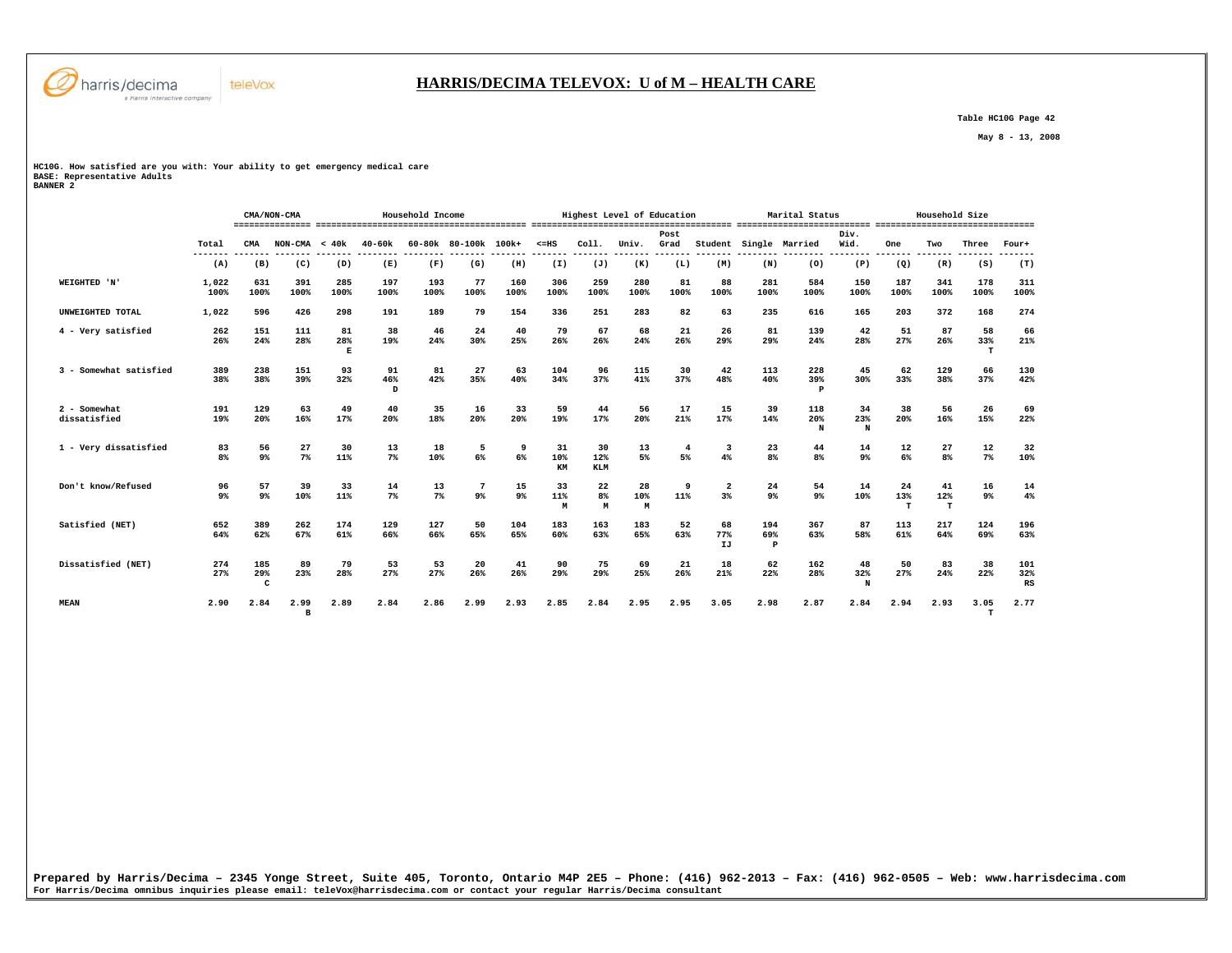

# **HARRIS/DECIMA TELEVOX: U of M – HEALTH CARE**

 **Table HC10G Page 42** 

 **May 8 - 13, 2008** 

**HC10G. How satisfied are you with: Your ability to get emergency medical care BASE: Representative Adults BANNER 2** 

 **CMA/NON-CMA Household Income Highest Level of Education Marital Status Household Size =============== ========================================= ======================================= ========================== =============================== Post Div.** Wid.  **Total CMA NON-CMA < 40k 40-60k 60-80k 80-100k 100k+ <=HS Coll. Univ. Grad Student Single Married Wid. One Two Three Four+ ------- ------- ------- ------- -------- -------- ------- ------- ------- ------- ------- ------- ------- -------- -------- -------- ------- ------- ------- -------**  $(T)$  **(A) (B) (C) (D) (E) (F) (G) (H) (I) (J) (K) (L) (M) (N) (O) (P) (Q) (R) (S) (T) WEIGHTED 'N' 1,022 631 391 285 197 193 77 160 306 259 280 81 88 281 584 150 187 341 178 311 100% 100% 100% 100% 100% 100% 100% 100% 100% 100% 100% 100% 100% 100% 100% 100% 100% 100% 100% 100% UNWEIGHTED TOTAL 1,022 596 426 298 191 189 79 154 336 251 283 82 63 235 616 165 203 372 168 274 4 - Very satisfied 262 151 111 81 38 46 24 40 79 67 68 21 26 81 139 42 51 87 58 66 26% 24% 28% 28% 19% 24% 30% 25% 26% 26% 24% 26% 29% 29% 24% 28% 27% 26% 33% 21% E T 3 - Somewhat satisfied 389 238 151 93 91 81 27 63 104 96 115 30 42 113 228 45 62 129 66 130**  $42%$  **38% 38% 39% 32% 46% 42% 35% 40% 34% 37% 41% 37% 48% 40% 39% 30% 33% 38% 37% 42% D P 2 - Somewhat 191 129 63 49 40 35 16 33 59 44 56 17 15 39 118 34 38 56 26 69**  $22%$  **dissatisfied 19% 20% 16% 17% 20% 18% 20% 20% 19% 17% 20% 21% 17% 14% 20% 23% 20% 16% 15% 22% N N 1 - Very dissatisfied 83 56 27 30 13 18 5 9 31 30 13 4 3 23 44 14 12 27 12 32 8% 9% 7% 11% 7% 10% 6% 6% 10% 12% 5% 5% 4% 8% 8% 9% 6% 8% 7% 10% KM KLM Don't know/Refused 96 57 39 33 14 13 7 15 33 22 28 9 2 24 54 14 24 41 16 14 9% 9% 10% 11% 7% 7% 9% 9% 11% 8% 10% 11% 3% 9% 9% 10% 13% 12% 9% 4% M M M T T Satisfied (NET) 652 389 262 174 129 127 50 104 183 163 183 52 68 194 367 87 113 217 124 196**  $63%$  **64% 62% 67% 61% 66% 66% 65% 65% 60% 63% 65% 63% 77% 69% 63% 58% 61% 64% 69% 63% IJ** P  **Dissatisfied (NET) 274 185 89 79 53 53 20 41 90 75 69 21 18 62 162 48 50 83 38 101**  $32%$  **27% 29% 23% 28% 27% 27% 26% 26% 29% 29% 25% 26% 21% 22% 28% 32% 27% 24% 22% 32%**  $PQ$  **C N RS MEAN 2.90 2.84 2.99 2.89 2.84 2.86 2.99 2.93 2.85 2.84 2.95 2.95 3.05 2.98 2.87 2.84 2.94 2.93 3.05 2.77 B T**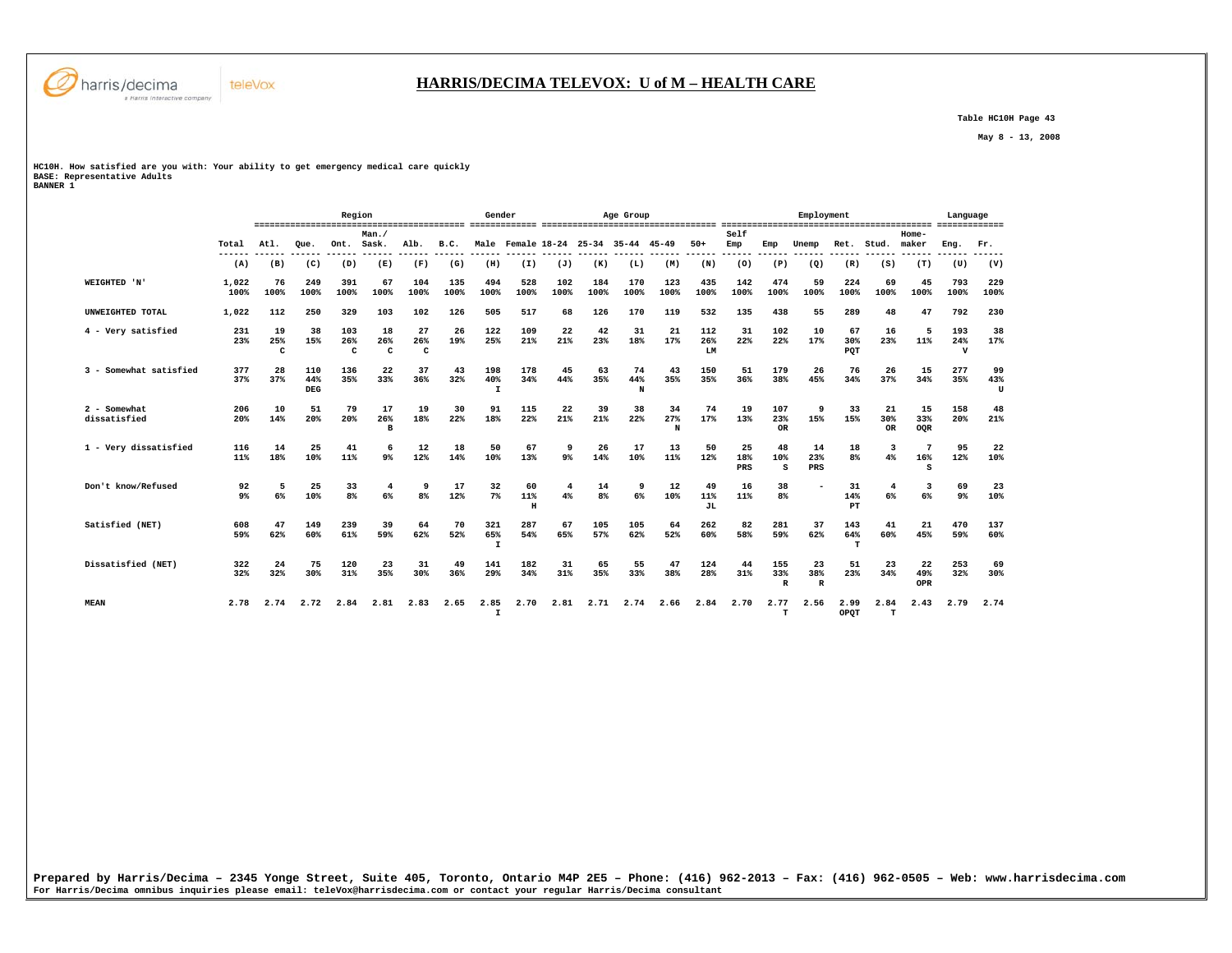

 **Table HC10H Page 43** 

 **May 8 - 13, 2008** 

**HC10H. How satisfied are you with: Your ability to get emergency medical care quickly BASE: Representative Adults BANNER 1** 

teleVox

|                              |                      |                |                          | Region                     |                           |                           |             | Gender                     |                     |             |                      | Age Group                           |                |                  |                  |                            | Employment                |                      |                        |                               | Language                   |                |
|------------------------------|----------------------|----------------|--------------------------|----------------------------|---------------------------|---------------------------|-------------|----------------------------|---------------------|-------------|----------------------|-------------------------------------|----------------|------------------|------------------|----------------------------|---------------------------|----------------------|------------------------|-------------------------------|----------------------------|----------------|
|                              | Total                | Atl.           | Oue.                     | Ont.                       | Man.<br>Sask.             | Alb.                      | B.C.        |                            |                     |             |                      | Male Female 18-24 25-34 35-44 45-49 |                | $50+$            | Self<br>Emp      | Emp                        | Unemp                     | Ret.                 | Stud.                  | Home-<br>maker                | Eng.                       | Fr.            |
|                              | (A)                  | (B)            | (C)                      | (D)                        | (E)                       | (F)                       | (G)         | (H)                        | (I)                 | (J)         | (K)                  | (L)                                 | (M)            | (N)              | (0)              | (P)                        | (Q)                       | (R)                  | (S)                    | (T)                           | (U)                        | (V)            |
| WEIGHTED 'N'                 | 1,022<br>100%        | 76<br>100%     | 249<br>100%              | 391<br>100%                | 67<br>100%                | 104<br>100%               | 135<br>100% | 494<br>100%                | 528<br>100%         | 102<br>100% | 184<br>100%          | 170<br>100%                         | 123<br>100%    | 435<br>100%      | 142<br>100%      | 474<br>100%                | 59<br>100%                | 224<br>100%          | 69<br>100%             | 45<br>100%                    | 793<br>100%                | 229<br>100%    |
| UNWEIGHTED TOTAL             | 1,022                | 112            | 250                      | 329                        | 103                       | 102                       | 126         | 505                        | 517                 | 68          | 126                  | 170                                 | 119            | 532              | 135              | 438                        | 55                        | 289                  | 48                     | 47                            | 792                        | 230            |
| 4 - Very satisfied           | 231<br>23%           | 19<br>25%<br>c | 38<br>15%                | 103<br>26%<br>$\mathbf{C}$ | 18<br>26%<br>$\mathbf{C}$ | 27<br>26%<br>$\mathbf{C}$ | 26<br>19%   | 122<br>25%                 | 109<br>21%          | 22<br>21%   | 42<br>23%            | 31<br>18%                           | 21<br>17%      | 112<br>26%<br>LM | 31<br>22%        | 102<br>22%                 | 10<br>17%                 | 67<br>30%<br>PQT     | 16<br>23%              | - 5<br>11%                    | 193<br>24%<br>$\mathbf{v}$ | 38<br>17%      |
| 3 - Somewhat satisfied       | 377<br>37%           | 28<br>37%      | 110<br>44%<br><b>DEG</b> | 136<br>35%                 | 22<br>33%                 | 37<br>36%                 | 43<br>32%   | 198<br>40%<br>$\mathbf{I}$ | 178<br>34%          | 45<br>44%   | 63<br>35%            | 74<br>44%<br>N                      | 43<br>35%      | 150<br>35%       | 51<br>36%        | 179<br>38%                 | 26<br>45%                 | 76<br>34%            | 26<br>37%              | 15<br>34%                     | 277<br>35%                 | 99<br>43%<br>U |
| 2 - Somewhat<br>dissatisfied | 206<br>20%           | 10<br>14%      | 51<br>20%                | 79<br>20%                  | 17<br>26%<br>R            | 19<br>18%                 | 30<br>22%   | 91<br>18%                  | 115<br>22%          | 22<br>21%   | 39<br>21%            | 38<br>22%                           | 34<br>27%<br>N | 74<br>17%        | 19<br>13%        | 107<br>23%<br><b>OR</b>    | 9<br>15%                  | 33<br>15%            | 21<br>30%<br><b>OR</b> | 15<br>33%<br>OQR              | 158<br>20%                 | 48<br>21%      |
| 1 - Very dissatisfied        | 116<br>11%           | 14<br>18%      | 25<br>10%                | 41<br>11%                  | 9 <sup>°</sup>            | 12<br>12%                 | 18<br>14%   | 50<br>10%                  | 67<br>13%           | 9<br>9%     | 26<br>14%            | 17<br>10%                           | 13<br>11%      | 50<br>12%        | 25<br>18%<br>PRS | 48<br>10%<br>s             | 14<br>23%<br>PRS          | 18<br>8 <sup>8</sup> | 3<br>4%                | - 7<br>16%<br>s               | 95<br>12%                  | 22<br>10%      |
| Don't know/Refused           | 92<br>9 <sup>°</sup> | 5<br>6%        | 25<br>10%                | 33<br>8 <sup>°</sup>       | 4<br>6%                   | 9<br>8 <sup>8</sup>       | 17<br>12%   | 32<br>7%                   | 60<br>11%<br>$\,$ H | 4<br>4%     | 14<br>8 <sup>8</sup> | 9<br>6%                             | 12<br>10%      | 49<br>11%<br>JL  | 16<br>11%        | 38<br>8 <sup>°</sup>       |                           | 31<br>14%<br>PT      | 4<br>6%                | $\overline{\mathbf{3}}$<br>6% | 69<br>9 <sup>°</sup>       | 23<br>10%      |
| Satisfied (NET)              | 608<br>59%           | 47<br>62%      | 149<br>60%               | 239<br>61%                 | 39<br>59%                 | 64<br>62%                 | 70<br>52%   | 321<br>65%<br>$\mathbf{I}$ | 287<br>54%          | 67<br>65%   | 105<br>57%           | 105<br>62%                          | 64<br>52%      | 262<br>60%       | 82<br>58%        | 281<br>59%                 | 37<br>62%                 | 143<br>64%<br>т      | 41<br>60%              | 21<br>45%                     | 470<br>59%                 | 137<br>60%     |
| Dissatisfied (NET)           | 322<br>32%           | 24<br>32%      | 75<br>30%                | 120<br>31%                 | 23<br>35%                 | 31<br>30%                 | 49<br>36%   | 141<br>29%                 | 182<br>34%          | 31<br>31%   | 65<br>35%            | 55<br>33%                           | 47<br>38%      | 124<br>28%       | 44<br>31%        | 155<br>33%<br>$\mathbb{R}$ | 23<br>38%<br>$\mathbb{R}$ | 51<br>23%            | 23<br>34%              | 22<br>49%<br>OPR              | 253<br>32%                 | 69<br>30%      |
| <b>MEAN</b>                  | 2.78                 | 2.74           | 2.72                     | 2.84                       | 2.81                      | 2.83                      | 2.65        | 2.85<br>$\mathbf I$        | 2.70                | 2.81        | 2.71                 | 2.74                                | 2.66           | 2.84             | 2.70             | 2.77<br>$\mathbf T$        | 2.56                      | 2.99<br>OPOT         | 2.84<br>$_{\rm T}$     | 2.43                          | 2.79                       | 2.74           |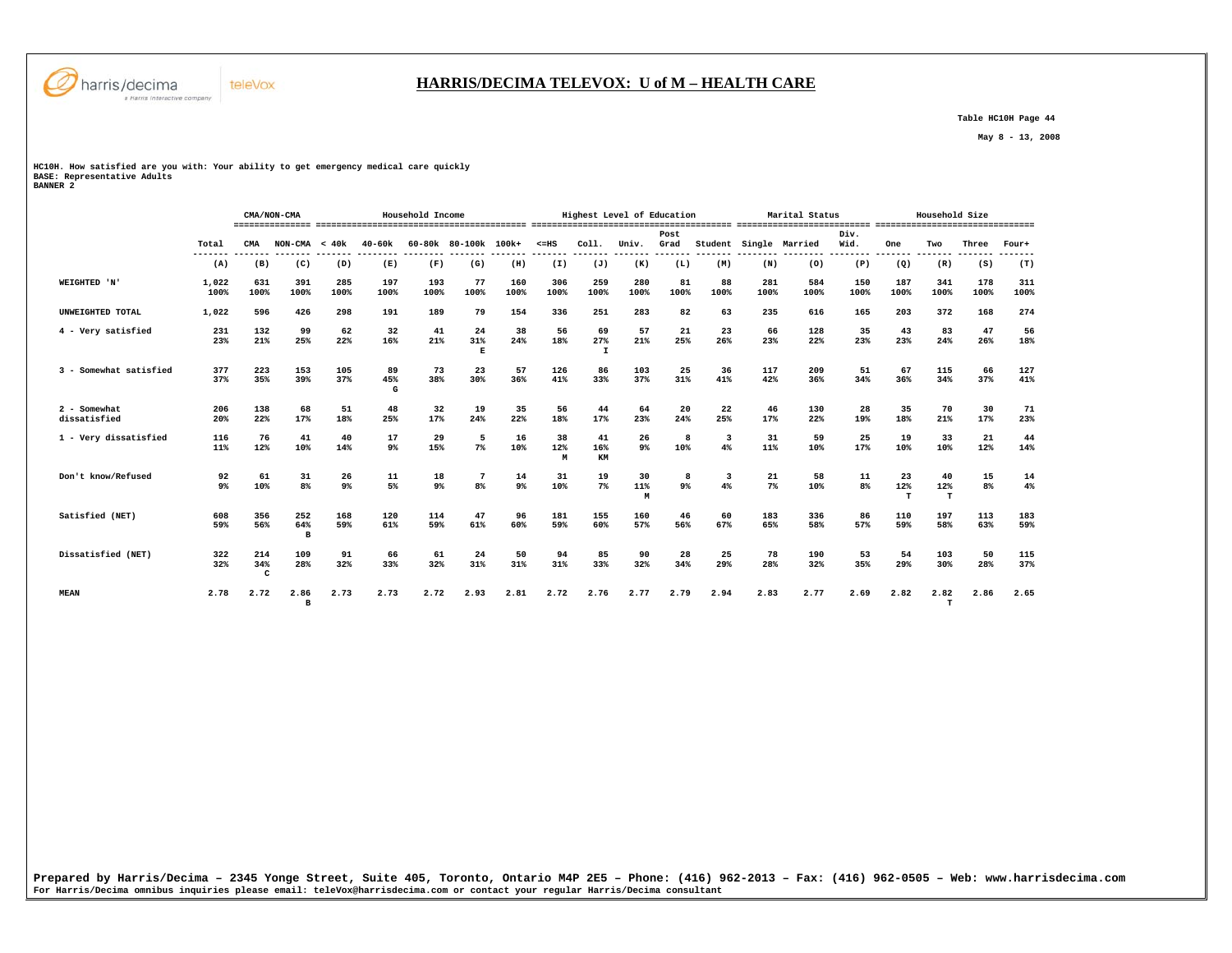

# **HARRIS/DECIMA TELEVOX: U of M – HEALTH CARE**

 **Table HC10H Page 44** 

 **May 8 - 13, 2008** 

**HC10H. How satisfied are you with: Your ability to get emergency medical care quickly BASE: Representative Adults BANNER 2** 

 **CMA/NON-CMA Household Income Highest Level of Education Marital Status Household Size =============== ========================================= ======================================= ========================== =============================== Post Div.** Wid.  **Total CMA NON-CMA < 40k 40-60k 60-80k 80-100k 100k+ <=HS Coll. Univ. Grad Student Single Married Wid. One Two Three Four+ ------- ------- ------- ------- -------- -------- ------- ------- ------- ------- ------- ------- ------- -------- -------- -------- ------- ------- ------- -------**  $(T)$  **(A) (B) (C) (D) (E) (F) (G) (H) (I) (J) (K) (L) (M) (N) (O) (P) (Q) (R) (S) (T) WEIGHTED 'N' 1,022 631 391 285 197 193 77 160 306 259 280 81 88 281 584 150 187 341 178 311 100% 100% 100% 100% 100% 100% 100% 100% 100% 100% 100% 100% 100% 100% 100% 100% 100% 100% 100% 100% UNWEIGHTED TOTAL 1,022 596 426 298 191 189 79 154 336 251 283 82 63 235 616 165 203 372 168 274 4 - Very satisfied 231 132 99 62 32 41 24 38 56 69 57 21 23 66 128 35 43 83 47 56 23% 21% 25% 22% 16% 21% 31% 24% 18% 27% 21% 25% 26% 23% 22% 23% 23% 24% 26% 18% E I 3 - Somewhat satisfied 377 223 153 105 89 73 23 57 126 86 103 25 36 117 209 51 67 115 66 127** 41%  **37% 35% 39% 37% 45% 38% 30% 36% 41% 33% 37% 31% 41% 42% 36% 34% 36% 34% 37% 41% G 2 - Somewhat 206 138 68 51 48 32 19 35 56 44 64 20 22 46 130 28 35 70 30 71**  $\begin{array}{c} 71 \\ 23\% \end{array}$  **dissatisfied 20% 22% 17% 18% 25% 17% 24% 22% 18% 17% 23% 24% 25% 17% 22% 19% 18% 21% 17% 23% 1 - Very dissatisfied 116 76 41 40 17 29 5 16 38 41 26 8 3 31 59 25 19 33 21 44 11% 12% 10% 14% 9% 15% 7% 10% 12% 16% 9% 10% 4% 11% 10% 17% 10% 10% 12% 14% M KM Don't know/Refused 92 61 31 26 11 18 7 14 31 19 30 8 3 21 58 11 23 40 15 14**  $4%$  **9% 10% 8% 9% 5% 9% 8% 9% 10% 7% 11% 9% 4% 7% 10% 8% 12% 12% 8% 4%**  $M$  and  $T$  to  $T$  if  $T$  if  $T$  **Satisfied (NET) 608 356 252 168 120 114 47 96 181 155 160 46 60 183 336 86 110 197 113 183 59% 56% 64% 59% 61% 59% 61% 60% 59% 60% 57% 56% 67% 65% 58% 57% 59% 58% 63% 59% B Dissatisfied (NET) 322 214 109 91 66 61 24 50 94 85 90 28 25 78 190 53 54 103 50 115 32% 34% 28% 32% 33% 32% 31% 31% 31% 33% 32% 34% 29% 28% 32% 35% 29% 30% 28% 37% C C C MEAN 2.78 2.72 2.86 2.73 2.73 2.72 2.93 2.81 2.72 2.76 2.77 2.79 2.94 2.83 2.77 2.69 2.82 2.82 2.86 2.65 B T**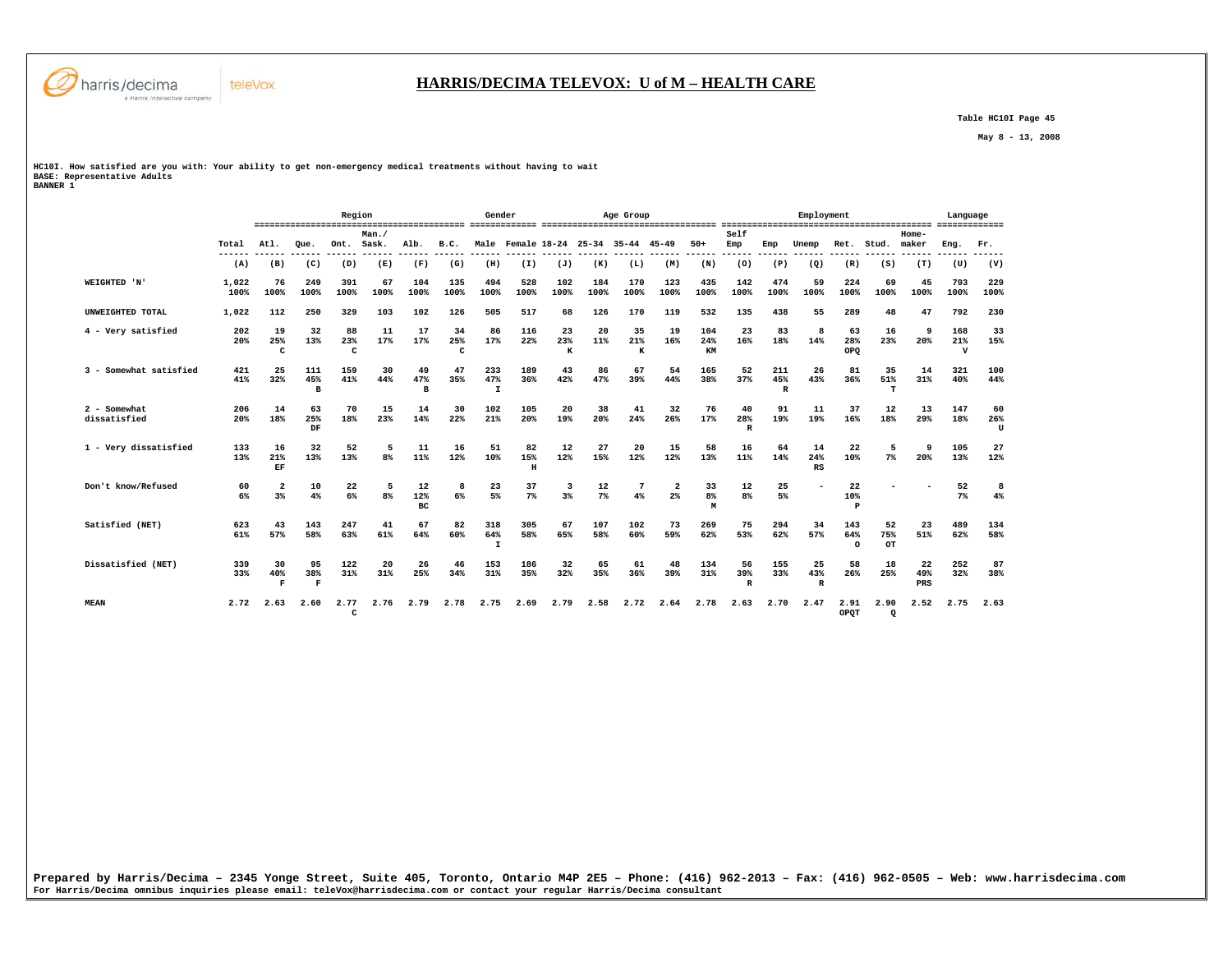

 **Table HC10I Page 45** 

 **May 8 - 13, 2008** 

**HC10I. How satisfied are you with: Your ability to get non-emergency medical treatments without having to wait BASE: Representative Adults BANNER 1** 

teleVox

|                              |               |                           |                           | Region               |                |                 |                           | Gender                     |                     |                |                      | Age Group                           |             |                  |                           |                            | Employment      |                        |                  |                  | Language                  |                |
|------------------------------|---------------|---------------------------|---------------------------|----------------------|----------------|-----------------|---------------------------|----------------------------|---------------------|----------------|----------------------|-------------------------------------|-------------|------------------|---------------------------|----------------------------|-----------------|------------------------|------------------|------------------|---------------------------|----------------|
|                              | Total         | Atl.                      | Oue.                      | Ont.                 | Man./<br>Sask. | Alb.            | B.C.                      |                            |                     |                |                      | Male Female 18-24 25-34 35-44 45-49 |             | $50+$            | Self<br>Emp               | Emp                        | Unemp           | Ret.                   | Stud.            | Home-<br>maker   | Eng.                      | Fr.            |
|                              | (A)           | (B)                       | (C)                       | (D)                  | (E)            | (F)             | (G)                       | (H)                        | (I)                 | (J)            | (K)                  | (L)                                 | (M)         | (N)              | (0)                       | (P)                        | (Q)             | (R)                    | (S)              | (T)              | (U)                       | (V)            |
| WEIGHTED 'N'                 | 1,022<br>100% | 76<br>100%                | 249<br>100%               | 391<br>100%          | 67<br>100%     | 104<br>100%     | 135<br>100%               | 494<br>100%                | 528<br>100%         | 102<br>100%    | 184<br>100%          | 170<br>100%                         | 123<br>100% | 435<br>100%      | 142<br>100%               | 474<br>100%                | 59<br>100%      | 224<br>100%            | 69<br>100%       | 45<br>100%       | 793<br>100%               | 229<br>100%    |
| UNWEIGHTED TOTAL             | 1,022         | 112                       | 250                       | 329                  | 103            | 102             | 126                       | 505                        | 517                 | 68             | 126                  | 170                                 | 119         | 532              | 135                       | 438                        | 55              | 289                    | 48               | 47               | 792                       | 230            |
| 4 - Very satisfied           | 202<br>20%    | 19<br>25%<br>$\mathbf{C}$ | 32<br>13%                 | 88<br>23%<br>c       | 11<br>17%      | 17<br>17%       | 34<br>25%<br>$\mathbf{C}$ | 86<br>17%                  | 116<br>22%          | 23<br>23%<br>к | 20<br>11%            | 35<br>21%<br>к                      | 19<br>16%   | 104<br>24%<br>KM | 23<br>16%                 | 83<br>18%                  | 8<br>14%        | 63<br>28%<br>OPO       | 16<br>23%        | 9<br>20%         | 168<br>21%<br>$\mathbf v$ | 33<br>15%      |
| 3 - Somewhat satisfied       | 421<br>41%    | 25<br>32%                 | 111<br>45%<br>B           | 159<br>41%           | 30<br>44%      | 49<br>47%<br>B  | 47<br>35%                 | 233<br>47%<br>$\mathbf{I}$ | 189<br>36%          | 43<br>42%      | 86<br>47%            | 67<br>39%                           | 54<br>44%   | 165<br>38%       | 52<br>37%                 | 211<br>45%<br>$\mathbb{R}$ | 26<br>43%       | 81<br>36%              | 35<br>51%<br>т   | 14<br>31%        | 321<br>40%                | 100<br>44%     |
| 2 - Somewhat<br>dissatisfied | 206<br>20%    | 14<br>18%                 | 63<br>25%<br>DF           | 70<br>18%            | 15<br>23%      | 14<br>14%       | 30<br>22%                 | 102<br>21%                 | 105<br>20%          | 20<br>19%      | 38<br>20%            | 41<br>24%                           | 32<br>26%   | 76<br>17%        | 40<br>28%<br>$\mathbf R$  | 91<br>19%                  | 11<br>19%       | 37<br>16%              | 12<br>18%        | 13<br>29%        | 147<br>18%                | 60<br>26%<br>U |
| 1 - Verv dissatisfied        | 133<br>13%    | 16<br>21%<br>EF           | 32<br>13%                 | 52<br>13%            | 5<br>8%        | 11<br>11%       | 16<br>12%                 | 51<br>10%                  | 82<br>15%<br>$\,$ H | 12<br>12%      | 27<br>15%            | 20<br>12%                           | 15<br>12%   | 58<br>13%        | 16<br>11%                 | 64<br>14%                  | 14<br>24%<br>RS | 22<br>10%              | 5<br>7%          | 9<br>20%         | 105<br>13%                | 27<br>12%      |
| Don't know/Refused           | 60<br>6%      | $\overline{2}$<br>3%      | 10<br>4%                  | 22<br>6%             | 5<br>8%        | 12<br>12%<br>BC | 8<br>6%                   | 23<br>5%                   | 37<br>7%            | 3<br>3%        | 12<br>7 <sup>8</sup> | 4%                                  | $2*$        | 33<br>8%<br>M    | 12<br>8%                  | 25<br>5%                   |                 | 22<br>10%<br>P         |                  |                  | 52<br>7%                  | 8<br>4%        |
| Satisfied (NET)              | 623<br>61%    | 43<br>57%                 | 143<br>58%                | 247<br>63%           | 41<br>61%      | 67<br>64%       | 82<br>60%                 | 318<br>64%<br>I            | 305<br>58%          | 67<br>65%      | 107<br>58%           | 102<br>60%                          | 73<br>59%   | 269<br>62%       | 75<br>53%                 | 294<br>62%                 | 34<br>57%       | 143<br>64%<br>$\Omega$ | 52<br>75%<br>OT  | 23<br>51%        | 489<br>62%                | 134<br>58%     |
| Dissatisfied (NET)           | 339<br>33%    | 30<br>40%<br>F            | 95<br>38%<br>$\mathbf{F}$ | 122<br>31%           | 20<br>31%      | 26<br>25%       | 46<br>34%                 | 153<br>31%                 | 186<br>35%          | 32<br>32%      | 65<br>35%            | 61<br>36%                           | 48<br>39%   | 134<br>31%       | 56<br>39%<br>$\, {\bf R}$ | 155<br>33%                 | 25<br>43%<br>R  | 58<br>26%              | 18<br>25%        | 22<br>49%<br>PRS | 252<br>32%                | 87<br>38%      |
| <b>MEAN</b>                  | 2.72          | 2.63                      | 2.60                      | 2.77<br>$\mathbf{C}$ | 2.76           | 2.79            | 2.78                      | 2.75                       | 2.69                | 2.79           | 2.58                 | 2.72                                | 2.64        | 2.78             | 2.63                      | 2.70                       | 2.47            | 2.91<br>OPOT           | 2.90<br>$\Omega$ | 2.52             | 2.75                      | 2.63           |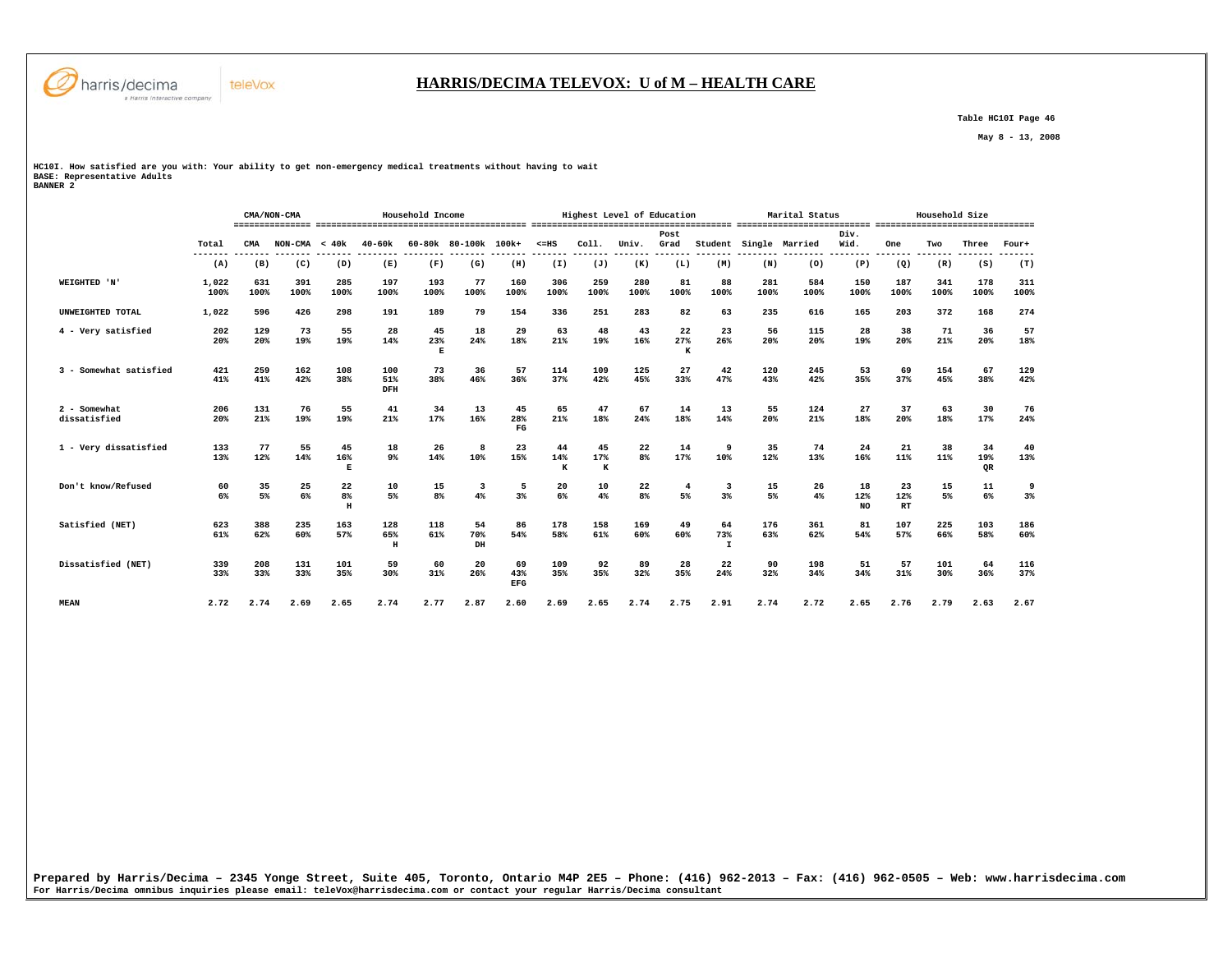

#### **HARRIS/DECIMA TELEVOX: U of M – HEALTH CARE**

 **Table HC10I Page 46** 

 **May 8 - 13, 2008** 

**HC10I. How satisfied are you with: Your ability to get non-emergency medical treatments without having to wait BASE: Representative Adults BANNER 2** 

|                              |               |             | CMA/NON-CMA |                                |                          | Household Income         |                      |                          |                |                | Highest Level of Education |                      |                           |             | Marital Status |                  |                 | Household Size |                 |             |
|------------------------------|---------------|-------------|-------------|--------------------------------|--------------------------|--------------------------|----------------------|--------------------------|----------------|----------------|----------------------------|----------------------|---------------------------|-------------|----------------|------------------|-----------------|----------------|-----------------|-------------|
|                              | Total         | CMA         | NON-CMA     | < 40k                          | $40 - 60k$               |                          | 60-80k 80-100k 100k+ |                          | $< = HS$       | Col1.          | Univ.                      | Post<br>Grad         | Student                   |             | Single Married | Div.<br>Wid.     | One             | Two            | Three           | Four+       |
|                              | (A)           | (B)         | (C)         | (D)                            | (E)                      | (F)                      | (G)                  | (H)                      | (I)            | (J)            | (K)                        | (L)                  | (M)                       | (N)         | (0)            | (P)              | (Q)             | (R)            | (S)             | (T)         |
| WEIGHTED 'N'                 | 1,022<br>100% | 631<br>100% | 391<br>100% | 285<br>100%                    | 197<br>100%              | 193<br>100%              | 77<br>100%           | 160<br>100%              | 306<br>100%    | 259<br>100%    | 280<br>100%                | 81<br>100%           | 88<br>100%                | 281<br>100% | 584<br>100%    | 150<br>100%      | 187<br>100%     | 341<br>100%    | 178<br>100%     | 311<br>100% |
| UNWEIGHTED TOTAL             | 1,022         | 596         | 426         | 298                            | 191                      | 189                      | 79                   | 154                      | 336            | 251            | 283                        | 82                   | 63                        | 235         | 616            | 165              | 203             | 372            | 168             | 274         |
| 4 - Very satisfied           | 202<br>20%    | 129<br>20%  | 73<br>19%   | 55<br>19%                      | 28<br>14%                | 45<br>23%<br>$\mathbf E$ | 18<br>24%            | 29<br>18%                | 63<br>21%      | 48<br>19%      | 43<br>16%                  | 22<br>27%<br>к       | 23<br>26%                 | 56<br>20%   | 115<br>20%     | 28<br>19%        | 38<br>20%       | 71<br>21%      | 36<br>20%       | 57<br>18%   |
| 3 - Somewhat satisfied       | 421<br>41%    | 259<br>41%  | 162<br>42%  | 108<br>38%                     | 100<br>51%<br>DFH        | 73<br>38%                | 36<br>46%            | 57<br>36%                | 114<br>37%     | 109<br>42%     | 125<br>45%                 | 27<br>33%            | 42<br>47%                 | 120<br>43%  | 245<br>42%     | 53<br>35%        | 69<br>37%       | 154<br>45%     | 67<br>38%       | 129<br>42%  |
| 2 - Somewhat<br>dissatisfied | 206<br>20%    | 131<br>21%  | 76<br>19%   | 55<br>19%                      | 41<br>21%                | 34<br>17%                | 13<br>16%            | 45<br>28%<br>$_{\rm FG}$ | 65<br>21%      | 47<br>18%      | 67<br>24%                  | 14<br>18%            | 13<br>14%                 | 55<br>20%   | 124<br>21%     | 27<br>18%        | 37<br>20%       | 63<br>18%      | 30<br>17%       | 76<br>24%   |
| 1 - Very dissatisfied        | 133<br>13%    | 77<br>12%   | 55<br>14%   | 45<br>16%<br>Е                 | 18<br>9%                 | 26<br>14%                | 8<br>10%             | 23<br>15%                | 44<br>14%<br>к | 45<br>17%<br>K | 22<br>8%                   | 14<br>17%            | 9<br>10%                  | 35<br>12%   | 74<br>13%      | 24<br>16%        | 21<br>11%       | 38<br>11%      | 34<br>19%<br>QR | 40<br>13%   |
| Don't know/Refused           | 60<br>6%      | 35<br>5%    | 25<br>6%    | 22<br>8 <sup>°</sup><br>$\,$ H | 10<br>5%                 | 15<br>$8\%$              | 3<br>4%              | 5<br>3%                  | 20<br>6%       | 10<br>4%       | 22<br>8 <sup>°</sup>       | $\overline{4}$<br>5% | 3<br>3%                   | 15<br>5%    | 26<br>4%       | 18<br>12%<br>NO. | 23<br>12%<br>RT | 15<br>5%       | 11<br>6%        | 9<br>$3\%$  |
| Satisfied (NET)              | 623<br>61%    | 388<br>62%  | 235<br>60%  | 163<br>57%                     | 128<br>65%<br>$_{\rm H}$ | 118<br>61%               | 54<br>70%<br>DH      | 86<br>54%                | 178<br>58%     | 158<br>61%     | 169<br>60%                 | 49<br>60%            | 64<br>73%<br>$\mathbf{I}$ | 176<br>63%  | 361<br>62%     | 81<br>54%        | 107<br>57%      | 225<br>66%     | 103<br>58%      | 186<br>60%  |
| Dissatisfied (NET)           | 339<br>33%    | 208<br>33%  | 131<br>33%  | 101<br>35%                     | 59<br>30%                | 60<br>31%                | 20<br>26%            | 69<br>43%<br>EFG         | 109<br>35%     | 92<br>35%      | 89<br>32%                  | 28<br>35%            | 22<br>24%                 | 90<br>32%   | 198<br>34%     | 51<br>34%        | 57<br>31%       | 101<br>30%     | 64<br>36%       | 116<br>37%  |
| <b>MEAN</b>                  | 2.72          | 2.74        | 2.69        | 2.65                           | 2.74                     | 2.77                     | 2.87                 | 2.60                     | 2.69           | 2.65           | 2.74                       | 2.75                 | 2.91                      | 2.74        | 2.72           | 2.65             | 2.76            | 2.79           | 2.63            | 2.67        |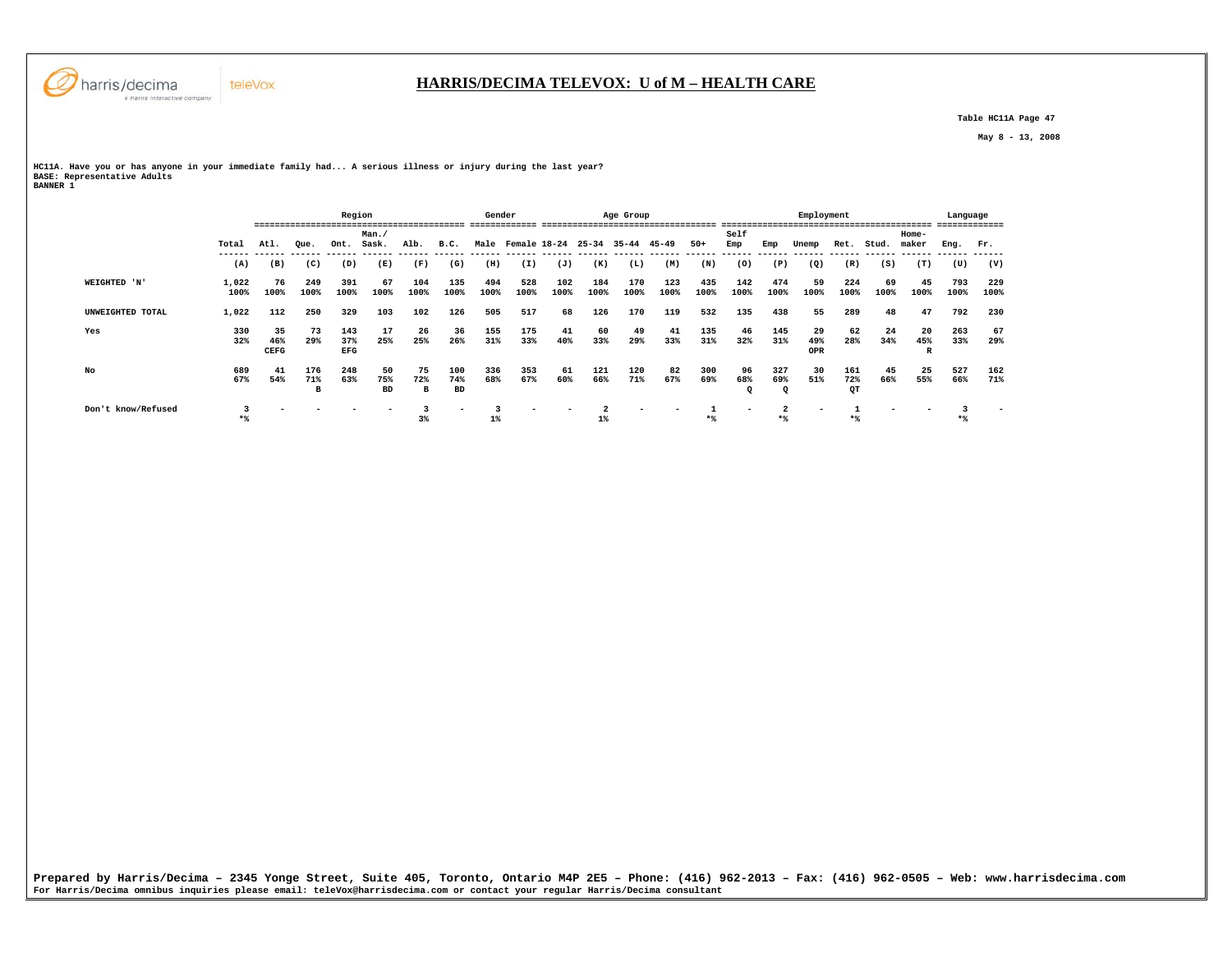

 **Table HC11A Page 47** 

 **May 8 - 13, 2008** 

**HC11A. Have you or has anyone in your immediate family had... A serious illness or injury during the last year? BASE: Representative Adults BANNER 1** 

|                    |               |                          |                 | Region                   |                        |                |                         | Gender      |             |                         |             | Age Group   |             |             |             |                       | Employment       |                  |            |                          | Language    |             |
|--------------------|---------------|--------------------------|-----------------|--------------------------|------------------------|----------------|-------------------------|-------------|-------------|-------------------------|-------------|-------------|-------------|-------------|-------------|-----------------------|------------------|------------------|------------|--------------------------|-------------|-------------|
|                    |               |                          |                 |                          | Man./                  |                |                         |             |             |                         |             |             |             |             | Self        |                       |                  |                  |            | Home-                    |             |             |
|                    | Total         | Atl.                     | Que.            | Ont.                     | Sask.                  | Alb.           | B.C.                    |             |             | Male Female 18-24 25-34 |             | 35-44 45-49 |             | $50+$       | Emp         | Emp                   | Unemp            | Ret.             | Stud.      | maker                    | Eng.        | Fr.         |
|                    | (A)           | (B)                      | (C)             | (D)                      | (E)                    | (F)            | (G)                     | (H)         | (I)         | (J)                     | (K)         | (L)         | (M)         | (N)         | (0)         | (P)                   | (Q)              | (R)              | (S)        | (T)                      | (U)         | (V)         |
| WEIGHTED 'N'       | 1,022<br>100% | 76<br>100%               | 249<br>100%     | 391<br>100%              | 67<br>100%             | 104<br>100%    | 135<br>100%             | 494<br>100% | 528<br>100% | 102<br>100%             | 184<br>100% | 170<br>100% | 123<br>100% | 435<br>100% | 142<br>100% | 474<br>100%           | 59<br>100%       | 224<br>100%      | 69<br>100% | 45<br>100%               | 793<br>100% | 229<br>100% |
| UNWEIGHTED TOTAL   | 1,022         | 112                      | 250             | 329                      | 103                    | 102            | 126                     | 505         | 517         | 68                      | 126         | 170         | 119         | 532         | 135         | 438                   | 55               | 289              | 48         | 47                       | 792         | 230         |
| Yes                | 330<br>32%    | 35<br>46%<br><b>CEFG</b> | 73<br>29%       | 143<br>37%<br><b>EFG</b> | 17<br>25%              | 26<br>25%      | 36<br>26%               | 155<br>31%  | 175<br>33%  | 41<br>40%               | 60<br>33%   | 49<br>29%   | 41<br>33%   | 135<br>31%  | 46<br>32%   | 145<br>31%            | 29<br>49%<br>OPR | 62<br>28%        | 24<br>34%  | 20<br>45%<br>$\mathbf R$ | 263<br>33%  | 67<br>29%   |
| No                 | 689<br>67%    | 41<br>54%                | 176<br>71%<br>B | 248<br>63%               | 50<br>75%<br><b>BD</b> | 75<br>72%<br>в | 100<br>74%<br><b>BD</b> | 336<br>68%  | 353<br>67%  | 61<br>60%               | 121<br>66%  | 120<br>71%  | 82<br>67%   | 300<br>69%  | 96<br>68%   | 327<br>69%<br>$\circ$ | 30<br>51%        | 161<br>72%<br>QТ | 45<br>66%  | 25<br>55%                | 527<br>66%  | 162<br>71%  |
| Don't know/Refused | $*$           |                          |                 |                          |                        | 3 <sup>8</sup> |                         | $1\%$       |             |                         | 1%          |             |             | $*$         |             |                       | -                |                  |            |                          |             |             |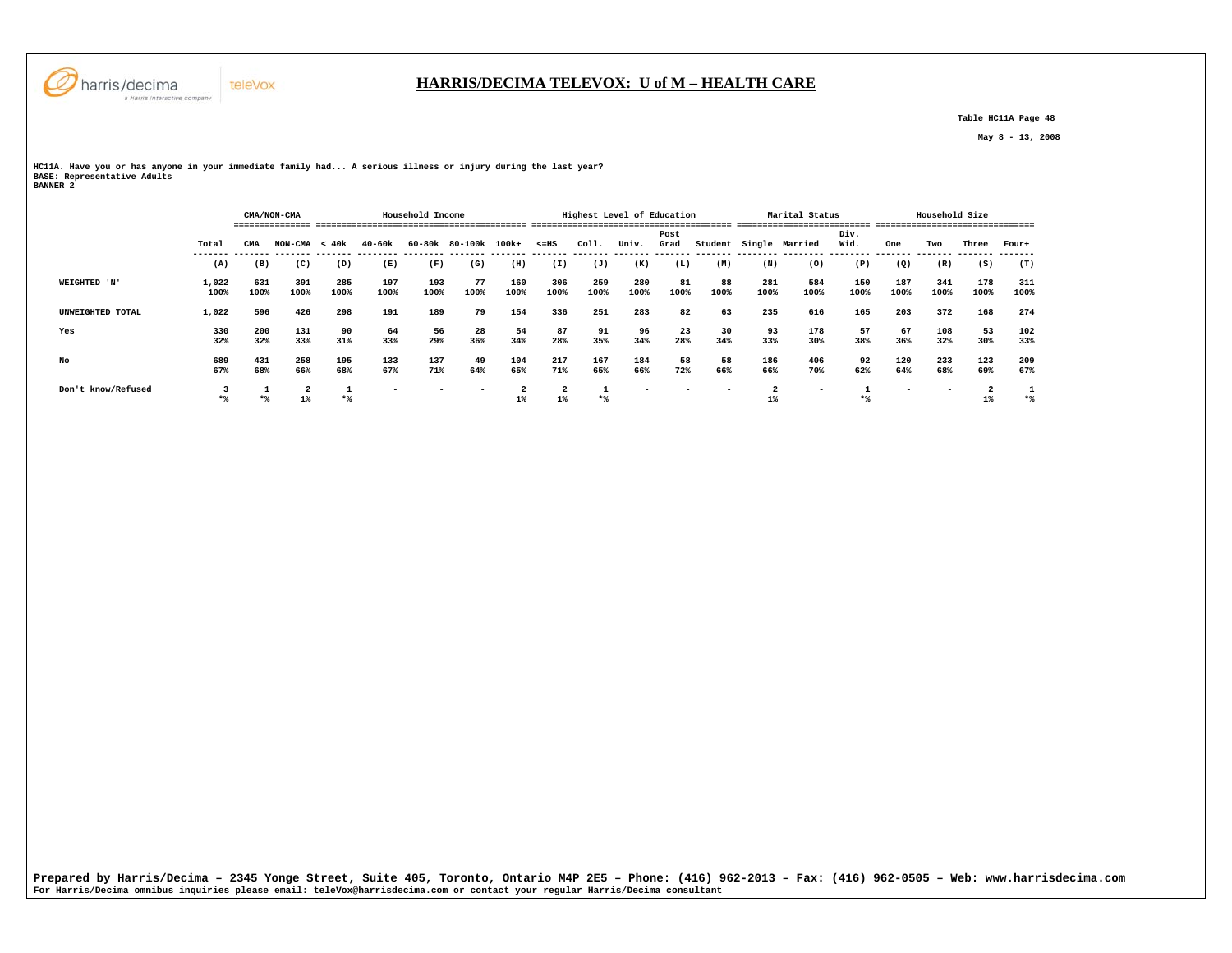

# **HARRIS/DECIMA TELEVOX: U of M – HEALTH CARE**

 **Table HC11A Page 48** 

 **May 8 - 13, 2008** 

**HC11A. Have you or has anyone in your immediate family had... A serious illness or injury during the last year? BASE: Representative Adults BANNER 2** 

| -------- |                    |               |               |                 |             |             |                  |            |                      |                                  |             |                            |              |            |                         |                |              |             |                |             |             |
|----------|--------------------|---------------|---------------|-----------------|-------------|-------------|------------------|------------|----------------------|----------------------------------|-------------|----------------------------|--------------|------------|-------------------------|----------------|--------------|-------------|----------------|-------------|-------------|
|          |                    |               | ------------- | CMA/NON-CMA     |             |             | Household Income |            |                      |                                  |             | Highest Level of Education |              |            |                         | Marital Status |              |             | Household Size |             |             |
|          |                    | Total         | CMA           | $NON-CMA < 40k$ |             | 40-60k      | 60-80k           | 80-100k    | 100k+                | $< = HS$                         | Coll.       | Univ.                      | Post<br>Grad | Student    |                         | Single Married | Div.<br>Wid. | One         | Two            | Three       | Four+       |
|          |                    | (A)           | (B)           | (C)             | (D)         | (E)         | (F)              | (G)        | (H)                  | (I)                              | (J)         | (K)                        | (L)          | (M)        | (N)                     | (0)            | (P)          | (Q)         | (R)            | (S)         | (T)         |
|          | WEIGHTED 'N'       | 1,022<br>100% | 631<br>100%   | 391<br>100%     | 285<br>100% | 197<br>100% | 193<br>100%      | 77<br>100% | 160<br>100%          | 306<br>100%                      | 259<br>100% | 280<br>100%                | 81<br>100%   | 88<br>100% | 281<br>100%             | 584<br>100%    | 150<br>100%  | 187<br>100% | 341<br>100%    | 178<br>100% | 311<br>100% |
|          | UNWEIGHTED TOTAL   | 1,022         | 596           | 426             | 298         | 191         | 189              | 79         | 154                  | 336                              | 251         | 283                        | 82           | 63         | 235                     | 616            | 165          | 203         | 372            | 168         | 274         |
| Yes      |                    | 330<br>32%    | 200<br>32%    | 131<br>33%      | 90<br>31%   | 64<br>33%   | 56<br>29%        | 28<br>36%  | 54<br>34%            | 87<br>28%                        | 91<br>35%   | 96<br>34%                  | 23<br>28%    | 30<br>34%  | 93<br>33%               | 178<br>30%     | 57<br>38%    | 67<br>36%   | 108<br>32%     | 53<br>30%   | 102<br>33%  |
| No       |                    | 689<br>67%    | 431<br>68%    | 258<br>66%      | 195<br>68%  | 133<br>67%  | 137<br>71%       | 49<br>64%  | 104<br>65%           | 217<br>71%                       | 167<br>65%  | 184<br>66%                 | 58<br>72%    | 58<br>66%  | 186<br>66%              | 406<br>70%     | 92<br>62%    | 120<br>64%  | 233<br>68%     | 123<br>69%  | 209<br>67%  |
|          | Don't know/Refused | $*$           |               | $\overline{a}$  | $*$         |             |                  |            | $\overline{a}$<br>1% | $\overline{\mathbf{2}}$<br>$1\%$ | ᅩ<br>$*$    |                            |              |            | $\overline{a}$<br>$1\%$ | -              | $*$          |             |                | $1\%$       | $*$         |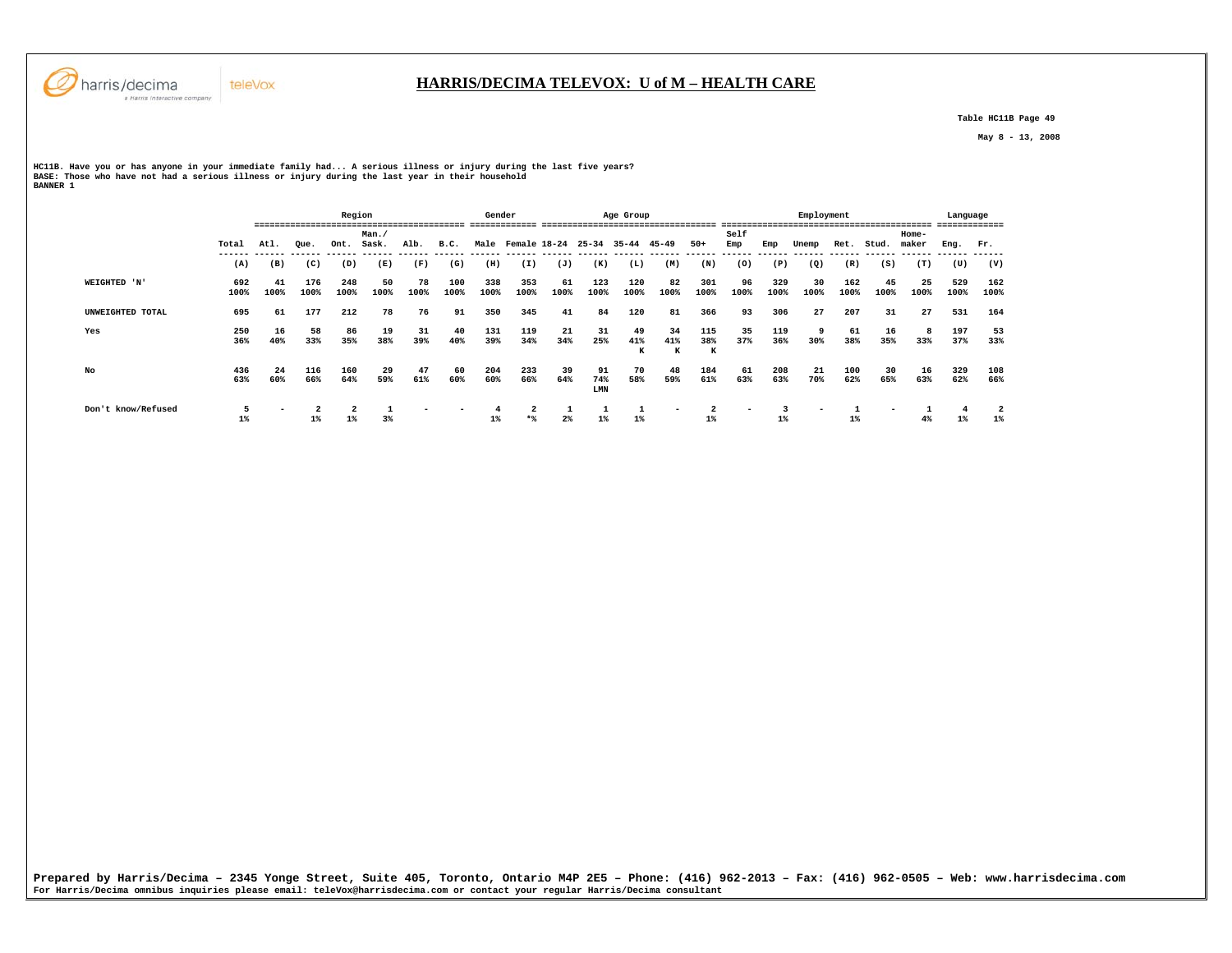

 **Table HC11B Page 49** 

 **May 8 - 13, 2008** 

**HC11B. Have you or has anyone in your immediate family had... A serious illness or injury during the last five years? BASE: Those who have not had a serious illness or injury during the last year in their household BANNER 1** 

|                    |             |            |             | Region                  |                |                |             | Gender      | --------------        |            |                  | Age Group      | ------------------------------------ |                 |                |             | Employment     |               |            |                  | Language    |             |
|--------------------|-------------|------------|-------------|-------------------------|----------------|----------------|-------------|-------------|-----------------------|------------|------------------|----------------|--------------------------------------|-----------------|----------------|-------------|----------------|---------------|------------|------------------|-------------|-------------|
|                    | Total       | Atl.       | Que.        | Ont.                    | Man.<br>Sask.  | Alb.           | B.C.        | Male        | Female 18-24          |            | $25 - 34$        | $35 - 44$      | 45-49                                | $50+$           | Self<br>Emp    | Emp         | Unemp          | Ret.          | Stud.      | $Home-$<br>maker | Eng.        | Fr.         |
|                    | (A)         | (B)        | (C)         | -------<br>(D)          | -------<br>(E) | -------<br>(F) | (G)         | (H)         | (I)                   | (J)        | (K)              | (L)            | (M)                                  | (N)             | -------<br>(0) | (P)         | -------<br>(Q) | ------<br>(R) | (S)        | (T)              | (U)         | (V)         |
| WEIGHTED 'N'       | 692<br>100% | 41<br>100% | 176<br>100% | 248<br>100%             | 50<br>100%     | 78<br>100%     | 100<br>100% | 338<br>100% | 353<br>100%           | 61<br>100% | 123<br>100%      | 120<br>100%    | 82<br>100%                           | 301<br>100%     | 96<br>100%     | 329<br>100% | 30<br>100%     | 162<br>100%   | 45<br>100% | 25<br>100%       | 529<br>100% | 162<br>100% |
| UNWEIGHTED TOTAL   | 695         | 61         | 177         | 212                     | 78             | 76             | 91          | 350         | 345                   | 41         | 84               | 120            | 81                                   | 366             | 93             | 306         | 27             | 207           | 31         | 27               | 531         | 164         |
| Yes                | 250<br>36%  | 16<br>40%  | 58<br>33%   | 86<br>35%               | 19<br>38%      | 31<br>39%      | 40<br>40%   | 131<br>39%  | 119<br>34%            | 21<br>34%  | 31<br>25%        | 49<br>41%<br>к | 34<br>41%<br>к                       | 115<br>38%<br>к | 35<br>37%      | 119<br>36%  | 9<br>30%       | 61<br>38%     | 16<br>35%  | 8<br>33%         | 197<br>37%  | 53<br>33%   |
| No                 | 436<br>63%  | 24<br>60%  | 116<br>66%  | 160<br>64%              | 29<br>59%      | 47<br>61%      | 60<br>60%   | 204<br>60%  | 233<br>66%            | 39<br>64%  | 91<br>74%<br>LMN | 70<br>58%      | 48<br>59%                            | 184<br>61%      | 61<br>63%      | 208<br>63%  | 21<br>70%      | 100<br>62%    | 30<br>65%  | 16<br>63%        | 329<br>62%  | 108<br>66%  |
| Don't know/Refused | 5<br>$1\%$  |            | $1\%$       | $\overline{2}$<br>$1\%$ | 3%             |                |             | $1\%$       | $\overline{a}$<br>$*$ | $2\%$      | $1\%$            | $1\%$          | $\overline{\phantom{0}}$             | 2<br>$1\%$      |                | $1\%$       | -              | $1\%$         |            | 4%               | $1\%$       | $1\%$       |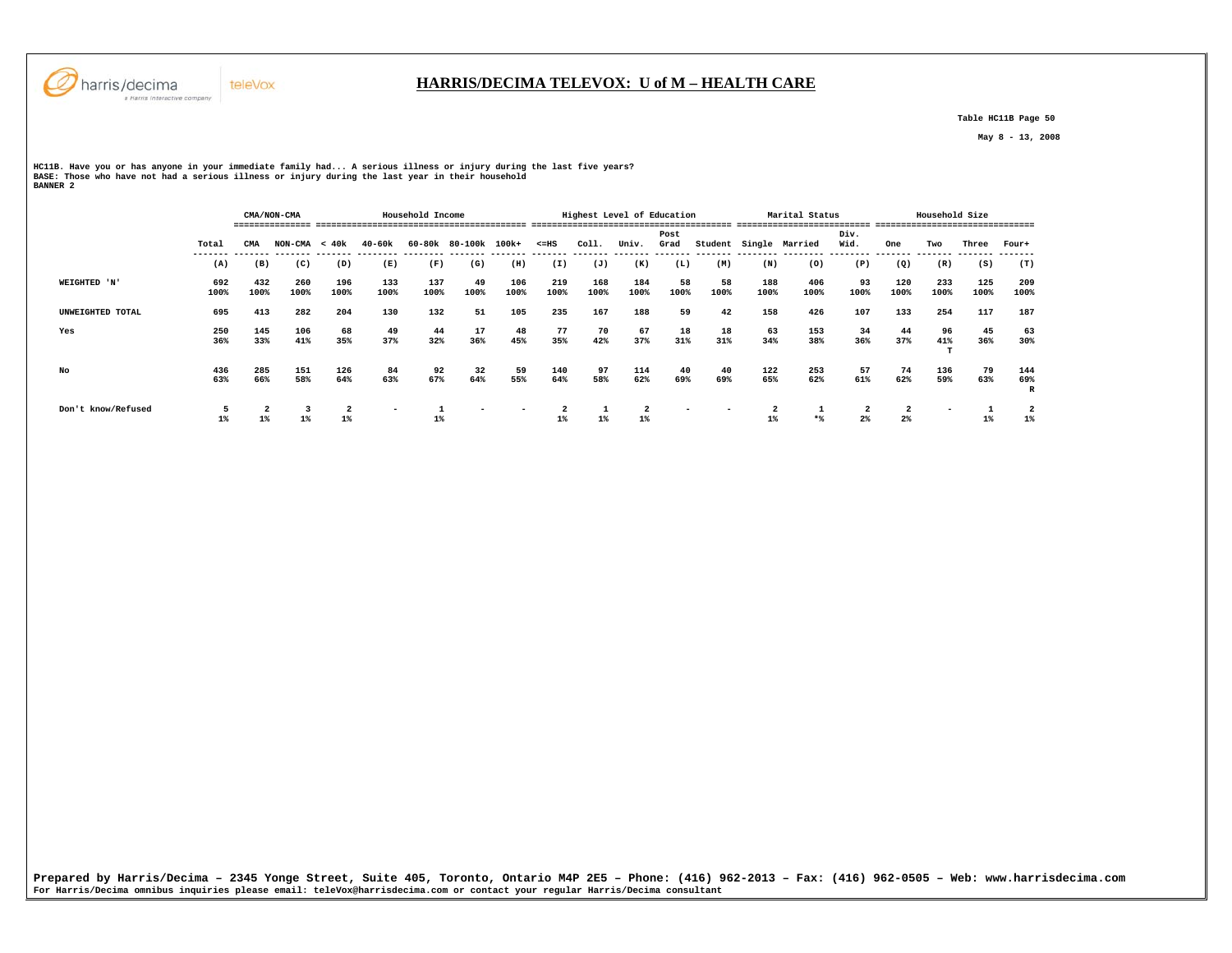

 **Table HC11B Page 50** 

 **May 8 - 13, 2008** 

**HC11B. Have you or has anyone in your immediate family had... A serious illness or injury during the last five years? BASE: Those who have not had a serious illness or injury during the last year in their household BANNER 2** 

 **CMA/NON-CMA Household Income Highest Level of Education Marital Status Household Size =============== ========================================= ======================================= ========================== =============================== Post Div.** Wid.  **Total CMA NON-CMA < 40k 40-60k 60-80k 80-100k 100k+ <=HS Coll. Univ. Grad Student Single Married Wid. One Two Three Four+ ------- ------- ------- ------- -------- -------- ------- ------- ------- ------- ------- ------- ------- -------- -------- -------- ------- ------- ------- -------**  $(T)$  **(A) (B) (C) (D) (E) (F) (G) (H) (I) (J) (K) (L) (M) (N) (O) (P) (Q) (R) (S) (T) WEIGHTED 'N' 692 432 260 196 133 137 49 106 219 168 184 58 58 188 406 93 120 233 125 209** 209<br>100%  **100% 100% 100% 100% 100% 100% 100% 100% 100% 100% 100% 100% 100% 100% 100% 100% 100% 100% 100% 100% UNWEIGHTED TOTAL 695 413 282 204 130 132 51 105 235 167 188 59 42 158 426 107 133 254 117 187 Yes 250 145 106 68 49 44 17 48 77 70 67 18 18 63 153 34 44 96 45 63 36% 33% 41% 35% 37% 32% 36% 45% 35% 42% 37% 31% 31% 34% 38% 36% 37% 41% 36% 30%**  $\mathbf{T}$  **No 436 285 151 126 84 92 32 59 140 97 114 40 40 122 253 57 74 136 79 144 63% 66% 58% 64% 63% 67% 64% 55% 64% 58% 62% 69% 69% 65% 62% 61% 62% 59% 63% 69% R Don't know/Refused 5 2 3 2 - 1 - - 2 1 2 - - 2 1 2 2 - 1 2**  $\frac{2}{1\%}$  **1% 1% 1% 1% 1% 1% 1% 1% 1% \*% 2% 2% 1% 1%**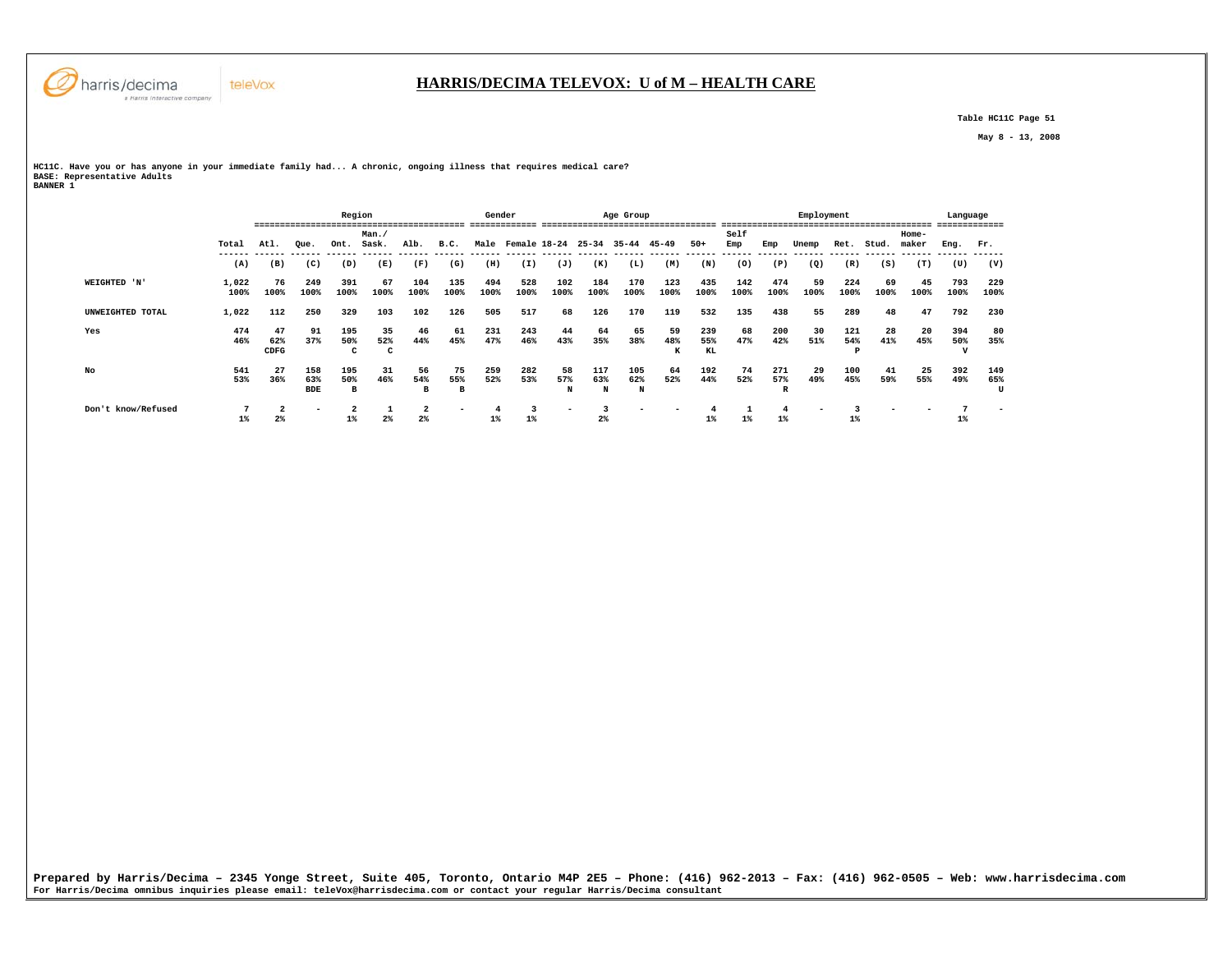

 **Table HC11C Page 51** 

 **May 8 - 13, 2008** 

**HC11C. Have you or has anyone in your immediate family had... A chronic, ongoing illness that requires medical care? BASE: Representative Adults BANNER 1** 

|                    |               | ----        |                   | Region      | ----------------------- |             |                          | Gender      |                   |             |                | Age Group   |             |             |             |             | Employment |             |            |                | Language<br>------------- |     |
|--------------------|---------------|-------------|-------------------|-------------|-------------------------|-------------|--------------------------|-------------|-------------------|-------------|----------------|-------------|-------------|-------------|-------------|-------------|------------|-------------|------------|----------------|---------------------------|-----|
|                    | Total         | Atl.        | Que.              | Ont.        | Man.<br>Sask.           | Alb.        | B.C.                     |             | Male Female 18-24 |             | $25 - 34$      | 35-44 45-49 |             | $50+$       | Self<br>Emp | Emp         | Unemp      | Ret.        | Stud.      | Home-<br>maker | Eng.                      | Fr. |
|                    | (A)           | (B)         | (C)               | (D)         | ------- ------<br>(E)   | (F)         | (G)                      | (H)         | (I)               | (J)         | (K)            | (L)         | (M)         | (N)         | (0)         | (P)         | (Q)        | (R)         | (S)        | (T)            | (U)                       |     |
|                    |               |             |                   |             |                         |             |                          |             |                   |             |                |             |             |             |             |             |            |             |            |                |                           |     |
| WEIGHTED 'N'       | 1,022<br>100% | 76<br>100%  | 249<br>100%       | 391<br>100% | 67<br>100%              | 104<br>100% | 135<br>100%              | 494<br>100% | 528<br>100%       | 102<br>100% | 184<br>100%    | 170<br>100% | 123<br>100% | 435<br>100% | 142<br>100% | 474<br>100% | 59<br>100% | 224<br>100% | 69<br>100% | 45<br>100%     | 793<br>100%               |     |
| UNWEIGHTED TOTAL   | 1,022         | 112         | 250               | 329         | 103                     | 102         | 126                      | 505         | 517               | 68          | 126            | 170         | 119         | 532         | 135         | 438         | 55         | 289         | 48         | 47             | 792                       |     |
| Yes                | 474           | 47          | 91                | 195         | 35                      | 46          | 61                       | 231         | 243               | 44          | 64             | 65          | 59          | 239         | 68          | 200         | 30         | 121         | 28         | 20             | 394                       |     |
|                    | 46%           | 62%<br>CDFG | 37%               | 50%<br>c    | 52%<br>c                | 44%         | 45%                      | 47%         | 46%               | 43%         | 35%            | 38%         | 48%<br>к    | 55%<br>KL   | 47%         | 42%         | 51%        | 54%         | 41%        | 45%            | 50%                       |     |
| No                 | 541           | 27          | 158               | 195         | 31                      | 56          | 75                       | 259         | 282               | 58          | 117            | 105         | 64          | 192         | 74          | 271         | 29         | 100         | 41         | 25             | 392                       |     |
|                    | 53%           | 36%         | 63%<br><b>BDE</b> | 50%<br>в    | 46%                     | 54%<br>в    | 55%<br>в                 | 52%         | 53%               | 57%<br>N    | 63%<br>N       | 62%<br>N    | 52%         | 44%         | 52%         | 57%<br>R    | 49%        | 45%         | 59%        | 55%            | 49%                       |     |
| Don't know/Refused |               |             |                   |             |                         | 2           | $\overline{\phantom{a}}$ |             |                   |             |                | -           |             |             |             |             |            |             |            |                |                           |     |
|                    | $1\%$         | $2\%$       |                   | 1%          | 2%                      | $2\%$       |                          | $1\%$       | $1\%$             |             | 2 <sup>°</sup> |             |             | $1\%$       | $1\%$       | $1\%$       |            | $1\%$       |            |                | $1\%$                     |     |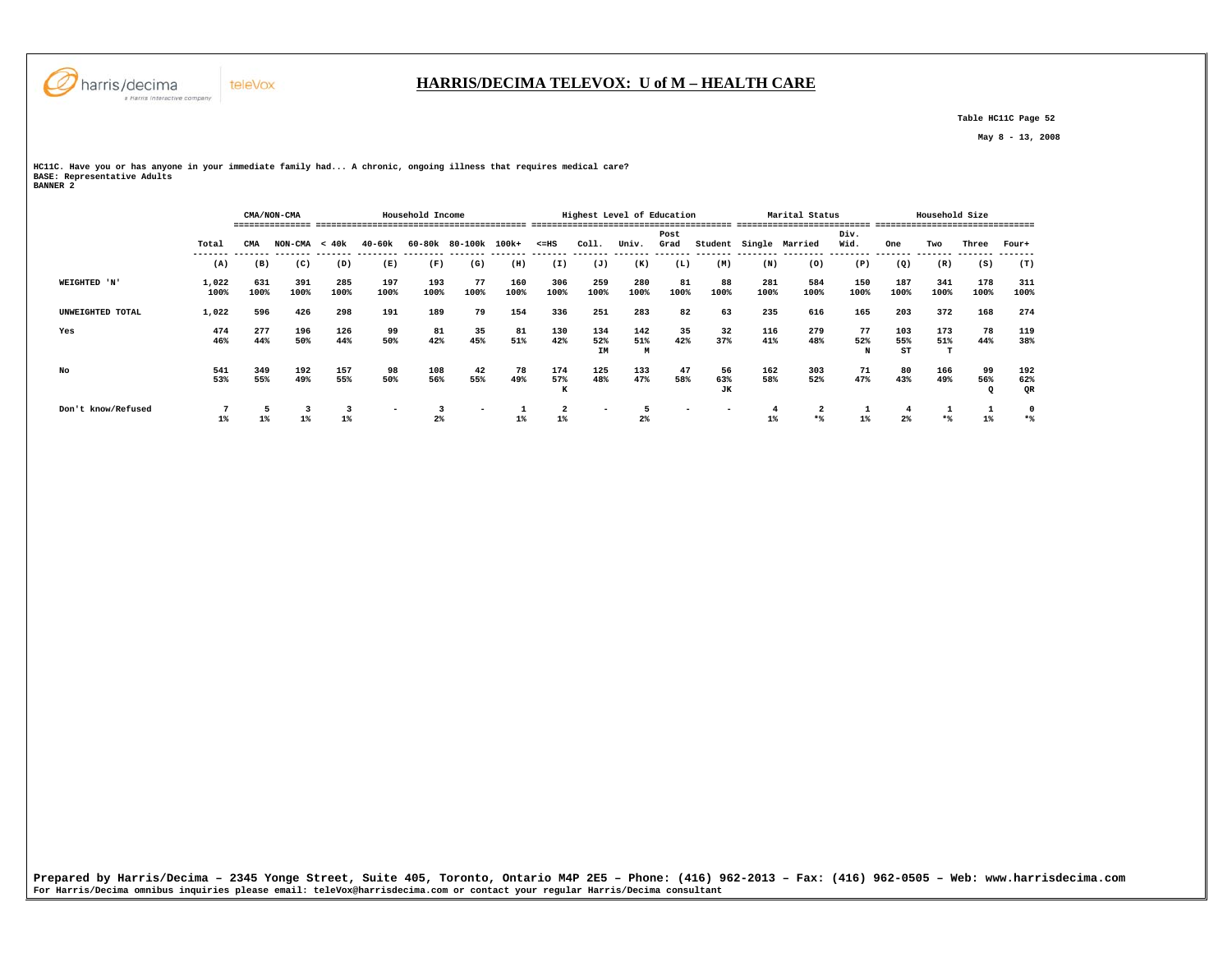

## **HARRIS/DECIMA TELEVOX: U of M – HEALTH CARE**

 **Table HC11C Page 52** 

 **May 8 - 13, 2008** 

**HC11C. Have you or has anyone in your immediate family had... A chronic, ongoing illness that requires medical care? BASE: Representative Adults BANNER 2** 

|                    |               |             | CMA/NON-CMA     |             |                          | Household Income |                      |             |                                  |                          | Highest Level of Education |                          |                          |             | Marital Status                 |              |                  | Household Size |             |                  |
|--------------------|---------------|-------------|-----------------|-------------|--------------------------|------------------|----------------------|-------------|----------------------------------|--------------------------|----------------------------|--------------------------|--------------------------|-------------|--------------------------------|--------------|------------------|----------------|-------------|------------------|
|                    | Total         | CMA         | $NON-CMA < 40k$ |             | 40-60k                   |                  | 60-80k 80-100k 100k+ |             | $< = HS$                         | Coll.                    | Univ.                      | Post<br>Grad             |                          |             | Student Single Married         | Div.<br>Wid. | One              | Two            | Three       | Four+            |
|                    | (A)           | (B)         | (C)             | (D)         | (E)                      | (F)              | (G)                  | (H)         | (I)                              | (J)                      | (K)                        | (L)                      | (M)                      | (N)         | (0)                            | (P)          | (Q)              | (R)            | (S)         | (T)              |
| WEIGHTED 'N'       | 1,022<br>100% | 631<br>100% | 391<br>100%     | 285<br>100% | 197<br>100%              | 193<br>100%      | 77<br>100%           | 160<br>100% | 306<br>100%                      | 259<br>100%              | 280<br>100%                | 81<br>100%               | 88<br>100%               | 281<br>100% | 584<br>100%                    | 150<br>100%  | 187<br>100%      | 341<br>100%    | 178<br>100% | 311<br>100%      |
| UNWEIGHTED TOTAL   | 1,022         | 596         | 426             | 298         | 191                      | 189              | 79                   | 154         | 336                              | 251                      | 283                        | 82                       | 63                       | 235         | 616                            | 165          | 203              | 372            | 168         | 274              |
| Yes                | 474<br>46%    | 277<br>44%  | 196<br>50%      | 126<br>44%  | 99<br>50%                | 81<br>42%        | 35<br>45%            | 81<br>51%   | 130<br>42%                       | 134<br>52%<br>IM         | 142<br>51%<br>M            | 35<br>42%                | 32<br>37%                | 116<br>41%  | 279<br>48%                     | 77<br>52%    | 103<br>55%<br>ST | 173<br>51%     | 78<br>44%   | 119<br>38%       |
| No                 | 541<br>53%    | 349<br>55%  | 192<br>49%      | 157<br>55%  | 98<br>50%                | 108<br>56%       | 42<br>55%            | 78<br>49%   | 174<br>57%<br>к                  | 125<br>48%               | 133<br>47%                 | 47<br>58%                | 56<br>63%<br>JК          | 162<br>58%  | 303<br>52%                     | 71<br>47%    | 80<br>43%        | 166<br>49%     | 99<br>56%   | 192<br>62%<br>QR |
| Don't know/Refused | $1\%$         | $1\%$       | 3<br>$1\%$      | $1\%$       | $\overline{\phantom{0}}$ | $2\%$            |                      |             | $\overline{\mathbf{2}}$<br>$1\%$ | $\overline{\phantom{a}}$ | 2 <sup>°</sup>             | $\overline{\phantom{a}}$ | $\overline{\phantom{a}}$ |             | $\overline{\mathbf{2}}$<br>$*$ | $1\%$        | 2%               | $*$            |             | 0<br>$*$         |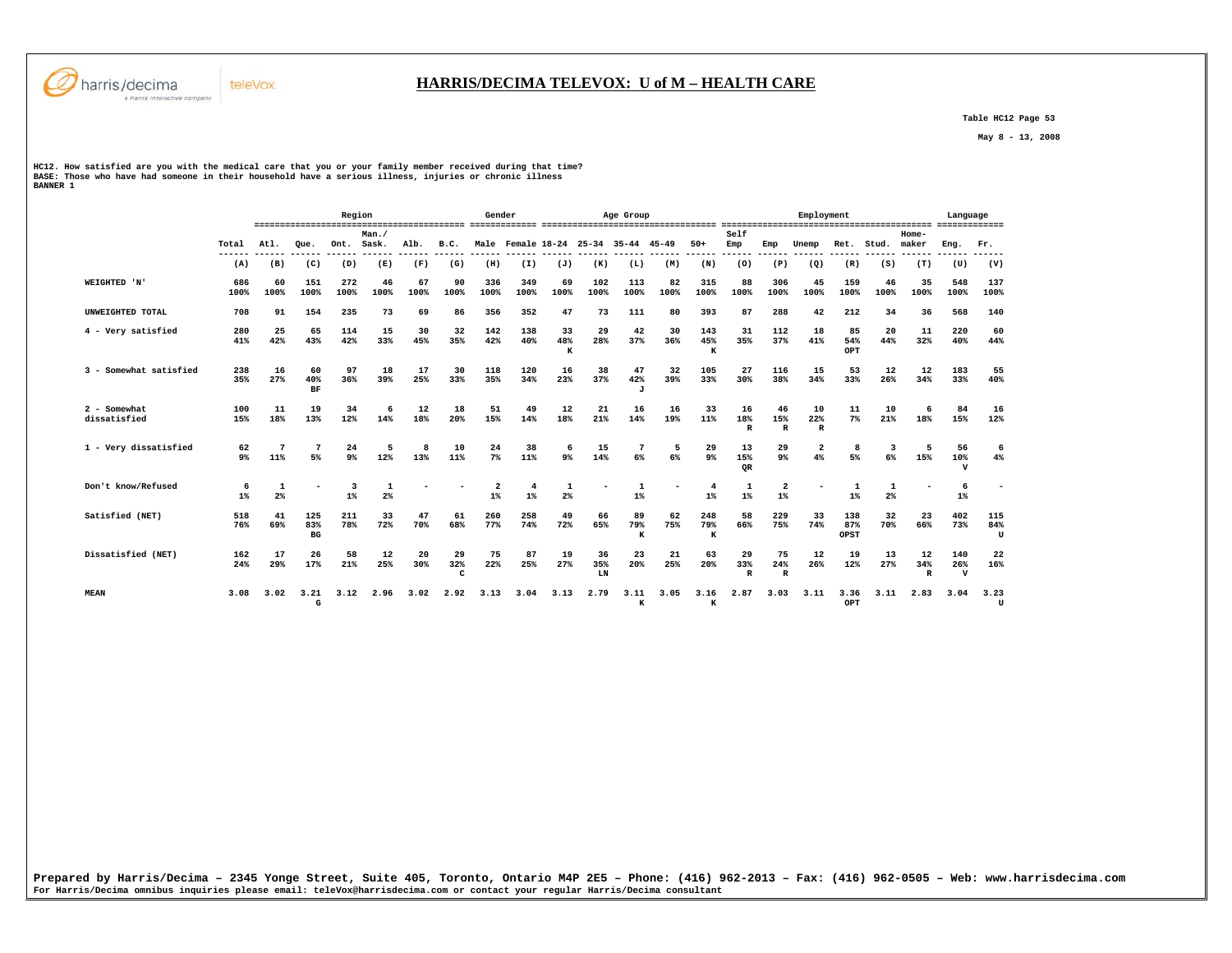

 **Table HC12 Page 53** 

 **May 8 - 13, 2008** 

HCl2. How satisfied are you with the medical care that you or your family member received during that time?<br>BASE: Those who have had someone in their household have a serious illness, injuries or chronic illness<br>BANNER 1

|                              |                      |                     |                  | Region      |                          |                |                           | Gender                           |                         |                |                 | Age Group                           |            |                      |                           |                           | Employment                    |                    |            |                  | Language                   |                          |
|------------------------------|----------------------|---------------------|------------------|-------------|--------------------------|----------------|---------------------------|----------------------------------|-------------------------|----------------|-----------------|-------------------------------------|------------|----------------------|---------------------------|---------------------------|-------------------------------|--------------------|------------|------------------|----------------------------|--------------------------|
|                              | Total<br>------      | Atl.                | Oue.             | Ont.        | Man./<br>Sask.<br>------ | Alb.<br>------ | B.C.<br>------            |                                  |                         |                |                 | Male Female 18-24 25-34 35-44 45-49 |            | $50+$                | Self<br>Emp               | Emp                       | Unemp                         | Ret.               | Stud.      | $Home-$<br>maker | Eng.                       | Fr.                      |
|                              | (A)                  | (B)                 | (C)              | (D)         | (E)                      | (F)            | (G)                       | (H)                              | (I)                     | (J)            | (K)             | (L)                                 | (M)        | (N)                  | (0)                       | (P)                       | (Q)                           | (R)                | (S)        | (T)              | (U)                        | (V)                      |
| WEIGHTED 'N'                 | 686<br>100%          | 60<br>100%          | 151<br>100%      | 272<br>100% | 46<br>100%               | 67<br>100%     | 90<br>100%                | 336<br>100%                      | 349<br>100%             | 69<br>100%     | 102<br>100%     | 113<br>100%                         | 82<br>100% | 315<br>100%          | 88<br>100%                | 306<br>100%               | 45<br>100%                    | 159<br>100%        | 46<br>100% | 35<br>100%       | 548<br>100%                | 137<br>100%              |
| UNWEIGHTED TOTAL             | 708                  | 91                  | 154              | 235         | 73                       | 69             | 86                        | 356                              | 352                     | 47             | 73              | 111                                 | 80         | 393                  | 87                        | 288                       | 42                            | 212                | 34         | 36               | 568                        | 140                      |
| 4 - Very satisfied           | 280<br>41%           | 25<br>42%           | 65<br>43%        | 114<br>42%  | 15<br>33%                | 30<br>45%      | 32<br>35%                 | 142<br>42%                       | 138<br>40%              | 33<br>48%<br>K | 29<br>28%       | 42<br>37%                           | 30<br>36%  | 143<br>45%<br>к      | 31<br>35%                 | 112<br>37%                | 18<br>41%                     | 85<br>54%<br>OPT   | 20<br>44%  | 11<br>32%        | 220<br>40%                 | 60<br>44%                |
| 3 - Somewhat satisfied       | 238<br>35%           | 16<br>27%           | 60<br>40%<br>BF  | 97<br>36%   | 18<br>39%                | 17<br>25%      | 30<br>33%                 | 118<br>35%                       | 120<br>34%              | 16<br>23%      | 38<br>37%       | 47<br>42%<br>J                      | 32<br>39%  | 105<br>33%           | 27<br>30%                 | 116<br>38%                | 15<br>34%                     | 53<br>33%          | 12<br>26%  | 12<br>34%        | 183<br>33%                 | 55<br>40%                |
| 2 - Somewhat<br>dissatisfied | 100<br>15%           | 11<br>18%           | 19<br>13%        | 34<br>12%   | 6<br>14%                 | 12<br>18%      | 18<br>20%                 | 51<br>15%                        | 49<br>14%               | 12<br>18%      | 21<br>21%       | 16<br>14%                           | 16<br>19%  | 33<br>11%            | 16<br>18%<br>$\mathbb{R}$ | 46<br>15%<br>$\mathbb{R}$ | 10<br>22%<br>$\mathbb{R}$     | 11<br>7%           | 10<br>21%  | 6<br>18%         | 84<br>15%                  | 16<br>12%                |
| 1 - Very dissatisfied        | 62<br>9 <sup>°</sup> | 11%                 | 7<br>5%          | 24<br>9%    | 5<br>12%                 | 8<br>13%       | 10<br>11%                 | 24<br>7%                         | 38<br>11%               | 6<br>$9*$      | 15<br>14%       | 6%                                  | 6%         | 29<br>9 <sup>°</sup> | 13<br>15%<br>QR           | 29<br>9 <sup>°</sup>      | $\overline{\mathbf{2}}$<br>4% | 8<br>5%            | 6%         | -5<br>15%        | 56<br>10%<br>$\mathbf{v}$  | 6<br>$4\%$               |
| Don't know/Refused           | 6<br>$1\%$           | 1<br>2 <sup>8</sup> |                  | 3<br>1%     | 1<br>2 <sup>°</sup>      |                |                           | $\overline{\mathbf{2}}$<br>$1\%$ | $\overline{4}$<br>$1\%$ | 2 <sup>8</sup> |                 | 1<br>$1\%$                          |            | 4<br>$1\%$           | 1<br>$1\%$                | 2<br>1%                   |                               | $1\%$              | $2\%$      |                  | 6<br>$1\%$                 | $\overline{\phantom{0}}$ |
| Satisfied (NET)              | 518<br>76%           | 41<br>69%           | 125<br>83%<br>BG | 211<br>78%  | 33<br>72%                | 47<br>70%      | 61<br>68%                 | 260<br>77%                       | 258<br>74%              | 49<br>72%      | 66<br>65%       | 89<br>79%<br>к                      | 62<br>75%  | 248<br>79%<br>к      | 58<br>66%                 | 229<br>75%                | 33<br>74%                     | 138<br>87%<br>OPST | 32<br>70%  | 23<br>66%        | 402<br>73%                 | 115<br>84%<br>U          |
| Dissatisfied (NET)           | 162<br>24%           | 17<br>29%           | 26<br>17%        | 58<br>21%   | 12<br>25%                | 20<br>30%      | 29<br>32%<br>$\mathbf{C}$ | 75<br>22%                        | 87<br>25%               | 19<br>27%      | 36<br>35%<br>LN | 23<br>20%                           | 21<br>25%  | 63<br>20%            | 29<br>33%<br>R            | 75<br>24%<br>$\mathbb{R}$ | 12<br>26%                     | 19<br>12%          | 13<br>27%  | 12<br>34%<br>R   | 140<br>26%<br>$\mathbf{v}$ | 22<br>16%                |
| <b>MEAN</b>                  | 3.08                 | 3.02                | 3.21<br>G        | 3.12        | 2.96                     | 3.02           | 2.92                      | 3.13                             | 3.04                    | 3.13           | 2.79            | 3.11<br>к                           | 3.05       | 3.16<br>$\bf K$      | 2.87                      | 3.03                      | 3.11                          | 3.36<br>OPT        | 3.11       | 2.83             | 3.04                       | 3.23<br>U                |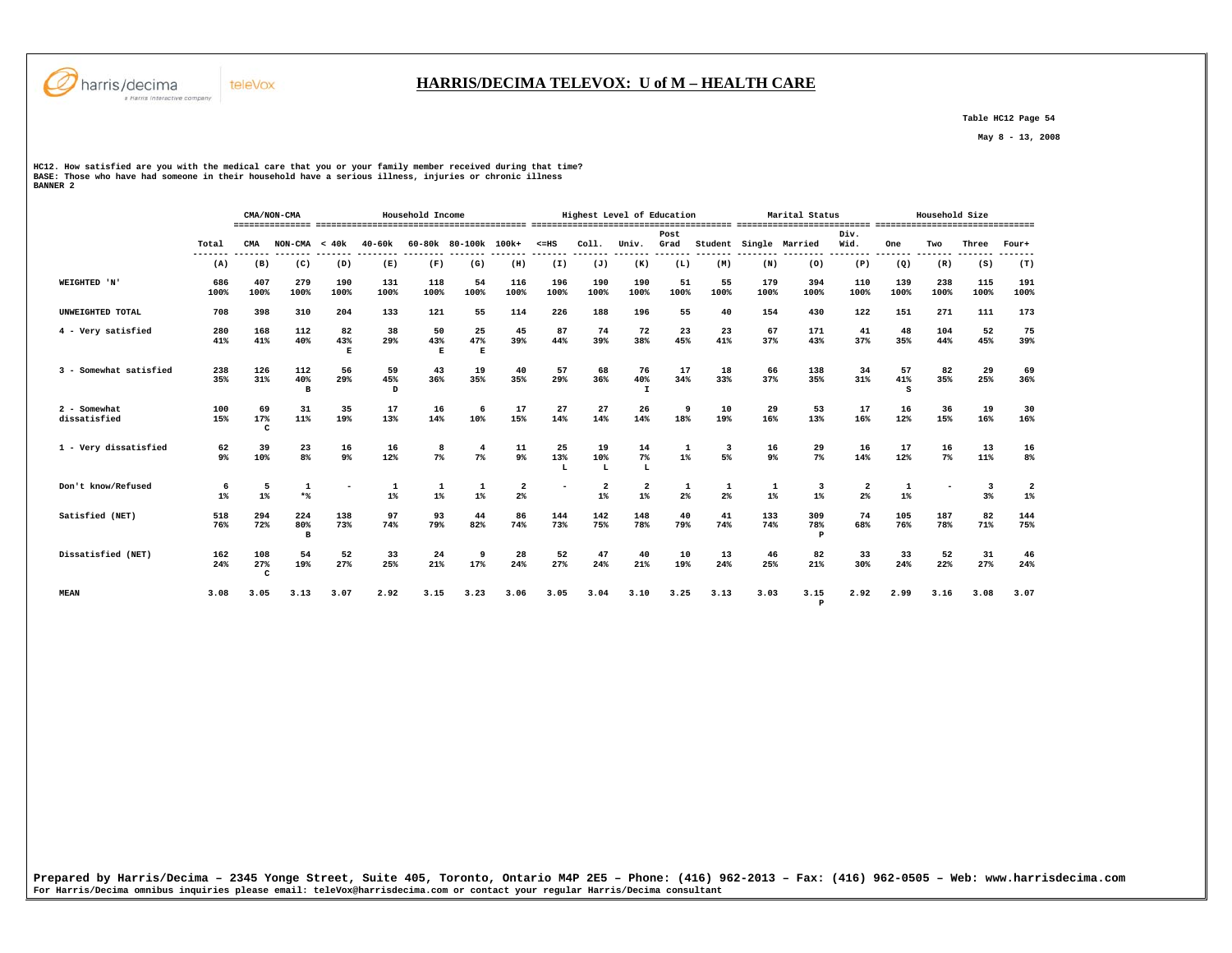

 **Table HC12 Page 54** 

 **May 8 - 13, 2008** 

HCl2. How satisfied are you with the medical care that you or your family member received during that time?<br>BASE: Those who have had someone in their household have a serious illness, injuries or chronic illness<br>BANNER 2

teleVox

|                              |                  |                            | CMA/NON-CMA          |                |                | Household Income |                      |                               |                 |                                  | Highest Level of Education       |              |            |             | Marital Status             |              | Household Size |             |                               |             |  |
|------------------------------|------------------|----------------------------|----------------------|----------------|----------------|------------------|----------------------|-------------------------------|-----------------|----------------------------------|----------------------------------|--------------|------------|-------------|----------------------------|--------------|----------------|-------------|-------------------------------|-------------|--|
|                              | Total<br>------- | CMA                        | $NON-CMA < 40k$      |                | $40 - 60k$     |                  | 60-80k 80-100k 100k+ |                               | $\leq$ =HS      | Col1.                            | Univ.                            | Post<br>Grad | Student    |             | Single Married             | Div.<br>Wid. | One            | Two         | Three                         | Four+       |  |
|                              | (A)              | (B)                        | (C)                  | (D)            | (E)            | (F)              | (G)                  | (H)                           | (I)             | (J)                              | (K)                              | (L)          | (M)        | (N)         | (0)                        | (P)          | (Q)            | (R)         | (S)                           | (T)         |  |
| WEIGHTED 'N'                 | 686<br>100%      | 407<br>100%                | 279<br>100%          | 190<br>100%    | 131<br>100%    | 118<br>100%      | 54<br>100%           | 116<br>100%                   | 196<br>100%     | 190<br>100%                      | 190<br>100%                      | 51<br>100%   | 55<br>100% | 179<br>100% | 394<br>100%                | 110<br>100%  | 139<br>100%    | 238<br>100% | 115<br>100%                   | 191<br>100% |  |
| UNWEIGHTED TOTAL             | 708              | 398                        | 310                  | 204            | 133            | 121              | 55                   | 114                           | 226             | 188                              | 196                              | 55           | 40         | 154         | 430                        | 122          | 151            | 271         | 111                           | 173         |  |
| 4 - Very satisfied           | 280<br>41%       | 168<br>41%                 | 112<br>40%           | 82<br>43%<br>Е | 38<br>29%      | 50<br>43%<br>Е   | 25<br>47%<br>E       | 45<br>39%                     | 87<br>44%       | 74<br>39%                        | 72<br>38%                        | 23<br>45%    | 23<br>41%  | 67<br>37%   | 171<br>43%                 | 41<br>37%    | 48<br>35%      | 104<br>44%  | 52<br>45%                     | 75<br>39%   |  |
| 3 - Somewhat satisfied       | 238<br>35%       | 126<br>31%                 | 112<br>40%<br>B      | 56<br>29%      | 59<br>45%<br>D | 43<br>36%        | 19<br>35%            | 40<br>35%                     | 57<br>29%       | 68<br>36%                        | 76<br>40%<br>$\mathbf{I}$        | 17<br>34%    | 18<br>33%  | 66<br>37%   | 138<br>35%                 | 34<br>31%    | 57<br>41%<br>s | 82<br>35%   | 29<br>25%                     | 69<br>36%   |  |
| 2 - Somewhat<br>dissatisfied | 100<br>15%       | 69<br>17%<br>$\mathbf{C}$  | 31<br>11%            | 35<br>19%      | 17<br>13%      | 16<br>14%        | 6<br>10%             | 17<br>15%                     | 27<br>14%       | 27<br>14%                        | 26<br>14%                        | 9<br>18%     | 10<br>19%  | 29<br>16%   | 53<br>13%                  | 17<br>16%    | 16<br>12%      | 36<br>15%   | 19<br>16%                     | 30<br>16%   |  |
| 1 - Very dissatisfied        | 62<br>9%         | 39<br>10%                  | 23<br>8 <sup>8</sup> | 16<br>9%       | 16<br>12%      | 8<br>$7\%$       | $\overline{4}$<br>7% | 11<br>9%                      | 25<br>13%<br>т. | 19<br>10%<br>L                   | 14<br>$7\%$<br>L                 | 1<br>1%      | 3<br>5%    | 16<br>9%    | 29<br>7%                   | 16<br>14%    | 17<br>12%      | 16<br>$7\%$ | 13<br>11%                     | 16<br>8%    |  |
| Don't know/Refused           | 6<br>$1\%$       | 5<br>$1\%$                 | 1<br>$*$             |                | 1<br>$1\%$     | 1<br>$1\%$       | 1<br>$1\%$           | $\overline{\mathbf{2}}$<br>2% |                 | $\overline{\mathbf{2}}$<br>$1\%$ | $\overline{\mathbf{2}}$<br>$1\%$ | 1<br>2%      | 1<br>2%    | 1<br>$1\%$  | 3<br>$1\%$                 | 2<br>$2*$    | 1<br>$1\%$     |             | $\overline{\mathbf{3}}$<br>3% | 2<br>$1\%$  |  |
| Satisfied (NET)              | 518<br>76%       | 294<br>72%                 | 224<br>80%<br>B      | 138<br>73%     | 97<br>74%      | 93<br>79%        | 44<br>82%            | 86<br>74%                     | 144<br>73%      | 142<br>75%                       | 148<br>78%                       | 40<br>79%    | 41<br>74%  | 133<br>74%  | 309<br>78%<br>$\mathbf{P}$ | 74<br>68%    | 105<br>76%     | 187<br>78%  | 82<br>71%                     | 144<br>75%  |  |
| Dissatisfied (NET)           | 162<br>24%       | 108<br>27%<br>$\mathbf{C}$ | 54<br>19%            | 52<br>27%      | 33<br>25%      | 24<br>21%        | 9<br>17%             | 28<br>24%                     | 52<br>27%       | 47<br>24%                        | 40<br>21%                        | 10<br>19%    | 13<br>24%  | 46<br>25%   | 82<br>21%                  | 33<br>30%    | 33<br>24%      | 52<br>22%   | 31<br>27%                     | 46<br>24%   |  |
| <b>MEAN</b>                  | 3.08             | 3.05                       | 3.13                 | 3.07           | 2.92           | 3.15             | 3.23                 | 3.06                          | 3.05            | 3.04                             | 3.10                             | 3.25         | 3.13       | 3.03        | 3.15<br>$\mathbf{P}$       | 2.92         | 2.99           | 3.16        | 3.08                          | 3.07        |  |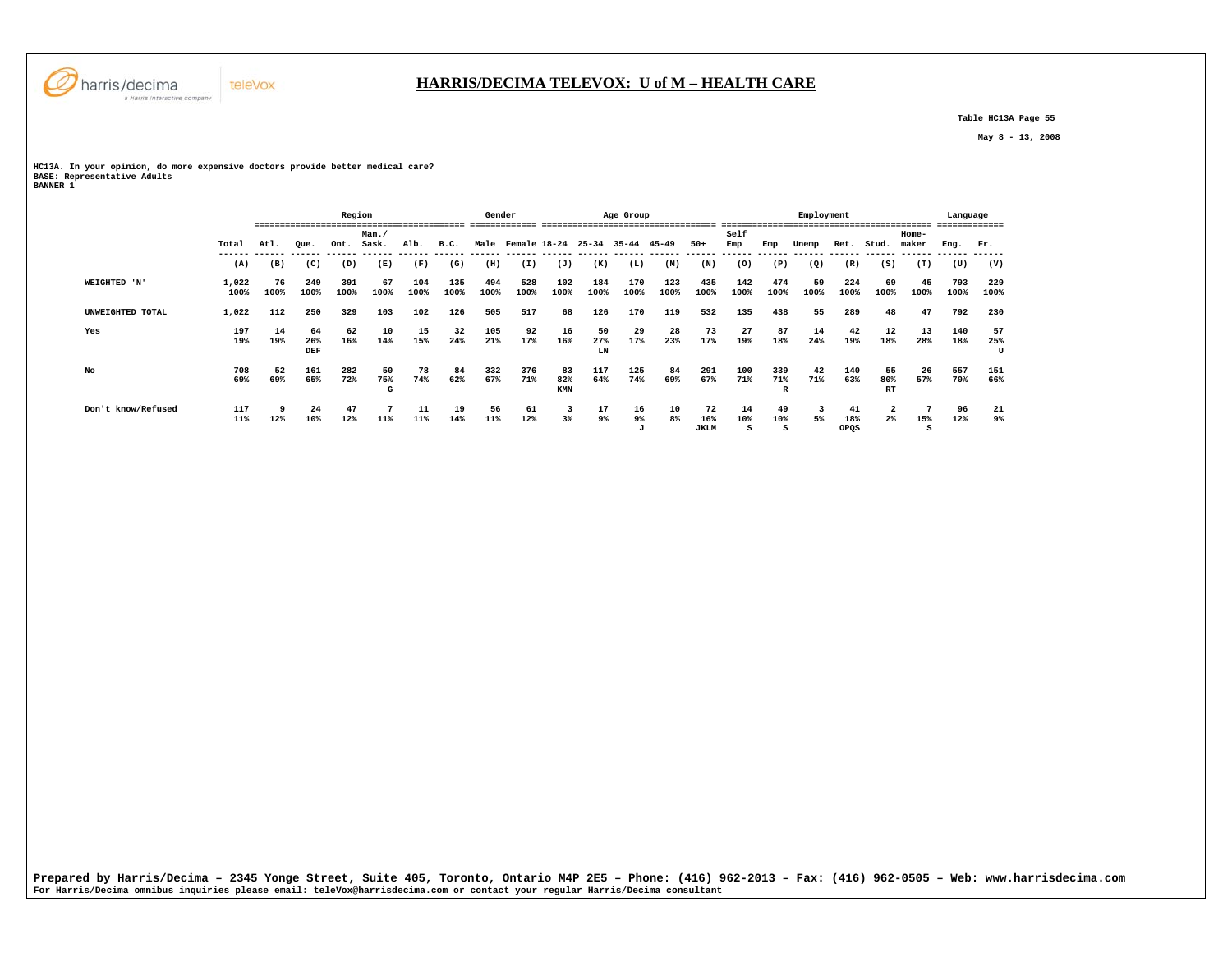

 **Table HC13A Page 55** 

 **May 8 - 13, 2008** 

**HC13A. In your opinion, do more expensive doctors provide better medical care? BASE: Representative Adults BANNER 1** 

|                    |               |            |                                       | Region      |                |             |             | Gender      |                         |                  |                 | Age Group        |             |                          | Employment     |                |            |                   |                        |                  | Language    |                |  |
|--------------------|---------------|------------|---------------------------------------|-------------|----------------|-------------|-------------|-------------|-------------------------|------------------|-----------------|------------------|-------------|--------------------------|----------------|----------------|------------|-------------------|------------------------|------------------|-------------|----------------|--|
|                    | Total         | Atl.       | Man.<br>Sask.<br>Alb.<br>Que.<br>Ont. |             |                |             | B.C.        |             | Male Female 18-24 25-34 |                  |                 | 35-44            | $45 - 49$   | $50+$                    | Self<br>Emp    | Emp            | Unemp      | Ret.              | Stud.                  | $Home-$<br>maker | Eng.        | Fr.            |  |
|                    | (A)           | (B)        | (C)                                   | (D)         | (E)            | (F)         | (G)         | (H)         | (I)                     | (J)              | (K)             | (L)              | (M)         | (N)                      | (0)            | (P)            | (Q)        | (R)               | (S)                    | (T)              | (U)         | (V)            |  |
| WEIGHTED 'N'       | 1,022<br>100% | 76<br>100% | 249<br>100%                           | 391<br>100% | 67<br>100%     | 104<br>100% | 135<br>100% | 494<br>100% | 528<br>100%             | 102<br>100%      | 184<br>100%     | 170<br>100%      | 123<br>100% | 435<br>100%              | 142<br>100%    | 474<br>100%    | 59<br>100% | 224<br>100%       | 69<br>100%             | 45<br>100%       | 793<br>100% | 229<br>100%    |  |
| UNWEIGHTED TOTAL   | 1,022         | 112        | 250                                   | 329         | 103            | 102         | 126         | 505         | 517                     | 68               | 126             | 170              | 119         | 532                      | 135            | 438            | 55         | 289               | 48                     | 47               | 792         | 230            |  |
| Yes                | 197<br>19%    | 14<br>19%  | 64<br>26%<br>DEF                      | 62<br>16%   | 10<br>14%      | 15<br>15%   | 32<br>24%   | 105<br>21%  | 92<br>17%               | 16<br>16%        | 50<br>27%<br>LN | 29<br>17%        | 28<br>23%   | 73<br>17%                | 27<br>19%      | 87<br>18%      | 14<br>24%  | 42<br>19%         | 12<br>18%              | 13<br>28%        | 140<br>18%  | 57<br>25%<br>U |  |
| No                 | 708<br>69%    | 52<br>69%  | 161<br>65%                            | 282<br>72%  | 50<br>75%<br>G | 78<br>74%   | 84<br>62%   | 332<br>67%  | 376<br>71%              | 83<br>82%<br>KMN | 117<br>64%      | 125<br>74%       | 84<br>69%   | 291<br>67%               | 100<br>71%     | 339<br>71%     | 42<br>71%  | 140<br>63%        | 55<br>80%<br><b>RT</b> | 26<br>57%        | 557<br>70%  | 151<br>66%     |  |
| Don't know/Refused | 117<br>11%    | 12%        | 24<br>10%                             | 47<br>12%   | 11%            | 11<br>11%   | 19<br>14%   | 56<br>11%   | 61<br>12%               | 3<br>3%          | 17<br>9%        | 16<br>$9\%$<br>J | 10<br>8%    | 72<br>16%<br><b>JKLM</b> | 14<br>10%<br>s | 49<br>10%<br>s | 3<br>5%    | 41<br>18%<br>OPQS | 2<br>$2\%$             | 15%<br>s         | 96<br>12%   | 21<br>9%       |  |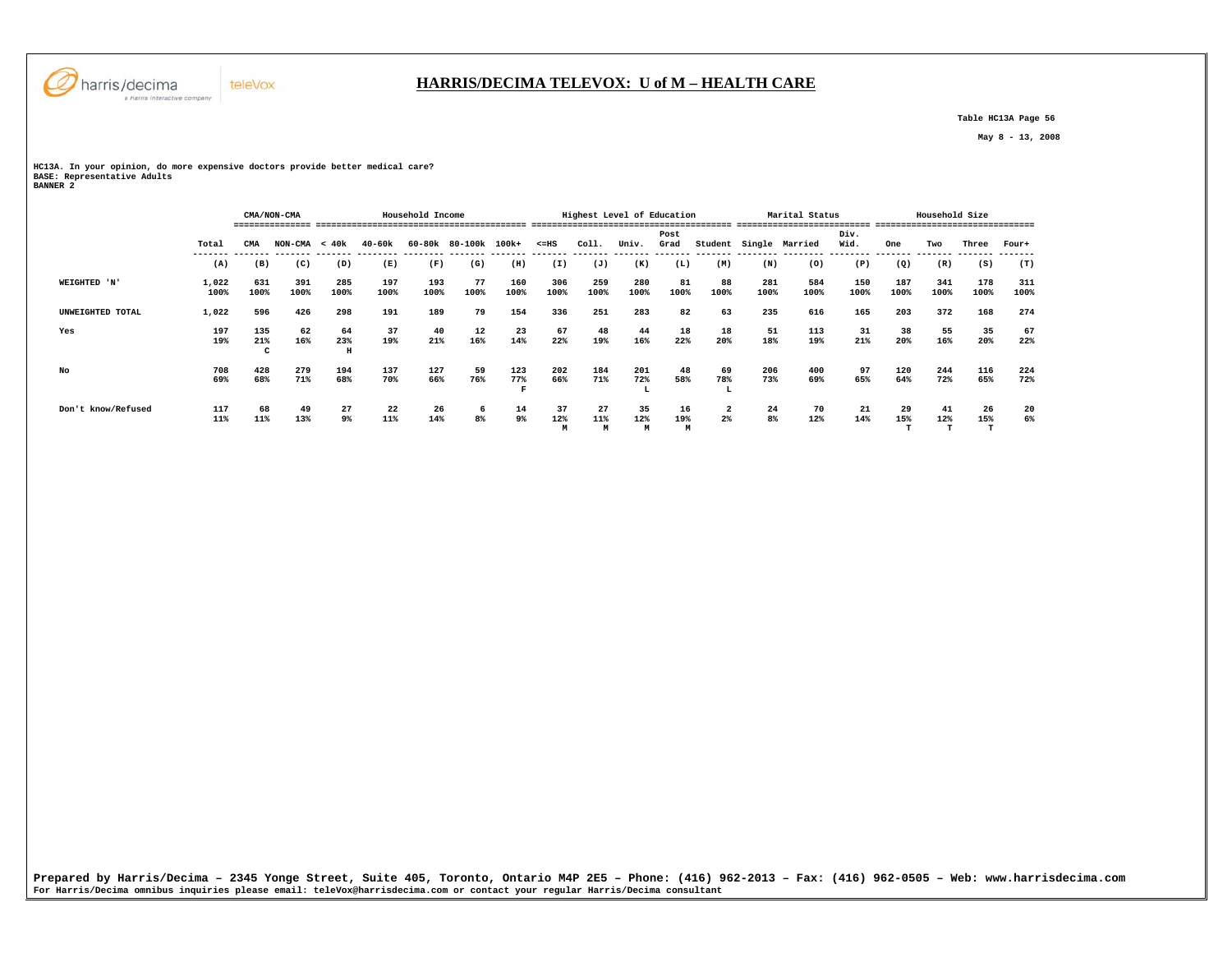

# **HARRIS/DECIMA TELEVOX: U of M – HEALTH CARE**

 **Table HC13A Page 56** 

 **May 8 - 13, 2008** 

**HC13A. In your opinion, do more expensive doctors provide better medical care? BASE: Representative Adults BANNER 2** 

 **CMA/NON-CMA Household Income Highest Level of Education Marital Status Household Size =============== ========================================= ======================================= ========================== =============================== Post Div.** Wid.  **Total CMA NON-CMA < 40k 40-60k 60-80k 80-100k 100k+ <=HS Coll. Univ. Grad Student Single Married Wid. One Two Three Four+ ------- ------- ------- ------- -------- -------- ------- ------- ------- ------- ------- ------- ------- -------- -------- -------- ------- ------- ------- -------**  $(T)$  **(A) (B) (C) (D) (E) (F) (G) (H) (I) (J) (K) (L) (M) (N) (O) (P) (Q) (R) (S) (T) WEIGHTED 'N' 1,022 631 391 285 197 193 77 160 306 259 280 81 88 281 584 150 187 341 178 311 100% 100% 100% 100% 100% 100% 100% 100% 100% 100% 100% 100% 100% 100% 100% 100% 100% 100% 100% 100% UNWEIGHTED TOTAL 1,022 596 426 298 191 189 79 154 336 251 283 82 63 235 616 165 203 372 168 274 Yes 197 135 62 64 37 40 12 23 67 48 44 18 18 51 113 31 38 55 35 67 19% 21% 16% 23% 19% 21% 16% 14% 22% 19% 16% 22% 20% 18% 19% 21% 20% 16% 20% 22% C H No 708 428 279 194 137 127 59 123 202 184 201 48 69 206 400 97 120 244 116 224** 72%  **69% 68% 71% 68% 70% 66% 76% 77% 66% 71% 72% 58% 78% 73% 69% 65% 64% 72% 65% 72%**  $\mathbf{F}$  . The contract of  $\mathbf{L}$  is the contract of  $\mathbf{L}$  is the contract of  $\mathbf{L}$  **Don't know/Refused 117 68 49 27 22 26 6 14 37 27 35 16 2 24 70 21 29 41 26 20**  $\frac{20}{6\%}$  **11% 11% 13% 9% 11% 14% 8% 9% 12% 11% 12% 19% 2% 8% 12% 14% 15% 12% 15% 6% M M M M T T T**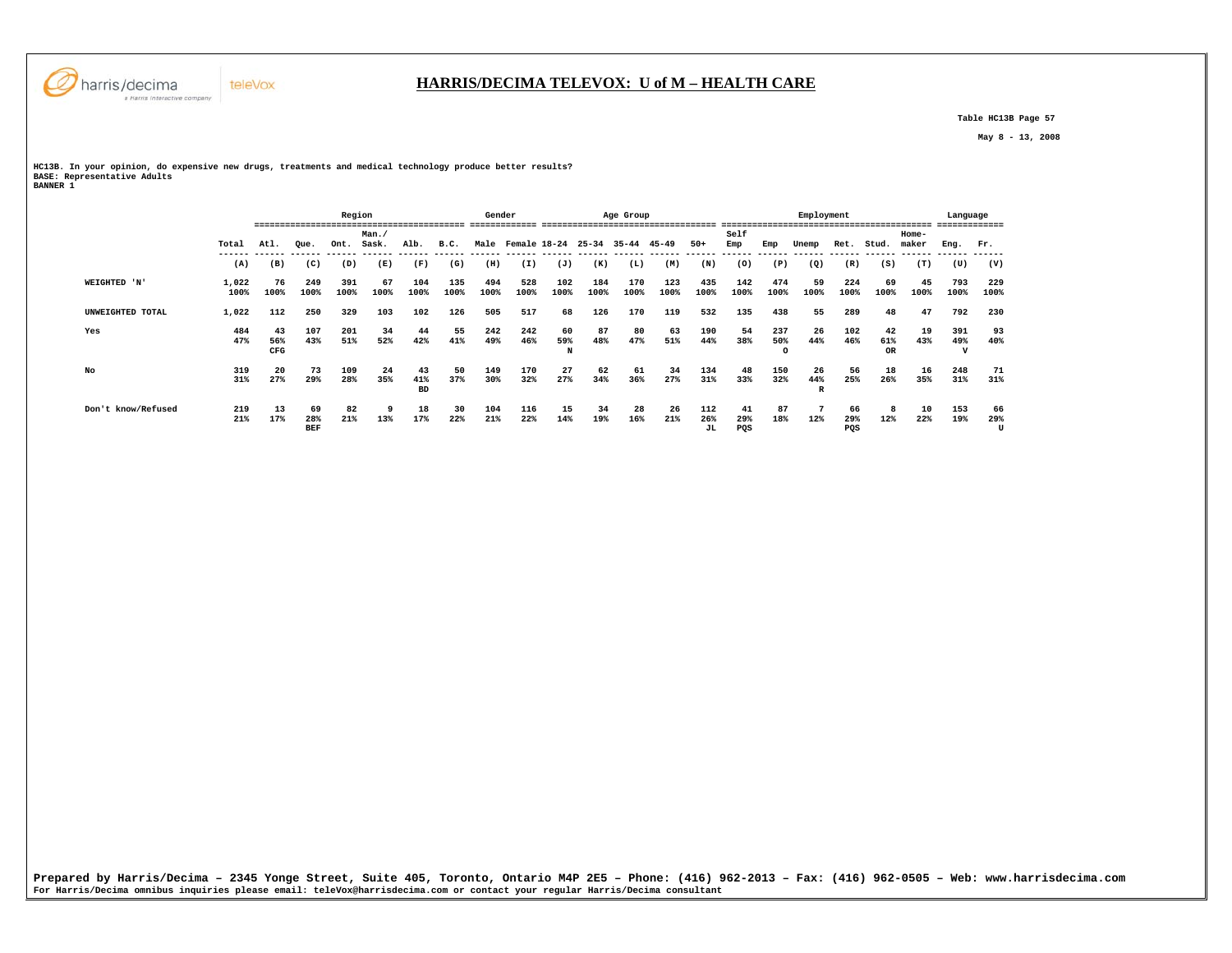

 **Table HC13B Page 57** 

 **May 8 - 13, 2008** 

**HC13B. In your opinion, do expensive new drugs, treatments and medical technology produce better results? BASE: Representative Adults BANNER 1** 

|                    |               |                  |                         | Region      |                      |                        |                       | Gender<br>Age Group |                   |                |             |             |             |                  |                  | Employment            |                |                  |                        |                  |             | Language<br>------------ |  |  |
|--------------------|---------------|------------------|-------------------------|-------------|----------------------|------------------------|-----------------------|---------------------|-------------------|----------------|-------------|-------------|-------------|------------------|------------------|-----------------------|----------------|------------------|------------------------|------------------|-------------|--------------------------|--|--|
|                    | Total         | ====<br>Atl.     | Que.                    | Ont.        | Man.<br>Sask.        | Alb.                   | B.C.                  |                     | Male Female 18-24 |                | $25 - 34$   | 35-44       | 45-49       | $50+$            | Self<br>Emp      | Emp                   | Unemp          | Ret.             | Stud.                  | $Home-$<br>maker | Eng.        | Fr.                      |  |  |
|                    | (A)           | (B)              | (C)                     | (D)         | ------ ------<br>(E) | (F)                    | ------- ------<br>(G) | (H)                 | (I)               | (J)            | (K)         | (L)         | (M)         | (N)              | (0)              | (P)                   | (Q)            | (R)              | (S)                    | (T)              | (U)         | (V)                      |  |  |
| WEIGHTED 'N'       | 1,022<br>100% | 76<br>100%       | 249<br>100%             | 391<br>100% | 67<br>100%           | 104<br>100%            | 135<br>100%           | 494<br>100%         | 528<br>100%       | 102<br>100%    | 184<br>100% | 170<br>100% | 123<br>100% | 435<br>100%      | 142<br>100%      | 474<br>100%           | 59<br>100%     | 224<br>100%      | 69<br>100%             | 45<br>100%       | 793<br>100% | 229<br>100%              |  |  |
| UNWEIGHTED TOTAL   | 1,022         | 112              | 250                     | 329         | 103                  | 102                    | 126                   | 505                 | 517               | 68             | 126         | 170         | 119         | 532              | 135              | 438                   | 55             | 289              | 48                     | 47               | 792         | 230                      |  |  |
| Yes                | 484<br>47%    | 43<br>56%<br>CFG | 107<br>43%              | 201<br>51%  | 34<br>52%            | 44<br>42%              | 55<br>41%             | 242<br>49%          | 242<br>46%        | 60<br>59%<br>N | 87<br>48%   | 80<br>47%   | 63<br>51%   | 190<br>44%       | 54<br>38%        | 237<br>50%<br>$\circ$ | 26<br>44%      | 102<br>46%       | 42<br>61%<br><b>OR</b> | 19<br>43%        | 391<br>49%  | 93<br>40%                |  |  |
| No                 | 319<br>31%    | -20<br>27%       | 73<br>29%               | 109<br>28%  | 24<br>35%            | 43<br>41%<br><b>BD</b> | 50<br>37%             | 149<br>30%          | 170<br>32%        | 27<br>27%      | 62<br>34%   | 61<br>36%   | 34<br>27%   | 134<br>31%       | 48<br>33%        | 150<br>32%            | 26<br>44%<br>R | 56<br>25%        | 18<br>26%              | 16<br>35%        | 248<br>31%  | 71<br>31%                |  |  |
| Don't know/Refused | 219<br>21%    | 13<br>17%        | 69<br>28%<br><b>BEF</b> | 82<br>21%   | 9<br>13%             | 18<br>17%              | 30<br>22%             | 104<br>21%          | 116<br>22%        | 15<br>14%      | 34<br>19%   | 28<br>16%   | 26<br>21%   | 112<br>26%<br>JL | 41<br>29%<br>PQS | 87<br>18%             | 12%            | 66<br>29%<br>PQS | 12%                    | 10<br>22%        | 153<br>19%  | 66<br>29%<br>U           |  |  |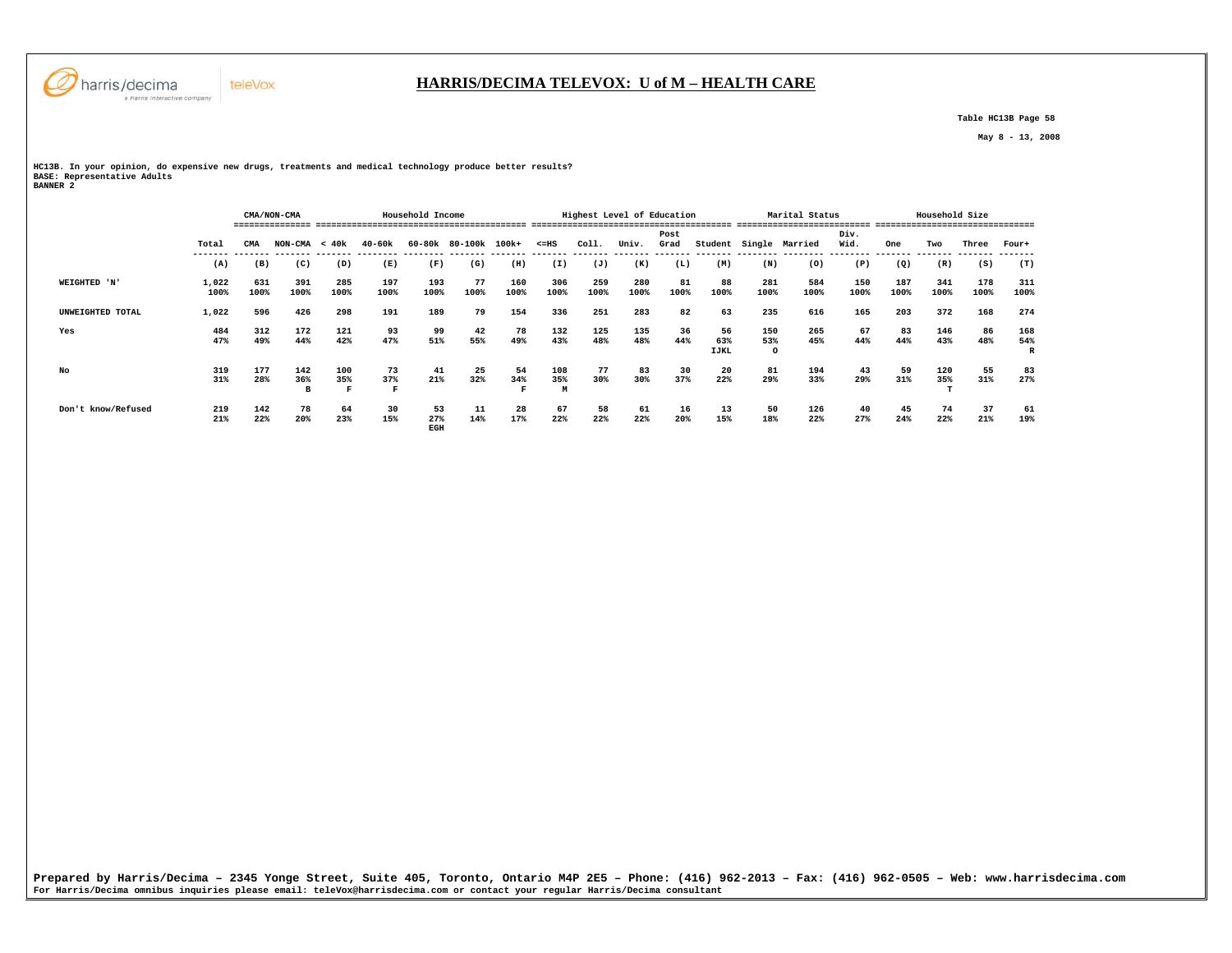

# **HARRIS/DECIMA TELEVOX: U of M – HEALTH CARE**

 **Table HC13B Page 58** 

 **May 8 - 13, 2008** 

**HC13B. In your opinion, do expensive new drugs, treatments and medical technology produce better results? BASE: Representative Adults BANNER 2** 

|                    |               | Household Income<br>CMA/NON-CMA |                 |                                                   |                          |                  |            |             |                                                                      |             | Highest Level of Education |            |                          |                       | Marital Status |              | Household Size      |             |             |                 |  |  |
|--------------------|---------------|---------------------------------|-----------------|---------------------------------------------------|--------------------------|------------------|------------|-------------|----------------------------------------------------------------------|-------------|----------------------------|------------|--------------------------|-----------------------|----------------|--------------|---------------------|-------------|-------------|-----------------|--|--|
|                    | Total         | CMA                             |                 | 40-60k<br>60-80k 80-100k 100k+<br>$NON-CMA < 40k$ |                          |                  |            |             | Post<br>Coll.<br>$< = HS$<br>Univ.<br>Student Single Married<br>Grad |             |                            |            |                          |                       |                | Div.<br>Wid. | One<br>Three<br>Two |             |             | Four+           |  |  |
|                    | (A)           | (B)                             | (C)             | (D)                                               | (E)                      | (F)              | (G)        | (H)         | (I)                                                                  | (J)         | (K)                        | (L)        | (M)                      | (N)                   | (0)            | (P)          | (Q)                 | (R)         | (S)         | (T)             |  |  |
| WEIGHTED 'N'       | 1,022<br>100% | 631<br>100%                     | 391<br>100%     | 285<br>100%                                       | 197<br>100%              | 193<br>100%      | 77<br>100% | 160<br>100% | 306<br>100%                                                          | 259<br>100% | 280<br>100%                | 81<br>100% | 88<br>100%               | 281<br>100%           | 584<br>100%    | 150<br>100%  | 187<br>100%         | 341<br>100% | 178<br>100% | 311<br>100%     |  |  |
| UNWEIGHTED TOTAL   | 1,022         | 596                             | 426             | 298                                               | 191                      | 189              | 79         | 154         | 336                                                                  | 251         | 283                        | 82         | 63                       | 235                   | 616            | 165          | 203                 | 372         | 168         | 274             |  |  |
| Yes                | 484<br>47%    | 312<br>49%                      | 172<br>44%      | 121<br>42%                                        | 93<br>47%                | 99<br>51%        | 42<br>55%  | 78<br>49%   | 132<br>43%                                                           | 125<br>48%  | 135<br>48%                 | 36<br>44%  | 56<br>63%<br><b>IJKL</b> | 150<br>53%<br>$\circ$ | 265<br>45%     | 67<br>44%    | 83<br>44%           | 146<br>43%  | 86<br>48%   | 168<br>54%<br>R |  |  |
| No                 | 319<br>31%    | 177<br>28%                      | 142<br>36%<br>в | 100<br>35%                                        | 73<br>37%<br>$\mathbf F$ | 41<br>21%        | 25<br>32%  | 54<br>34%   | 108<br>35%<br>M                                                      | 77<br>30%   | 83<br>30%                  | 30<br>37%  | 20<br>22%                | 81<br>29%             | 194<br>33%     | 43<br>29%    | 59<br>31%           | 120<br>35%  | 55<br>31%   | 83<br>27%       |  |  |
| Don't know/Refused | 219<br>21%    | 142<br>22%                      | 78<br>20%       | 64<br>23%                                         | 30<br>15%                | 53<br>27%<br>EGH | 11<br>14%  | 28<br>17%   | 67<br>22%                                                            | 58<br>22%   | 61<br>22%                  | 16<br>20%  | 13<br>15%                | 50<br>18%             | 126<br>22%     | 40<br>27%    | 45<br>24%           | 74<br>22%   | 37<br>21%   | 61<br>19%       |  |  |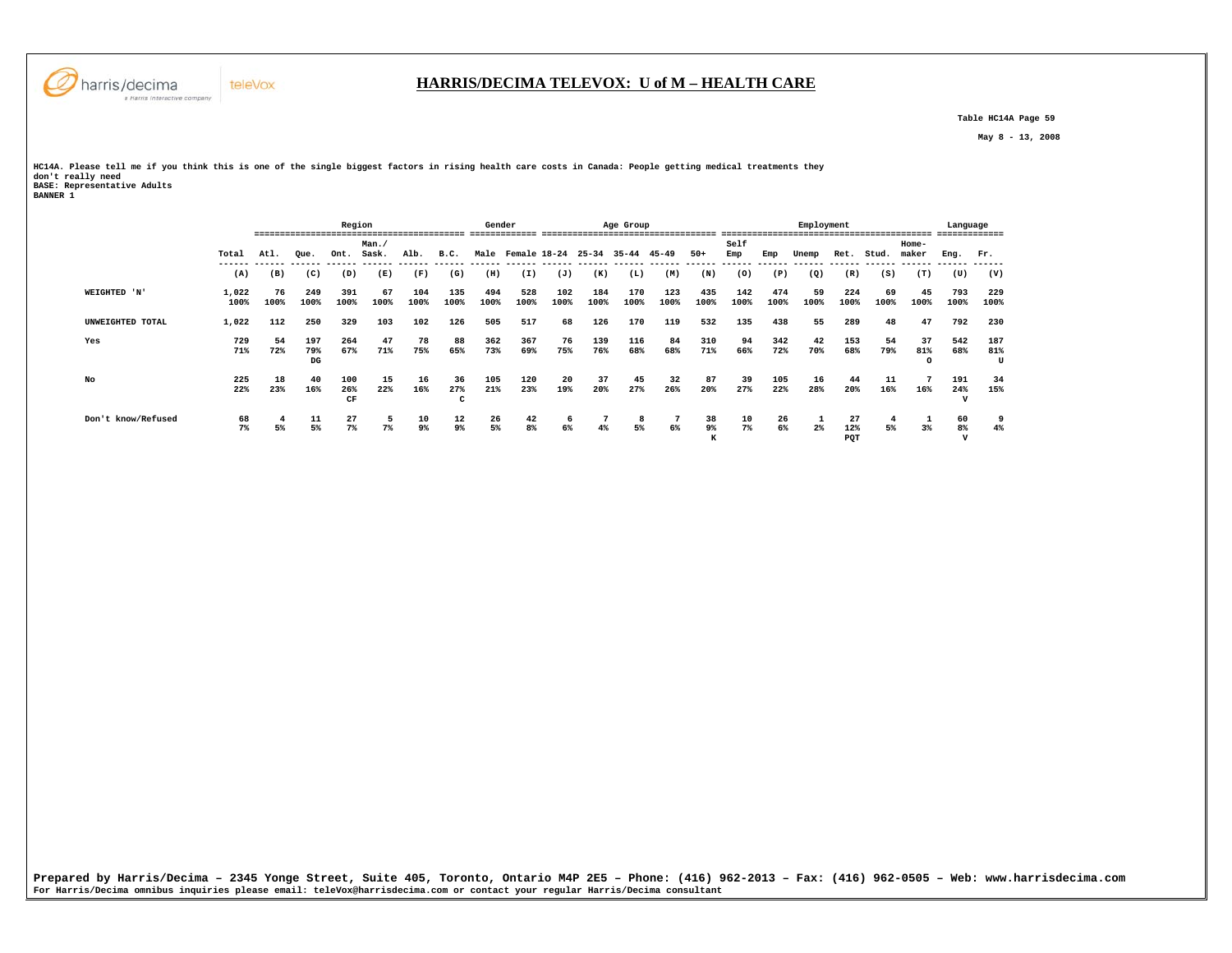

 **Table HC14A Page 59** 

 **May 8 - 13, 2008** 

**HC14A. Please tell me if you think this is one of the single biggest factors in rising health care costs in Canada: People getting medical treatments they don't really need BASE: Representative Adults BANNER 1** 

|                    |               |            |                  | Region           |            |             |                           | Gender      |                   | Age Group   |             |             |             |               | Employment  |             |            |                  |            |                       | Language                 |                 |  |
|--------------------|---------------|------------|------------------|------------------|------------|-------------|---------------------------|-------------|-------------------|-------------|-------------|-------------|-------------|---------------|-------------|-------------|------------|------------------|------------|-----------------------|--------------------------|-----------------|--|
|                    |               |            |                  |                  | Man.       |             |                           |             |                   |             |             |             |             |               | Self        |             |            |                  | $Home-$    |                       |                          |                 |  |
|                    | Total         | Atl.       | Oue.             | Ont.             | Sask.      | Alb.        | B.C.                      |             | Male Female 18-24 |             | $25 - 34$   | 35-44       | 45-49       | $50+$         | Emp         | Emp         | Unemp      | Ret.             | Stud.      | maker                 | Eng.                     | Fr.             |  |
|                    | (A)           | (B)        | (C)              | (D)              | (E)        | (F)         | (G)                       | (H)         | (I)               | (J)         | (K)         | (L)         | (M)         | (N)           | (0)         | (P)         | (Q)        | (R)              | (S)        | (T)                   | (U)                      | (V)             |  |
| WEIGHTED 'N'       | 1,022<br>100% | 76<br>100% | 249<br>100%      | 391<br>100%      | 67<br>100% | 104<br>100% | 135<br>100%               | 494<br>100% | 528<br>100%       | 102<br>100% | 184<br>100% | 170<br>100% | 123<br>100% | 435<br>100%   | 142<br>100% | 474<br>100% | 59<br>100% | 224<br>100%      | 69<br>100% | 45<br>100%            | 793<br>100%              | 229<br>100%     |  |
| UNWEIGHTED TOTAL   | 1,022         | 112        | 250              | 329              | 103        | 102         | 126                       | 505         | 517               | 68          | 126         | 170         | 119         | 532           | 135         | 438         | 55         | 289              | 48         | 47                    | 792                      | 230             |  |
| Yes                | 729<br>71%    | 54<br>72%  | 197<br>79%<br>DG | 264<br>67%       | 47<br>71%  | 78<br>75%   | 88<br>65%                 | 362<br>73%  | 367<br>69%        | 76<br>75%   | 139<br>76%  | 116<br>68%  | 84<br>68%   | 310<br>71%    | 94<br>66%   | 342<br>72%  | 42<br>70%  | 153<br>68%       | 54<br>79%  | 37<br>81%<br>$\Omega$ | 542<br>68%               | 187<br>81%<br>U |  |
| No                 | 225<br>22%    | 18<br>23%  | 40<br>16%        | 100<br>26%<br>CF | 15<br>22%  | 16<br>16%   | 36<br>27%<br>$\mathbf{r}$ | 105<br>21%  | 120<br>23%        | 20<br>19%   | 37<br>20%   | 45<br>27%   | 32<br>26%   | 87<br>20%     | 39<br>27%   | 105<br>22%  | 16<br>28%  | 44<br>20%        | 11<br>16%  | 16%                   | 191<br>24%               | 34<br>15%       |  |
| Don't know/Refused | 68<br>$7\%$   | 4<br>5%    | 11<br>5%         | 27<br>$7\%$      | 5<br>$7\%$ | 10<br>9%    | 12<br>9%                  | 26<br>5%    | 42<br>8%          | 6<br>6%     | 4%          | 8<br>5%     | 6%          | 38<br>9%<br>к | 10<br>7%    | 26<br>6%    | $2\%$      | 27<br>12%<br>PQT | 4<br>5%    | $3\%$                 | 60<br>8%<br>$\mathbf{v}$ | 9<br>4%         |  |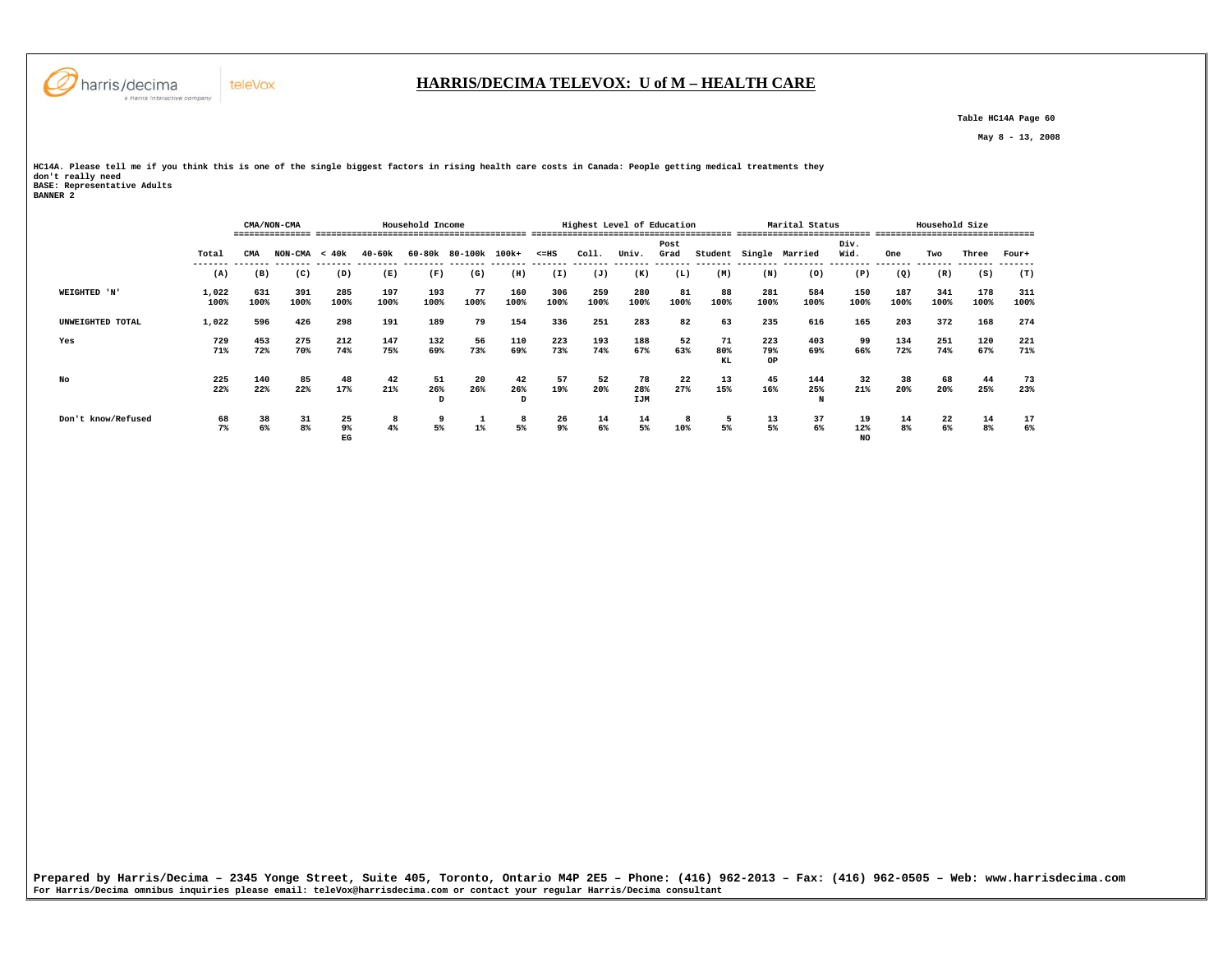

 **Table HC14A Page 60** 

 **May 8 - 13, 2008** 

**HC14A. Please tell me if you think this is one of the single biggest factors in rising health care costs in Canada: People getting medical treatments they don't really need BASE: Representative Adults BANNER 2** 

|                    |               |             | CMA/NON-CMA          |                |             | Household Income |                  |                |                      |             | Highest Level of Education |              |                 |                  | Marital Status  |                  | Household Size |             |                      |             |  |
|--------------------|---------------|-------------|----------------------|----------------|-------------|------------------|------------------|----------------|----------------------|-------------|----------------------------|--------------|-----------------|------------------|-----------------|------------------|----------------|-------------|----------------------|-------------|--|
|                    | Total         | CMA         | $NON-CMA < 40k$      |                | $40 - 60k$  | 60-80k 80-100k   |                  | 100k+          | $< = HS$             | Coll.       | Univ.                      | Post<br>Grad | Student         | Single           | Married         | Div.<br>Wid.     | One            | Two         | Three                | Four+       |  |
|                    | (A)           | (B)         | (C)                  | (D)            | (E)         | (F)              | (G)              | (H)            | (I)                  | (J)         | (K)                        | (L)          | (M)             | (N)              | (0)             | (P)              | (Q)            | (R)         | (S)                  | (T)         |  |
| WEIGHTED 'N'       | 1,022<br>100% | 631<br>100% | 391<br>100%          | 285<br>100%    | 197<br>100% | 193<br>100%      | 77<br>100%       | 160<br>100%    | 306<br>100%          | 259<br>100% | 280<br>100%                | 81<br>100%   | 88<br>100%      | 281<br>100%      | 584<br>100%     | 150<br>100%      | 187<br>100%    | 341<br>100% | 178<br>100%          | 311<br>100% |  |
| UNWEIGHTED TOTAL   | 1,022         | 596         | 426                  | 298            | 191         | 189              | 79               | 154            | 336                  | 251         | 283                        | 82           | 63              | 235              | 616             | 165              | 203            | 372         | 168                  | 274         |  |
| Yes                | 729<br>71%    | 453<br>72%  | 275<br>70%           | 212<br>74%     | 147<br>75%  | 132<br>69%       | 56<br>73%        | 110<br>69%     | 223<br>73%           | 193<br>74%  | 188<br>67%                 | 52<br>63%    | 71<br>80%<br>KL | 223<br>79%<br>OP | 403<br>69%      | 99<br>66%        | 134<br>72%     | 251<br>74%  | 120<br>67%           | 221<br>71%  |  |
| No                 | 225<br>22%    | 140<br>22%  | 85<br>22%            | 48<br>17%      | 42<br>21%   | 51<br>26%        | 20<br>26%        | 42<br>26%<br>D | 57<br>19%            | 52<br>20%   | 78<br>28%<br>IJM           | 22<br>27%    | 13<br>15%       | 45<br>16%        | 144<br>25%<br>N | 32<br>21%        | 38<br>20%      | 68<br>20%   | 44<br>25%            | 73<br>23%   |  |
| Don't know/Refused | 68<br>7%      | 38<br>6%    | 31<br>8 <sup>8</sup> | 25<br>9%<br>EG | 8<br>4%     | 9<br>5%          | $1$ <sup>*</sup> | 8<br>5%        | 26<br>9 <sup>°</sup> | 14<br>6%    | 14<br>5%                   | 8<br>10%     | 5<br>5%         | 13<br>5%         | 37<br>6%        | 19<br>12%<br>NO. | 14<br>8%       | 22<br>6%    | 14<br>8 <sup>8</sup> | 17<br>6%    |  |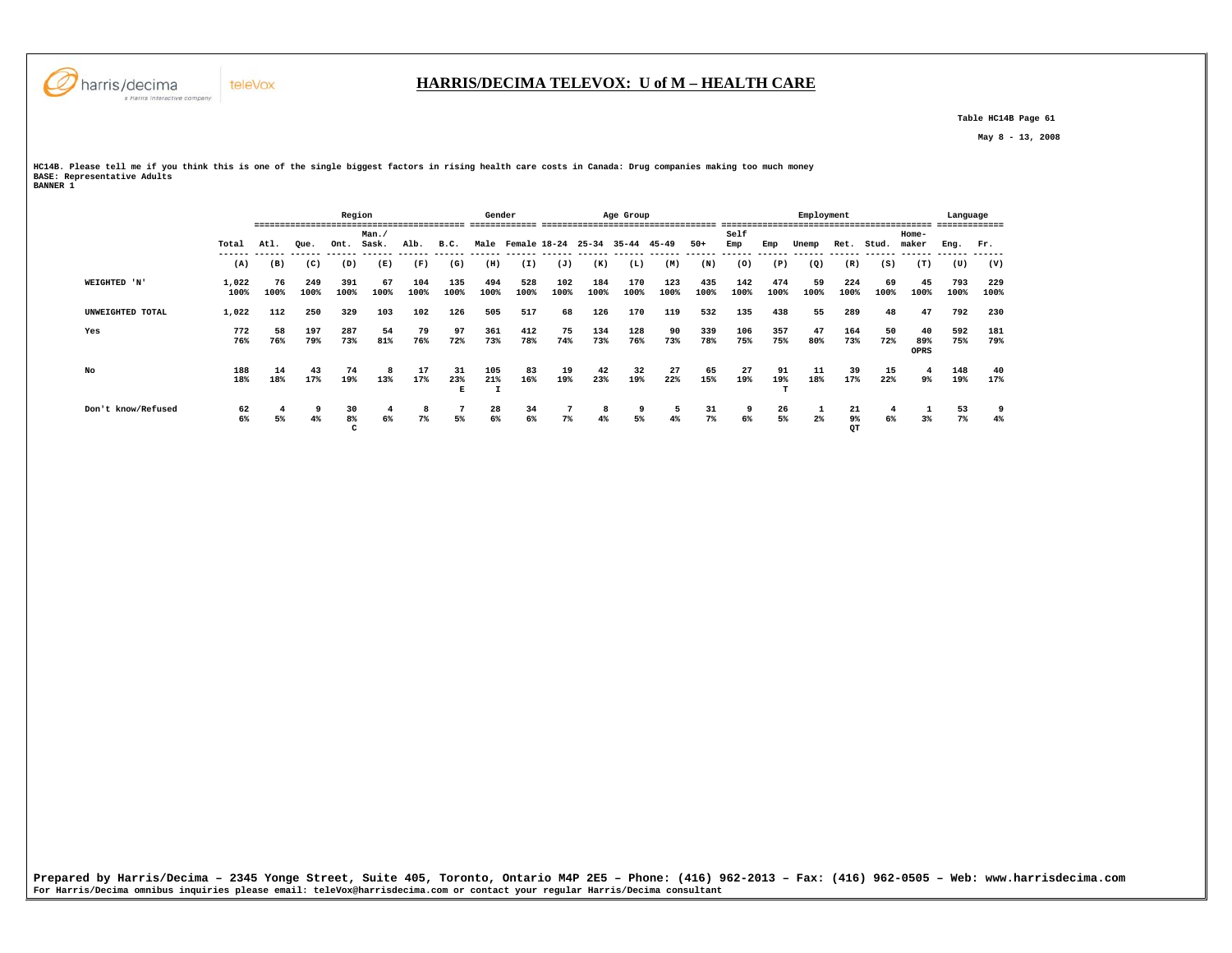

 **Table HC14B Page 61** 

 **May 8 - 13, 2008** 

**HC14B. Please tell me if you think this is one of the single biggest factors in rising health care costs in Canada: Drug companies making too much money BASE: Representative Adults BANNER 1** 

|                    |               |            | -------------------- | Region        |                |             |                | Gender      |                   |             |             | Age Group   | ------------------ |             |             |                | Employment            |                |                                     |                   | Language<br> |             |
|--------------------|---------------|------------|----------------------|---------------|----------------|-------------|----------------|-------------|-------------------|-------------|-------------|-------------|--------------------|-------------|-------------|----------------|-----------------------|----------------|-------------------------------------|-------------------|--------------|-------------|
|                    | Total         | Atl.       | Oue.                 | Ont.          | Man./<br>Sask. | Alb.        | B.C.           |             | Male Female 18-24 |             | $25 - 34$   | $35 - 44$   | 45-49              | $50+$       | Self<br>Emp | Emp            | Unemp                 | Ret.           | Stud.                               | Home-<br>maker    | Eng.         | Fr.         |
|                    | (A)           | (B)        | (C)                  | (D)           | (E)            | (F)         | (G)            | (H)         | (I)               | (J)         | (K)         | (L)         | (M)                | (N)         | (0)         | -------<br>(P) | (Q)                   | (R)            | ------- ------ ------ ------<br>(S) | (T)               | (U)          | (V)         |
| WEIGHTED 'N'       | 1,022<br>100% | 76<br>100% | 249<br>100%          | 391<br>100%   | 67<br>100%     | 104<br>100% | 135<br>100%    | 494<br>100% | 528<br>100%       | 102<br>100% | 184<br>100% | 170<br>100% | 123<br>100%        | 435<br>100% | 142<br>100% | 474<br>100%    | 59<br>100%            | 224<br>100%    | 69<br>100%                          | 45<br>100%        | 793<br>100%  | 229<br>100% |
| UNWEIGHTED TOTAL   | 1,022         | 112        | 250                  | 329           | 103            | 102         | 126            | 505         | 517               | 68          | 126         | 170         | 119                | 532         | 135         | 438            | 55                    | 289            | 48                                  | 47                | 792          | 230         |
| Yes                | 772<br>76%    | 58<br>76%  | 197<br>79%           | 287<br>73%    | 54<br>81%      | 79<br>76%   | 97<br>72%      | 361<br>73%  | 412<br>78%        | 75<br>74%   | 134<br>73%  | 128<br>76%  | 90<br>73%          | 339<br>78%  | 106<br>75%  | 357<br>75%     | 47<br>80%             | 164<br>73%     | 50<br>72%                           | 40<br>89%<br>OPRS | 592<br>75%   | 181<br>79%  |
| No                 | 188<br>18%    | 14<br>18%  | 43<br>17%            | 74<br>19%     | 8<br>13%       | 17<br>17%   | 31<br>23%<br>Е | 105<br>21%  | 83<br>16%         | 19<br>19%   | 42<br>23%   | 32<br>19%   | 27<br>22%          | 65<br>15%   | 27<br>19%   | 91<br>19%      | 11<br>18%             | 39<br>17%      | 15<br>22%                           | -4<br>9%          | 148<br>19%   | 40<br>17%   |
| Don't know/Refused | 62<br>6%      | 5%         | -9<br>4%             | 30<br>8%<br>c | 6%             | 8<br>$7\%$  | 5%             | 28<br>6%    | 34<br>6%          | 7%          | 8<br>$4\%$  | 9<br>5%     | 5<br>4%            | 31<br>7%    | 9<br>6%     | 26<br>5%       | $\mathbf{1}$<br>$2\%$ | 21<br>9%<br>QТ | 6%                                  | 3%                | 53<br>$7\%$  | 9<br>$4\%$  |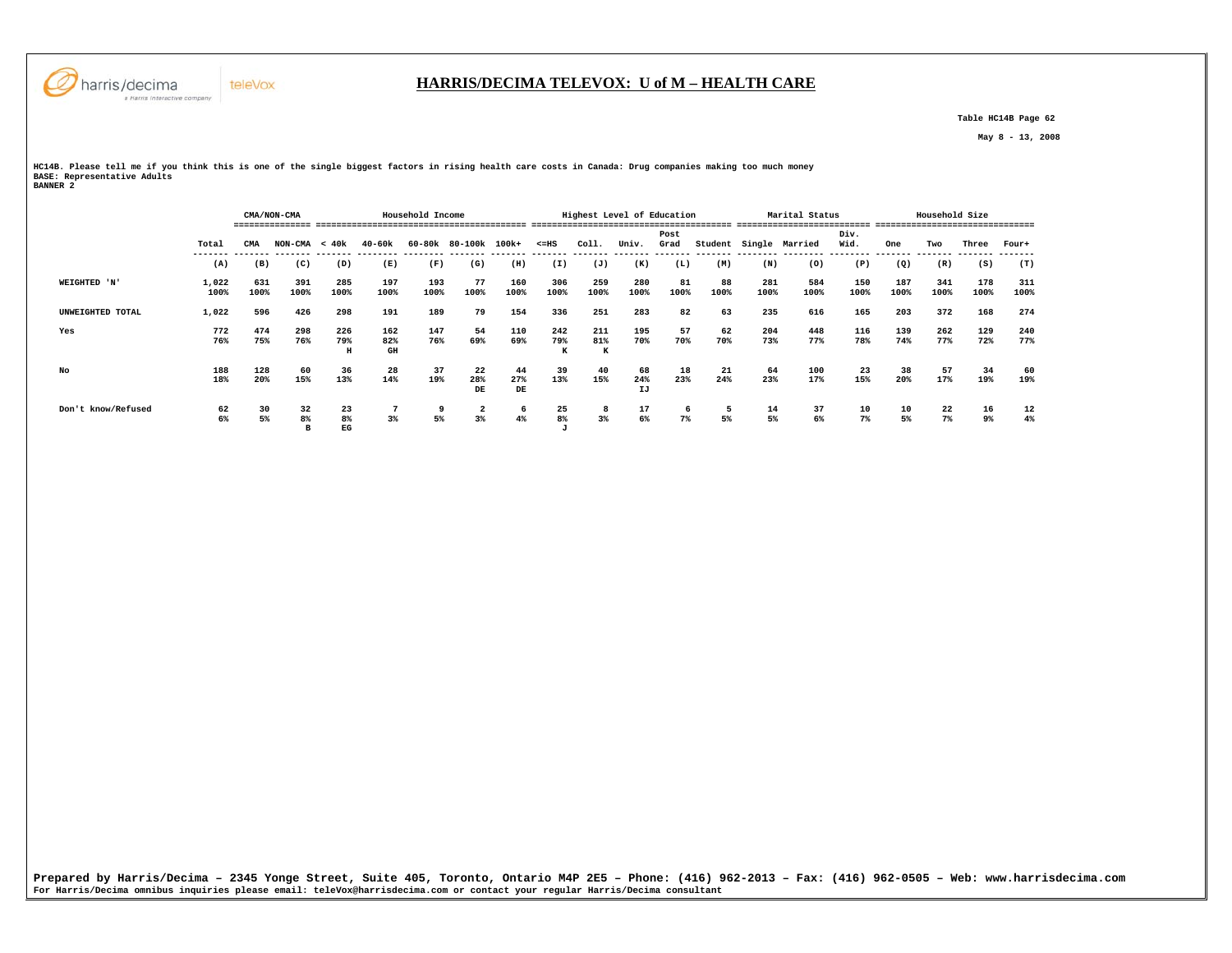

 **Table HC14B Page 62** 

 **May 8 - 13, 2008** 

**HC14B. Please tell me if you think this is one of the single biggest factors in rising health care costs in Canada: Drug companies making too much money BASE: Representative Adults BANNER 2** 

|                    |               |             | CMA/NON-CMA               |                 |                  |             | Highest Level of Education |                 |                          |                 |                 | Marital Status |            |             | Household Size         |                           |                 |             |                           |             |
|--------------------|---------------|-------------|---------------------------|-----------------|------------------|-------------|----------------------------|-----------------|--------------------------|-----------------|-----------------|----------------|------------|-------------|------------------------|---------------------------|-----------------|-------------|---------------------------|-------------|
|                    |               |             |                           |                 |                  |             |                            |                 |                          |                 |                 |                |            |             |                        |                           |                 |             |                           | -------     |
|                    | Total         | <b>CMA</b>  | $NON-CMA < 40k$           |                 | 40-60k           |             | 60-80k 80-100k 100k+       |                 | $< = HS$                 | Coll.           | Univ.           | Post<br>Grad   |            |             | Student Single Married | Div.<br>Wid.<br>--------- | One<br>-------- | Two         | Three<br>-------- ------- | Four+       |
|                    | (A)           | (B)         | (C)                       | (D)             | (E)              | (F)         | (G)                        | (H)             | (I)                      | (J)             | (K)             | (L)            | (M)        | (N)         | (0)                    | (P)                       | (Q)             | (R)         | (S)                       | (T)         |
| WEIGHTED 'N'       | 1,022<br>100% | 631<br>100% | 391<br>100%               | 285<br>100%     | 197<br>100%      | 193<br>100% | 77<br>100%                 | 160<br>100%     | 306<br>100%              | 259<br>100%     | 280<br>100%     | 81<br>100%     | 88<br>100% | 281<br>100% | 584<br>100%            | 150<br>100%               | 187<br>100%     | 341<br>100% | 178<br>100%               | 311<br>100% |
| UNWEIGHTED TOTAL   | 1,022         | 596         | 426                       | 298             | 191              | 189         | 79                         | 154             | 336                      | 251             | 283             | 82             | 63         | 235         | 616                    | 165                       | 203             | 372         | 168                       | 274         |
| Yes                | 772<br>76%    | 474<br>75%  | 298<br>76%                | 226<br>79%<br>н | 162<br>82%<br>GH | 147<br>76%  | 54<br>69%                  | 110<br>69%      | 242<br>79%<br>к          | 211<br>81%<br>К | 195<br>70%      | 57<br>70%      | 62<br>70%  | 204<br>73%  | 448<br>77%             | 116<br>78%                | 139<br>74%      | 262<br>77%  | 129<br>72%                | 240<br>77%  |
| No                 | 188<br>18%    | 128<br>20%  | 60<br>15%                 | 36<br>13%       | 28<br>14%        | 37<br>19%   | 22<br>28%<br>DE            | 44<br>27%<br>DE | 39<br>13%                | 40<br>15%       | 68<br>24%<br>IJ | 18<br>23%      | 21<br>24%  | 64<br>23%   | 100<br>17%             | 23<br>15%                 | 38<br>20%       | 57<br>17%   | 34<br>19%                 | 60<br>19%   |
| Don't know/Refused | 62<br>6%      | 30<br>5%    | 32<br>8 <sup>8</sup><br>в | 23<br>8%<br>EG  | 3%               | 9<br>5%     | 2<br>3%                    | 6<br>4%         | 25<br>8%<br>$\mathbf{J}$ | 8<br>3%         | 17<br>6%        | - 6<br>$7\%$   | 5<br>5%    | 14<br>5%    | 37<br>6%               | 10<br>7%                  | 10<br>5%        | 22<br>$7\%$ | 16<br>9%                  | 12<br>4%    |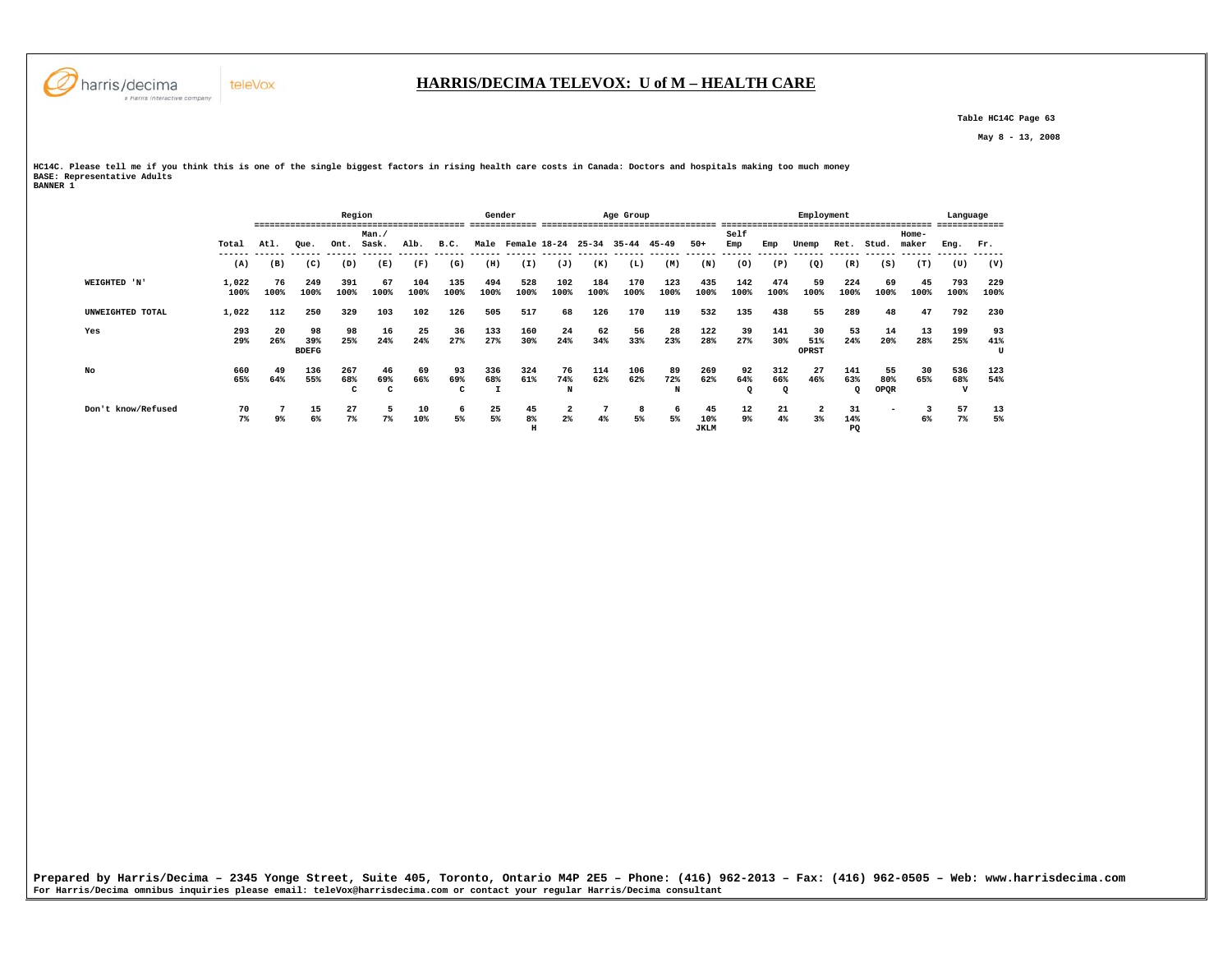

 **Table HC14C Page 63** 

 **May 8 - 13, 2008** 

**HC14C. Please tell me if you think this is one of the single biggest factors in rising health care costs in Canada: Doctors and hospitals making too much money BASE: Representative Adults BANNER 1** 

|                    |               | Region     |                           |                 |                |             |                | Gender           |                                   |                |             | Age Group   |                |                   |                       |                           | Employment         |                           |                   |                | Language    | -------        |
|--------------------|---------------|------------|---------------------------|-----------------|----------------|-------------|----------------|------------------|-----------------------------------|----------------|-------------|-------------|----------------|-------------------|-----------------------|---------------------------|--------------------|---------------------------|-------------------|----------------|-------------|----------------|
|                    | Total         | Atl.       | Oue.                      | Ont.            | Man.<br>Sask.  | Alb.        | B.C.           |                  | Male Female 18-24                 |                | $25 - 34$   | $35 - 44$   | $45 - 49$      | $50+$             | Self<br>Emp           | Emp                       | Unemp              | Ret.                      | Stud.             | Home-<br>maker | Eng.        | Fr.            |
|                    | (A)           | (B)        | (C)                       | (D)             | (E)            | (F)         | (G)            | (H)              | ------ ------ ------ -----<br>(I) | (J)            | (K)         | (L)         | (M)            | (N)               | (0)                   | (P)                       | (Q)                | (R)                       | (S)               | (T)            | (U)         | (V)            |
| WEIGHTED 'N'       | 1,022<br>100% | 76<br>100% | 249<br>100%               | 391<br>100%     | 67<br>100%     | 104<br>100% | 135<br>100%    | 494<br>100%      | 528<br>100%                       | 102<br>100%    | 184<br>100% | 170<br>100% | 123<br>100%    | 435<br>100%       | 142<br>100%           | 474<br>100%               | 59<br>100%         | 224<br>100%               | 69<br>100%        | 45<br>100%     | 793<br>100% | 229<br>100%    |
| UNWEIGHTED TOTAL   | 1,022         | 112        | 250                       | 329             | 103            | 102         | 126            | 505              | 517                               | 68             | 126         | 170         | 119            | 532               | 135                   | 438                       | 55                 | 289                       | 48                | 47             | 792         | 230            |
| Yes                | 293<br>29%    | -20<br>26% | 98<br>39%<br><b>BDEFG</b> | 98<br>25%       | 16<br>24%      | 25<br>24%   | 36<br>27%      | 133<br>27%       | 160<br>30%                        | 24<br>24%      | 62<br>34%   | 56<br>33%   | 28<br>23%      | 122<br>28%        | 39<br>27%             | 141<br>30%                | 30<br>51%<br>OPRST | 53<br>24%                 | 14<br>20%         | 13<br>28%      | 199<br>25%  | 93<br>41%<br>U |
| No                 | 660<br>65%    | 49<br>64%  | 136<br>55%                | 267<br>68%<br>c | 46<br>69%<br>c | 69<br>66%   | 93<br>69%<br>c | 336<br>68%<br>л. | 324<br>61%                        | 76<br>74%<br>N | 114<br>62%  | 106<br>62%  | 89<br>72%<br>N | 269<br>62%        | 92<br>64%<br>$\Omega$ | 312<br>66%<br>$\mathbf Q$ | 27<br>46%          | 141<br>63%<br>$\mathbf Q$ | 55<br>80%<br>OPQR | 30<br>65%      | 536<br>68%  | 123<br>54%     |
| Don't know/Refused | 70<br>7%      | 9%         | 15<br>6%                  | 27<br>$7\%$     | 5<br>7%        | 10<br>10%   | -6<br>5%       | 25<br>5%         | 45<br>8%<br>н                     | 2<br>$2\%$     | $4\%$       | 8<br>5%     | 6<br>5%        | 45<br>10%<br>JKLM | 12<br>$9\%$           | 21<br>4%                  | 2<br>3%            | 31<br>14%<br>PQ           | -                 | 3<br>6%        | 57<br>$7\%$ | 13<br>5%       |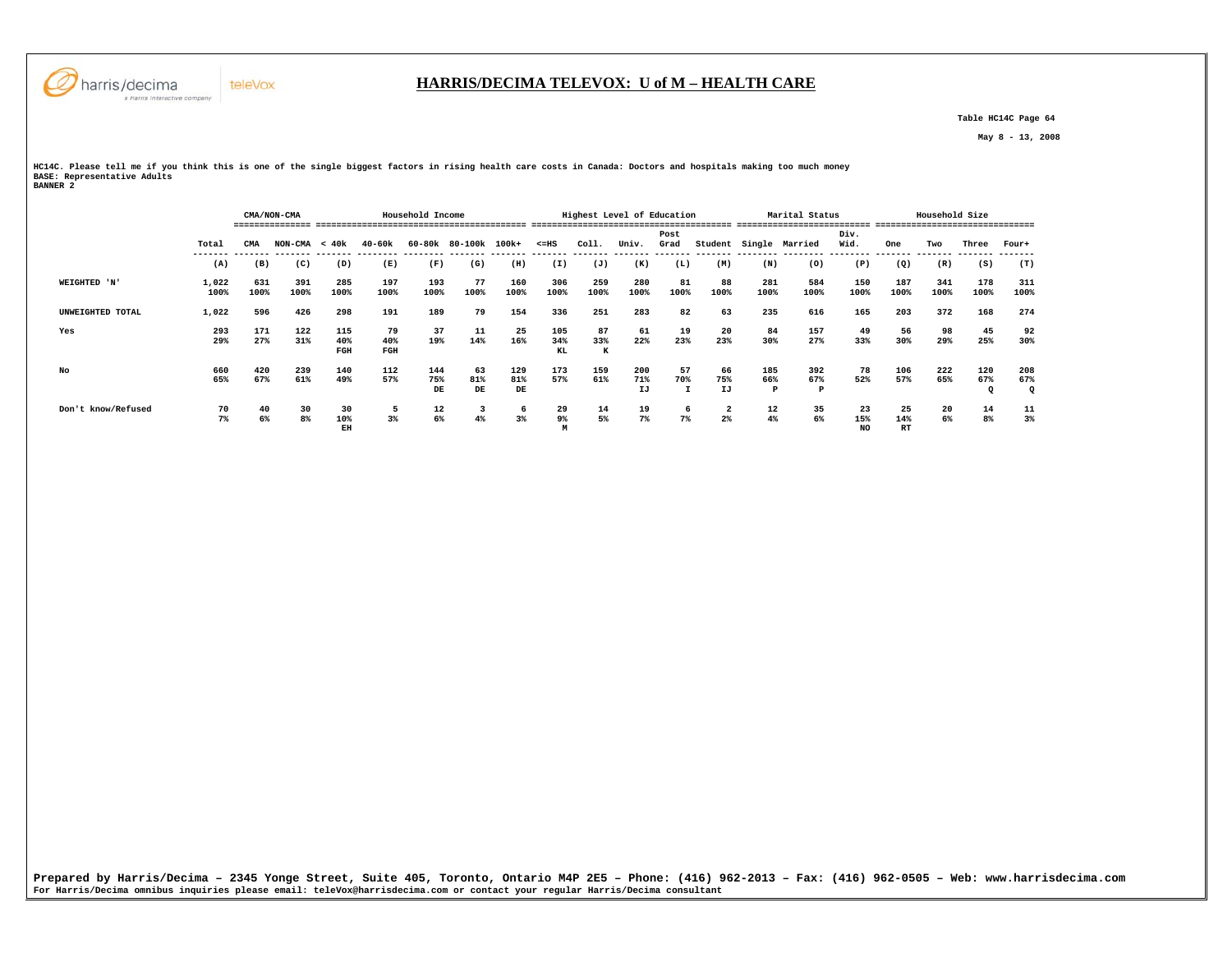

#### **HARRIS/DECIMA TELEVOX: U of M – HEALTH CARE**

 **Table HC14C Page 64** 

 **May 8 - 13, 2008** 

**HC14C. Please tell me if you think this is one of the single biggest factors in rising health care costs in Canada: Doctors and hospitals making too much money BASE: Representative Adults BANNER 2** 

|                    |               |             | CMA/NON-CMA     |                   |                  | Household Income |                      |                  |                  | Highest Level of Education               |                  |                |                 |                  | Marital Status             |                        |                        | Household Size |                 |                 |
|--------------------|---------------|-------------|-----------------|-------------------|------------------|------------------|----------------------|------------------|------------------|------------------------------------------|------------------|----------------|-----------------|------------------|----------------------------|------------------------|------------------------|----------------|-----------------|-----------------|
|                    |               |             |                 |                   |                  |                  |                      |                  |                  |                                          |                  |                |                 |                  |                            |                        |                        |                |                 |                 |
|                    | Total         | <b>CMA</b>  | $NON-CMA < 40k$ |                   | 40-60k           |                  | 60-80k 80-100k 100k+ |                  | $< = HS$         | Coll.                                    | Univ.            | Post<br>Grad   |                 |                  | Student Single Married     | Div.<br>Wid.           | One                    | Two            | Three           | Four+           |
|                    | (A)           | (B)         | (C)             | (D)               | (E)              | (F)              | (G)                  | (H)              | (I)              | (J)                                      | (K)              | (L)            | (M)             | (N)              | (0)                        | ---------<br>(P)       | --------<br>(Q)        | (R)            | (S)             | (T)             |
| WEIGHTED 'N'       | 1,022<br>100% | 631<br>100% | 391<br>100%     | 285<br>100%       | 197<br>100%      | 193<br>100%      | 77<br>100%           | 160<br>100%      | 306<br>100%      | 259<br>100%                              | 280<br>100%      | 81<br>100%     | 88<br>100%      | 281<br>100%      | 584<br>100%                | 150<br>100%            | 187<br>100%            | 341<br>100%    | 178<br>100%     | 311<br>100%     |
| UNWEIGHTED TOTAL   | 1,022         | 596         | 426             | 298               | 191              | 189              | 79                   | 154              | 336              | 251                                      | 283              | 82             | 63              | 235              | 616                        | 165                    | 203                    | 372            | 168             | 274             |
| Yes                | 293<br>29%    | 171<br>27%  | 122<br>31%      | 115<br>40%<br>FGH | 79<br>40%<br>FGH | 37<br>19%        | 11<br>14%            | 25<br>16%        | 105<br>34%<br>KL | 87<br>33%<br>К                           | 61<br>22%        | 19<br>23%      | 20<br>23%       | 84<br>30%        | 157<br>27%                 | 49<br>33%              | 56<br>30%              | 98<br>29%      | 45<br>25%       | 92<br>30%       |
| No                 | 660<br>65%    | 420<br>67%  | 239<br>61%      | 140<br>49%        | 112<br>57%       | 144<br>75%<br>DE | 63<br>81%<br>DE      | 129<br>81%<br>DE | 173<br>57%       | 159<br>61%                               | 200<br>71%<br>IJ | 57<br>70%<br>I | 66<br>75%<br>IJ | 185<br>66%<br>P  | 392<br>67%<br>$\mathbf{P}$ | 78<br>52%              | 106<br>57%             | 222<br>65%     | 120<br>67%<br>o | 208<br>67%<br>Q |
| Don't know/Refused | 70<br>7%      | 40<br>6%    | 30<br>8%        | 30<br>10%<br>EH   | 5<br>3%          | 12<br>$6\%$      | 3<br>4%              | 6<br>3%          | 29<br>9%<br>м    | $\begin{array}{c} 14 \\ 5\% \end{array}$ | 19<br>7%         | 6<br>7%        | 2<br>2%         | $\frac{12}{4\%}$ | 35<br>6%                   | 23<br>15%<br><b>NO</b> | 25<br>14%<br><b>RT</b> | 20<br>6%       | 14<br>8%        | 11<br>3%        |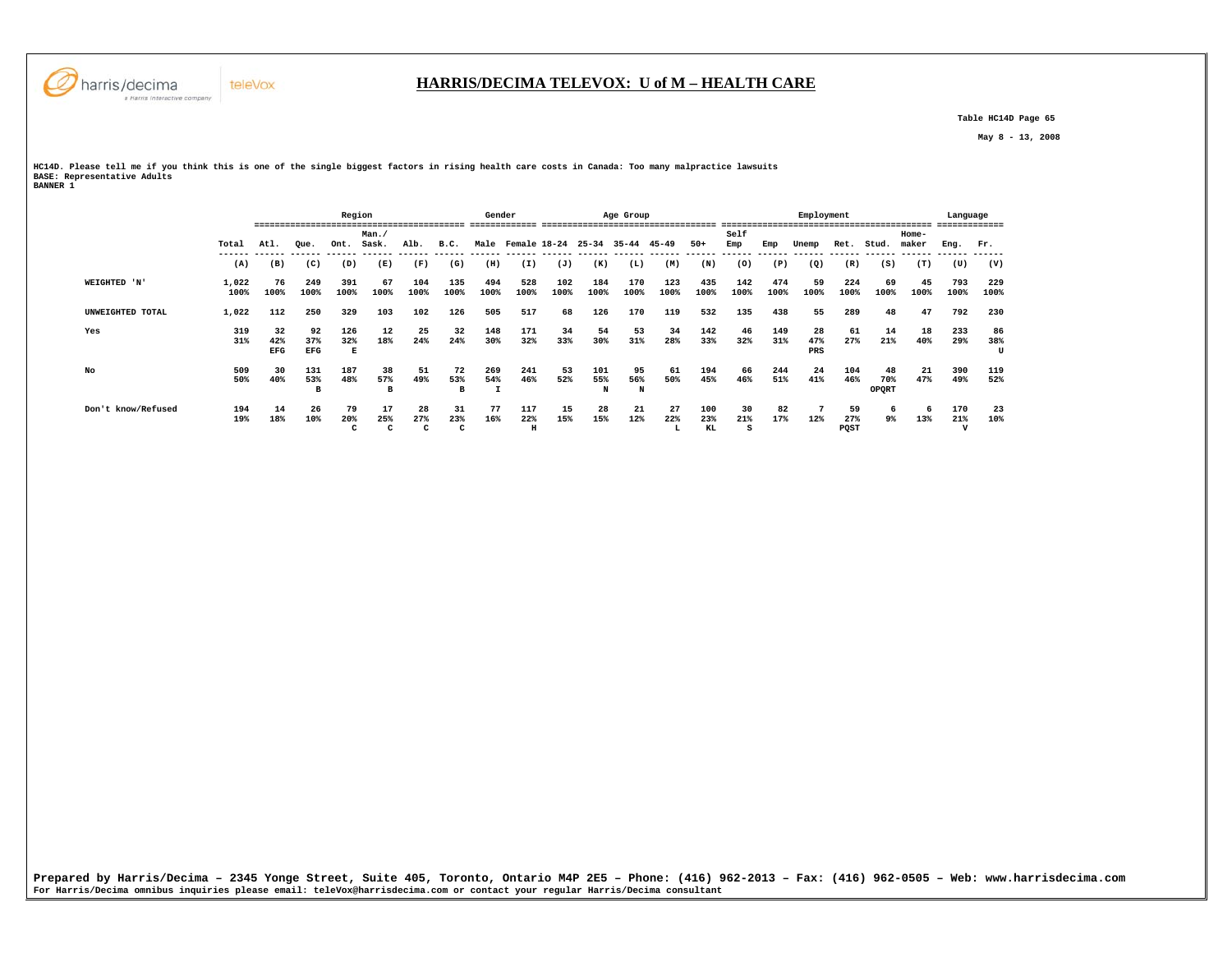

 **Table HC14D Page 65** 

 **May 8 - 13, 2008** 

**HC14D. Please tell me if you think this is one of the single biggest factors in rising health care costs in Canada: Too many malpractice lawsuits BASE: Representative Adults BANNER 1** 

|                    |               |                         |                         | Region          |                |                |                | Gender      |                         |             |             | Age Group      |                              |                  | -------------- |             | Employment       |                   | ------------------        |                | Language                  | ------         |
|--------------------|---------------|-------------------------|-------------------------|-----------------|----------------|----------------|----------------|-------------|-------------------------|-------------|-------------|----------------|------------------------------|------------------|----------------|-------------|------------------|-------------------|---------------------------|----------------|---------------------------|----------------|
|                    | Total         | Atl.                    | Oue.                    | Ont.            | Man./<br>Sask. | Alb.           | B.C.           |             | Male Female 18-24 25-34 |             |             | 35-44 45-49    |                              | $50+$            | Self<br>Emp    | Emp         | Unemp            | Ret.              | Stud.                     | Home-<br>maker | Eng.                      | Fr.            |
|                    | (A)           | (B)                     | (C)                     | (D)             | (E)            | (F)            | (G)            | (H)         | (I)                     | (J)         | (K)         | (L)            | ------- ------ ------<br>(M) | (N)              | (0)            | (P)         | -------<br>(Q)   | -------<br>(R)    | (S)                       | (T)            | (U)                       | (V)            |
| WEIGHTED 'N'       | 1,022<br>100% | 76<br>100%              | 249<br>100%             | 391<br>100%     | 67<br>100%     | 104<br>100%    | 135<br>100%    | 494<br>100% | 528<br>100%             | 102<br>100% | 184<br>100% | 170<br>100%    | 123<br>100%                  | 435<br>100%      | 142<br>100%    | 474<br>100% | 59<br>100%       | 224<br>100%       | 69<br>100%                | 45<br>100%     | 793<br>100%               | 229<br>100%    |
| UNWEIGHTED TOTAL   | 1,022         | 112                     | 250                     | 329             | 103            | 102            | 126            | 505         | 517                     | 68          | 126         | 170            | 119                          | 532              | 135            | 438         | 55               | 289               | 48                        | 47             | 792                       | 230            |
| Yes                | 319<br>31%    | 32<br>42%<br><b>EFG</b> | 92<br>37%<br><b>EFG</b> | 126<br>32%<br>Е | 12<br>18%      | 25<br>24%      | 32<br>24%      | 148<br>30%  | 171<br>32%              | 34<br>33%   | 54<br>30%   | 53<br>31%      | 34<br>28%                    | 142<br>33%       | 46<br>32%      | 149<br>31%  | 28<br>47%<br>PRS | 61<br>27%         | 14<br>21%                 | 18<br>40%      | 233<br>29%                | 86<br>38%<br>U |
| No                 | 509<br>50%    | 30<br>40%               | 131<br>53%<br>B         | 187<br>48%      | 38<br>57%<br>в | 51<br>49%      | 72<br>53%<br>в | 269<br>54%  | 241<br>46%              | 53<br>52%   | 101<br>55%  | 95<br>56%<br>N | 61<br>50%                    | 194<br>45%       | 66<br>46%      | 244<br>51%  | 24<br>41%        | 104<br>46%        | 48<br>70%<br><b>OPORT</b> | 21<br>47%      | 390<br>49%                | 119<br>52%     |
| Don't know/Refused | 194<br>19%    | 14<br>18%               | 26<br>10%               | 79<br>20%<br>C  | 17<br>25%<br>c | 28<br>27%<br>c | 31<br>23%<br>c | 77<br>16%   | 117<br>22%<br>$\,$ H    | 15<br>15%   | 28<br>15%   | 21<br>12%      | 27<br>22%<br>т.              | 100<br>23%<br>KL | 30<br>21%      | 82<br>17%   | 12%              | 59<br>27%<br>POST | 6<br>9%                   | -6<br>13%      | 170<br>21%<br>$\mathbf v$ | 23<br>10%      |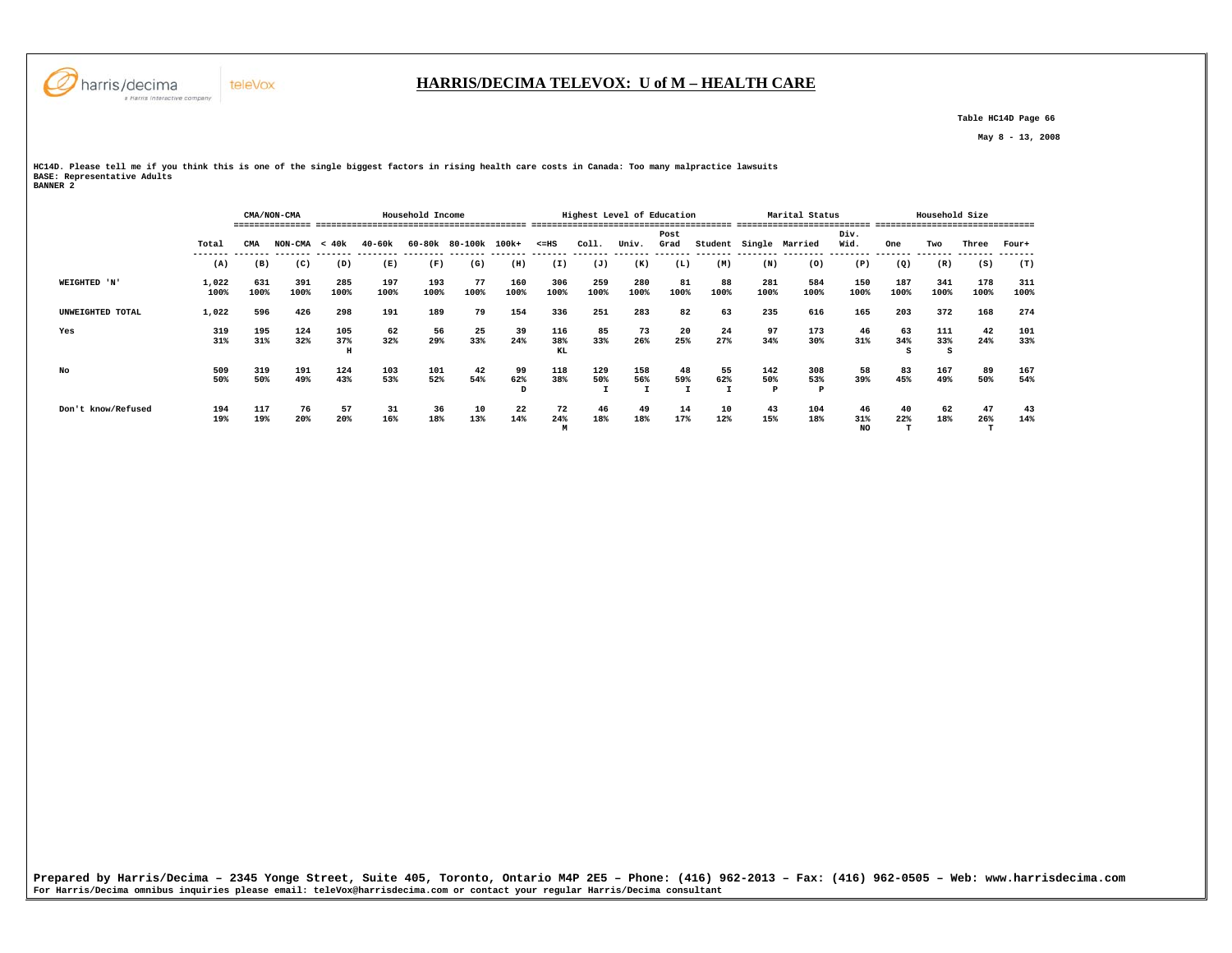

 **Table HC14D Page 66** 

 **May 8 - 13, 2008** 

**HC14D. Please tell me if you think this is one of the single biggest factors in rising health care costs in Canada: Too many malpractice lawsuits BASE: Representative Adults BANNER 2** 

|                    |               | Household Income<br>CMA/NON-CMA |                 |                 |             |             |                      |                |                  |             | Highest Level of Education |              |            |                 | Marital Status         |                  |             | Household Size  |             |             |
|--------------------|---------------|---------------------------------|-----------------|-----------------|-------------|-------------|----------------------|----------------|------------------|-------------|----------------------------|--------------|------------|-----------------|------------------------|------------------|-------------|-----------------|-------------|-------------|
|                    |               |                                 |                 |                 |             |             |                      |                |                  |             |                            |              |            |                 |                        |                  |             |                 |             |             |
|                    | Total         | <b>CMA</b>                      | $NON-CMA < 40k$ |                 | 40-60k      |             | 60-80k 80-100k 100k+ |                | $< = HS$         | Coll.       | Univ.                      | Post<br>Grad |            |                 | Student Single Married | Div.<br>Wid.     | One         | Two             | Three       | Four+       |
|                    | (A)           | (B)                             | (C)             | (D)             | (E)         | (F)         | (G)                  | (H)            | (I)              | (J)         | (K)                        | (L)          | (M)        | (N)             | (0)                    | (P)              | (Q)         | (R)             | (S)         | (T)         |
| WEIGHTED 'N'       | 1,022<br>100% | 631<br>100%                     | 391<br>100%     | 285<br>100%     | 197<br>100% | 193<br>100% | 77<br>100%           | 160<br>100%    | 306<br>100%      | 259<br>100% | 280<br>100%                | 81<br>100%   | 88<br>100% | 281<br>100%     | 584<br>100%            | 150<br>100%      | 187<br>100% | 341<br>100%     | 178<br>100% | 311<br>100% |
| UNWEIGHTED TOTAL   | 1,022         | 596                             | 426             | 298             | 191         | 189         | 79                   | 154            | 336              | 251         | 283                        | 82           | 63         | 235             | 616                    | 165              | 203         | 372             | 168         | 274         |
| Yes                | 319<br>31%    | 195<br>31%                      | 124<br>32%      | 105<br>37%<br>н | 62<br>32%   | 56<br>29%   | 25<br>33%            | 39<br>24%      | 116<br>38%<br>KL | 85<br>33%   | 73<br>26%                  | 20<br>25%    | 24<br>27%  | 97<br>34%       | 173<br>30%             | 46<br>31%        | 63<br>34%   | 111<br>33%<br>s | 42<br>24%   | 101<br>33%  |
| No                 | 509<br>50%    | 319<br>50%                      | 191<br>49%      | 124<br>43%      | 103<br>53%  | 101<br>52%  | 42<br>54%            | 99<br>62%<br>D | 118<br>38%       | 129<br>50%  | 158<br>56%                 | 48<br>59%    | 55<br>62%  | 142<br>50%<br>Þ | 308<br>53%<br>P        | 58<br>39%        | 83<br>45%   | 167<br>49%      | 89<br>50%   | 167<br>54%  |
| Don't know/Refused | 194<br>19%    | 117<br>19%                      | 76<br>20%       | 57<br>20%       | 31<br>16%   | 36<br>18%   | 10<br>13%            | 22<br>14%      | 72<br>24%<br>м   | 46<br>18%   | 49<br>18%                  | 14<br>17%    | 10<br>12%  | 43<br>15%       | 104<br>18%             | 46<br>31%<br>NO. | 40<br>22%   | 62<br>18%       | 47<br>26%   | 43<br>14%   |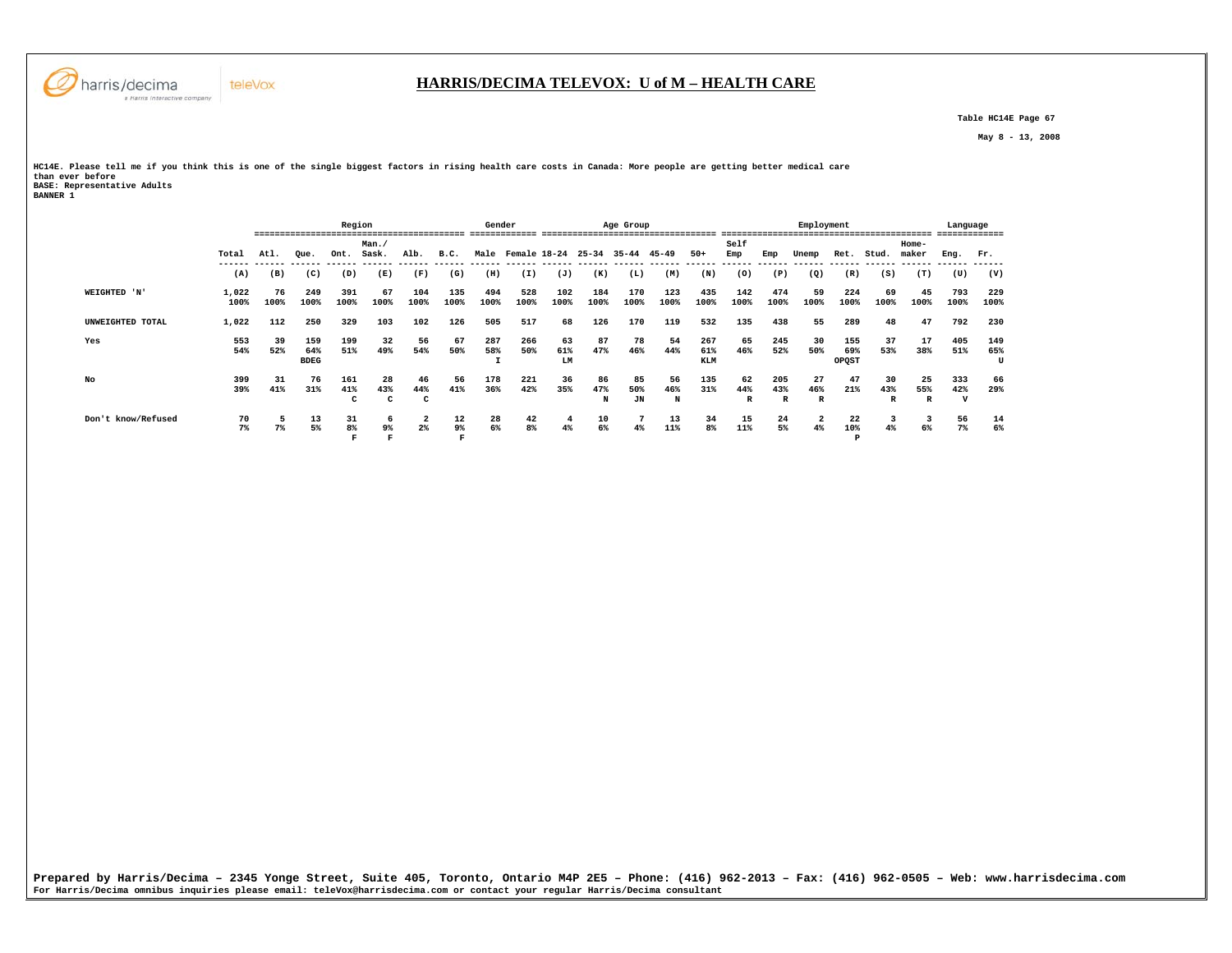

 **Table HC14E Page 67** 

 **May 8 - 13, 2008** 

**HC14E. Please tell me if you think this is one of the single biggest factors in rising health care costs in Canada: More people are getting better medical care than ever before BASE: Representative Adults BANNER 1** 

|                    |       |      |             | Region  |         |                |                | Gender         |              |         |           | Age Group |           |            |      |              | Employment |          |       |       | Language |      |
|--------------------|-------|------|-------------|---------|---------|----------------|----------------|----------------|--------------|---------|-----------|-----------|-----------|------------|------|--------------|------------|----------|-------|-------|----------|------|
|                    |       |      |             |         | Man./   |                |                |                |              |         |           |           |           |            | Self |              |            |          |       | Home- |          |      |
|                    | Total | Atl. | Oue.        | Ont.    | Sask.   | Alb.           | B.C.<br>------ | Male<br>------ | Female 18-24 | ------- | $25 - 34$ | $35 - 44$ | $45 - 49$ | $50+$      | Emp  | Emp          | Unemp      | Ret.     | Stud. | maker | Eng.     | Fr.  |
|                    | (A)   | (B)  | (C)         | (D)     | (E)     | (F)            | (G)            | (H)            | (I)          | (J)     | (K)       | (L)       | (M)       | (N)        | (0)  | (P)          | (Q)        | (R)      | (S)   | (T)   | (U)      | (V)  |
| WEIGHTED 'N'       | 1,022 | 76   | 249         | 391     | 67      | 104            | 135            | 494            | 528          | 102     | 184       | 170       | 123       | 435        | 142  | 474          | 59         | 224      | 69    | 45    | 793      | 229  |
|                    | 100%  | 100% | 100%        | 100%    | 100%    | 100%           | 100%           | 100%           | 100%         | 100%    | 100%      | 100%      | 100%      | 100%       | 100% | 100%         | 100%       | 100%     | 100%  | 100%  | 100%     | 100% |
| UNWEIGHTED TOTAL   | 1,022 | 112  | 250         | 329     | 103     | 102            | 126            | 505            | 517          | 68      | 126       | 170       | 119       | 532        | 135  | 438          | 55         | 289      | 48    | 47    | 792      | 230  |
| Yes                | 553   | 39   | 159         | 199     | 32      | 56             | 67             | 287            | 266          | 63      | 87        | 78        | 54        | 267        | 65   | 245          | 30         | 155      | 37    | 17    | 405      | 149  |
|                    | 54%   | 52%  | 64%         | 51%     | 49%     | 54%            | 50%            | 58%            | 50%          | 61%     | 47%       | 46%       | 44%       | 61%        | 46%  | 52%          | 50%        | 69%      | 53%   | 38%   | 51%      | 65%  |
|                    |       |      | <b>BDEG</b> |         |         |                |                |                |              | LM      |           |           |           | <b>KLM</b> |      |              |            | OPQST    |       |       |          | U    |
| No                 | 399   | 31   | 76          | 161     | 28      | 46             | 56             | 178            | 221          | 36      | 86        | 85        | 56        | 135        | 62   | 205          | 27         | 47       | 30    | 25    | 333      | 66   |
|                    | 39%   | 41%  | 31%         | 41%     | 43%     | 44%            | 41%            | 36%            | 42%          | 35%     | 47%       | 50%       | 46%       | 31%        | 44%  | 43%          | 46%        | 21%      | 43%   | 55%   | 42%      | 29%  |
|                    |       |      |             | c       | c       | c              |                |                |              |         | N         | JN        | N         |            | R    | $\mathbb{R}$ | R          |          | R     | R     | v        |      |
| Don't know/Refused | 70    |      | 13          | 31      | 6       | 2              | 12             | 28             | 42           | 4       | 10        |           | 13        | 34         | 15   | 24           | 2          | 22       |       | -3    | 56       | 14   |
|                    | 7%    | 7%   | 5%          | 8%<br>R | 9%<br>Ð | 2 <sup>8</sup> | $9\%$<br>F     | 6%             | 8%           | 4%      | 6%        | 4%        | 11%       | 8%         | 11%  | 5%           | 4%         | 10%<br>P | 4%    | 6%    | 7%       | 6%   |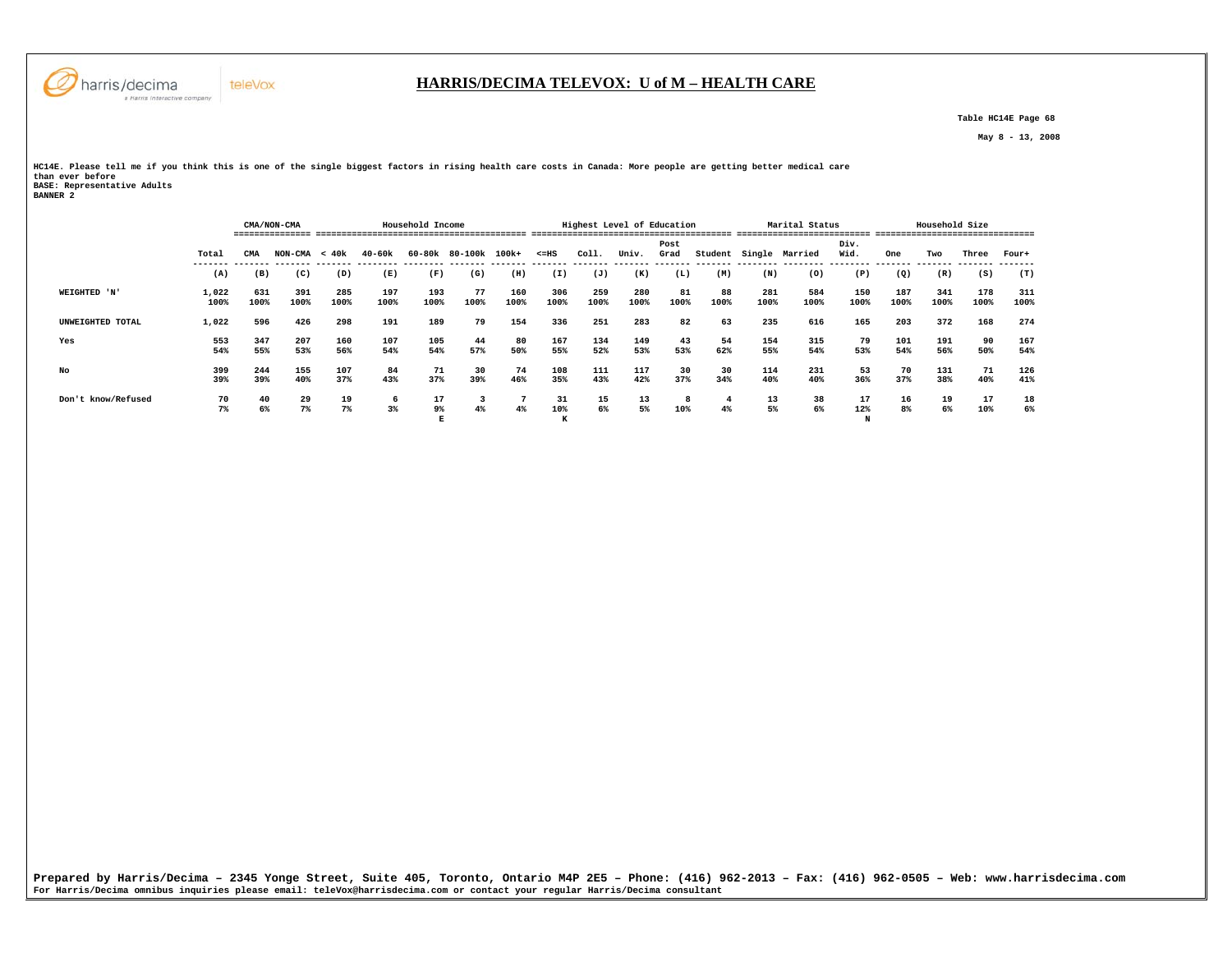

# **HARRIS/DECIMA TELEVOX: U of M – HEALTH CARE**

 **Table HC14E Page 68** 

 **May 8 - 13, 2008** 

**HC14E. Please tell me if you think this is one of the single biggest factors in rising health care costs in Canada: More people are getting better medical care than ever before BASE: Representative Adults BANNER 2** 

|                    |               |             | CMA/NON-CMA<br>--------------- |             |             | Household Income |                      |             |                 |             | Highest Level of Education |              |            |             | Marital Status |              |             | Household Size |             |             |
|--------------------|---------------|-------------|--------------------------------|-------------|-------------|------------------|----------------------|-------------|-----------------|-------------|----------------------------|--------------|------------|-------------|----------------|--------------|-------------|----------------|-------------|-------------|
|                    | Total         | CMA         | $NON-CMA < 40k$                |             | 40-60k      |                  | 60-80k 80-100k 100k+ |             | $< = HS$        | Coll.       | Univ.                      | Post<br>Grad | Student    | Single      | Married        | Div.<br>Wid. | One         | Two            | Three       | Four+       |
|                    | (A)           | (B)         | (C)                            | (D)         | (E)         | (F)              | (G)                  | (H)         | (I)             | (J)         | (K)                        | (L)          | (M)        | (N)         | (0)            | (P)          | (Q)         | (R)            | (S)         | (T)         |
| WEIGHTED 'N'       | 1,022<br>100% | 631<br>100% | 391<br>100%                    | 285<br>100% | 197<br>100% | 193<br>100%      | 77<br>100%           | 160<br>100% | 306<br>100%     | 259<br>100% | 280<br>100%                | 81<br>100%   | 88<br>100% | 281<br>100% | 584<br>100%    | 150<br>100%  | 187<br>100% | 341<br>100%    | 178<br>100% | 311<br>100% |
| UNWEIGHTED TOTAL   | 1,022         | 596         | 426                            | 298         | 191         | 189              | 79                   | 154         | 336             | 251         | 283                        | 82           | 63         | 235         | 616            | 165          | 203         | 372            | 168         | 274         |
| Yes                | 553<br>54%    | 347<br>55%  | 207<br>53%                     | 160<br>56%  | 107<br>54%  | 105<br>54%       | 44<br>57%            | 80<br>50%   | 167<br>55%      | 134<br>52%  | 149<br>53%                 | 43<br>53%    | 54<br>62%  | 154<br>55%  | 315<br>54%     | 79<br>53%    | 101<br>54%  | 191<br>56%     | 90<br>50%   | 167<br>54%  |
| No                 | 399<br>39%    | 244<br>39%  | 155<br>40%                     | 107<br>37%  | 84<br>43%   | 71<br>37%        | 30<br>39%            | 74<br>46%   | 108<br>35%      | 111<br>43%  | 117<br>42%                 | 30<br>37%    | 30<br>34%  | 114<br>40%  | 231<br>40%     | 53<br>36%    | 70<br>37%   | 131<br>38%     | 71<br>40%   | 126<br>41%  |
| Don't know/Refused | 70<br>$7\%$   | 40<br>6%    | 29<br>7%                       | 19<br>$7\%$ | 6<br>$3\%$  | 17<br>9%         | 4%                   | 4%          | 31<br>10%<br>А. | 15<br>6%    | 13<br>5%                   | 8<br>10%     | 4%         | 13<br>5%    | 38<br>6%       | 17<br>12%    | 16<br>8%    | 19<br>6%       | 17<br>10%   | 18<br>6%    |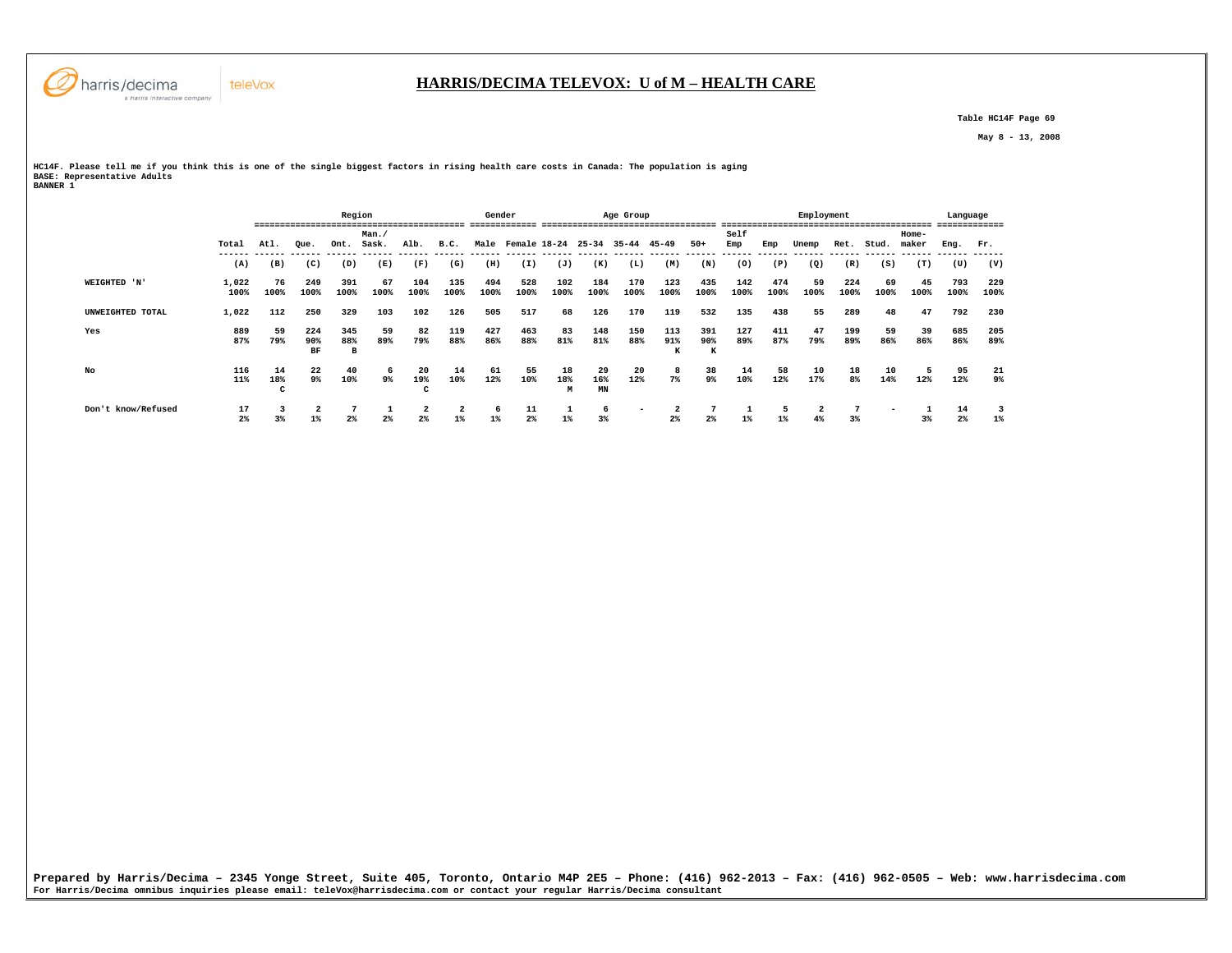

 **Table HC14F Page 69** 

 **May 8 - 13, 2008** 

**HC14F. Please tell me if you think this is one of the single biggest factors in rising health care costs in Canada: The population is aging BASE: Representative Adults BANNER 1** 

 **Region Gender Age Group Employment Language ========================================= ============= ================================== ========================================= ============= Man./ Self Home-** Ret. Stud. maker  **Total Atl. Que. Ont. Sask. Alb. B.C. Male Female 18-24 25-34 35-44 45-49 50+ Emp Emp Unemp Ret. Stud. maker Eng. Fr. ------ ------ ------ ------ ------ ------ ------ ------ ------ ------ ------ ------ ------ ------ ------ ------ ------ ------ ------ ------ ------ ------ (A) (B) (C) (D) (E) (F) (G) (H) (I) (J) (K) (L) (M) (N) (O) (P) (Q) (R) (S) (T) (U) (V) WEIGHTED 'N' 1,022 76 249 391 67 104 135 494 528 102 184 170 123 435 142 474 59 224 69 45 793 229 100% 100% 100% 100% 100% 100% 100% 100% 100% 100% 100% 100% 100% 100% 100% 100% 100% 100% 100% 100% 100% 100% UNWEIGHTED TOTAL 1,022 112 250 329 103 102 126 505 517 68 126 170 119 532 135 438 55 289 48 47 792 230 Yes 889 59 224 345 59 82 119 427 463 83 148 150 113 391 127 411 47 199 59 39 685 205** 89%  **87% 79% 90% 88% 89% 79% 88% 86% 88% 81% 81% 88% 91% 90% 89% 87% 79% 89% 86% 86% 86% 89% BF B K K No 116 14 22 40 6 20 14 61 55 18 29 20 8 38 14 58 10 18 10 5 95 21** 9%  **11% 18% 9% 10% 9% 19% 10% 12% 10% 18% 16% 12% 7% 9% 10% 12% 17% 8% 14% 12% 12% 9% C C M MN Don't know/Refused 17 3 2 7 1 2 2 6 11 1 6 - 2 7 1 5 2 7 - 1 14 3**  $1%$  **2% 3% 1% 2% 2% 2% 1% 1% 2% 1% 3% 2% 2% 1% 1% 4% 3% 3% 2% 1%**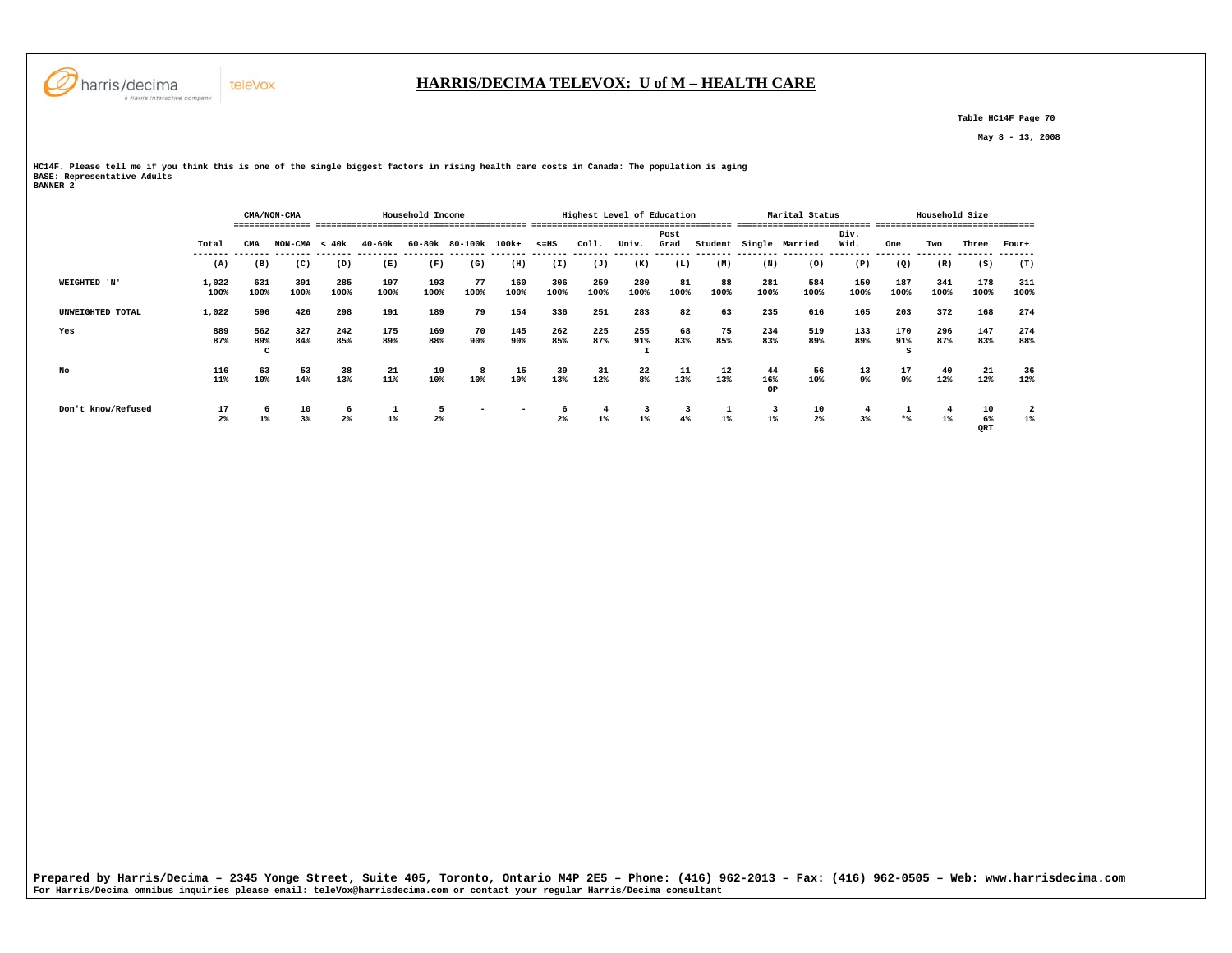

#### **HARRIS/DECIMA TELEVOX: U of M – HEALTH CARE**

 **Table HC14F Page 70** 

 **May 8 - 13, 2008** 

**HC14F. Please tell me if you think this is one of the single biggest factors in rising health care costs in Canada: The population is aging BASE: Representative Adults BANNER 2** 

|                    |                      | CMA/NON-CMA<br>Household Income |                 |             |                                               |             |                          |                          |                              |                         | Highest Level of Education |              |            |                 | Marital Status   |              |             | Household Size |                 |                         |
|--------------------|----------------------|---------------------------------|-----------------|-------------|-----------------------------------------------|-------------|--------------------------|--------------------------|------------------------------|-------------------------|----------------------------|--------------|------------|-----------------|------------------|--------------|-------------|----------------|-----------------|-------------------------|
|                    | Total                | CMA                             | $NON-CMA < 40k$ |             | $40 - 60k$<br>------- ------- -------- ------ |             | 60-80k 80-100k 100k+     |                          | $< = HS$<br>-------- ------- | Coll.                   | Univ.                      | Post<br>Grad | Student    |                 | Single Married   | Div.<br>Wid. | One         | Two            | Three           | Four+                   |
|                    | (A)                  | (B)                             | (C)             | (D)         | (E)                                           | (F)         | (G)                      | (H)                      | (I)                          | (J)                     | (K)                        | (L)          | (M)        | (N)             | (0)              | (P)          | (Q)         | (R)            | (S)             | (T)                     |
| WEIGHTED 'N'       | 1,022<br>100%        | 631<br>100%                     | 391<br>100%     | 285<br>100% | 197<br>100%                                   | 193<br>100% | 77<br>100%               | 160<br>100%              | 306<br>100%                  | 259<br>100%             | 280<br>100%                | 81<br>100%   | 88<br>100% | 281<br>100%     | 584<br>100%      | 150<br>100%  | 187<br>100% | 341<br>100%    | 178<br>100%     | 311<br>100%             |
| UNWEIGHTED TOTAL   | 1,022                | 596                             | 426             | 298         | 191                                           | 189         | 79                       | 154                      | 336                          | 251                     | 283                        | 82           | 63         | 235             | 616              | 165          | 203         | 372            | 168             | 274                     |
| Yes                | 889<br>87%           | 562<br>89%                      | 327<br>84%      | 242<br>85%  | 175<br>89%                                    | 169<br>88%  | 70<br>90%                | 145<br>90%               | 262<br>85%                   | 225<br>87%              | 255<br>91%                 | 68<br>83%    | 75<br>85%  | 234<br>83%      | 519<br>89%       | 133<br>89%   | 170<br>91%  | 296<br>87%     | 147<br>83%      | 274<br>88%              |
| No                 | 116<br>11%           | 63<br>10%                       | 53<br>14%       | 38<br>13%   | 21<br>11%                                     | 19<br>10%   | 8<br>10%                 | 15<br>10%                | 39<br>13%                    | 31<br>12%               | 22<br>8%                   | 11<br>13%    | 12<br>13%  | 44<br>16%<br>OP | 56<br>10%        | 13<br>9%     | 17<br>9%    | 40<br>12%      | -21<br>12%      | 36<br>12%               |
| Don't know/Refused | 17<br>2 <sup>8</sup> | 6<br>$1\%$                      | 10<br>3%        | 6<br>$2\%$  | <b>T</b><br>$1\%$                             | 5<br>$2\%$  | $\overline{\phantom{0}}$ | $\overline{\phantom{a}}$ | - 6<br>2 <sup>8</sup>        | $\overline{4}$<br>$1\%$ | 3<br>$1\%$                 | 3<br>4%      | 1<br>1%    | 3<br>$1\%$      | $\frac{10}{2\%}$ | 3%           | $*$         | $1\%$          | 10<br>6%<br>QRT | $\overline{a}$<br>$1\%$ |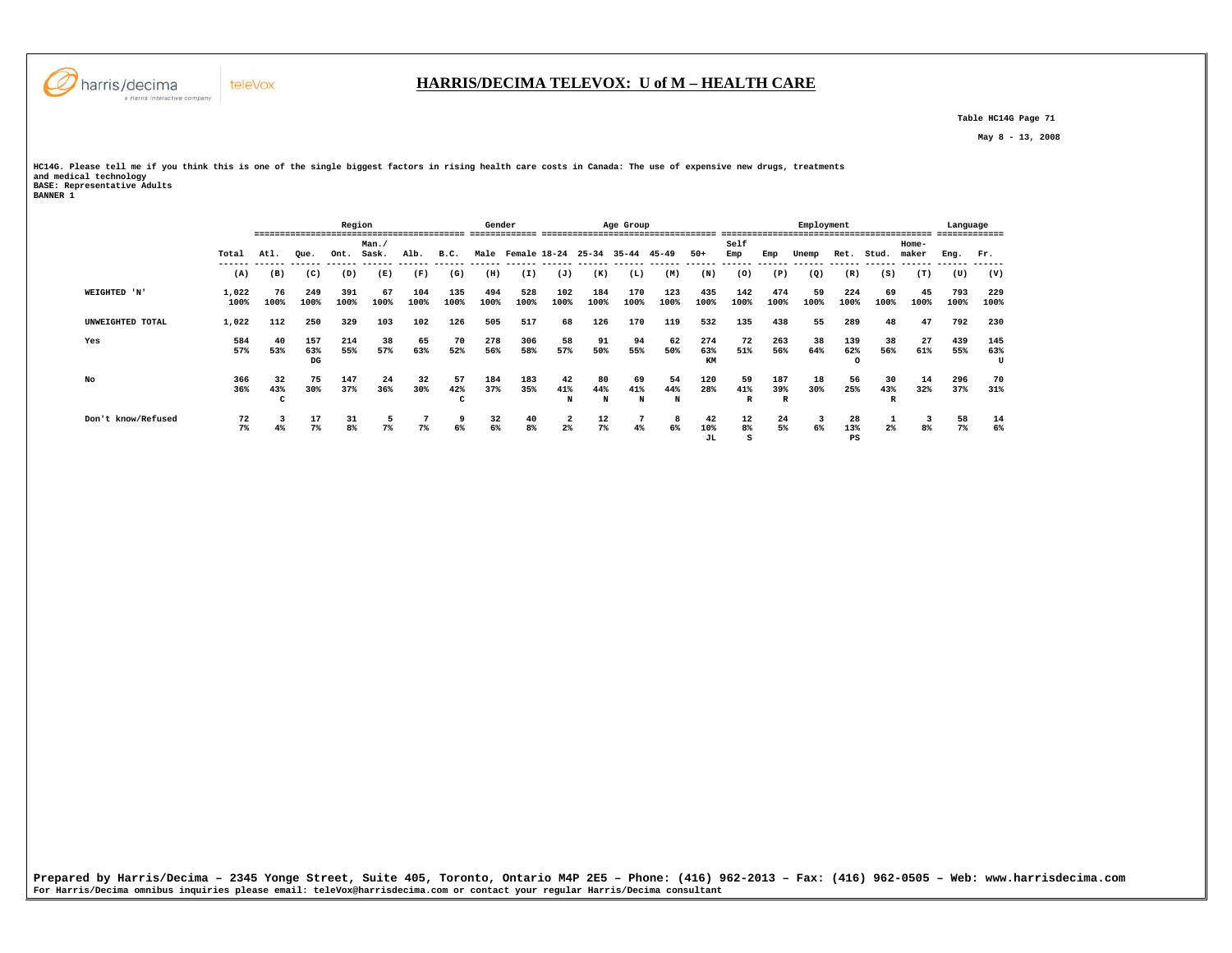

 **Table HC14G Page 71** 

 **May 8 - 13, 2008** 

**HC14G. Please tell me if you think this is one of the single biggest factors in rising health care costs in Canada: The use of expensive new drugs, treatments and medical technology BASE: Representative Adults BANNER 1** 

|                    |       |      |                       | Region |                |                |                | Gender |              |                         |           | Age Group                                |                |                |                |      | Employment |               |                | -------------------------- | Language<br>------------- |      |
|--------------------|-------|------|-----------------------|--------|----------------|----------------|----------------|--------|--------------|-------------------------|-----------|------------------------------------------|----------------|----------------|----------------|------|------------|---------------|----------------|----------------------------|---------------------------|------|
|                    |       |      |                       |        | Man.           |                |                |        |              |                         |           |                                          |                |                | Self           |      |            |               |                | Home-                      |                           |      |
|                    | Total | Atl. | Oue.                  | Ont.   | Sask.          | Alb.           | B.C.           | Male   | Female 18-24 |                         | $25 - 34$ | $35 - 44$                                | 45-49          | $50+$          | Emp            | Emp  | Unemp      | Ret.          | Stud.          | maker                      | Eng.                      | Fr.  |
|                    | (A)   | (B)  | ------- ------<br>(C) | (D)    | -------<br>(E) | -------<br>(F) | -------<br>(G) | (H)    | (I)          | (J)                     | (K)       | ------ ------ ------ ------ -----<br>(L) | -------<br>(M) | -------<br>(N) | -------<br>(0) | (P)  | (Q)        | ------<br>(R) | (S)            | (T)                        | (U)                       | (V)  |
| WEIGHTED 'N'       | 1,022 | 76   | 249                   | 391    | 67             | 104            | 135            | 494    | 528          | 102                     | 184       | 170                                      | 123            | 435            | 142            | 474  | 59         | 224           | 69             | 45                         | 793                       | 229  |
|                    | 100%  | 100% | 100%                  | 100%   | 100%           | 100%           | 100%           | 100%   | 100%         | 100%                    | 100%      | 100%                                     | 100%           | 100%           | 100%           | 100% | 100%       | 100%          | 100%           | 100%                       | 100%                      | 100% |
| UNWEIGHTED TOTAL   | 1,022 | 112  | 250                   | 329    | 103            | 102            | 126            | 505    | 517          | 68                      | 126       | 170                                      | 119            | 532            | 135            | 438  | 55         | 289           | 48             | 47                         | 792                       | 230  |
| Yes                | 584   | 40   | 157                   | 214    | 38             | 65             | 70             | 278    | 306          | 58                      | 91        | 94                                       | 62             | 274            | 72             | 263  | 38         | 139           | 38             | 27                         | 439                       | 145  |
|                    | 57%   | 53%  | 63%                   | 55%    | 57%            | 63%            | 52%            | 56%    | 58%          | 57%                     | 50%       | 55%                                      | 50%            | 63%            | 51%            | 56%  | 64%        | 62%           | 56%            | 61%                        | 55%                       | 63%  |
|                    |       |      | DG                    |        |                |                |                |        |              |                         |           |                                          |                | KM             |                |      |            |               |                |                            |                           | U    |
| No                 | 366   | 32   | 75                    | 147    | 24             | 32             | 57             | 184    | 183          | 42                      | 80        | 69                                       | 54             | 120            | 59             | 187  | 18         | 56            | 30             | 14                         | 296                       | 70   |
|                    | 36%   | 43%  | 30%                   | 37%    | 36%            | 30%            | 42%            | 37%    | 35%          | 41%                     | 44%       | 41%                                      | 44%            | 28%            | 41%            | 39%  | 30%        | 25%           | 43%            | 32%                        | 37%                       | 31%  |
|                    |       | c    |                       |        |                |                |                |        |              | N                       | N         | N                                        | N              |                | R              | R    |            |               |                |                            |                           |      |
| Don't know/Refused | 72    |      | 17                    | 31     |                |                | 9              | 32     | 40           | $\overline{\mathbf{2}}$ | 12        |                                          | 8              | 42             | 12             | 24   | 3          | 28            |                | 3                          | 58                        | 14   |
|                    | 7%    | 4%   | $7\%$                 | 8%     | 7%             | 7 <sup>8</sup> | 6%             | 6%     | 8%           | 2 <sup>°</sup>          | $7\%$     | 4%                                       | 6%             | 10%            | 8%             | 5%   | 6%         | 13%           | 2 <sup>°</sup> | 8%                         | 7%                        | 6%   |
|                    |       |      |                       |        |                |                |                |        |              |                         |           |                                          |                | JL.            | s              |      |            | PS            |                |                            |                           |      |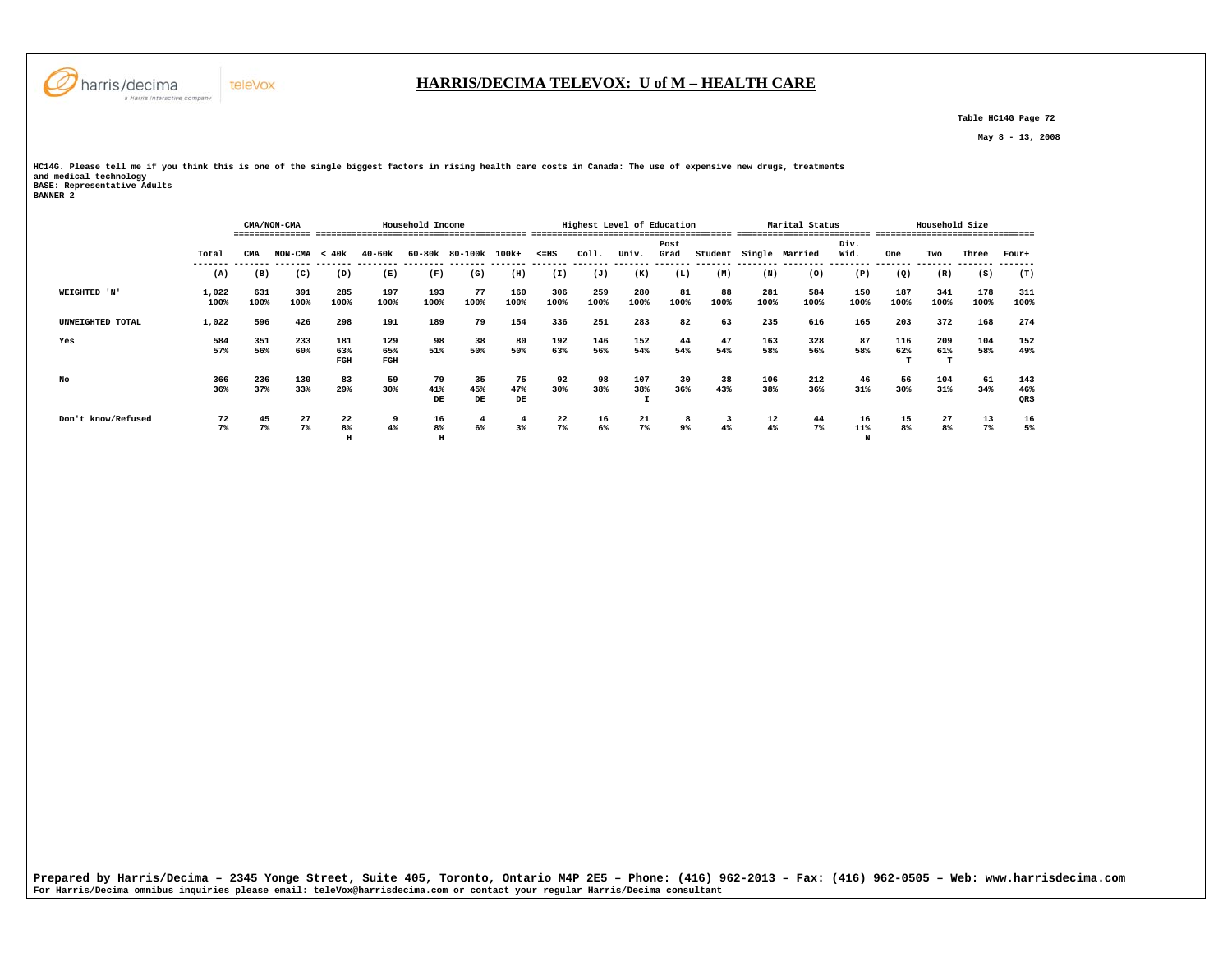

 **Table HC14G Page 72** 

 **May 8 - 13, 2008** 

**HC14G. Please tell me if you think this is one of the single biggest factors in rising health care costs in Canada: The use of expensive new drugs, treatments and medical technology BASE: Representative Adults BANNER 2** 

|                    |               |             | CMA/NON-CMA     |                   |                   | Household Income |                 |                          |             | Highest Level of Education |             |              |            |             | Marital Status |                |                      | Household Size       |             |                   |
|--------------------|---------------|-------------|-----------------|-------------------|-------------------|------------------|-----------------|--------------------------|-------------|----------------------------|-------------|--------------|------------|-------------|----------------|----------------|----------------------|----------------------|-------------|-------------------|
|                    | Total         | CMA         | $NON-CMA < 40k$ |                   | $40 - 60k$        |                  | 60-80k 80-100k  | 100k+                    | $< = HS$    | Coll.                      | Univ.       | Post<br>Grad | Student    | Single      | Married        | Div.<br>Wid.   | One                  | Two                  | Three       | Four+             |
|                    | (A)           | (B)         | (C)             | (D)               | (E)               | (F)              | (G)             | (H)                      | (I)         | (J)                        | (K)         | (L)          | (M)        | (N)         | (0)            | (P)            | (Q)                  | (R)                  | (S)         | (T)               |
| WEIGHTED 'N'       | 1,022<br>100% | 631<br>100% | 391<br>100%     | 285<br>100%       | 197<br>100%       | 193<br>100%      | 77<br>100%      | 160<br>100%              | 306<br>100% | 259<br>100%                | 280<br>100% | 81<br>100%   | 88<br>100% | 281<br>100% | 584<br>100%    | 150<br>100%    | 187<br>100%          | 341<br>100%          | 178<br>100% | 311<br>100%       |
| UNWEIGHTED TOTAL   | 1,022         | 596         | 426             | 298               | 191               | 189              | 79              | 154                      | 336         | 251                        | 283         | 82           | 63         | 235         | 616            | 165            | 203                  | 372                  | 168         | 274               |
| Yes                | 584<br>57%    | 351<br>56%  | 233<br>60%      | 181<br>63%<br>FGH | 129<br>65%<br>FGH | 98<br>51%        | 38<br>50%       | 80<br>50%                | 192<br>63%  | 146<br>56%                 | 152<br>54%  | 44<br>54%    | 47<br>54%  | 163<br>58%  | 328<br>56%     | 87<br>58%      | 116<br>62%           | 209<br>61%           | 104<br>58%  | 152<br>49%        |
| No                 | 366<br>36%    | 236<br>37%  | 130<br>33%      | 83<br>29%         | 59<br>30%         | 79<br>41%<br>DE  | 35<br>45%<br>DE | 75<br>47%<br>$_{\rm DE}$ | 92<br>30%   | 98<br>38%                  | 107<br>38%  | 30<br>36%    | 38<br>43%  | 106<br>38%  | 212<br>36%     | 46<br>31%      | 56<br>30%            | 104<br>31%           | 61<br>34%   | 143<br>46%<br>QRS |
| Don't know/Refused | 72<br>$7\%$   | 45<br>7%    | 27<br>7%        | 22<br>8%<br>H     | 9<br>4%           | 16<br>8%         | 4<br>6%         | $\overline{4}$<br>3%     | 22<br>$7\%$ | 16<br>6%                   | 21<br>$7\%$ | 8<br>9%      | 3<br>4%    | 12<br>4%    | 44<br>$7\%$    | 16<br>11%<br>N | 15<br>8 <sup>°</sup> | 27<br>8 <sup>8</sup> | 13<br>7%    | 16<br>5%          |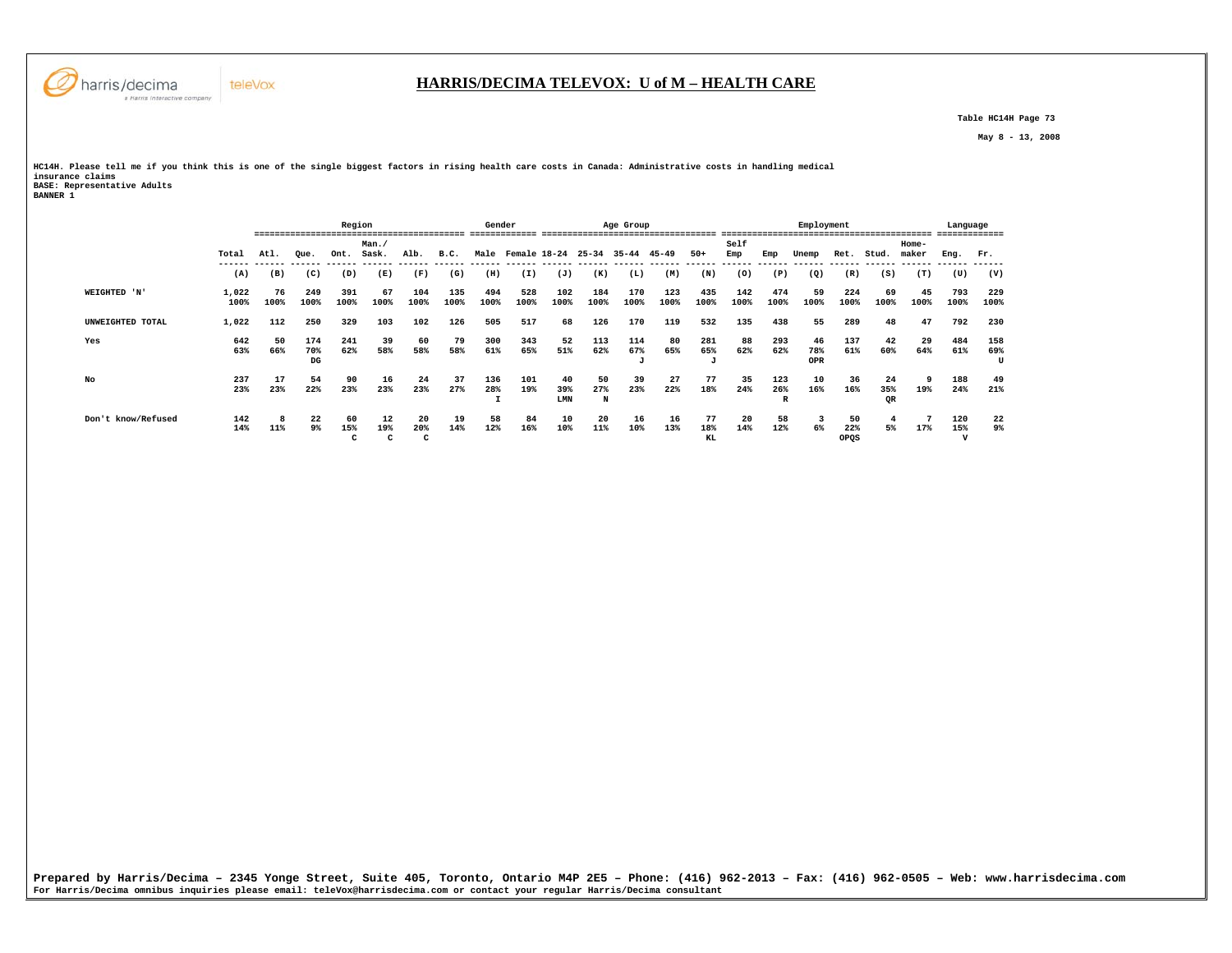

 **Table HC14H Page 73** 

 **May 8 - 13, 2008** 

**HC14H. Please tell me if you think this is one of the single biggest factors in rising health care costs in Canada: Administrative costs in handling medical insurance claims BASE: Representative Adults BANNER 1** 

|                    |       |      | Region |      |       |      |      | Gender |              |      |           | Age Group |           |           |      |              | Employment        |      |       |       | Language     |      |
|--------------------|-------|------|--------|------|-------|------|------|--------|--------------|------|-----------|-----------|-----------|-----------|------|--------------|-------------------|------|-------|-------|--------------|------|
|                    |       |      |        |      | Man.  |      |      |        |              |      |           |           |           |           | Self |              |                   |      |       | Home- |              |      |
|                    | Total | Atl. | Oue.   | Ont. | Sask. | Alb. | B.C. | Male   | Female 18-24 |      | $25 - 34$ | $35 - 44$ | $45 - 49$ | $50+$     | Emp  | Emp          | Unemp             | Ret. | Stud. | maker | Eng.         | Fr.  |
|                    | (A)   | (B)  | (C)    | (D)  | (E)   | (F)  | (G)  | (H)    | (I)          | (J)  | (K)       | (L)       | (M)       | (N)       | (0)  | (P)          | $\left( Q\right)$ | (R)  | (S)   | (T)   | (U)          | (V)  |
| WEIGHTED 'N'       | 1,022 | 76   | 249    | 391  | 67    | 104  | 135  | 494    | 528          | 102  | 184       | 170       | 123       | 435       | 142  | 474          | 59                | 224  | 69    | 45    | 793          | 229  |
|                    | 100%  | 100% | 100%   | 100% | 100%  | 100% | 100% | 100%   | 100%         | 100% | 100%      | 100%      | 100%      | 100%      | 100% | 100%         | 100%              | 100% | 100%  | 100%  | 100%         | 100% |
| UNWEIGHTED TOTAL   | 1,022 | 112  | 250    | 329  | 103   | 102  | 126  | 505    | 517          | 68   | 126       | 170       | 119       | 532       | 135  | 438          | 55                | 289  | 48    | 47    | 792          | 230  |
| Yes                | 642   | 50   | 174    | 241  | 39    | 60   | 79   | 300    | 343          | 52   | 113       | 114       | 80        | 281       | 88   | 293          | 46                | 137  | 42    | 29    | 484          | 158  |
|                    | 63%   | 66%  | 70%    | 62%  | 58%   | 58%  | 58%  | 61%    | 65%          | 51%  | 62%       | 67%       | 65%       | 65%       | 62%  | 62%          | 78%               | 61%  | 60%   | 64%   | 61%          | 69%  |
|                    |       |      | DG     |      |       |      |      |        |              |      |           | J         |           | $\cdot$ T |      |              | OPR               |      |       |       |              | U    |
| No                 | 237   | 17   | 54     | 90   | 16    | 24   | 37   | 136    | 101          | 40   | 50        | 39        | 27        | 77        | 35   | 123          | 10                | 36   | 24    | ٠q    | 188          | 49   |
|                    | 23%   | 23%  | 22%    | 23%  | 23%   | 23%  | 27%  | 28%    | 19%          | 39%  | 27%       | 23%       | 22%       | 18%       | 24%  | 26%          | 16%               | 16%  | 35%   | 19%   | 24%          | 21%  |
|                    |       |      |        |      |       |      |      |        |              | LMN  | N         |           |           |           |      | $\mathbb{R}$ |                   |      | QR    |       |              |      |
| Don't know/Refused | 142   |      | 22     | 60   | 12    | 20   | 19   | 58     | 84           | 10   | 20        | 16        | 16        | 77        | 20   | 58           | 3                 | 50   |       |       | 120          | 22   |
|                    | 14%   | 11%  | 9%     | 15%  | 19%   | 20%  | 14%  | 12%    | 16%          | 10%  | 11%       | 10%       | 13%       | 18%       | 14%  | 12%          | 6%                | 22%  | 5%    | 17%   | 15%          | 9%   |
|                    |       |      |        | c    | c     | c    |      |        |              |      |           |           |           | KL        |      |              |                   | OPQS |       |       | $\mathbf{v}$ |      |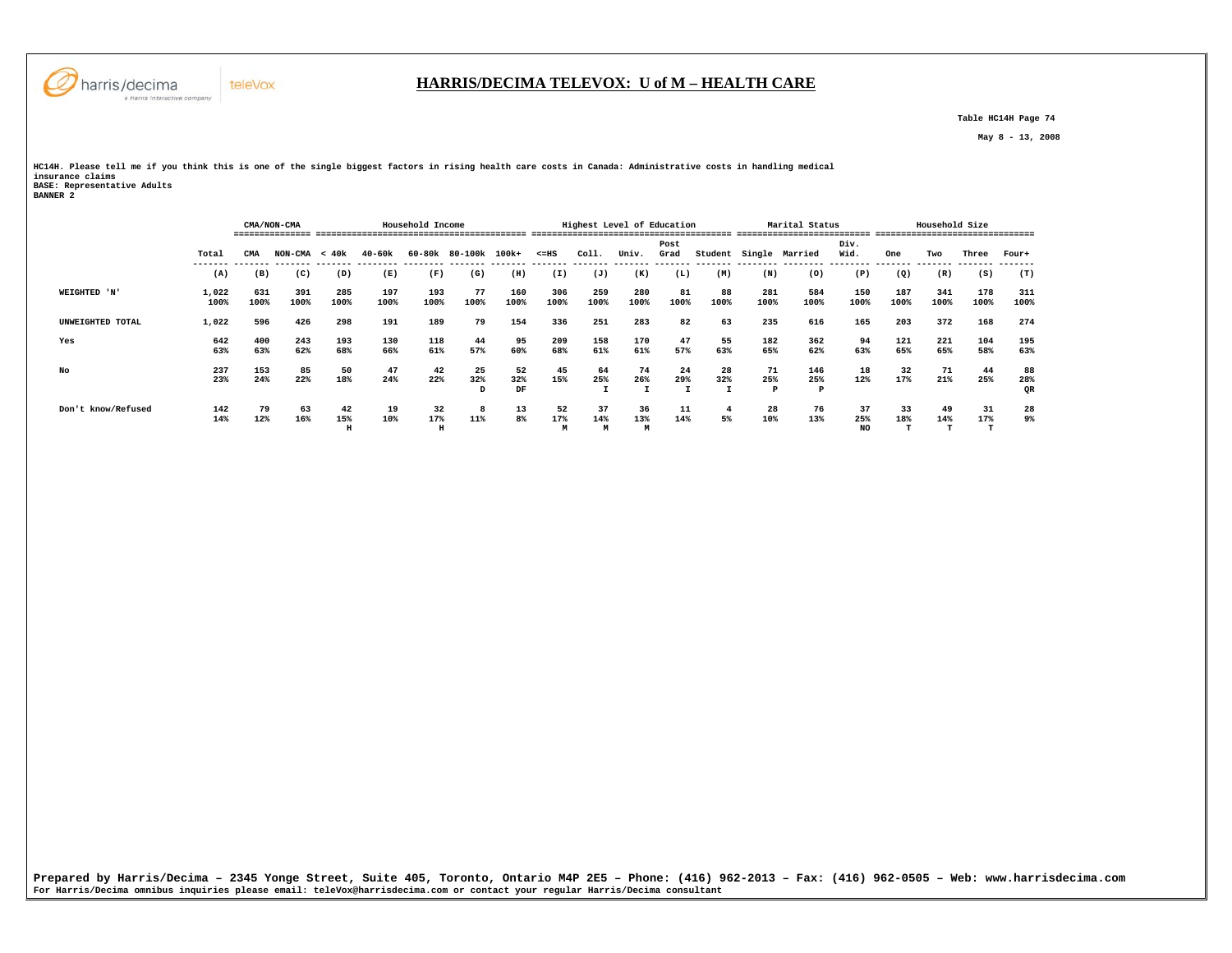

# **HARRIS/DECIMA TELEVOX: U of M – HEALTH CARE**

 **Table HC14H Page 74** 

 **May 8 - 13, 2008** 

**HC14H. Please tell me if you think this is one of the single biggest factors in rising health care costs in Canada: Administrative costs in handling medical insurance claims BASE: Representative Adults BANNER 2** 

|                    |               |             | CMA/NON-CMA     |                |             | Household Income |                      |                 |                |                | Highest Level of Education |              |            |                | Marital Status<br>-------------------------- |                  | ---------   | Household Size | . __________________________ |                 |
|--------------------|---------------|-------------|-----------------|----------------|-------------|------------------|----------------------|-----------------|----------------|----------------|----------------------------|--------------|------------|----------------|----------------------------------------------|------------------|-------------|----------------|------------------------------|-----------------|
|                    | Total         | CMA         | $NON-CMA < 40k$ |                | 40-60k      |                  | 60-80k 80-100k 100k+ |                 | $< = HS$       | Col1.          | Univ.                      | Post<br>Grad | Student    |                | Single Married                               | Div.<br>Wid.     | One         | Two            | Three                        | Four+           |
|                    | (A)           | (B)         | (C)             | (D)            | (E)         | (F)              | (G)                  | (H)             | (I)            | (J)            | (K)                        | (L)          | (M)        | (N)            | (0)                                          | ---------<br>(P) | (Q)         | (R)            | (S)                          | (T)             |
| WEIGHTED 'N'       | 1,022<br>100% | 631<br>100% | 391<br>100%     | 285<br>100%    | 197<br>100% | 193<br>100%      | 77<br>100%           | 160<br>100%     | 306<br>100%    | 259<br>100%    | 280<br>100%                | 81<br>100%   | 88<br>100% | 281<br>100%    | 584<br>100%                                  | 150<br>100%      | 187<br>100% | 341<br>100%    | 178<br>100%                  | 311<br>100%     |
| UNWEIGHTED TOTAL   | 1,022         | 596         | 426             | 298            | 191         | 189              | 79                   | 154             | 336            | 251            | 283                        | 82           | 63         | 235            | 616                                          | 165              | 203         | 372            | 168                          | 274             |
| Yes                | 642<br>63%    | 400<br>63%  | 243<br>62%      | 193<br>68%     | 130<br>66%  | 118<br>61%       | 44<br>57%            | 95<br>60%       | 209<br>68%     | 158<br>61%     | 170<br>61%                 | 47<br>57%    | 55<br>63%  | 182<br>65%     | 362<br>62%                                   | 94<br>63%        | 121<br>65%  | 221<br>65%     | 104<br>58%                   | 195<br>63%      |
| No                 | 237<br>23%    | 153<br>24%  | 85<br>22%       | 50<br>18%      | 47<br>24%   | 42<br>22%        | 25<br>32%<br>D       | 52<br>32%<br>DF | 45<br>15%      | 64<br>25%      | 74<br>26%                  | 24<br>29%    | 28<br>32%  | 71<br>25%<br>P | 146<br>25%<br>P                              | 18<br>12%        | 32<br>17%   | 71<br>21%      | 44<br>25%                    | 88<br>28%<br>QR |
| Don't know/Refused | 142<br>14%    | 79<br>12%   | 63<br>16%       | 42<br>15%<br>н | 19<br>10%   | 32<br>17%<br>H   | 8<br>11%             | 13<br>8%        | 52<br>17%<br>M | 37<br>14%<br>M | 36<br>13%<br>м             | 11<br>14%    | 4<br>5%    | 28<br>10%      | 76<br>13%                                    | 37<br>25%<br>NO. | 33<br>18%   | 49<br>14%      | 31<br>17%                    | 28<br>9%        |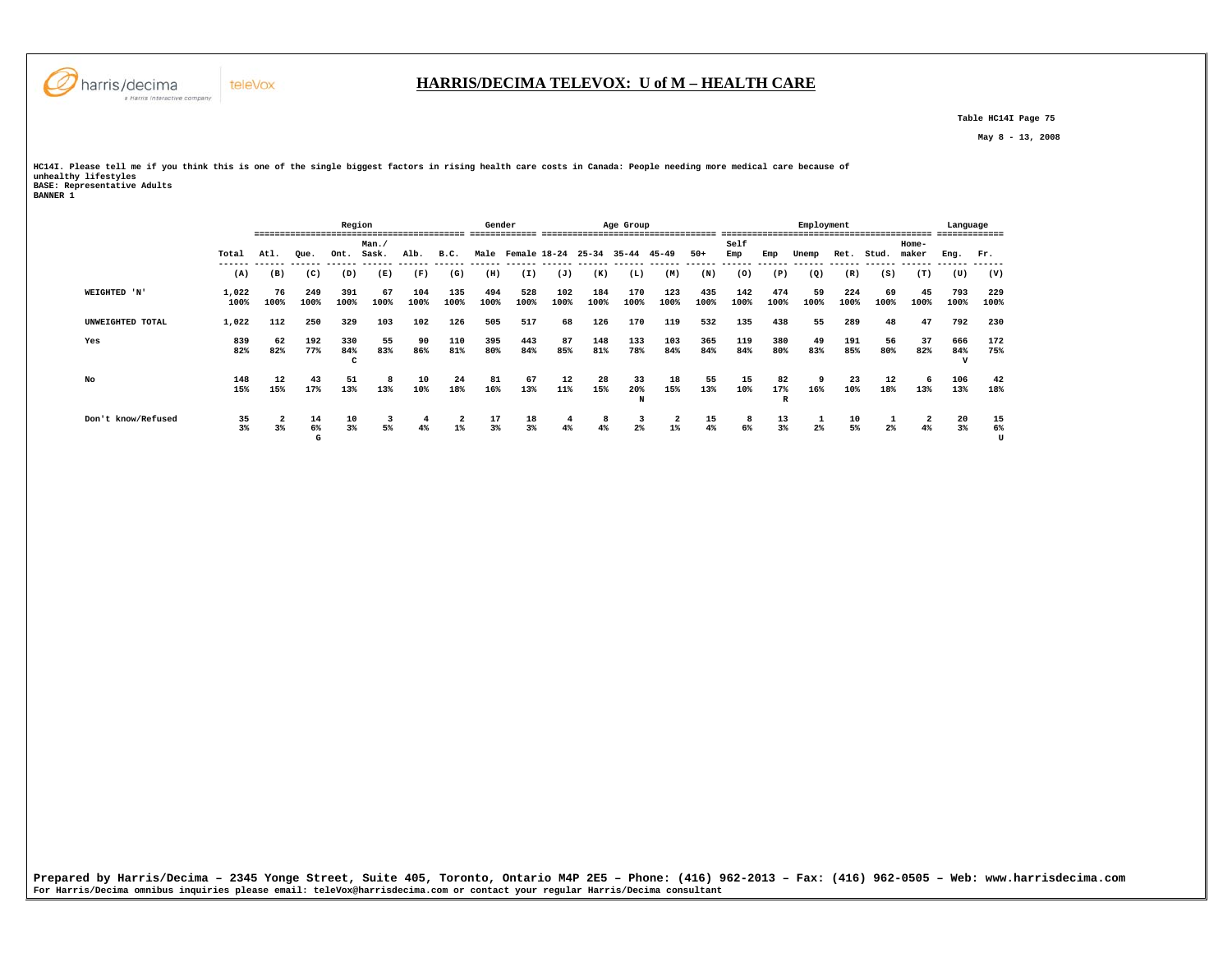

 **Table HC14I Page 75** 

 **May 8 - 13, 2008** 

HCl4I. Please tell me if you think this is one of the single biggest factors in rising health care costs in Canada: People needing more medical care because of<br>unhealthy lifestyles<br>BASE: Representative Adults<br>BANNER 1

|                    |                      |            |               | Region          |            |             |                       | Gender      |                                   |             |             | Age Group      |             |             |               |                | Employment                 |             |                | --------------------------- | Language<br>------------- |               |
|--------------------|----------------------|------------|---------------|-----------------|------------|-------------|-----------------------|-------------|-----------------------------------|-------------|-------------|----------------|-------------|-------------|---------------|----------------|----------------------------|-------------|----------------|-----------------------------|---------------------------|---------------|
|                    |                      |            |               |                 | Man.       |             |                       |             |                                   |             |             |                |             |             | Self          |                |                            |             |                | Home-                       |                           |               |
|                    | Total                | Atl.       | Oue.          | Ont.            | Sask.      | Alb.        | B.C.<br>------        | Male        | Female 18-24                      |             | $25 - 34$   | $35 - 44$      | 45-49       | $50+$       | Emp<br>------ | Emp            | Unemp                      | Ret.        | Stud.          | maker                       | Eng.                      | Fr.           |
|                    | (A)                  | (B)        | (C)           | (D)             | (E)        | (F)         | (G)                   | (H)         | ------ ------ ------ -----<br>(I) | (J)         | (K)         | (L)            | (M)         | (N)         | (0)           | (P)            | (Q)                        | (R)         | (S)            | (T)                         | (U)                       | (V)           |
| WEIGHTED 'N'       | 1,022<br>100%        | 76<br>100% | 249<br>100%   | 391<br>100%     | 67<br>100% | 104<br>100% | 135<br>100%           | 494<br>100% | 528<br>100%                       | 102<br>100% | 184<br>100% | 170<br>100%    | 123<br>100% | 435<br>100% | 142<br>100%   | 474<br>100%    | 59<br>100%                 | 224<br>100% | 69<br>100%     | 45<br>100%                  | 793<br>100%               | 229<br>100%   |
| UNWEIGHTED TOTAL   | 1,022                | 112        | 250           | 329             | 103        | 102         | 126                   | 505         | 517                               | 68          | 126         | 170            | 119         | 532         | 135           | 438            | 55                         | 289         | 48             | 47                          | 792                       | 230           |
| Yes                | 839<br>82%           | 62<br>82%  | 192<br>77%    | 330<br>84%<br>c | 55<br>83%  | 90<br>86%   | 110<br>81%            | 395<br>80%  | 443<br>84%                        | 87<br>85%   | 148<br>81%  | 133<br>78%     | 103<br>84%  | 365<br>84%  | 119<br>84%    | 380<br>80%     | 49<br>83%                  | 191<br>85%  | 56<br>80%      | 37<br>82%                   | 666<br>84%                | 172<br>75%    |
| No                 | 148<br>15%           | 12<br>15%  | 43<br>17%     | 51<br>13%       | 13%        | 10<br>10%   | 24<br>18%             | 81<br>16%   | 67<br>13%                         | 12<br>11%   | 28<br>15%   | 33<br>20%<br>N | 18<br>15%   | 55<br>13%   | 15<br>10%     | 82<br>17%<br>R | 9<br>16%                   | 23<br>10%   | 12<br>18%      | 13%                         | 106<br>13%                | 42<br>18%     |
| Don't know/Refused | 35<br>3 <sup>8</sup> | 2<br>$3\%$ | 14<br>6%<br>G | 10<br>3%        | 3<br>5%    |             | $\mathbf{2}$<br>$1\%$ | 17<br>3%    | 18<br>3%                          | 4<br>4%     | 8           | 3<br>2%        | 2<br>$1\%$  | 15<br>4%    | 8<br>6%       | 13<br>3%       | <b>I</b><br>2 <sup>°</sup> | 10<br>5%    | 2 <sup>°</sup> | -2<br>4%                    | 20<br>3 <sup>8</sup>      | 15<br>6%<br>U |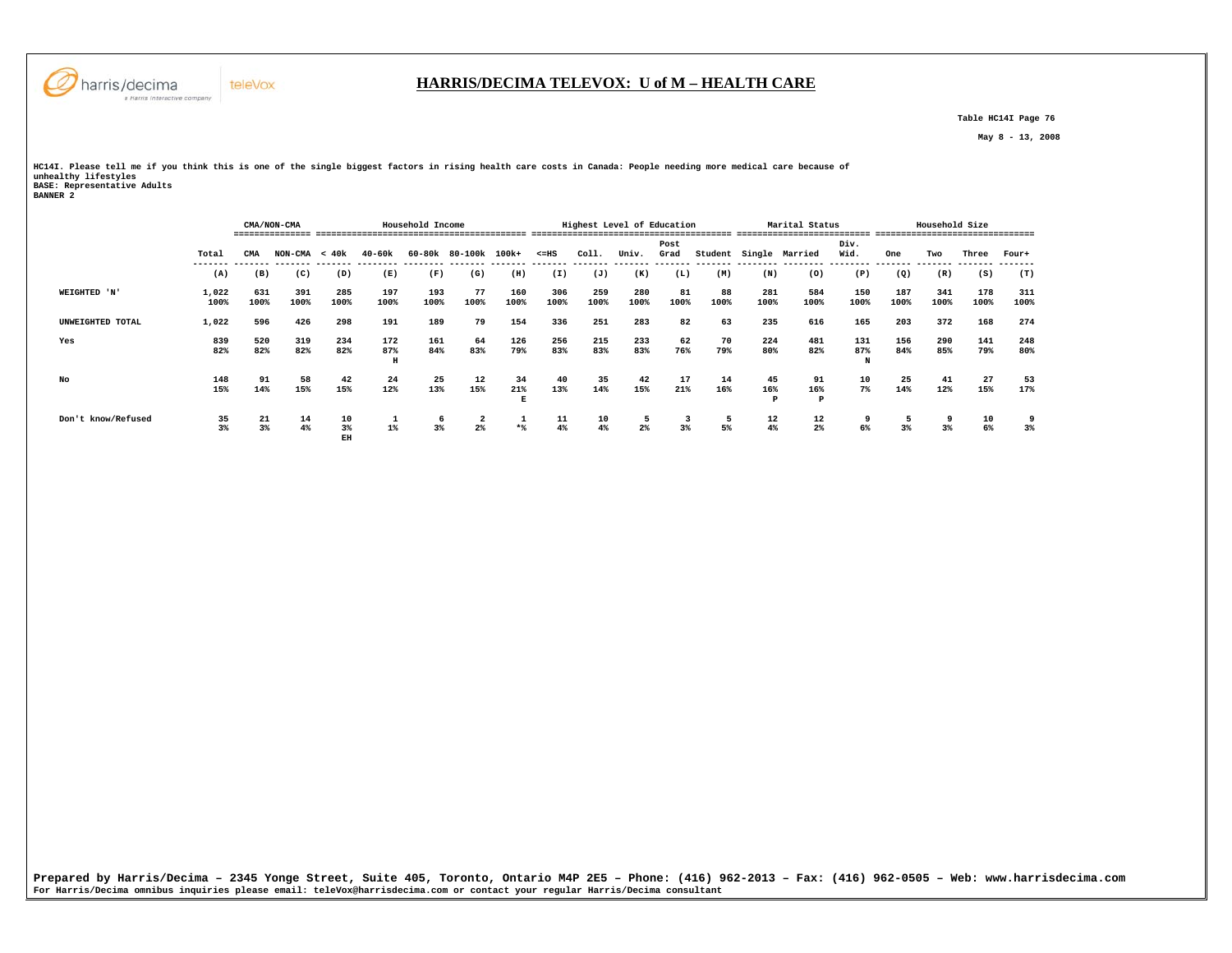

 **Table HC14I Page 76** 

 **May 8 - 13, 2008** 

HCl4I. Please tell me if you think this is one of the single biggest factors in rising health care costs in Canada: People needing more medical care because of<br>unhealthy lifestyles<br>BASE: Representative Adults<br>BANNER 2

|                    |               |             | CMA/NON-CMA     |                |                 | Household Income |                     |                |             | Highest Level of Education |                |                |            |             | Marital Status<br>------------------- |                 | -------------------------------- | Household Size |             |             |
|--------------------|---------------|-------------|-----------------|----------------|-----------------|------------------|---------------------|----------------|-------------|----------------------------|----------------|----------------|------------|-------------|---------------------------------------|-----------------|----------------------------------|----------------|-------------|-------------|
|                    | Total         | CMA         | $NON-CMA < 40k$ |                | $40 - 60k$      |                  | 60-80k 80-100k      | 100k+          | $< = HS$    | Coll.                      | Univ.          | Post<br>Grad   | Student    |             | Single Married                        | Div.<br>Wid.    | One                              | Two            | Three       | Four+       |
|                    | ------<br>(A) | (B)         | (C)             | (D)            | (E)             | (F)              | (G)                 | (H)            | (I)         | (J)                        | -------<br>(K) | -------<br>(L) | (M)        | (N)         | (0)                                   | (P)             | (Q)                              | (R)            | (S)         | (T)         |
| WEIGHTED 'N'       | 1,022<br>100% | 631<br>100% | 391<br>100%     | 285<br>100%    | 197<br>100%     | 193<br>100%      | 77<br>100%          | 160<br>100%    | 306<br>100% | 259<br>100%                | 280<br>100%    | 81<br>100%     | 88<br>100% | 281<br>100% | 584<br>100%                           | 150<br>100%     | 187<br>100%                      | 341<br>100%    | 178<br>100% | 311<br>100% |
| UNWEIGHTED TOTAL   | 1,022         | 596         | 426             | 298            | 191             | 189              | 79                  | 154            | 336         | 251                        | 283            | 82             | 63         | 235         | 616                                   | 165             | 203                              | 372            | 168         | 274         |
| Yes                | 839<br>82%    | 520<br>82%  | 319<br>82%      | 234<br>82%     | 172<br>87%<br>H | 161<br>84%       | 64<br>83%           | 126<br>79%     | 256<br>83%  | 215<br>83%                 | 233<br>83%     | 62<br>76%      | 70<br>79%  | 224<br>80%  | 481<br>82%                            | 131<br>87%<br>N | 156<br>84%                       | 290<br>85%     | 141<br>79%  | 248<br>80%  |
| No                 | 148<br>15%    | 91<br>14%   | 58<br>15%       | 42<br>15%      | 24<br>12%       | 25<br>13%        | 12<br>15%           | 34<br>21%<br>Е | 40<br>13%   | 35<br>14%                  | 42<br>15%      | 17<br>21%      | 14<br>16%  | 45<br>16%   | 91<br>16%<br>P                        | 10<br>$7\%$     | 25<br>14%                        | 41<br>12%      | 27<br>15%   | 53<br>17%   |
| Don't know/Refused | 35<br>3%      | 21<br>3%    | 14<br>4%        | 10<br>3%<br>EH | 1<br>$1\%$      | 6<br>3%          | 2<br>2 <sup>9</sup> | 1<br>$*$       | 11<br>4%    | 10<br>4%                   | 2 <sup>°</sup> | -3<br>3%       | 5<br>5%    | 12<br>4%    | 12<br>$2\%$                           | 6%              | 3%                               | $3\%$          | 10<br>6%    | 9<br>3%     |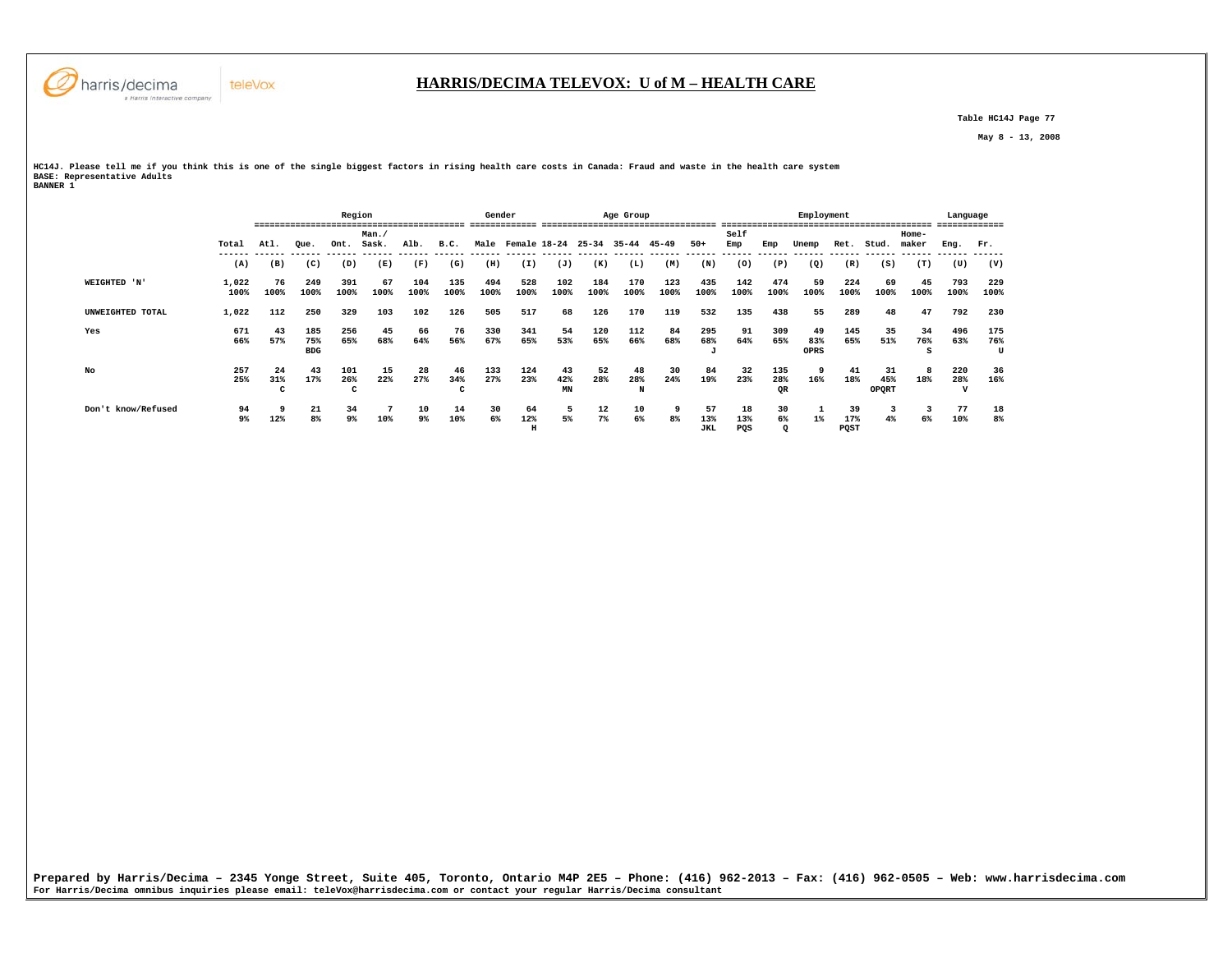

 **Table HC14J Page 77** 

 **May 8 - 13, 2008** 

**HC14J. Please tell me if you think this is one of the single biggest factors in rising health care costs in Canada: Fraud and waste in the health care system BASE: Representative Adults BANNER 1** 

|                    |               | ====                      |                          | Region          |               |             |                | Gender      |                     |                                     |             | Age Group      |             |                  |                  |                  | Employment        |                   |                           |                  | Language        | ------          |
|--------------------|---------------|---------------------------|--------------------------|-----------------|---------------|-------------|----------------|-------------|---------------------|-------------------------------------|-------------|----------------|-------------|------------------|------------------|------------------|-------------------|-------------------|---------------------------|------------------|-----------------|-----------------|
|                    | Total         | Atl.                      | Que.                     | Ont.            | Man.<br>Sask. | Alb.        | B.C.           |             |                     | Male Female 18-24 25-34 35-44 45-49 |             |                |             | $50+$            | Self<br>Emp      | Emp              | Unemp             | Ret.              | Stud.                     | $Home-$<br>maker | Enq.            | Fr.             |
|                    | (A)           | (B)                       | (C)                      | (D)             | (E)           | (F)         | (G)            | (H)         | (I)                 | (J)                                 | (K)         | (L)            | (M)         | (N)              | (0)              | (P)              | (Q)               | (R)               | (S)                       | (T)              | (U)             | (V)             |
| WEIGHTED 'N'       | 1,022<br>100% | 76<br>100%                | 249<br>100%              | 391<br>100%     | 67<br>100%    | 104<br>100% | 135<br>100%    | 494<br>100% | 528<br>100%         | 102<br>100%                         | 184<br>100% | 170<br>100%    | 123<br>100% | 435<br>100%      | 142<br>100%      | 474<br>100%      | 59<br>100%        | 224<br>100%       | 69<br>100%                | 45<br>100%       | 793<br>100%     | 229<br>100%     |
| UNWEIGHTED TOTAL   | 1,022         | 112                       | 250                      | 329             | 103           | 102         | 126            | 505         | 517                 | 68                                  | 126         | 170            | 119         | 532              | 135              | 438              | 55                | 289               | 48                        | 47               | 792             | 230             |
| Yes                | 671<br>66%    | 43<br>57%                 | 185<br>75%<br><b>BDG</b> | 256<br>65%      | 45<br>68%     | 66<br>64%   | 76<br>56%      | 330<br>67%  | 341<br>65%          | 54<br>53%                           | 120<br>65%  | 112<br>66%     | 84<br>68%   | 295<br>68%<br>u  | 91<br>64%        | 309<br>65%       | 49<br>83%<br>OPRS | 145<br>65%        | 35<br>51%                 | 34<br>76%<br>S   | 496<br>63%      | 175<br>76%<br>U |
| No                 | 257<br>25%    | 24<br>31%<br>$\mathbf{r}$ | 43<br>17%                | 101<br>26%<br>c | 15<br>22%     | 28<br>27%   | 46<br>34%<br>c | 133<br>27%  | 124<br>23%          | 43<br>42%<br>MN                     | 52<br>28%   | 48<br>28%<br>N | 30<br>24%   | 84<br>19%        | 32<br>23%        | 135<br>28%<br>QR | 9<br>16%          | 41<br>18%         | 31<br>45%<br><b>OPORT</b> | 8<br>18%         | 220<br>28%<br>v | 36<br>16%       |
| Don't know/Refused | 94<br>9%      | 12%                       | 21<br>8%                 | 34<br>9%        | 10%           | 10<br>9%    | 14<br>10%      | 30<br>6%    | 64<br>12%<br>$\,$ H | 5<br>5%                             | 12<br>7%    | 10<br>6%       | 8%          | 57<br>13%<br>JKL | 18<br>13%<br>PQS | 30<br>6%         | 1%                | 39<br>17%<br>PQST | 4%                        | 3<br>6%          | 77<br>10%       | 18<br>8%        |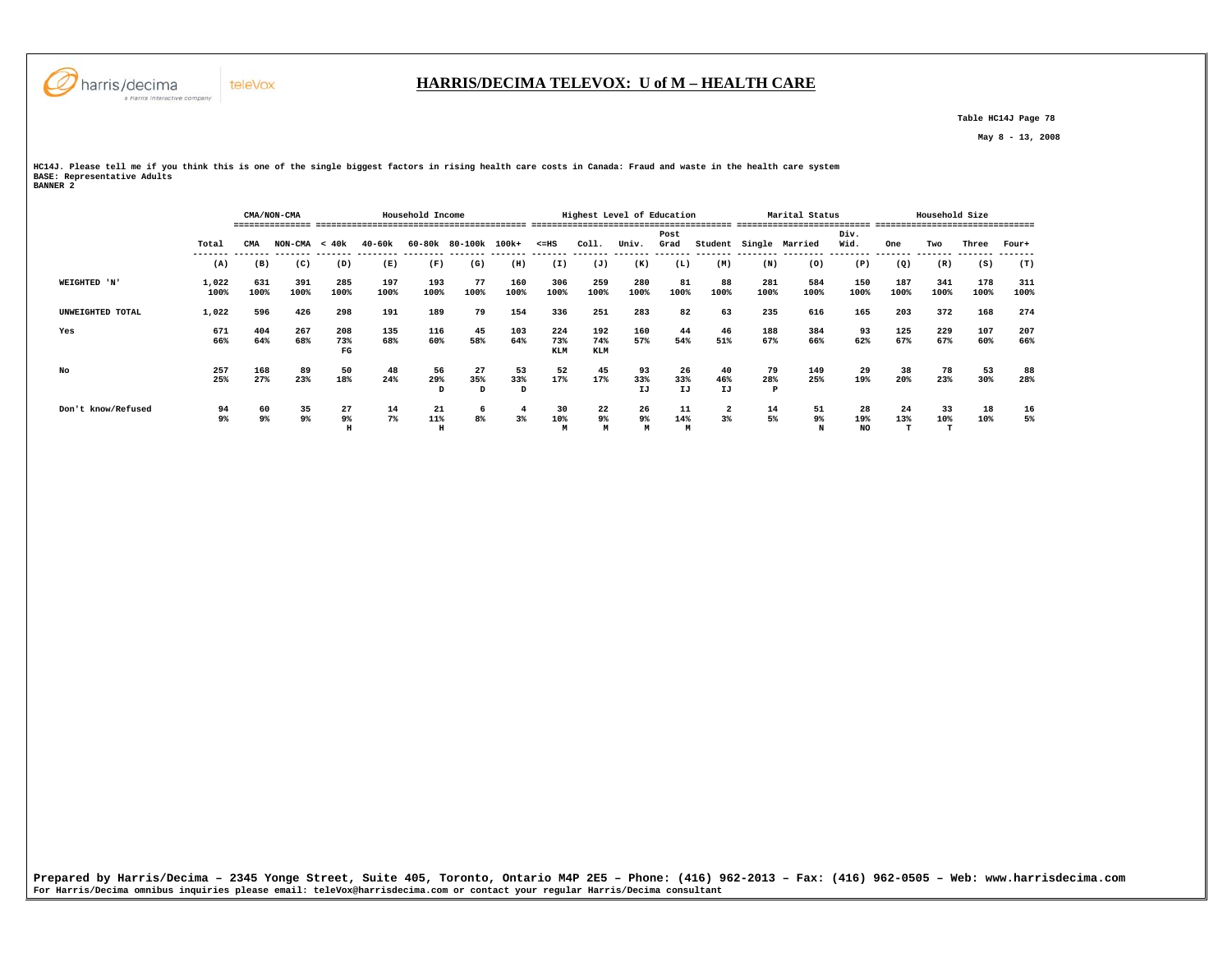

### **HARRIS/DECIMA TELEVOX: U of M – HEALTH CARE**

 **Table HC14J Page 78** 

 **May 8 - 13, 2008** 

**HC14J. Please tell me if you think this is one of the single biggest factors in rising health care costs in Canada: Fraud and waste in the health care system BASE: Representative Adults BANNER 2** 

|                    |               |             | CMA/NON-CMA     |                  |             | Household Income |                      |                |                          | Highest Level of Education |                  |                 |                 |                | Marital Status |                 |             | Household Size |             |             |
|--------------------|---------------|-------------|-----------------|------------------|-------------|------------------|----------------------|----------------|--------------------------|----------------------------|------------------|-----------------|-----------------|----------------|----------------|-----------------|-------------|----------------|-------------|-------------|
|                    | Total         | CMA         | $NON-CMA < 40k$ |                  | $40 - 60k$  |                  | 60-80k 80-100k 100k+ |                | $< = HS$                 | Coll.                      | Univ.            | Post<br>Grad    | Student         |                | Single Married | Div.<br>Wid.    | One         | Two            | Three       | Four+       |
|                    | (A)           | (B)         | (C)             | (D)              | (E)         | (F)              | (G)                  | (H)            | (I)                      | (J)                        | (K)              | (L)             | (M)             | (N)            | (0)            | (P)             | (Q)         | (R)            | (S)         | (T)         |
| WEIGHTED 'N'       | 1,022<br>100% | 631<br>100% | 391<br>100%     | 285<br>100%      | 197<br>100% | 193<br>100%      | 77<br>100%           | 160<br>100%    | 306<br>100%              | 259<br>100%                | 280<br>100%      | 81<br>100%      | 88<br>100%      | 281<br>100%    | 584<br>100%    | 150<br>100%     | 187<br>100% | 341<br>100%    | 178<br>100% | 311<br>100% |
| UNWEIGHTED TOTAL   | 1,022         | 596         | 426             | 298              | 191         | 189              | 79                   | 154            | 336                      | 251                        | 283              | 82              | 63              | 235            | 616            | 165             | 203         | 372            | 168         | 274         |
| Yes                | 671<br>66%    | 404<br>64%  | 267<br>68%      | 208<br>73%<br>FG | 135<br>68%  | 116<br>60%       | 45<br>58%            | 103<br>64%     | 224<br>73%<br><b>KLM</b> | 192<br>74%<br><b>KLM</b>   | 160<br>57%       | 44<br>54%       | 46<br>51%       | 188<br>67%     | 384<br>66%     | 93<br>62%       | 125<br>67%  | 229<br>67%     | 107<br>60%  | 207<br>66%  |
| No                 | 257<br>25%    | 168<br>27%  | 89<br>23%       | 50<br>18%        | 48<br>24%   | 56<br>29%<br>D   | 27<br>35%<br>D       | 53<br>33%<br>D | 52<br>17%                | 45<br>17%                  | 93<br>33%<br>IJ  | 26<br>33%<br>IJ | 40<br>46%<br>IJ | 79<br>28%<br>P | 149<br>25%     | 29<br>19%       | 38<br>20%   | 78<br>23%      | 53<br>30%   | 88<br>28%   |
| Don't know/Refused | 94<br>9%      | 60<br>9%    | 35<br>9%        | 27<br>9%<br>н    | 14<br>$7\%$ | 21<br>11%        | 6<br>8 <sup>°</sup>  | 4<br>3%        | 30<br>10%<br>M           | 22<br>9%<br>М              | 26<br>$9\%$<br>M | 11<br>14%<br>M  | $3\%$           | 14<br>5%       | 51<br>9%<br>N  | 28<br>19%<br>NO | 24<br>13%   | 33<br>10%      | 18<br>10%   | 16<br>5%    |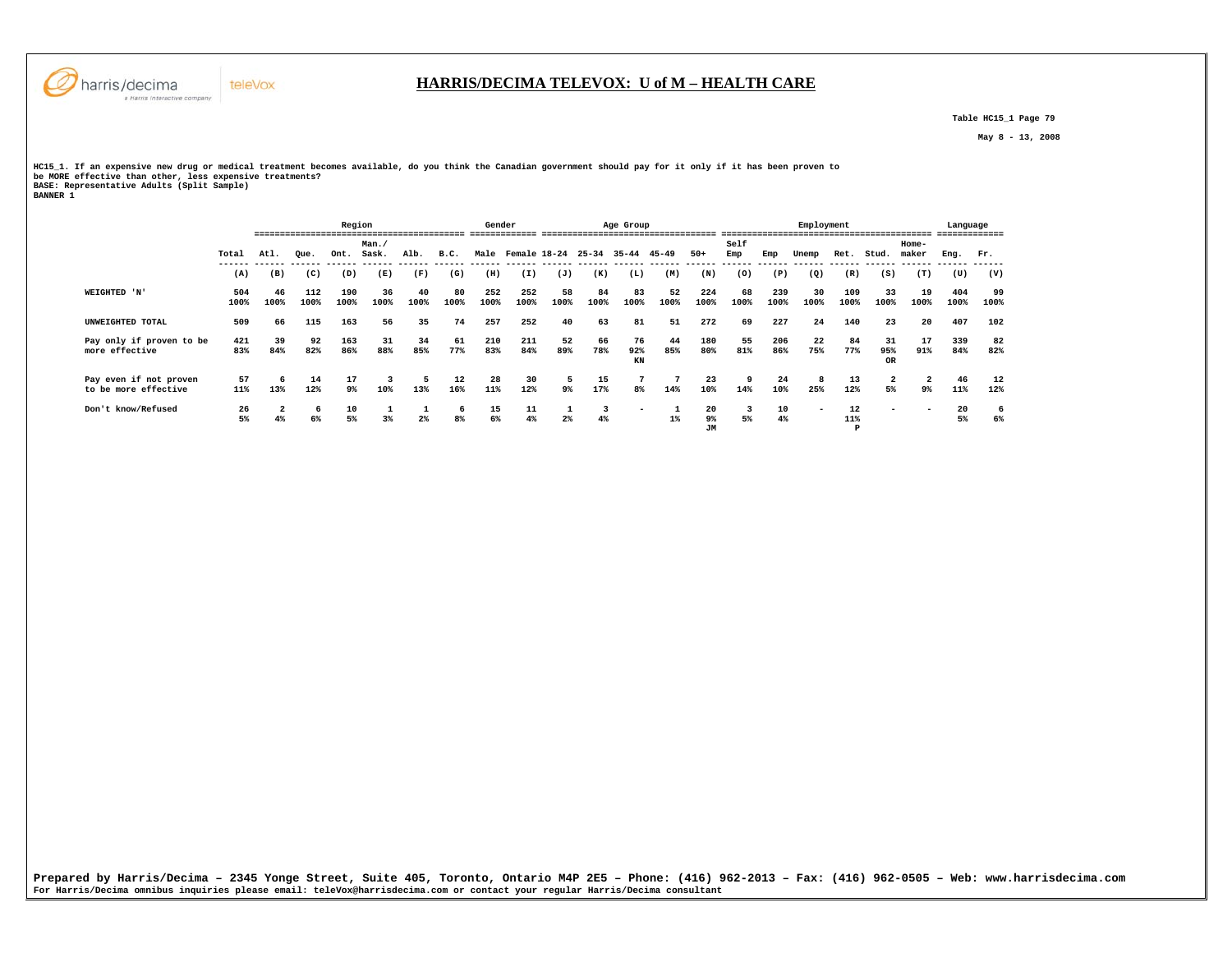

 **Table HC15\_1 Page 79** 

 **May 8 - 13, 2008** 

HCl5\_1. If an expensive new drug or medical treatment becomes available, do you think the Canadian government should pay for it only if it has been proven to<br>be MORE effective than other, less expensive treatments?<br>BANNER

|                          |       |       |      | Region |       |      |                | Gender |                         |      |      | Age Group                |       |                 |                |      | Employment |          |                  |       | Language |      |
|--------------------------|-------|-------|------|--------|-------|------|----------------|--------|-------------------------|------|------|--------------------------|-------|-----------------|----------------|------|------------|----------|------------------|-------|----------|------|
|                          |       |       |      |        | Man.  |      |                |        |                         |      |      |                          |       |                 | Self           |      |            |          |                  | Home- |          |      |
|                          | Total | At.1. | Oue. | Ont.   | Sask. | Alb. | B.C.           |        | Male Female 18-24 25-34 |      |      | 35-44 45-49              |       | $50+$           | Emp<br>------- | Emp  | Unemp      | Ret.     | Stud.            | maker | Eng.     | Fr.  |
|                          | (A)   | (B)   | (C)  | (D)    | (E)   | (F)  | (G)            | (H)    | (I)                     | (J)  | (K)  | (L)                      | (M)   | (N)             | (0)            | (P)  | (Q)        | (R)      | (S)              | (T)   | (U)      | (V)  |
| WEIGHTED 'N'             | 504   | 46    | 112  | 190    | 36    | 40   | 80             | 252    | 252                     | 58   | 84   | 83                       | 52    | 224             | 68             | 239  | 30         | 109      | 33               | 19    | 404      | 99   |
|                          | 100%  | 100%  | 100% | 100%   | 100%  | 100% | 100%           | 100%   | 100%                    | 100% | 100% | 100%                     | 100%  | 100%            | 100%           | 100% | 100%       | 100%     | 100%             | 100%  | 100%     | 100% |
| UNWEIGHTED TOTAL         | 509   | 66    | 115  | 163    | 56    | 35   | 74             | 257    | 252                     | 40   | 63   | 81                       | 51    | 272             | 69             | 227  | 24         | 140      | 23               | 20    | 407      | 102  |
| Pay only if proven to be | 421   | 39    | 92   | 163    | 31    | 34   | 61             | 210    | 211                     | 52   | 66   | 76                       | 44    | 180             | 55             | 206  | 22         | 84       | 31               | 17    | 339      | 82   |
| more effective           | 83%   | 84%   | 82%  | 86%    | 88%   | 85%  | 77%            | 83%    | 84%                     | 89%  | 78%  | 92%<br>KN                | 85%   | 80%             | 81%            | 86%  | 75%        | 77%      | 95%<br><b>OR</b> | 91%   | 84%      | 82%  |
| Pay even if not proven   | 57    |       | 14   | 17     |       |      | 12             | 28     | 30                      | 5    | 15   | 7                        |       | 23              |                | 24   | 8          | 13       | 2                | -2    | 46       | 12   |
| to be more effective     | 11%   | 13%   | 12%  | 9%     | 10%   | 13%  | 16%            | 11%    | 12%                     | 9%   | 17%  | 8%                       | 14%   | 10%             | 14%            | 10%  | 25%        | 12%      | 5%               | 9%    | 11%      | 12%  |
| Don't know/Refused       | 26    |       | -6   | 10     |       |      | 6              | 15     | 11                      |      | 3    | $\overline{\phantom{0}}$ |       | 20              |                | 10   | $\sim$     | 12       | -                |       | 20       | 6    |
|                          | 5%    |       | 6%   | 5%     | $3*$  | $2*$ | 8 <sup>8</sup> | 6%     | 4%                      | 2%   | 4%   |                          | $1\%$ | 9%<br><b>JM</b> | 5%             | 4%   |            | 11%<br>Þ |                  |       | 5%       | 6%   |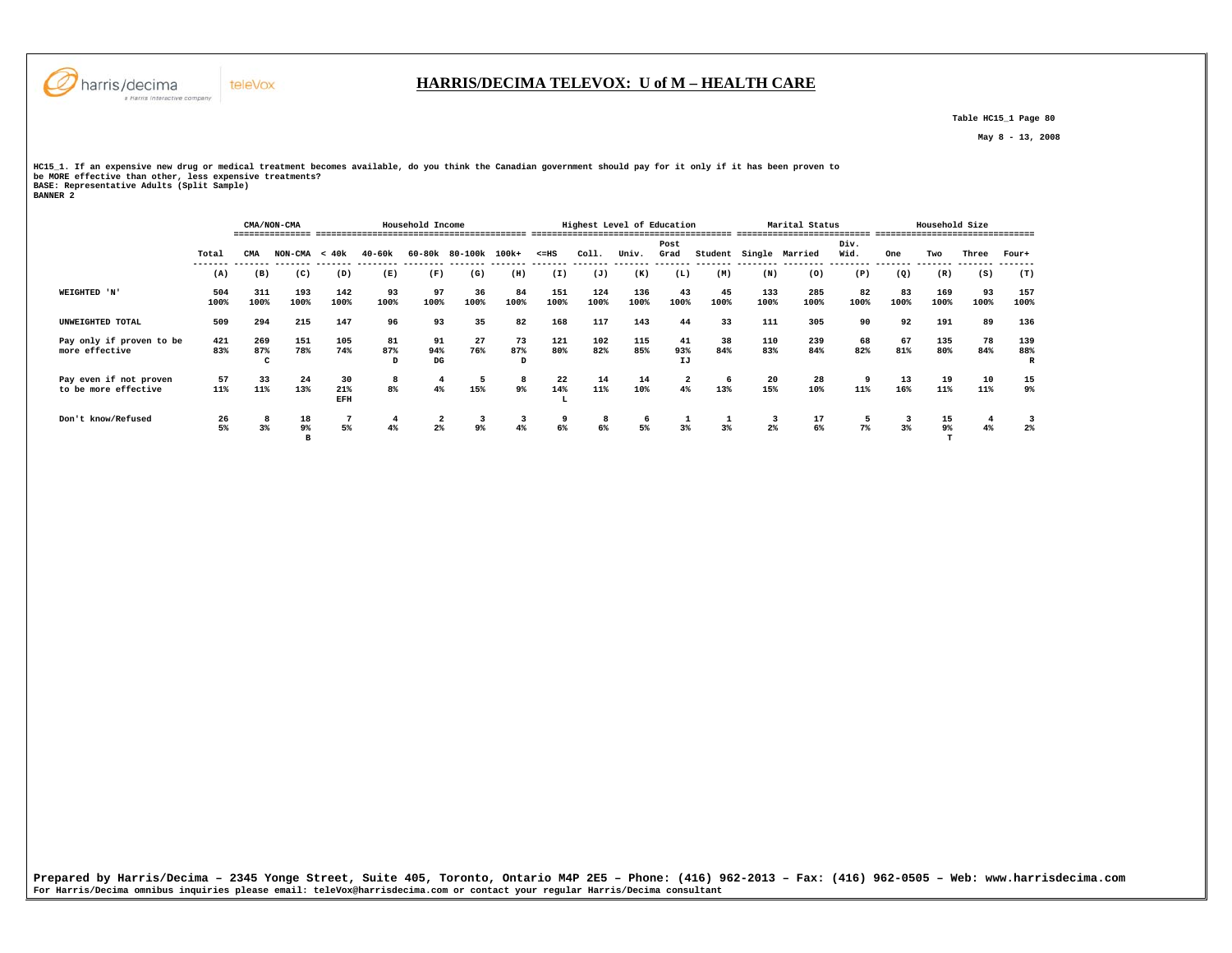

# **HARRIS/DECIMA TELEVOX: U of M – HEALTH CARE**

 **Table HC15\_1 Page 80** 

 **May 8 - 13, 2008** 

HCl5\_1. If an expensive new drug or medical treatment becomes available, do you think the Canadian government should pay for it only if it has been proven to<br>be MORE effective than other, less expensive treatments?<br>BANNER

|                                                |                |                 | CMA/NON-CMA     |                  |                | Household Income     |                |                |                | Highest Level of Education |             |                               |            |             | Marital Status |              |                | Household Size |            |                 |
|------------------------------------------------|----------------|-----------------|-----------------|------------------|----------------|----------------------|----------------|----------------|----------------|----------------------------|-------------|-------------------------------|------------|-------------|----------------|--------------|----------------|----------------|------------|-----------------|
|                                                | Total          | CMA             | $NON-CMA < 40k$ |                  | $40 - 60k$     |                      | 60-80k 80-100k | 100k+          | $< = HS$       | Coll.                      | Univ.       | Post<br>Grad                  | Student    |             | Single Married | Div.<br>Wid. | One            | Two            | Three      | Four+           |
|                                                | -------<br>(A) | (B)             | (C)             | (D)              | (E)            | (F)                  | (G)            | (H)            | (I)            | (J)                        | (K)         | (L)                           | (M)        | (N)         | (0)            | (P)          | -------<br>(Q) | (R)            | (S)        | (T)             |
| WEIGHTED 'N'                                   | 504<br>100%    | 311<br>100%     | 193<br>100%     | 142<br>100%      | 93<br>100%     | 97<br>100%           | 36<br>100%     | 84<br>100%     | 151<br>100%    | 124<br>100%                | 136<br>100% | 43<br>100%                    | 45<br>100% | 133<br>100% | 285<br>100%    | 82<br>100%   | 83<br>100%     | 169<br>100%    | 93<br>100% | 157<br>100%     |
| UNWEIGHTED TOTAL                               | 509            | 294             | 215             | 147              | 96             | 93                   | 35             | 82             | 168            | 117                        | 143         | 44                            | 33         | 111         | 305            | 90           | 92             | 191            | 89         | 136             |
| Pay only if proven to be<br>more effective     | 421<br>83%     | 269<br>87%<br>C | 151<br>78%      | 105<br>74%       | 81<br>87%<br>D | 91<br>94%<br>DG      | 27<br>76%      | 73<br>87%<br>D | 121<br>80%     | 102<br>82%                 | 115<br>85%  | 41<br>93%<br>IJ               | 38<br>84%  | 110<br>83%  | 239<br>84%     | 68<br>82%    | 67<br>81%      | 135<br>80%     | 78<br>84%  | 139<br>88%<br>R |
| Pay even if not proven<br>to be more effective | 57<br>11%      | 33<br>11%       | 24<br>13%       | 30<br>21%<br>EFH | 8<br>8%        | 4%                   | 15%            | 8<br>9%        | 22<br>14%<br>L | 14<br>11%                  | 14<br>10%   | $\overline{\mathbf{2}}$<br>4% | 6<br>13%   | 20<br>15%   | 28<br>10%      | 11%          | 13<br>16%      | 19<br>11%      | 10<br>11%  | 15<br>9%        |
| Don't know/Refused                             | 26<br>5%       | 8<br>3%         | 18<br>9%        | 5%               | 4<br>4%        | $\overline{a}$<br>2% | 9%             | 3<br>4%        | 9<br>6%        | 8<br>6%                    | 6<br>5%     | 1<br>$3*$                     | 3%         | 2%          | 17<br>6%       | 7%           | 3<br>3%        | 15<br>$9\%$    | 4%         | $2\%$           |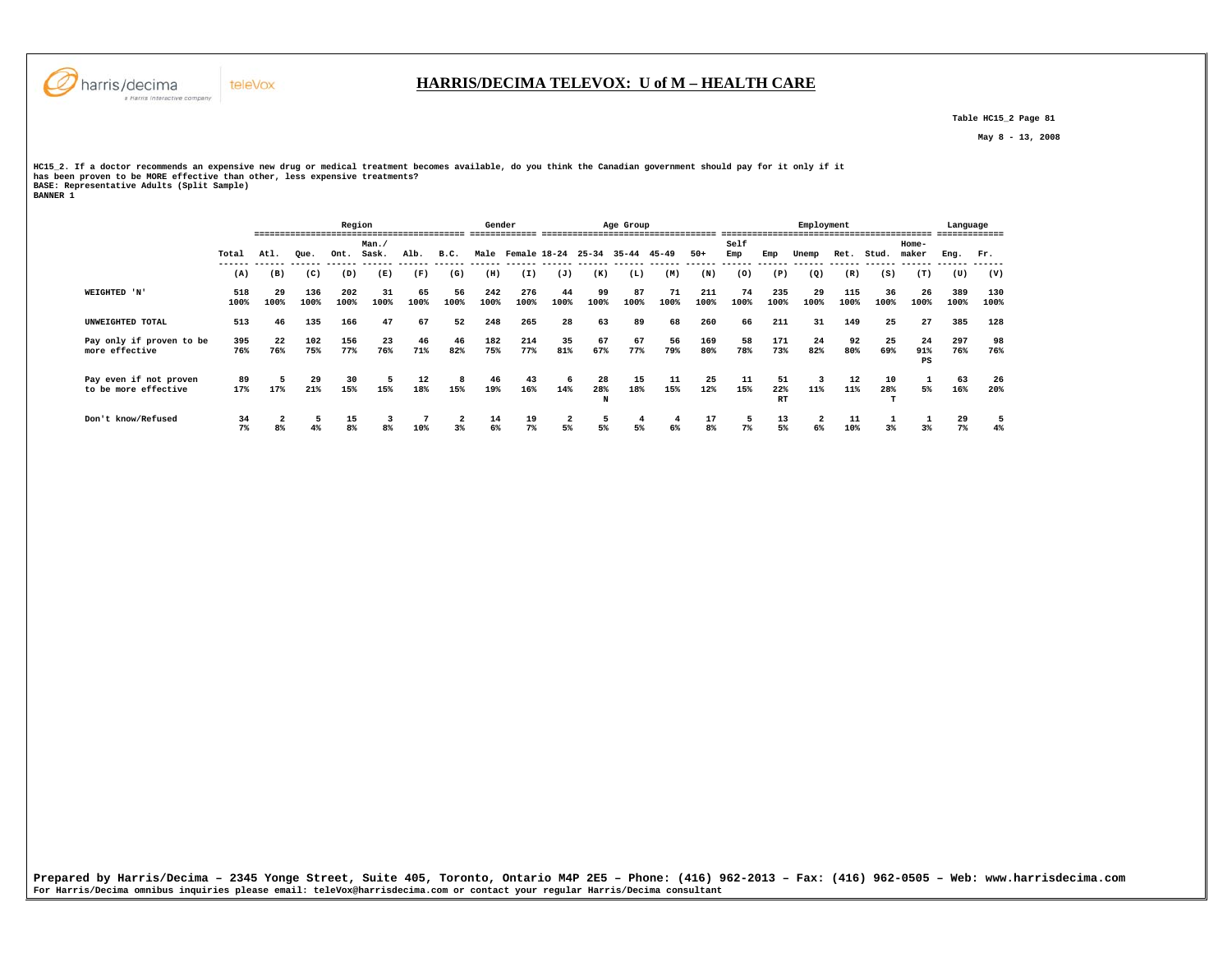

 **Table HC15\_2 Page 81** 

 **May 8 - 13, 2008** 

HCl5\_2. If a doctor recommends an expensive new drug or medical treatment becomes available, do you think the Canadian government should pay for it only if it<br>has been proven to be MORE effective than other, less expensive

|                          |       |                |      | Region |       |      |              | Gender |                         |      |          | Age Group   |      |       |      |                  | Employment    |      |       |           | Language |      |
|--------------------------|-------|----------------|------|--------|-------|------|--------------|--------|-------------------------|------|----------|-------------|------|-------|------|------------------|---------------|------|-------|-----------|----------|------|
|                          |       |                |      |        | Man.  |      |              |        |                         |      |          |             |      |       | Self |                  |               |      |       | Home-     |          |      |
|                          | Total | Atl.           | Oue. | Ont.   | Sask. | Alb. | B.C.         |        | Male Female 18-24 25-34 |      |          | 35-44 45-49 |      | $50+$ | Emp  | Emp              | Unemp         | Ret. | Stud. | maker     | Eng.     | Fr.  |
|                          | (A)   | (B)            | (C)  | (D)    | (E)   | (F)  | (G)          | (H)    | (I)                     | (J)  | (K)      | (L)         | (M)  | (N)   | (0)  | (P)              | $\mathcal{Q}$ | (R)  | (S)   | (T)       | (U)      | (V)  |
| WEIGHTED 'N'             | 518   | 29             | 136  | 202    | 31    | 65   | 56           | 242    | 276                     | 44   | 99       | 87          | 71   | 211   | 74   | 235              | 29            | 115  | 36    | 26        | 389      | 130  |
|                          | 100%  | 100%           | 100% | 100%   | 100%  | 100% | 100%         | 100%   | 100%                    | 100% | 100%     | 100%        | 100% | 100%  | 100% | 100%             | 100%          | 100% | 100%  | 100%      | 100%     | 100% |
| UNWEIGHTED TOTAL         | 513   | 46             | 135  | 166    | 47    | 67   | 52           | 248    | 265                     | 28   | 63       | 89          | 68   | 260   | 66   | 211              | 31            | 149  | 25    | 27        | 385      | 128  |
| Pay only if proven to be | 395   | 22             | 102  | 156    | 23    | 46   | 46           | 182    | 214                     | 35   | 67       | 67          | 56   | 169   | 58   | 171              | 24            | 92   | 25    | 24        | 297      | 98   |
| more effective           | 76%   | 76%            | 75%  | 77%    | 76%   | 71%  | 82%          | 75%    | 77%                     | 81%  | 67%      | 77%         | 79%  | 80%   | 78%  | 73%              | 82%           | 80%  | 69%   | 91%<br>PS | 76%      | 76%  |
| Pay even if not proven   | 89    |                | 29   | 30     | 5     | 12   | -8           | 46     | 43                      | 6    | 28       | 15          | 11   | 25    | 11   | 51               | 3             | 12   | 10    |           | 63       | 26   |
| to be more effective     | 17%   | 17%            | 21%  | 15%    | 15%   | 18%  | 15%          | 19%    | 16%                     | 14%  | 28%<br>N | 18%         | 15%  | 12%   | 15%  | 22%<br><b>RT</b> | 11%           | 11%  | 28%   | 5%        | 16%      | 20%  |
| Don't know/Refused       | 34    |                |      | 15     |       |      | $\mathbf{2}$ | 14     | 19                      |      |          | 4           |      | 17    |      | 13               | $\mathbf{2}$  |      |       |           | 29       |      |
|                          | 7%    | 8 <sup>°</sup> | 4%   | 8%     |       | 10%  | 3%           | 6%     | 7%                      | 5%   | 5%       | 5%          | 6%   | 8%    | 7%   | 5%               | 6%            | 10%  | 3%    | 3%        | 7%       | 4%   |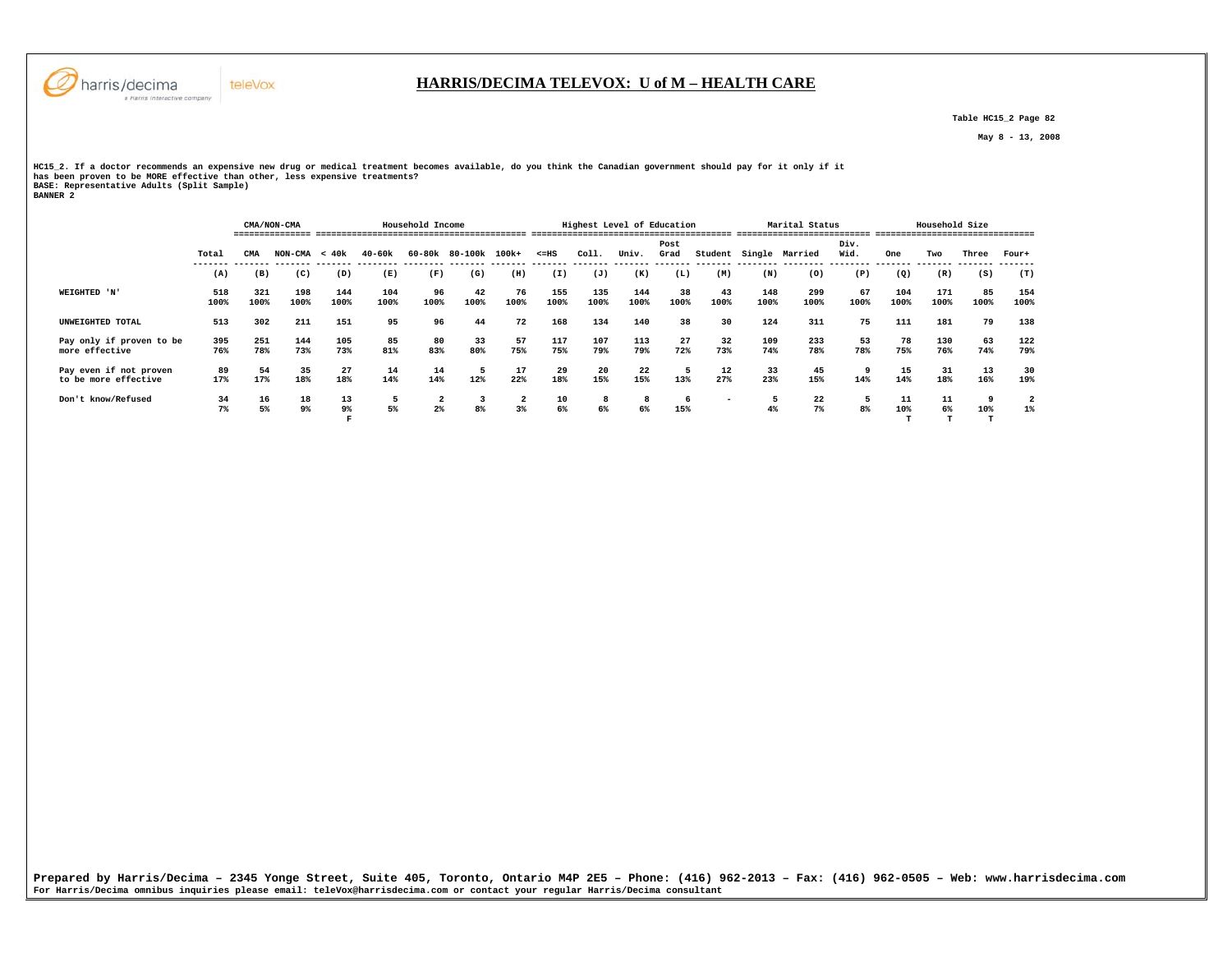

 **Table HC15\_2 Page 82** 

 **May 8 - 13, 2008** 

HCl5\_2. If a doctor recommends an expensive new drug or medical treatment becomes available, do you think the Canadian government should pay for it only if it<br>has been proven to be MORE effective than other, less expensive

|                                                |             |             | CMA/NON-CMA     |                      |             | Household Income     |                      |            |             |             | Highest Level of Education |              |                          |             | Marital Status |              |             | Household Size |            |             |  |
|------------------------------------------------|-------------|-------------|-----------------|----------------------|-------------|----------------------|----------------------|------------|-------------|-------------|----------------------------|--------------|--------------------------|-------------|----------------|--------------|-------------|----------------|------------|-------------|--|
|                                                | Total       | CMA         | $NON-CMA < 40k$ |                      | $40 - 60k$  |                      | 60-80k 80-100k 100k+ |            | $< = HS$    | Coll.       | Univ.                      | Post<br>Grad | Student                  |             | Single Married | Div.<br>Wid. | One         | Two            | Three      | Four+       |  |
|                                                | (A)         | (B)         | (C)             | (D)                  | (E)         | (F)                  | (G)                  | (H)        | (I)         | (J)         | (K)                        | (L)          | (M)                      | (N)         | (0)            | (P)          | (Q)         | (R)            | (S)        | (T)         |  |
| WEIGHTED 'N'                                   | 518<br>100% | 321<br>100% | 198<br>100%     | 144<br>100%          | 104<br>100% | 96<br>100%           | 42<br>100%           | 76<br>100% | 155<br>100% | 135<br>100% | 144<br>100%                | 38<br>100%   | 43<br>100%               | 148<br>100% | 299<br>100%    | 67<br>100%   | 104<br>100% | 171<br>100%    | 85<br>100% | 154<br>100% |  |
| UNWEIGHTED TOTAL                               | 513         | 302         | 211             | 151                  | 95          | 96                   | 44                   | 72         | 168         | 134         | 140                        | 38           | 30                       | 124         | 311            | 75           | 111         | 181            | 79         | 138         |  |
| Pay only if proven to be<br>more effective     | 395<br>76%  | 251<br>78%  | 144<br>73%      | 105<br>73%           | 85<br>81%   | 80<br>83%            | 33<br>80%            | 57<br>75%  | 117<br>75%  | 107<br>79%  | 113<br>79%                 | 27<br>72%    | 32<br>73%                | 109<br>74%  | 233<br>78%     | 53<br>78%    | 78<br>75%   | 130<br>76%     | 63<br>74%  | 122<br>79%  |  |
| Pay even if not proven<br>to be more effective | 89<br>17%   | 54<br>17%   | 35<br>18%       | 27<br>18%            | 14<br>14%   | 14<br>14%            | 12%                  | 17<br>22%  | 29<br>18%   | 20<br>15%   | 22<br>15%                  | 13%          | $12 \overline{ }$<br>27% | 33<br>23%   | 45<br>15%      | 14%          | 15<br>14%   | 31<br>18%      | 13<br>16%  | 30<br>19%   |  |
| Don't know/Refused                             | 34<br>7%    | 16<br>5%    | 18<br>9%        | 13<br>9 <sup>°</sup> | 5<br>5%     | $\overline{a}$<br>2% | 8 <sup>8</sup>       | 2<br>3%    | 10<br>6%    | 8<br>6%     | 8<br>6%                    | 6<br>15%     | -                        | 4%          | 22<br>7%       | 8%           | 11<br>10%   | 11<br>6%       | 10%        | $1\%$       |  |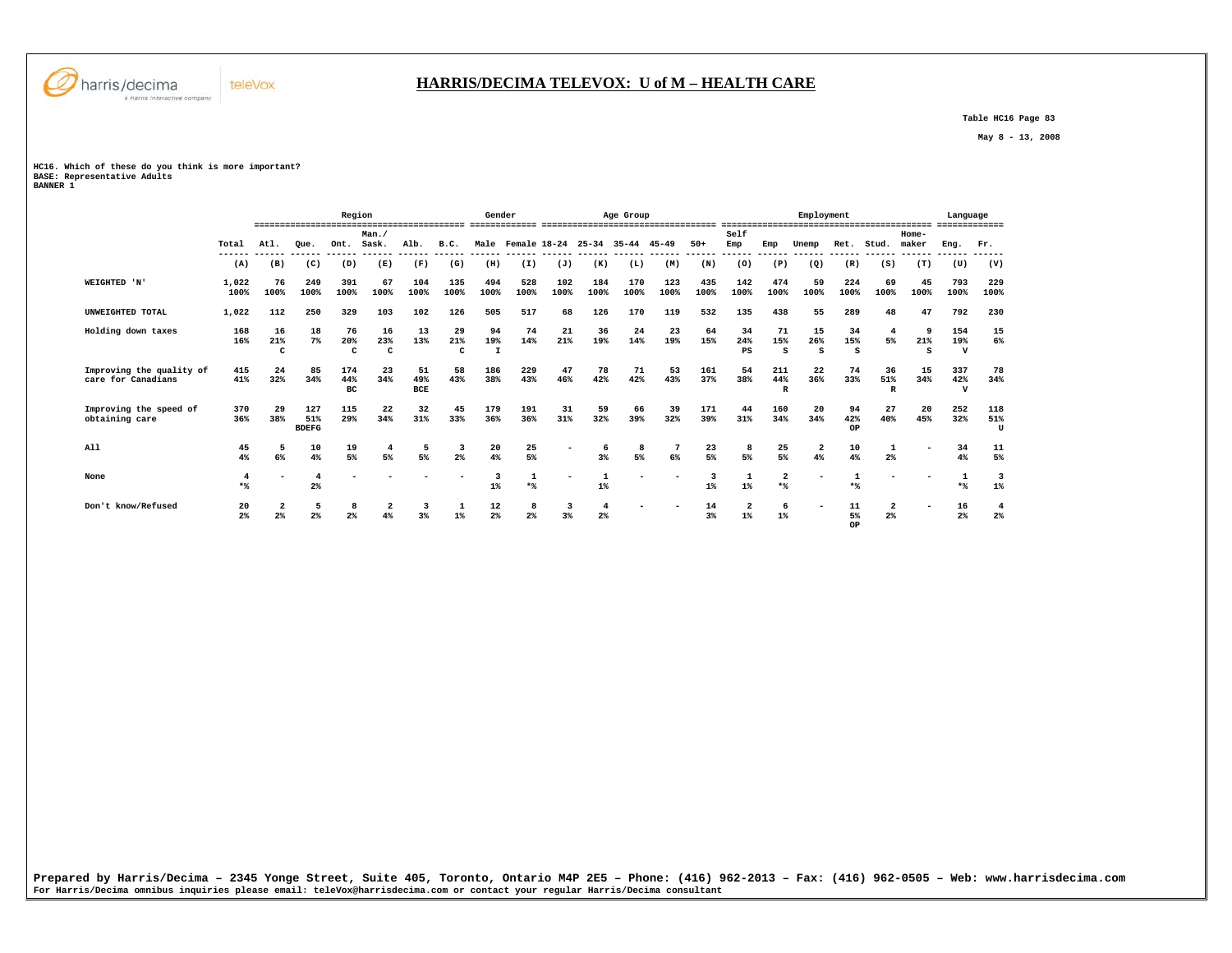

 **Table HC16 Page 83** 

 **May 8 - 13, 2008** 

**HC16. Which of these do you think is more important? BASE: Representative Adults BANNER 1** 

teleVox

|                                                |                      |                                           |                              | Region                    |                           |                  |                           | Gender                    |                                     |             |                     | Age Group                           |             |                                  |                                  |                            | Employment               |                           |                      |                          | Language                   |             |
|------------------------------------------------|----------------------|-------------------------------------------|------------------------------|---------------------------|---------------------------|------------------|---------------------------|---------------------------|-------------------------------------|-------------|---------------------|-------------------------------------|-------------|----------------------------------|----------------------------------|----------------------------|--------------------------|---------------------------|----------------------|--------------------------|----------------------------|-------------|
|                                                | Total                | Atl.                                      | Oue.                         | Ont.                      | Man.<br>Sask.             | Alb.             | B.C.                      |                           |                                     |             |                     | Male Female 18-24 25-34 35-44 45-49 |             | $50+$                            | Self<br>Emp                      | Emp                        | Unemp                    |                           | Ret. Stud.           | $Home-$<br>maker         | Eng.                       | Fr.         |
|                                                | (A)                  | (B)                                       | (C)                          | (D)                       | (E)                       | ------<br>(F)    | (G)                       | (H)                       | ------- ------ ------ ------<br>(I) | (J)         | (K)                 | (L)                                 | (M)         | ------ ------ -----<br>(N)       | (0)                              | (P)                        | (Q)                      | (R)                       | (S)                  | (T)                      | (U)                        | (V)         |
| WEIGHTED 'N'                                   | 1,022<br>100%        | 76<br>100%                                | 249<br>100%                  | 391<br>100%               | 67<br>100%                | 104<br>100%      | 135<br>100%               | 494<br>100%               | 528<br>100%                         | 102<br>100% | 184<br>100%         | 170<br>100%                         | 123<br>100% | 435<br>100%                      | 142<br>100%                      | 474<br>100%                | 59<br>100%               | 224<br>100%               | 69<br>100%           | 45<br>100%               | 793<br>100%                | 229<br>100% |
| UNWEIGHTED TOTAL                               | 1,022                | 112                                       | 250                          | 329                       | 103                       | 102              | 126                       | 505                       | 517                                 | 68          | 126                 | 170                                 | 119         | 532                              | 135                              | 438                        | 55                       | 289                       | 48                   | 47                       | 792                        | 230         |
| Holding down taxes                             | 168<br>16%           | 16<br>21%<br>$\mathbf{C}$                 | 18<br>$7\%$                  | 76<br>20%<br>$\mathbf{C}$ | 16<br>23%<br>$\mathbf{C}$ | 13<br>13%        | 29<br>21%<br>$\mathbf{C}$ | 94<br>19%<br>$\mathbf{I}$ | 74<br>14%                           | 21<br>21%   | 36<br>19%           | 24<br>14%                           | 23<br>19%   | 64<br>15%                        | 34<br>24%<br>PS                  | 71<br>15%<br>$\epsilon$    | 15<br>26%<br>S           | 34<br>15%<br>$\mathbf{S}$ | 5%                   | - 9<br>21%<br>s          | 154<br>19%<br>$\mathbf{v}$ | 6%          |
| Improving the quality of<br>care for Canadians | 415<br>41%           | 24<br>32%                                 | 85<br>34%                    | 174<br>44%<br>вc          | 23<br>34%                 | 51<br>49%<br>BCE | 58<br>43%                 | 186<br>38%                | 229<br>43%                          | 47<br>46%   | 78<br>42%           | 71<br>42%                           | 53<br>43%   | 161<br>37%                       | 54<br>38%                        | 211<br>44%<br>$\mathbf{R}$ | 22<br>36%                | 74<br>33%                 | 36<br>51%<br>R       | 15<br>34%                | 337<br>42%<br>$\mathbf{v}$ | 34%         |
| Improving the speed of<br>obtaining care       | 370<br>36%           | 29<br>38%                                 | 127<br>51%<br><b>BDEFG</b>   | 115<br>29%                | 22<br>34%                 | 32<br>31%        | 45<br>33%                 | 179<br>36%                | 191<br>36%                          | 31<br>31%   | 59<br>32%           | 66<br>39%                           | 39<br>32%   | 171<br>39%                       | 44<br>31%                        | 160<br>34%                 | 20<br>34%                | 94<br>42%<br>OP           | 27<br>40%            | 20<br>45%                | 252<br>32%                 | 118<br>51%  |
| All                                            | 45<br>4%             | 5<br>$6\%$                                | 10<br>4%                     | 19<br>5%                  | 5%                        | 5<br>5%          | -3<br>$2\%$               | 20<br>4%                  | 25<br>5%                            |             | 3%                  | 8<br>5%                             | 6%          | 23<br>5%                         | 8<br>5%                          | 25<br>5%                   | $\mathbf{2}$<br>4%       | 10<br>4%                  | 2 <sup>°</sup>       |                          | 34<br>$4\%$                |             |
| None                                           | 4<br>$*$             |                                           | $\overline{\bf{4}}$<br>$2\%$ |                           |                           |                  |                           | २<br>$1\%$                | -1<br>$*$                           |             | $1\%$               |                                     |             | $\overline{\mathbf{3}}$<br>$1\%$ | $1\%$                            | 2<br>$*$                   |                          | $*$                       |                      |                          | 1<br>$*$                   |             |
| Don't know/Refused                             | 20<br>2 <sup>°</sup> | $\overline{\mathbf{2}}$<br>2 <sup>°</sup> | 5<br>2 <sup>°</sup>          | 8<br>2%                   | $\overline{\mathbf{2}}$   | 3<br>∢?          | 1<br>$1\%$                | 12<br>$2\%$               | 8<br>2%                             | 3<br>3%     | 4<br>2 <sup>°</sup> | $\overline{\phantom{a}}$            |             | 14<br>3 <sup>8</sup>             | $\overline{\mathbf{2}}$<br>$1\%$ | 6<br>$1\%$                 | $\overline{\phantom{0}}$ | 11<br>5%<br>OP            | $\overline{a}$<br>2% | $\overline{\phantom{0}}$ | 16<br>2 <sup>°</sup>       |             |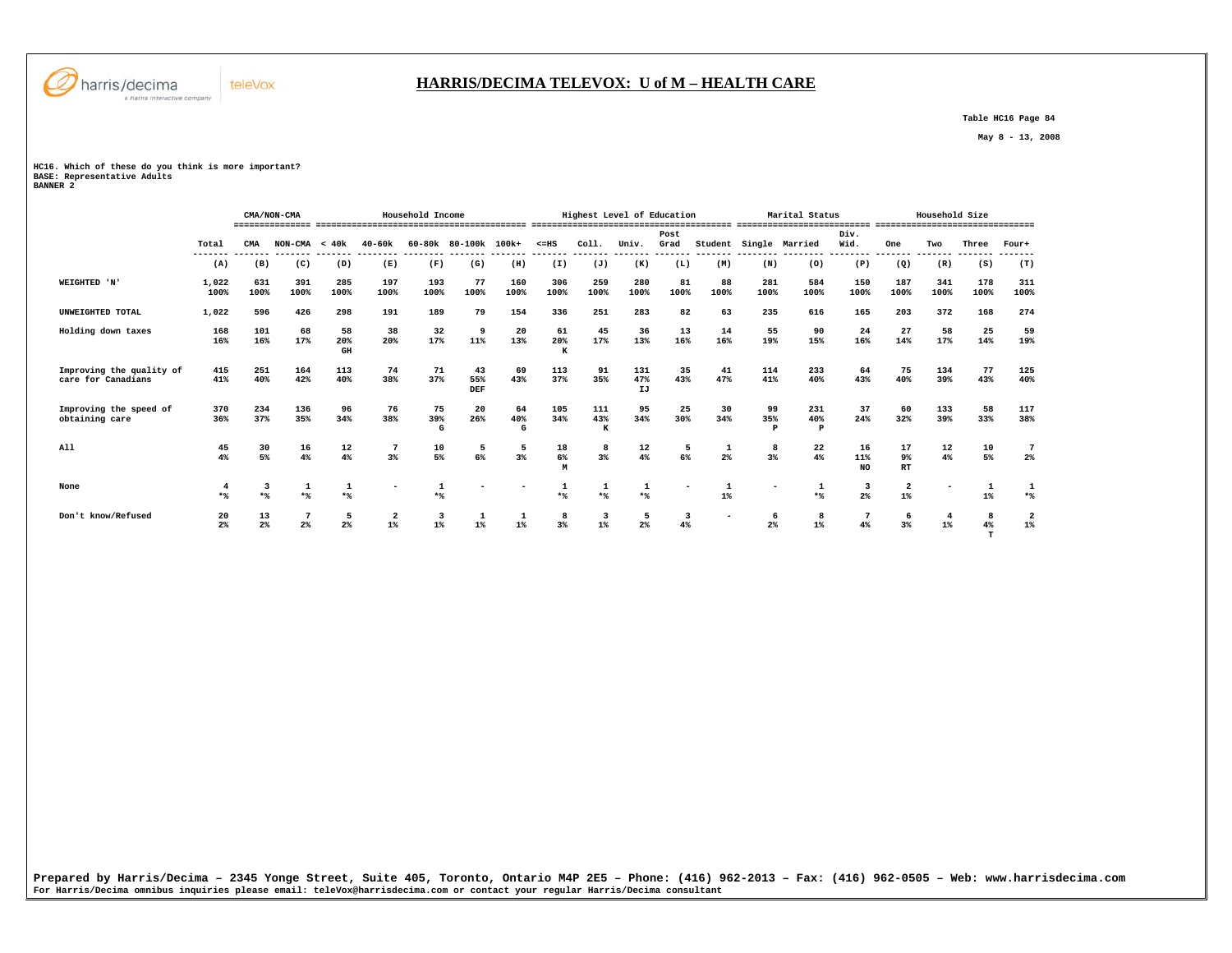

### **HARRIS/DECIMA TELEVOX: U of M – HEALTH CARE**

 **Table HC16 Page 84** 

 **May 8 - 13, 2008** 

**HC16. Which of these do you think is more important? BASE: Representative Adults BANNER 2** 

|                                                |                      |                      | CMA/NON-CMA     |                     |                       | Household Income                 |                      |                |                | Highest Level of Education |                  |                        |                 |                | Marital Status             |                     |                       | Household Size |                  |                                  |
|------------------------------------------------|----------------------|----------------------|-----------------|---------------------|-----------------------|----------------------------------|----------------------|----------------|----------------|----------------------------|------------------|------------------------|-----------------|----------------|----------------------------|---------------------|-----------------------|----------------|------------------|----------------------------------|
|                                                |                      |                      |                 |                     |                       |                                  |                      |                |                |                            |                  |                        |                 |                |                            |                     |                       |                |                  |                                  |
|                                                | Total                | CMA                  | $NON-CMA < 40k$ |                     | $40 - 60k$            |                                  | 60-80k 80-100k 100k+ |                | $< = HS$       | Col1.                      | Univ.            | Post<br>Grad           | Student         |                | Single Married             | Div.<br>Wid.        | One                   | Two            | Three            | Four+                            |
|                                                | -------<br>(A)       | (B)                  | (C)             | (D)                 | --------<br>(E)       | (F)                              | (G)                  | (H)            | -------<br>(I) | --------<br>(J)            | (K)              | ------- -------<br>(L) | --------<br>(M) | (N)            | ---------<br>(0)           | --------<br>(P)     | --------<br>(Q)       | (R)            | (S)              | (T)                              |
| WEIGHTED 'N'                                   | 1,022<br>100%        | 631<br>100%          | 391<br>100%     | 285<br>100%         | 197<br>100%           | 193<br>100%                      | 77<br>100%           | 160<br>100%    | 306<br>100%    | 259<br>100%                | 280<br>100%      | 81<br>100%             | 88<br>100%      | 281<br>100%    | 584<br>100%                | 150<br>100%         | 187<br>100%           | 341<br>100%    | 178<br>100%      | 311<br>100%                      |
| UNWEIGHTED TOTAL                               | 1,022                | 596                  | 426             | 298                 | 191                   | 189                              | 79                   | 154            | 336            | 251                        | 283              | 82                     | 63              | 235            | 616                        | 165                 | 203                   | 372            | 168              | 274                              |
| Holding down taxes                             | 168<br>16%           | 101<br>16%           | 68<br>17%       | 58<br>20%<br>GH     | 38<br>20%             | 32<br>17%                        | 9<br>11%             | 20<br>13%      | 61<br>20%<br>к | 45<br>17%                  | 36<br>13%        | 13<br>16%              | 14<br>16%       | 55<br>19%      | 90<br>15%                  | 24<br>16%           | 27<br>14%             | 58<br>17%      | 25<br>14%        | 59<br>19%                        |
| Improving the quality of<br>care for Canadians | 415<br>41%           | 251<br>40%           | 164<br>42%      | 113<br>40%          | 74<br>38%             | 71<br>37%                        | 43<br>55%<br>DEF     | 69<br>43%      | 113<br>37%     | 91<br>35%                  | 131<br>47%<br>IJ | 35<br>43%              | 41<br>47%       | 114<br>41%     | 233<br>40%                 | 64<br>43%           | 75<br>40%             | 134<br>39%     | 77<br>43%        | 125<br>40%                       |
| Improving the speed of<br>obtaining care       | 370<br>36%           | 234<br>37%           | 136<br>35%      | 96<br>34%           | 76<br>38%             | 75<br>39%<br>G                   | 20<br>26%            | 64<br>40%<br>G | 105<br>34%     | 111<br>43%<br>к            | 95<br>34%        | 25<br>30%              | 30<br>34%       | 99<br>35%<br>P | 231<br>40%<br>$\mathbf{P}$ | 37<br>24%           | 60<br>32%             | 133<br>39%     | 58<br>33%        | 117<br>38%                       |
| A11                                            | 45<br>4%             | 30<br>5%             | 16<br>4%        | 12<br>4%            | 7<br>3%               | 10<br>5%                         | 5<br>6%              | 5<br>3%        | 18<br>6%<br>M  | 8<br>$3\%$                 | 12<br>4%         | 5<br>6%                | 2%              | 8<br>$3\%$     | 22<br>4%                   | 16<br>11%<br>NO.    | 17<br>9%<br>RT        | 12<br>4%       | 10<br>5%         | -7<br>2%                         |
| None                                           | $*$                  |                      |                 | $*$                 |                       | $*$                              |                      |                | $*$            | $*$                        | $*$              |                        | $1\%$           |                | 1<br>$*$                   | 3<br>2 <sup>8</sup> | $\mathbf{2}$<br>$1\%$ |                | $1$ <sup>*</sup> | $*$                              |
| Don't know/Refused                             | 20<br>2 <sup>8</sup> | 13<br>2 <sup>°</sup> | 7<br>$2\%$      | 5<br>2 <sup>°</sup> | $\mathbf{2}$<br>$1\%$ | $\overline{\mathbf{3}}$<br>$1\%$ | $\mathbf{1}$<br>1%   | 1<br>$1\%$     | 8<br>3%        | $\overline{\mathbf{3}}$    | 5                | 3                      |                 | 6<br>2%        | 8<br>1%                    | 7                   | 6<br>3%               | 4<br>$1\%$     | 8                | $\overline{\mathbf{2}}$<br>$1\%$ |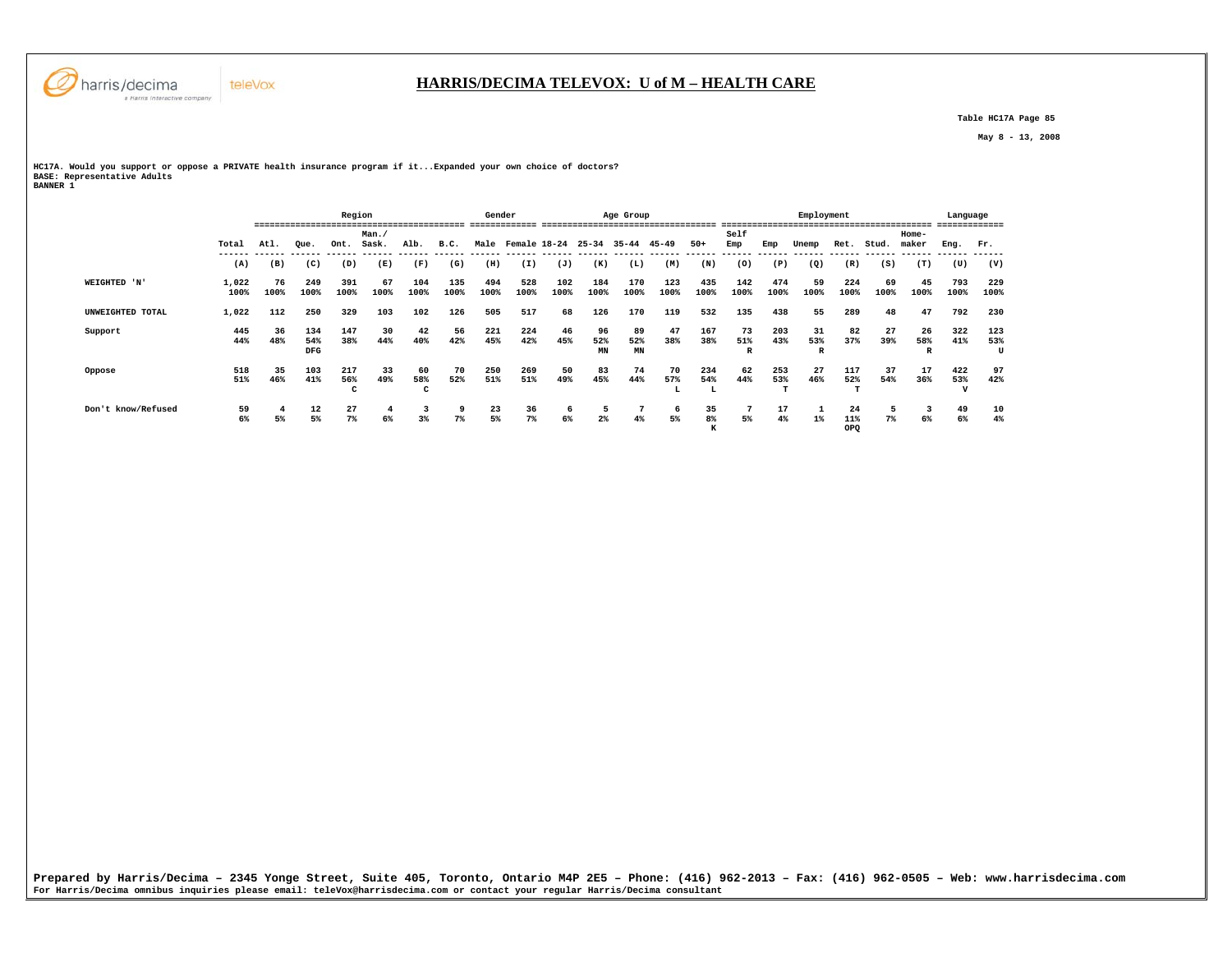

 **Table HC17A Page 85** 

 **May 8 - 13, 2008** 

**HC17A. Would you support or oppose a PRIVATE health insurance program if it...Expanded your own choice of doctors? BASE: Representative Adults BANNER 1** 

teleVox

|                    |               |            |                          | Region          |               |             |             | Gender      |                   |             |                 | Age Group             |                |               |                |             | Employment     |                  |            |                | Language                     |                 |
|--------------------|---------------|------------|--------------------------|-----------------|---------------|-------------|-------------|-------------|-------------------|-------------|-----------------|-----------------------|----------------|---------------|----------------|-------------|----------------|------------------|------------|----------------|------------------------------|-----------------|
|                    | Total         | Atl.       | Oue.                     | Ont.            | Man.<br>Sask. | Alb.        | B.C.        |             | Male Female 18-24 |             | $25 - 34$       | $35 - 44$             | $45 - 49$      | $50+$         | Self<br>Emp    | Emp         | Unemp          | Ret.             | Stud.      | Home-<br>maker | Eng.                         | Fr.             |
|                    | (A)           | (B)        | (C)                      | (D)             | (E)           | (F)         | (G)         | (H)         | (I)               | (J)         | (K)             | (L)                   | (M)            | (N)           | (0)            | (P)         | (Q)            | (R)              | (S)        | (T)            | (U)                          | (V)             |
| WEIGHTED 'N'       | 1,022<br>100% | 76<br>100% | 249<br>100%              | 391<br>100%     | 67<br>100%    | 104<br>100% | 135<br>100% | 494<br>100% | 528<br>100%       | 102<br>100% | 184<br>100%     | 170<br>100%           | 123<br>100%    | 435<br>100%   | 142<br>100%    | 474<br>100% | 59<br>100%     | 224<br>100%      | 69<br>100% | 45<br>100%     | 793<br>100%                  | 229<br>100%     |
| UNWEIGHTED TOTAL   | 1,022         | 112        | 250                      | 329             | 103           | 102         | 126         | 505         | 517               | 68          | 126             | 170                   | 119            | 532           | 135            | 438         | 55             | 289              | 48         | 47             | 792                          | 230             |
| Support            | 445<br>44%    | 36<br>48%  | 134<br>54%<br><b>DFG</b> | 147<br>38%      | 30<br>44%     | 42<br>40%   | 56<br>42%   | 221<br>45%  | 224<br>42%        | 46<br>45%   | 96<br>52%<br>MN | 89<br>52%<br>MN       | 47<br>38%      | 167<br>38%    | 73<br>51%<br>R | 203<br>43%  | 31<br>53%<br>R | 82<br>37%        | 27<br>39%  | 26<br>58%      | 322<br>41%                   | 123<br>53%<br>U |
| Oppose             | 518<br>51%    | 35<br>46%  | 103<br>41%               | 217<br>56%<br>C | 33<br>49%     | 60<br>58%   | 70<br>52%   | 250<br>51%  | 269<br>51%        | 50<br>49%   | 83<br>45%       | 74<br>44%             | 70<br>57%<br>ы | 234<br>54%    | 62<br>44%      | 253<br>53%  | 27<br>46%      | 117<br>52%       | 37<br>54%  | 17<br>36%      | 422<br>53%<br>$\overline{1}$ | 97<br>42%       |
| Don't know/Refused | 59<br>6%      | 5%         | 12<br>5%                 | 27<br>$7\%$     | 4<br>6%       | 3<br>3%     | 9<br>$7\%$  | 23<br>5%    | 36<br>$7\%$       | 6<br>6%     | $2\%$           | $7\phantom{.0}$<br>4% | 6<br>5%        | 35<br>8%<br>к | 5%             | 17<br>4%    | $1\%$          | 24<br>11%<br>OPQ | $7\%$      | -3<br>6%       | 49<br>6%                     | 10<br>4%        |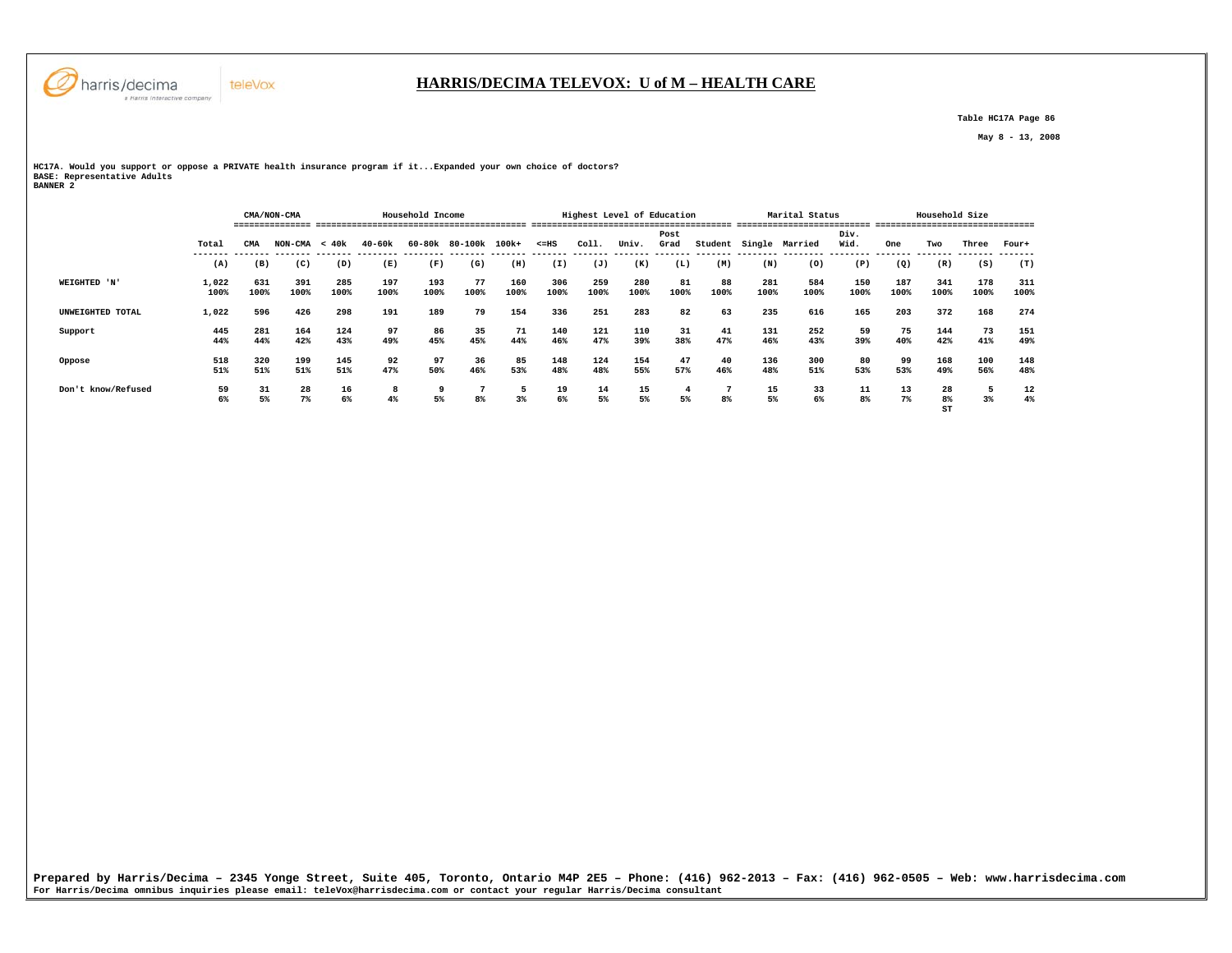

### **HARRIS/DECIMA TELEVOX: U of M – HEALTH CARE**

 **Table HC17A Page 86** 

 **May 8 - 13, 2008** 

**HC17A. Would you support or oppose a PRIVATE health insurance program if it...Expanded your own choice of doctors? BASE: Representative Adults BANNER 2** 

 **CMA/NON-CMA Household Income Highest Level of Education Marital Status Household Size =============== ========================================= ======================================= ========================== =============================== Post Div.** Wid.  **Total CMA NON-CMA < 40k 40-60k 60-80k 80-100k 100k+ <=HS Coll. Univ. Grad Student Single Married Wid. One Two Three Four+ ------- ------- ------- ------- -------- -------- ------- ------- ------- ------- ------- ------- ------- -------- -------- -------- ------- ------- ------- -------**  $(T)$  **(A) (B) (C) (D) (E) (F) (G) (H) (I) (J) (K) (L) (M) (N) (O) (P) (Q) (R) (S) (T) WEIGHTED 'N' 1,022 631 391 285 197 193 77 160 306 259 280 81 88 281 584 150 187 341 178 311 100% 100% 100% 100% 100% 100% 100% 100% 100% 100% 100% 100% 100% 100% 100% 100% 100% 100% 100% 100% UNWEIGHTED TOTAL 1,022 596 426 298 191 189 79 154 336 251 283 82 63 235 616 165 203 372 168 274 Support 445 281 164 124 97 86 35 71 140 121 110 31 41 131 252 59 75 144 73 151 44% 44% 42% 43% 49% 45% 45% 44% 46% 47% 39% 38% 47% 46% 43% 39% 40% 42% 41% 49% Oppose 518 320 199 145 92 97 36 85 148 124 154 47 40 136 300 80 99 168 100 148 51% 51% 51% 51% 47% 50% 46% 53% 48% 48% 55% 57% 46% 48% 51% 53% 53% 49% 56% 48% Don't know/Refused 59 31 28 16 8 9 7 5 19 14 15 4 7 15 33 11 13 28 5 12 6% 5% 7% 6% 4% 5% 8% 3% 6% 5% 5% 5% 8% 5% 6% 8% 7% 8% 3% 4%**  $\mathbf{S}$ **ST**  $\mathbf{S}$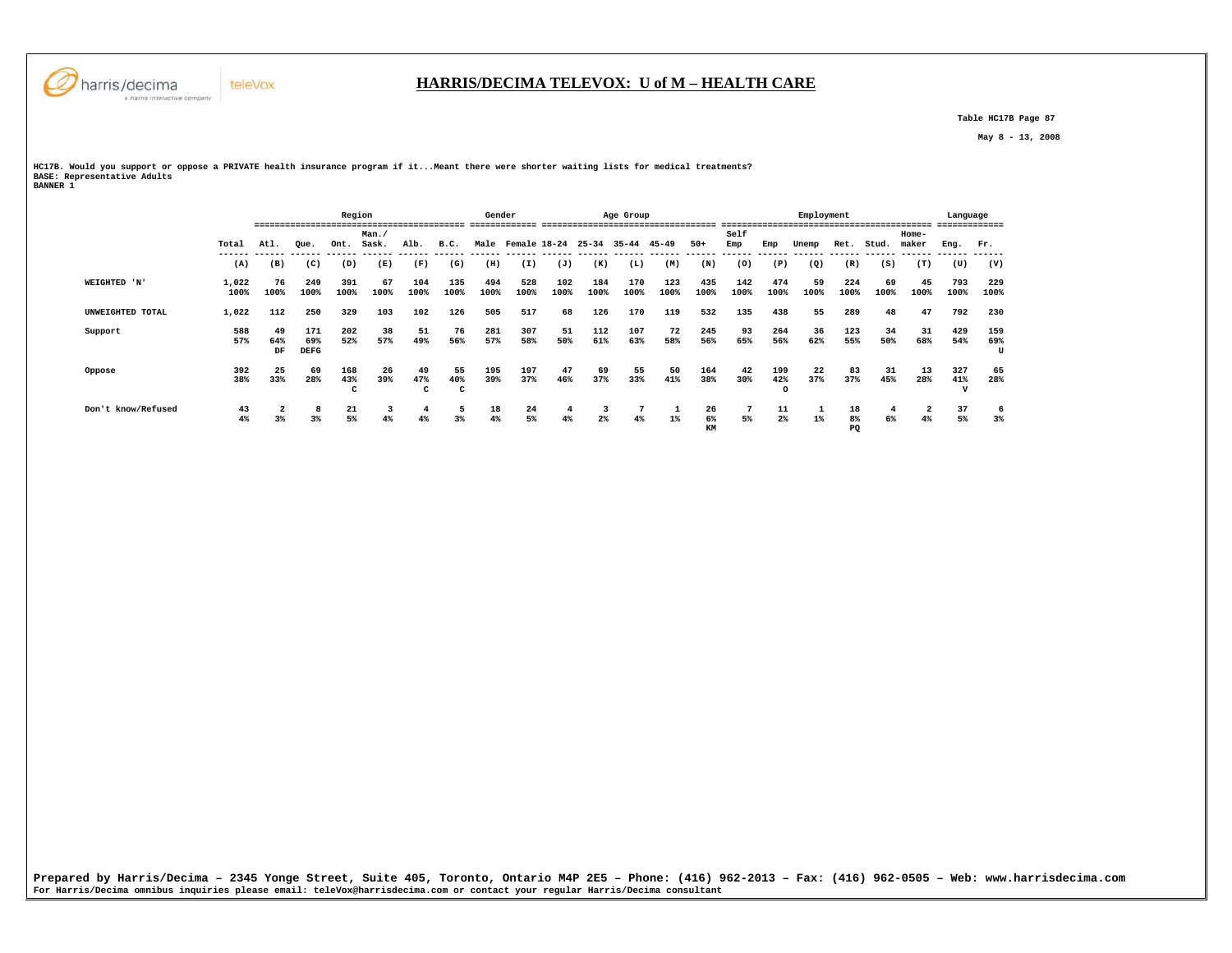

 **Table HC17B Page 87** 

 **May 8 - 13, 2008** 

**HC17B. Would you support or oppose a PRIVATE health insurance program if it...Meant there were shorter waiting lists for medical treatments? BASE: Representative Adults BANNER 1** 

|                    |               | Region           |                           |                 |               |                      |                      | Gender      |                         |             |             | Age Group   |             |                   |                |                       | Employment |                |            |                      | Language<br>------------- |                 |
|--------------------|---------------|------------------|---------------------------|-----------------|---------------|----------------------|----------------------|-------------|-------------------------|-------------|-------------|-------------|-------------|-------------------|----------------|-----------------------|------------|----------------|------------|----------------------|---------------------------|-----------------|
|                    | Total         | Atl.             | Oue.                      | Ont.            | Man.<br>Sask. | Alb.                 | B.C.                 |             | Male Female 18-24 25-34 |             |             | 35-44 45-49 |             | $50+$             | Self<br>Emp    | Emp                   | Unemp      | Ret.           | Stud.      | Home-<br>maker       | Enq.                      | Fr.             |
|                    | (A)           | (B)              | (C)                       | (D)             | (E)           | (F)                  | (G)                  | (H)         | (I)                     | (J)         | (K)         | (L)         | (M)         | (N)               | -------<br>(0) | (P)                   | (Q)        | (R)            | (S)        | (T)                  | (U)                       | (V)             |
| WEIGHTED 'N'       | 1,022<br>100% | 76<br>100%       | 249<br>100%               | 391<br>100%     | 67<br>100%    | 104<br>100%          | 135<br>100%          | 494<br>100% | 528<br>100%             | 102<br>100% | 184<br>100% | 170<br>100% | 123<br>100% | 435<br>100%       | 142<br>100%    | 474<br>100%           | 59<br>100% | 224<br>100%    | 69<br>100% | 45<br>100%           | 793<br>100%               | 229<br>100%     |
| UNWEIGHTED TOTAL   | 1,022         | 112              | 250                       | 329             | 103           | 102                  | 126                  | 505         | 517                     | 68          | 126         | 170         | 119         | 532               | 135            | 438                   | 55         | 289            | 48         | 47                   | 792                       | 230             |
| Support            | 588<br>57%    | -49<br>64%<br>DF | 171<br>69%<br><b>DEFG</b> | 202<br>52%      | 38<br>57%     | 51<br>49%            | 76<br>56%            | 281<br>57%  | 307<br>58%              | 51<br>50%   | 112<br>61%  | 107<br>63%  | 72<br>58%   | 245<br>56%        | 93<br>65%      | 264<br>56%            | 36<br>62%  | 123<br>55%     | 34<br>50%  | 31<br>68%            | 429<br>54%                | 159<br>69%<br>U |
| Oppose             | 392<br>38%    | -25<br>33%       | 69<br>28%                 | 168<br>43%<br>c | 26<br>39%     | -49<br>47%<br>C      | 55<br>40%<br>C       | 195<br>39%  | 197<br>37%              | 47<br>46%   | 69<br>37%   | 55<br>33%   | 50<br>41%   | 164<br>38%        | 42<br>30%      | 199<br>42%<br>$\circ$ | 22<br>37%  | 83<br>37%      | 31<br>45%  | 13<br>28%            | 327<br>41%<br>v           | 65<br>28%       |
| Don't know/Refused | 43<br>4%      | 3%               | 3%                        | 21<br>$5\%$     | 3<br>4%       | $\overline{a}$<br>4% | -5<br>3 <sup>8</sup> | 18<br>4%    | 24<br>5%                | 4<br>4%     | $2\%$       | 7<br>4%     | $1\%$       | 26<br>$6\%$<br>KM | 5%             | 11<br>2%              | $1\%$      | 18<br>8%<br>PQ | 6%         | $\overline{2}$<br>4% | 37<br>5%                  | 6<br>3%         |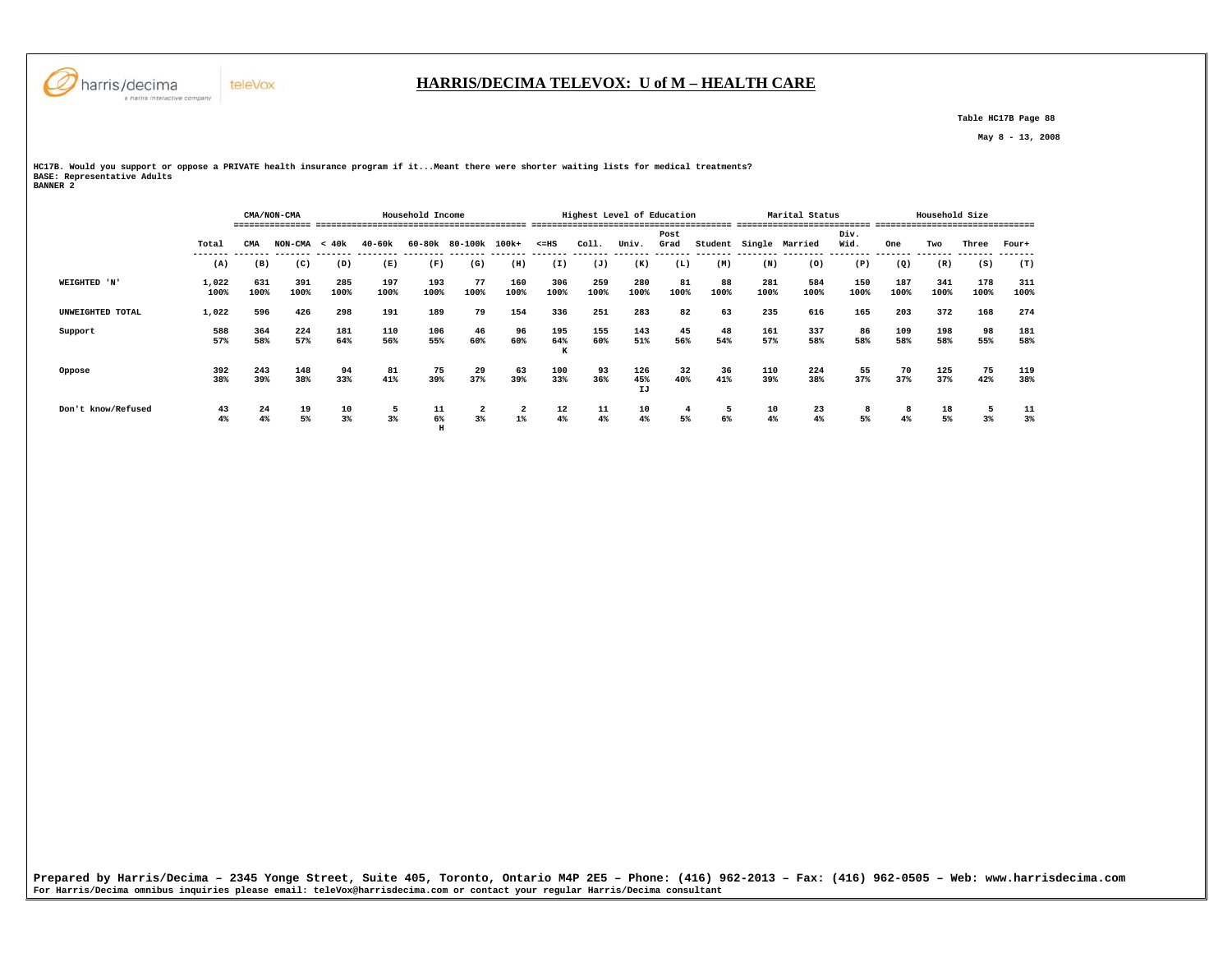

#### **HARRIS/DECIMA TELEVOX: U of M – HEALTH CARE**

 **Table HC17B Page 88** 

 **May 8 - 13, 2008** 

**HC17B. Would you support or oppose a PRIVATE health insurance program if it...Meant there were shorter waiting lists for medical treatments? BASE: Representative Adults BANNER 2** 

|                    |               |             | CMA/NON-CMA     |             |             | Household Income |                      |                         |                 | Highest Level of Education |                  |            |            |             | Marital Status |             |             | Household Size |             |             |
|--------------------|---------------|-------------|-----------------|-------------|-------------|------------------|----------------------|-------------------------|-----------------|----------------------------|------------------|------------|------------|-------------|----------------|-------------|-------------|----------------|-------------|-------------|
|                    |               |             |                 |             |             |                  |                      |                         |                 |                            |                  | Post       |            |             |                | Div.        |             |                |             |             |
|                    | Total         | CMA         | $NON-CMA < 40k$ |             | 40-60k      |                  | 60-80k 80-100k 100k+ |                         | $< = HS$        | Coll.                      | Univ.            | Grad       | Student    |             | Single Married | Wid.        | One         | Two            | Three       | Four+       |
|                    | (A)           | (B)         | (C)             | (D)         | (E)         | (F)              | (G)                  | (H)                     | (I)             | (J)                        | (K)              | (L)        | (M)        | (N)         | (0)            | (P)         | (Q)         | (R)            | (S)         | (T)         |
| WEIGHTED 'N'       | 1,022<br>100% | 631<br>100% | 391<br>100%     | 285<br>100% | 197<br>100% | 193<br>100%      | 77<br>100%           | 160<br>100%             | 306<br>100%     | 259<br>100%                | 280<br>100%      | 81<br>100% | 88<br>100% | 281<br>100% | 584<br>100%    | 150<br>100% | 187<br>100% | 341<br>100%    | 178<br>100% | 311<br>100% |
| UNWEIGHTED TOTAL   | 1,022         | 596         | 426             | 298         | 191         | 189              | 79                   | 154                     | 336             | 251                        | 283              | 82         | 63         | 235         | 616            | 165         | 203         | 372            | 168         | 274         |
| Support            | 588<br>57%    | 364<br>58%  | 224<br>57%      | 181<br>64%  | 110<br>56%  | 106<br>55%       | 46<br>60%            | 96<br>60%               | 195<br>64%<br>K | 155<br>60%                 | 143<br>51%       | 45<br>56%  | 48<br>54%  | 161<br>57%  | 337<br>58%     | 86<br>58%   | 109<br>58%  | 198<br>58%     | 98<br>55%   | 181<br>58%  |
| Oppose             | 392<br>38%    | 243<br>39%  | 148<br>38%      | 94<br>33%   | 81<br>41%   | 75<br>39%        | 29<br>37%            | 63<br>39%               | 100<br>33%      | 93<br>36%                  | 126<br>45%<br>IJ | 32<br>40%  | 36<br>41%  | 110<br>39%  | 224<br>38%     | 55<br>37%   | 70<br>37%   | 125<br>37%     | 75<br>42%   | 119<br>38%  |
| Don't know/Refused | 43<br>4%      | 24<br>4%    | 19<br>5%        | 10<br>3%    | 5<br>3%     | 11<br>6%         | 2<br>3%              | $\overline{a}$<br>$1\%$ | 12<br>4%        | 11<br>4%                   | 10<br>4%         | 4<br>5%    | 5<br>6%    | 10<br>4%    | 23<br>4%       | 8<br>5%     | 8<br>4%     | 18<br>5%       | 3%          | 11<br>3%    |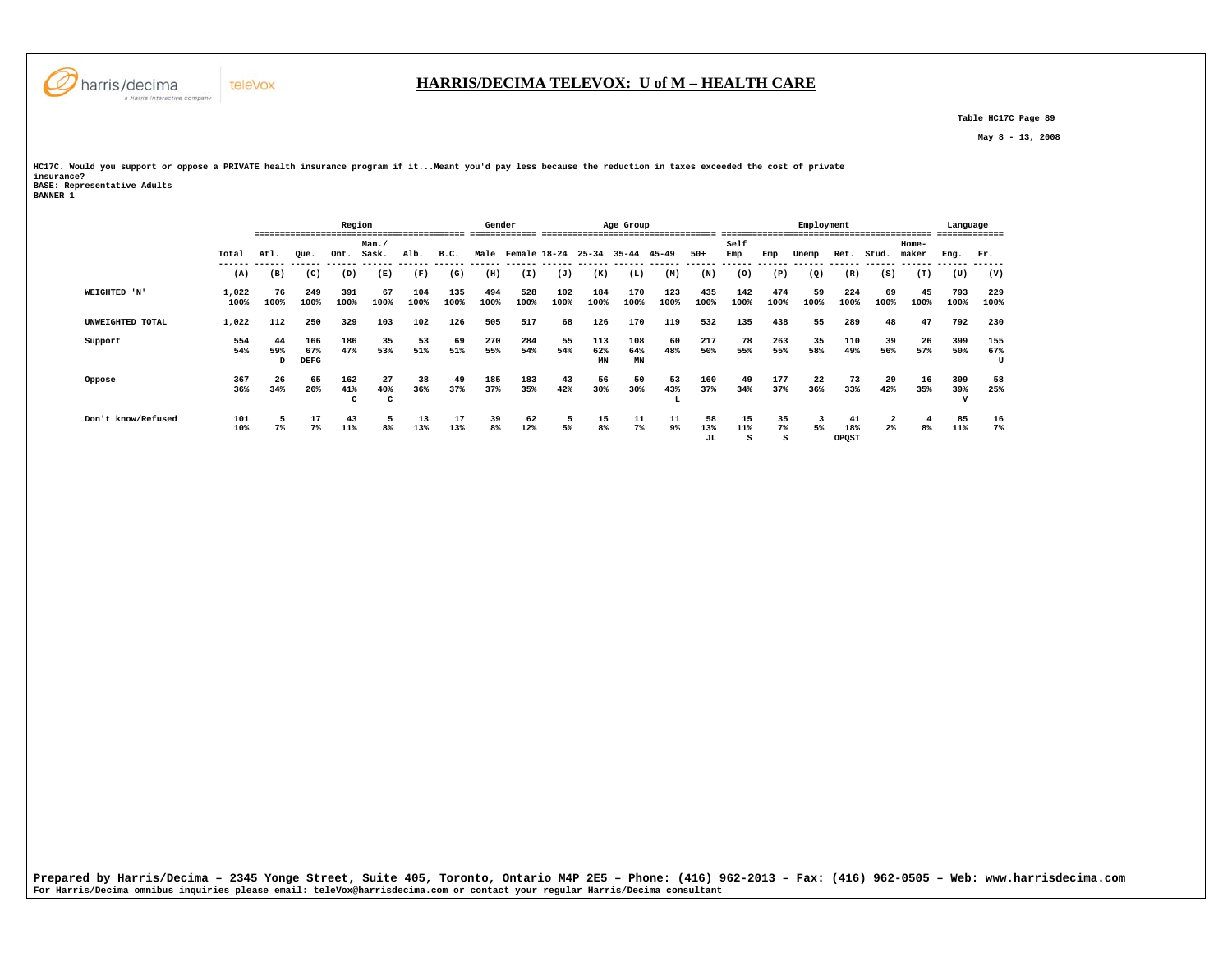

### **HARRIS/DECIMA TELEVOX: U of M – HEALTH CARE**

 **Table HC17C Page 89** 

 **May 8 - 13, 2008** 

**HC17C. Would you support or oppose a PRIVATE health insurance program if it...Meant you'd pay less because the reduction in taxes exceeded the cost of private insurance? BASE: Representative Adults BANNER 1** 

|                    |               | Region         |                           |                 |                          |             | Gender      |             |              |             | Age Group        |                  |                |             |              | Employment  |            |             | --------------------- | Language<br>------------- |             |                 |
|--------------------|---------------|----------------|---------------------------|-----------------|--------------------------|-------------|-------------|-------------|--------------|-------------|------------------|------------------|----------------|-------------|--------------|-------------|------------|-------------|-----------------------|---------------------------|-------------|-----------------|
|                    |               |                |                           |                 | Man.                     |             |             |             |              |             |                  |                  |                |             | Self         |             |            |             |                       | Home-                     |             |                 |
|                    | Total         | Atl.           | Oue.                      | Ont.            | Sask.                    | Alb.        | B.C.        | Male        | Female 18-24 |             | $25 - 34$        | $35 - 44$        | $45 - 49$      | $50+$       | Emp          | Emp         | Unemp      | Ret.        | Stud.                 | maker                     | Eng.        | Fr.             |
|                    | (A)           | (B)            | (C)                       | (D)             | (E)                      | (F)         | (G)         | (H)         | (I)          | (J)         | (K)              | (L)              | (M)            | (N)         | (0)          | (P)         | (Q)        | (R)         | (S)                   | (T)                       | (U)         | (V)             |
| WEIGHTED 'N'       | 1,022<br>100% | 76<br>100%     | 249<br>100%               | 391<br>100%     | 67<br>100%               | 104<br>100% | 135<br>100% | 494<br>100% | 528<br>100%  | 102<br>100% | 184<br>100%      | 170<br>100%      | 123<br>100%    | 435<br>100% | 142<br>100%  | 474<br>100% | 59<br>100% | 224<br>100% | 69<br>100%            | 45<br>100%                | 793<br>100% | 229<br>100%     |
| UNWEIGHTED TOTAL   | 1,022         | 112            | 250                       | 329             | 103                      | 102         | 126         | 505         | 517          | 68          | 126              | 170              | 119            | 532         | 135          | 438         | 55         | 289         | 48                    | 47                        | 792         | 230             |
| Support            | 554<br>54%    | 44<br>59%<br>D | 166<br>67%<br><b>DEFG</b> | 186<br>47%      | 35<br>53%                | 53<br>51%   | 69<br>51%   | 270<br>55%  | 284<br>54%   | 55<br>54%   | 113<br>62%<br>MN | 108<br>64%<br>MN | 60<br>48%      | 217<br>50%  | 78<br>55%    | 263<br>55%  | 35<br>58%  | 110<br>49%  | 39<br>56%             | 26<br>57%                 | 399<br>50%  | 155<br>67%<br>U |
| Oppose             | 367<br>36%    | 26<br>34%      | 65<br>26%                 | 162<br>41%<br>c | 27<br>40%<br>$\sim$<br>╰ | 38<br>36%   | 49<br>37%   | 185<br>37%  | 183<br>35%   | 43<br>42%   | 56<br>30%        | 50<br>30%        | 53<br>43%<br>ш | 160<br>37%  | 49<br>34%    | 177<br>37%  | 22<br>36%  | 73<br>33%   | 29<br>42%             | 16<br>35%                 | 309<br>39%  | 58<br>25%       |
| Don't know/Refused | 101<br>10%    | 7%             | 17<br>$7\%$               | 43<br>11%       | 5<br>8%                  | 13<br>13%   | 17<br>13%   | 39<br>8%    | 62<br>12%    | 5<br>5%     | 15<br>8%         | 11<br>7%         | 11<br>9%       | 58<br>13%   | 15<br>$11\%$ | 35<br>7%    | 5%         | 41<br>18%   | $2\%$                 | $\overline{a}$<br>8%      | 85<br>11%   | 16<br>7%        |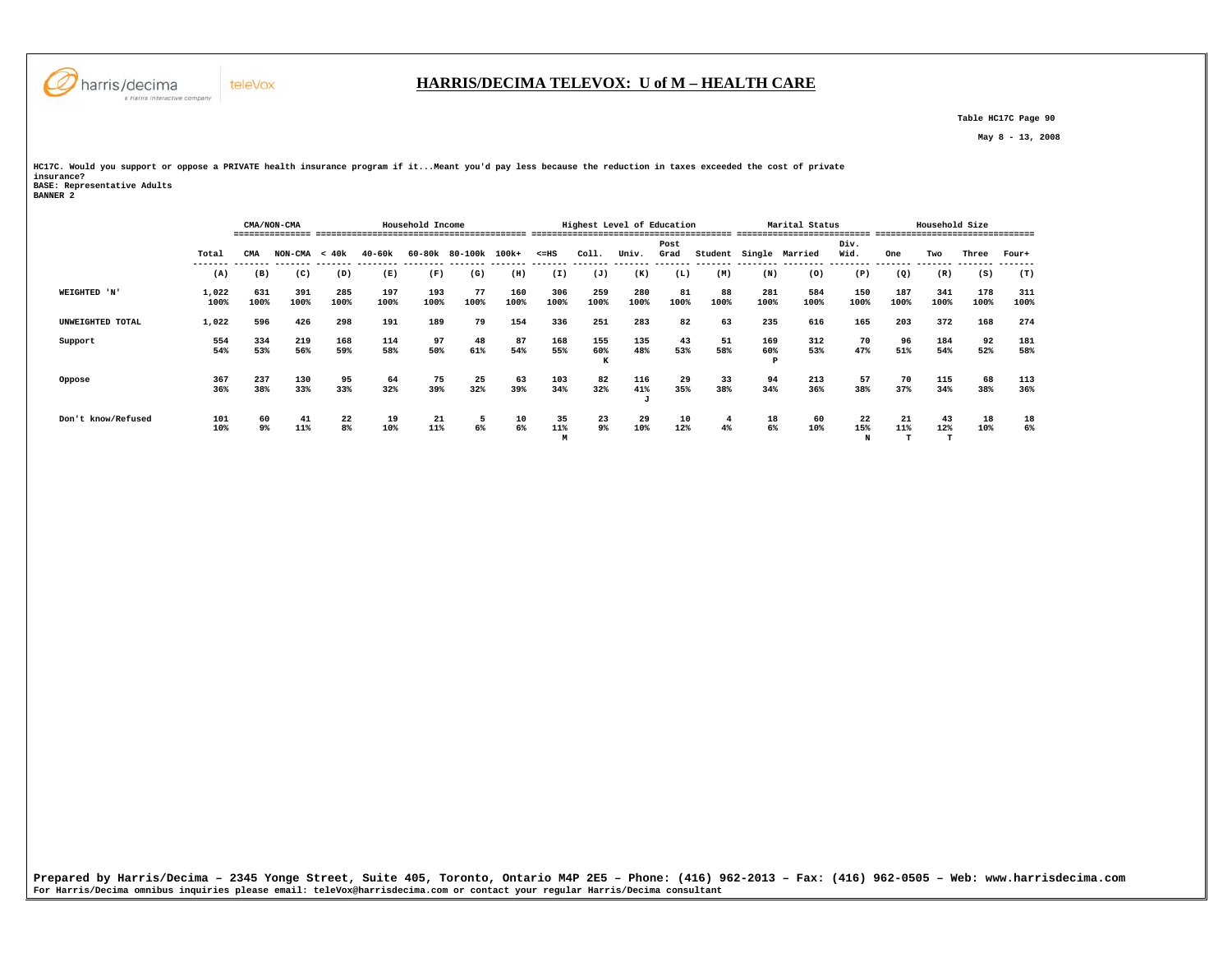

 **Table HC17C Page 90** 

 **May 8 - 13, 2008** 

**HC17C. Would you support or oppose a PRIVATE health insurance program if it...Meant you'd pay less because the reduction in taxes exceeded the cost of private insurance? BASE: Representative Adults BANNER 2** 

|                    |               | Household Income<br>CMA/NON-CMA |                 |             |             |             |            |             |                | Highest Level of Education |             |              |            |             | Marital Status |                |             | Household Size |             |             |
|--------------------|---------------|---------------------------------|-----------------|-------------|-------------|-------------|------------|-------------|----------------|----------------------------|-------------|--------------|------------|-------------|----------------|----------------|-------------|----------------|-------------|-------------|
|                    | Total         | CMA                             | $NON-CMA < 40k$ |             | $40 - 60k$  | 60-80k      | 80-100k    | 100k+       | $< = HS$       | Coll.                      | Univ.       | Post<br>Grad | Student    | Single      | Married        | Div.<br>Wid.   | One         | Two            | Three       | Four+       |
|                    | (A)           | (B)                             | (C)             | (D)         | (E)         | (F)         | (G)        | (H)         | (I)            | (J)                        | (K)         | (L)          | (M)        | (N)         | (0)            | (P)            | (Q)         | (R)            | (S)         | (T)         |
| WEIGHTED 'N'       | 1,022<br>100% | 631<br>100%                     | 391<br>100%     | 285<br>100% | 197<br>100% | 193<br>100% | 77<br>100% | 160<br>100% | 306<br>100%    | 259<br>100%                | 280<br>100% | 81<br>100%   | 88<br>100% | 281<br>100% | 584<br>100%    | 150<br>100%    | 187<br>100% | 341<br>100%    | 178<br>100% | 311<br>100% |
| UNWEIGHTED TOTAL   | 1,022         | 596                             | 426             | 298         | 191         | 189         | 79         | 154         | 336            | 251                        | 283         | 82           | 63         | 235         | 616            | 165            | 203         | 372            | 168         | 274         |
| Support            | 554<br>54%    | 334<br>53%                      | 219<br>56%      | 168<br>59%  | 114<br>58%  | 97<br>50%   | 48<br>61%  | 87<br>54%   | 168<br>55%     | 155<br>60%<br>K            | 135<br>48%  | 43<br>53%    | 51<br>58%  | 169<br>60%  | 312<br>53%     | 70<br>47%      | 96<br>51%   | 184<br>54%     | 92<br>52%   | 181<br>58%  |
| Oppose             | 367<br>36%    | 237<br>38%                      | 130<br>33%      | 95<br>33%   | 64<br>32%   | 75<br>39%   | 25<br>32%  | 63<br>39%   | 103<br>34%     | 82<br>32%                  | 116<br>41%  | 29<br>35%    | 33<br>38%  | 94<br>34%   | 213<br>36%     | 57<br>38%      | 70<br>37%   | 115<br>34%     | 68<br>38%   | 113<br>36%  |
| Don't know/Refused | 101<br>10%    | 60<br>9%                        | 41<br>11%       | 22<br>8%    | 19<br>10%   | 21<br>11%   | 5<br>6%    | 10<br>6%    | 35<br>11%<br>M | 23<br>9%                   | 29<br>10%   | 10<br>12%    | 4<br>$4\%$ | 18<br>6%    | 60<br>10%      | 22<br>15%<br>N | 21<br>11%   | 43<br>12%      | 18<br>10%   | 18<br>6%    |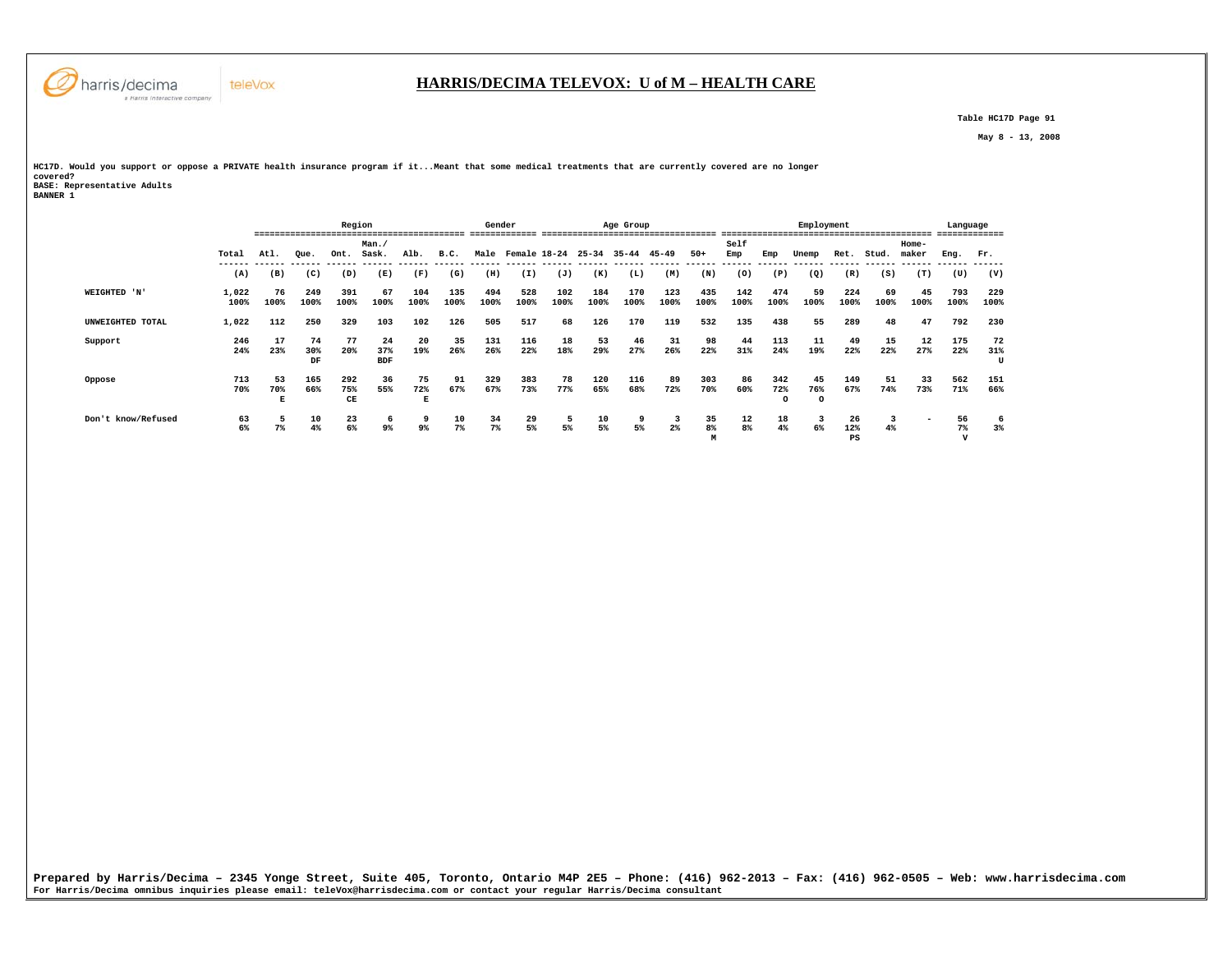

# **HARRIS/DECIMA TELEVOX: U of M – HEALTH CARE**

 **Table HC17D Page 91** 

 **May 8 - 13, 2008** 

**HC17D. Would you support or oppose a PRIVATE health insurance program if it...Meant that some medical treatments that are currently covered are no longer covered? BASE: Representative Adults BANNER 1** 

|                    |               | Region<br>==== |                 |                  |                         |                |             | Gender      |              |             |                | Age Group   |             |               |             |                        | Employment           |                 |            |                          | Language                      |                |
|--------------------|---------------|----------------|-----------------|------------------|-------------------------|----------------|-------------|-------------|--------------|-------------|----------------|-------------|-------------|---------------|-------------|------------------------|----------------------|-----------------|------------|--------------------------|-------------------------------|----------------|
|                    | Total         | Atl.           | Oue.            | Ont.             | Man.<br>Sask.           | Alb.           | B.C.        | Male        | Female 18-24 |             | $25 - 34$      | 35-44       | 45-49       | $50+$         | Self<br>Emp | Emp                    | Unemp                | Ret.            | Stud.      | $Home-$<br>maker         | Eng.                          | Fr.            |
|                    | (A)           | (B)            | (C)             | (D)              | (E)                     | (F)            | (G)         | (H)         | (I)          | (J)         | -------<br>(K) | (L)         | (M)         | (N)           | (0)         | (P)                    | (Q)                  | (R)             | (S)        | (T)                      | (U)                           | (V)            |
| WEIGHTED 'N'       | 1,022<br>100% | 76<br>100%     | 249<br>100%     | 391<br>100%      | 67<br>100%              | 104<br>100%    | 135<br>100% | 494<br>100% | 528<br>100%  | 102<br>100% | 184<br>100%    | 170<br>100% | 123<br>100% | 435<br>100%   | 142<br>100% | 474<br>100%            | 59<br>100%           | 224<br>100%     | 69<br>100% | 45<br>100%               | 793<br>100%                   | 229<br>100%    |
| UNWEIGHTED TOTAL   | 1,022         | 112            | 250             | 329              | 103                     | 102            | 126         | 505         | 517          | 68          | 126            | 170         | 119         | 532           | 135         | 438                    | 55                   | 289             | 48         | 47                       | 792                           | 230            |
| Support            | 246<br>24%    | 17<br>23%      | 74<br>30%<br>DF | 77<br>20%        | 24<br>37%<br><b>BDF</b> | 20<br>19%      | 35<br>26%   | 131<br>26%  | 116<br>22%   | 18<br>18%   | 53<br>29%      | 46<br>27%   | 31<br>26%   | 98<br>22%     | 44<br>31%   | 113<br>24%             | 11<br>19%            | 49<br>22%       | 15<br>22%  | 12<br>27%                | 175<br>22%                    | 72<br>31%<br>U |
| Oppose             | 713<br>70%    | 53<br>70%<br>Е | 165<br>66%      | 292<br>75%<br>CE | 36<br>55%               | 75<br>72%<br>Е | 91<br>67%   | 329<br>67%  | 383<br>73%   | 78<br>77%   | 120<br>65%     | 116<br>68%  | 89<br>72%   | 303<br>70%    | 86<br>60%   | 342<br>72%<br>$\Omega$ | 45<br>76%<br>$\circ$ | 149<br>67%      | 51<br>74%  | 33<br>73%                | 562<br>71%                    | 151<br>66%     |
| Don't know/Refused | 63<br>6%      | 7%             | 10<br>4%        | 23<br>6%         | 6<br>$9\%$              | 9<br>9%        | 10<br>$7\%$ | 34<br>$7\%$ | 29<br>5%     | 5<br>5%     | 10<br>5%       | 9<br>5%     | 3<br>$2\%$  | 35<br>8%<br>M | 12<br>8%    | 18<br>4%               | 3<br>6%              | 26<br>12%<br>PS | 3<br>4%    | $\overline{\phantom{0}}$ | 56<br>$7\%$<br>$\overline{v}$ | -6<br>$3\%$    |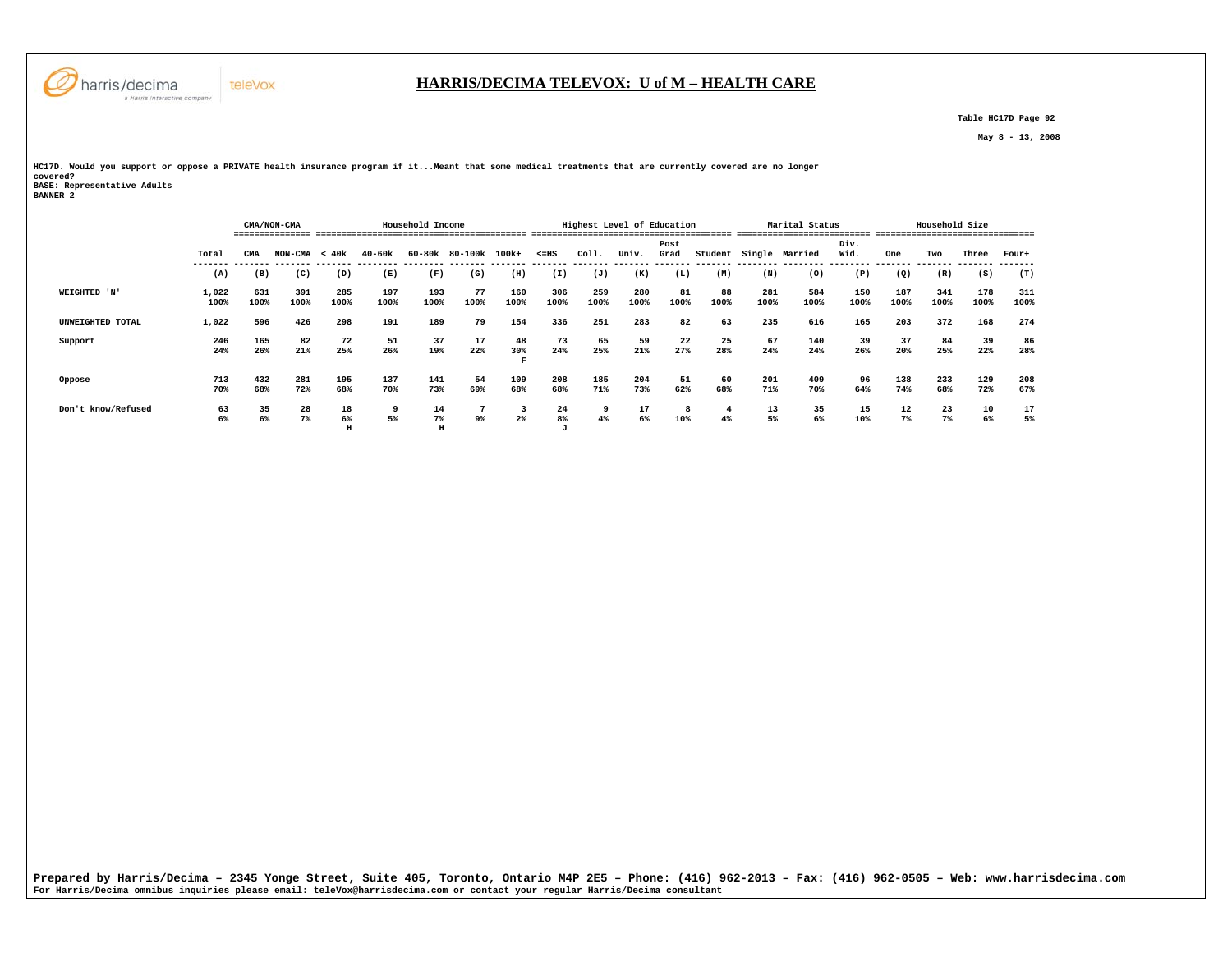

# **HARRIS/DECIMA TELEVOX: U of M – HEALTH CARE**

 **Table HC17D Page 92** 

 **May 8 - 13, 2008** 

**HC17D. Would you support or oppose a PRIVATE health insurance program if it...Meant that some medical treatments that are currently covered are no longer covered? BASE: Representative Adults BANNER 2** 

|                    |               | Household Income<br>CMA/NON-CMA |                 |               |             |             |               |                |                |             | Highest Level of Education |              |            |             | Marital Status<br>-------------------------- |              | --------------------------------- | Household Size |             |             |
|--------------------|---------------|---------------------------------|-----------------|---------------|-------------|-------------|---------------|----------------|----------------|-------------|----------------------------|--------------|------------|-------------|----------------------------------------------|--------------|-----------------------------------|----------------|-------------|-------------|
|                    | Total         | CMA                             | $NON-CMA < 40k$ |               | $40 - 60k$  | 60-80k      | 80-100k 100k+ |                | $< = HS$       | Coll.       | Univ.                      | Post<br>Grad | Student    |             | Single Married                               | Div.<br>Wid. | One                               | Two            | Three       | Four+       |
|                    | (A)           | (B)                             | (C)             | (D)           | (E)         | (F)         | (G)           | (H)            | (I)            | (J)         | (K)                        | (L)          | (M)        | (N)         | (0)                                          | (P)          | (Q)                               | (R)            | (S)         | (T)         |
| WEIGHTED 'N'       | 1,022<br>100% | 631<br>100%                     | 391<br>100%     | 285<br>100%   | 197<br>100% | 193<br>100% | 77<br>100%    | 160<br>100%    | 306<br>100%    | 259<br>100% | 280<br>100%                | 81<br>100%   | 88<br>100% | 281<br>100% | 584<br>100%                                  | 150<br>100%  | 187<br>100%                       | 341<br>100%    | 178<br>100% | 311<br>100% |
| UNWEIGHTED TOTAL   | 1,022         | 596                             | 426             | 298           | 191         | 189         | 79            | 154            | 336            | 251         | 283                        | 82           | 63         | 235         | 616                                          | 165          | 203                               | 372            | 168         | 274         |
| Support            | 246<br>24%    | 165<br>26%                      | 82<br>21%       | 72<br>25%     | 51<br>26%   | 37<br>19%   | 17<br>22%     | 48<br>30%<br>F | 73<br>24%      | 65<br>25%   | 59<br>21%                  | 22<br>27%    | 25<br>28%  | 67<br>24%   | 140<br>24%                                   | 39<br>26%    | 37<br>20%                         | 84<br>25%      | 39<br>22%   | 86<br>28%   |
| Oppose             | 713<br>70%    | 432<br>68%                      | 281<br>72%      | 195<br>68%    | 137<br>70%  | 141<br>73%  | 54<br>69%     | 109<br>68%     | 208<br>68%     | 185<br>71%  | 204<br>73%                 | 51<br>62%    | 60<br>68%  | 201<br>71%  | 409<br>70%                                   | 96<br>64%    | 138<br>74%                        | 233<br>68%     | 129<br>72%  | 208<br>67%  |
| Don't know/Refused | 63<br>6%      | 35<br>6%                        | 28<br>$7\%$     | 18<br>6%<br>H | 9<br>5%     | 14<br>$7\%$ | 9%            | 3<br>$2\%$     | 24<br>8%<br>A. | 9<br>4%     | 17<br>6%                   | 8<br>10%     | 4<br>4%    | 13<br>5%    | 35<br>6%                                     | 15<br>10%    | 12<br>7%                          | 23<br>$7\%$    | 10<br>6%    | 17<br>5%    |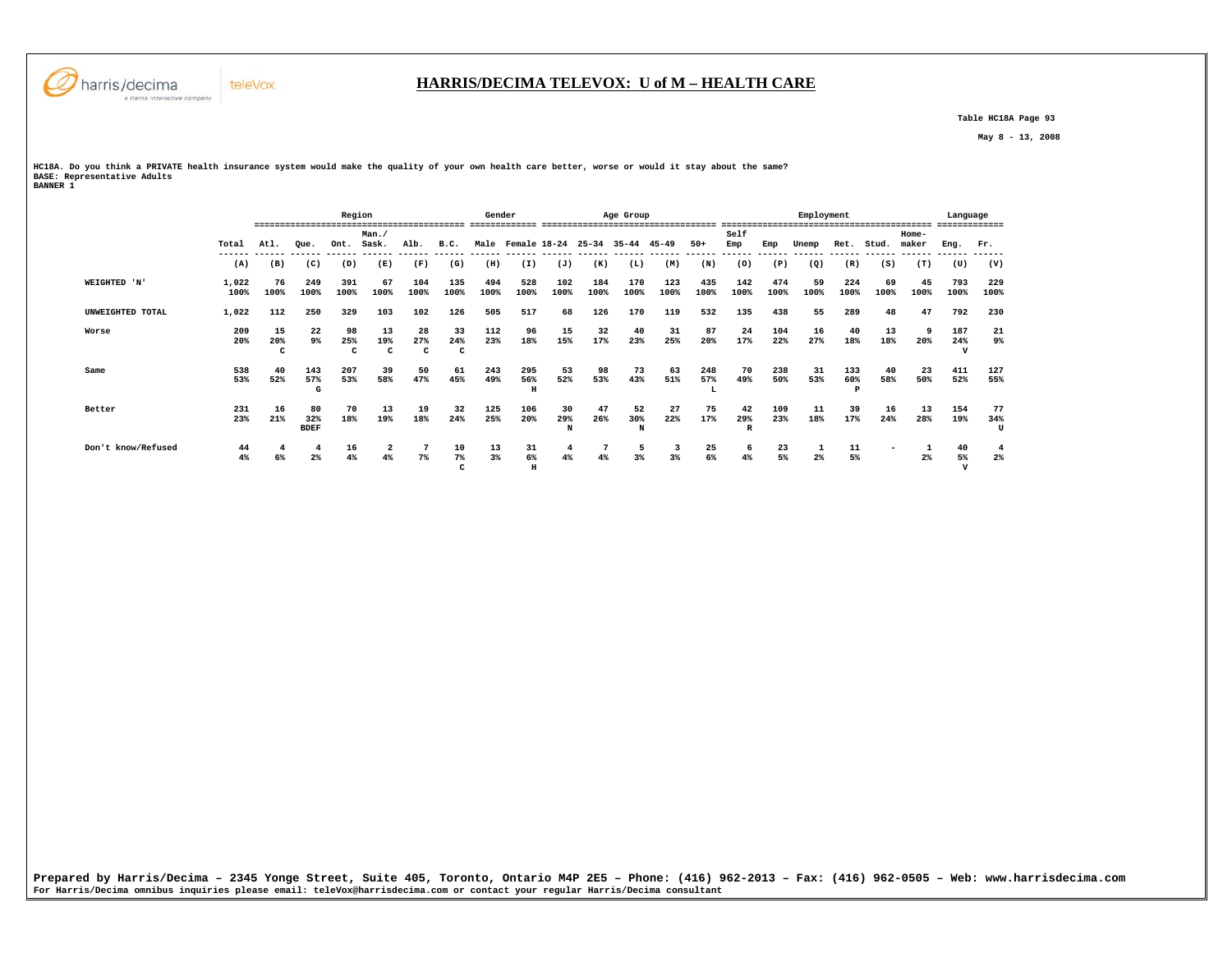

 **Table HC18A Page 93** 

 **May 8 - 13, 2008** 

**HC18A. Do you think a PRIVATE health insurance system would make the quality of your own health care better, worse or would it stay about the same? BASE: Representative Adults BANNER 1** 

 **Region Gender Age Group Employment Language ========================================= ============= ================================== ========================================= ============= Man./ Self Home-** Ret. Stud. maker  **Total Atl. Que. Ont. Sask. Alb. B.C. Male Female 18-24 25-34 35-44 45-49 50+ Emp Emp Unemp Ret. Stud. maker Eng. Fr. ------ ------ ------ ------ ------ ------ ------ ------ ------ ------ ------ ------ ------ ------ ------ ------ ------ ------ ------ ------ ------ ------ (A) (B) (C) (D) (E) (F) (G) (H) (I) (J) (K) (L) (M) (N) (O) (P) (Q) (R) (S) (T) (U) (V) WEIGHTED 'N' 1,022 76 249 391 67 104 135 494 528 102 184 170 123 435 142 474 59 224 69 45 793 229 100% 100% 100% 100% 100% 100% 100% 100% 100% 100% 100% 100% 100% 100% 100% 100% 100% 100% 100% 100% 100% 100% UNWEIGHTED TOTAL 1,022 112 250 329 103 102 126 505 517 68 126 170 119 532 135 438 55 289 48 47 792 230 Worse 209 15 22 98 13 28 33 112 96 15 32 40 31 87 24 104 16 40 13 9 187 21** 9%  **20% 20% 9% 25% 19% 27% 24% 23% 18% 15% 17% 23% 25% 20% 17% 22% 27% 18% 18% 20% 24% 9% C C C C C V Same 538 40 143 207 39 50 61 243 295 53 98 73 63 248 70 238 31 133 40 23 411 127 53% 52% 57% 53% 58% 47% 45% 49% 56% 52% 53% 43% 51% 57% 49% 50% 53% 60% 58% 50% 52% 55% G H L P Better 231 16 80 70 13 19 32 125 106 30 47 52 27 75 42 109 11 39 16 13 154 77** 34%  **23% 21% 32% 18% 19% 18% 24% 25% 20% 29% 26% 30% 22% 17% 29% 23% 18% 17% 24% 28% 19% 34% BDEF N N R U Don't know/Refused 44 4 4 16 2 7 10 13 31 4 7 5 3 25 6 23 1 11 - 1 40 4**  $2%$  **4% 6% 2% 4% 4% 7% 7% 3% 6% 4% 4% 3% 3% 6% 4% 5% 2% 5% 2% 5% 2% C H V**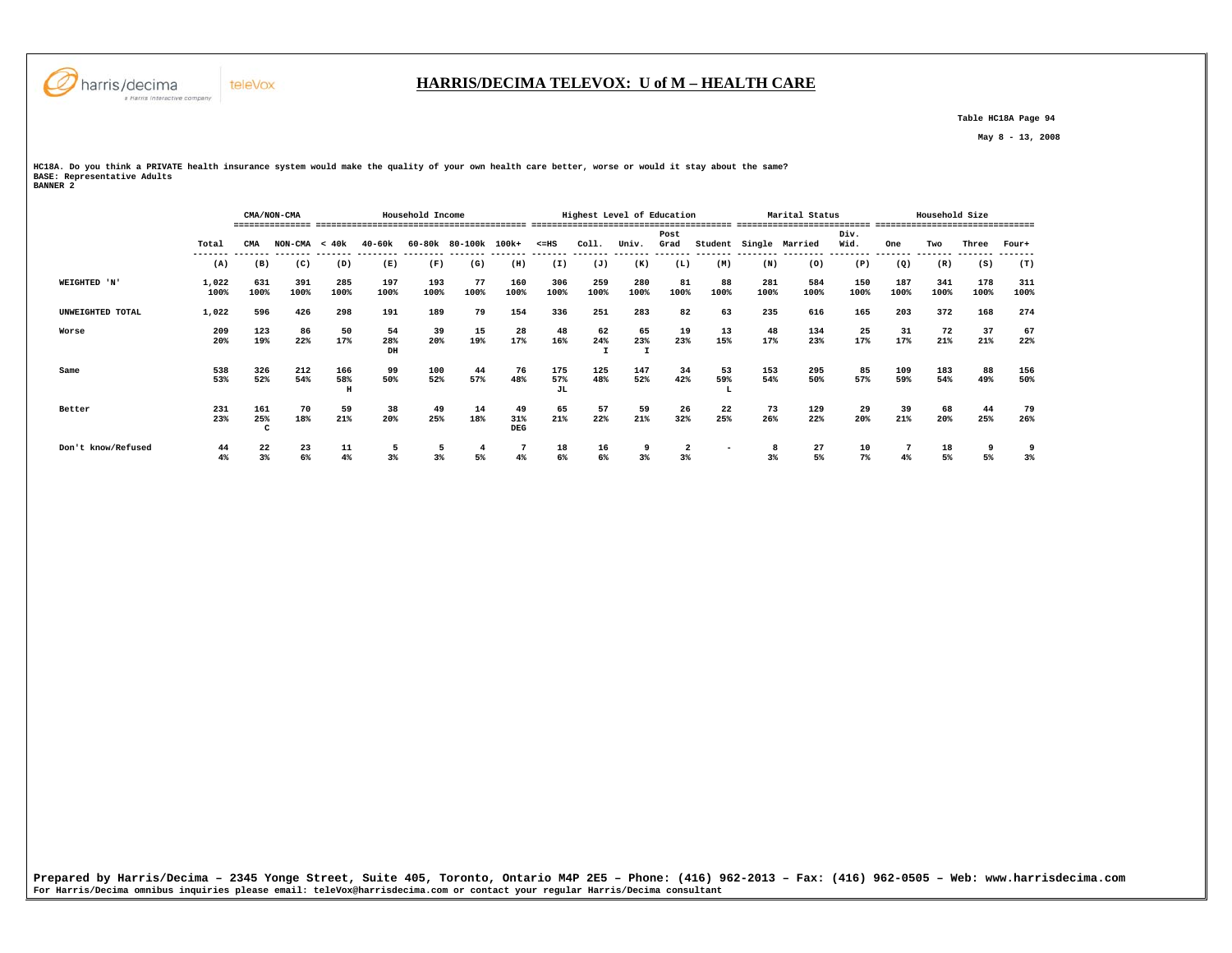

#### **HARRIS/DECIMA TELEVOX: U of M – HEALTH CARE**

 **Table HC18A Page 94** 

 **May 8 - 13, 2008** 

**HC18A. Do you think a PRIVATE health insurance system would make the quality of your own health care better, worse or would it stay about the same? BASE: Representative Adults BANNER 2** 

|                    |               |                 | CMA/NON-CMA                        |                 |                 | Household Income |                      |                         |                                      | Highest Level of Education               |             |              |                |             | Marital Status |              |             | Household Size |                                  |             |
|--------------------|---------------|-----------------|------------------------------------|-----------------|-----------------|------------------|----------------------|-------------------------|--------------------------------------|------------------------------------------|-------------|--------------|----------------|-------------|----------------|--------------|-------------|----------------|----------------------------------|-------------|
|                    | Total         | CMA             | ---------------<br>$NON-CMA < 40k$ |                 | 40-60k          |                  | 60-80k 80-100k 100k+ |                         | $< = HS$<br>-------- ------- ------- | -------------------------------<br>Coll. | Univ.       | Post<br>Grad | Student        |             | Single Married | Div.<br>Wid. | One         | Two            | -----------------------<br>Three | Four+       |
|                    | ------<br>(A) | (B)             | (C)                                | (D)             | (E)             | (F)              | (G)                  | (H)                     | (I)                                  | (J)                                      | (K)         | (L)          | (M)            | (N)         | (0)            | (P)          | (Q)         | (R)            | (S)                              | (T)         |
| WEIGHTED 'N'       | 1,022<br>100% | 631<br>100%     | 391<br>100%                        | 285<br>100%     | 197<br>100%     | 193<br>100%      | 77<br>100%           | 160<br>100%             | 306<br>100%                          | 259<br>100%                              | 280<br>100% | 81<br>100%   | 88<br>100%     | 281<br>100% | 584<br>100%    | 150<br>100%  | 187<br>100% | 341<br>100%    | 178<br>100%                      | 311<br>100% |
| UNWEIGHTED TOTAL   | 1,022         | 596             | 426                                | 298             | 191             | 189              | 79                   | 154                     | 336                                  | 251                                      | 283         | 82           | 63             | 235         | 616            | 165          | 203         | 372            | 168                              | 274         |
| Worse              | 209<br>20%    | 123<br>19%      | 86<br>22%                          | 50<br>17%       | 54<br>28%<br>DH | 39<br>20%        | 15<br>19%            | 28<br>17%               | 48<br>16%                            | 62<br>24%                                | 65<br>23%   | 19<br>23%    | 13<br>15%      | 48<br>17%   | 134<br>23%     | 25<br>17%    | 31<br>17%   | 72<br>21%      | 37<br>21%                        | 67<br>22%   |
| Same               | 538<br>53%    | 326<br>52%      | 212<br>54%                         | 166<br>58%<br>H | 99<br>50%       | 100<br>52%       | 44<br>57%            | 76<br>48%               | 175<br>57%<br>JL                     | 125<br>48%                               | 147<br>52%  | 34<br>42%    | 53<br>59%<br>┻ | 153<br>54%  | 295<br>50%     | 85<br>57%    | 109<br>59%  | 183<br>54%     | 88<br>49%                        | 156<br>50%  |
| Better             | 231<br>23%    | 161<br>25%<br>c | 70<br>18%                          | 59<br>21%       | 38<br>20%       | 49<br>25%        | 14<br>18%            | 49<br>31%<br><b>DEG</b> | 65<br>21%                            | 57<br>22%                                | 59<br>21%   | 26<br>32%    | 22<br>25%      | 73<br>26%   | 129<br>22%     | 29<br>20%    | 39<br>21%   | 68<br>20%      | 44<br>25%                        | 79<br>26%   |
| Don't know/Refused | 44<br>4%      | 22<br>$3\%$     | 23<br>6%                           | 11<br>4%        | $3\%$           | 3%               | 5%                   | 4%                      | 18<br>6%                             | 16<br>6%                                 | 3%          | 3%           |                | $3\%$       | 27<br>5%       | 10<br>$7\%$  | $4\%$       | 18<br>5%       | 5%                               | 3%          |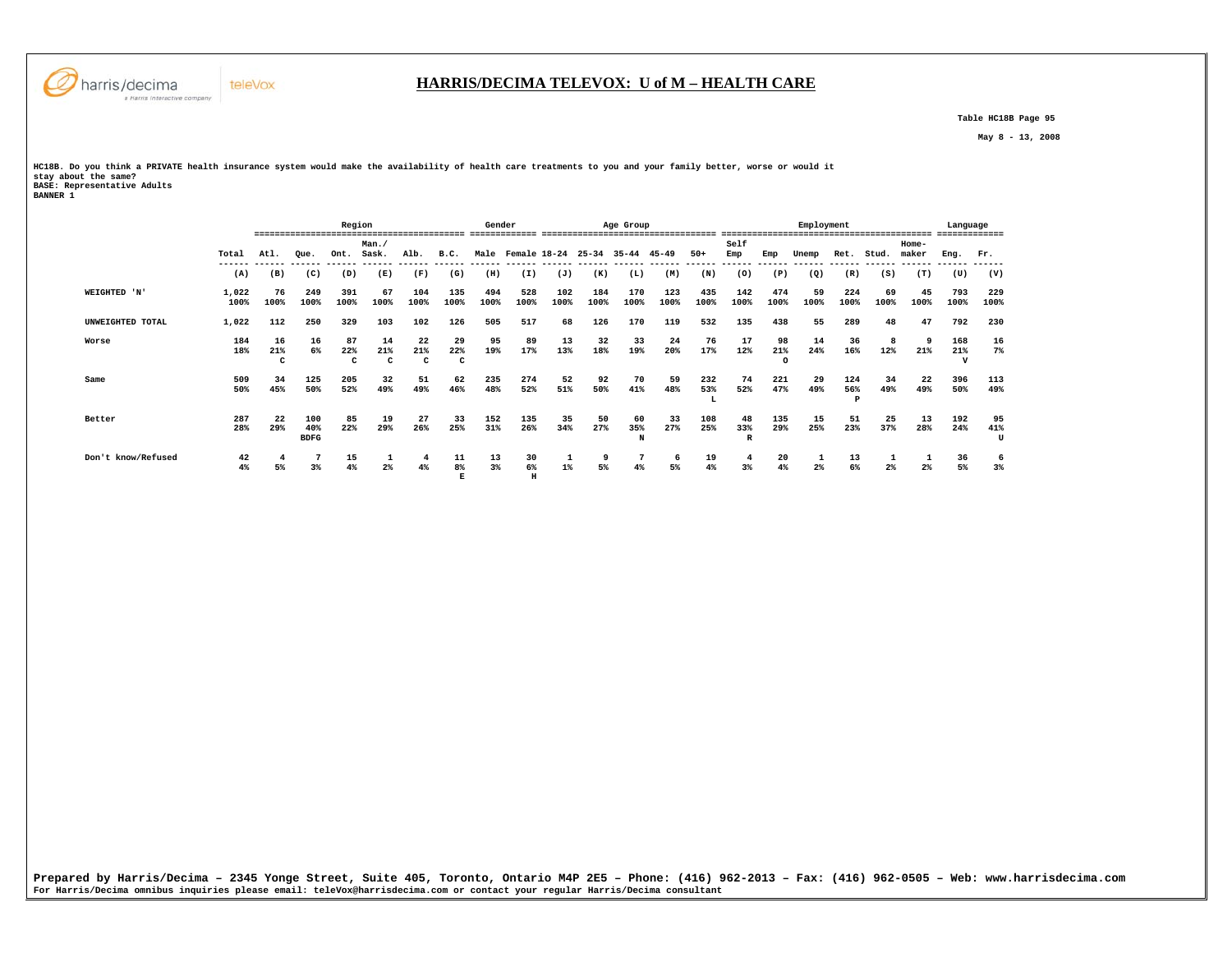

 **Table HC18B Page 95** 

 **May 8 - 13, 2008** 

**HC18B. Do you think a PRIVATE health insurance system would make the availability of health care treatments to you and your family better, worse or would it stay about the same? BASE: Representative Adults BANNER 1** 

 **E H** 

|                    |                 |                |                           | Region          |                  |                 |                | Gender      |                      |             |                     | Age Group   |             |                 |               |                 | Employment      |                |                |                 | Language |          |
|--------------------|-----------------|----------------|---------------------------|-----------------|------------------|-----------------|----------------|-------------|----------------------|-------------|---------------------|-------------|-------------|-----------------|---------------|-----------------|-----------------|----------------|----------------|-----------------|----------|----------|
|                    |                 | ----           | ------------------------- |                 | Man.             |                 |                |             |                      |             |                     |             |             |                 | Self          |                 |                 |                |                | ------<br>Home- |          |          |
|                    | Total<br>------ | Atl.<br>------ | Oue.<br>------            | Ont.<br>------- | Sask.<br>------- | Alb.<br>------- | B.C.<br>------ | ------      | Male Female 18-24    |             | $25 - 34$<br>------ | $35 - 44$   | $45 - 49$   | $50+$<br>------ | Emp<br>------ | Emp             | Unemp<br>------ | Ret.<br>------ | Stud.          | maker           | Eng.     | Fr.      |
|                    | (A)             | (B)            | (C)                       | (D)             | (E)              | (F)             | (G)            | (H)         | ------ ------<br>(I) | (J)         | (K)                 | (L)         | (M)         | (N)             | (0)           | (P)             | (Q)             | (R)            | (S)            | (T)             | (U)      | (V)      |
| WEIGHTED 'N'       | 1,022           | 76             | 249<br>100%               | 391<br>100%     | 67<br>100%       | 104             | 135<br>100%    | 494<br>100% | 528<br>100%          | 102<br>100% | 184<br>100%         | 170<br>100% | 123<br>100% | 435<br>100%     | 142           | 474<br>100%     | 59              | 224<br>100%    | 69<br>100%     | 45<br>100%      | 793      | 229      |
|                    | 100%            | 100%           |                           |                 |                  | 100%            |                |             |                      |             |                     |             |             |                 | 100%          |                 | 100%            |                |                |                 | 100%     | 100%     |
| UNWEIGHTED TOTAL   | 1,022           | 112            | 250                       | 329             | 103              | 102             | 126            | 505         | 517                  | 68          | 126                 | 170         | 119         | 532             | 135           | 438             | 55              | 289            | 48             | 47              | 792      | 230      |
| Worse              | 184             | 16             | 16                        | 87              | 14               | 22              | 29             | 95          | 89                   | 13          | 32                  | 33          | 24          | 76              | 17            | 98              | 14              | 36             |                | ٠q              | 168      | 16       |
|                    | 18%             | 21%<br>c       | 6%                        | 22%<br>c        | 21%<br>C         | 21%<br>c        | 22%<br>c       | 19%         | 17%                  | 13%         | 18%                 | 19%         | 20%         | 17%             | 12%           | 21%<br>$\Omega$ | 24%             | 16%            | 12%            | 21%             | 21%<br>v | $7\%$    |
| Same               | 509             | 34             | 125                       | 205             | 32               | 51              | 62             | 235         | 274                  | 52          | 92                  | 70          | 59          | 232             | 74            | 221             | 29              | 124            | 34             | 22              | 396      | 113      |
|                    | 50%             | 45%            | 50%                       | 52%             | 49%              | 49%             | 46%            | 48%         | 52%                  | 51%         | 50%                 | 41%         | 48%         | 53%             | 52%           | 47%             | 49%             | 56%<br>P       | 49%            | 49%             | 50%      | 49%      |
| Better             | 287             | 22             | 100                       | 85              | 19               | 27              | 33             | 152         | 135                  | 35          | 50                  | 60          | 33          | 108             | 48            | 135             | 15              | 51             | 25             | 13              | 192      | 95       |
|                    | 28%             | 29%            | 40%<br><b>BDFG</b>        | 22%             | 29%              | 26%             | 25%            | 31%         | 26%                  | 34%         | 27%                 | 35%<br>N    | 27%         | 25%             | 33%           | 29%             | 25%             | 23%            | 37%            | 28%             | 24%      | 41%<br>U |
| Don't know/Refused | 42              |                |                           | 15              |                  |                 | 11             | 13          | 30                   |             |                     |             | b           | 19              | 4             | 20              |                 | 13             |                |                 | 36       | 6<br>3%  |
|                    | 4%              | 5%             | 3%                        | 4%              | 2%               | 4%              | 8 <sup>8</sup> | 3%          | 6%                   | $1\%$       | 5%                  | 4%          | 5%          | 4%              | 3%            | 4%              | $2\%$           | 6%             | 2 <sup>°</sup> | 2%              | 5%       |          |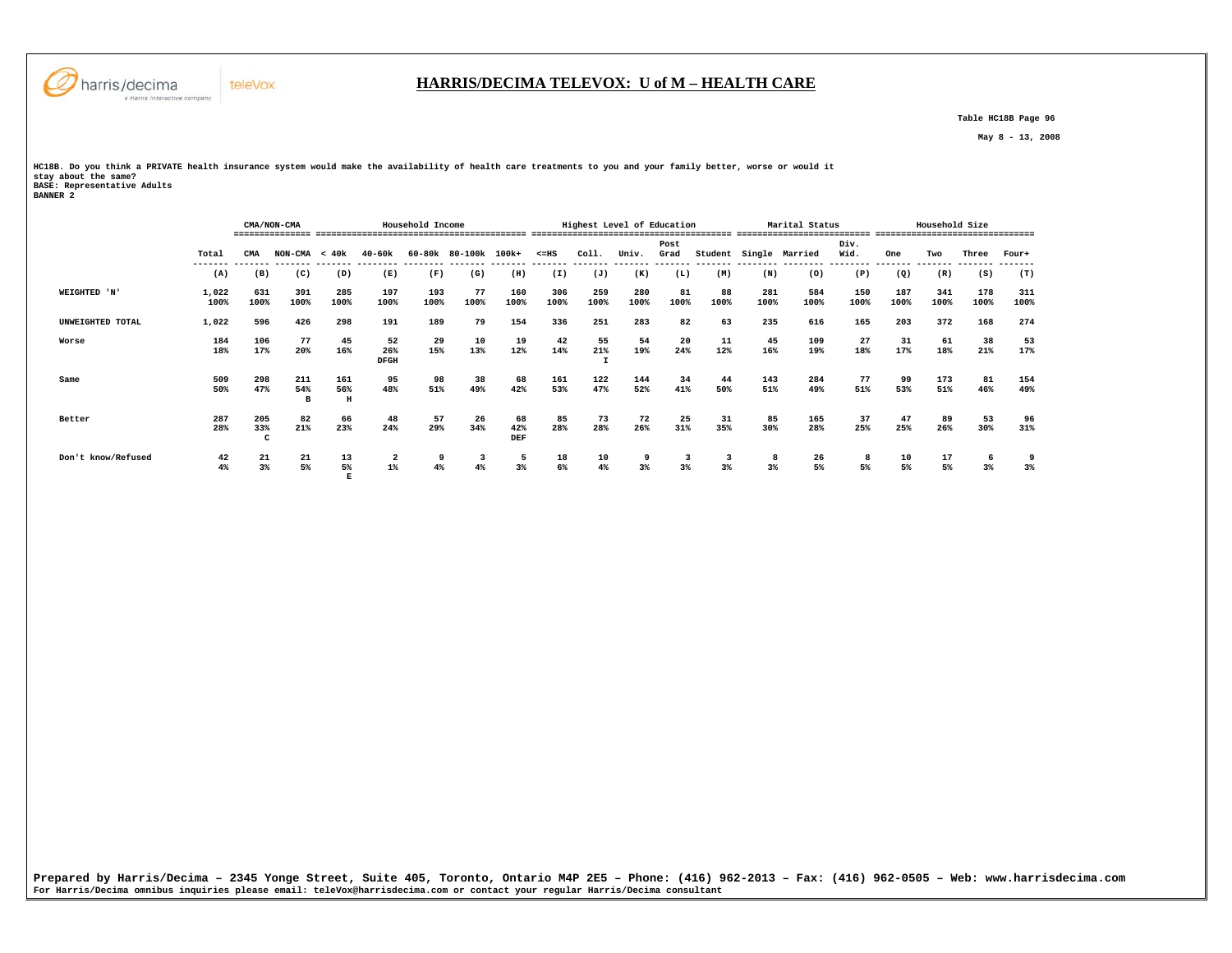

 **E** 

#### **HARRIS/DECIMA TELEVOX: U of M – HEALTH CARE**

 **Table HC18B Page 96** 

 **May 8 - 13, 2008** 

**HC18B. Do you think a PRIVATE health insurance system would make the availability of health care treatments to you and your family better, worse or would it stay about the same? BASE: Representative Adults BANNER 2** 

|                    |               |                 | CMA/NON-CMA     |                 | Household Income                 |             | Highest Level of Education |                  |             |             |             | Marital Status |            |             | Household Size | -------------------------------- |             |             |                                        |             |
|--------------------|---------------|-----------------|-----------------|-----------------|----------------------------------|-------------|----------------------------|------------------|-------------|-------------|-------------|----------------|------------|-------------|----------------|----------------------------------|-------------|-------------|----------------------------------------|-------------|
|                    | Total         | CMA             | $NON-CMA < 40k$ |                 | 40-60k                           |             | 60-80k 80-100k 100k+       |                  | $< = HS$    | Coll.       | Univ.       | Post<br>Grad   | Student    |             | Single Married | Div.<br>Wid.                     | One         | Two         | Three                                  | Four+       |
|                    | (A)           | (B)             | (C)             | (D)             | (E)                              | (F)         | (G)                        | (H)              | (I)         | (J)         | (K)         | (L)            | (M)        | (N)         | (0)            | (P)                              | (Q)         | (R)         | (S)                                    | (T)         |
| WEIGHTED 'N'       | 1,022<br>100% | 631<br>100%     | 391<br>100%     | 285<br>100%     | 197<br>100%                      | 193<br>100% | 77<br>100%                 | 160<br>100%      | 306<br>100% | 259<br>100% | 280<br>100% | 81<br>100%     | 88<br>100% | 281<br>100% | 584<br>100%    | 150<br>100%                      | 187<br>100% | 341<br>100% | 178<br>100%                            | 311<br>100% |
| UNWEIGHTED TOTAL   | 1,022         | 596             | 426             | 298             | 191                              | 189         | 79                         | 154              | 336         | 251         | 283         | 82             | 63         | 235         | 616            | 165                              | 203         | 372         | 168                                    | 274         |
| Worse              | 184<br>18%    | 106<br>17%      | 77<br>20%       | 45<br>16%       | 52<br>26%<br><b>DFGH</b>         | 29<br>15%   | 10<br>13%                  | 19<br>12%        | 42<br>14%   | 55<br>21%   | 54<br>19%   | 20<br>24%      | 11<br>12%  | 45<br>16%   | 109<br>19%     | 27<br>18%                        | 31<br>17%   | 61<br>18%   | 38<br>21%                              | 53<br>17%   |
| Same               | 509<br>50%    | 298<br>47%      | 211<br>54%<br>B | 161<br>56%<br>н | 95<br>48%                        | 98<br>51%   | 38<br>49%                  | 68<br>42%        | 161<br>53%  | 122<br>47%  | 144<br>52%  | 34<br>41%      | 44<br>50%  | 143<br>51%  | 284<br>49%     | 77<br>51%                        | 99<br>53%   | 173<br>51%  | 81<br>46%                              | 154<br>49%  |
| Better             | 287<br>28%    | 205<br>33%<br>C | 82<br>21%       | 66<br>23%       | 48<br>24%                        | 57<br>29%   | 26<br>34%                  | 68<br>42%<br>DEF | 85<br>28%   | 73<br>28%   | 72<br>26%   | 25<br>31%      | 31<br>35%  | 85<br>30%   | 165<br>28%     | 37<br>25%                        | 47<br>25%   | 89<br>26%   | 53<br>30%                              | 96<br>31%   |
| Don't know/Refused | 42<br>4%      | 21<br>3%        | 21<br>5%        | 13<br>5%        | $\overline{\mathbf{2}}$<br>$1\%$ | 4%          | 4%                         | 5<br>3%          | 18<br>6%    | 10<br>4%    | 3%          | 3%             | 3%         | 3%          | 26<br>5%       | 5%                               | 10<br>5%    | 17<br>5%    | $\ddot{\phantom{0}}$<br>3 <sup>8</sup> | 9<br>3%     |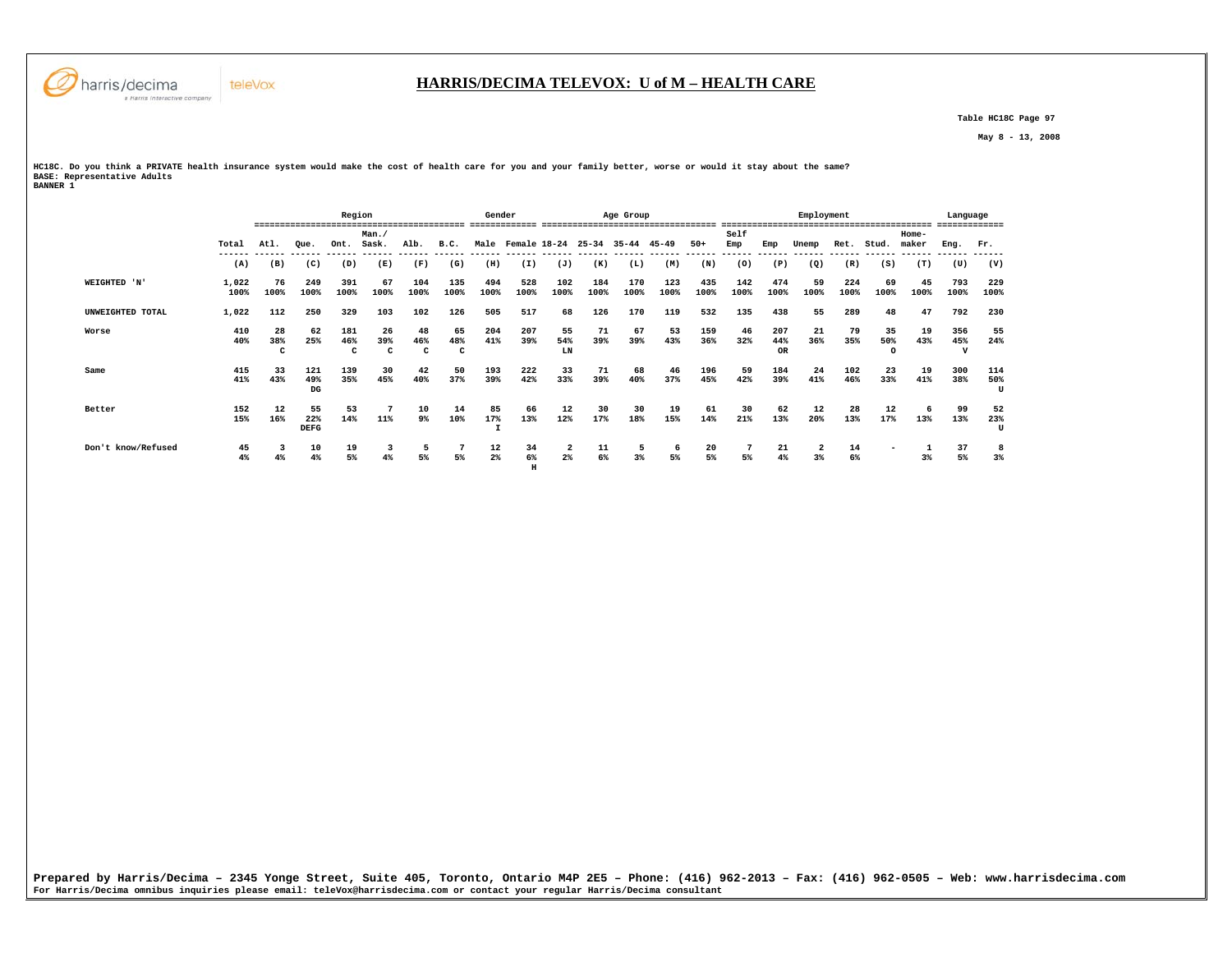

 **Table HC18C Page 97** 

 **May 8 - 13, 2008** 

**HC18C. Do you think a PRIVATE health insurance system would make the cost of health care for you and your family better, worse or would it stay about the same? BASE: Representative Adults BANNER 1** 

 **H** 

 **Region Gender Age Group Employment Language ========================================= ============= ================================== ========================================= ============= Man./ Self Home-** Ret. Stud. maker  **Total Atl. Que. Ont. Sask. Alb. B.C. Male Female 18-24 25-34 35-44 45-49 50+ Emp Emp Unemp Ret. Stud. maker Eng. Fr. ------ ------ ------ ------ ------ ------ ------ ------ ------ ------ ------ ------ ------ ------ ------ ------ ------ ------ ------ ------ ------ ------ (A) (B) (C) (D) (E) (F) (G) (H) (I) (J) (K) (L) (M) (N) (O) (P) (Q) (R) (S) (T) (U) (V) WEIGHTED 'N' 1,022 76 249 391 67 104 135 494 528 102 184 170 123 435 142 474 59 224 69 45 793 229 100% 100% 100% 100% 100% 100% 100% 100% 100% 100% 100% 100% 100% 100% 100% 100% 100% 100% 100% 100% 100% 100% UNWEIGHTED TOTAL 1,022 112 250 329 103 102 126 505 517 68 126 170 119 532 135 438 55 289 48 47 792 230 Worse 410 28 62 181 26 48 65 204 207 55 71 67 53 159 46 207 21 79 35 19 356 55**  $24%$  **40% 38% 25% 46% 39% 46% 48% 41% 39% 54% 39% 39% 43% 36% 32% 44% 36% 35% 50% 43% 45% 24% C C C C C LN OR O V Same 415 33 121 139 30 42 50 193 222 33 71 68 46 196 59 184 24 102 23 19 300 114** 50%  **41% 43% 49% 35% 45% 40% 37% 39% 42% 33% 39% 40% 37% 45% 42% 39% 41% 46% 33% 41% 38% 50%**  $\mathbf{H}$  **DG U Better 152 12 55 53 7 10 14 85 66 12 30 30 19 61 30 62 12 28 12 6 99 52**  $\frac{52}{23\%}$  **15% 16% 22% 14% 11% 9% 10% 17% 13% 12% 17% 18% 15% 14% 21% 13% 20% 13% 17% 13% 13% 23%** pergetal contracts to the contracts of the contracts of the contracts of the contracts of the contracts of the contracts of the contracts of the contracts of the contracts of the contracts of the contracts of the contracts  **Don't know/Refused 45 3 10 19 3 5 7 12 34 2 11 5 6 20 7 21 2 14 - 1 37 8**  $3%$  **4% 4% 4% 5% 4% 5% 5% 2% 6% 2% 6% 3% 5% 5% 5% 4% 3% 6% 3% 5% 3%**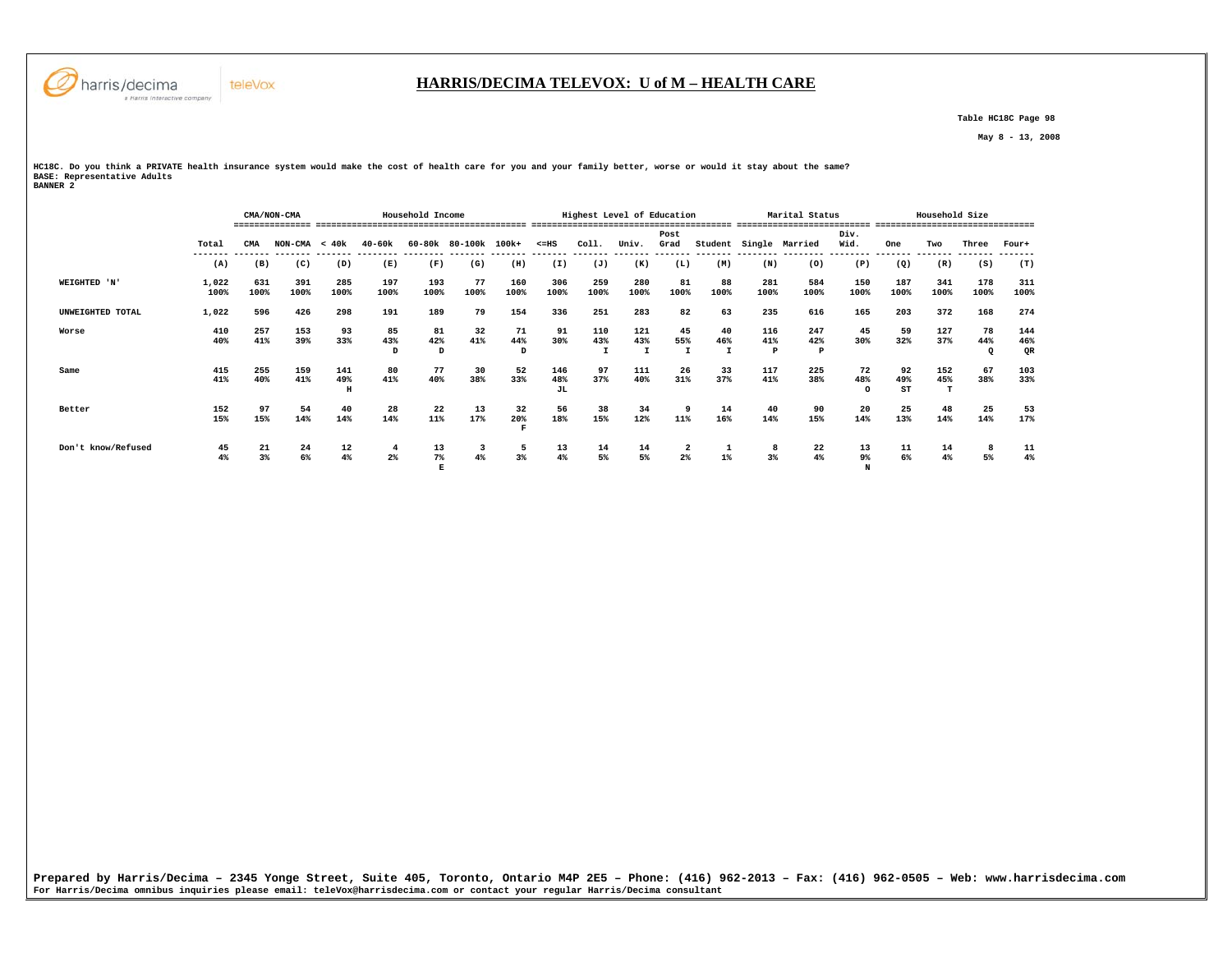

#### **HARRIS/DECIMA TELEVOX: U of M – HEALTH CARE**

 **Table HC18C Page 98** 

 **May 8 - 13, 2008** 

**HC18C. Do you think a PRIVATE health insurance system would make the cost of health care for you and your family better, worse or would it stay about the same? BASE: Representative Adults BANNER 2** 

|                    |               |             | CMA/NON-CMA                               |                 |                | Household Income |                                           |                |                  | Highest Level of Education |                   |                                  |                  |                 | Marital Status             |                      |                   | Household Size |                      |                                           |
|--------------------|---------------|-------------|-------------------------------------------|-----------------|----------------|------------------|-------------------------------------------|----------------|------------------|----------------------------|-------------------|----------------------------------|------------------|-----------------|----------------------------|----------------------|-------------------|----------------|----------------------|-------------------------------------------|
|                    |               |             |                                           |                 |                |                  |                                           |                |                  |                            |                   |                                  |                  |                 |                            |                      |                   |                |                      |                                           |
|                    |               |             |                                           |                 |                |                  |                                           |                |                  |                            |                   | Post                             |                  |                 |                            | Div.                 |                   |                |                      |                                           |
|                    | Total         | CMA         | $NON-CMA < 40k$<br>------- ------- ------ |                 | 40-60k         |                  | 60-80k 80-100k 100k+                      |                | $< = HS$         | col1.                      | Univ.<br>-------- | Grad                             | -------- ------- |                 | Student Single Married     | Wid.                 | One               | Two            | Three                | Four+                                     |
|                    | (A)           | (B)         | (C)                                       | (D)             | (E)            | (F)              | (G)                                       | (H)            | (I)              | (J)                        | (K)               | (L)                              | (M)              | (N)             | (0)                        | (P)                  | (Q)               | (R)            | (S)                  | (T)                                       |
| WEIGHTED 'N'       | 1,022<br>100% | 631<br>100% | 391<br>100%                               | 285<br>100%     | 197<br>100%    | 193<br>100%      | 77<br>100%                                | 160<br>100%    | 306<br>100%      | 259<br>100%                | 280<br>100%       | 81<br>100%                       | 88<br>100%       | 281<br>100%     | 584<br>100%                | 150<br>100%          | 187<br>100%       | 341<br>100%    | 178<br>100%          | 311<br>100%                               |
| UNWEIGHTED TOTAL   | 1,022         | 596         | 426                                       | 298             | 191            | 189              | 79                                        | 154            | 336              | 251                        | 283               | 82                               | 63               | 235             | 616                        | 165                  | 203               | 372            | 168                  | 274                                       |
| Worse              | 410<br>40%    | 257<br>41%  | 153<br>39%                                | 93<br>33%       | 85<br>43%<br>D | 81<br>42%<br>D   | 32<br>41%                                 | 71<br>44%<br>D | 91<br>30%        | 110<br>43%                 | 121<br>43%        | 45<br>55%<br>$\mathbf \tau$      | 40<br>46%        | 116<br>41%<br>P | 247<br>42%<br>$\mathbf{P}$ | 45<br>30%            | 59<br>32%         | 127<br>37%     | 78<br>44%<br>$\circ$ | 144<br>46%<br>QR                          |
| Same               | 415<br>41%    | 255<br>40%  | 159<br>41%                                | 141<br>49%<br>H | 80<br>41%      | 77<br>40%        | 30<br>38%                                 | 52<br>33%      | 146<br>48%<br>JL | 97<br>37%                  | 111<br>40%        | 26<br>31%                        | 33<br>37%        | 117<br>41%      | 225<br>38%                 | 72<br>48%<br>$\circ$ | 92<br>49%<br>ST   | 152<br>45%     | 67<br>38%            | 103<br>33%                                |
| Better             | 152<br>15%    | 97<br>15%   | 54<br>14%                                 | 40<br>14%       | 28<br>14%      | 22<br>11%        | $\begin{array}{c} 13 \\ 17\% \end{array}$ | 32<br>20%      | 56<br>18%        | 38<br>15%                  | 34<br>12%         | 9<br>11%                         | 14<br>16%        | 40<br>14%       | 90<br>15%                  | 20<br>14%            | $\frac{25}{13\%}$ | 48<br>14%      | 25<br>14%            | $\begin{array}{c} 53 \\ 17\% \end{array}$ |
| Don't know/Refused | 45<br>4%      | 21<br>3%    | 24<br>6%                                  | 12<br>4%        | 4<br>$2\%$     | 13<br>$7\%$<br>E | 4%                                        | 5<br>3%        | 13<br>4%         | 14<br>5%                   | 14<br>5%          | $\overline{a}$<br>2 <sup>8</sup> | 1%               | 8<br>3%         | 22<br>4%                   | 13<br>9%<br>N        | 11<br>6%          | 14<br>$4\%$    | 5%                   | 11<br>4%                                  |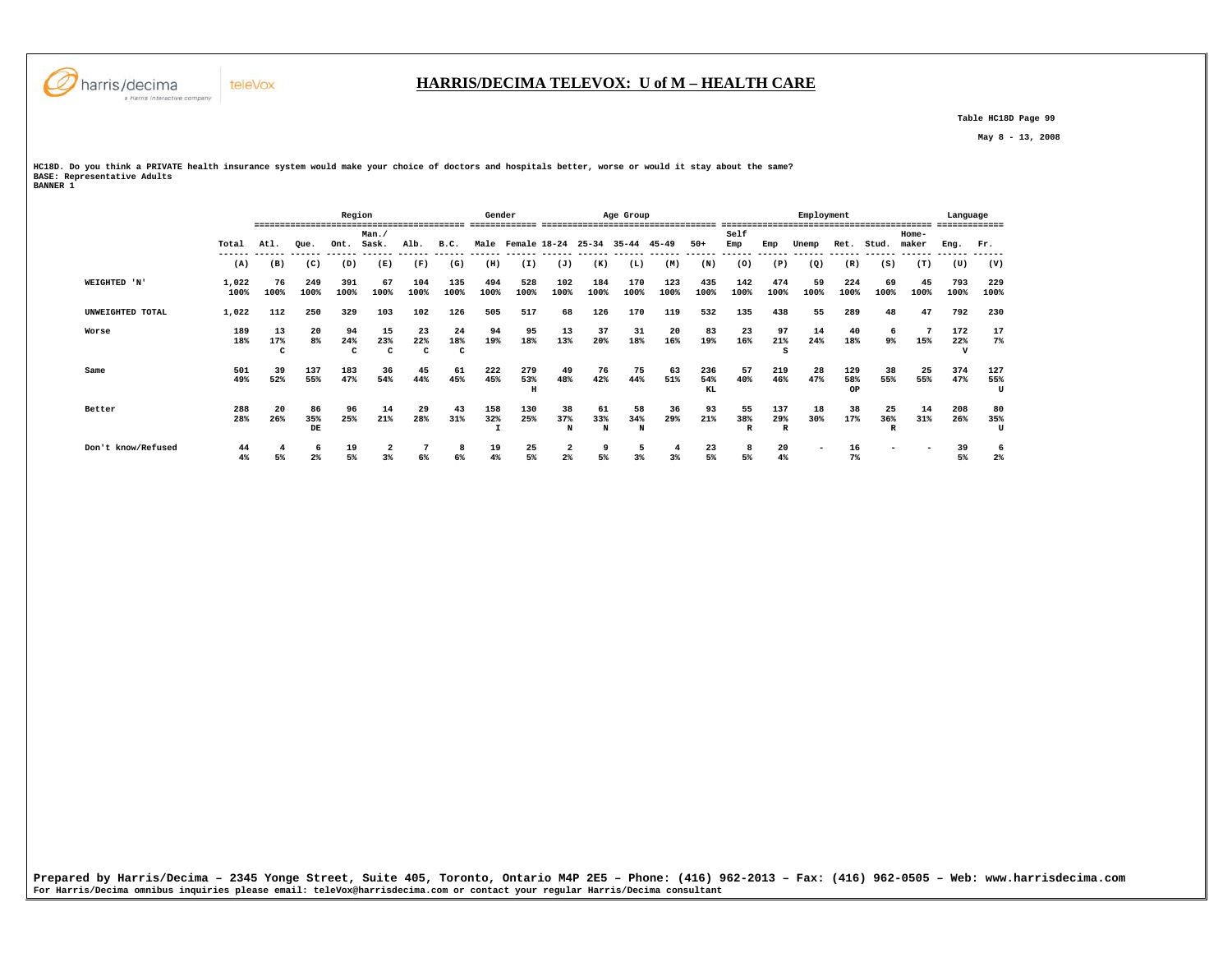

 **Table HC18D Page 99** 

 **May 8 - 13, 2008** 

**HC18D. Do you think a PRIVATE health insurance system would make your choice of doctors and hospitals better, worse or would it stay about the same? BASE: Representative Adults BANNER 1** 

|                    |               | ====           |                      | Region         |                |                |                | Gender      |                 |                |                | Age Group      |             |                  |                |                 | Employment |                  |            |                | Language    |                 |
|--------------------|---------------|----------------|----------------------|----------------|----------------|----------------|----------------|-------------|-----------------|----------------|----------------|----------------|-------------|------------------|----------------|-----------------|------------|------------------|------------|----------------|-------------|-----------------|
|                    | Total         | At.1.          | Oue.                 | Ont.           | Man./<br>Sask. | Alb.           | B.C.           | Male        | Female 18-24    |                | $25 - 34$      | $35 - 44$      | $45 - 49$   | $50+$            | Self<br>Emp    | Emp             | Tinemr     | Ret.             | Stud.      | Home-<br>maker | Enq.        | Fr.             |
|                    | (A)           | (B)            | (C)                  | (D)            | (E)            | (F)            | (G)            | (H)         | (I)             | (J)            | (K)            | (L)            | (M)         | (N)              | (0)            | (P)             | (Q)        | (R)              | (S)        | (T)            | (U)         | (V)             |
| WEIGHTED 'N'       | 1,022<br>100% | 76<br>100%     | 249<br>100%          | 391<br>100%    | 67<br>100%     | 104<br>100%    | 135<br>100%    | 494<br>100% | 528<br>100%     | 102<br>100%    | 184<br>100%    | 170<br>100%    | 123<br>100% | 435<br>100%      | 142<br>100%    | 474<br>100%     | 59<br>100% | 224<br>100%      | 69<br>100% | 45<br>100%     | 793<br>100% | 229<br>100%     |
| UNWEIGHTED TOTAL   | 1,022         | 112            | 250                  | 329            | 103            | 102            | 126            | 505         | 517             | 68             | 126            | 170            | 119         | 532              | 135            | 438             | 55         | 289              | 48         | 47             | 792         | 230             |
| Worse              | 189<br>18%    | 13<br>17%<br>c | 20<br>8 <sup>°</sup> | 94<br>24%<br>с | 15<br>23%<br>c | 23<br>22%<br>c | 24<br>18%<br>c | 94<br>19%   | 95<br>18%       | 13<br>13%      | 37<br>20%      | 31<br>18%      | 20<br>16%   | 83<br>19%        | 23<br>16%      | 97<br>21%<br>s  | 14<br>24%  | 40<br>18%        | 9%         | 15%            | 172<br>22%  | 17<br>$7\%$     |
| Same               | 501<br>49%    | 39<br>52%      | 137<br>55%           | 183<br>47%     | 36<br>54%      | 45<br>44%      | 61<br>45%      | 222<br>45%  | 279<br>53%<br>H | 49<br>48%      | 76<br>42%      | 75<br>44%      | 63<br>51%   | 236<br>54%<br>KL | 57<br>40%      | 219<br>46%      | 28<br>47%  | 129<br>58%<br>OP | 38<br>55%  | 25<br>55%      | 374<br>47%  | 127<br>55%<br>U |
| Better             | 288<br>28%    | 20<br>26%      | 86<br>35%<br>DE      | 96<br>25%      | 14<br>21%      | 29<br>28%      | 43<br>31%      | 158<br>32%  | 130<br>25%      | 38<br>37%<br>N | 61<br>33%<br>N | 58<br>34%<br>N | 36<br>29%   | 93<br>21%        | 55<br>38%<br>R | 137<br>29%<br>R | 18<br>30%  | 38<br>17%        | 25<br>36%  | 14<br>31%      | 208<br>26%  | 80<br>35%<br>U  |
| Don't know/Refused | 44<br>4%      | 5%             | -6<br>2 <sup>°</sup> | 19<br>5%       | 3%             | 6%             | -8<br>6%       | 19<br>4%    | 25<br>5%        | 2<br>2%        | 5%             | 5<br>3%        | $3\%$       | 23<br>5%         | 5%             | 20<br>4%        |            | 16<br>$7\%$      |            |                | 39<br>5%    | 6<br>$2\%$      |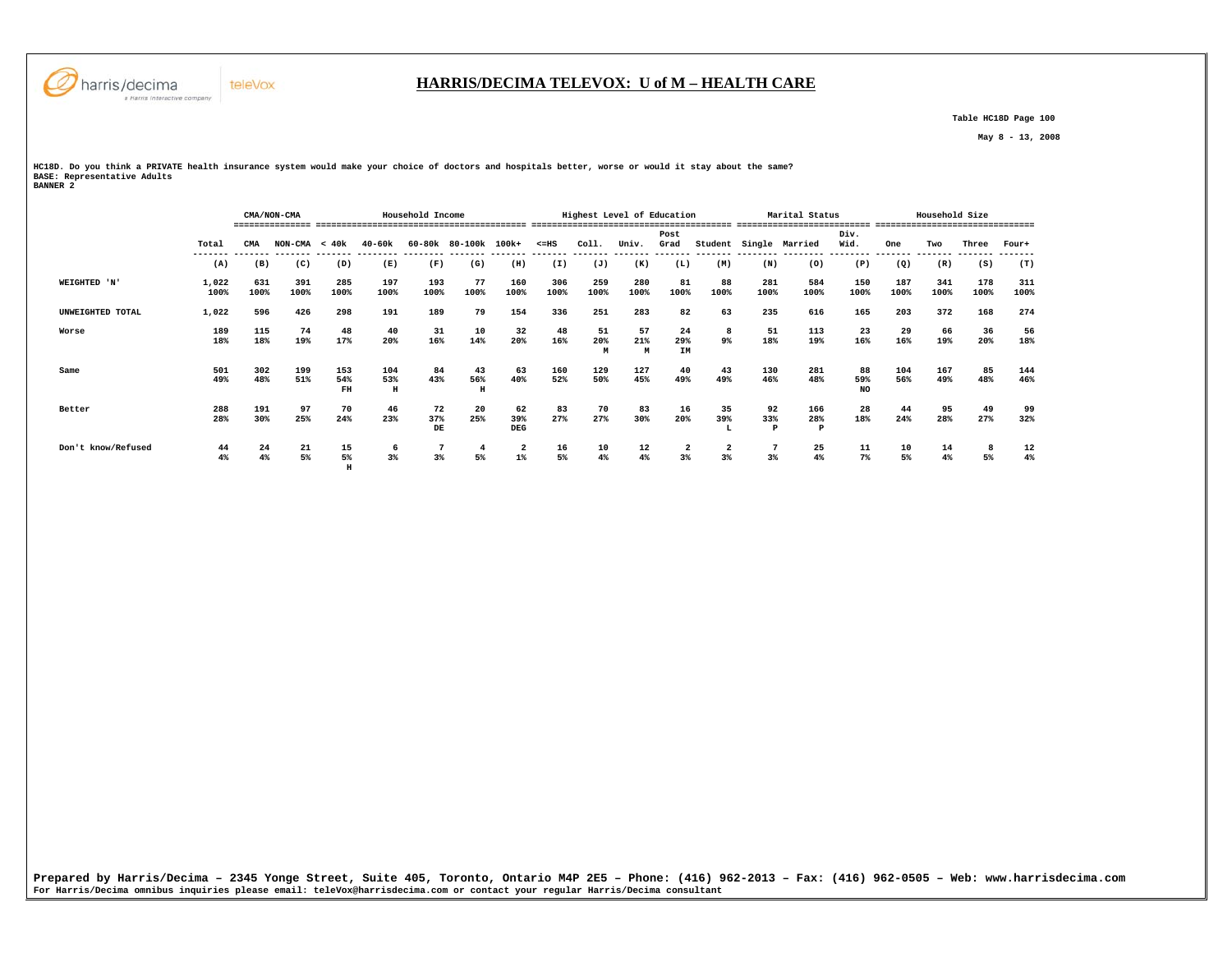

 **H** 

#### **HARRIS/DECIMA TELEVOX: U of M – HEALTH CARE**

 **Table HC18D Page 100** 

 **May 8 - 13, 2008** 

**HC18D. Do you think a PRIVATE health insurance system would make your choice of doctors and hospitals better, worse or would it stay about the same? BASE: Representative Adults BANNER 2** 

|                    |               |             | CMA/NON-CMA     |                  |                 | Household Income |                |                                  |             |                | Highest Level of Education |                        |                               |             | Marital Status  |                 |             | Household Size |             |                        |
|--------------------|---------------|-------------|-----------------|------------------|-----------------|------------------|----------------|----------------------------------|-------------|----------------|----------------------------|------------------------|-------------------------------|-------------|-----------------|-----------------|-------------|----------------|-------------|------------------------|
|                    | Total         | CMA         | $NON-CMA < 40k$ |                  | $40 - 60k$      | 60-80k           | 80-100k 100k+  |                                  | $< = HS$    | Coll.          | Univ.                      | Post<br>Grad           | Student                       | Single      | Married         | Div.<br>Wid.    | One         | Two            | Three       | -------------<br>Four+ |
|                    | (A)           | (B)         | (C)             | (D)              | (E)             | (F)              | (G)            | (H)                              | (I)         | (J)            | (K)                        | (L)                    | (M)                           | (N)         | (0)             | (P)             | (Q)         | (R)            | (S)         | (T)                    |
| WEIGHTED 'N'       | 1,022<br>100% | 631<br>100% | 391<br>100%     | 285<br>100%      | 197<br>100%     | 193<br>100%      | 77<br>100%     | 160<br>100%                      | 306<br>100% | 259<br>100%    | 280<br>100%                | 81<br>100%             | 88<br>100%                    | 281<br>100% | 584<br>100%     | 150<br>100%     | 187<br>100% | 341<br>100%    | 178<br>100% | 311<br>100%            |
| UNWEIGHTED TOTAL   | 1,022         | 596         | 426             | 298              | 191             | 189              | 79             | 154                              | 336         | 251            | 283                        | 82                     | 63                            | 235         | 616             | 165             | 203         | 372            | 168         | 274                    |
| Worse              | 189<br>18%    | 115<br>18%  | 74<br>19%       | 48<br>17%        | 40<br>20%       | 31<br>16%        | 10<br>14%      | 32<br>20%                        | 48<br>16%   | 51<br>20%<br>M | 57<br>21%<br>M             | 24<br>29%<br><b>IM</b> | 8<br>9%                       | 51<br>18%   | 113<br>19%      | 23<br>16%       | 29<br>16%   | 66<br>19%      | 36<br>20%   | 56<br>18%              |
| Same               | 501<br>49%    | 302<br>48%  | 199<br>51%      | 153<br>54%<br>FH | 104<br>53%<br>Н | 84<br>43%        | 43<br>56%<br>H | 63<br>40%                        | 160<br>52%  | 129<br>50%     | 127<br>45%                 | 40<br>49%              | 43<br>49%                     | 130<br>46%  | 281<br>48%      | 88<br>59%<br>NO | 104<br>56%  | 167<br>49%     | 85<br>48%   | 144<br>46%             |
| Better             | 288<br>28%    | 191<br>30%  | 97<br>25%       | 70<br>24%        | 46<br>23%       | 72<br>37%<br>DE  | 20<br>25%      | 62<br>39%<br>DEG                 | 83<br>27%   | 70<br>27%      | 83<br>30%                  | 16<br>20%              | 35<br>39%<br>L                | 92<br>33%   | 166<br>28%<br>P | 28<br>18%       | 44<br>24%   | 95<br>28%      | 49<br>27%   | 99<br>32%              |
| Don't know/Refused | 44<br>4%      | 24<br>4%    | 21<br>5%        | 15<br>5%         | 6<br>3%         | 3%               | 5%             | $\overline{\mathbf{2}}$<br>$1\%$ | 16<br>5%    | 10<br>$4\%$    | 12<br>4%                   | $\overline{a}$<br>3%   | $\overline{\mathbf{2}}$<br>3% | 3%          | 25<br>4%        | 11<br>$7\%$     | 10<br>5%    | 14<br>$4\%$    | 5%          | 12<br>4%               |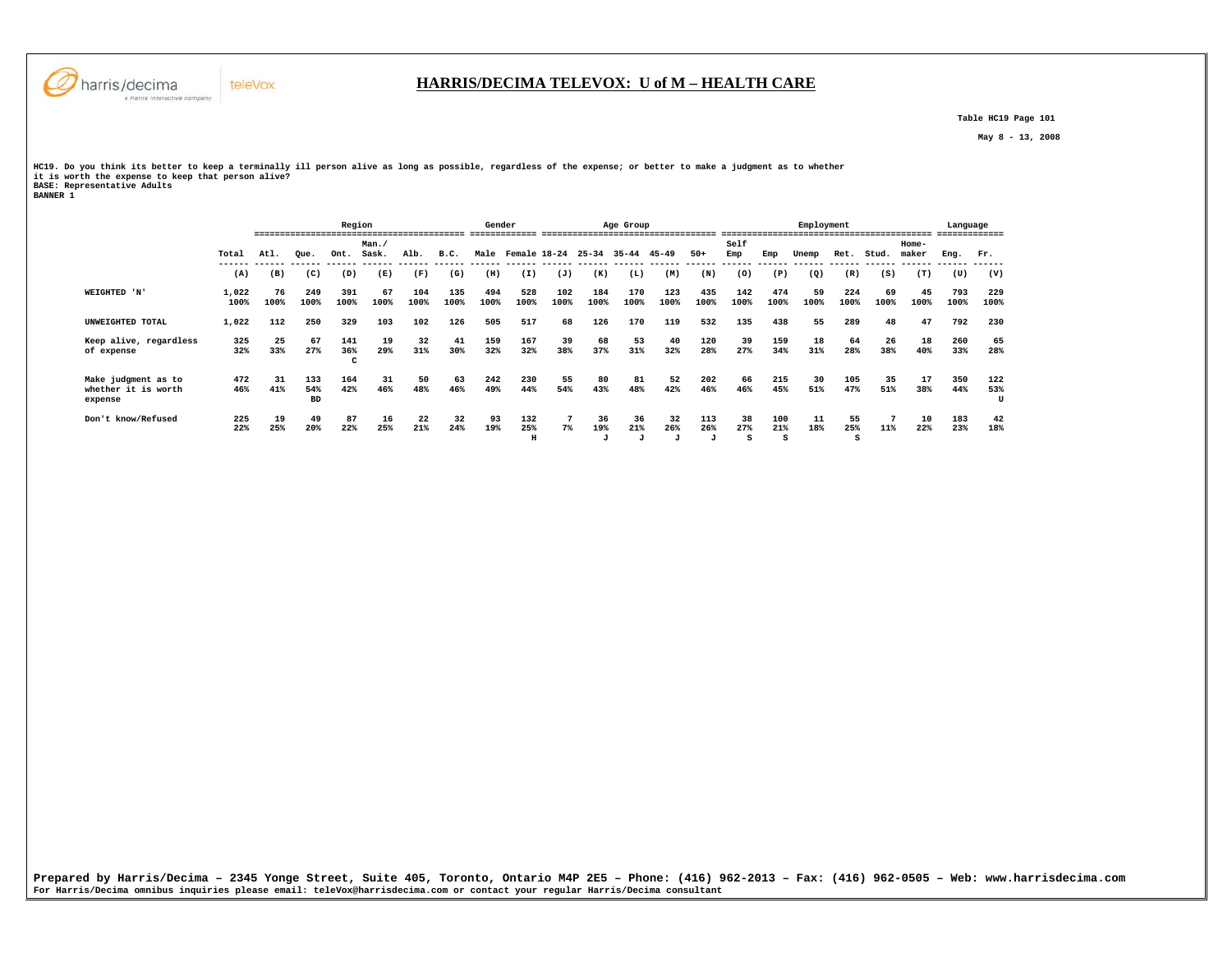

 **Table HC19 Page 101** 

 **May 8 - 13, 2008** 

HC19. Do you think its better to keep a terminally ill person alive as long as possible, regardless of the expense; or better to make a judgment as to whether<br>it is worth the expense to keep that person alive?<br>BANNER 1<br>BAN

|                                                       |               | Region     |                         |                 |            |             |               | Gender         |                 |                              |                | Age Group                 |                           |                 |                |                 | Employment |                |            | -------------------- | Language<br>------------- |                 |
|-------------------------------------------------------|---------------|------------|-------------------------|-----------------|------------|-------------|---------------|----------------|-----------------|------------------------------|----------------|---------------------------|---------------------------|-----------------|----------------|-----------------|------------|----------------|------------|----------------------|---------------------------|-----------------|
|                                                       |               |            |                         |                 | Man.       |             |               |                |                 |                              |                |                           |                           |                 | Self           |                 |            |                |            | Home-                |                           |                 |
|                                                       | Total         | Atl.       | Oue.                    | Ont.            | Sask.      | Alb.        | B.C.          | Male           | Female 18-24    |                              | $25 - 34$      | $35 - 44$                 | $45 - 49$                 | $50+$           | Emp            | Emp             | Unemp      | Ret.           | Stud.      | maker                | Eng.                      | Fr.             |
|                                                       | (A)           | (B)        | (C)                     | (D)             | (E)        | (F)         | ------<br>(G) | -------<br>(H) | (I)             | ------- ------ ------<br>(J) | (K)            | (L)                       | (M)                       | (N)             | (0)            | (P)             | (Q)        | (R)            | (S)        | (T)                  | (U)                       | (V)             |
| WEIGHTED 'N'                                          | 1,022<br>100% | 76<br>100% | 249<br>100%             | 391<br>100%     | 67<br>100% | 104<br>100% | 135<br>100%   | 494<br>100%    | 528<br>100%     | 102<br>100%                  | 184<br>100%    | 170<br>100%               | 123<br>100%               | 435<br>100%     | 142<br>100%    | 474<br>100%     | 59<br>100% | 224<br>100%    | 69<br>100% | 45<br>100%           | 793<br>100%               | 229<br>100%     |
| UNWEIGHTED TOTAL                                      | 1,022         | 112        | 250                     | 329             | 103        | 102         | 126           | 505            | 517             | 68                           | 126            | 170                       | 119                       | 532             | 135            | 438             | 55         | 289            | 48         | 47                   | 792                       | 230             |
| Keep alive, regardless<br>of expense                  | 325<br>32%    | 25<br>33%  | 67<br>27%               | 141<br>36%<br>c | 19<br>29%  | 32<br>31%   | 41<br>30%     | 159<br>32%     | 167<br>32%      | 39<br>38%                    | 68<br>37%      | 53<br>31%                 | 40<br>32%                 | 120<br>28%      | 39<br>27%      | 159<br>34%      | 18<br>31%  | 64<br>28%      | 26<br>38%  | 18<br>40%            | 260<br>33%                | 65<br>28%       |
| Make judgment as to<br>whether it is worth<br>expense | 472<br>46%    | 31<br>41%  | 133<br>54%<br><b>BD</b> | 164<br>42%      | 31<br>46%  | 50<br>48%   | 63<br>46%     | 242<br>49%     | 230<br>44%      | 55<br>54%                    | 80<br>43%      | 81<br>48%                 | 52<br>42%                 | 202<br>46%      | 66<br>46%      | 215<br>45%      | 30<br>51%  | 105<br>47%     | 35<br>51%  | 17<br>38%            | 350<br>44%                | 122<br>53%<br>U |
| Don't know/Refused                                    | 225<br>22%    | 19<br>25%  | 49<br>20%               | 87<br>22%       | 16<br>25%  | 22<br>21%   | 32<br>24%     | 93<br>19%      | 132<br>25%<br>H | $7\%$                        | 36<br>19%<br>J | 36<br>21%<br>$\mathbf{J}$ | 32<br>26%<br>$\mathbf{J}$ | 113<br>26%<br>J | 38<br>27%<br>s | 100<br>21%<br>s | 11<br>18%  | 55<br>25%<br>s | 11%        | 10<br>22%            | 183<br>23%                | 42<br>18%       |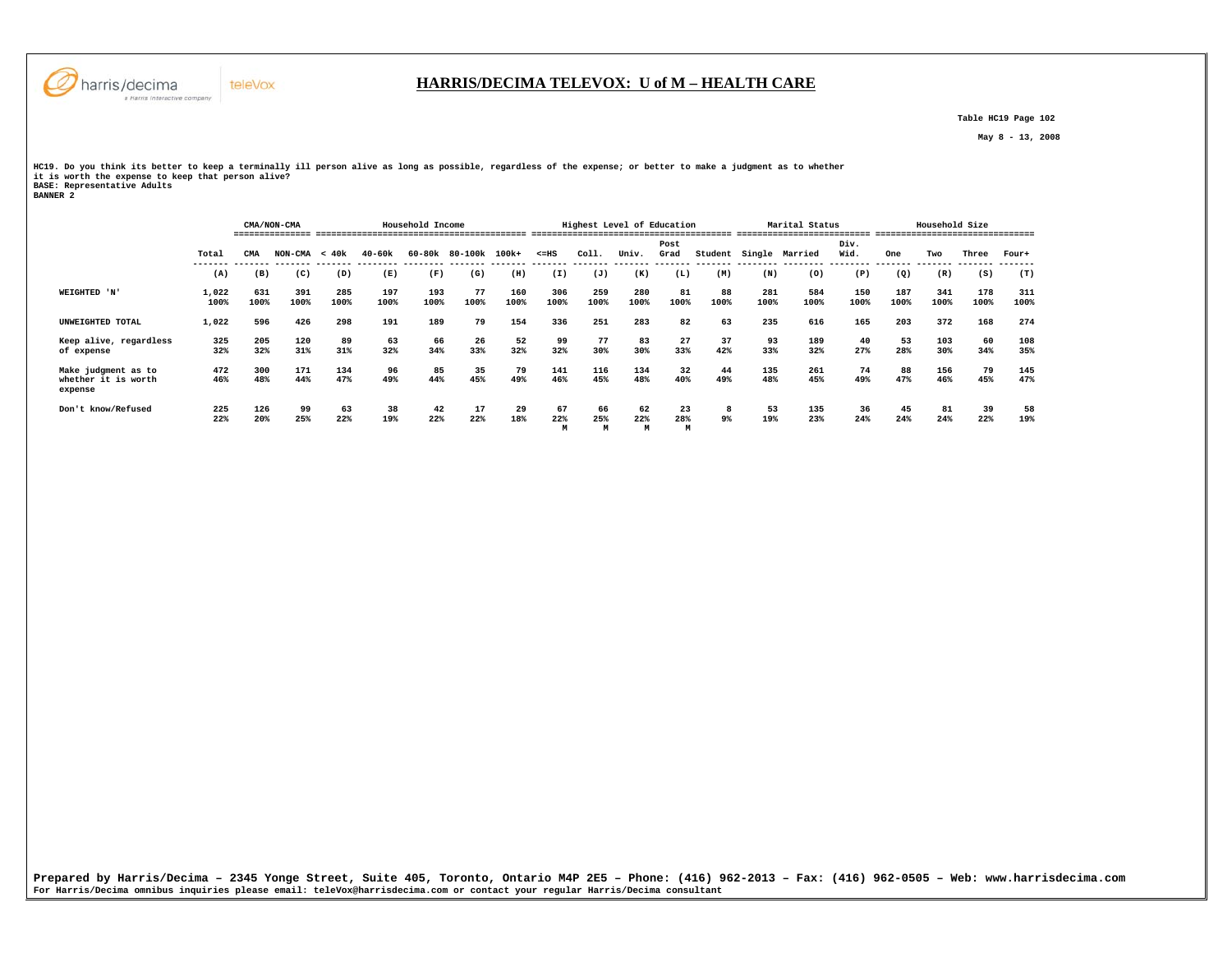

 **Table HC19 Page 102** 

 **May 8 - 13, 2008** 

HC19. Do you think its better to keep a terminally ill person alive as long as possible, regardless of the expense; or better to make a judgment as to whether<br>it is worth the expense to keep that person alive?<br>BANNER 2<br>BAN

|                                                       |               |             | CMA/NON-CMA     |             |             | Household Income |               |             |                | Highest Level of Education |                |              |            |             | Marital Status |              |                 | Household Size |                         |             |
|-------------------------------------------------------|---------------|-------------|-----------------|-------------|-------------|------------------|---------------|-------------|----------------|----------------------------|----------------|--------------|------------|-------------|----------------|--------------|-----------------|----------------|-------------------------|-------------|
|                                                       | Total         | CMA         | $NON-CMA < 40k$ |             | $40 - 60k$  | 60-80k           | 80-100k 100k+ |             | $< = HS$       | Coll.                      | Univ.          | Post<br>Grad | Student    |             | Single Married | Div.<br>Wid. | One             | Two            | Three                   | Four+       |
|                                                       | (A)           | (B)         | (C)             | (D)         | (E)         | (F)              | (G)           | (H)         | (I)            | (J)                        | (K)            | (L)          | (M)        | (N)         | (0)            | (P)          | --------<br>(Q) | (R)            | -------- -------<br>(S) | (T)         |
| WEIGHTED 'N'                                          | 1,022<br>100% | 631<br>100% | 391<br>100%     | 285<br>100% | 197<br>100% | 193<br>100%      | 77<br>100%    | 160<br>100% | 306<br>100%    | 259<br>100%                | 280<br>100%    | 81<br>100%   | 88<br>100% | 281<br>100% | 584<br>100%    | 150<br>100%  | 187<br>100%     | 341<br>100%    | 178<br>100%             | 311<br>100% |
| UNWEIGHTED TOTAL                                      | 1,022         | 596         | 426             | 298         | 191         | 189              | 79            | 154         | 336            | 251                        | 283            | 82           | 63         | 235         | 616            | 165          | 203             | 372            | 168                     | 274         |
| Keep alive, regardless<br>of expense                  | 325<br>32%    | 205<br>32%  | 120<br>31%      | 89<br>31%   | 63<br>32%   | 66<br>34%        | 26<br>33%     | 52<br>32%   | 99<br>32%      | 77<br>30%                  | 83<br>30%      | 27<br>33%    | 37<br>42%  | 93<br>33%   | 189<br>32%     | 40<br>27%    | 53<br>28%       | 103<br>30%     | 60<br>34%               | 108<br>35%  |
| Make judgment as to<br>whether it is worth<br>expense | 472<br>46%    | 300<br>48%  | 171<br>44%      | 134<br>47%  | 96<br>49%   | 85<br>44%        | 35<br>45%     | 79<br>49%   | 141<br>46%     | 116<br>45%                 | 134<br>48%     | 32<br>40%    | 44<br>49%  | 135<br>48%  | 261<br>45%     | 74<br>49%    | 88<br>47%       | 156<br>46%     | 79<br>45%               | 145<br>47%  |
| Don't know/Refused                                    | 225<br>22%    | 126<br>20%  | 99<br>25%       | 63<br>22%   | 38<br>19%   | 42<br>22%        | 17<br>22%     | 29<br>18%   | 67<br>22%<br>M | 66<br>25%                  | 62<br>22%<br>M | 23<br>28%    | 8<br>$9\%$ | 53<br>19%   | 135<br>23%     | 36<br>24%    | 45<br>24%       | 81<br>24%      | 39<br>22%               | 58<br>19%   |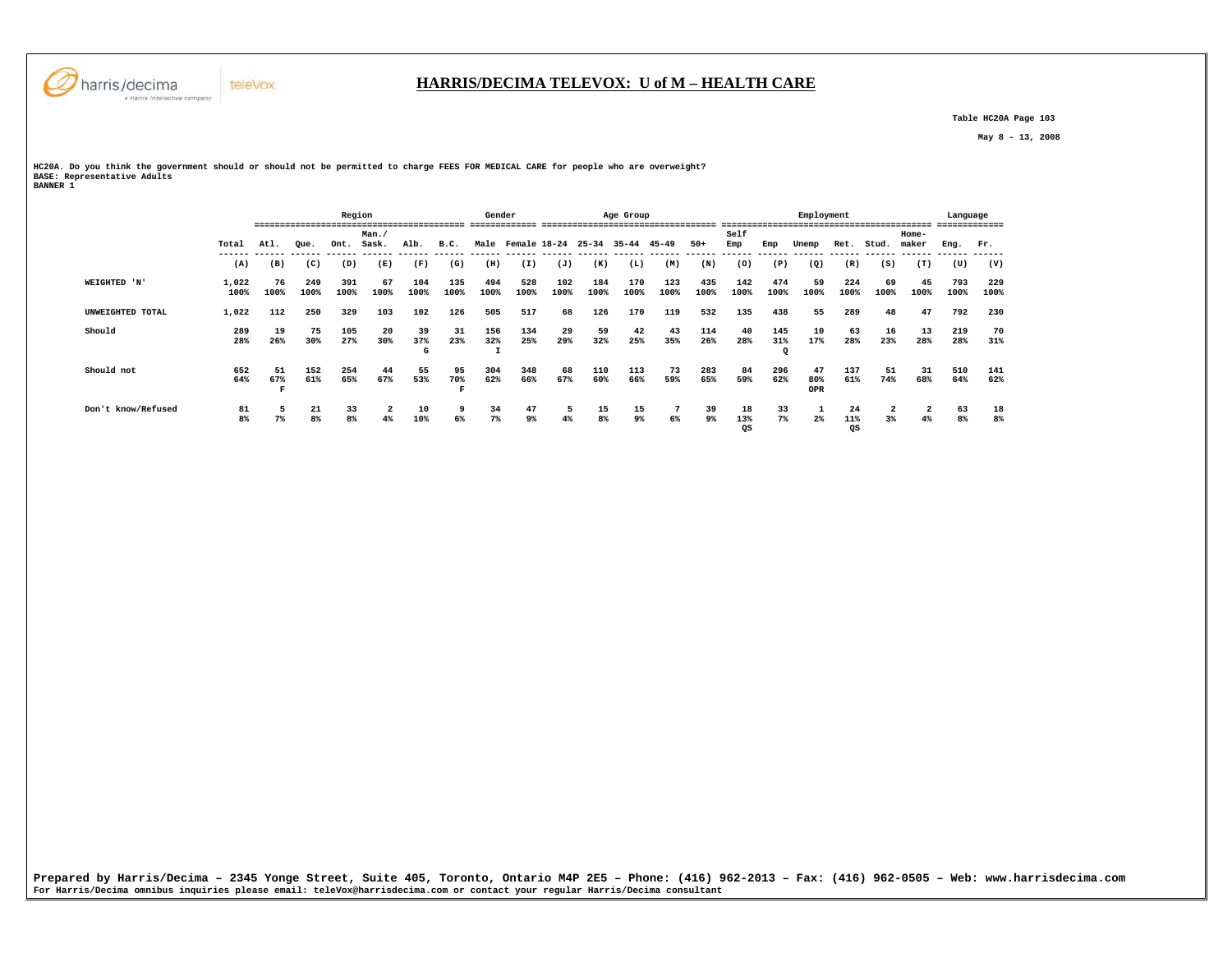

 **Table HC20A Page 103** 

 **May 8 - 13, 2008** 

**HC20A. Do you think the government should or should not be permitted to charge FEES FOR MEDICAL CARE for people who are overweight? BASE: Representative Adults** 

| <b>BANNER 1</b> |  |
|-----------------|--|
|-----------------|--|

|                    |               |            |             | Region      |               |                |                           | Gender      |                   |             |             | Age Group   |             |             |                 |                        | Employment       |                 |            |                | Language    |             |
|--------------------|---------------|------------|-------------|-------------|---------------|----------------|---------------------------|-------------|-------------------|-------------|-------------|-------------|-------------|-------------|-----------------|------------------------|------------------|-----------------|------------|----------------|-------------|-------------|
|                    | Total         | Atl.       | Oue.        | Ont.        | Man.<br>Sask. | Alb.           | B.C.                      |             | Male Female 18-24 |             | $25 - 34$   | 35-44       | 45-49       | $50+$       | Self<br>Emp     | Emp                    | Unemp            | Ret.            | Stud.      | Home-<br>maker | Eng.        | Fr.         |
|                    | (A)           | (B)        | (C)         | (D)         | (E)           | (F)            | (G)                       | (H)         | (I)               | (J)         | (K)         | (L)         | (M)         | (N)         | (0)             | (P)                    | (Q)              | (R)             | (S)        | (T)            | (U)         | (V)         |
| WEIGHTED 'N'       | 1,022<br>100% | 76<br>100% | 249<br>100% | 391<br>100% | 67<br>100%    | 104<br>100%    | 135<br>100%               | 494<br>100% | 528<br>100%       | 102<br>100% | 184<br>100% | 170<br>100% | 123<br>100% | 435<br>100% | 142<br>100%     | 474<br>100%            | 59<br>100%       | 224<br>100%     | 69<br>100% | 45<br>100%     | 793<br>100% | 229<br>100% |
| UNWEIGHTED TOTAL   | 1,022         | 112        | 250         | 329         | 103           | 102            | 126                       | 505         | 517               | 68          | 126         | 170         | 119         | 532         | 135             | 438                    | 55               | 289             | 48         | 47             | 792         | 230         |
| Should             | 289<br>28%    | 19<br>26%  | 75<br>30%   | 105<br>27%  | 20<br>30%     | 39<br>37%<br>G | 31<br>23%                 | 156<br>32%  | 134<br>25%        | 29<br>29%   | 59<br>32%   | 42<br>25%   | 43<br>35%   | 114<br>26%  | 40<br>28%       | 145<br>31%<br>$\Omega$ | 10<br>17%        | 63<br>28%       | 16<br>23%  | 13<br>28%      | 219<br>28%  | 70<br>31%   |
| Should not         | 652<br>64%    | 51<br>67%  | 152<br>61%  | 254<br>65%  | 44<br>67%     | 55<br>53%      | 95<br>70%<br>$\mathbf{F}$ | 304<br>62%  | 348<br>66%        | 68<br>67%   | 110<br>60%  | 113<br>66%  | 73<br>59%   | 283<br>65%  | 84<br>59%       | 296<br>62%             | 47<br>80%<br>OPR | 137<br>61%      | 51<br>74%  | 31<br>68%      | 510<br>64%  | 141<br>62%  |
| Don't know/Refused | 81<br>8%      | $7\%$      | 21<br>8%    | 33<br>8%    | 2<br>4%       | 10<br>10%      | 9<br>6%                   | 34<br>7%    | 47<br>9%          | 5<br>4%     | 15<br>8%    | 15<br>$9\%$ | 6%          | 39<br>9%    | 18<br>13%<br>QS | 33<br>$7\%$            | $2\%$            | 24<br>11%<br>QS | 3%         | 2<br>4%        | 63<br>8%    | 18<br>8%    |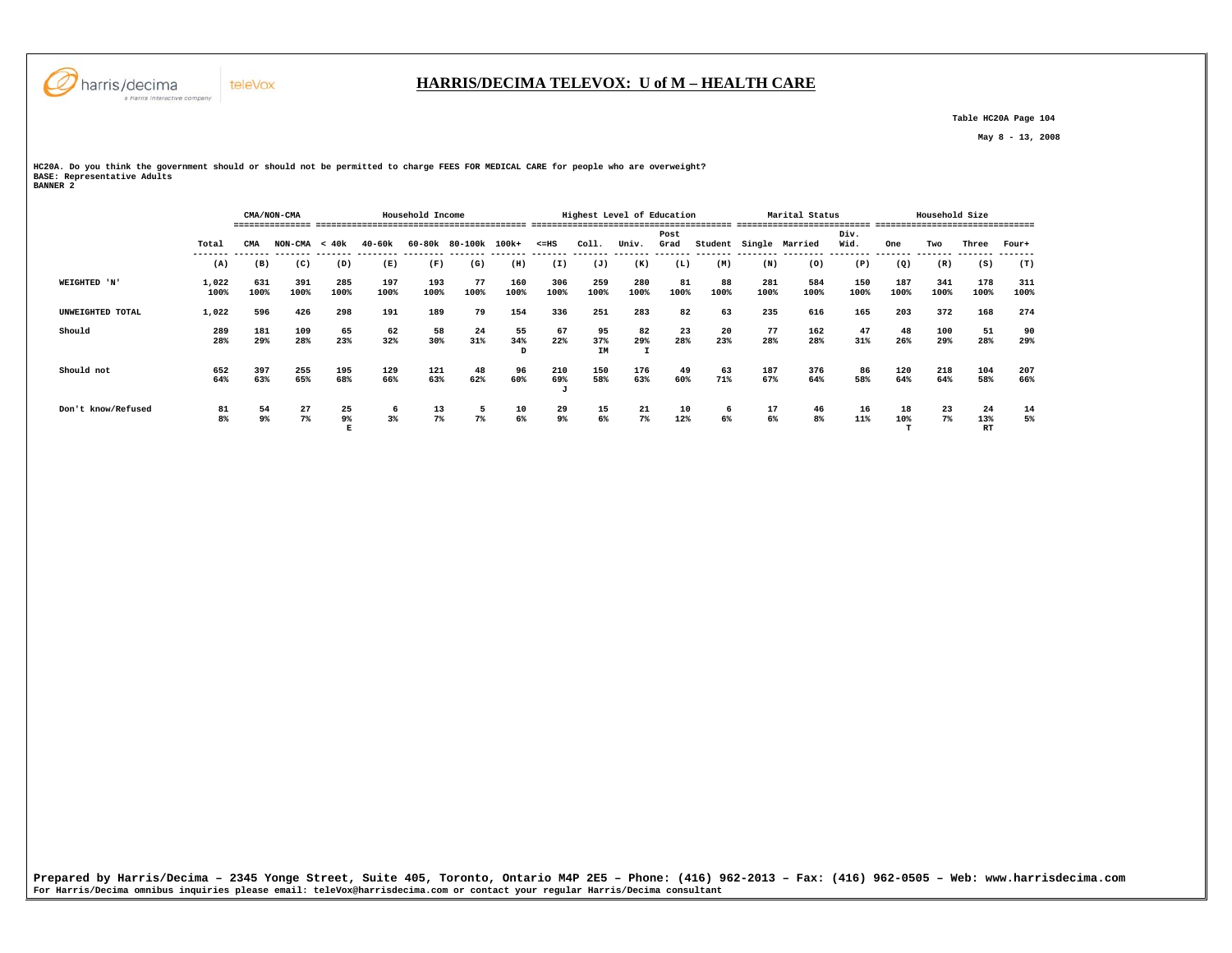

## **HARRIS/DECIMA TELEVOX: U of M – HEALTH CARE**

 **Table HC20A Page 104** 

 **May 8 - 13, 2008** 

**HC20A. Do you think the government should or should not be permitted to charge FEES FOR MEDICAL CARE for people who are overweight? BASE: Representative Adults BANNER 2** 

|                    |               |             | CMA/NON-CMA     |             |             | Household Income |                      |                |                      | Highest Level of Education |             |              |            |             | Marital Status |              |                 | Household Size  |                        |             |
|--------------------|---------------|-------------|-----------------|-------------|-------------|------------------|----------------------|----------------|----------------------|----------------------------|-------------|--------------|------------|-------------|----------------|--------------|-----------------|-----------------|------------------------|-------------|
|                    |               |             |                 |             |             |                  |                      |                |                      |                            |             |              |            |             |                |              |                 |                 |                        |             |
|                    | Total         | CMA         | $NON-CMA < 40k$ |             | 40-60k      |                  | 60-80k 80-100k 100k+ |                | $< = HS$             | Coll.                      | Univ.       | Post<br>Grad | Student    |             | Single Married | Div.<br>Wid. | One<br>-------- | Two<br>________ | Three                  | Four+       |
|                    | (A)           | (B)         | (C)             | (D)         | (E)         | (F)              | (G)                  | (H)            | (I)                  | (J)                        | (K)         | (L)          | (M)        | (N)         | (0)            | (P)          | (Q)             | (R)             | (S)                    | (T)         |
| WEIGHTED 'N'       | 1,022<br>100% | 631<br>100% | 391<br>100%     | 285<br>100% | 197<br>100% | 193<br>100%      | 77<br>100%           | 160<br>100%    | 306<br>100%          | 259<br>100%                | 280<br>100% | 81<br>100%   | 88<br>100% | 281<br>100% | 584<br>100%    | 150<br>100%  | 187<br>100%     | 341<br>100%     | 178<br>100%            | 311<br>100% |
| UNWEIGHTED TOTAL   | 1,022         | 596         | 426             | 298         | 191         | 189              | 79                   | 154            | 336                  | 251                        | 283         | 82           | 63         | 235         | 616            | 165          | 203             | 372             | 168                    | 274         |
| Should             | 289<br>28%    | 181<br>29%  | 109<br>28%      | 65<br>23%   | 62<br>32%   | 58<br>30%        | 24<br>31%            | 55<br>34%<br>D | 67<br>22%            | 95<br>37%<br>IM            | 82<br>29%   | 23<br>28%    | 20<br>23%  | 77<br>28%   | 162<br>28%     | 47<br>31%    | 48<br>26%       | 100<br>29%      | 51<br>28%              | 90<br>29%   |
| Should not         | 652<br>64%    | 397<br>63%  | 255<br>65%      | 195<br>68%  | 129<br>66%  | 121<br>63%       | 48<br>62%            | 96<br>60%      | 210<br>69%           | 150<br>58%                 | 176<br>63%  | 49<br>60%    | 63<br>71%  | 187<br>67%  | 376<br>64%     | 86<br>58%    | 120<br>64%      | 218<br>64%      | 104<br>58%             | 207<br>66%  |
| Don't know/Refused | 81<br>8%      | 54<br>9%    | 27<br>$7\%$     | 25<br>9%    | -6<br>$3*$  | 13<br>$7\%$      | 5<br>7%              | 10<br>6%       | 29<br>9 <sup>°</sup> | 15<br>6%                   | 21<br>7%    | 10<br>12%    | -6<br>6%   | 17<br>6%    | 46<br>8%       | 16<br>11%    | 18<br>10%       | 23<br>$7\%$     | 24<br>13%<br><b>RT</b> | 14<br>5%    |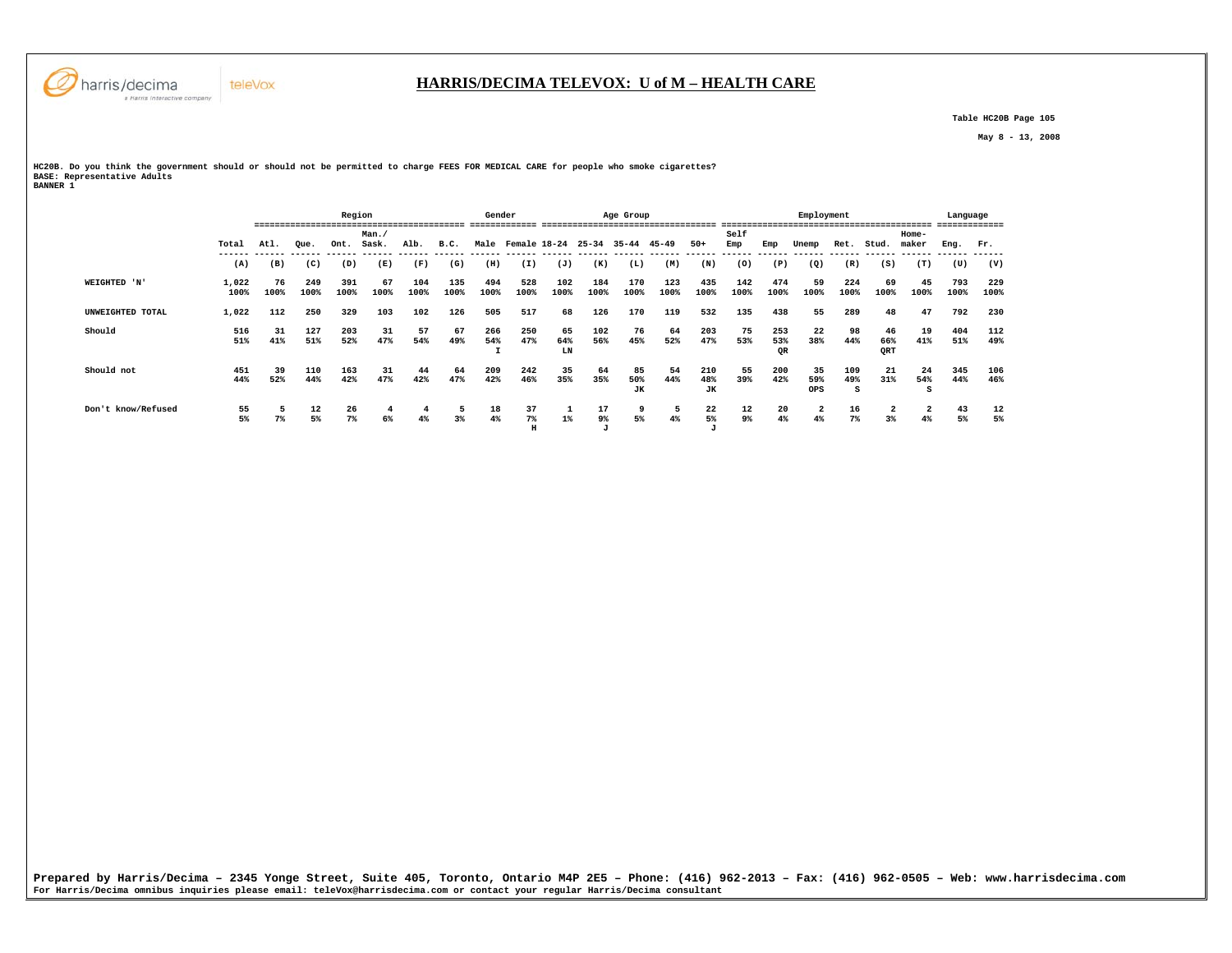

 **Table HC20B Page 105** 

 **May 8 - 13, 2008** 

**HC20B. Do you think the government should or should not be permitted to charge FEES FOR MEDICAL CARE for people who smoke cigarettes? BASE: Representative Adults BANNER 1** 

|                    |               |            |             | Region      |            |             |             | Gender      |                   |             |                    | Age Group   |             |                    |             |             | Employment |             |            |                         | Language    |             |
|--------------------|---------------|------------|-------------|-------------|------------|-------------|-------------|-------------|-------------------|-------------|--------------------|-------------|-------------|--------------------|-------------|-------------|------------|-------------|------------|-------------------------|-------------|-------------|
|                    |               |            |             |             | Man. /     |             |             |             |                   |             |                    |             |             |                    | Self        |             |            |             |            | Home-                   |             |             |
|                    | Total         | Atl.       | Oue.        | Ont.        | Sask.      | Alb.        | B.C.        |             | Male Female 18-24 |             | $25 - 34$          | $35 - 44$   | $45 - 49$   | $50+$              | Emp         | Emp         | Unemp      | Ret.        | Stud.      | maker                   | Eng.        | Fr.         |
|                    | (A)           | (B)        | (C)         | (D)         | (E)        | (F)         | (G)         | (H)         | (I)               | (J)         | (K)                | (L)         | (M)         | (N)                | (0)         | (P)         | (Q)        | (R)         | (S)        | (T)                     | (U)         | (V)         |
| WEIGHTED 'N'       | 1,022<br>100% | 76<br>100% | 249<br>100% | 391<br>100% | 67<br>100% | 104<br>100% | 135<br>100% | 494<br>100% | 528<br>100%       | 102<br>100% | 184<br>100%        | 170<br>100% | 123<br>100% | 435<br>100%        | 142<br>100% | 474<br>100% | 59<br>100% | 224<br>100% | 69<br>100% | 45<br>100%              | 793<br>100% | 229<br>100% |
| UNWEIGHTED TOTAL   | 1,022         | 112        | 250         | 329         | 103        | 102         | 126         | 505         | 517               | 68          | 126                | 170         | 119         | 532                | 135         | 438         | 55         | 289         | 48         | 47                      | 792         | 230         |
| Should             | 516           | 31         | 127         | 203         | 31         | 57          | 67          | 266         | 250               | 65          | 102                | 76          | 64          | 203                | 75          | 253         | 22         | 98          | 46         | 19                      | 404         | 112         |
|                    | 51%           | 41%        | 51%         | 52%         | 47%        | 54%         | 49%         | 54%<br>÷    | 47%               | 64%<br>LN   | 56%                | 45%         | 52%         | 47%                | 53%         | 53%<br>QR   | 38%        | 44%         | 66%<br>QRT | 41%                     | 51%         | 49%         |
| Should not         | 451           | 39         | 110         | 163         | 31         | 44          | 64          | 209         | 242               | 35          | 64                 | 85          | 54          | 210                | 55          | 200         | 35         | 109         | 21         | 24                      | 345         | 106         |
|                    | 44%           | 52%        | 44%         | 42%         | 47%        | 42%         | 47%         | 42%         | 46%               | 35%         | 35%                | 50%<br>JК   | 44%         | 48%<br>JК          | 39%         | 42%         | 59%<br>OPS | 49%<br>s    | 31%        | 54%<br>s                | 44%         | 46%         |
| Don't know/Refused |               |            | 12          | 26          |            |             | 5           | 18          | 37                |             | 17                 | 9           | 5           | 22                 | 12          | 20          | 2          | 16          |            | $\overline{\mathbf{2}}$ | 43          | 12          |
|                    | 55<br>5%      | 7%         | 5%          | 7%          | 6%         | 4%          | 3%          | 4%          | 7%<br>H           | $1\%$       | 9%<br>$\mathbf{J}$ | 5%          | 4%          | 5%<br>$\mathbf{J}$ | 9%          | 4%          | 4%         | $7\%$       | 3%         | 4%                      | 5%          | 5%          |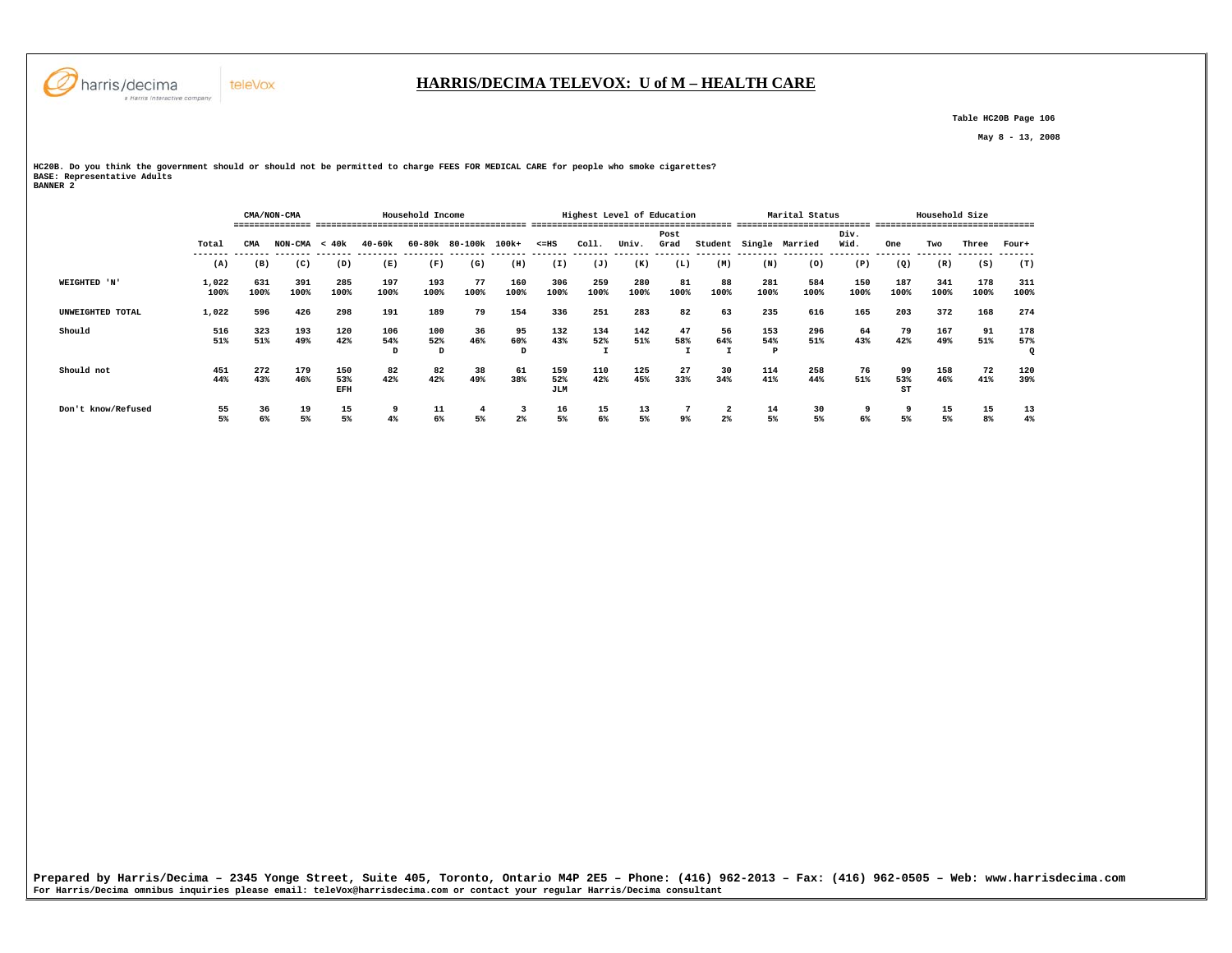

## **HARRIS/DECIMA TELEVOX: U of M – HEALTH CARE**

 **Table HC20B Page 106** 

 **May 8 - 13, 2008** 

**HC20B. Do you think the government should or should not be permitted to charge FEES FOR MEDICAL CARE for people who smoke cigarettes? BASE: Representative Adults BANNER 2** 

 **CMA/NON-CMA Household Income Highest Level of Education Marital Status Household Size =============== ========================================= ======================================= ========================== =============================== Post Div.** Wid.  **Total CMA NON-CMA < 40k 40-60k 60-80k 80-100k 100k+ <=HS Coll. Univ. Grad Student Single Married Wid. One Two Three Four+ ------- ------- ------- ------- -------- -------- ------- ------- ------- ------- ------- ------- ------- -------- -------- -------- ------- ------- ------- -------**  $(T)$  **(A) (B) (C) (D) (E) (F) (G) (H) (I) (J) (K) (L) (M) (N) (O) (P) (Q) (R) (S) (T) WEIGHTED 'N' 1,022 631 391 285 197 193 77 160 306 259 280 81 88 281 584 150 187 341 178 311 100% 100% 100% 100% 100% 100% 100% 100% 100% 100% 100% 100% 100% 100% 100% 100% 100% 100% 100% 100% UNWEIGHTED TOTAL 1,022 596 426 298 191 189 79 154 336 251 283 82 63 235 616 165 203 372 168 274 Should 516 323 193 120 106 100 36 95 132 134 142 47 56 153 296 64 79 167 91 178 51% 51% 49% 42% 54% 52% 46% 60% 43% 52% 51% 58% 64% 54% 51% 43% 42% 49% 51% 57%**  $\circ$  **D D D I I I P Q Should not 451 272 179 150 82 82 38 61 159 110 125 27 30 114 258 76 99 158 72 120** 39%  **44% 43% 46% 53% 42% 42% 49% 38% 52% 42% 45% 33% 34% 41% 44% 51% 53% 46% 41% 39% EFH JLM ST Don't know/Refused 55 36 19 15 9 11 4 3 16 15 13 7 2 14 30 9 9 15 15 13**  $\begin{array}{c} 13 \\ 48 \end{array}$  **5% 6% 5% 5% 4% 6% 5% 2% 5% 6% 5% 9% 2% 5% 5% 6% 5% 5% 8% 4%**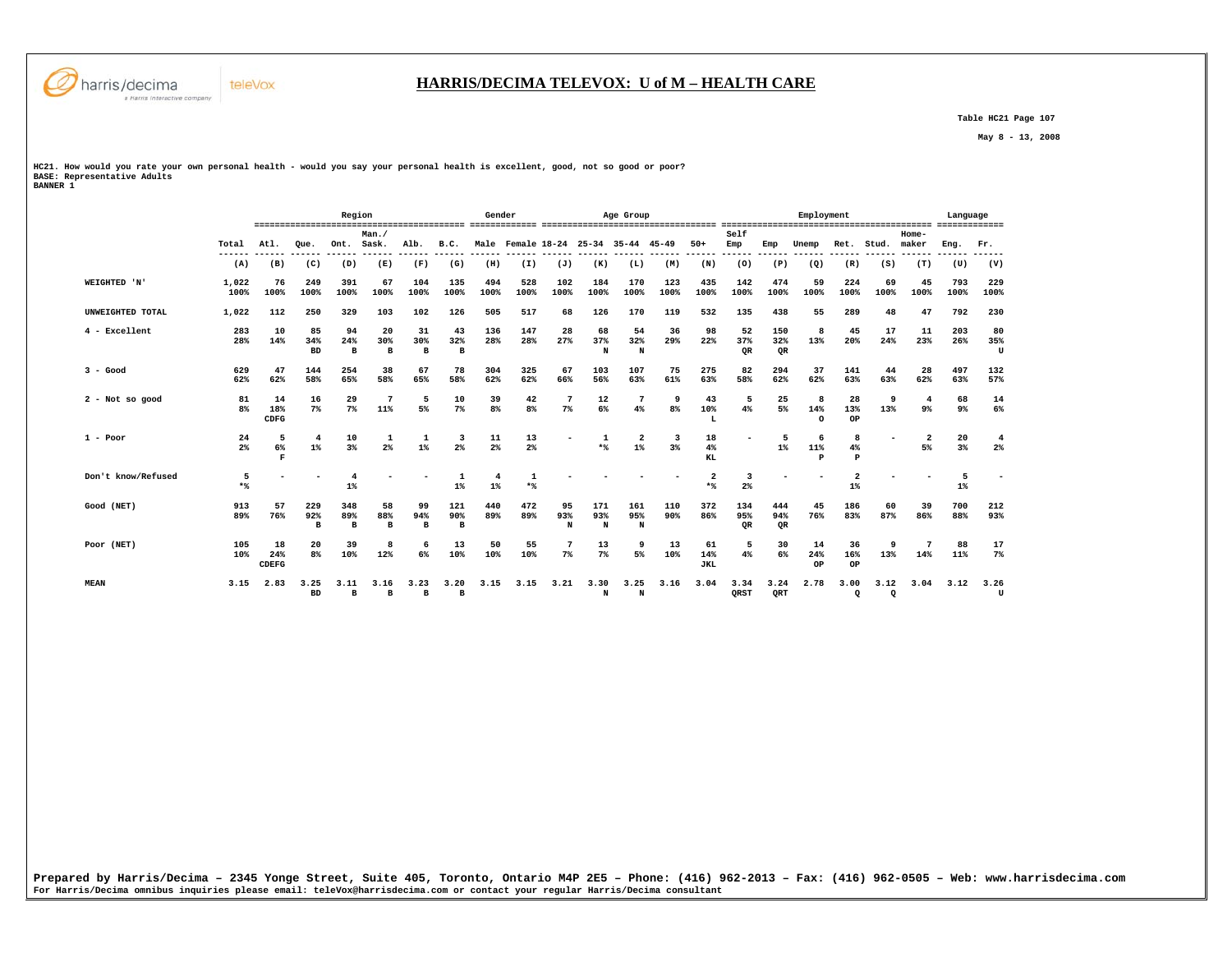

 **Table HC21 Page 107** 

 **May 8 - 13, 2008** 

**HC21. How would you rate your own personal health - would you say your personal health is excellent, good, not so good or poor? BASE: Representative Adults BANNER 1** 

teleVox

 **Region Gender Age Group Employment Language ========================================= ============= ================================== ========================================= ============= Man./ Self Home-** Ret. Stud. maker  **Total Atl. Que. Ont. Sask. Alb. B.C. Male Female 18-24 25-34 35-44 45-49 50+ Emp Emp Unemp Ret. Stud. maker Eng. Fr. ------ ------ ------ ------ ------ ------ ------ ------ ------ ------ ------ ------ ------ ------ ------ ------ ------ ------ ------ ------ ------ ------ (A) (B) (C) (D) (E) (F) (G) (H) (I) (J) (K) (L) (M) (N) (O) (P) (Q) (R) (S) (T) (U) (V) WEIGHTED 'N' 1,022 76 249 391 67 104 135 494 528 102 184 170 123 435 142 474 59 224 69 45 793 229 100% 100% 100% 100% 100% 100% 100% 100% 100% 100% 100% 100% 100% 100% 100% 100% 100% 100% 100% 100% 100% 100% UNWEIGHTED TOTAL 1,022 112 250 329 103 102 126 505 517 68 126 170 119 532 135 438 55 289 48 47 792 230 4 - Excellent 283 10 85 94 20 31 43 136 147 28 68 54 36 98 52 150 8 45 17 11 203 80** 35%  **28% 14% 34% 24% 30% 30% 32% 28% 28% 27% 37% 32% 29% 22% 37% 32% 13% 20% 24% 23% 26% 35%**  $T$  **BD B B B B N N QR QR U 3 - Good 629 47 144 254 38 67 78 304 325 67 103 107 75 275 82 294 37 141 44 28 497 132 62% 62% 58% 65% 58% 65% 58% 62% 62% 66% 56% 63% 61% 63% 58% 62% 62% 63% 63% 62% 63% 57% 2 - Not so good 81 14 16 29 7 5 10 39 42 7 12 7 9 43 5 25 8 28 9 4 68 14 8% 18% 7% 7% 11% 5% 7% 8% 8% 7% 6% 4% 8% 10% 4% 5% 14% 13% 13% 9% 9% 6% CDFG L O OP 1 - Poor 24 5 4 10 1 1 3 11 13 - 1 2 3 18 - 5 6 8 - 2 20 4**  $2<sup>8</sup>$  **2% 6% 1% 3% 2% 1% 2% 2% 2% \*% 1% 3% 4% 1% 11% 4% 5% 3% 2% F KL P P Don't know/Refused 5 - - 4 - - 1 4 1 - - - - 2 3 - - 2 - - 5 - \*% 1% 1% 1% \*% \*% 2% 1% 1% Good (NET) 913 57 229 348 58 99 121 440 472 95 171 161 110 372 134 444 45 186 60 39 700 212 89% 76% 92% 89% 88% 94% 90% 89% 89% 93% 93% 95% 90% 86% 95% 94% 76% 83% 87% 86% 88% 93% B B B B B N N N QR QR Poor (NET) 105 18 20 39 8 6 13 50 55 7 13 9 13 61 5 30 14 36 9 7 88 17**  $7<sup>9</sup>$  **10% 24% 8% 10% 12% 6% 10% 10% 10% 7% 7% 5% 10% 14% 4% 6% 24% 16% 13% 14% 11% 7% CDEFG JKL OP OP MEAN 3.15 2.83 3.25 3.11 3.16 3.23 3.20 3.15 3.15 3.21 3.30 3.25 3.16 3.04 3.34 3.24 2.78 3.00 3.12 3.04 3.12 3.26**  $\mathbf U$  **BD B B B B N N QRST QRT Q Q U**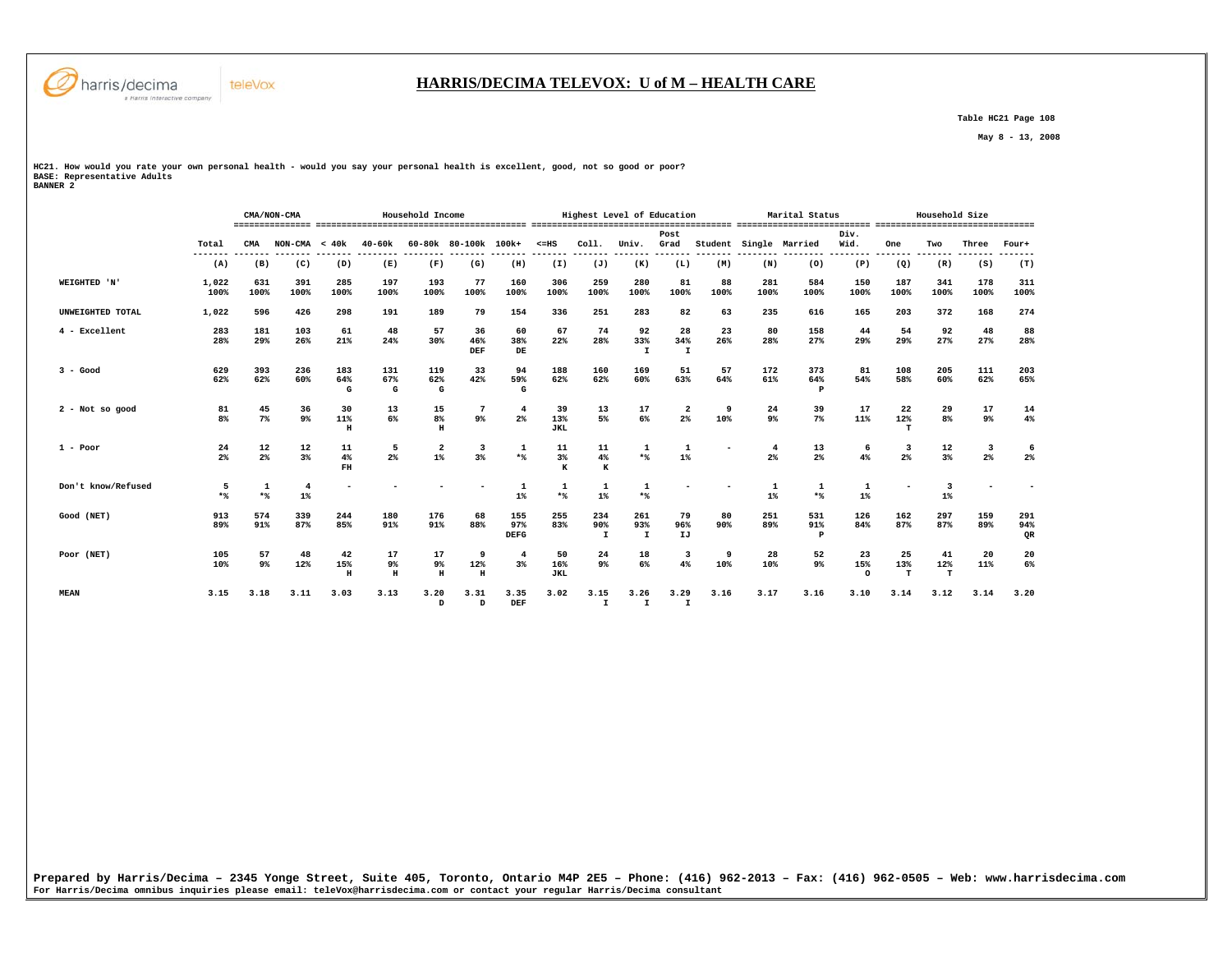

#### **HARRIS/DECIMA TELEVOX: U of M – HEALTH CARE**

 **Table HC21 Page 108** 

 **May 8 - 13, 2008** 

**HC21. How would you rate your own personal health - would you say your personal health is excellent, good, not so good or poor? BASE: Representative Adults BANNER 2** 

|                    |                      |                      | CMA/NON-CMA     |                 |                         | Household Income          |                                           |                             |                         |                            | Highest Level of Education |                      |            |                        | Marital Status  |                       |                | Household Size |             |                  |
|--------------------|----------------------|----------------------|-----------------|-----------------|-------------------------|---------------------------|-------------------------------------------|-----------------------------|-------------------------|----------------------------|----------------------------|----------------------|------------|------------------------|-----------------|-----------------------|----------------|----------------|-------------|------------------|
|                    | Total<br>------      | CMA                  | $NON-CMA < 40k$ |                 | 40-60k                  |                           | 60-80k 80-100k 100k+                      |                             | $< = HS$                | Coll.                      | Univ.                      | Post<br>Grad         |            | Student Single Married |                 | Div.<br>Wid.          | One            | Two            | Three       | Four+            |
|                    | (A)                  | (B)                  | (C)             | (D)             | (E)                     | (F)                       | (G)                                       | (H)                         | (I)                     | (J)                        | (K)                        | (L)                  | (M)        | (N)                    | (0)             | (P)                   | (Q)            | (R)            | (S)         | (T)              |
| WEIGHTED 'N'       | 1,022<br>100%        | 631<br>100%          | 391<br>100%     | 285<br>100%     | 197<br>100%             | 193<br>100%               | 77<br>100%                                | 160<br>100%                 | 306<br>100%             | 259<br>100%                | 280<br>100%                | 81<br>100%           | 88<br>100% | 281<br>100%            | 584<br>100%     | 150<br>100%           | 187<br>100%    | 341<br>100%    | 178<br>100% | 311<br>100%      |
| UNWEIGHTED TOTAL   | 1,022                | 596                  | 426             | 298             | 191                     | 189                       | 79                                        | 154                         | 336                     | 251                        | 283                        | 82                   | 63         | 235                    | 616             | 165                   | 203            | 372            | 168         | 274              |
| 4 - Excellent      | 283<br>28%           | 181<br>29%           | 103<br>26%      | 61<br>21%       | 48<br>24%               | 57<br>30%                 | 36<br>46%<br>DEF                          | 60<br>38%<br>DE             | 67<br>22%               | 74<br>28%                  | 92<br>33%<br>I.            | 28<br>34%<br>I       | 23<br>26%  | 80<br>28%              | 158<br>27%      | 44<br>29%             | 54<br>29%      | 92<br>27%      | 48<br>27%   | 88<br>28%        |
| $3 - Good$         | 629<br>62%           | 393<br>62%           | 236<br>60%      | 183<br>64%<br>G | 131<br>67%<br>G         | 119<br>62%<br>G           | 33<br>42%                                 | 94<br>59%<br>G              | 188<br>62%              | 160<br>62%                 | 169<br>60%                 | 51<br>63%            | 57<br>64%  | 172<br>61%             | 373<br>64%<br>Р | 81<br>54%             | 108<br>58%     | 205<br>60%     | 111<br>62%  | 203<br>65%       |
| 2 - Not so good    | 81<br>8 <sup>8</sup> | 45<br>$7\%$          | 36<br>$9\%$     | 30<br>11%<br>H  | 13<br>6%                | 15<br>8 <sup>8</sup><br>H | 7<br>9 <sup>°</sup>                       | $\overline{\bf 4}$<br>$2\%$ | 39<br>13%<br><b>JKL</b> | 13<br>5%                   | 17<br>6%                   | 2<br>$2\%$           | 9<br>10%   | 24<br>9%               | 39<br>$7\%$     | 17<br>11%             | 22<br>12%<br>т | 29<br>8%       | 17<br>9%    | 14<br>4%         |
| $1 - Poor$         | 24<br>2 <sup>°</sup> | 12<br>2 <sup>°</sup> | 12<br>3%        | 11<br>4%<br>FH  | - 5<br>2%               | $\overline{2}$<br>$1\%$   | $\overline{\mathbf{3}}$<br>3 <sup>8</sup> | 1<br>$*$                    | 11<br>3%<br>K           | 11<br>4%<br>к              | $\mathbf{1}$<br>$*$        | $1\%$                |            | 4<br>2%                | 13<br>$2\%$     | 6<br>4%               | 3<br>2%        | 12<br>3%       | -3<br>$2\%$ | 6<br>$2\%$       |
| Don't know/Refused | 5<br>$*$             | 1<br>$*$             | 4<br>$1\%$      |                 |                         |                           |                                           | 1<br>$1\%$                  | $\mathbf{1}$<br>$*$     | 1<br>$1\%$                 | -1<br>$*$                  |                      |            | 1<br>$1\%$             | 1<br>$*$        | 1<br>$1\%$            |                | 3<br>$1\%$     |             |                  |
| Good (NET)         | 913<br>89%           | 574<br>91%           | 339<br>87%      | 244<br>85%      | 180<br>91%              | 176<br>91%                | 68<br>88%                                 | 155<br>97%<br><b>DEFG</b>   | 255<br>83%              | 234<br>90%<br>$\mathbf{I}$ | 261<br>93%<br>$\mathbf{I}$ | 79<br>96%<br>IJ      | 80<br>90%  | 251<br>89%             | 531<br>91%<br>Р | 126<br>84%            | 162<br>87%     | 297<br>87%     | 159<br>89%  | 291<br>94%<br>QR |
| Poor (NET)         | 105<br>10%           | 57<br>9%             | 48<br>12%       | 42<br>15%<br>H  | 17<br>9%<br>$\mathbf H$ | 17<br>9%<br>н             | 9<br>12%<br>H                             | $3\%$                       | 50<br>16%<br><b>JKL</b> | 24<br>9%                   | 18<br>6%                   | 3<br>4%              | 9<br>10%   | 28<br>10%              | 52<br>$9\%$     | 23<br>15%<br>$\Omega$ | 25<br>13%<br>т | 41<br>12%<br>л | 20<br>11%   | 20<br>6%         |
| <b>MEAN</b>        | 3.15                 | 3.18                 | 3.11            | 3.03            | 3.13                    | 3.20<br>D                 | 3.31<br>D                                 | 3.35<br>DEF                 | 3.02                    | 3.15<br>$\mathbf{I}$       | 3.26<br>$\mathbf{I}$       | 3.29<br>$\mathbf{I}$ | 3.16       | 3.17                   | 3.16            | 3.10                  | 3.14           | 3.12           | 3.14        | 3.20             |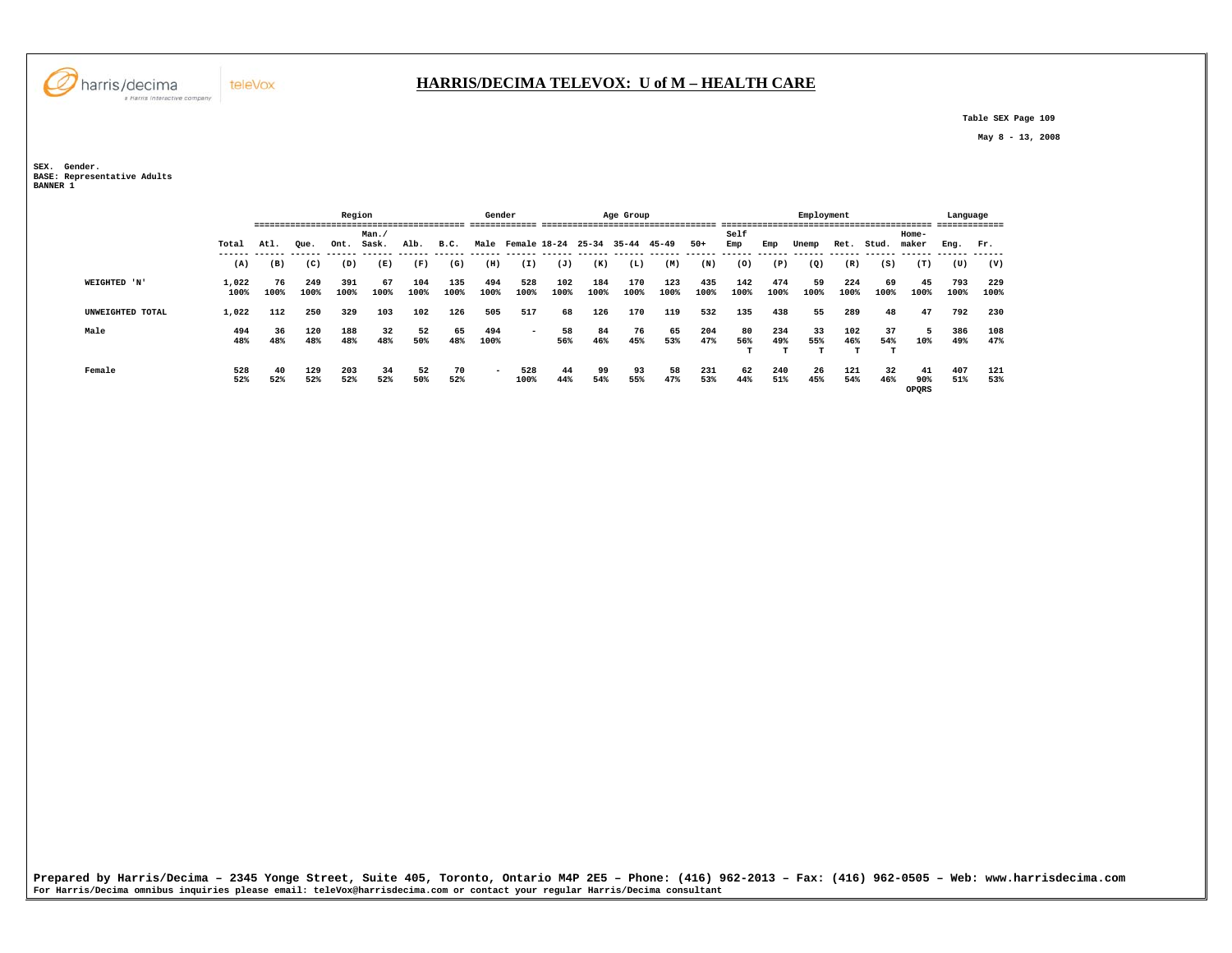

 **Table SEX Page 109** 

 **May 8 - 13, 2008** 

**SEX. Gender. BASE: Representative Adults BANNER 1** 

|                  |               |            | Region      |             |                                   |             |             |             | Gender      |                         |             | Age Group   |             |             |             |             | Employment |             |                |                    | Language    |             |
|------------------|---------------|------------|-------------|-------------|-----------------------------------|-------------|-------------|-------------|-------------|-------------------------|-------------|-------------|-------------|-------------|-------------|-------------|------------|-------------|----------------|--------------------|-------------|-------------|
|                  | Total         | Atl.       | Oue.        | Ont.        | Man.<br>Sask.                     | Alb.        | B.C.        |             |             | Male Female 18-24 25-34 |             | 35-44       | 45-49       | $50+$       | Self<br>Emp | Emp         | Unemp      | Ret.        | Stud.          | Home-<br>maker     | Eng. Fr.    |             |
|                  | (A)           | (B)        | (C)         | (D)         | ------ ------ ------ -----<br>(E) | (F)         | (G)         | (H)         | (I)         | (J)                     | (K)         | (L)         | (M)         | (N)         | (0)         | (P)         | (Q)        | (R)         | (S)            | (T)                | (U)         | (V)         |
| WEIGHTED 'N'     | 1,022<br>100% | 76<br>100% | 249<br>100% | 391<br>100% | 67<br>100%                        | 104<br>100% | 135<br>100% | 494<br>100% | 528<br>100% | 102<br>100%             | 184<br>100% | 170<br>100% | 123<br>100% | 435<br>100% | 142<br>100% | 474<br>100% | 59<br>100% | 224<br>100% | 69<br>100%     | 45<br>100%         | 793<br>100% | 229<br>100% |
| UNWEIGHTED TOTAL | 1,022         | 112        | 250         | 329         | 103                               | 102         | 126         | 505         | 517         | 68                      | 126         | 170         | 119         | 532         | 135         | 438         | 55         | 289         | 48             | 47                 | 792         | 230         |
| Male             | 494<br>48%    | 36<br>48%  | 120<br>48%  | 188<br>48%  | 32<br>48%                         | 52<br>50%   | 65<br>48%   | 494<br>100% | $\sim$      | 58<br>56%               | 84<br>46%   | 76<br>45%   | 65<br>53%   | 204<br>47%  | 80<br>56%   | 234<br>49%  | 33<br>55%  | 102<br>46%  | 37<br>54%<br>т | - 5<br>10%         | 386<br>49%  | 108<br>47%  |
| Female           | 528<br>52%    | 40<br>52%  | 129<br>52%  | 203<br>52%  | 34<br>52%                         | 52<br>50%   | 70<br>52%   | $\sim$      | 528<br>100% | 44<br>44%               | 99<br>54%   | 93<br>55%   | 58<br>47%   | 231<br>53%  | 62<br>44%   | 240<br>51%  | 26<br>45%  | 121<br>54%  | 32<br>46%      | 41<br>90%<br>OPQRS | 407<br>51%  | 121<br>53%  |

Prepared by Harris/Decima - 2345 Yonge Street, Suite 405, Toronto, Ontario M4P 2E5 - Phone: (416) 962–2013 - Fax: (416) 962–0505 - Web: www.harrisdecima.com<br>For Harris/Decima omnibus inquiries please email: teleVox@harrisd



teleVox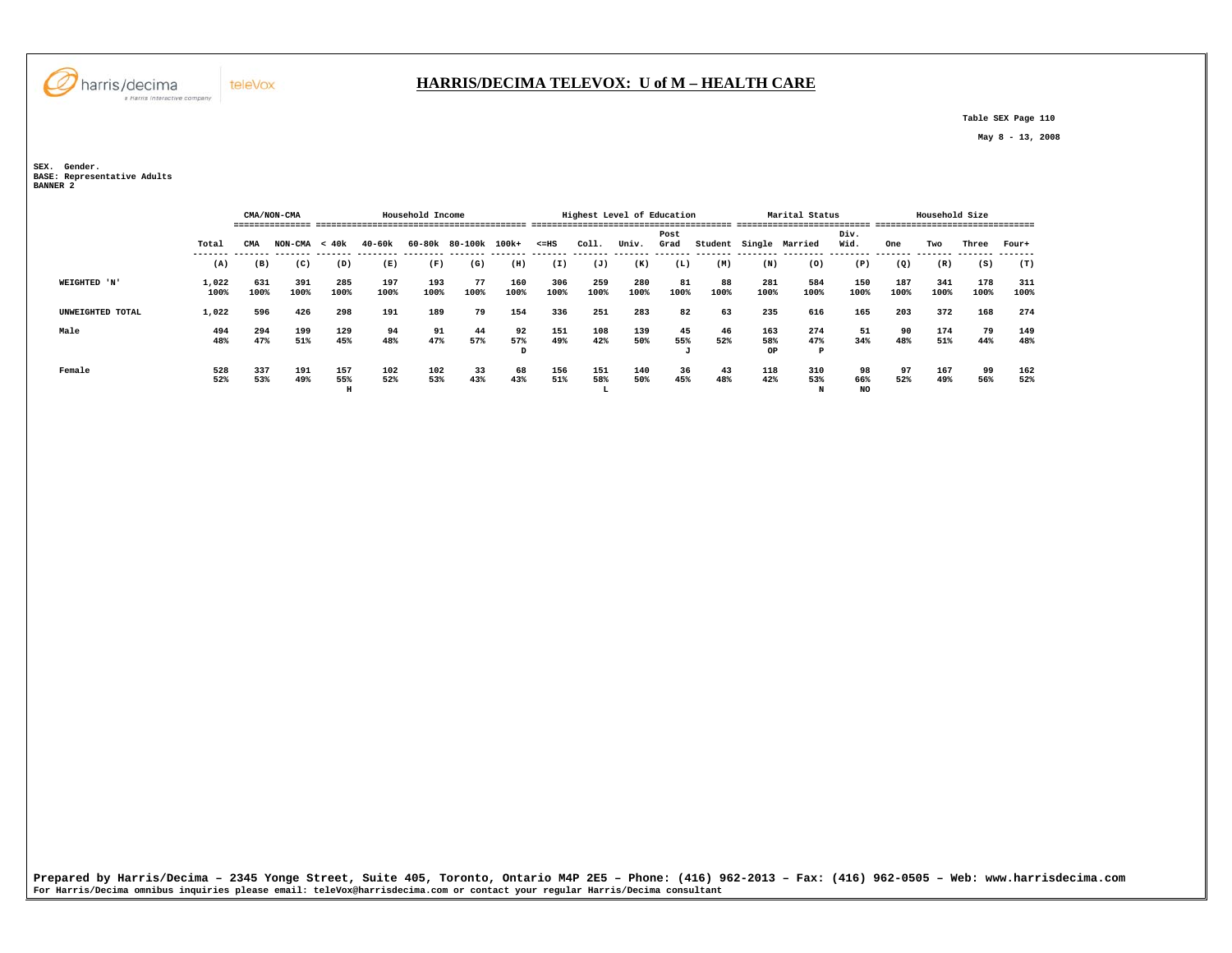**Table SEX Page 110** 

 **May 8 - 13, 2008** 

**SEX. Gender. BASE: Representative Adults BANNER 2** 

|                  |               |             | CMA/NON-CMA     |                 |             | Household Income |                      |                |             |                 | Highest Level of Education |              |            |                         | Marital Status  |                        |             | Household Size |             |             |
|------------------|---------------|-------------|-----------------|-----------------|-------------|------------------|----------------------|----------------|-------------|-----------------|----------------------------|--------------|------------|-------------------------|-----------------|------------------------|-------------|----------------|-------------|-------------|
|                  | Total         | CMA         | $NON-CMA < 40k$ |                 | 40-60k      |                  | 60-80k 80-100k 100k+ |                | $< = HS$    | Coll.           | Univ.                      | Post<br>Grad |            | Student Single Married  |                 | Div.<br>Wid.           | One         | Two            | Three       | Four+       |
|                  | (A)           | (B)         | (C)             | (D)             | (E)         | (F)              | (G)                  | (H)            | (I)         | (J)             | (K)                        | (L)          | (M)        | (N)                     | (0)             | (P)                    | (Q)         | (R)            | (S)         | (T)         |
| WEIGHTED 'N'     | 1,022<br>100% | 631<br>100% | 391<br>100%     | 285<br>100%     | 197<br>100% | 193<br>100%      | 77<br>100%           | 160<br>100%    | 306<br>100% | 259<br>100%     | 280<br>100%                | 81<br>100%   | 88<br>100% | 281<br>100%             | 584<br>100%     | 150<br>100%            | 187<br>100% | 341<br>100%    | 178<br>100% | 311<br>100% |
| UNWEIGHTED TOTAL | 1,022         | 596         | 426             | 298             | 191         | 189              | 79                   | 154            | 336         | 251             | 283                        | 82           | 63         | 235                     | 616             | 165                    | 203         | 372            | 168         | 274         |
| Male             | 494<br>48%    | 294<br>47%  | 199<br>51%      | 129<br>45%      | 94<br>48%   | 91<br>47%        | 44<br>57%            | 92<br>57%<br>D | 151<br>49%  | 108<br>42%      | 139<br>50%                 | 45<br>55%    | 46<br>52%  | 163<br>58%<br><b>OP</b> | 274<br>47%<br>P | 51<br>34%              | 90<br>48%   | 174<br>51%     | 79<br>44%   | 149<br>48%  |
| Female           | 528<br>52%    | 337<br>53%  | 191<br>49%      | 157<br>55%<br>H | 102<br>52%  | 102<br>53%       | 33<br>43%            | 68<br>43%      | 156<br>51%  | 151<br>58%<br>ы | 140<br>50%                 | 36<br>45%    | 43<br>48%  | 118<br>42%              | 310<br>53%<br>N | 98<br>66%<br><b>NO</b> | 97<br>52%   | 167<br>49%     | 99<br>56%   | 162<br>52%  |

Prepared by Harris/Decima - 2345 Yonge Street, Suite 405, Toronto, Ontario M4P 2E5 - Phone: (416) 962–2013 - Fax: (416) 962–0505 - Web: www.harrisdecima.com<br>For Harris/Decima omnibus inquiries please email: teleVox@harrisd



teleVox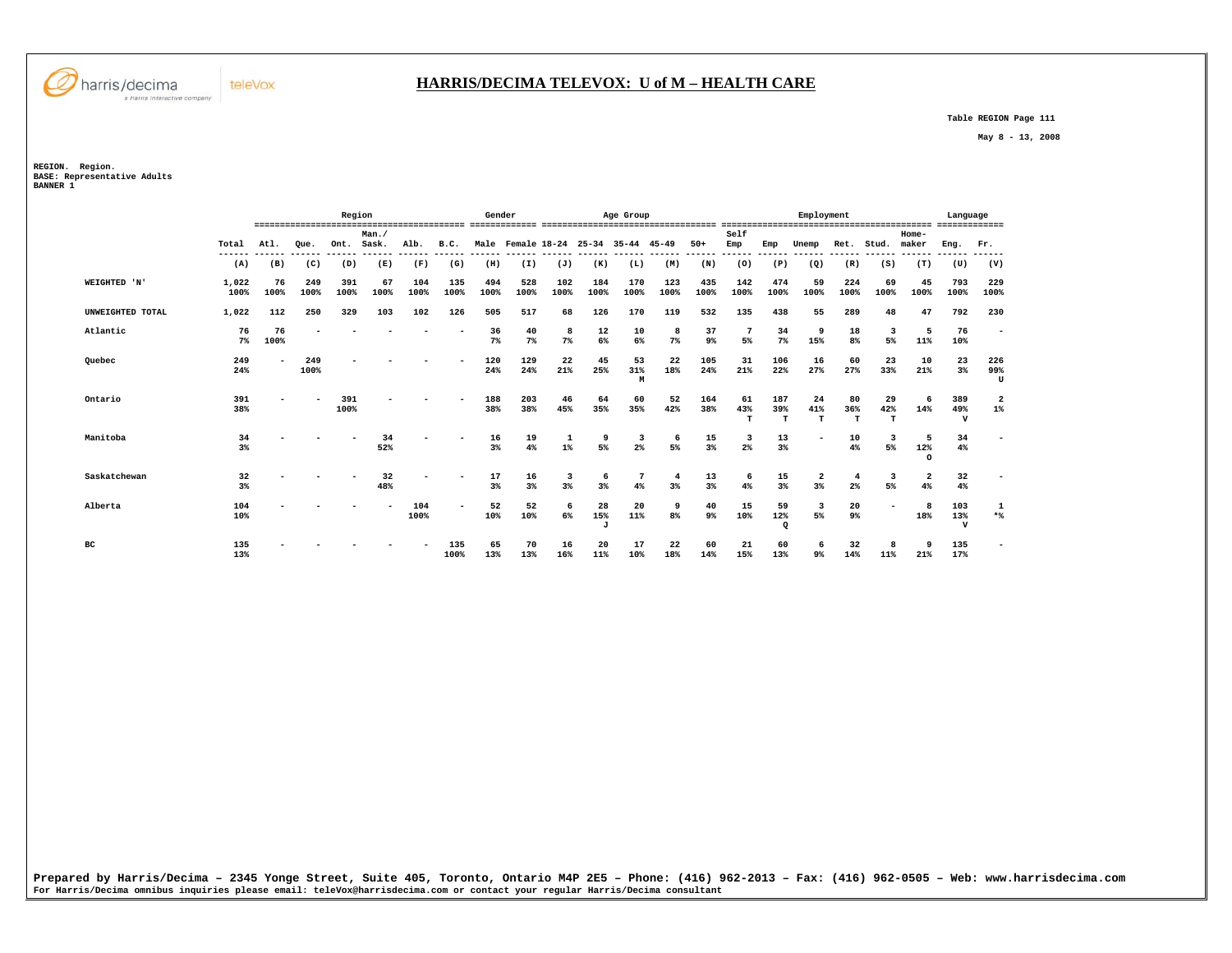

## **HARRIS/DECIMA TELEVOX: U of M – HEALTH CARE**

 **Table REGION Page 111** 

 **May 8 - 13, 2008** 

**REGION. Region.** 

**BASE: Representative Adults BANNER 1** 

|                  |               |            |             | Region      |                |               |               | Gender        |             |                         |                           | Age Group           |             |               |                                  |                       | Employment               |                      |                |                        | Language                  |                         |
|------------------|---------------|------------|-------------|-------------|----------------|---------------|---------------|---------------|-------------|-------------------------|---------------------------|---------------------|-------------|---------------|----------------------------------|-----------------------|--------------------------|----------------------|----------------|------------------------|---------------------------|-------------------------|
|                  | Total         | Atl.       | Oue.        | Ont.        | Man.<br>Sask.  | Alb.          | B.C.          |               |             | Male Female 18-24 25-34 |                           | $35 - 44$ $45 - 49$ |             | $50+$         | Self<br>Emp                      | Emp                   | Unemp                    | Ret.                 | Stud.          | Home-<br>maker         | Eng.                      | Fr.                     |
|                  | ------<br>(A) | (B)        | (C)         | (D)         | -------<br>(E) | ------<br>(F) | ------<br>(G) | ------<br>(H) | (I)         | (J)                     | (K)                       | (L)                 | (M)         | ------<br>(N) | ------<br>(0)                    | ------<br>(P)         | (Q)                      | -----<br>(R)         | ------<br>(S)  | ------<br>(T)          | (U)                       | (V)                     |
| WEIGHTED 'N'     | 1,022<br>100% | 76<br>100% | 249<br>100% | 391<br>100% | 67<br>100%     | 104<br>100%   | 135<br>100%   | 494<br>100%   | 528<br>100% | 102<br>100%             | 184<br>100%               | 170<br>100%         | 123<br>100% | 435<br>100%   | 142<br>100%                      | 474<br>100%           | 59<br>100%               | 224<br>100%          | 69<br>100%     | 45<br>100%             | 793<br>100%               | 229<br>100%             |
| UNWEIGHTED TOTAL | 1,022         | 112        | 250         | 329         | 103            | 102           | 126           | 505           | 517         | 68                      | 126                       | 170                 | 119         | 532           | 135                              | 438                   | 55                       | 289                  | 48             | 47                     | 792                       | 230                     |
| Atlantic         | 76<br>$7\%$   | 76<br>100% |             |             |                |               |               | 36<br>$7\%$   | 40<br>7%    | 8<br>$7\%$              | 12<br>$6\%$               | 10<br>6%            | 8<br>7%     | 37<br>9%      | 5%                               | 34<br>7%              | 9<br>15%                 | 18<br>8 <sup>8</sup> | 3<br>5%        | 5<br>11%               | 76<br>10%                 |                         |
| Quebec           | 249<br>24%    |            | 249<br>100% |             |                |               |               | 120<br>24%    | 129<br>24%  | 22<br>21%               | 45<br>25%                 | 53<br>31%<br>M      | 22<br>18%   | 105<br>24%    | 31<br>21%                        | 106<br>22%            | 16<br>27%                | 60<br>27%            | 23<br>33%      | 10<br>21%              | 23<br>3%                  | 226<br>99%<br>U         |
| Ontario          | 391<br>38%    |            |             | 391<br>100% |                |               |               | 188<br>38%    | 203<br>38%  | 46<br>45%               | 64<br>35%                 | 60<br>35%           | 52<br>42%   | 164<br>38%    | 61<br>43%<br>T                   | 187<br>39%<br>т       | 24<br>41%<br>$\mathbf T$ | 80<br>36%<br>т       | 29<br>42%<br>т | 6<br>14%               | 389<br>49%<br>$\mathbf v$ | $\overline{a}$<br>$1\%$ |
| Manitoba         | 34<br>3%      |            |             |             | 34<br>52%      |               |               | 16<br>3%      | 19<br>4%    | 1<br>$1\%$              | 9<br>5%                   | 3<br>2%             | 6<br>5%     | 15<br>3%      | $\overline{\mathbf{3}}$<br>$2\%$ | 13<br>3%              | $\overline{\phantom{a}}$ | 10<br>4%             | 3<br>5%        | - 5<br>12%<br>$\Omega$ | 34<br>4%                  |                         |
| Saskatchewan     | 32<br>$3\%$   |            |             |             | 32<br>48%      |               |               | 17<br>3%      | 16<br>3%    | 3<br>3%                 | -6<br>3%                  | 7<br>4%             | 4<br>3%     | 13<br>3%      | 6<br>4%                          | 15<br>3%              | $\mathbf{2}$<br>$3\%$    | 4<br>2%              | 3<br>5%        | $\overline{2}$<br>4%   | 32<br>4%                  |                         |
| Alberta          | 104<br>10%    |            |             |             |                | 104<br>100%   |               | 52<br>10%     | 52<br>10%   | 6<br>6%                 | 28<br>15%<br>$\mathbf{J}$ | 20<br>11%           | 9<br>8%     | 40<br>9%      | 15<br>10%                        | 59<br>12%<br>$\Omega$ | 3<br>5%                  | 20<br>9%             |                | -8<br>18%              | 103<br>13%<br>$\mathbf v$ | 1<br>$*$                |
| вc               | 135<br>13%    |            |             |             |                |               | 135<br>100%   | 65<br>13%     | 70<br>13%   | 16<br>16%               | 20<br>11%                 | 17<br>10%           | 22<br>18%   | 60<br>14%     | 21<br>15%                        | 60<br>13%             | 9%                       | 32<br>14%            | 8<br>11%       | - 9<br>21%             | 135<br>17%                |                         |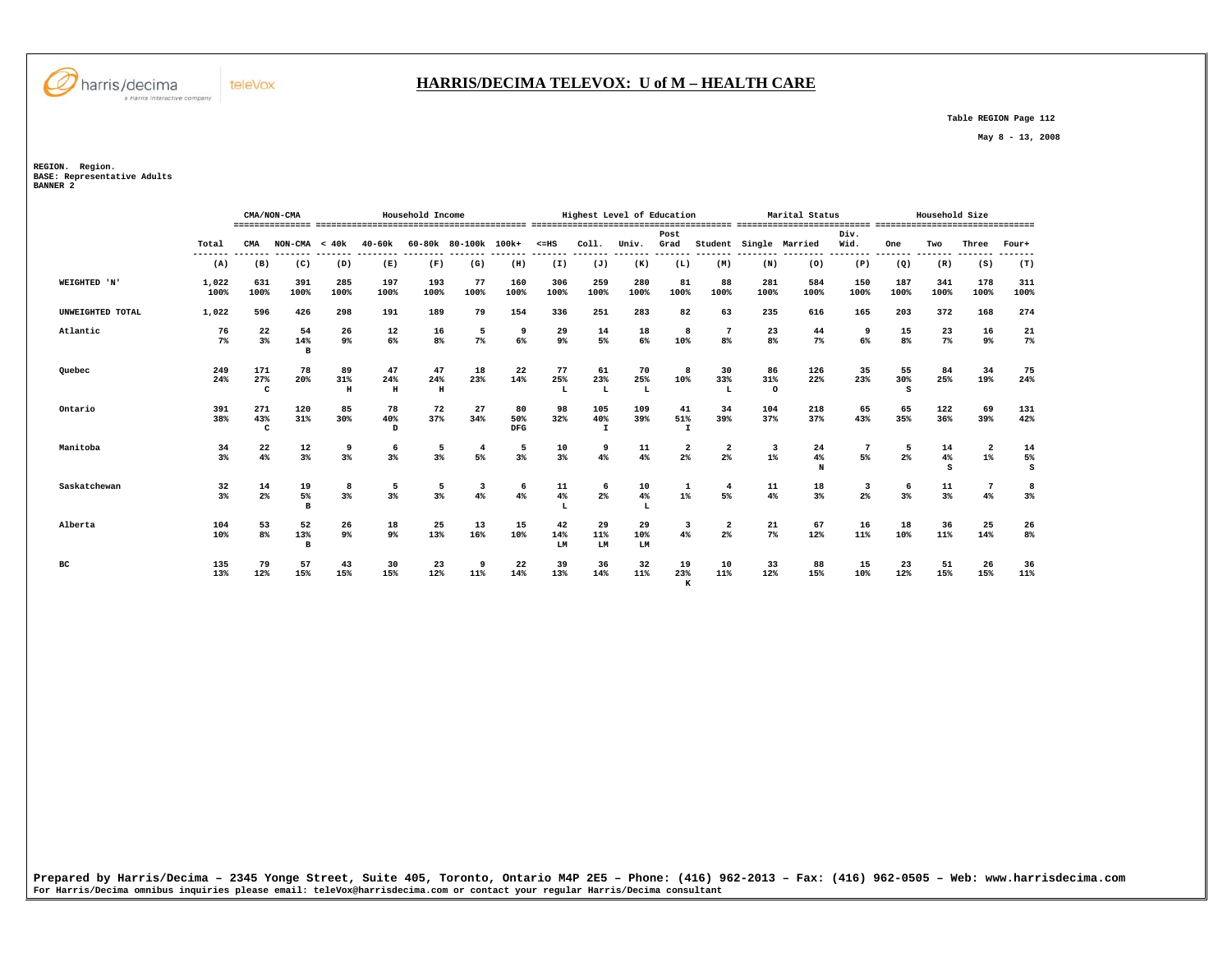

#### **HARRIS/DECIMA TELEVOX: U of M – HEALTH CARE**

 **Table REGION Page 112** 

 **May 8 - 13, 2008** 

**REGION. Region. BASE: Representative Adults BANNER 2** 

|                  |               |                            | CMA/NON-CMA               |                      |                           | Household Income          |                               |                  |                                                    |                           | Highest Level of Education |                           |                                           |                      | Marital Status              |              |                                | Household Size |                                  |               |
|------------------|---------------|----------------------------|---------------------------|----------------------|---------------------------|---------------------------|-------------------------------|------------------|----------------------------------------------------|---------------------------|----------------------------|---------------------------|-------------------------------------------|----------------------|-----------------------------|--------------|--------------------------------|----------------|----------------------------------|---------------|
|                  | Total         | CMA                        | $NON-CMA < 40k$           |                      | $40 - 60k$                |                           | 60-80k 80-100k 100k+          |                  | $< = HS$<br>------- ------- ------- ------- ------ | Col1.                     | Univ.                      | Post<br>Grad              | --------                                  |                      | Student Single Married<br>. | Div.<br>Wid. | One<br>------- ------- ------- | Two            | Three<br>-------                 | Four+         |
|                  | (A)           | (B)                        | (C)                       | (D)                  | (E)                       | (F)                       | (G)                           | (H)              | (I)                                                | (J)                       | (K)                        | (L)                       | (M)                                       | (N)                  | (0)                         | (P)          | (Q)                            | (R)            | (S)                              | (T)           |
| WEIGHTED 'N'     | 1,022<br>100% | 631<br>100%                | 391<br>100%               | 285<br>100%          | 197<br>100%               | 193<br>100%               | 77<br>100%                    | 160<br>100%      | 306<br>100%                                        | 259<br>100%               | 280<br>100%                | 81<br>100%                | 88<br>100%                                | 281<br>100%          | 584<br>100%                 | 150<br>100%  | 187<br>100%                    | 341<br>100%    | 178<br>100%                      | 311<br>100%   |
| UNWEIGHTED TOTAL | 1,022         | 596                        | 426                       | 298                  | 191                       | 189                       | 79                            | 154              | 336                                                | 251                       | 283                        | 82                        | 63                                        | 235                  | 616                         | 165          | 203                            | 372            | 168                              | 274           |
| Atlantic         | 76<br>7%      | 22<br>$3*$                 | 54<br>14%<br>B            | 26<br>9 <sup>°</sup> | 12<br>6%                  | 16<br>8 <sup>°</sup>      | 5<br>7%                       | 9<br>6%          | 29<br>9 <sup>°</sup>                               | 14<br>5%                  | 18<br>6%                   | 8<br>10%                  | $7\phantom{.0}$<br>8%                     | 23<br>8 <sup>8</sup> | 44<br>$7\%$                 | 9<br>6%      | 15<br>8 <sup>8</sup>           | 23<br>7%       | 16<br>9%                         | 21<br>7%      |
| Ouebec           | 249<br>24%    | 171<br>27%<br>$\mathbf{C}$ | 78<br>20%                 | 89<br>31%<br>$\,$ H  | 47<br>24%<br>$\, {\bf H}$ | 47<br>24%<br>$\, {\rm H}$ | 18<br>23%                     | 22<br>14%        | 77<br>25%                                          | 61<br>23%<br>L            | 70<br>25%<br>L             | 8<br>10%                  | 30<br>33%<br>L                            | 86<br>31%<br>$\circ$ | 126<br>22%                  | 35<br>23%    | 55<br>30%<br>s                 | 84<br>25%      | 34<br>19%                        | 75<br>24%     |
| Ontario          | 391<br>38%    | 271<br>43%<br>$\mathbf{C}$ | 120<br>31%                | 85<br>30%            | 78<br>40%<br>D            | 72<br>37%                 | 27<br>34%                     | 80<br>50%<br>DFG | 98<br>32%                                          | 105<br>40%<br>$\mathbf I$ | 109<br>39%                 | 41<br>51%<br>$\mathbf{I}$ | 34<br>39%                                 | 104<br>37%           | 218<br>37%                  | 65<br>43%    | 65<br>35%                      | 122<br>36%     | 69<br>39%                        | 131<br>42%    |
| Manitoba         | 34<br>3%      | 22<br>4%                   | 12<br>3%                  | 9<br>3%              | 6<br>3%                   | 5<br>3%                   | $\overline{4}$<br>5%          | 5<br>$3\%$       | 10<br>3%                                           | 9<br>4%                   | 11<br>4%                   | $\overline{a}$<br>2%      | 2<br>$2\%$                                | 3<br>$1\%$           | 24<br>4%<br>N               | 5%           | -5<br>2%                       | 14<br>4%<br>s  | $\overline{\mathbf{2}}$<br>$1\%$ | 14<br>5%<br>s |
| Saskatchewan     | 32<br>3%      | 14<br>2%                   | 19<br>5%<br>B             | 8<br>3%              | 5<br>3%                   | 5<br>3%                   | $\overline{\mathbf{3}}$<br>4% | 6<br>4%          | 11<br>4%                                           | 6<br>$2\%$                | 10<br>4%<br>L              | 1<br>$1\%$                | $\overline{\bf 4}$<br>5%                  | 11<br>4%             | 18<br>3%                    | 3<br>$2\%$   | 6<br>3%                        | 11<br>$3\%$    | 7<br>4%                          | 8<br>3%       |
| Alberta          | 104<br>10%    | 53<br>8%                   | 52<br>13%<br>$\mathbf{B}$ | 26<br>9 <sup>°</sup> | 18<br>9%                  | 25<br>13%                 | 13<br>16%                     | 15<br>10%        | 42<br>14%<br>LM                                    | 29<br>11%<br>LM           | 29<br>10%<br>LM            | 3<br>4%                   | $\overline{\mathbf{2}}$<br>2 <sup>°</sup> | 21<br>7%             | 67<br>12%                   | 16<br>11%    | 18<br>10%                      | 36<br>11%      | 25<br>14%                        | 26<br>8%      |
| вc               | 135<br>13%    | 79<br>12%                  | 57<br>15%                 | 43<br>15%            | 30<br>15%                 | 23<br>12%                 | 11%                           | 22<br>14%        | 39<br>13%                                          | 36<br>14%                 | 32<br>11%                  | 19<br>23%<br>к            | 10<br>11%                                 | 33<br>12%            | 88<br>15%                   | 15<br>10%    | 23<br>12%                      | 51<br>15%      | 26<br>15%                        | 36<br>11%     |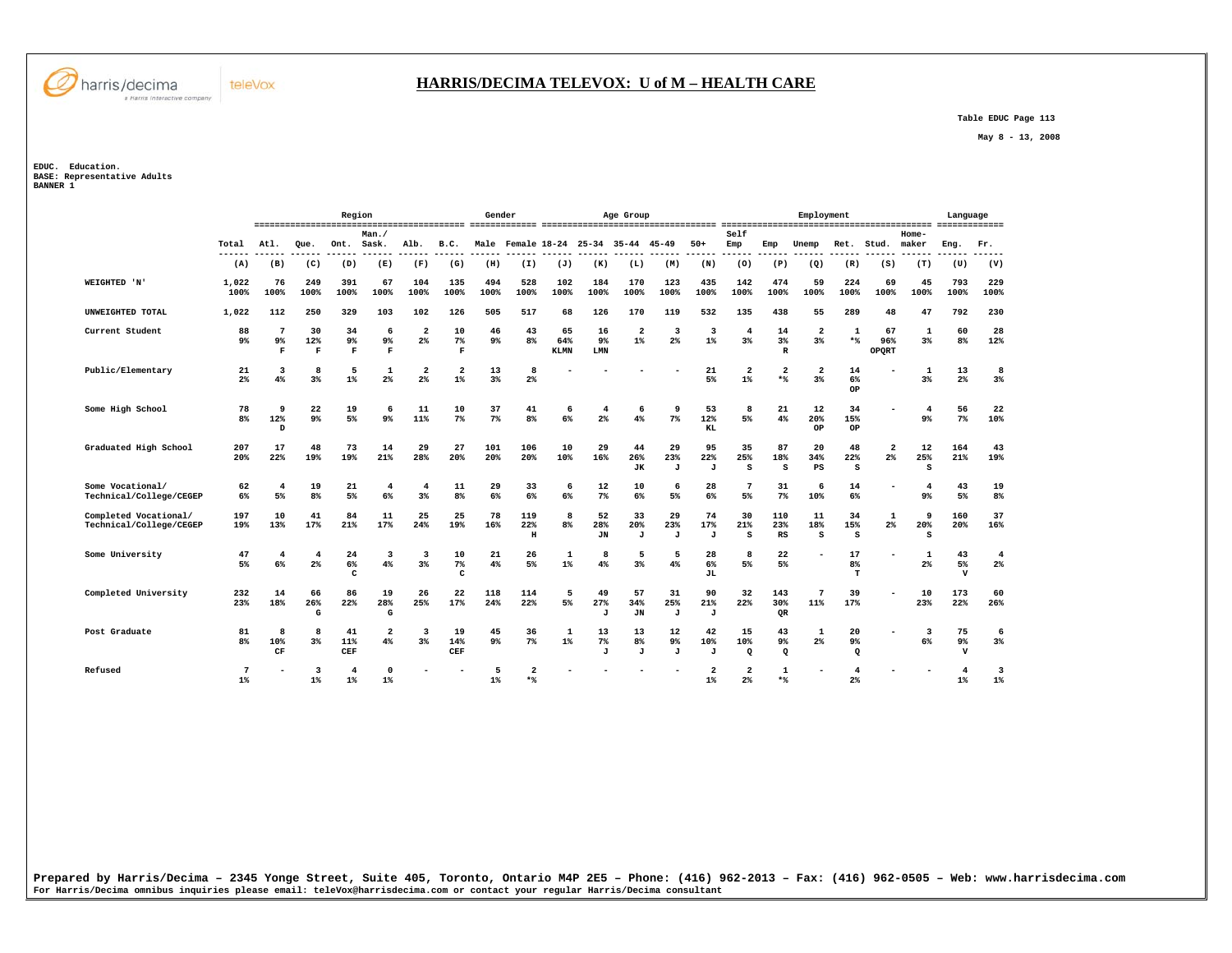

#### **HARRIS/DECIMA TELEVOX: U of M – HEALTH CARE**

 **Table EDUC Page 113** 

 **May 8 - 13, 2008** 

**EDUC. Education. BASE: Representative Adults BANNER 1** 

|                                                  |                      |                                      |                           | Region                  |                           |                         |                                  | Gender      |                            |                          |                             | Age Group               |                     |                           |                                  |                                  | Employment                                |                                  |                                  |                               | Language                            |                                  |
|--------------------------------------------------|----------------------|--------------------------------------|---------------------------|-------------------------|---------------------------|-------------------------|----------------------------------|-------------|----------------------------|--------------------------|-----------------------------|-------------------------|---------------------|---------------------------|----------------------------------|----------------------------------|-------------------------------------------|----------------------------------|----------------------------------|-------------------------------|-------------------------------------|----------------------------------|
|                                                  | Total                | Atl.                                 | Oue.                      | Ont.                    | Man.<br>Sask.             | Alb.                    | B.C.                             |             | Male Female 18-24          |                          | 25-34                       | 35-44                   | $45 - 49$           | $50+$                     | Self<br>Emp                      | Emp                              | Unemp                                     | Ret.                             | Stud.                            | Home-<br>maker                | Eng.                                | Fr.                              |
|                                                  | (A)                  | (B)                                  | (C)                       | (D)                     | (E)                       | (F)                     | (G)                              | (H)         | (I)                        | (J)                      | (K)                         | (L)                     | (M)                 | (N)                       | (0)                              | (P)                              | (Q)                                       | (R)                              | (S)                              | (T)                           | (U)                                 | ---<br>(V)                       |
| WEIGHTED 'N'                                     | 1,022<br>100%        | 76<br>100%                           | 249<br>100%               | 391<br>100%             | 67<br>100%                | 104<br>100%             | 135<br>100%                      | 494<br>100% | 528<br>100%                | 102<br>100%              | 184<br>100%                 | 170<br>100%             | 123<br>100%         | 435<br>100%               | 142<br>100%                      | 474<br>100%                      | 59<br>100%                                | 224<br>100%                      | 69<br>100%                       | 45<br>100%                    | 793<br>100%                         | 229<br>100%                      |
| UNWEIGHTED TOTAL                                 | 1,022                | 112                                  | 250                       | 329                     | 103                       | 102                     | 126                              | 505         | 517                        | 68                       | 126                         | 170                     | 119                 | 532                       | 135                              | 438                              | 55                                        | 289                              | 48                               | 47                            | 792                                 | 230                              |
| Current Student                                  | 88<br>9 <sup>°</sup> | $\overline{7}$<br>9%<br>$\mathbf{F}$ | 30<br>12%<br>$\mathbf{F}$ | 34<br>9%<br>F           | 6<br>$9\%$<br>$\mathbf F$ | $\overline{a}$<br>$2\%$ | 10<br>$7\%$<br>$\mathbf F$       | 46<br>9%    | 43<br>8%                   | 65<br>64%<br><b>KLMN</b> | 16<br>9 <sup>°</sup><br>LMN | $\overline{a}$<br>$1$ % | 3<br>$2\%$          | 3<br>$1\%$                | 4<br>3%                          | 14<br>3%<br>$\mathbb{R}$         | $\overline{a}$<br>3 <sup>8</sup>          | 1<br>$*$                         | 67<br>96%<br>OPORT               | 1<br>3%                       | 60<br>8%                            | 28<br>12%                        |
| Public/Elementary                                | 21<br>2 <sup>°</sup> | 3<br>4%                              | 8<br>3%                   | 5<br>1%                 | 1<br>2%                   | 2<br>2 <sup>°</sup>     | $\overline{\mathbf{2}}$<br>$1\%$ | 13<br>3%    | 8<br>2%                    |                          |                             |                         |                     | 21<br>5%                  | $\overline{\mathbf{2}}$<br>$1\%$ | $\overline{\mathbf{2}}$<br>$*$ % | $\overline{\mathbf{2}}$<br>3 <sup>8</sup> | 14<br>6%<br>OP                   |                                  | 1<br>3%                       | 13<br>2 <sup>°</sup>                | 8<br>3%                          |
| Some High School                                 | 78<br>8 <sup>°</sup> | 9<br>12%<br>D                        | 22<br>9%                  | 19<br>5%                | 6<br>9 <sup>°</sup>       | 11<br>11%               | 10<br>$7\%$                      | 37<br>7%    | 41<br>8%                   | 6<br>6%                  | 4<br>$2*$                   | 6<br>4%                 | 9<br>7 <sup>8</sup> | 53<br>12%<br>KL           | 8<br>5%                          | 21<br>4%                         | 12<br>20%<br>OP                           | 34<br>15%<br>OP                  |                                  | $\overline{4}$<br>$9\%$       | 56<br>7%                            | 22<br>10%                        |
| Graduated High School                            | 207<br>20%           | 17<br>22%                            | 48<br>19%                 | 73<br>19%               | 14<br>21%                 | 29<br>28%               | 27<br>20%                        | 101<br>20%  | 106<br>20%                 | 10<br>10%                | 29<br>16%                   | 44<br>26%<br>JК         | 29<br>23%<br>J      | 95<br>22%<br>$\mathbf{J}$ | 35<br>25%<br>s                   | 87<br>18%<br>s                   | 20<br>34%<br>PS                           | 48<br>22%<br>S                   | $\overline{2}$<br>2 <sup>8</sup> | 12<br>25%<br>s                | 164<br>21%                          | 43<br>19%                        |
| Some Vocational/<br>Technical/College/CEGEP      | 62<br>6%             | $\overline{4}$<br>5%                 | 19<br>8 <sup>°</sup>      | 21<br>5%                | 4<br>6%                   | 4<br>3%                 | 11<br>8 <sup>8</sup>             | 29<br>6%    | 33<br>6%                   | 6<br>6%                  | 12<br>7%                    | 10<br>6%                | 6<br>5%             | 28<br>6%                  | 7<br>5%                          | 31<br>7%                         | 6<br>10%                                  | 14<br>6%                         | ۰                                | $\overline{4}$<br>9%          | 43<br>5%                            | 19<br>8 <sup>°</sup>             |
| Completed Vocational/<br>Technical/College/CEGEP | 197<br>19%           | 10<br>13%                            | 41<br>17%                 | 84<br>21%               | 11<br>17%                 | 25<br>24%               | 25<br>19%                        | 78<br>16%   | 119<br>22%<br>$\, {\rm H}$ | 8<br>8%                  | 52<br>28%<br>JN             | 33<br>20%<br>J          | 29<br>23%<br>J      | 74<br>17%<br>J            | 30<br>21%<br>s                   | 110<br>23%<br>RS                 | 11<br>18%<br>s                            | 34<br>15%<br>s                   | 1<br>2 <sup>°</sup>              | 9<br>20%<br>s                 | 160<br>20%                          | 37<br>16%                        |
| Some University                                  | 47<br>5%             | 4<br>6%                              | $\overline{4}$<br>$2\%$   | 24<br>6%<br>c           | 3<br>4%                   | 3<br>$3\%$              | 10<br>7%<br>c                    | 21<br>4%    | 26<br>5%                   | $\mathbf{1}$<br>$1\%$    | 8<br>4%                     | 5<br>3%                 | 5<br>4%             | 28<br>6%<br>JL.           | 8<br>5%                          | 22<br>5%                         | $\overline{\phantom{a}}$                  | 17<br>8 <sup>8</sup><br>т        |                                  | 1<br>$2\%$                    | 43<br>5%<br>$\mathbf{v}$            | $\overline{4}$<br>2%             |
| Completed University                             | 232<br>23%           | 14<br>18%                            | 66<br>26%<br>G            | 86<br>22%               | 19<br>28%<br>G            | 26<br>25%               | 22<br>17%                        | 118<br>24%  | 114<br>22%                 | 5<br>5%                  | 49<br>27%<br>J              | 57<br>34%<br>JN         | 31<br>25%<br>J      | 90<br>21%<br>J            | 32<br>22%                        | 143<br>30%<br>QR                 | 11%                                       | 39<br>17%                        |                                  | 10<br>23%                     | 173<br>22%                          | 60<br>26%                        |
| Post Graduate                                    | 81<br>8 <sup>°</sup> | 8<br>10%<br>CF                       | 8<br>3%                   | 41<br>11%<br><b>CEF</b> | $\overline{2}$<br>4%      | 3<br>3%                 | 19<br>14%<br>CEF                 | 45<br>9%    | 36<br>7%                   | $\mathbf{1}$<br>$1\%$    | 13<br>$7\%$<br>$\mathbf{J}$ | 13<br>8%<br>J           | 12<br>9%<br>J       | 42<br>10%<br>$\mathbf{J}$ | 15<br>10%<br>$\circ$             | 43<br>9%<br>$\mathbf{Q}$         | 1<br>$2\%$                                | 20<br>9 <sup>°</sup><br>$\Omega$ |                                  | $\overline{\mathbf{3}}$<br>6% | 75<br>9 <sup>°</sup><br>$\mathbf v$ | 6<br>3%                          |
| Refused                                          | 7<br>$1\%$           |                                      | 3<br>$1\%$                | 4<br>$1\%$              | $\Omega$<br>$1\%$         |                         |                                  | 5<br>$1\%$  | **                         |                          |                             |                         |                     | 2<br>$1\%$                | 2<br>2%                          | 1<br>$*$                         |                                           | $\overline{4}$<br>2%             |                                  |                               | $\overline{4}$<br>$1\%$             | $\overline{\mathbf{3}}$<br>$1\%$ |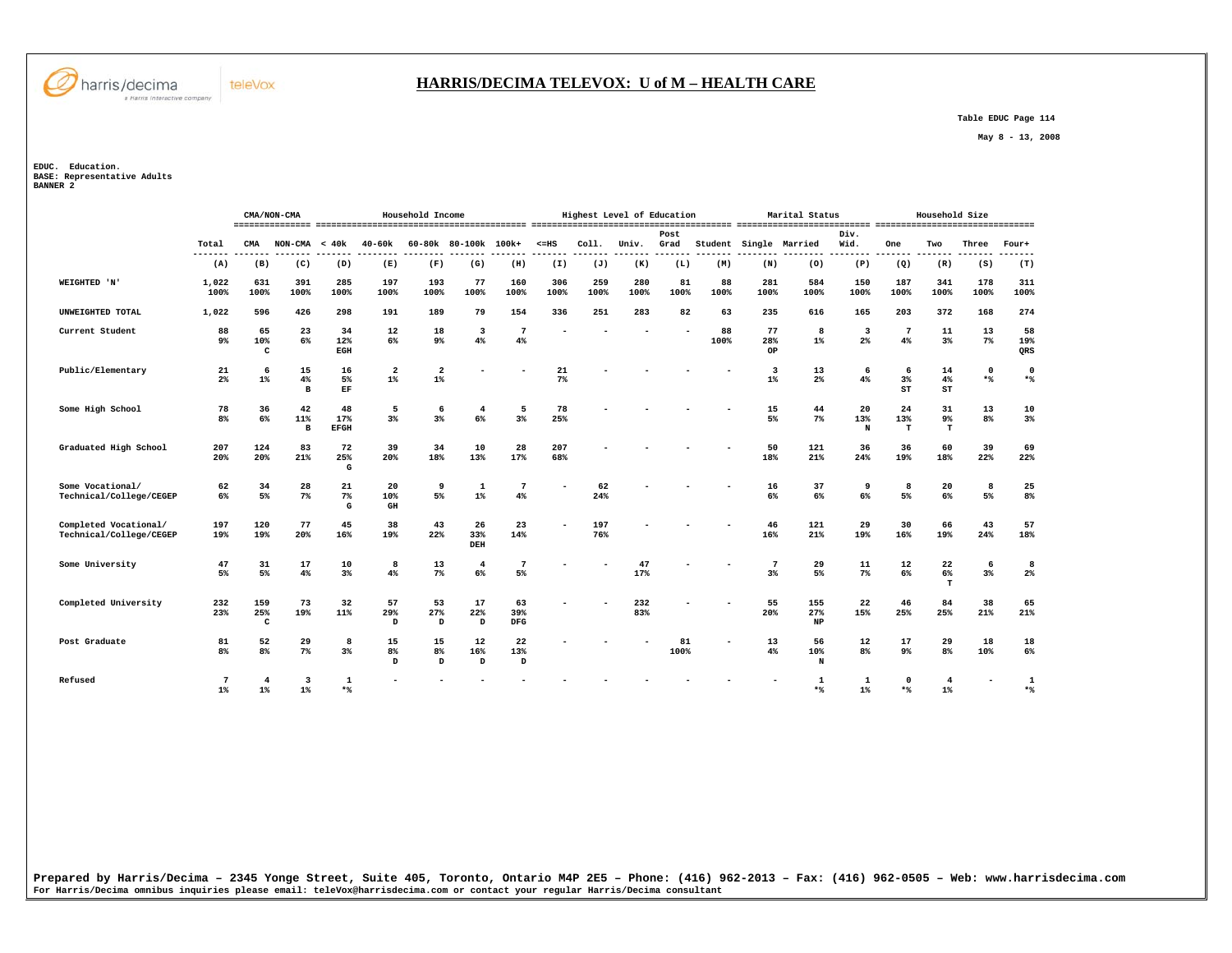

#### **HARRIS/DECIMA TELEVOX: U of M – HEALTH CARE**

 **Table EDUC Page 114** 

 **May 8 - 13, 2008** 

**EDUC. Education. BASE: Representative Adults BANNER 2** 

|                                                  |                      | CMA/NON-CMA             |                                  |                          |                                  | Household Income        |                               |                         |             |             | Highest Level of Education |              |            |                         | Marital Status      |                                           |                           | Household Size          |                 |                  |
|--------------------------------------------------|----------------------|-------------------------|----------------------------------|--------------------------|----------------------------------|-------------------------|-------------------------------|-------------------------|-------------|-------------|----------------------------|--------------|------------|-------------------------|---------------------|-------------------------------------------|---------------------------|-------------------------|-----------------|------------------|
|                                                  | Total                | CMA                     | NON-CMA                          | < 40k                    | 40-60k                           |                         | 60-80k 80-100k 100k+          |                         | $< = HS$    | Coll.       | Univ.                      | Post<br>Grad | Student    | Single Married          |                     | Div.<br>Wid.                              | One                       | Two                     | Three           | Four+            |
|                                                  | -------<br>(A)       | (B)                     | (C)                              | (D)                      | ---<br>(E)                       | (F)                     | (G)                           | (H)                     | (I)         | (J)         | (K)                        | (L)          | (M)        | (N)                     | (0)                 | -----<br>(P)                              | ----<br>(Q)               | ------<br>(R)           | (S)             | (T)              |
| WEIGHTED 'N'                                     | 1,022<br>100%        | 631<br>100%             | 391<br>100%                      | 285<br>100%              | 197<br>100%                      | 193<br>100%             | 77<br>100%                    | 160<br>100%             | 306<br>100% | 259<br>100% | 280<br>100%                | 81<br>100%   | 88<br>100% | 281<br>100%             | 584<br>100%         | 150<br>100%                               | 187<br>100%               | 341<br>100%             | 178<br>100%     | 311<br>100%      |
| UNWEIGHTED TOTAL                                 | 1,022                | 596                     | 426                              | 298                      | 191                              | 189                     | 79                            | 154                     | 336         | 251         | 283                        | 82           | 63         | 235                     | 616                 | 165                                       | 203                       | 372                     | 168             | 274              |
| Current Student                                  | 88<br>9 <sup>°</sup> | 65<br>10%<br>C          | 23<br>6%                         | 34<br>12%<br>EGH         | 12<br>6%                         | 18<br>9%                | $\overline{\mathbf{3}}$<br>4% | 7<br>4%                 |             |             |                            |              | 88<br>100% | 77<br>28%<br>OP         | 8<br>$1\%$          | $\overline{\mathbf{3}}$<br>2 <sup>°</sup> | -7<br>4%                  | 11<br>3%                | 13<br>$7\%$     | 58<br>19%<br>QRS |
| Public/Elementary                                | 21<br>2 <sup>8</sup> | 6<br>$1\%$              | 15<br>4%<br>$\mathbf{B}$         | 16<br>5%<br>EF           | $\overline{\mathbf{2}}$<br>$1\%$ | $\overline{a}$<br>$1\%$ |                               |                         | 21<br>7%    |             |                            |              |            | $\overline{3}$<br>$1\%$ | 13<br>$2\%$         | 6<br>4%                                   | 6<br>$3\%$<br>ST          | 14<br>4%<br>ST          | $\Omega$<br>$*$ | 0<br>$*$         |
| Some High School                                 | 78<br>8 <sup>8</sup> | 36<br>6%                | 42<br>11%<br>B                   | 48<br>17%<br><b>EFGH</b> | 5<br>$3\%$                       | 6<br>$3\%$              | 4<br>6%                       | 5<br>3%                 | 78<br>25%   |             |                            |              |            | 15<br>5%                | 44<br>$7\%$         | 20<br>13%<br>N                            | 24<br>13%<br>$\mathbf{T}$ | 31<br>9%<br>$\mathbf T$ | 13<br>8%        | 10<br>3%         |
| Graduated High School                            | 207<br>20%           | 124<br>20%              | 83<br>21%                        | 72<br>25%<br>G           | 39<br>20%                        | 34<br>18%               | 10<br>13%                     | 28<br>17%               | 207<br>68%  |             |                            |              |            | 50<br>18%               | 121<br>21%          | 36<br>24%                                 | 36<br>19%                 | 60<br>18%               | 39<br>22%       | 69<br>22%        |
| Some Vocational/<br>Technical/College/CEGEP      | 62<br>6%             | 34<br>5%                | 28<br>7%                         | 21<br>7%<br>G            | 20<br>10%<br>$\,$ GH             | 9<br>5%                 | $\mathbf{1}$<br>$1\%$         | 7<br>4%                 |             | 62<br>24%   |                            |              |            | 16<br>6%                | 37<br>6%            | 9<br>$6\%$                                | 8<br>5%                   | 20<br>$6\%$             | 8<br>5%         | 25<br>8%         |
| Completed Vocational/<br>Technical/College/CEGEP | 197<br>19%           | 120<br>19%              | 77<br>20%                        | 45<br>16%                | 38<br>19%                        | 43<br>22%               | 26<br>33%<br>DEH              | 23<br>14%               |             | 197<br>76%  |                            |              |            | 46<br>16%               | 121<br>21%          | 29<br>19%                                 | 30<br>16%                 | 66<br>19%               | 43<br>24%       | 57<br>18%        |
| Some University                                  | 47<br>5%             | 31<br>5%                | 17<br>4%                         | 10<br>3%                 | 8<br>4%                          | 13<br>$7\%$             | 4<br>6%                       | 7<br>5%                 |             |             | 47<br>17%                  |              |            | 7<br>3%                 | 29<br>5%            | 11<br>$7\%$                               | 12<br>6%                  | 22<br>6%<br>т           | 6<br>3%         | 8<br>$2\%$       |
| Completed University                             | 232<br>23%           | 159<br>25%<br>c         | 73<br>19%                        | 32<br>11%                | 57<br>29%<br>D                   | 53<br>27%<br>D          | 17<br>22%<br>D                | 63<br>39%<br><b>DFG</b> |             |             | 232<br>83%                 |              |            | 55<br>20%               | 155<br>27%<br>NP    | 22<br>15%                                 | 46<br>25%                 | 84<br>25%               | 38<br>21%       | 65<br>21%        |
| Post Graduate                                    | 81<br>8 <sup>8</sup> | 52<br>8 <sup>8</sup>    | 29<br>7%                         | 8<br>3%                  | 15<br>8 <sup>°</sup><br>D        | 15<br>8%<br>D           | 12<br>16%<br>D                | 22<br>13%<br>D          |             |             |                            | 81<br>100%   |            | 13<br>4%                | 56<br>10%<br>N      | 12<br>8 <sup>°</sup>                      | 17<br>9%                  | 29<br>8 <sup>8</sup>    | 18<br>10%       | 18<br>6%         |
| Refused                                          | 7<br>$1\%$           | $\overline{4}$<br>$1\%$ | $\overline{\mathbf{3}}$<br>$1\%$ | $\mathbf{1}$<br>$*$      |                                  |                         |                               |                         |             |             |                            |              |            |                         | $\mathbf{1}$<br>$*$ | 1<br>$1\%$                                | $\Omega$<br>$*$           | 4<br>$1\%$              |                 | 1<br>$*$         |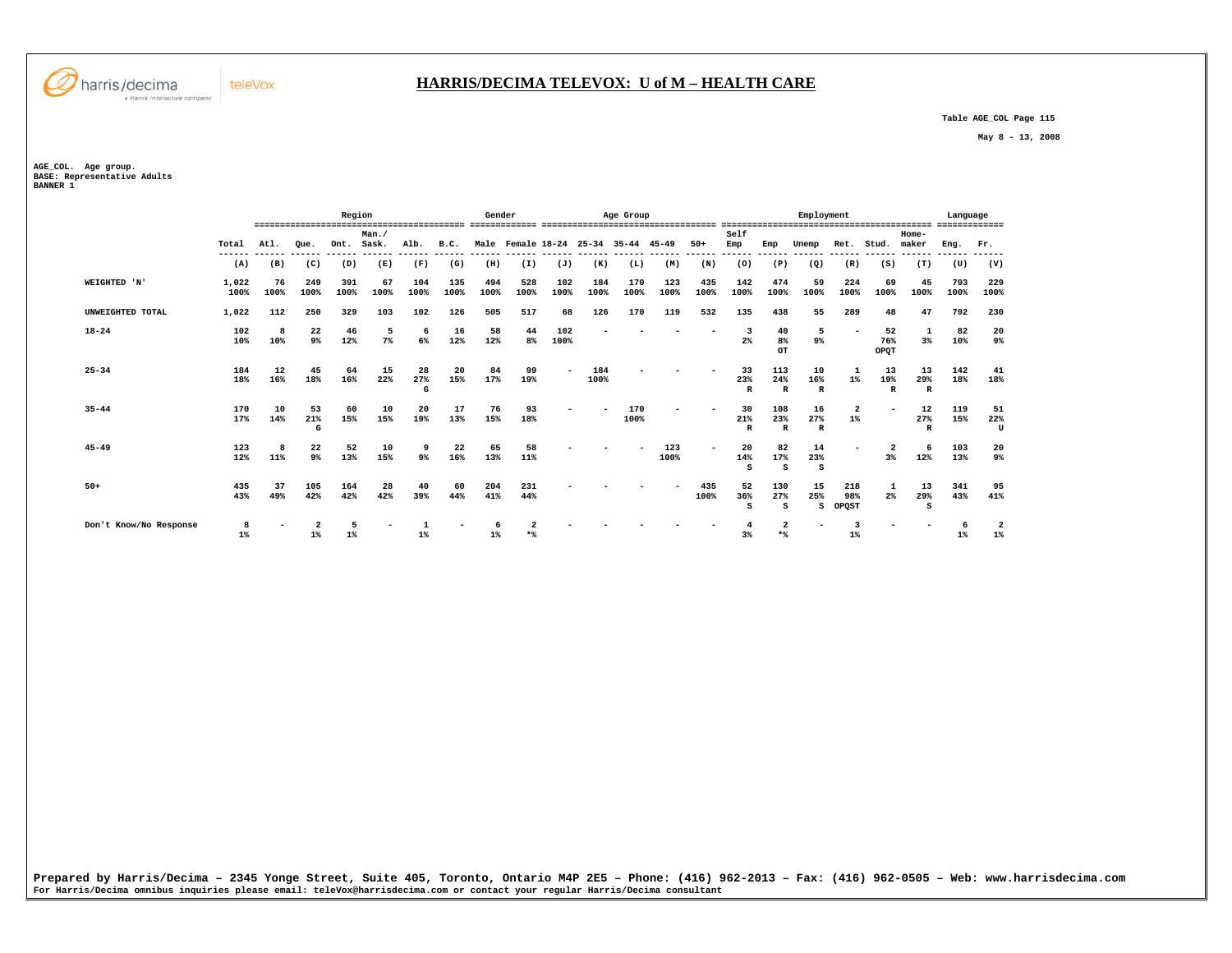

## **HARRIS/DECIMA TELEVOX: U of M – HEALTH CARE**

 **Table AGE\_COL Page 115** 

 **May 8 - 13, 2008** 

**AGE\_COL. Age group. BASE: Representative Adults BANNER 1** 

|                        |               |               | ------------------   | Region                       |               |                |             | Gender      |             |                                     |                | Age Group     | ,,,,,,,,,,,,,,,,,,,, |                       |                           |                            | Employment                |                                  |                           | -------                      | Language    | ------                           |
|------------------------|---------------|---------------|----------------------|------------------------------|---------------|----------------|-------------|-------------|-------------|-------------------------------------|----------------|---------------|----------------------|-----------------------|---------------------------|----------------------------|---------------------------|----------------------------------|---------------------------|------------------------------|-------------|----------------------------------|
|                        | Total         | Atl.          | Oue.                 | Ont.                         | Man.<br>Sask. | Alb.           | B.C.        | Male        |             | Female 18-24                        | $25 - 34$      | $35 - 44$     | $45 - 49$            | $50+$                 | Self<br>Emp               | Emp                        | Unemp                     | Ret.                             | Stud.                     | Home-<br>maker               | Eng.        | Fr.                              |
|                        | ------<br>(A) | ------<br>(B) | ------<br>(C)        | ------- ------ ------<br>(D) | (E)           | (F)            | (G)         | (H)         | (I)         | ------- ------ ------ ------<br>(J) | -------<br>(K) | ------<br>(L) | ------<br>(M)        | ------- ------<br>(N) | (0)                       | ------<br>(P)              | ------<br>(Q)             | (R)                              | (S)                       | ------- ------ ------<br>(T) | (U)         | ------<br>(V)                    |
| WEIGHTED 'N'           | 1,022<br>100% | 76<br>100%    | 249<br>100%          | 391<br>100%                  | 67<br>100%    | 104<br>100%    | 135<br>100% | 494<br>100% | 528<br>100% | 102<br>100%                         | 184<br>100%    | 170<br>100%   | 123<br>100%          | 435<br>100%           | 142<br>100%               | 474<br>100%                | 59<br>100%                | 224<br>100%                      | 69<br>100%                | 45<br>100%                   | 793<br>100% | 229<br>100%                      |
| UNWEIGHTED TOTAL       | 1,022         | 112           | 250                  | 329                          | 103           | 102            | 126         | 505         | 517         | 68                                  | 126            | 170           | 119                  | 532                   | 135                       | 438                        | 55                        | 289                              | 48                        | 47                           | 792         | 230                              |
| $18 - 24$              | 102<br>10%    | 8<br>10%      | 22<br>9 <sup>°</sup> | 46<br>12%                    | 5<br>7%       | 6<br>6%        | 16<br>12%   | 58<br>12%   | 44<br>8%    | 102<br>100%                         |                |               |                      |                       | $2\%$                     | 40<br>8 <sup>°</sup><br>OT | 5<br>$9\%$                |                                  | 52<br>76%<br>OPQT         | 1<br>3%                      | 82<br>10%   | 20<br>9%                         |
| $25 - 34$              | 184<br>18%    | 12<br>16%     | 45<br>18%            | 64<br>16%                    | 15<br>22%     | 28<br>27%<br>G | 20<br>15%   | 84<br>17%   | 99<br>19%   |                                     | 184<br>100%    |               |                      |                       | 33<br>23%<br>$\mathbb{R}$ | 113<br>24%<br>$\mathbb{R}$ | 10<br>16%<br>$\mathbb{R}$ | $1\%$                            | 13<br>19%<br>$\mathbb{R}$ | 13<br>29%<br>$\mathbb{R}$    | 142<br>18%  | 41<br>18%                        |
| $35 - 44$              | 170<br>17%    | 10<br>14%     | 53<br>21%<br>G       | 60<br>15%                    | 10<br>15%     | 20<br>19%      | 17<br>13%   | 76<br>15%   | 93<br>18%   |                                     |                | 170<br>100%   |                      |                       | 30<br>21%<br>$\mathbb{R}$ | 108<br>23%<br>$\mathbb{R}$ | 16<br>27%<br>R            | $\overline{\mathbf{2}}$<br>$1\%$ |                           | 12<br>27%<br>$\mathbb{R}$    | 119<br>15%  | 51<br>22%<br>U                   |
| $45 - 49$              | 123<br>12%    | 11%           | 22<br>9%             | 52<br>13%                    | 10<br>15%     | 9%             | 22<br>16%   | 65<br>13%   | 58<br>11%   |                                     |                |               | 123<br>100%          |                       | 20<br>14%<br>s            | 82<br>17%<br>s             | 14<br>23%<br>s            |                                  | 3%                        | 6<br>12%                     | 103<br>13%  | 20<br>9%                         |
| $50+$                  | 435<br>43%    | 37<br>49%     | 105<br>42%           | 164<br>42%                   | 28<br>42%     | 40<br>39%      | 60<br>44%   | 204<br>41%  | 231<br>44%  |                                     |                |               |                      | 435<br>100%           | 52<br>36%<br>s            | 130<br>27%<br>S            | 15<br>25%<br>s            | 218<br>98%<br>OPOST              | 2%                        | 13<br>29%<br>s               | 341<br>43%  | 95<br>41%                        |
| Don't Know/No Response | 8<br>$1\%$    |               | $1\%$                | 5<br>1%                      |               | $1\%$          |             | $1\%$       | $*$         |                                     |                |               |                      |                       | 3%                        | $\overline{2}$<br>$*$ %    | -                         | 3<br>$1\%$                       |                           |                              | 6<br>$1\%$  | $\overline{\mathbf{2}}$<br>$1\%$ |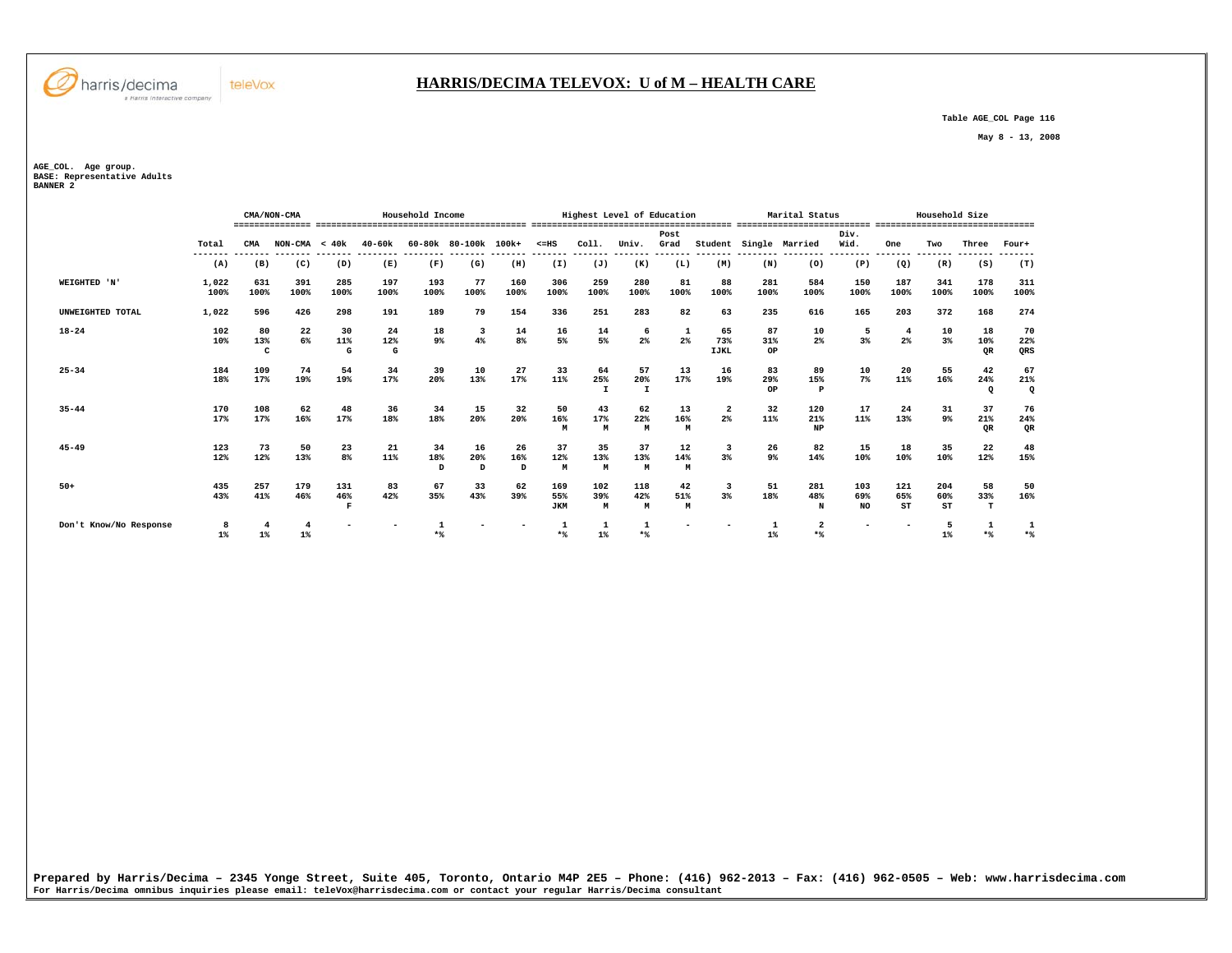

 **Table AGE\_COL Page 116** 

 **May 8 - 13, 2008** 

**AGE\_COL. Age group. BASE: Representative Adults BANNER 2** 

harris/decima

a Harris Interactive company

teleVox

|                        |                  |                | CMA/NON-CMA     |             |             | Household Income |                      |             |                   |                                          | Highest Level of Education |            |                    |             | Marital Status                |                 |                                   | Household Size |                |                 |
|------------------------|------------------|----------------|-----------------|-------------|-------------|------------------|----------------------|-------------|-------------------|------------------------------------------|----------------------------|------------|--------------------|-------------|-------------------------------|-----------------|-----------------------------------|----------------|----------------|-----------------|
|                        |                  |                |                 |             |             |                  |                      |             |                   |                                          |                            |            |                    |             | ,,,,,,,,,, ,,,,,,,,,,,,,,,,,, | -------         | --------------------------------- |                |                |                 |
|                        |                  |                |                 |             |             |                  |                      |             |                   |                                          |                            | Post       |                    |             |                               | Div.            |                                   |                |                |                 |
|                        | Total<br>------- | CMA            | $NON-CMA < 40k$ |             | 40-60k      |                  | 60-80k 80-100k 100k+ |             | $< = HS$          | COL1.                                    | Univ.                      | Grad       | Student            |             | Single Married                | Wid.<br>------- | One<br>-------                    | Two            | Three          | Four+           |
|                        | (A)              | (B)            | (C)             | (D)         | (E)         | (F)              | (G)                  | (H)         | (I)               | (J)                                      | (K)                        | (L)        | (M)                | (N)         | (0)                           | (P)             | (Q)                               | (R)            | (S)            | (T)             |
| WEIGHTED 'N'           | 1,022<br>100%    | 631<br>100%    | 391<br>100%     | 285<br>100% | 197<br>100% | 193<br>100%      | 77<br>100%           | 160<br>100% | 306<br>100%       | 259<br>100%                              | 280<br>100%                | 81<br>100% | 88<br>100%         | 281<br>100% | 584<br>100%                   | 150<br>100%     | 187<br>100%                       | 341<br>100%    | 178<br>100%    | 311<br>100%     |
| UNWEIGHTED TOTAL       | 1,022            | 596            | 426             | 298         | 191         | 189              | 79                   | 154         | 336               | 251                                      | 283                        | 82         | 63                 | 235         | 616                           | 165             | 203                               | 372            | 168            | 274             |
| $18 - 24$              | 102              | 80             | 22              | 30          | 24          | 18               | 3                    | 14          | 16<br>5%          | $\begin{array}{c} 14 \\ 5\% \end{array}$ | 6                          | 1<br>2%    | 65                 | 87          | 10<br>2 <sup>°</sup>          | 5               | 4                                 | 10             | 18             | 70              |
|                        | 10%              | 13%<br>C       | 6%              | 11%<br>G    | 12%<br>G    | 9%               | 4%                   | 8%          |                   |                                          | 2 <sup>°</sup>             |            | 73%<br><b>IJKL</b> | 31%<br>OP   |                               | 3%              | 2 <sup>°</sup>                    | 3%             | 10%<br>QR      | 22%<br>QRS      |
| $25 - 34$              | 184              | 109            | 74              | 54          | 34          | 39               | 10                   | 27          | 33                | 64                                       | 57                         | 13         | 16                 | 83          | 89                            | 10              | 20                                | 55             | 42             | 67              |
|                        | 18%              | 17%            | 19%             | 19%         | 17%         | 20%              | 13%                  | 17%         | 11%               | 25%<br>$\mathbf{I}$                      | 20%<br>$\mathbf{I}$        | 17%        | 19%                | 29%<br>OP   | 15%<br>$\mathbf{P}$           | $7\%$           | 11%                               | 16%            | 24%<br>$\circ$ | 21%<br>$\bf{Q}$ |
| $35 - 44$              | 170              | 108            | 62              | 48          | 36          | 34               | 15                   | 32          | 50                | 43                                       | 62                         | 13         | 2                  | 32          | 120                           | 17              | 24                                | 31             | 37             | 76              |
|                        | 17%              | 17%            | 16%             | 17%         | 18%         | 18%              | 20%                  | 20%         | 16%<br>м          | 17%<br>M                                 | 22%<br>M                   | 16%<br>M   | 2%                 | 11%         | 21%<br><b>NP</b>              | 11%             | 13%                               | 9%             | 21%<br>QR      | 24%<br>QR       |
| $45 - 49$              | 123              | 73             | 50              | 23          | 21          | 34               | 16                   | 26          | 37                | 35                                       | 37                         | 12         | 3                  | 26          | 82                            | 15              | 18                                | 35             | 22             | 48              |
|                        | 12%              | 12%            | 13%             | 8%          | 11%         | 18%<br>D         | 20%<br>D             | 16%<br>D    | 12%<br>M          | 13%<br>M                                 | 13%<br>M                   | 14%<br>M   | 3%                 | 9%          | 14%                           | 10%             | 10%                               | 10%            | 12%            | 15%             |
| $50+$                  | 435              | 257            | 179             | 131         | 83          | 67               | 33                   | 62          | 169               | 102                                      | 118                        | 42         | 3                  | 51          | 281                           | 103             | 121                               | 204            | 58             | 50              |
|                        | 43%              | 41%            | 46%             | 46%<br>R    | 42%         | 35%              | 43%                  | 39%         | 55%<br><b>JKM</b> | 39%<br>M                                 | 42%<br>M                   | 51%<br>M   | 3%                 | 18%         | 48%<br>N                      | 69%<br>NO.      | 65%<br>ST                         | 60%<br>ST      | 33%<br>т       | 16%             |
| Don't Know/No Response | 8                |                |                 |             |             |                  |                      |             |                   | 1                                        |                            |            |                    |             |                               |                 |                                   | 5              |                | 1               |
|                        | $1\%$            | 1 <sup>8</sup> | $1\%$           |             |             | $*$              |                      |             | **                | $1\%$                                    | $*$ <sup>9</sup>           |            |                    | $1\%$       | $*$                           |                 |                                   | $1\%$          | $*$            | $*$ %           |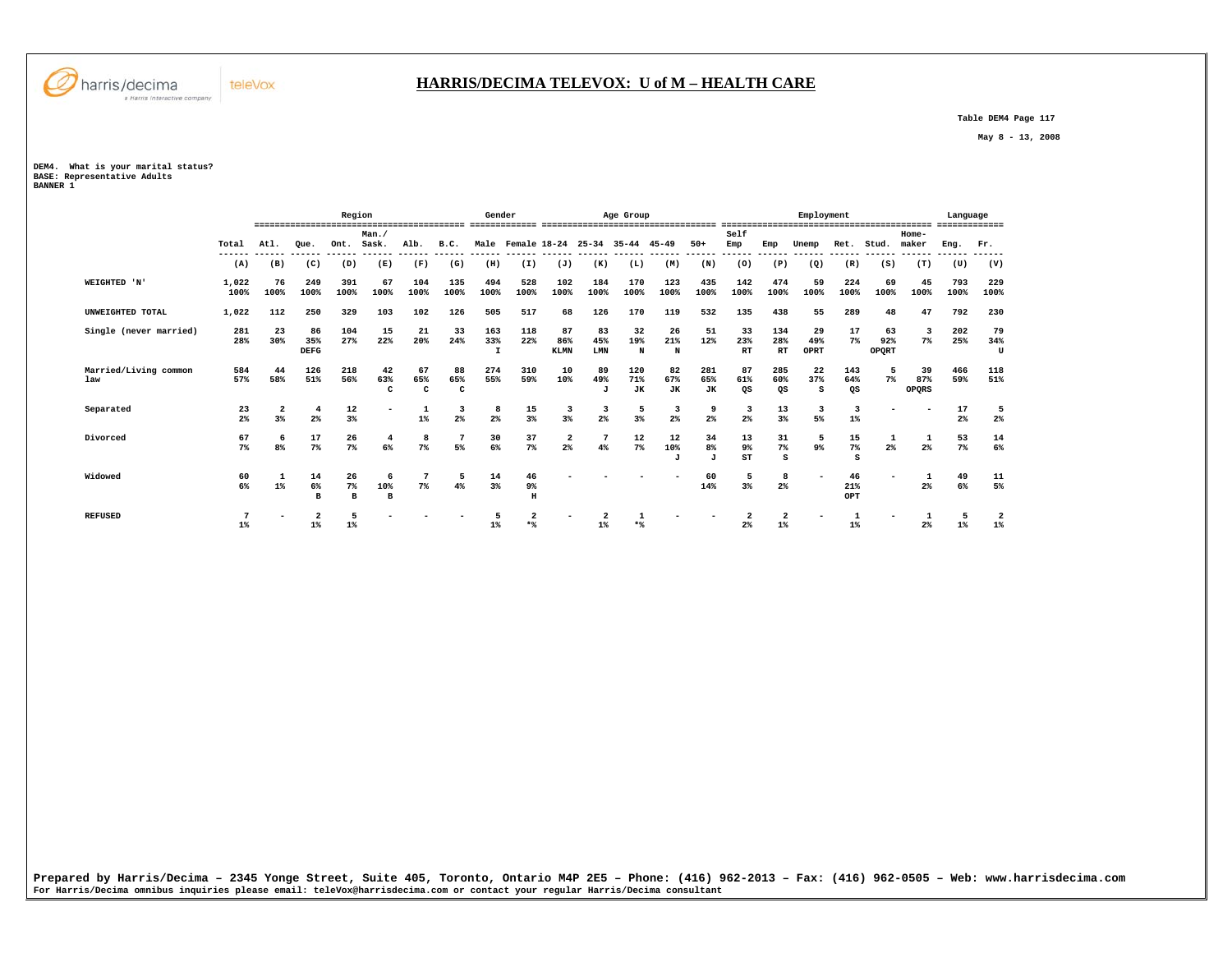

## **HARRIS/DECIMA TELEVOX: U of M – HEALTH CARE**

 **Table DEM4 Page 117** 

 **May 8 - 13, 2008** 

**DEM4. What is your marital status? BASE: Representative Adults BANNER 1** 

 **Region Gender Age Group Employment Language ========================================= ============= ================================== ========================================= ============= Man./ Self Home-** Ret. Stud. maker  **Total Atl. Que. Ont. Sask. Alb. B.C. Male Female 18-24 25-34 35-44 45-49 50+ Emp Emp Unemp Ret. Stud. maker Eng. Fr. ------ ------ ------ ------ ------ ------ ------ ------ ------ ------ ------ ------ ------ ------ ------ ------ ------ ------ ------ ------ ------ ------ (A) (B) (C) (D) (E) (F) (G) (H) (I) (J) (K) (L) (M) (N) (O) (P) (Q) (R) (S) (T) (U) (V) WEIGHTED 'N' 1,022 76 249 391 67 104 135 494 528 102 184 170 123 435 142 474 59 224 69 45 793 229 100% 100% 100% 100% 100% 100% 100% 100% 100% 100% 100% 100% 100% 100% 100% 100% 100% 100% 100% 100% 100% 100% UNWEIGHTED TOTAL 1,022 112 250 329 103 102 126 505 517 68 126 170 119 532 135 438 55 289 48 47 792 230 Single (never married) 281 23 86 104 15 21 33 163 118 87 83 32 26 51 33 134 29 17 63 3 202 79 28% 30% 35% 27% 22% 20% 24% 33% 22% 86% 45% 19% 21% 12% 23% 28% 49% 7% 92% 7% 25% 34%**  $\mathbf{H}$  **DEFG I KLMN LMN N N RT RT OPRT OPQRT U Married/Living common 584 44 126 218 42 67 88 274 310 10 89 120 82 281 87 285 22 143 5 39 466 118 law 57% 58% 51% 56% 63% 65% 65% 55% 59% 10% 49% 71% 67% 65% 61% 60% 37% 64% 7% 87% 59% 51% C C C J JK JK JK QS QS S QS OPQRS Separated 23 2 4 12 - 1 3 8 15 3 3 5 3 9 3 13 3 3 - - 17 5 2% 3% 2% 3% 1% 2% 2% 3% 3% 2% 3% 2% 2% 2% 3% 5% 1% 2% 2% Divorced 67 6 17 26 4 8 7 30 37 2 7 12 12 34 13 31 5 15 1 1 53 14**  $14$  **7% 8% 7% 7% 6% 7% 5% 6% 7% 2% 4% 7% 10% 8% 9% 7% 9% 7% 2% 2% 7% 6% J J ST S S Widowed 60 1 14 26 6 7 5 14 46 - - - - 60 5 8 - 46 - 1 49 11**  $\begin{array}{c} 11 \\ 5\% \end{array}$  **6% 1% 6% 7% 10% 7% 4% 3% 9% 14% 3% 2% 21% 2% 6% 5% B B B H OPT REFUSED 7 - 2 5 - - - 5 2 - 2 1 - - 2 2 - 1 - 1 5 2** 1%  **1% 1% 1% 1% \*% 1% \*% 2% 1% 1% 2% 1% 1%**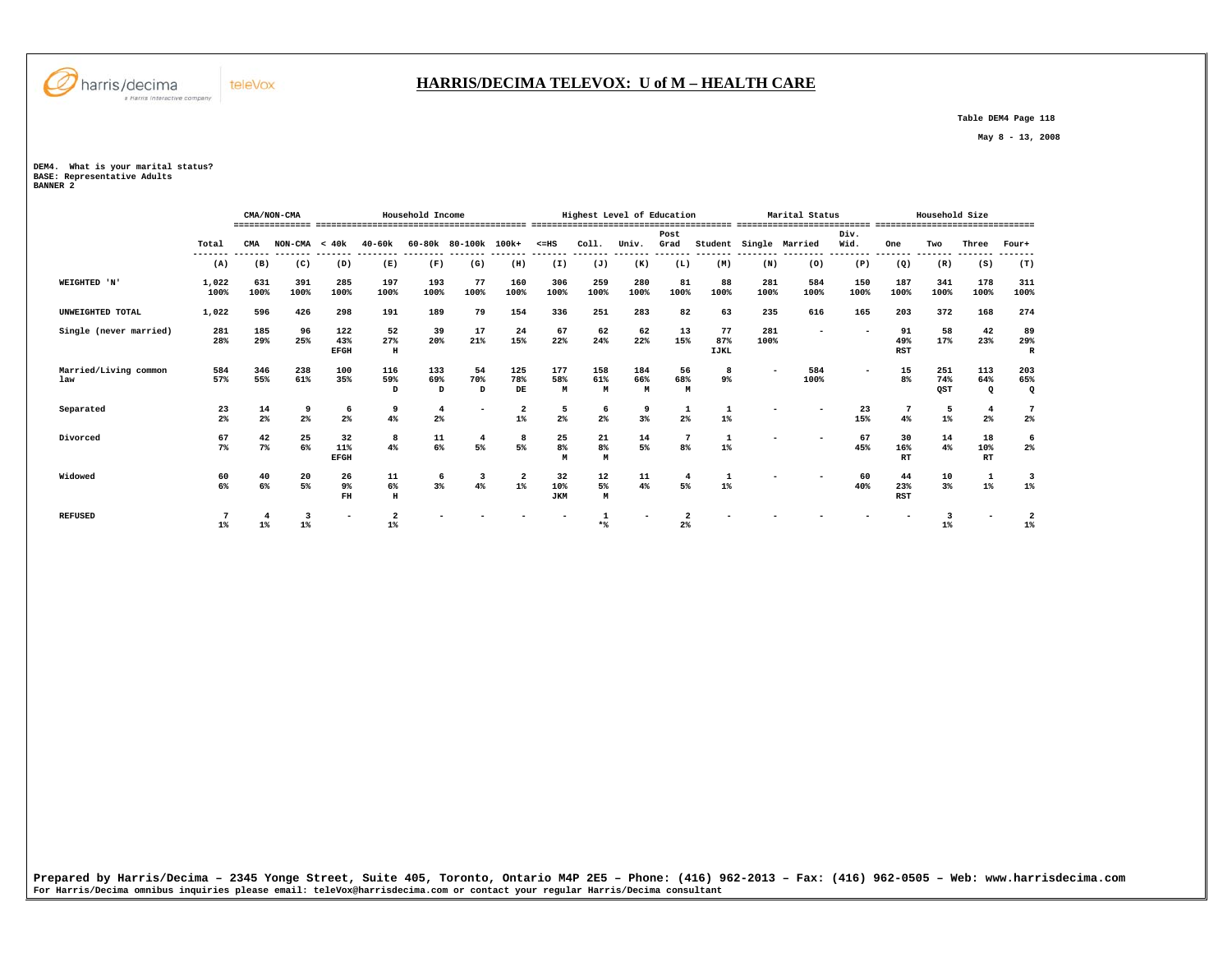

#### **HARRIS/DECIMA TELEVOX: U of M – HEALTH CARE**

 **Table DEM4 Page 118** 

 **May 8 - 13, 2008** 

**DEM4. What is your marital status? BASE: Representative Adults BANNER 2** 

|                              |               |             | CMA/NON-CMA                        |                           |                                        | Household Income     |                      |                  |                           |                     | Highest Level of Education |                                  |                          |                    | Marital Status |              |                         | Household Size    |                           |                                  |
|------------------------------|---------------|-------------|------------------------------------|---------------------------|----------------------------------------|----------------------|----------------------|------------------|---------------------------|---------------------|----------------------------|----------------------------------|--------------------------|--------------------|----------------|--------------|-------------------------|-------------------|---------------------------|----------------------------------|
|                              | Total         | CMA         | ---------------<br>$NON-CMA < 40k$ |                           | ------------------------<br>$40 - 60k$ |                      | 60-80k 80-100k 100k+ |                  | $< = HS$                  | Col1.               | Univ.                      | Post<br>Grad                     | Student                  | ,,,,,,,,, ,,,,,,,, | Single Married | Div.<br>Wid. | One                     | Two               | Three                     | .===============<br>Four+        |
|                              | (A)           | (B)         | (C)                                | (D)                       | (E)                                    | (F)                  | (G)                  | (H)              | (I)                       | (J)                 | (K)                        | (L)                              | (M)                      | (N)                | (0)            | (P)          | (Q)                     | (R)               | (S)                       | (T)                              |
| WEIGHTED 'N'                 | 1,022<br>100% | 631<br>100% | 391<br>100%                        | 285<br>100%               | 197<br>100%                            | 193<br>100%          | 77<br>100%           | 160<br>100%      | 306<br>100%               | 259<br>100%         | 280<br>100%                | 81<br>100%                       | 88<br>100%               | 281<br>100%        | 584<br>100%    | 150<br>100%  | 187<br>100%             | 341<br>100%       | 178<br>100%               | 311<br>100%                      |
| UNWEIGHTED TOTAL             | 1,022         | 596         | 426                                | 298                       | 191                                    | 189                  | 79                   | 154              | 336                       | 251                 | 283                        | 82                               | 63                       | 235                | 616            | 165          | 203                     | 372               | 168                       | 274                              |
| Single (never married)       | 281<br>28%    | 185<br>29%  | 96<br>25%                          | 122<br>43%<br><b>EFGH</b> | 52<br>27%<br>$\, {\bf H}$              | 39<br>20%            | 17<br>21%            | 24<br>15%        | 67<br>22%                 | 62<br>24%           | 62<br>22%                  | 13<br>15%                        | 77<br>87%<br><b>IJKL</b> | 281<br>100%        |                |              | 91<br>49%<br><b>RST</b> | 58<br>17%         | 42<br>23%                 | 89<br>29%<br>$\mathbb{R}$        |
| Married/Living common<br>law | 584<br>57%    | 346<br>55%  | 238<br>61%                         | 100<br>35%                | 116<br>59%<br>D                        | 133<br>69%<br>D      | 54<br>70%<br>D       | 125<br>78%<br>DE | 177<br>58%<br>M           | 158<br>61%<br>M     | 184<br>66%<br>M            | 56<br>68%<br>М                   | 8<br>$9\%$               |                    | 584<br>100%    |              | 15<br>8 <sup>°</sup>    | 251<br>74%<br>QST | 113<br>64%<br>$\mathbf Q$ | 203<br>65%<br>$\mathbf{Q}$       |
| Separated                    | 23<br>2%      | 14<br>$2\%$ | 9<br>2%                            | 6<br>2 <sup>°</sup>       | 9<br>4%                                | $\overline{4}$<br>2% |                      | 2<br>$1\%$       | 5<br>2 <sup>8</sup>       | 6<br>2 <sup>8</sup> | 9<br>3%                    | 1<br>2%                          | 1<br>$1\%$               |                    |                | 23<br>15%    | 4%                      | 5<br>$1\%$        | 4<br>2 <sup>°</sup>       | 7<br>$2\%$                       |
| Divorced                     | 67<br>7%      | 42<br>$7\%$ | 25<br>$6\%$                        | 32<br>11%<br><b>EFGH</b>  | 8<br>4%                                | 11<br>6%             | 5%                   | 8<br>5%          | 25<br>8 <sup>8</sup><br>м | 21<br>8%<br>M       | 14<br>5%                   | $\overline{7}$<br>8 <sup>8</sup> | $\mathbf{1}$<br>$1\%$    |                    |                | 67<br>45%    | 30<br>16%<br><b>RT</b>  | 14<br>4%          | 18<br>10%<br>RT           | 6<br>2%                          |
| Widowed                      | 60<br>6%      | 40<br>6%    | 20<br>5%                           | 26<br>9%<br>FH            | ${\tt l1}$<br>6%<br>$\, {\rm H}$       | 6<br>$3\%$           | 3<br>4%              | $1\%$            | 32<br>10%<br><b>JKM</b>   | 12<br>5%<br>M       | 11<br>4%                   | $\overline{4}$<br>5%             | $1\%$                    |                    |                | 60<br>40%    | 44<br>23%<br>RST        | 10<br>3%          | $\mathbf{1}$<br>$1\%$     | $\overline{\mathbf{3}}$<br>$1\%$ |
| <b>REFUSED</b>               | $1\%$         | $1\%$       | 3<br>$1\%$                         |                           | $\overline{2}$<br>$1\%$                |                      |                      |                  |                           |                     |                            | $2\%$                            |                          |                    |                |              |                         | $1\%$             |                           | $1\%$                            |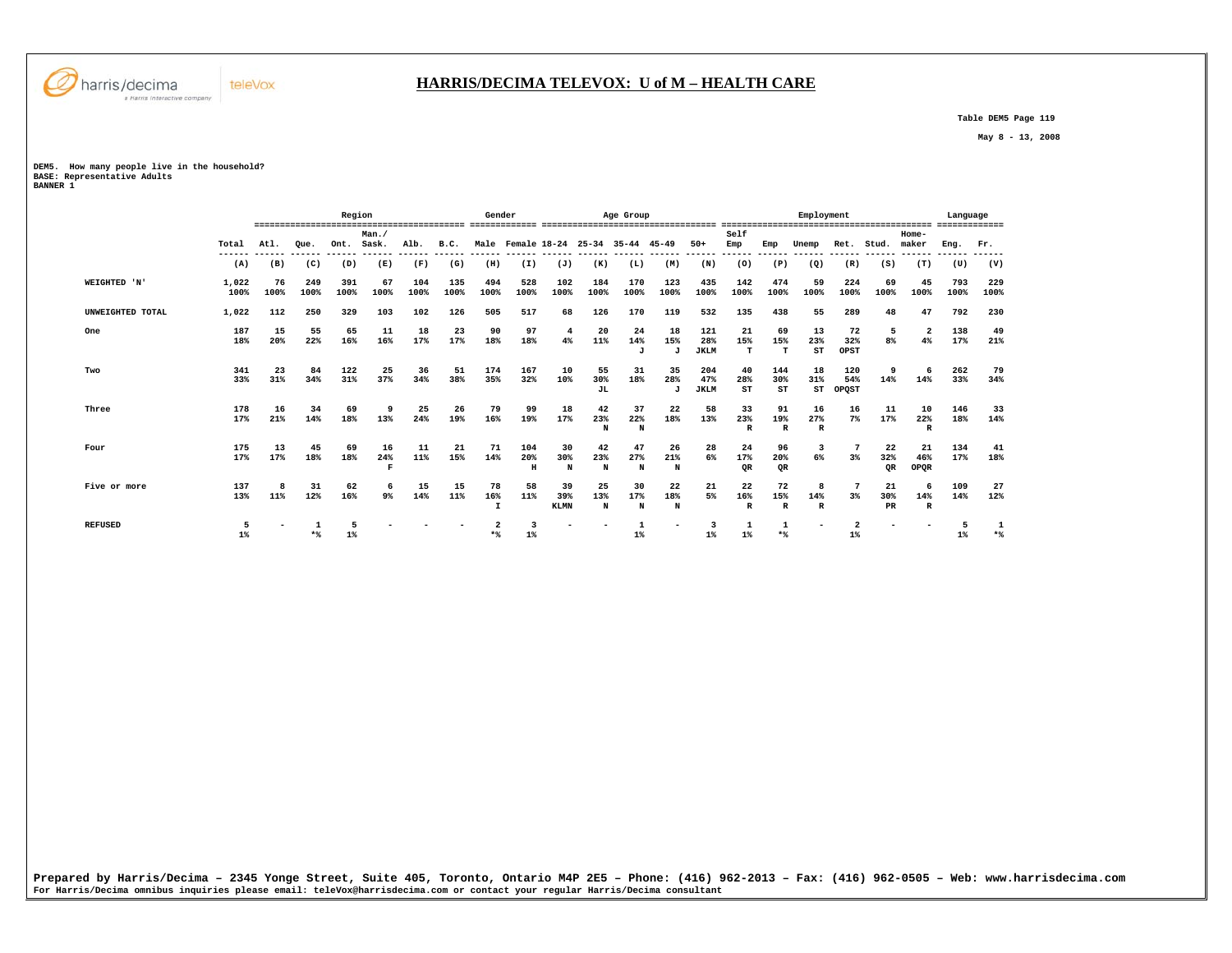

## **HARRIS/DECIMA TELEVOX: U of M – HEALTH CARE**

 **Table DEM5 Page 119** 

 **May 8 - 13, 2008** 

**DEM5. How many people live in the household? BASE: Representative Adults BANNER 1** 

|                  |               |                |             | Region      |                  |                 |                 | Gender                    |                               |                          |                 | Age Group             |                           |                           |                           |                           | Employment               |                         |                     |                               | Language    |             |
|------------------|---------------|----------------|-------------|-------------|------------------|-----------------|-----------------|---------------------------|-------------------------------|--------------------------|-----------------|-----------------------|---------------------------|---------------------------|---------------------------|---------------------------|--------------------------|-------------------------|---------------------|-------------------------------|-------------|-------------|
|                  |               |                |             |             | Man.             |                 |                 |                           |                               |                          |                 |                       |                           |                           | Self                      |                           |                          |                         |                     | Home-                         |             |             |
|                  | Total         | Atl.<br>------ | Oue.        | Ont.        | Sask.<br>------- | Alb.<br>------- | B.C.<br>------- |                           | Male Female 18-24 25-34 35-44 | -------                  |                 |                       | $45 - 49$                 | $50+$<br>------           | Emp<br>-------            | Emp                       | Unemp                    | Ret.                    | Stud.               | maker                         | Eng.        | Fr.         |
|                  | (A)           | (B)            | (C)         | (D)         | (E)              | (F)             | (G)             | (H)                       | (I)                           | (J)                      | (K)             | (L)                   | (M)                       | (N)                       | (0)                       | (P)                       | (Q)                      | (R)                     | (S)                 | (T)                           | (U)         | (V)         |
| WEIGHTED 'N'     | 1,022<br>100% | 76<br>100%     | 249<br>100% | 391<br>100% | 67<br>100%       | 104<br>100%     | 135<br>100%     | 494<br>100%               | 528<br>100%                   | 102<br>100%              | 184<br>100%     | 170<br>100%           | 123<br>100%               | 435<br>100%               | 142<br>100%               | 474<br>100%               | 59<br>100%               | 224<br>100%             | 69<br>100%          | 45<br>100%                    | 793<br>100% | 229<br>100% |
| UNWEIGHTED TOTAL | 1,022         | 112            | 250         | 329         | 103              | 102             | 126             | 505                       | 517                           | 68                       | 126             | 170                   | 119                       | 532                       | 135                       | 438                       | 55                       | 289                     | 48                  | 47                            | 792         | 230         |
| One              | 187<br>18%    | 15<br>20%      | 55<br>22%   | 65<br>16%   | 11<br>16%        | 18<br>17%       | 23<br>17%       | 90<br>18%                 | 97<br>18%                     | 4<br>4%                  | 20<br>11%       | 24<br>14%<br>J        | 18<br>15%<br>$\mathbf{J}$ | 121<br>28%<br><b>JKLM</b> | 21<br>15%<br>т            | 69<br>15%<br>т            | 13<br>23%<br>ST          | 72<br>32%<br>OPST       | 5<br>8 <sup>8</sup> | $\overline{\mathbf{2}}$<br>4% | 138<br>17%  | 49<br>21%   |
| Two              | 341<br>33%    | 23<br>31%      | 84<br>34%   | 122<br>31%  | 25<br>37%        | 36<br>34%       | 51<br>38%       | 174<br>35%                | 167<br>32%                    | 10<br>10%                | 55<br>30%<br>JL | 31<br>18%             | 35<br>28%<br>J            | 204<br>47%<br><b>JKLM</b> | 40<br>28%<br>ST           | 144<br>30%<br>ST          | 18<br>31%<br>ST          | 120<br>54%<br>OPOST     | 9<br>14%            | 6<br>14%                      | 262<br>33%  | 79<br>34%   |
| Three            | 178<br>17%    | 16<br>21%      | 34<br>14%   | 69<br>18%   | 9<br>13%         | 25<br>24%       | 26<br>19%       | 79<br>16%                 | 99<br>19%                     | 18<br>17%                | 42<br>23%<br>N  | 37<br>22%<br>N        | 22<br>18%                 | 58<br>13%                 | 33<br>23%<br>$\mathbb{R}$ | 91<br>19%<br>$\mathbb{R}$ | 16<br>27%<br>R           | 16<br>$7\%$             | 11<br>17%           | 10<br>22%<br>R                | 146<br>18%  | 33<br>14%   |
| Four             | 175<br>17%    | 13<br>17%      | 45<br>18%   | 69<br>18%   | 16<br>24%<br>R   | 11<br>11%       | 21<br>15%       | 71<br>14%                 | 104<br>20%<br>H               | 30<br>30%<br>N           | 42<br>23%<br>N  | 47<br>27%<br>N        | 26<br>21%<br>N            | 28<br>6%                  | 24<br>17%<br><b>OR</b>    | 96<br>20%<br>OR           | 3<br>6%                  | 3%                      | 22<br>32%<br>OR.    | 21<br>46%<br>OPQR             | 134<br>17%  | 41<br>18%   |
| Five or more     | 137<br>13%    | 11%            | 31<br>12%   | 62<br>16%   | 9 <sup>°</sup>   | 15<br>14%       | 15<br>11%       | 78<br>16%<br>$\mathbf{I}$ | 58<br>11%                     | 39<br>39%<br><b>KLMN</b> | 25<br>13%<br>N  | 30<br>17%<br>N        | 22<br>18%<br>N            | 21<br>5%                  | 22<br>16%<br>$\mathbb R$  | 72<br>15%<br>$\mathbf{R}$ | 8<br>14%<br>$\mathbb{R}$ | 3%                      | 21<br>30%<br>PR     | -6<br>14%<br>$\mathbb{R}$     | 109<br>14%  | 27<br>12%   |
| <b>REFUSED</b>   | 5<br>$1\%$    |                | $*$         | $1\%$       |                  |                 |                 | $*$                       | $1\%$                         |                          |                 | $\mathbf{1}$<br>$1\%$ |                           | 3<br>$1\%$                | $1\%$                     | $*$ %                     | $\overline{\phantom{a}}$ | $\overline{2}$<br>$1\%$ |                     |                               | 5<br>$1\%$  | 1<br>$*$    |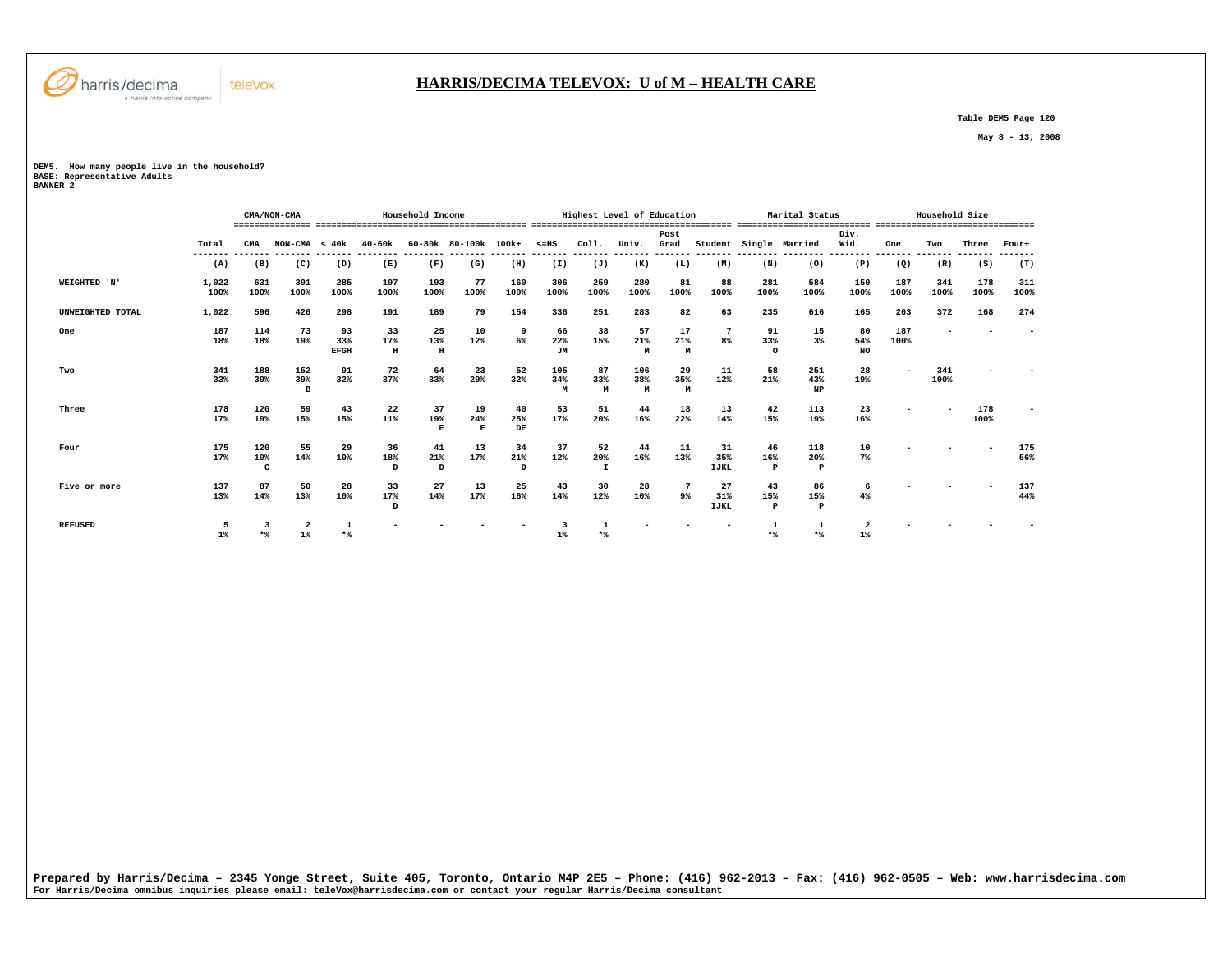

#### **HARRIS/DECIMA TELEVOX: U of M – HEALTH CARE**

 **Table DEM5 Page 120** 

 **May 8 - 13, 2008** 

**DEM5. How many people live in the household?** 

**BASE: Representative Adults BANNER 2** 

|                  |               |                            | CMA/NON-CMA     |                          |                | Household Income |                      |                 |                 |                           | Highest Level of Education |                       |                          |                           | Marital Status                            |                  |             | Household Size |                 |             |
|------------------|---------------|----------------------------|-----------------|--------------------------|----------------|------------------|----------------------|-----------------|-----------------|---------------------------|----------------------------|-----------------------|--------------------------|---------------------------|-------------------------------------------|------------------|-------------|----------------|-----------------|-------------|
|                  | Total         | CMA                        | $NON-CMA < 40k$ |                          | 40-60k         |                  | 60-80k 80-100k 100k+ |                 | $< = HS$        | Coll.                     | Univ.                      | Post<br>Grad          |                          |                           | Student Single Married                    | Div.<br>Wid.     | One         | Two            | Three           | Four+       |
|                  | (A)           | (B)                        | (C)             | (D)                      | (E)            | (F)              | (G)                  | (H)             | (I)             | (J)                       | (K)                        | (L)                   | (M)                      | (N)                       | --------- -------- ------- -------<br>(0) | (P)              | (Q)         | (R)            | --------<br>(S) | (T)         |
| WEIGHTED 'N'     | 1,022<br>100% | 631<br>100%                | 391<br>100%     | 285<br>100%              | 197<br>100%    | 193<br>100%      | 77<br>100%           | 160<br>100%     | 306<br>100%     | 259<br>100%               | 280<br>100%                | 81<br>100%            | 88<br>100%               | 281<br>100%               | 584<br>100%                               | 150<br>100%      | 187<br>100% | 341<br>100%    | 178<br>100%     | 311<br>100% |
| UNWEIGHTED TOTAL | 1,022         | 596                        | 426             | 298                      | 191            | 189              | 79                   | 154             | 336             | 251                       | 283                        | 82                    | 63                       | 235                       | 616                                       | 165              | 203         | 372            | 168             | 274         |
| One              | 187<br>18%    | 114<br>18%                 | 73<br>19%       | 93<br>33%<br><b>EFGH</b> | 33<br>17%<br>н | 25<br>13%<br>H   | 10<br>12%            | 9<br>6%         | 66<br>22%<br>JM | 38<br>15%                 | 57<br>21%<br>M             | 17<br>21%<br>M        | 7<br>8%                  | 91<br>33%<br>$\circ$      | 15<br>$3\%$                               | 80<br>54%<br>NO. | 187<br>100% |                |                 |             |
| Two              | 341<br>33%    | 188<br>30%                 | 152<br>39%<br>B | 91<br>32%                | 72<br>37%      | 64<br>33%        | 23<br>29%            | 52<br>32%       | 105<br>34%<br>M | 87<br>33%<br>M            | 106<br>38%<br>M            | 29<br>35%<br>M        | 11<br>12%                | 58<br>21%                 | 251<br>43%<br><b>NP</b>                   | 28<br>19%        |             | 341<br>100%    |                 |             |
| Three            | 178<br>17%    | 120<br>19%                 | 59<br>15%       | 43<br>15%                | 22<br>11%      | 37<br>19%<br>E   | 19<br>24%<br>E       | 40<br>25%<br>DE | 53<br>17%       | 51<br>20%                 | 44<br>16%                  | 18<br>22%             | 13<br>14%                | 42<br>15%                 | 113<br>19%                                | 23<br>16%        |             |                | 178<br>100%     |             |
| Four             | 175<br>17%    | 120<br>19%<br>$\mathbf{C}$ | 55<br>14%       | 29<br>10%                | 36<br>18%<br>D | 41<br>21%<br>D   | 13<br>17%            | 34<br>21%<br>D  | 37<br>12%       | 52<br>20%<br>$\mathbf{I}$ | 44<br>16%                  | 11<br>13%             | 31<br>35%<br><b>IJKL</b> | 46<br>16%<br>$\mathbf{P}$ | 118<br>20%<br>$\mathbf{P}$                | 10<br>7%         |             |                |                 | 175<br>56%  |
| Five or more     | 137<br>13%    | 87<br>14%                  | 50<br>13%       | 28<br>10%                | 33<br>17%<br>D | 27<br>14%        | 13<br>17%            | 25<br>16%       | 43<br>14%       | 30<br>12%                 | 28<br>10%                  | $7\phantom{.0}$<br>9% | 27<br>31%<br><b>IJKL</b> | 43<br>15%<br>P            | 86<br>15%<br>P                            | 6<br>4%          |             |                |                 | 137<br>44%  |
| <b>REFUSED</b>   | $1\%$         | $*$                        | $1\%$           | $*$                      |                |                  |                      |                 | 1               | $*$ %                     |                            |                       |                          | $*$                       |                                           |                  |             |                |                 |             |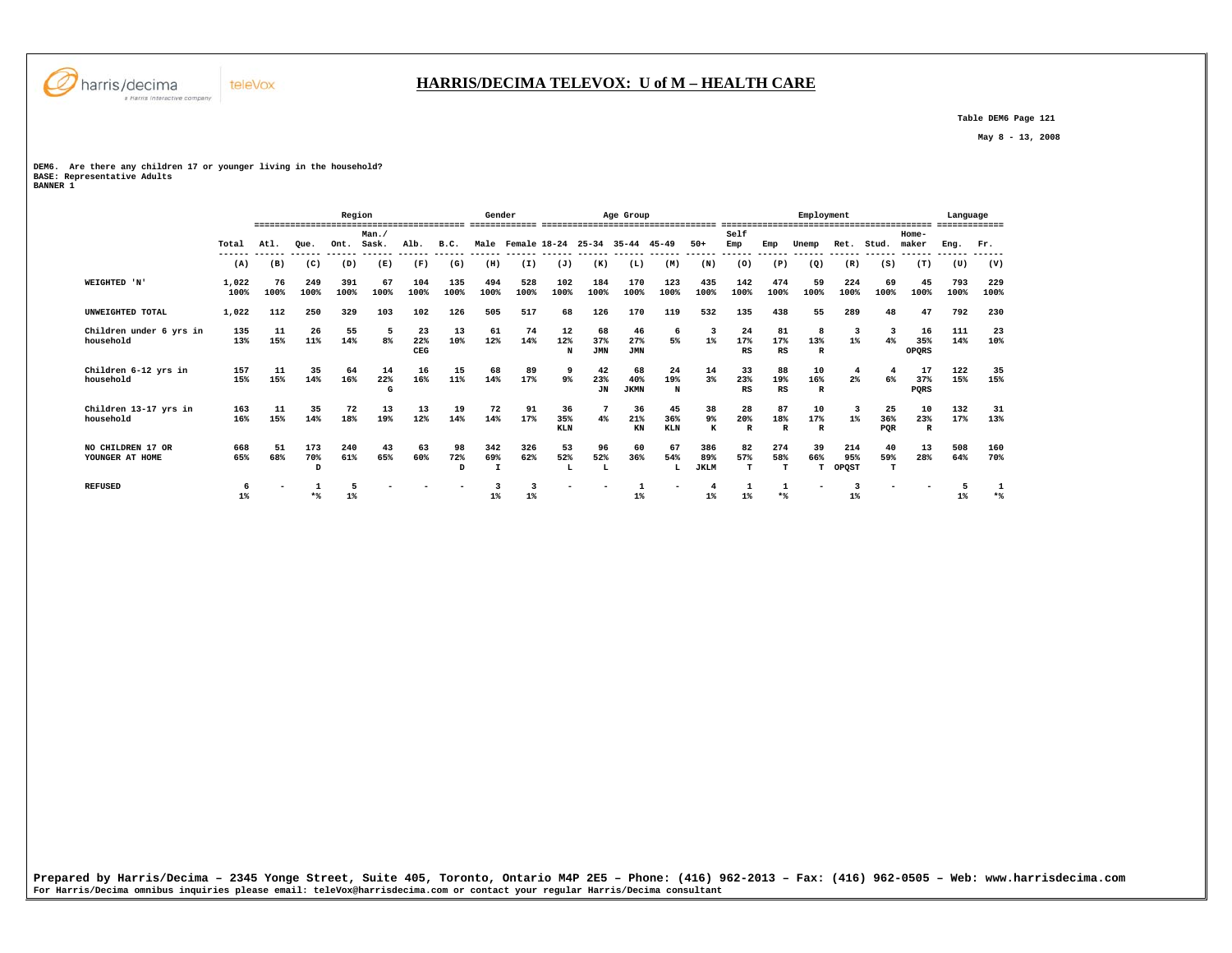

 **Table DEM6 Page 121** 

 **May 8 - 13, 2008** 

# **DEM6. Are there any children 17 or younger living in the household?**

**BASE: Representative Adults BANNER 1** 

|                                      |               |            |                 | Region      |                |                  |                | Gender      |                                     |                         |                         | Age Group                |                         |                           |                           |                           | Employment                |                     |                  | ,,,,,,,,,,,,,,,,,,,,,     | Language<br>------------- |             |
|--------------------------------------|---------------|------------|-----------------|-------------|----------------|------------------|----------------|-------------|-------------------------------------|-------------------------|-------------------------|--------------------------|-------------------------|---------------------------|---------------------------|---------------------------|---------------------------|---------------------|------------------|---------------------------|---------------------------|-------------|
|                                      | Total         | Atl.       | Oue.            | Ont.        | Man.<br>Sask.  | Alb.             | B.C.           |             | Male Female 18-24 25-34 35-44 45-49 |                         |                         |                          |                         | $50+$                     | Self<br>Emp               | Emp                       | Unemp                     | Ret.                | Stud.            | $Home-$<br>maker          | Eng.                      | Fr.         |
|                                      | ------<br>(A) | (B)        | (C)             | (D)         | (E)            | (F)              | (G)            | (H)         | (I)                                 | (J)                     | (K)                     | (L)                      | (M)                     | ------<br>(N)             | ------<br>(0)             | (P)                       | (Q)                       | (R)                 | (S)              | (T)                       | (U)                       | (V)         |
| WEIGHTED 'N'                         | 1,022<br>100% | 76<br>100% | 249<br>100%     | 391<br>100% | 67<br>100%     | 104<br>100%      | 135<br>100%    | 494<br>100% | 528<br>100%                         | 102<br>100%             | 184<br>100%             | 170<br>100%              | 123<br>100%             | 435<br>100%               | 142<br>100%               | 474<br>100%               | 59<br>100%                | 224<br>100%         | 69<br>100%       | 45<br>100%                | 793<br>100%               | 229<br>100% |
| UNWEIGHTED TOTAL                     | 1,022         | 112        | 250             | 329         | 103            | 102              | 126            | 505         | 517                                 | 68                      | 126                     | 170                      | 119                     | 532                       | 135                       | 438                       | 55                        | 289                 | 48               | 47                        | 792                       | 230         |
| Children under 6 yrs in<br>household | 135<br>13%    | 11<br>15%  | 26<br>11%       | 55<br>14%   | 5<br>8%        | 23<br>22%<br>CEG | 13<br>10%      | 61<br>12%   | 74<br>14%                           | 12<br>12%<br>N          | 68<br>37%<br><b>JMN</b> | 46<br>27%<br><b>JMN</b>  | 6<br>5%                 | -3<br>$1\%$               | 24<br>17%<br>RS           | 81<br>17%<br>RS           | 8<br>13%<br>$\mathbb{R}$  | 3<br>$1\%$          | 4%               | 16<br>35%<br><b>OPORS</b> | 111<br>14%                | 23<br>10%   |
| Children 6-12 yrs in<br>household    | 157<br>15%    | 11<br>15%  | 35<br>14%       | 64<br>16%   | 14<br>22%<br>G | 16<br>16%        | 15<br>11%      | 68<br>14%   | 89<br>17%                           | 9<br>9%                 | 42<br>23%<br>JN         | 68<br>40%<br><b>JKMN</b> | 24<br>19%<br>N          | 14<br>3%                  | 33<br>23%<br>RS           | 88<br>19%<br>RS           | 10<br>16%<br>$\mathbb{R}$ | 4<br>2%             | 6%               | 17<br>37%<br>PQRS         | 122<br>15%                | 35<br>15%   |
| Children 13-17 yrs in<br>household   | 163<br>16%    | 11<br>15%  | 35<br>14%       | 72<br>18%   | 13<br>19%      | 13<br>12%        | 19<br>14%      | 72<br>14%   | 91<br>17%                           | 36<br>35%<br><b>KLN</b> | 4%                      | 36<br>21%<br>KN          | 45<br>36%<br><b>KLN</b> | 38<br>9%<br>к             | 28<br>20%<br>$\mathbb{R}$ | 87<br>18%<br>$\mathbb{R}$ | 10<br>17%<br>$\mathbb{R}$ | 3<br>$1\%$          | 25<br>36%<br>PQR | 10<br>23%<br>$\mathbb{R}$ | 132<br>17%                | 31<br>13%   |
| NO CHILDREN 17 OR<br>YOUNGER AT HOME | 668<br>65%    | 51<br>68%  | 173<br>70%<br>D | 240<br>61%  | 43<br>65%      | 63<br>60%        | 98<br>72%<br>D | 342<br>69%  | 326<br>62%                          | 53<br>52%               | 96<br>52%               | 60<br>36%                | 67<br>54%<br>L          | 386<br>89%<br><b>JKLM</b> | 82<br>57%<br>$\mathbf T$  | 274<br>58%<br>T           | 39<br>66%<br>T.           | 214<br>95%<br>OPQST | 40<br>59%<br>T   | 13<br>28%                 | 508<br>64%                | 160<br>70%  |
| <b>REFUSED</b>                       | 6<br>$1\%$    |            | $*$             | 1%          |                |                  |                | $1\%$       | $1\%$                               |                         |                         | -1<br>$1\%$              |                         | $1\%$                     | $1\%$                     | $*$                       | $\overline{\phantom{a}}$  | ર<br>$1\%$          |                  |                           | $1\%$                     | $*$         |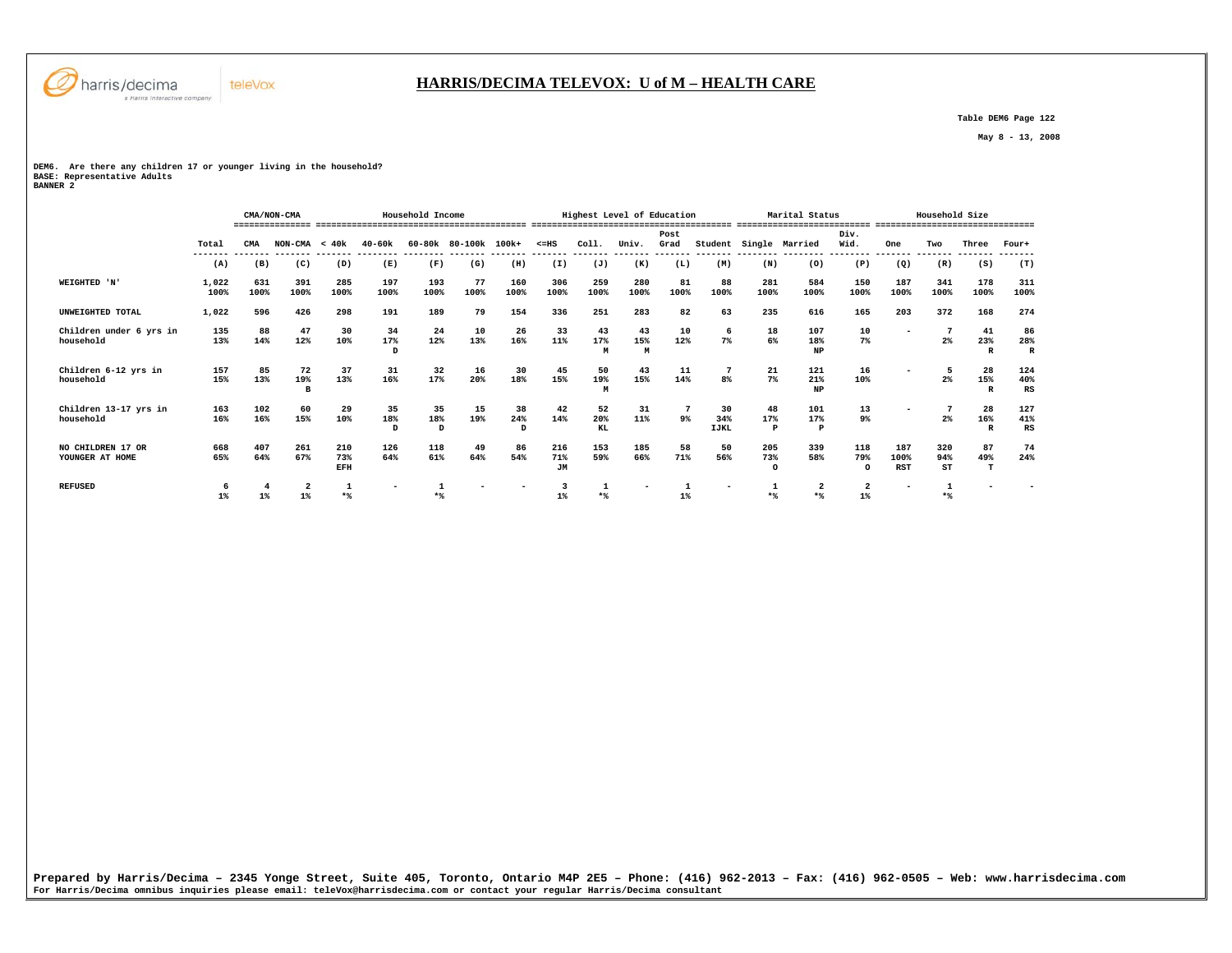

#### **HARRIS/DECIMA TELEVOX: U of M – HEALTH CARE**

 **Table DEM6 Page 122** 

 **May 8 - 13, 2008** 

# **DEM6. Are there any children 17 or younger living in the household?**

**BASE: Representative Adults BANNER 2** 

|                                      |                  |             | CMA/NON-CMA     |                   |                           | Household Income |                      |                |                         |                  | Highest Level of Education |              |                          |                           | Marital Status                 |                        |                          | Household Size                 |                                      |                          |
|--------------------------------------|------------------|-------------|-----------------|-------------------|---------------------------|------------------|----------------------|----------------|-------------------------|------------------|----------------------------|--------------|--------------------------|---------------------------|--------------------------------|------------------------|--------------------------|--------------------------------|--------------------------------------|--------------------------|
|                                      | Total<br>------- | CMA         | $NON-CMA < 40k$ |                   | $40 - 60k$                |                  | 60-80k 80-100k 100k+ |                | $< = HS$                | Col1.            | Univ.                      | Post<br>Grad | Student                  |                           | Single Married                 | Div.<br>Wid.           | One                      | Two                            | Three                                | Four+                    |
|                                      | (A)              | (B)         | (C)             | (D)               | (E)                       | (F)              | (G)                  | (H)            | (I)                     | (J)              | (K)                        | (L)          | (M)                      | (N)                       | (0)                            | (P)                    | (Q)                      | (R)                            | (S)                                  | (T)                      |
| WEIGHTED 'N'                         | 1,022<br>100%    | 631<br>100% | 391<br>100%     | 285<br>100%       | 197<br>100%               | 193<br>100%      | 77<br>100%           | 160<br>100%    | 306<br>100%             | 259<br>100%      | 280<br>100%                | 81<br>100%   | 88<br>100%               | 281<br>100%               | 584<br>100%                    | 150<br>100%            | 187<br>100%              | 341<br>100%                    | 178<br>100%                          | 311<br>100%              |
| UNWEIGHTED TOTAL                     | 1,022            | 596         | 426             | 298               | 191                       | 189              | 79                   | 154            | 336                     | 251              | 283                        | 82           | 63                       | 235                       | 616                            | 165                    | 203                      | 372                            | 168                                  | 274                      |
| Children under 6 yrs in<br>household | 135<br>13%       | 88<br>14%   | 47<br>12%       | 30<br>10%         | 34<br>17%<br>D            | 24<br>12%        | 10<br>13%            | 26<br>16%      | 33<br>11%               | 43<br>17%<br>M   | 43<br>15%<br>M             | 10<br>12%    | 6<br>$7\%$               | 18<br>6%                  | 107<br>18%<br><b>NP</b>        | 10<br>7%               |                          | 7<br>$2\%$                     | 41<br>23%<br>$\mathbf{R}$            | 86<br>28%<br>$\mathbb R$ |
| Children 6-12 yrs in<br>household    | 157<br>15%       | 85<br>13%   | 72<br>19%<br>B  | 37<br>13%         | 31<br>16%                 | 32<br>17%        | 16<br>20%            | 30<br>18%      | 45<br>15%               | 50<br>19%<br>М   | 43<br>15%                  | 11<br>14%    | 8%                       | 21<br>7%                  | 121<br>21%<br>NP               | 16<br>10%              |                          | 5<br>$2\%$                     | 28<br>15%<br>$\mathbb{R}$            | 124<br>40%<br>RS         |
| Children 13-17 yrs in<br>household   | 163<br>16%       | 102<br>16%  | 60<br>15%       | 29<br>10%         | 35<br>18%<br>$\mathbf{D}$ | 35<br>18%<br>D   | 15<br>19%            | 38<br>24%<br>D | 42<br>14%               | 52<br>20%<br>KL. | 31<br>11%                  | -7<br>9%     | 30<br>34%<br><b>IJKL</b> | 48<br>17%<br>$\mathbf{P}$ | 101<br>17%<br>$\, {\bf P}$     | 13<br>9%               |                          | $2\%$                          | 28<br>16%<br>$\overline{\mathbf{R}}$ | 127<br>41%<br>RS         |
| NO CHILDREN 17 OR<br>YOUNGER AT HOME | 668<br>65%       | 407<br>64%  | 261<br>67%      | 210<br>73%<br>EFH | 126<br>64%                | 118<br>61%       | 49<br>64%            | 86<br>54%      | 216<br>71%<br><b>JM</b> | 153<br>59%       | 185<br>66%                 | 58<br>71%    | 50<br>56%                | 205<br>73%<br>$\Omega$    | 339<br>58%                     | 118<br>79%<br>$\Omega$ | 187<br>100%<br>RST       | 320<br>94%<br>ST               | 87<br>49%<br>т                       | 74<br>24%                |
| <b>REFUSED</b>                       | 6<br>$1\%$       | $1\%$       | 2<br>$1\%$      | 1<br>$*$          | $\overline{\phantom{a}}$  | 1<br>$*$         |                      |                | 3<br>$1\%$              | 1<br>$*$         | ۰                          | 1<br>$1\%$   | $\overline{\phantom{a}}$ | 1<br>$*$                  | $\overline{\mathbf{2}}$<br>$*$ | 2<br>$1\%$             | $\overline{\phantom{a}}$ | $\mathbf{1}$<br>$\star$ $\!\!$ | -                                    |                          |
|                                      |                  |             |                 |                   |                           |                  |                      |                |                         |                  |                            |              |                          |                           |                                |                        |                          |                                |                                      |                          |
|                                      |                  |             |                 |                   |                           |                  |                      |                |                         |                  |                            |              |                          |                           |                                |                        |                          |                                |                                      |                          |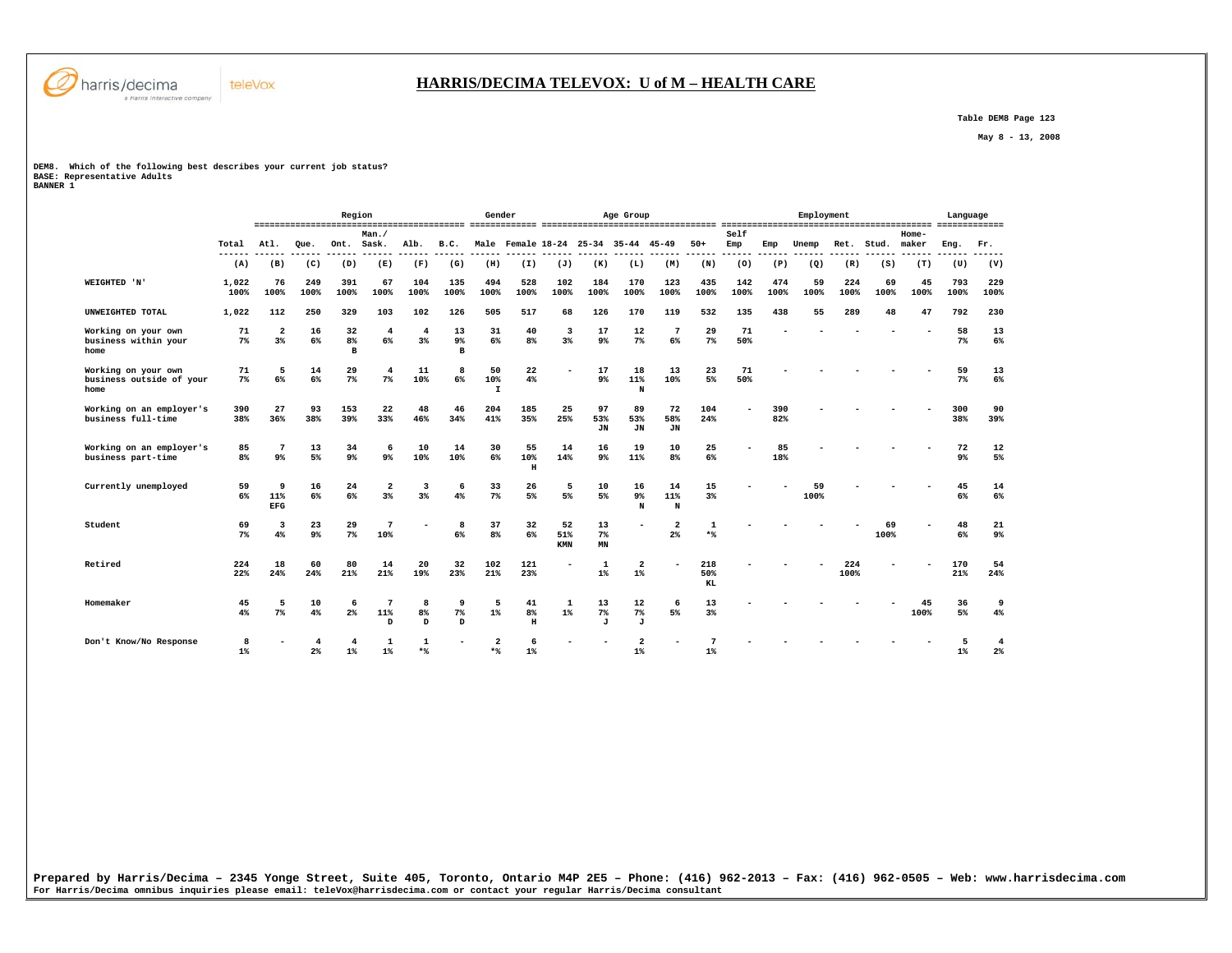

 **Table DEM8 Page 123** 

 **May 8 - 13, 2008** 

# **DEM8. Which of the following best describes your current job status?**

**BASE: Representative Adults BANNER 1** 

|                                                         |                      |                               |                | Region                   |                             |                      |                          | Gender                    |                    |                                 |                        | Age Group                           |                          |                     |             |             | Employment |             |            |                  | Language    |             |
|---------------------------------------------------------|----------------------|-------------------------------|----------------|--------------------------|-----------------------------|----------------------|--------------------------|---------------------------|--------------------|---------------------------------|------------------------|-------------------------------------|--------------------------|---------------------|-------------|-------------|------------|-------------|------------|------------------|-------------|-------------|
|                                                         | Total                | Atl.                          | Oue.           | Ont.                     | Man.<br>Sask.               | Alb.                 | B.C.                     |                           |                    |                                 |                        | Male Female 18-24 25-34 35-44 45-49 |                          | $50+$               | Self<br>Emp | Emp         | Unemp      | Ret.        | Stud.      | $Home-$<br>maker | Eng.        | Fr.         |
|                                                         | (A)                  | (B)                           | (C)            | (D)                      | (E)                         | (F)                  | (G)                      | (H)                       | (I)                | (J)                             | (K)                    | (L)                                 | (M)                      | (N)                 | (0)         | (P)         | (Q)        | (R)         | (S)        | (T)              | (U)         | (V)         |
| WEIGHTED 'N'                                            | 1,022<br>100%        | 76<br>100%                    | 249<br>100%    | 391<br>100%              | 67<br>100%                  | 104<br>100%          | 135<br>100%              | 494<br>100%               | 528<br>100%        | 102<br>100%                     | 184<br>100%            | 170<br>100%                         | 123<br>100%              | 435<br>100%         | 142<br>100% | 474<br>100% | 59<br>100% | 224<br>100% | 69<br>100% | 45<br>100%       | 793<br>100% | 229<br>100% |
| UNWEIGHTED TOTAL                                        | 1,022                | 112                           | 250            | 329                      | 103                         | 102                  | 126                      | 505                       | 517                | 68                              | 126                    | 170                                 | 119                      | 532                 | 135         | 438         | 55         | 289         | 48         | 47               | 792         | 230         |
| Working on your own<br>business within your<br>home     | 71<br>7 <sup>8</sup> | $\overline{a}$<br>3%          | 16<br>6%       | 32<br>8%<br>$\, {\bf B}$ | $\overline{4}$<br>6%        | $\overline{4}$<br>3% | 13<br>9%<br>$\mathbf{B}$ | 31<br>6%                  | 40<br>8%           | $\overline{\mathbf{3}}$<br>$3*$ | 17<br>9 <sup>°</sup>   | 12<br>7%                            | $7\phantom{.0}$<br>6%    | 29<br>7%            | 71<br>50%   |             |            |             |            |                  | 58<br>$7\%$ |             |
| Working on your own<br>business outside of your<br>home | 71<br>7 <sup>8</sup> | 5<br>6%                       | 14<br>6%       | 29<br>7%                 | $\overline{4}$<br>7%        | 11<br>10%            | 8<br>6%                  | 50<br>10%<br>$\mathbf{I}$ | 22<br>4%           |                                 | 17<br>9%               | 18<br>11%<br>N                      | 13<br>10%                | 23<br>5%            | 71<br>50%   |             |            |             |            |                  | 59<br>7%    |             |
| Working on an employer's<br>business full-time          | 390<br>38%           | 27<br>36%                     | 93<br>38%      | 153<br>39%               | 22<br>33%                   | 48<br>46%            | 46<br>34%                | 204<br>41%                | 185<br>35%         | 25<br>25%                       | 97<br>53%<br><b>JN</b> | 89<br>53%<br><b>JN</b>              | 72<br>58%<br><b>JN</b>   | 104<br>24%          |             | 390<br>82%  |            |             |            |                  | 300<br>38%  | 39%         |
| Working on an employer's<br>business part-time          | 85<br>8 <sup>8</sup> | 7<br>9 <sup>°</sup>           | 13<br>5%       | 34<br>9%                 | 6<br>$9*$                   | 10<br>10%            | 14<br>10%                | 30<br>6%                  | 55<br>10%<br>н     | 14<br>14%                       | 16<br>9 <sup>°</sup>   | 19<br>11%                           | 10<br>8%                 | 25<br>6%            |             | 85<br>18%   |            |             |            |                  | 72<br>9%    |             |
| Currently unemployed                                    | 59<br>6%             | 9<br>11%<br>EFG               | 16<br>6%       | 24<br>6%                 | $\overline{a}$<br>3%        | 3<br>3%              | 6<br>4%                  | 33<br>7%                  | 26<br>5%           | 5<br>5%                         | 10<br>5%               | 16<br>9%<br>N                       | 14<br>11%<br>$\mathbf N$ | 15<br>3%            |             |             | 59<br>100% |             |            |                  | 45<br>6%    |             |
| Student                                                 | 69<br>7%             | $\overline{\mathbf{3}}$<br>4% | 23<br>9%       | 29<br>7%                 | 7<br>10%                    |                      | 8<br>6%                  | 37<br>8 <sup>°</sup>      | 32<br>6%           | 52<br>51%<br>KMN                | 13<br>$7\%$<br>MN      |                                     | $\overline{2}$<br>2%     | $\mathbf{1}$<br>$*$ |             |             |            |             | 69<br>100% |                  | 48<br>6%    |             |
| Retired                                                 | 224<br>22%           | 18<br>24%                     | 60<br>24%      | 80<br>21%                | 14<br>21%                   | 20<br>19%            | 32<br>23%                | 102<br>21%                | 121<br>23%         |                                 | 1<br>$1\%$             | 2<br>$1\%$                          |                          | 218<br>50%<br>KL    |             |             |            | 224<br>100% |            |                  | 170<br>21%  | 24%         |
| Homemaker                                               | 45<br>4%             | 5<br>$7\%$                    | 10<br>4%       | 6<br>$2\%$               | $7\phantom{.0}$<br>11%<br>D | 8<br>8%<br>D         | 9<br>$7\%$<br>D          | 5<br>$1\%$                | 41<br>8%<br>$\,$ H | 1<br>$1\%$                      | 13<br>$7\%$<br>J       | 12<br>7%<br>J                       | 6<br>5%                  | 13<br>3%            |             |             |            |             |            | 45<br>100%       | 36<br>5%    |             |
| Don't Know/No Response                                  | 8<br>$1\%$           |                               | 2 <sup>°</sup> | $1\%$                    | $\mathbf{1}$<br>1%          | $\mathbf{1}$<br>$*$  |                          | $\overline{2}$<br>$*$     | 6<br>$1\%$         |                                 |                        | $\overline{a}$<br>$1\%$             |                          | $1\%$               |             |             |            |             |            |                  | $1\%$       |             |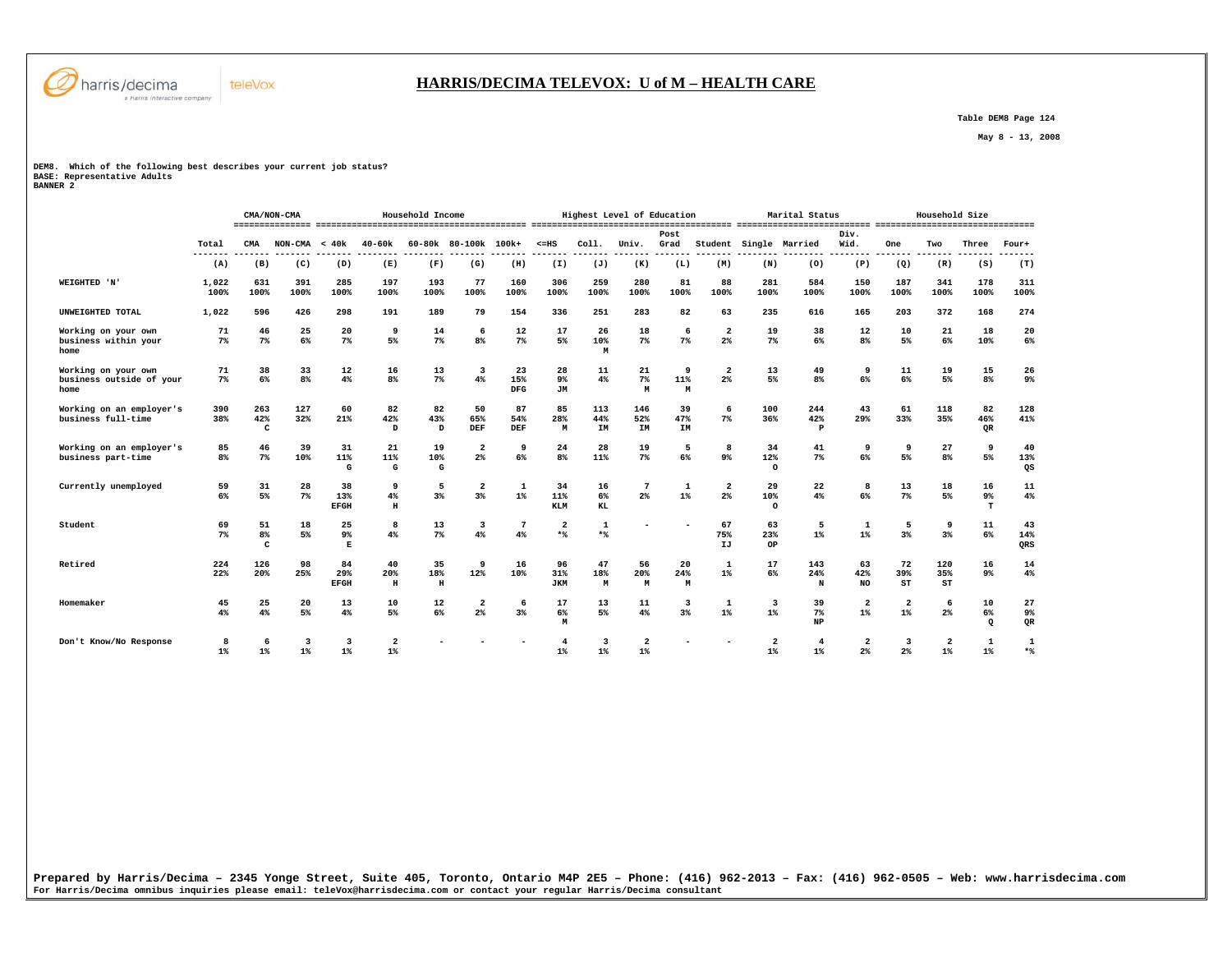

#### **HARRIS/DECIMA TELEVOX: U of M – HEALTH CARE**

 **Table DEM8 Page 124** 

 **May 8 - 13, 2008** 

#### **DEM8. Which of the following best describes your current job status?**

**BASE: Representative Adults BANNER 2** 

|                                                         |                      |                           | CMA/NON-CMA     |                                     |                         | Household Income    |                                  |                         |                         |                    | Highest Level of Education         |                     |                                  |                                    | Marital Status             |                                 |                 | Household Size          |                       |                  |
|---------------------------------------------------------|----------------------|---------------------------|-----------------|-------------------------------------|-------------------------|---------------------|----------------------------------|-------------------------|-------------------------|--------------------|------------------------------------|---------------------|----------------------------------|------------------------------------|----------------------------|---------------------------------|-----------------|-------------------------|-----------------------|------------------|
|                                                         | Total                | CMA                       | $NON-CMA < 40k$ |                                     | 40-60k                  |                     | 60-80k 80-100k 100k+             |                         | $\leq$ =HS              | Col1.              | Univ.                              | Post<br>Grad        |                                  |                                    | Student Single Married     | Div.<br>Wid.                    | One             | Two                     | Three                 | Four+            |
|                                                         | ---<br>(A)           | (B)                       | (C)             | (D)                                 | (E)                     | (F)                 | (G)                              | (H)                     | (I)                     | (J)                | (K)                                | (L)                 | (M)                              | (N)                                | (0)                        | (P)                             | (Q)             | (R)                     | (S)                   | (T)              |
| WEIGHTED 'N'                                            | 1,022<br>100%        | 631<br>100%               | 391<br>100%     | 285<br>100%                         | 197<br>100%             | 193<br>100%         | 77<br>100%                       | 160<br>100%             | 306<br>100%             | 259<br>100%        | 280<br>100%                        | 81<br>100%          | 88<br>100%                       | 281<br>100%                        | 584<br>100%                | 150<br>100%                     | 187<br>100%     | 341<br>100%             | 178<br>100%           | 311<br>100%      |
| UNWEIGHTED TOTAL                                        | 1,022                | 596                       | 426             | 298                                 | 191                     | 189                 | 79                               | 154                     | 336                     | 251                | 283                                | 82                  | 63                               | 235                                | 616                        | 165                             | 203             | 372                     | 168                   | 274              |
| Working on your own<br>business within your<br>home     | 71<br>7%             | 46<br>7%                  | 25<br>6%        | 20<br>$7\%$                         | 9<br>5%                 | 14<br>$7\%$         | 6<br>8%                          | 12<br>7%                | 17<br>5%                | 26<br>10%<br>M     | 18<br>$7\%$                        | 6<br>7%             | $\overline{\mathbf{2}}$<br>$2\%$ | 19<br>7%                           | 38<br>6%                   | 12<br>8 <sup>8</sup>            | 10<br>5%        | 21<br>$6\%$             | 18<br>10%             | 20<br>6%         |
| Working on your own<br>business outside of your<br>home | 71<br>7%             | 38<br>6%                  | 33<br>8%        | 12<br>4%                            | 16<br>8 <sup>°</sup>    | 13<br>$7\%$         | 3<br>4%                          | 23<br>15%<br><b>DFG</b> | 28<br>9%<br><b>JM</b>   | 11<br>4%           | 21<br>$7\%$<br>M                   | 9<br>11%<br>M       | $\overline{\mathbf{2}}$<br>2%    | 13<br>5%                           | 49<br>8%                   | 9<br>6%                         | 11<br>6%        | 19<br>5%                | 15<br>8 <sup>°</sup>  | 26<br>9%         |
| Working on an employer's<br>business full-time          | 390<br>38%           | 263<br>42%<br>C           | 127<br>32%      | 60<br>21%                           | 82<br>42%<br>D          | 82<br>43%<br>D      | 50<br>65%<br>DEF                 | 87<br>54%<br>DEF        | 85<br>28%<br>M          | 113<br>44%<br>IM   | 146<br>52%<br>IM                   | 39<br>47%<br>IM     | 6<br>$7\%$                       | 100<br>36%                         | 244<br>42%<br>$\mathbf{P}$ | 43<br>29%                       | 61<br>33%       | 118<br>35%              | 82<br>46%<br>QR       | 128<br>41%       |
| Working on an employer's<br>business part-time          | 85<br>8 <sup>8</sup> | 46<br>7%                  | 39<br>10%       | 31<br>11%<br>G                      | 21<br>11%<br>G          | 19<br>10%<br>G      | $\overline{2}$<br>2 <sup>°</sup> | 9<br>6%                 | 24<br>8%                | 28<br>11%          | 19<br>$7\%$                        | 5<br>6%             | 8<br>$9*$                        | 34<br>12%<br>$\Omega$              | 41<br>7%                   | 9<br>6%                         | 9<br>5%         | 27<br>8 <sup>8</sup>    | 9<br>5%               | 40<br>13%<br>QS  |
| Currently unemployed                                    | 59<br>6%             | 31<br>5%                  | 28<br>$7\%$     | 38<br>13%<br><b>EFGH</b>            | 9<br>4%<br>$\mathbf H$  | 5<br>3%             | $\overline{a}$<br>3%             | $\mathbf{1}$<br>$1\%$   | 34<br>11%<br><b>KLM</b> | 16<br>$6\%$<br>KL  | 7<br>$2\%$                         | 1<br>1%             | $\overline{\mathbf{2}}$<br>$2\%$ | 29<br>10%<br>$\Omega$              | 22<br>4%                   | 8<br>6%                         | 13<br>7%        | 18<br>5%                | 16<br>9%<br>T         | 11<br>4%         |
| Student                                                 | 69<br>7%             | 51<br>8 <sup>8</sup><br>C | 18<br>5%        | 25<br>9 <sup>°</sup><br>$\mathbf E$ | 8<br>4%                 | 13<br>$7\%$         | 3<br>4%                          | $\overline{7}$<br>4%    | $\mathbf{2}$<br>$*$     | $\mathbf 1$<br>$*$ |                                    |                     | 67<br>75%<br>IJ                  | 63<br>23%<br>OP                    | 5<br>$1\%$                 | $\mathbf{1}$<br>$1\%$           | 5<br>3%         | 9<br>3 <sup>8</sup>     | 11<br>6%              | 43<br>14%<br>QRS |
| Retired                                                 | 224<br>22%           | 126<br>20%                | 98<br>25%       | 84<br>29%<br><b>EFGH</b>            | 40<br>20%<br>$\,$ H     | 35<br>18%<br>$\,$ H | 9<br>12%                         | 16<br>10%               | 96<br>31%<br><b>JKM</b> | 47<br>18%<br>M     | 56<br>20%<br>M                     | 20<br>24%<br>M      | 1<br>$1\%$                       | 17<br>6%                           | 143<br>24%<br>N            | 63<br>42%<br><b>NO</b>          | 72<br>39%<br>ST | 120<br>35%<br>ST        | 16<br>9%              | 14<br>4%         |
| Homemaker                                               | 45<br>4%             | 25<br>4%                  | 20<br>5%        | 13<br>4%                            | 10<br>5%                | 12<br>6%            | $\overline{2}$<br>2%             | 6<br>3%                 | 17<br>$6\%$<br>M        | 13<br>5%           | 11<br>4%                           | 3<br>3 <sup>8</sup> | 1<br>$1\%$                       | 3<br>$1\%$                         | 39<br>7%<br>NP             | 2<br>$1\%$                      | 2<br>$1\%$      | 6<br>2 <sup>8</sup>     | 10<br>6%<br>$\circ$   | 27<br>9%<br>QR   |
| Don't Know/No Response                                  | 8<br>$1$ %           | 6<br>1%                   | 3<br>$1\%$      | 3<br>1%                             | $\overline{2}$<br>$1\%$ |                     |                                  |                         | 1%                      | 3<br>$1\%$         | $\overline{a}$<br>$1$ <sup>*</sup> |                     |                                  | $\overline{a}$<br>$1$ <sup>*</sup> | 4<br>$1$ <sup>*</sup>      | $\overline{\mathbf{2}}$<br>$2*$ | 3<br>2%         | $\overline{a}$<br>$1\%$ | $\mathbf{1}$<br>$1\%$ | 1<br>$*$         |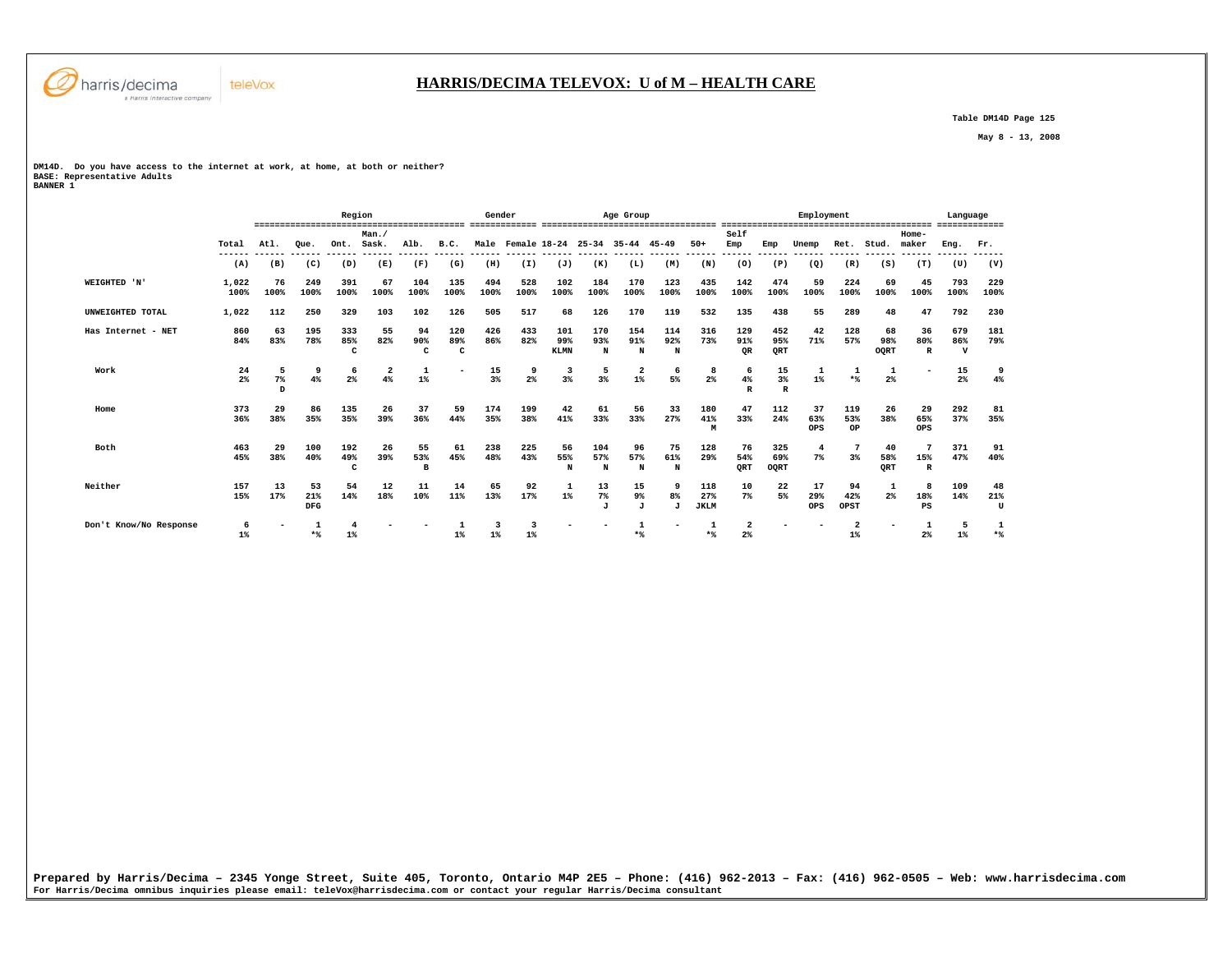

 **Table DM14D Page 125** 

 **May 8 - 13, 2008** 

**DM14D. Do you have access to the internet at work, at home, at both or neither? BASE: Representative Adults BANNER 1** 

|                        |                      |               |                         | Region          |                         |                |                          | Gender                |                     |                           |                 | Age Group                           |                         |                           |                               |                             | Employment              |                         |                   |                           | Language                  |                |
|------------------------|----------------------|---------------|-------------------------|-----------------|-------------------------|----------------|--------------------------|-----------------------|---------------------|---------------------------|-----------------|-------------------------------------|-------------------------|---------------------------|-------------------------------|-----------------------------|-------------------------|-------------------------|-------------------|---------------------------|---------------------------|----------------|
|                        | Total                | At.1.         | Oue.                    | Ont.            | Man.<br>Sask.           | Alb.           | B.C.                     |                       |                     |                           |                 | Male Female 18-24 25-34 35-44 45-49 |                         | $50+$                     | Self<br>Emp                   | Emp                         | Unemp                   | Ret.                    | Stud.             | Home-<br>maker            | Eng.                      | Fr.            |
|                        | (A)                  | ------<br>(B) | ------<br>(C)           | ------<br>(D)   | ------- ------<br>(E)   | (F)            | (G)                      | ------- ------<br>(H) | (I)                 | ------- ------<br>(J)     | -------<br>(K)  | -------<br>(L)                      | -------<br>(M)          | -------<br>(N)            | -------<br>(0)                | ------<br>(P)               | ------<br>(Q)           | ------<br>(R)           | ------<br>(S)     | ------<br>(T)             | (U)                       | (V)            |
| WEIGHTED 'N'           | 1,022<br>100%        | 76<br>100%    | 249<br>100%             | 391<br>100%     | 67<br>100%              | 104<br>100%    | 135<br>100%              | 494<br>100%           | 528<br>100%         | 102<br>100%               | 184<br>100%     | 170<br>100%                         | 123<br>100%             | 435<br>100%               | 142<br>100%                   | 474<br>100%                 | 59<br>100%              | 224<br>100%             | 69<br>100%        | 45<br>100%                | 793<br>100%               | 229<br>100%    |
| UNWEIGHTED TOTAL       | 1,022                | 112           | 250                     | 329             | 103                     | 102            | 126                      | 505                   | 517                 | 68                        | 126             | 170                                 | 119                     | 532                       | 135                           | 438                         | 55                      | 289                     | 48                | 47                        | 792                       | 230            |
| Has Internet - NET     | 860<br>84%           | 63<br>83%     | 195<br>78%              | 333<br>85%<br>c | 55<br>82%               | 94<br>90%<br>c | 120<br>89%<br>c          | 426<br>86%            | 433<br>82%          | 101<br>99%<br><b>KLMN</b> | 170<br>93%<br>N | 154<br>91%<br>N                     | 114<br>92%<br>N         | 316<br>73%                | 129<br>91%<br>QR              | 452<br>95%<br>QRT           | 42<br>71%               | 128<br>57%              | 68<br>98%<br>OQRT | 36<br>80%<br>$\mathbb{R}$ | 679<br>86%<br>$\mathbf v$ | 181<br>79%     |
| Work                   | 24<br>2 <sup>°</sup> | 7%<br>D       | 9<br>4%                 | 6<br>$2\%$      | $\overline{\mathbf{2}}$ | 1<br>$1\%$     | $\overline{\phantom{a}}$ | 15<br>3%              | 9<br>2 <sup>°</sup> | 3<br>3%                   | 3%              | $\overline{\mathbf{2}}$<br>1%       | 5%                      | 8<br>2 <sup>°</sup>       | 6<br>4%<br>R                  | 15<br>$3\%$<br>$\mathbb{R}$ | $1\%$                   | $*$                     | 1<br>2%           | $\overline{\phantom{a}}$  | 15<br>2 <sup>°</sup>      | 9<br>4%        |
| Home                   | 373<br>36%           | 29<br>38%     | 86<br>35%               | 135<br>35%      | 26<br>39%               | 37<br>36%      | 59<br>44%                | 174<br>35%            | 199<br>38%          | 42<br>41%                 | 61<br>33%       | 56<br>33%                           | 33<br>27%               | 180<br>41%<br>M           | 47<br>33%                     | 112<br>24%                  | 37<br>63%<br>OPS        | 119<br>53%<br>OP        | 26<br>38%         | 29<br>65%<br>OPS          | 292<br>37%                | 81<br>35%      |
| Both                   | 463<br>45%           | 29<br>38%     | 100<br>40%              | 192<br>49%<br>c | 26<br>39%               | 55<br>53%<br>в | 61<br>45%                | 238<br>48%            | 225<br>43%          | 56<br>55%<br>N            | 104<br>57%<br>N | 96<br>57%<br>N                      | 75<br>61%<br>N          | 128<br>29%                | 76<br>54%<br>QRT              | 325<br>69%<br>OQRT          | $\overline{4}$<br>$7\%$ | 3%                      | 40<br>58%<br>ORT  | -7<br>15%<br>$\mathbb{R}$ | 371<br>47%                | 91<br>40%      |
| Neither                | 157<br>15%           | 13<br>17%     | 53<br>21%<br><b>DFG</b> | 54<br>14%       | 12<br>18%               | 11<br>10%      | 14<br>11%                | 65<br>13%             | 92<br>17%           | 1<br>1%                   | 13<br>7%        | 15<br>$9\%$<br>J                    | 9<br>8%<br>$\mathbf{J}$ | 118<br>27%<br><b>JKLM</b> | 10<br>7%                      | 22<br>5%                    | 17<br>29%<br>OPS        | 94<br>42%<br>OPST       | 2%                | 8<br>18%<br>PS            | 109<br>14%                | 48<br>21%<br>U |
| Don't Know/No Response | 6<br>$1\%$           |               | $*$                     | $1\%$           |                         |                | $1\%$                    | $1\%$                 | $1\%$               |                           |                 | $\mathbf{1}$<br>*%                  |                         | $*$                       | $\overline{\mathbf{2}}$<br>2% |                             |                         | $\overline{2}$<br>$1\%$ |                   | $2\%$                     | 5<br>$1\%$                | $*$            |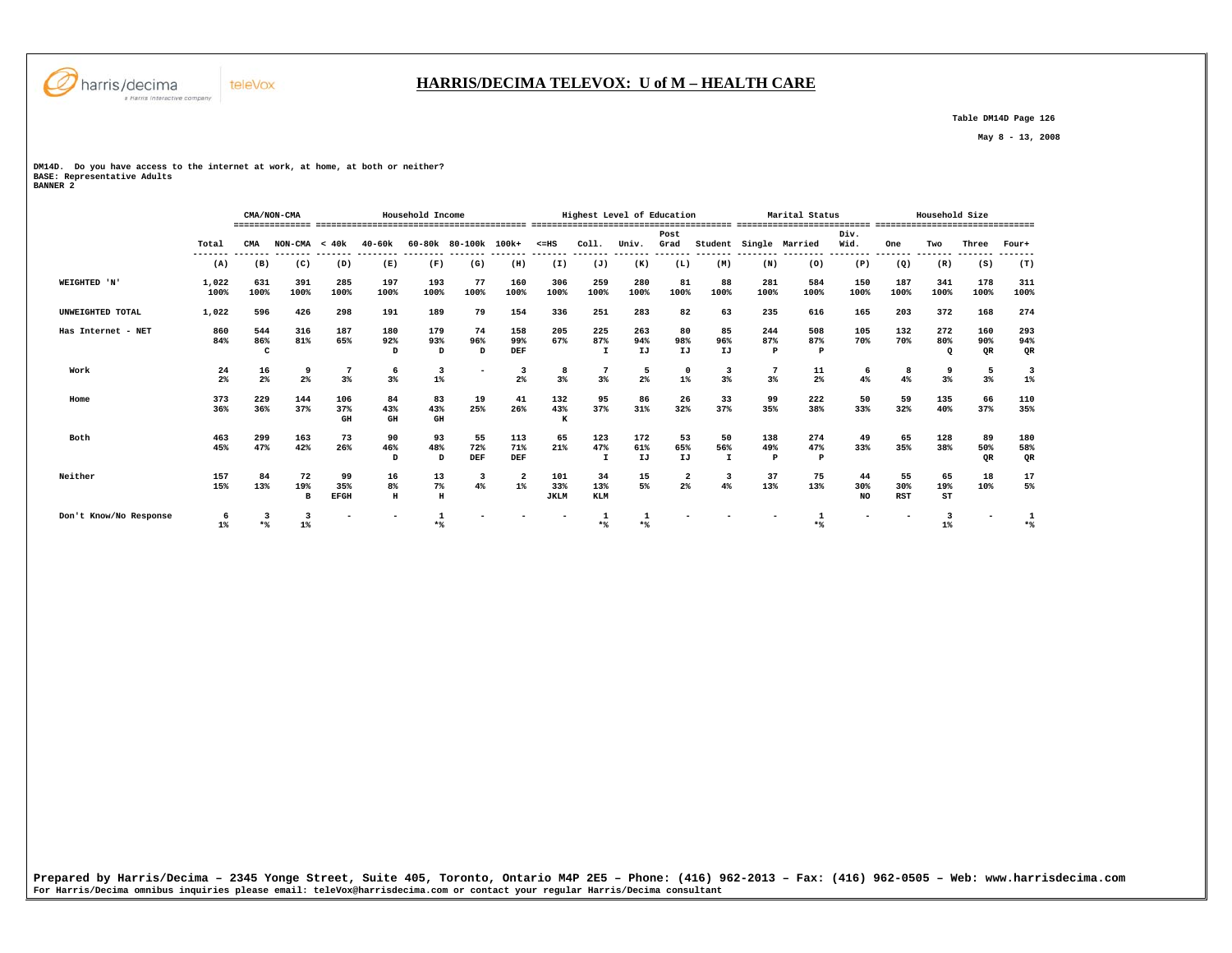

# **HARRIS/DECIMA TELEVOX: U of M – HEALTH CARE**

 **Table DM14D Page 126** 

 **May 8 - 13, 2008** 

**DM14D. Do you have access to the internet at work, at home, at both or neither? BASE: Representative Adults BANNER 2** 

 **CMA/NON-CMA Household Income Highest Level of Education Marital Status Household Size =============== ========================================= ======================================= ========================== =============================== Post Div.** Wid.  **Total CMA NON-CMA < 40k 40-60k 60-80k 80-100k 100k+ <=HS Coll. Univ. Grad Student Single Married Wid. One Two Three Four+ ------- ------- ------- ------- -------- -------- ------- ------- ------- ------- ------- ------- ------- -------- -------- -------- ------- ------- ------- -------**  $(T)$  **(A) (B) (C) (D) (E) (F) (G) (H) (I) (J) (K) (L) (M) (N) (O) (P) (Q) (R) (S) (T) WEIGHTED 'N' 1,022 631 391 285 197 193 77 160 306 259 280 81 88 281 584 150 187 341 178 311 100% 100% 100% 100% 100% 100% 100% 100% 100% 100% 100% 100% 100% 100% 100% 100% 100% 100% 100% 100% UNWEIGHTED TOTAL 1,022 596 426 298 191 189 79 154 336 251 283 82 63 235 616 165 203 372 168 274 Has Internet - NET 860 544 316 187 180 179 74 158 205 225 263 80 85 244 508 105 132 272 160 293 84% 86% 81% 65% 92% 93% 96% 99% 67% 87% 94% 98% 96% 87% 87% 70% 70% 80% 90% 94%** OR  **C D D D DEF I IJ IJ IJ P P Q QR QR Work 24 16 9 7 6 3 - 3 8 7 5 0 3 7 11 6 8 9 5 3**  $1%$  **2% 2% 2% 3% 3% 1% 2% 3% 3% 2% 1% 3% 3% 2% 4% 4% 3% 3% 1% Home 373 229 144 106 84 83 19 41 132 95 86 26 33 99 222 50 59 135 66 110**  $\frac{110}{35\%}$  **36% 36% 37% 37% 43% 43% 25% 26% 43% 37% 31% 32% 37% 35% 38% 33% 32% 40% 37% 35% GH GH GH K Both 463 299 163 73 90 93 55 113 65 123 172 53 50 138 274 49 65 128 89 180** 180<br>58%  **45% 47% 42% 26% 46% 48% 72% 71% 21% 47% 61% 65% 56% 49% 47% 33% 35% 38% 50% 58%** QR  **D D DEF DEF I IJ IJ I P P QR QR Neither 157 84 72 99 16 13 3 2 101 34 15 2 3 37 75 44 55 65 18 17**  $\begin{array}{c} 17 \\ 5\% \end{array}$  **15% 13% 19% 35% 8% 7% 4% 1% 33% 13% 5% 2% 4% 13% 13% 30% 30% 19% 10% 5% B EFGH H H JKLM KLM NO RST ST Don't Know/No Response 6 3 3 - - 1 - - - 1 1 - - - 1 - - 3 - 1 1% \*% 1% \*% \*% \*% \*% 1% \*%**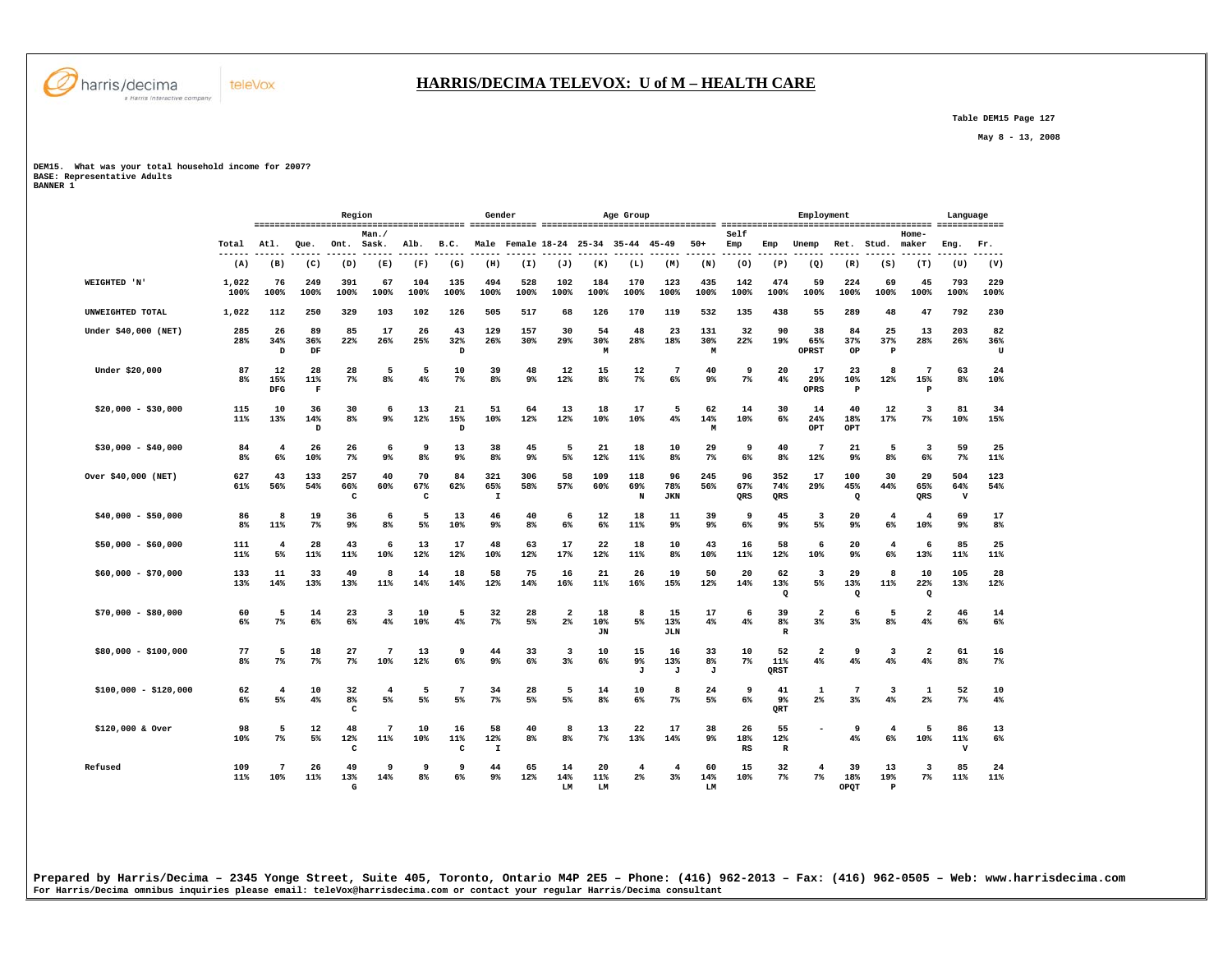

 **Table DEM15 Page 127** 

 **May 8 - 13, 2008** 

**DEM15. What was your total household income for 2007? BASE: Representative Adults BANNER 1** 

teleVox

 **Region Gender Age Group Employment Language ========================================= ============= ================================== ========================================= ============= Man./ Self Home-** Ret. Stud. maker  **Total Atl. Que. Ont. Sask. Alb. B.C. Male Female 18-24 25-34 35-44 45-49 50+ Emp Emp Unemp Ret. Stud. maker Eng. Fr. ------ ------ ------ ------ ------ ------ ------ ------ ------ ------ ------ ------ ------ ------ ------ ------ ------ ------ ------ ------ ------ ------ (A) (B) (C) (D) (E) (F) (G) (H) (I) (J) (K) (L) (M) (N) (O) (P) (Q) (R) (S) (T) (U) (V) WEIGHTED 'N' 1,022 76 249 391 67 104 135 494 528 102 184 170 123 435 142 474 59 224 69 45 793 229 100% 100% 100% 100% 100% 100% 100% 100% 100% 100% 100% 100% 100% 100% 100% 100% 100% 100% 100% 100% 100% 100% UNWEIGHTED TOTAL 1,022 112 250 329 103 102 126 505 517 68 126 170 119 532 135 438 55 289 48 47 792 230 Under \$40,000 (NET) 285 26 89 85 17 26 43 129 157 30 54 48 23 131 32 90 38 84 25 13 203 82 28% 34% 36% 22% 26% 25% 32% 26% 30% 29% 30% 28% 18% 30% 22% 19% 65% 37% 37% 28% 26% 36%**  $T$  **D DF D M M OPRST OP P U Under \$20,000 87 12 28 28 5 5 10 39 48 12 15 12 7 40 9 20 17 23 8 7 63 24 8% 15% 11% 7% 8% 4% 7% 8% 9% 12% 8% 7% 6% 9% 7% 4% 29% 10% 12% 15% 8% 10% DFG F OPRS P P \$20,000 - \$30,000 115 10 36 30 6 13 21 51 64 13 18 17 5 62 14 30 14 40 12 3 81 34 11% 13% 14% 8% 9% 12% 15% 10% 12% 12% 10% 10% 4% 14% 10% 6% 24% 18% 17% 7% 10% 15% D D M OPT OPT**  $_{\tt OPT}$  **\$30,000 - \$40,000 84 4 26 26 6 9 13 38 45 5 21 18 10 29 9 40 7 21 5 3 59 25 8% 6% 10% 7% 9% 8% 9% 8% 9% 5% 12% 11% 8% 7% 6% 8% 12% 9% 8% 6% 7% 11% Over \$40,000 (NET) 627 43 133 257 40 70 84 321 306 58 109 118 96 245 96 352 17 100 30 29 504 123 61% 56% 54% 66% 60% 67% 62% 65% 58% 57% 60% 69% 78% 56% 67% 74% 29% 45% 44% 65% 64% 54% C C I N JKN QRS QRS Q QRS V \$40,000 - \$50,000 86 8 19 36 6 5 13 46 40 6 12 18 11 39 9 45 3 20 4 4 69 17 8% 11% 7% 9% 8% 5% 10% 9% 8% 6% 6% 11% 9% 9% 6% 9% 5% 9% 6% 10% 9% 8% \$50,000 - \$60,000 111 4 28 43 6 13 17 48 63 17 22 18 10 43 16 58 6 20 4 6 85 25 11% 5% 11% 11% 10% 12% 12% 10% 12% 17% 12% 11% 8% 10% 11% 12% 10% 9% 6% 13% 11% 11% \$60,000 - \$70,000 133 11 33 49 8 14 18 58 75 16 21 26 19 50 20 62 3 29 8 10 105 28 13% 14% 13% 13% 11% 14% 14% 12% 14% 16% 11% 16% 15% 12% 14% 13% 5% 13% 11% 22% 13% 12% Q Q Q \$70,000 - \$80,000 60 5 14 23 3 10 5 32 28 2 18 8 15 17 6 39 2 6 5 2 46 14 6% 7% 6% 6% 4% 10% 4% 7% 5% 2% 10% 5% 13% 4% 4% 8% 3% 3% 8% 4% 6% 6%**  $6\%$  **JN JLN R \$80,000 - \$100,000 77 5 18 27 7 13 9 44 33 3 10 15 16 33 10 52 2 9 3 2 61 16 8% 7% 7% 7% 10% 12% 6% 9% 6% 3% 6% 9% 13% 8% 7% 11% 4% 4% 4% 4% 8% 7% J J J QRST \$100,000 - \$120,000 62 4 10 32 4 5 7 34 28 5 14 10 8 24 9 41 1 7 3 1 52 10 6% 5% 4% 8% 5% 5% 5% 7% 5% 5% 8% 6% 7% 5% 6% 9% 2% 3% 4% 2% 7% 4% C QRT \$120,000 & Over 98 5 12 48 7 10 16 58 40 8 13 22 17 38 26 55 - 9 4 5 86 13 10% 7% 5% 12% 11% 10% 11% 12% 8% 8% 7% 13% 14% 9% 18% 12% 4% 6% 10% 11% 6% C C I RS R V Refused 109 7 26 49 9 9 9 44 65 14 20 4 4 60 15 32 4 39 13 3 85 24 11% 10% 11% 13% 14% 8% 6% 9% 12% 14% 11% 2% 3% 14% 10% 7% 7% 18% 19% 7% 11% 11% G LM LM LM OPQT P**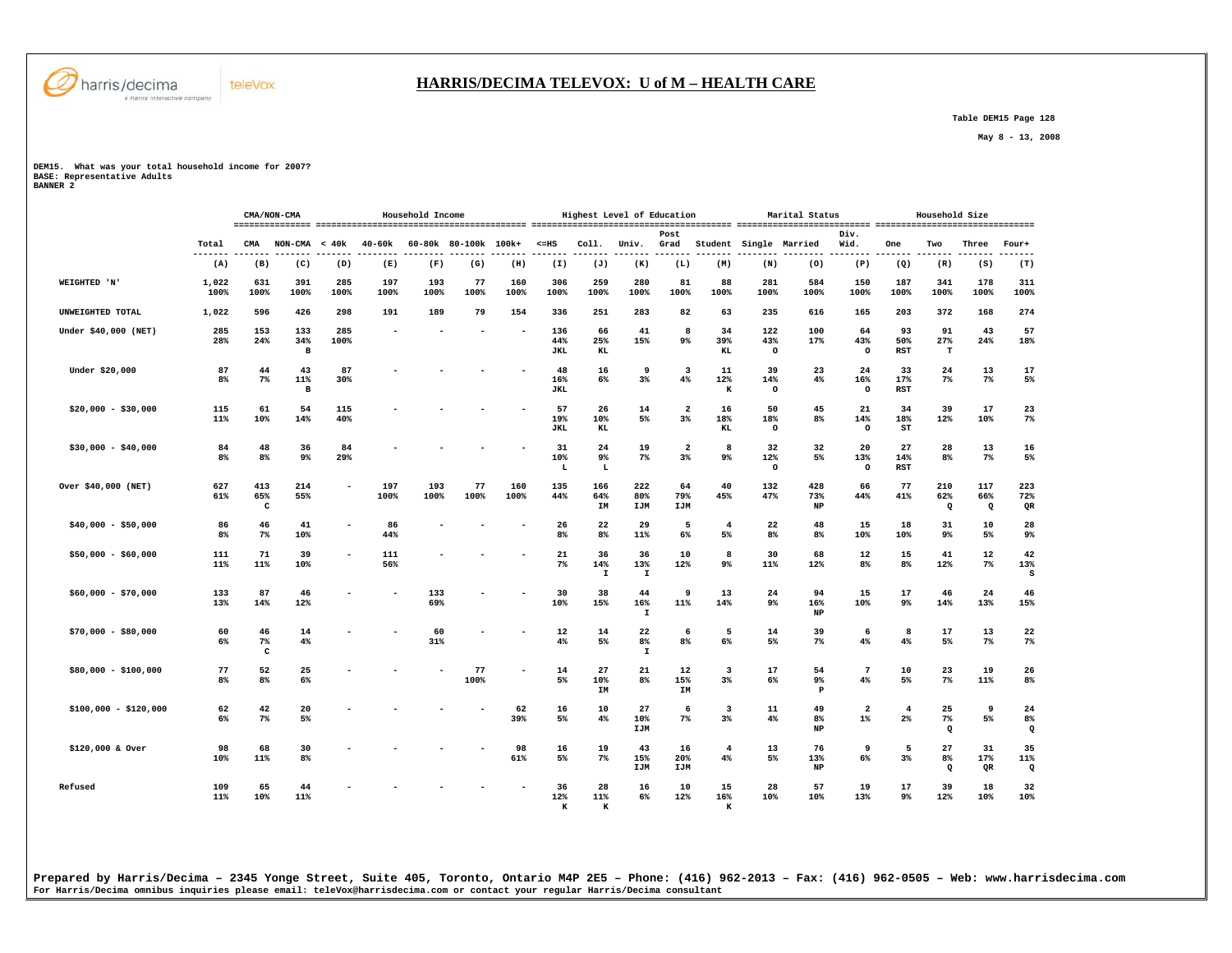

#### **HARRIS/DECIMA TELEVOX: U of M – HEALTH CARE**

 **Table DEM15 Page 128** 

 **May 8 - 13, 2008** 

**DEM15. What was your total household income for 2007? BASE: Representative Adults BANNER 2** 

|                       |                      |                            | CMA/NON-CMA                |             |             | Household Income |                      |             |                          | Highest Level of Education |                           |                                  |                      |                       | Marital Status         |                                  |                      | Household Size              |                        |                       |
|-----------------------|----------------------|----------------------------|----------------------------|-------------|-------------|------------------|----------------------|-------------|--------------------------|----------------------------|---------------------------|----------------------------------|----------------------|-----------------------|------------------------|----------------------------------|----------------------|-----------------------------|------------------------|-----------------------|
|                       | Total                | CMA                        | <b>NON-CMA</b>             | < 40k       | 40-60k      |                  | 60-80k 80-100k 100k+ |             | $< = HS$                 | Coll.                      | Univ.                     | Post<br>Grad                     |                      |                       | Student Single Married | Div.<br>Wid.                     | One                  | Two                         | Three                  | Four+                 |
|                       | $- -$<br>(A)         | (B)                        | (C)                        | (D)         | (E)         | (F)              | (G)                  | (H)         | (I)                      | (J)                        | (K)                       | (L)                              | (M)                  | (N)                   | (0)                    | (P)                              | (Q)                  | (R)                         | (S)                    | (T)                   |
| WEIGHTED 'N'          | 1,022<br>100%        | 631<br>100%                | 391<br>100%                | 285<br>100% | 197<br>100% | 193<br>100%      | 77<br>100%           | 160<br>100% | 306<br>100%              | 259<br>100%                | 280<br>100%               | 81<br>100%                       | 88<br>100%           | 281<br>100%           | 584<br>100%            | 150<br>100%                      | 187<br>100%          | 341<br>100%                 | 178<br>100%            | 311<br>100%           |
| UNWEIGHTED TOTAL      | 1,022                | 596                        | 426                        | 298         | 191         | 189              | 79                   | 154         | 336                      | 251                        | 283                       | 82                               | 63                   | 235                   | 616                    | 165                              | 203                  | 372                         | 168                    | 274                   |
| Under \$40,000 (NET)  | 285<br>28%           | 153<br>24%                 | 133<br>34%<br>$\, {\bf B}$ | 285<br>100% |             |                  |                      | ۰           | 136<br>44%<br><b>JKL</b> | 66<br>25%<br>KL            | 41<br>15%                 | 8<br>9 <sup>°</sup>              | 34<br>39%<br>KL      | 122<br>43%<br>$\circ$ | 100<br>17%             | 64<br>43%<br>$\circ$             | 93<br>50%<br>RST     | 91<br>27%<br>$\mathbf T$    | 43<br>24%              | 57<br>18%             |
| Under \$20,000        | 87<br>8 <sup>8</sup> | 44<br>$7\%$                | 43<br>11%<br>$\mathbf{B}$  | 87<br>30%   |             |                  |                      |             | 48<br>16%<br><b>JKL</b>  | 16<br>6%                   | 9<br>3%                   | 3<br>4%                          | 11<br>12%<br>$\bf K$ | 39<br>14%<br>$\circ$  | 23<br>4%               | 24<br>16%<br>$\circ$             | 33<br>17%<br>RST     | 24<br>$7\%$                 | 13<br>$7\%$            | 17<br>5%              |
| $$20,000 - $30,000$   | 115<br>11%           | 61<br>10%                  | 54<br>14%                  | 115<br>40%  |             |                  |                      |             | 57<br>19%<br><b>JKL</b>  | 26<br>10%<br>KL            | 14<br>5%                  | $\overline{\mathbf{2}}$<br>$3\%$ | 16<br>18%<br>KL      | 50<br>18%<br>$\circ$  | 45<br>$8\%$            | 21<br>14%<br>$\circ$             | 34<br>18%<br>ST      | 39<br>12%                   | 17<br>10%              | 23<br>7%              |
| $$30,000 - $40,000$   | 84<br>8 <sup>8</sup> | 48<br>8%                   | 36<br>9 <sub>8</sub>       | 84<br>29%   |             |                  |                      |             | 31<br>10%<br>L           | 24<br>9%<br>L              | 19<br>$7\%$               | $\overline{\mathbf{2}}$<br>3%    | 8<br>9 <sup>°</sup>  | 32<br>12%<br>$\circ$  | 32<br>5%               | 20<br>13%<br>$\circ$             | 27<br>14%<br>RST     | 28<br>8%                    | 13<br>$7\%$            | 16<br>5%              |
| Over \$40,000 (NET)   | 627<br>61%           | 413<br>65%<br>$\mathtt{C}$ | 214<br>55%                 |             | 197<br>100% | 193<br>100%      | 77<br>100%           | 160<br>100% | 135<br>44%               | 166<br>64%<br>IM           | 222<br>80%<br>IJM         | 64<br>79%<br>IJM                 | 40<br>45%            | 132<br>47%            | 428<br>73%<br>NP       | 66<br>44%                        | 77<br>41%            | 210<br>62%<br>$\Omega$      | 117<br>66%<br>$\Omega$ | 223<br>72%<br>QR      |
| $$40,000 - $50,000$   | 86<br>8%             | 46<br>7%                   | 41<br>10%                  |             | 86<br>44%   |                  |                      |             | 26<br>8 <sup>8</sup>     | 22<br>8 <sup>°</sup>       | 29<br>11%                 | 5<br>$6\%$                       | $\overline{4}$<br>5% | 22<br>8%              | 48<br>8 <sup>8</sup>   | 15<br>10%                        | 18<br>10%            | 31<br>9%                    | 10<br>5%               | 28<br>9%              |
| $$50,000 - $60,000$   | 111<br>11%           | 71<br>11%                  | 39<br>10%                  |             | 111<br>56%  |                  |                      |             | 21<br>7%                 | 36<br>14%<br>$\mathtt I$   | 36<br>13%<br>I            | 10<br>12%                        | 8<br>9%              | 30<br>11%             | 68<br>12%              | 12<br>8%                         | 15<br>8%             | 41<br>12%                   | 12<br>$7\%$            | 42<br>13%<br>s        |
| $$60,000 - $70,000$   | 133<br>13%           | 87<br>14%                  | 46<br>12%                  |             |             | 133<br>69%       |                      |             | 30<br>10%                | 38<br>15%                  | 44<br>16%<br>$\mathbf{I}$ | 9<br>11%                         | 13<br>14%            | 24<br>9%              | 94<br>16%<br>NP        | 15<br>10%                        | 17<br>9%             | 46<br>14%                   | 24<br>13%              | 46<br>15%             |
| $$70,000 - $80,000$   | 60<br>6%             | 46<br>7%<br>$\mathtt{C}$   | 14<br>$4\%$                |             |             | 60<br>31%        |                      |             | 12<br>4%                 | 14<br>5%                   | 22<br>8%<br>$\mathbf{I}$  | 6<br>8%                          | 5<br>6%              | 14<br>5%              | 39<br>$7\%$            | 6<br>4%                          | 8<br>4%              | 17<br>5%                    | 13<br>$7\%$            | 22<br>$7\%$           |
| $$80,000 - $100,000$  | 77<br>8%             | 52<br>8%                   | 25<br>6%                   |             |             |                  | 77<br>100%           |             | 14<br>5%                 | 27<br>10%<br>IM            | 21<br>$8\%$               | 12<br>15%<br>IM                  | 3<br>$3\%$           | 17<br>6%              | 54<br>9%<br>P          | $\overline{7}$<br>4%             | 10<br>5%             | 23<br>$7\%$                 | 19<br>11%              | 26<br>8%              |
| $$100,000 - $120,000$ | 62<br>6%             | 42<br>$7\%$                | 20<br>5%                   |             |             |                  |                      | 62<br>39%   | 16<br>5%                 | 10<br>4%                   | 27<br>10%<br>IJM          | 6<br>7%                          | 3<br>$3\%$           | 11<br>4%              | 49<br>8%<br>NP         | $\overline{\mathbf{2}}$<br>$1\%$ | $\overline{4}$<br>2% | 25<br>$7\%$<br>$\mathbf{Q}$ | 9<br>5%                | 24<br>8%<br>$\Omega$  |
| \$120,000 & Over      | 98<br>10%            | 68<br>11%                  | 30<br>8 <sup>°</sup>       |             |             |                  |                      | 98<br>61%   | 16<br>5%                 | 19<br>$7\%$                | 43<br>15%<br>IJM          | 16<br>20%<br>IJM                 | $\overline{4}$<br>4% | 13<br>5%              | 76<br>13%<br>NP        | 9<br>$6\%$                       | 5<br>$3\%$           | 27<br>8%<br>$\Omega$        | 31<br>17%<br>QR        | 35<br>11%<br>$\Omega$ |
| Refused               | 109<br>11%           | 65<br>10%                  | 44<br>11%                  |             |             |                  |                      |             | 36<br>12%<br>к           | 28<br>11%<br>к             | 16<br>6%                  | 10<br>12%                        | 15<br>16%<br>к       | 28<br>10%             | 57<br>10%              | 19<br>13%                        | 17<br>$9\%$          | 39<br>12%                   | 18<br>10%              | 32<br>10%             |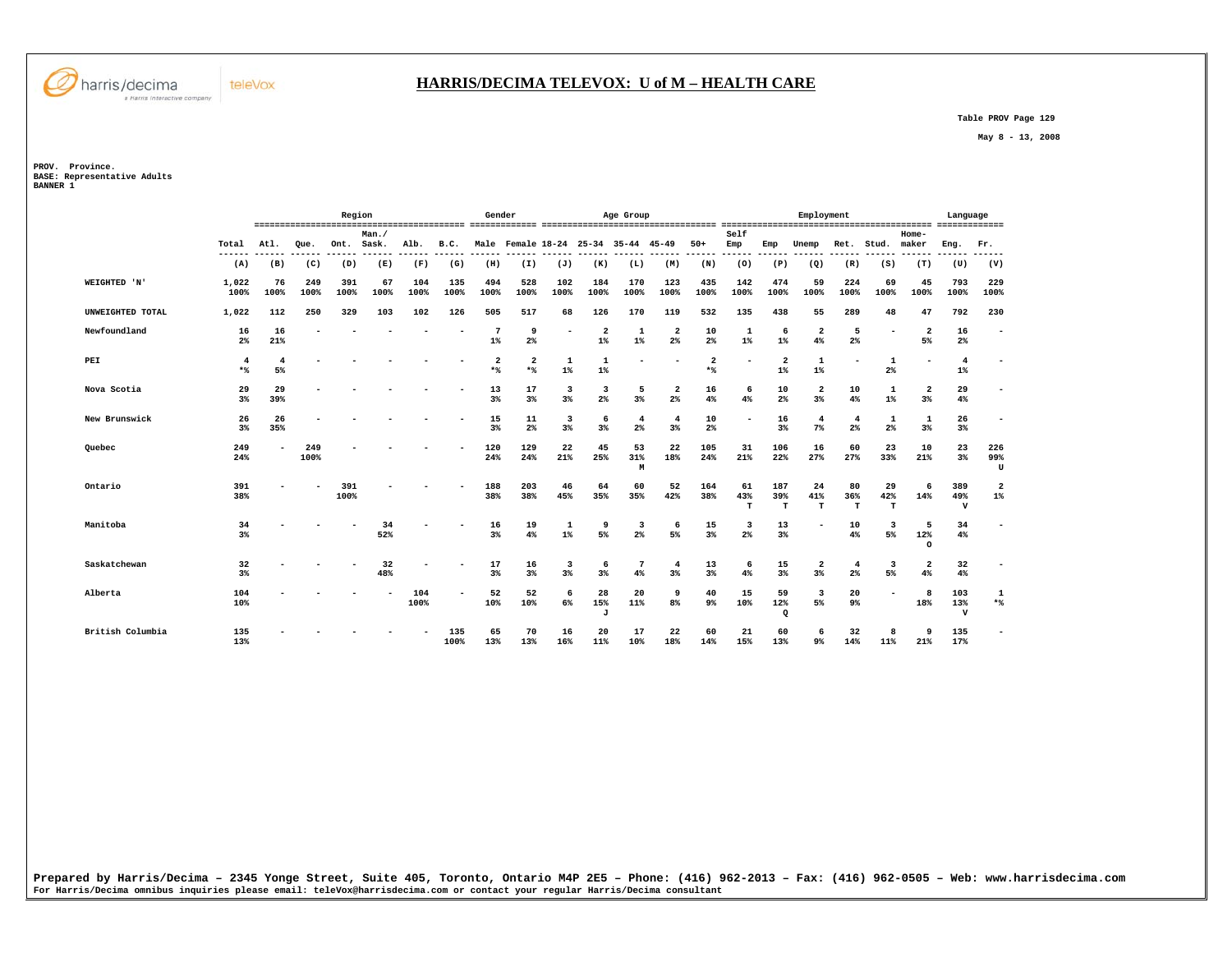

#### **HARRIS/DECIMA TELEVOX: U of M – HEALTH CARE**

 **Table PROV Page 129** 

 **May 8 - 13, 2008** 

**PROV. Province. BASE: Representative Adults BANNER 1** 

|                     |                       |            |             | Region      |               |             |               | Gender      |                                |                       |                                  | Age Group                           |                          |                       |                               |                         | Employment                    |                                  |                          |                                  | Language                   |                          |
|---------------------|-----------------------|------------|-------------|-------------|---------------|-------------|---------------|-------------|--------------------------------|-----------------------|----------------------------------|-------------------------------------|--------------------------|-----------------------|-------------------------------|-------------------------|-------------------------------|----------------------------------|--------------------------|----------------------------------|----------------------------|--------------------------|
|                     | Total<br>------       | Atl.       | Oue.        | Ont.        | Man.<br>Sask. | Alb.        | B.C.<br>----- |             |                                |                       |                                  | Male Female 18-24 25-34 35-44 45-49 |                          | $50+$                 | Self<br>Emp<br>----           | Emp                     | Unemp                         | Ret.                             | Stud.                    | Home-<br>maker                   | Eng.                       | Fr.<br>-----             |
|                     | (A)                   | (B)        | (C)         | (D)         | (E)           | (F)         | (G)           | (H)         | (I)                            | (J)                   | (K)                              | (L)                                 | (M)                      | (N)                   | (0)                           | (P)                     | (Q)                           | (R)                              | (S)                      | (T)                              | (U)                        | (V)                      |
| <b>WEIGHTED 'N'</b> | 1,022<br>100%         | 76<br>100% | 249<br>100% | 391<br>100% | 67<br>100%    | 104<br>100% | 135<br>100%   | 494<br>100% | 528<br>100%                    | 102<br>100%           | 184<br>100%                      | 170<br>100%                         | 123<br>100%              | 435<br>100%           | 142<br>100%                   | 474<br>100%             | 59<br>100%                    | 224<br>100%                      | 69<br>100%               | 45<br>100%                       | 793<br>100%                | 229<br>100%              |
| UNWEIGHTED TOTAL    | 1,022                 | 112        | 250         | 329         | 103           | 102         | 126           | 505         | 517                            | 68                    | 126                              | 170                                 | 119                      | 532                   | 135                           | 438                     | 55                            | 289                              | 48                       | 47                               | 792                        | 230                      |
| Newfoundland        | 16<br>2%              | 16<br>21%  |             |             |               |             |               | 7<br>$1\%$  | 9<br>2 <sup>°</sup>            |                       | $\overline{\mathbf{2}}$<br>$1\%$ | 1<br>$1\%$                          | 2<br>2%                  | 10<br>2%              | 1<br>$1\%$                    | 6<br>$1\%$              | $\overline{2}$<br>4%          | 5<br>2%                          |                          | $\overline{a}$<br>5%             | 16<br>2 <sup>8</sup>       | $\blacksquare$           |
| PEI                 | $\overline{4}$<br>$*$ | 4<br>5%    |             |             |               |             |               | 2<br>$*$    | $\overline{\mathbf{2}}$<br>$*$ | 1<br>$1\%$            | $\mathbf{1}$<br>$1\%$            |                                     |                          | $\overline{2}$<br>$*$ |                               | $\overline{a}$<br>$1\%$ | 1<br>$1\%$                    |                                  | 1<br>2%                  | ۰                                | $\overline{4}$<br>$1\%$    |                          |
| Nova Scotia         | 29<br>3%              | 29<br>39%  |             |             |               |             |               | 13<br>3%    | 17<br>3%                       | 3<br>3%               | 3<br>$2\%$                       | 5<br>3%                             | $\overline{2}$<br>2%     | 16<br>4%              | 6<br>4%                       | 10<br>2%                | $\overline{a}$<br>3%          | 10<br>4%                         | 1<br>$1\%$               | $\overline{\mathbf{2}}$<br>$3\%$ | 29<br>4%                   |                          |
| New Brunswick       | 26<br>3 <sup>8</sup>  | 26<br>35%  |             |             |               |             |               | 15<br>3%    | 11<br>2%                       | 3<br>3%               | 6<br>3%                          | $\overline{4}$<br>$2\%$             | $\overline{\bf 4}$<br>3% | 10<br>2 <sup>°</sup>  | $\overline{\phantom{a}}$      | 16<br>3%                | $\overline{4}$<br>$7\%$       | $\overline{4}$<br>2 <sup>°</sup> | 1<br>2 <sup>°</sup>      | 1<br>3%                          | 26<br>$3\%$                |                          |
| Ouebec              | 249<br>24%            |            | 249<br>100% |             |               |             |               | 120<br>24%  | 129<br>24%                     | 22<br>21%             | 45<br>25%                        | 53<br>31%<br>M                      | 22<br>18%                | 105<br>24%            | 31<br>21%                     | 106<br>22%              | 16<br>27%                     | 60<br>27%                        | 23<br>33%                | 10<br>21%                        | 23<br>3 <sup>8</sup>       | 226<br>99%<br>U          |
| Ontario             | 391<br>38%            |            |             | 391<br>100% |               |             |               | 188<br>38%  | 203<br>38%                     | 46<br>45%             | 64<br>35%                        | 60<br>35%                           | 52<br>42%                | 164<br>38%            | 61<br>43%<br>$\mathbf T$      | 187<br>39%<br>т         | 24<br>41%<br>$\mathbf T$      | 80<br>36%<br>$\mathbf T$         | 29<br>42%<br>$\mathbf T$ | - 6<br>14%                       | 389<br>49%<br>$\mathbf{v}$ | $\overline{a}$<br>$1\%$  |
| Manitoba            | 34<br>3%              |            |             |             | 34<br>52%     |             |               | 16<br>3%    | 19<br>4%                       | $\mathbf{1}$<br>$1\%$ | 9<br>5%                          | 3<br>$2\%$                          | 5%                       | 15<br>3%              | $\overline{\mathbf{3}}$<br>2% | 13<br>3%                |                               | 10<br>4%                         | 3<br>5%                  | 5<br>12%<br>$\circ$              | 34<br>4%                   | $\overline{\phantom{0}}$ |
| Saskatchewan        | 32<br>3 <sup>8</sup>  |            |             |             | 32<br>48%     |             |               | 17<br>3%    | 16<br>3%                       | 3<br>3%               | 6<br>$3*$                        | 7<br>4%                             | 4<br>3%                  | 13<br>3%              | 6<br>4%                       | 15<br>$3*$              | $\overline{\mathbf{2}}$<br>3% | 4<br>2 <sup>°</sup>              | 3<br>5%                  | $\overline{\mathbf{2}}$<br>4%    | 32<br>4%                   | $\overline{\phantom{0}}$ |
| Alberta             | 104<br>10%            |            |             |             |               | 104<br>100% |               | 52<br>10%   | 52<br>10%                      | 6<br>6%               | 28<br>15%<br>$\mathbf{J}$        | 20<br>11%                           | 9<br>8 <sup>°</sup>      | 40<br>9%              | 15<br>10%                     | 59<br>12%<br>$\circ$    | $\overline{\mathbf{3}}$<br>5% | 20<br>9%                         | ۰                        | 8<br>18%                         | 103<br>13%<br>$\mathbf v$  | 1<br>$*$                 |
| British Columbia    | 135<br>13%            |            |             |             |               |             | 135<br>100%   | 65<br>13%   | 70<br>13%                      | 16<br>16%             | 20<br>11%                        | 17<br>10%                           | 22<br>18%                | 60<br>14%             | 21<br>15%                     | 60<br>13%               | 6<br>9%                       | 32<br>14%                        | 8<br>11%                 | 9<br>21%                         | 135<br>17%                 |                          |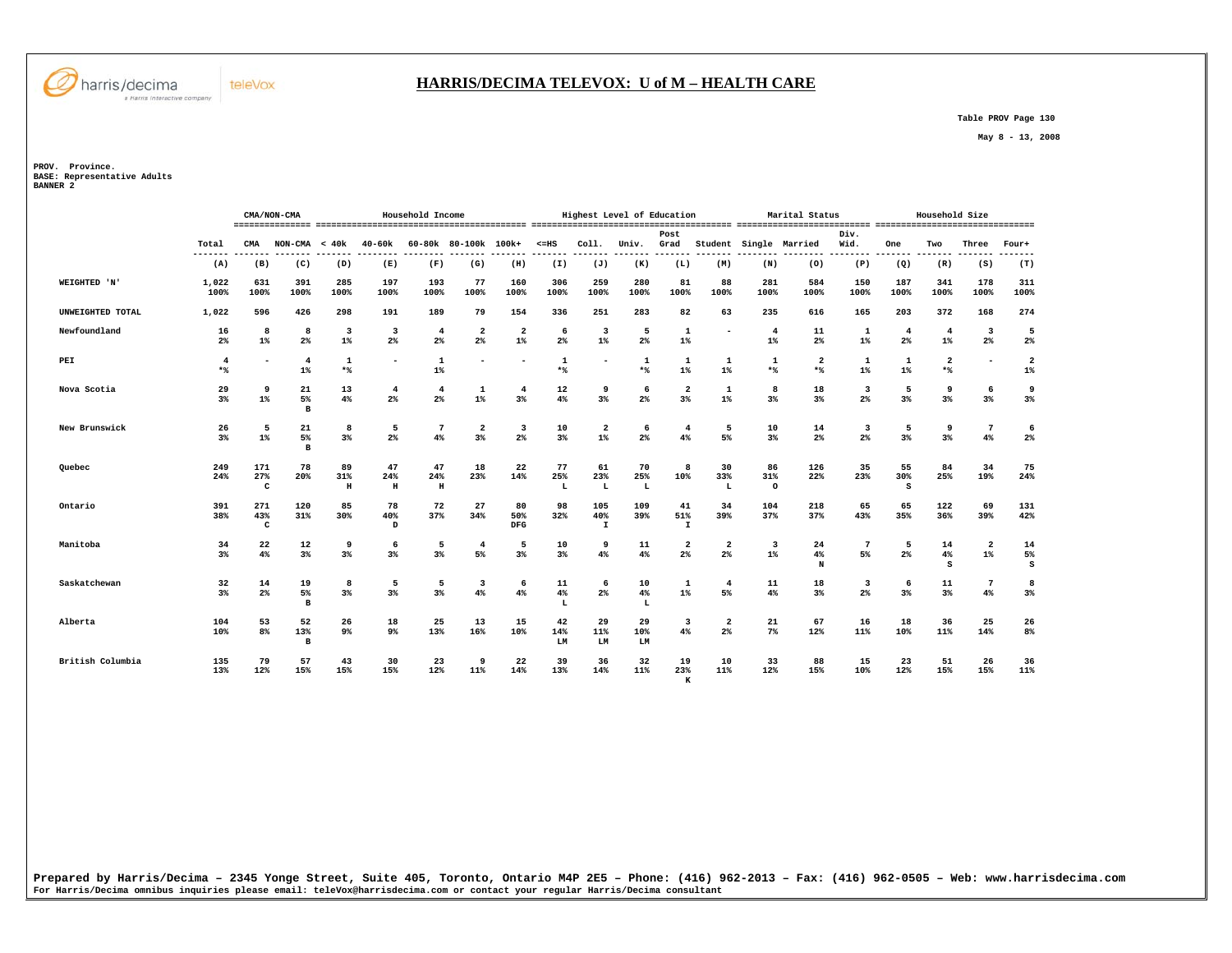

#### **HARRIS/DECIMA TELEVOX: U of M – HEALTH CARE**

 **Table PROV Page 130** 

 **May 8 - 13, 2008** 

**PROV. Province. BASE: Representative Adults BANNER 2** 

|                  |                                |                            | CMA/NON-CMA              |                                  |                               | Household Income      |                                  |                                  |                      |                                  | Highest Level of Education |                           |                       |                         | Marital Status         |                     |                          | Household Size        |                                           |                         |
|------------------|--------------------------------|----------------------------|--------------------------|----------------------------------|-------------------------------|-----------------------|----------------------------------|----------------------------------|----------------------|----------------------------------|----------------------------|---------------------------|-----------------------|-------------------------|------------------------|---------------------|--------------------------|-----------------------|-------------------------------------------|-------------------------|
|                  | Total                          | CMA                        | $NON-CMA < 40k$          |                                  | 40-60k                        |                       | 60-80k 80-100k 100k+             |                                  | $< = HS$             | Coll.                            | Univ.                      | Post<br>Grad              |                       |                         | Student Single Married | Div.<br>Wid.        | One                      | Two                   | Three                                     | Four+                   |
|                  | -------<br>(A)                 | (B)                        | (C)                      | (D)                              | (E)                           | (F)                   | (G)                              | (H)                              | (I)                  | (J)                              | (K)                        | (L)                       | (M)                   | (N)                     | (0)                    | (P)                 | (Q)                      | (R)                   | (S)                                       | (T)                     |
| WEIGHTED 'N'     | 1,022<br>100%                  | 631<br>100%                | 391<br>100%              | 285<br>100%                      | 197<br>100%                   | 193<br>100%           | 77<br>100%                       | 160<br>100%                      | 306<br>100%          | 259<br>100%                      | 280<br>100%                | 81<br>100%                | 88<br>100%            | 281<br>100%             | 584<br>100%            | 150<br>100%         | 187<br>100%              | 341<br>100%           | 178<br>100%                               | 311<br>100%             |
| UNWEIGHTED TOTAL | 1,022                          | 596                        | 426                      | 298                              | 191                           | 189                   | 79                               | 154                              | 336                  | 251                              | 283                        | 82                        | 63                    | 235                     | 616                    | 165                 | 203                      | 372                   | 168                                       | 274                     |
| Newfoundland     | 16<br>$2\%$                    | 8<br>$1\%$                 | 8<br>2 <sup>8</sup>      | $\overline{\mathbf{3}}$<br>$1\%$ | $\overline{\mathbf{3}}$<br>2% | $\overline{4}$<br>2%  | $\overline{\mathbf{2}}$<br>2%    | $\overline{\mathbf{2}}$<br>$1\%$ | -6<br>2 <sup>8</sup> | 3<br>$1\%$                       | 5<br>2 <sup>°</sup>        | $\mathbf{1}$<br>$1\%$     | $\blacksquare$        | $\overline{4}$<br>$1\%$ | 11<br>2 <sup>°</sup>   | 1<br>$1\%$          | $\overline{\bf 4}$<br>2% | 4<br>$1\%$            | $\overline{\mathbf{3}}$<br>2 <sup>°</sup> | 5<br>$2\%$              |
| PEI              | $\overline{\mathbf{4}}$<br>$*$ | ٠                          | $\overline{4}$<br>$1\%$  | $\mathbf{1}$<br>$*$              | $\overline{\phantom{0}}$      | $\mathbf{1}$<br>$1\%$ | ۰                                | $\overline{\phantom{0}}$         | $\mathbf{1}$<br>$*$  | $\overline{\phantom{a}}$         | 1<br>$*$                   | 1<br>$1\%$                | 1<br>$1$ <sup>*</sup> | 1<br>$*$                | $\overline{2}$<br>$*$  | 1<br>$1\%$          | $\mathbf{1}$<br>$1\%$    | $\overline{2}$<br>$*$ | $\overline{\phantom{a}}$                  | $\overline{2}$<br>$1\%$ |
| Nova Scotia      | 29<br>3 <sup>8</sup>           | 9<br>$1\%$                 | 21<br>5%<br>$\mathbf{B}$ | 13<br>4%                         | $\overline{4}$<br>2%          | $\overline{4}$<br>2%  | $\mathbf{1}$<br>$1\%$            | $\overline{4}$<br>3%             | 12<br>4%             | 9<br>3%                          | 6<br>2 <sup>°</sup>        | $\mathbf{2}$<br>3%        | $\mathbf{1}$<br>$1\%$ | 8<br>3%                 | 18<br>3 <sup>8</sup>   | 3<br>2 <sup>°</sup> | 5<br>3%                  | 9<br>3%               | 6<br>3%                                   | 9<br>$3\%$              |
| New Brunswick    | 26<br>3 <sup>8</sup>           | 5<br>$1\%$                 | 21<br>5%<br>$\, {\bf B}$ | 8<br>3%                          | 5<br>$2\%$                    | 7<br>4%               | $\overline{\mathbf{2}}$<br>$3\%$ | 3<br>$2\%$                       | 10<br>3%             | $\overline{\mathbf{2}}$<br>$1\%$ | 6<br>2 <sup>°</sup>        | $\overline{4}$<br>4%      | 5<br>5%               | 10<br>3%                | 14<br>$2\%$            | 3<br>$2\%$          | 5<br>$3\%$               | 9<br>$3\%$            | 7<br>4%                                   | 6<br>2%                 |
| Quebec           | 249<br>24%                     | 171<br>27%<br>c            | 78<br>20%                | 89<br>31%<br>н                   | 47<br>24%<br>$\,$ H           | 47<br>24%<br>Н        | 18<br>23%                        | 22<br>14%                        | 77<br>25%<br>L       | 61<br>23%<br>L                   | 70<br>25%<br>L             | 8<br>10%                  | 30<br>33%<br>L        | 86<br>31%<br>$\circ$    | 126<br>22%             | 35<br>23%           | 55<br>30%<br>S           | 84<br>25%             | 34<br>19%                                 | 75<br>24%               |
| Ontario          | 391<br>38%                     | 271<br>43%<br>$\mathbf{C}$ | 120<br>31%               | 85<br>30%                        | 78<br>40%<br>D                | 72<br>37%             | 27<br>34%                        | 80<br>50%<br>DFG                 | 98<br>32%            | 105<br>40%<br>$\mathbf I$        | 109<br>39%                 | 41<br>51%<br>$\mathtt{I}$ | 34<br>39%             | 104<br>37%              | 218<br>37%             | 65<br>43%           | 65<br>35%                | 122<br>36%            | 69<br>39%                                 | 131<br>42%              |
| Manitoba         | 34<br>3 <sup>8</sup>           | 22<br>4%                   | 12<br>3%                 | 9<br>3%                          | 6<br>$3\%$                    | 5<br>$3\%$            | $\overline{4}$<br>5%             | 5<br>$3\%$                       | 10<br>$3\%$          | 9<br>4%                          | 11<br>4%                   | $\mathbf{2}$<br>2%        | 2<br>2 <sup>°</sup>   | 3<br>$1\%$              | 24<br>4%<br>N          | 5%                  | 5<br>$2\%$               | 14<br>4%<br>s         | $\overline{\mathbf{2}}$<br>$1\%$          | 14<br>5%<br>s           |
| Saskatchewan     | 32<br>$3\%$                    | 14<br>$2\%$                | 19<br>5%<br>в            | 8<br>3%                          | 5<br>3%                       | 5<br>3%               | $\overline{\mathbf{3}}$<br>4%    | 6<br>$4\%$                       | 11<br>4%<br>L        | 6<br>2 <sup>°</sup>              | 10<br>4%<br>L              | 1<br>$1\%$                | $\overline{4}$<br>5%  | 11<br>4%                | 18<br>3 <sup>8</sup>   | 3<br>2 <sup>°</sup> | 6<br>3%                  | 11<br>3%              | 7<br>4%                                   | 8<br>$3\%$              |
| Alberta          | 104<br>10%                     | 53<br>8%                   | 52<br>13%<br>в           | 26<br>9%                         | 18<br>9%                      | 25<br>13%             | 13<br>16%                        | 15<br>10%                        | 42<br>14%<br>LM      | 29<br>11%<br>LM                  | 29<br>10%<br>LM            | 3<br>4%                   | 2<br>2 <sup>°</sup>   | 21<br>$7\%$             | 67<br>12%              | 16<br>11%           | 18<br>10%                | 36<br>11%             | 25<br>14%                                 | 26<br>8%                |
| British Columbia | 135<br>13%                     | 79<br>12%                  | 57<br>15%                | 43<br>15%                        | 30<br>15%                     | 23<br>12%             | 9<br>11%                         | 22<br>14%                        | 39<br>13%            | 36<br>14%                        | 32<br>11%                  | 19<br>23%<br>K            | 10<br>11%             | 33<br>12%               | 88<br>15%              | 15<br>10%           | 23<br>12%                | 51<br>15%             | 26<br>15%                                 | 36<br>11%               |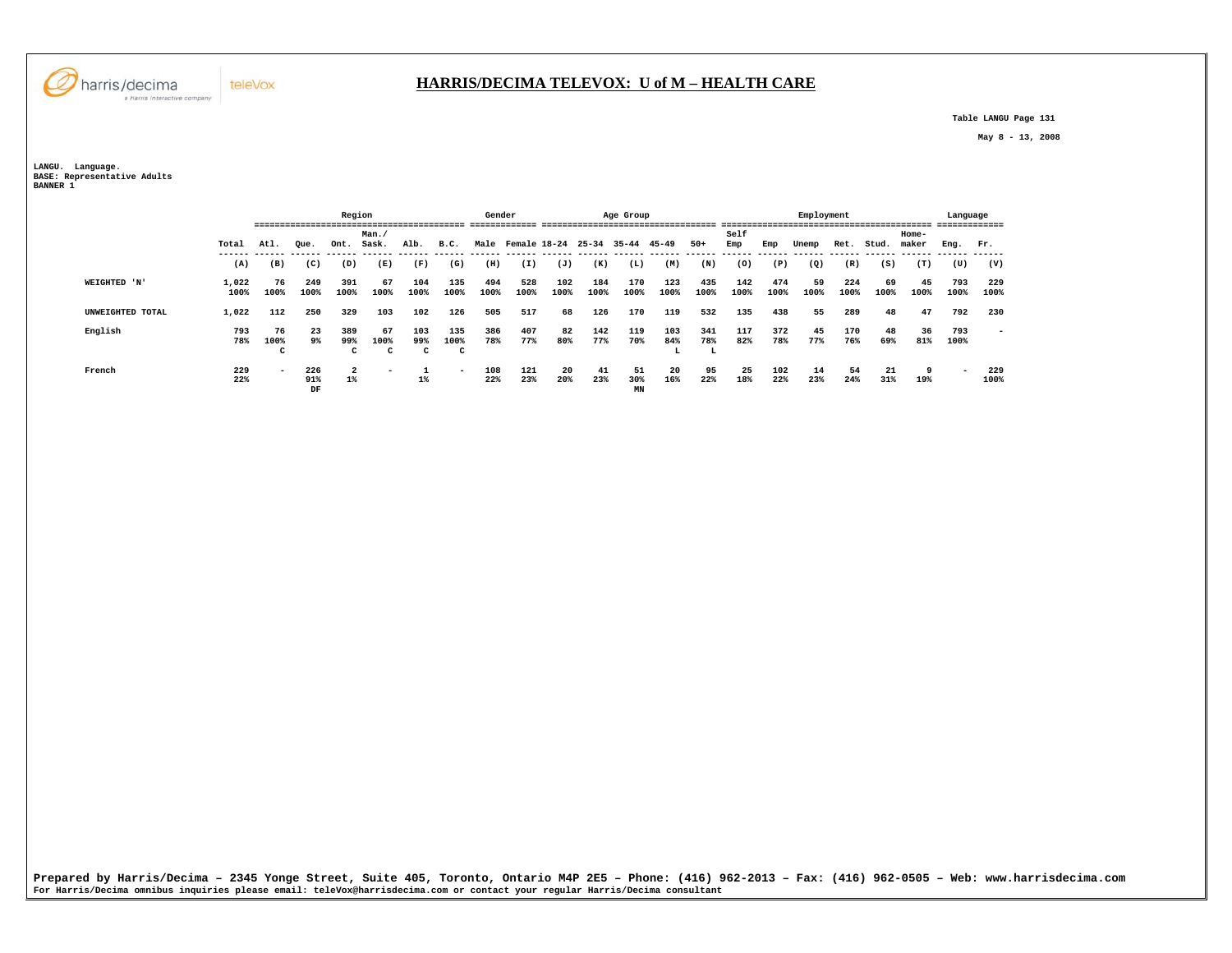

## **HARRIS/DECIMA TELEVOX: U of M – HEALTH CARE**

 **Table LANGU Page 131** 

 **May 8 - 13, 2008** 

**LANGU. Language. BASE: Representative Adults BANNER 1** 

|                  |               |                          |                  | Region                  |                            |                 |                          | Gender      |             |                         |             | Age Group       |                  |                 |             |             | Employment |             |            |                | Language                 | -------                  |
|------------------|---------------|--------------------------|------------------|-------------------------|----------------------------|-----------------|--------------------------|-------------|-------------|-------------------------|-------------|-----------------|------------------|-----------------|-------------|-------------|------------|-------------|------------|----------------|--------------------------|--------------------------|
|                  | Total         | Atl.                     | Oue.             | Ont.                    | Man.<br>Sask.              | Alb.            | B.C.                     |             |             | Male Female 18-24 25-34 |             | 35-44           | 45-49            | $50+$           | Self<br>Emp | Emp         | Unemp      | Ret.        | Stud.      | Home-<br>maker | Eng.                     | Fr.                      |
|                  | (A)           | (B)                      | (C)              | (D)                     | (E)                        | (F)             | (G)                      | (H)         | (I)         | (J)                     | (K)         | (L)             | (M)              | (N)             | (0)         | (P)         | (Q)        | (R)         | (S)        | (T)            | (U)                      | (V)                      |
| WEIGHTED 'N'     | 1,022<br>100% | 76<br>100%               | 249<br>100%      | 391<br>100%             | 67<br>100%                 | 104<br>100%     | 135<br>100%              | 494<br>100% | 528<br>100% | 102<br>100%             | 184<br>100% | 170<br>100%     | 123<br>100%      | 435<br>100%     | 142<br>100% | 474<br>100% | 59<br>100% | 224<br>100% | 69<br>100% | 45<br>100%     | 793<br>100%              | 229<br>100%              |
| UNWEIGHTED TOTAL | 1,022         | 112                      | 250              | 329                     | 103                        | 102             | 126                      | 505         | 517         | 68                      | 126         | 170             | 119              | 532             | 135         | 438         | 55         | 289         | 48         | 47             | 792                      | 230                      |
| English          | 793<br>78%    | 76<br>100%<br>C          | 23<br>9%         | 389<br>99%<br>c         | 67<br>100%<br>$\mathbf{C}$ | 103<br>99%<br>C | 135<br>100%<br>C         | 386<br>78%  | 407<br>77%  | 82<br>80%               | 142<br>77%  | 119<br>70%      | 103<br>84%<br>ь. | 341<br>78%<br>L | 117<br>82%  | 372<br>78%  | 45<br>77%  | 170<br>76%  | 48<br>69%  | 36<br>81%      | 793<br>100%              | $\overline{\phantom{0}}$ |
| French           | 229<br>22%    | $\overline{\phantom{0}}$ | 226<br>91%<br>DF | $\overline{a}$<br>$1\%$ | -                          | $1\%$           | $\overline{\phantom{0}}$ | 108<br>22%  | 121<br>23%  | 20<br>20%               | 41<br>23%   | 51<br>30%<br>MN | 20<br>16%        | 95<br>22%       | 25<br>18%   | 102<br>22%  | 14<br>23%  | 54<br>24%   | 21<br>31%  | 9<br>19%       | $\overline{\phantom{a}}$ | 229<br>100%              |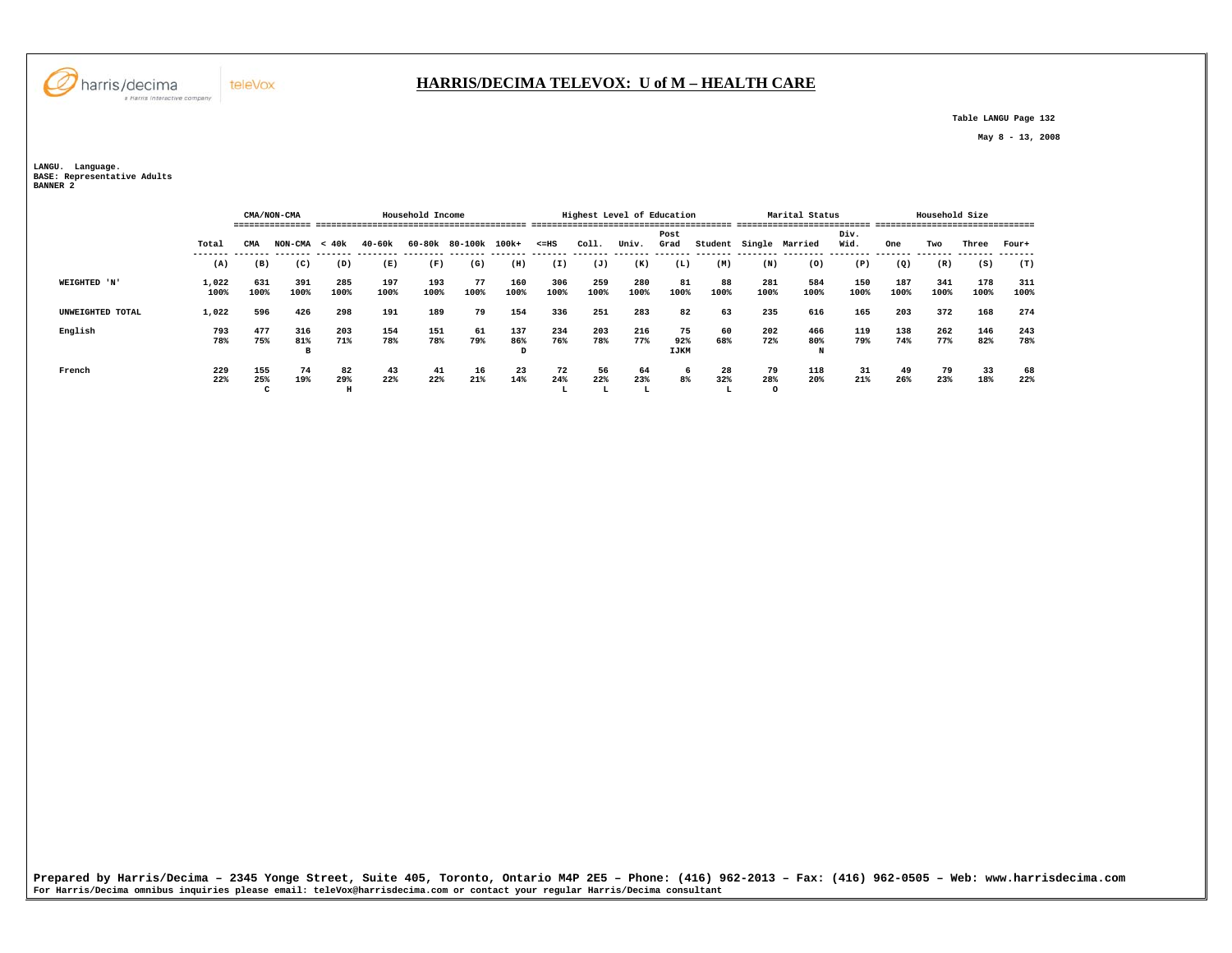**Table LANGU Page 132** 

 **May 8 - 13, 2008** 

**LANGU. Language. BASE: Representative Adults BANNER 2** 

|                  |               |                 | CMA/NON-CMA     |             |             | Household Income |               |             |                |                 | Highest Level of Education |                          |                |                      | Marital Status  |              |             | Household Size |             |             |
|------------------|---------------|-----------------|-----------------|-------------|-------------|------------------|---------------|-------------|----------------|-----------------|----------------------------|--------------------------|----------------|----------------------|-----------------|--------------|-------------|----------------|-------------|-------------|
|                  | Total         | CMA             | <b>NON-CMA</b>  | < 40k       | 40-60k      | 60-80k           | 80-100k 100k+ |             | $< = HS$       | Coll.           | Univ.                      | Post<br>Grad             | Student Single |                      | Married         | Div.<br>Wid. | One         | Two            | Three       | Four+       |
|                  | (A)           | (B)             | (C)             | (D)         | (E)         | (F)              | (G)           | (H)         | (I)            | (J)             | (K)                        | (L)                      | (M)            | (N)                  | (0)             | (P)          | (Q)         | (R)            | (S)         | (T)         |
| WEIGHTED 'N'     | 1,022<br>100% | 631<br>100%     | 391<br>100%     | 285<br>100% | 197<br>100% | 193<br>100%      | 77<br>100%    | 160<br>100% | 306<br>100%    | 259<br>100%     | 280<br>100%                | 81<br>100%               | 88<br>100%     | 281<br>100%          | 584<br>100%     | 150<br>100%  | 187<br>100% | 341<br>100%    | 178<br>100% | 311<br>100% |
| UNWEIGHTED TOTAL | 1,022         | 596             | 426             | 298         | 191         | 189              | 79            | 154         | 336            | 251             | 283                        | 82                       | 63             | 235                  | 616             | 165          | 203         | 372            | 168         | 274         |
| English          | 793<br>78%    | 477<br>75%      | 316<br>81%<br>в | 203<br>71%  | 154<br>78%  | 151<br>78%       | 61<br>79%     | 137<br>86%  | 234<br>76%     | 203<br>78%      | 216<br>77%                 | 75<br>92%<br><b>IJKM</b> | 60<br>68%      | 202<br>72%           | 466<br>80%<br>N | 119<br>79%   | 138<br>74%  | 262<br>77%     | 146<br>82%  | 243<br>78%  |
| French           | 229<br>22%    | 155<br>25%<br>C | 74<br>19%       | 82<br>29%   | 43<br>22%   | 41<br>22%        | 16<br>21%     | 23<br>14%   | 72<br>24%<br>ы | 56<br>22%<br>ш. | 64<br>23%<br>ш             | 6<br>8%                  | 28<br>32%      | 79<br>28%<br>$\circ$ | 118<br>20%      | 31<br>21%    | 49<br>26%   | 79<br>23%      | 33<br>18%   | 68<br>22%   |

Prepared by Harris/Decima - 2345 Yonge Street, Suite 405, Toronto, Ontario M4P 2E5 - Phone: (416) 962–2013 - Fax: (416) 962–0505 - Web: www.harrisdecima.com<br>For Harris/Decima omnibus inquiries please email: teleVox@harrisd



teleVox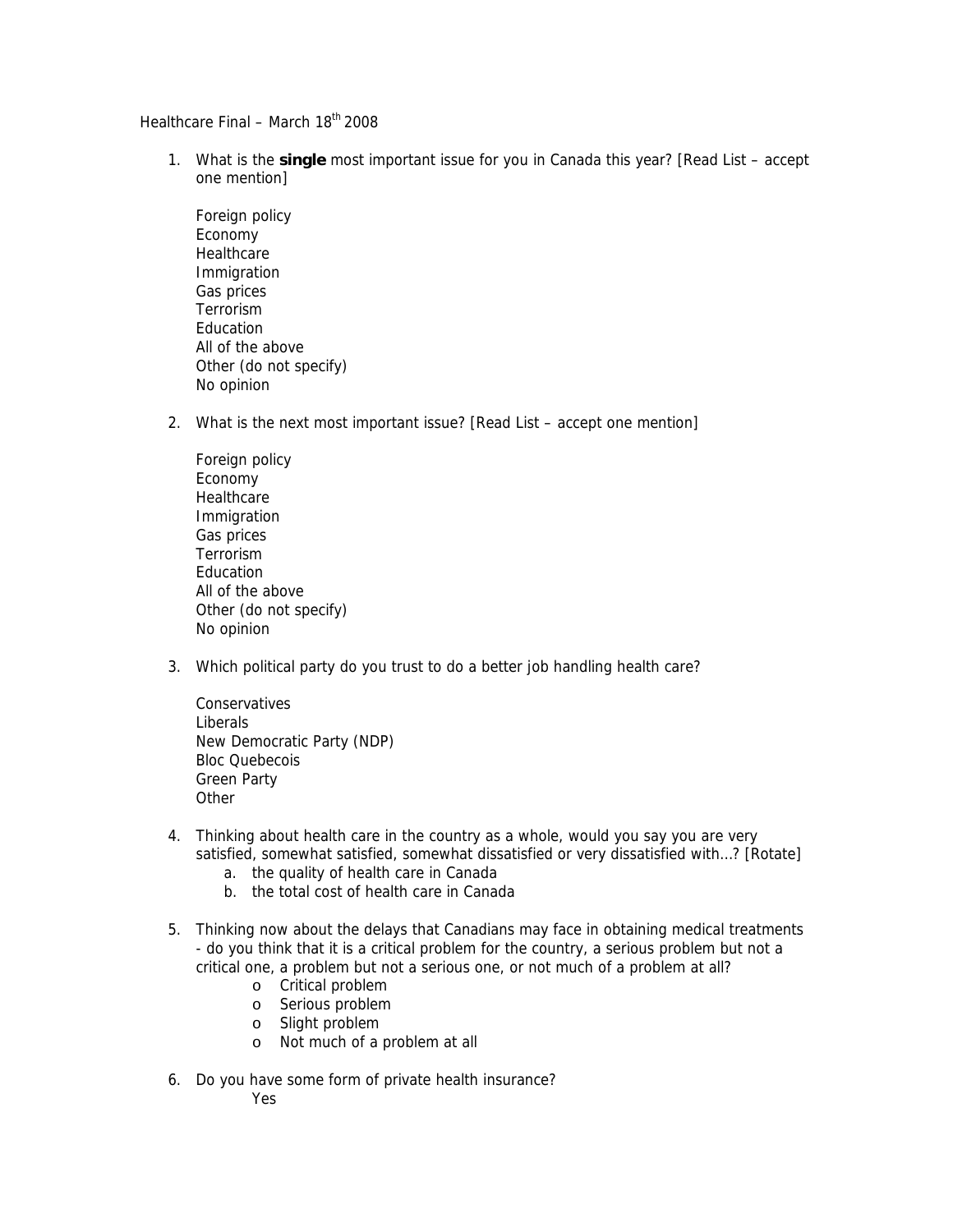Healthcare Final - March 18<sup>th</sup> 2008

- 1. What is the **single** most important issue for you in Canada this year? [Read List accept one mention]
	- Foreign policy Economy **Healthcare**  Immigration Gas prices Terrorism Education All of the above Other (do not specify) No opinion
- 2. What is the next most important issue? [Read List accept one mention]
	- Foreign policy Economy **Healthcare**  Immigration Gas prices Terrorism Education All of the above Other (do not specify) No opinion
- 3. Which political party do you trust to do a better job handling health care?

**Conservatives** Liberals New Democratic Party (NDP) Bloc Quebecois Green Party **Other** 

- 4. Thinking about health care in the country as a whole, would you say you are very satisfied, somewhat satisfied, somewhat dissatisfied or very dissatisfied with…? [Rotate]
	- a. the quality of health care in Canada
	- b. the total cost of health care in Canada
- 5. Thinking now about the delays that Canadians may face in obtaining medical treatments - do you think that it is a critical problem for the country, a serious problem but not a critical one, a problem but not a serious one, or not much of a problem at all?
	- o Critical problem
	- o Serious problem
	- o Slight problem
	- o Not much of a problem at all
- 6. Do you have some form of private health insurance?

Yes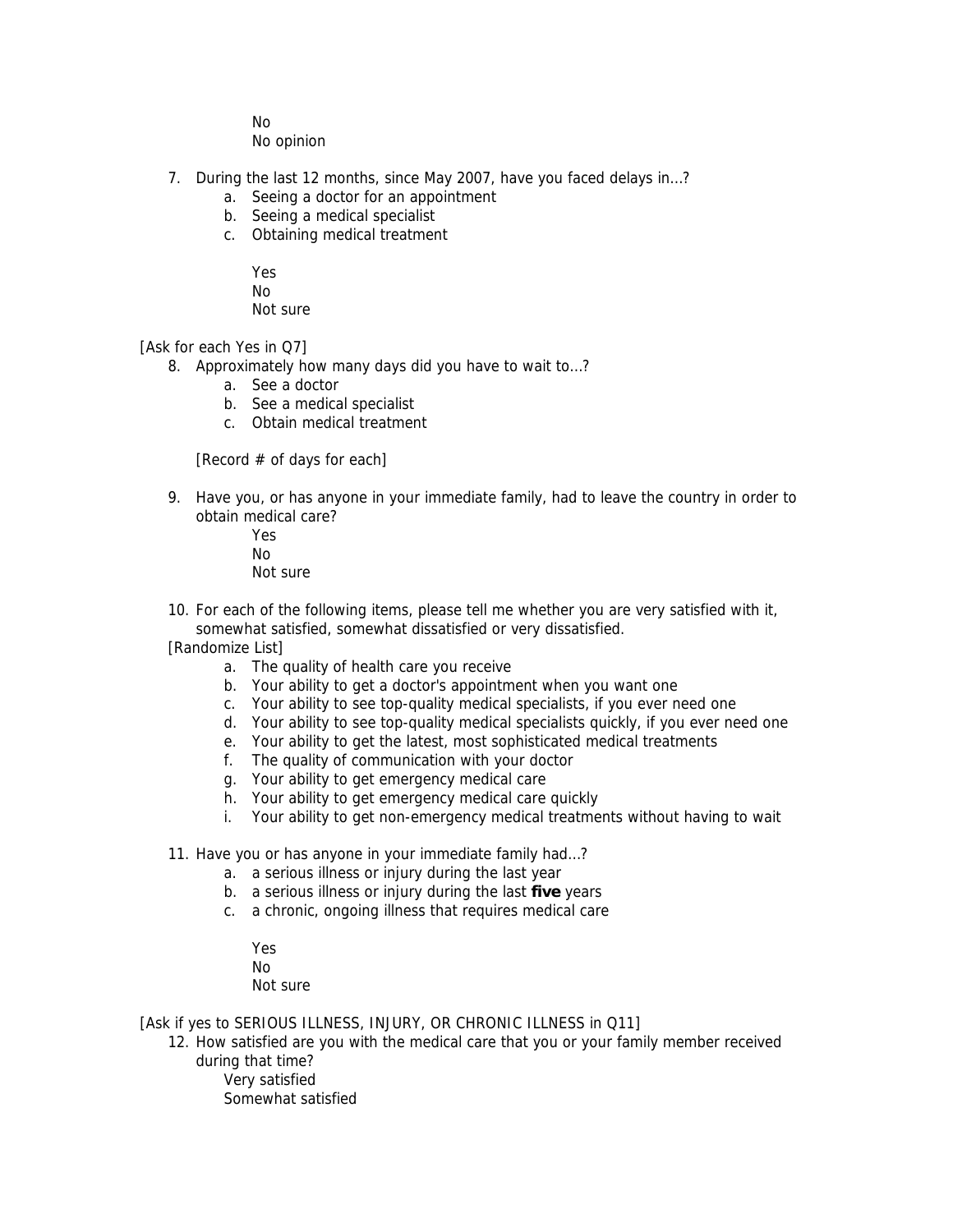No

No opinion

- 7. During the last 12 months, since May 2007, have you faced delays in…?
	- a. Seeing a doctor for an appointment
	- b. Seeing a medical specialist
	- c. Obtaining medical treatment
		- Yes
		- No
		- Not sure

[Ask for each Yes in Q7]

- 8. Approximately how many days did you have to wait to…?
	- a. See a doctor
	- b. See a medical specialist
	- c. Obtain medical treatment

[Record  $#$  of days for each]

9. Have you, or has anyone in your immediate family, had to leave the country in order to obtain medical care?

Yes No Not sure

10. For each of the following items, please tell me whether you are very satisfied with it, somewhat satisfied, somewhat dissatisfied or very dissatisfied.

[Randomize List]

- a. The quality of health care you receive
- b. Your ability to get a doctor's appointment when you want one
- c. Your ability to see top-quality medical specialists, if you ever need one
- d. Your ability to see top-quality medical specialists quickly, if you ever need one
- e. Your ability to get the latest, most sophisticated medical treatments
- f. The quality of communication with your doctor
- g. Your ability to get emergency medical care
- h. Your ability to get emergency medical care quickly
- i. Your ability to get non-emergency medical treatments without having to wait
- 11. Have you or has anyone in your immediate family had…?
	- a. a serious illness or injury during the last year
	- b. a serious illness or injury during the last **five** years
	- c. a chronic, ongoing illness that requires medical care
		- Yes
		- No

Not sure

[Ask if yes to SERIOUS ILLNESS, INJURY, OR CHRONIC ILLNESS in Q11]

12. How satisfied are you with the medical care that you or your family member received during that time?

Very satisfied Somewhat satisfied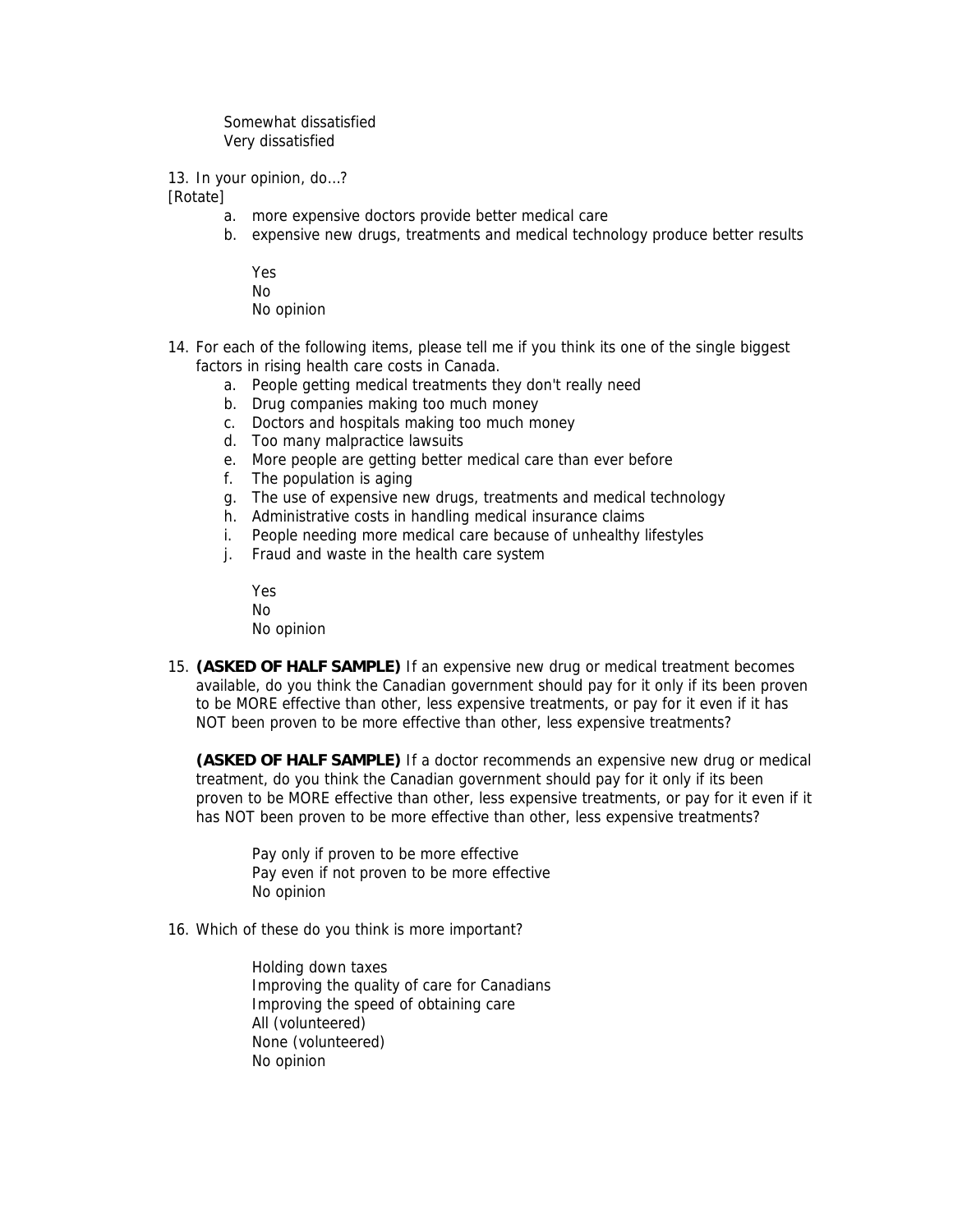Somewhat dissatisfied Very dissatisfied

13. In your opinion, do…?

**[Rotate]** 

- a. more expensive doctors provide better medical care
- b. expensive new drugs, treatments and medical technology produce better results
	- Yes No No opinion
- 14. For each of the following items, please tell me if you think its one of the single biggest factors in rising health care costs in Canada.
	- a. People getting medical treatments they don't really need
	- b. Drug companies making too much money
	- c. Doctors and hospitals making too much money
	- d. Too many malpractice lawsuits
	- e. More people are getting better medical care than ever before
	- f. The population is aging
	- g. The use of expensive new drugs, treatments and medical technology
	- h. Administrative costs in handling medical insurance claims
	- i. People needing more medical care because of unhealthy lifestyles
	- j. Fraud and waste in the health care system

Yes No No opinion

15. **(ASKED OF HALF SAMPLE)** If an expensive new drug or medical treatment becomes available, do you think the Canadian government should pay for it only if its been proven to be MORE effective than other, less expensive treatments, or pay for it even if it has NOT been proven to be more effective than other, less expensive treatments?

**(ASKED OF HALF SAMPLE)** If a doctor recommends an expensive new drug or medical treatment, do you think the Canadian government should pay for it only if its been proven to be MORE effective than other, less expensive treatments, or pay for it even if it has NOT been proven to be more effective than other, less expensive treatments?

Pay only if proven to be more effective Pay even if not proven to be more effective No opinion

16. Which of these do you think is more important?

Holding down taxes Improving the quality of care for Canadians Improving the speed of obtaining care All (volunteered) None (volunteered) No opinion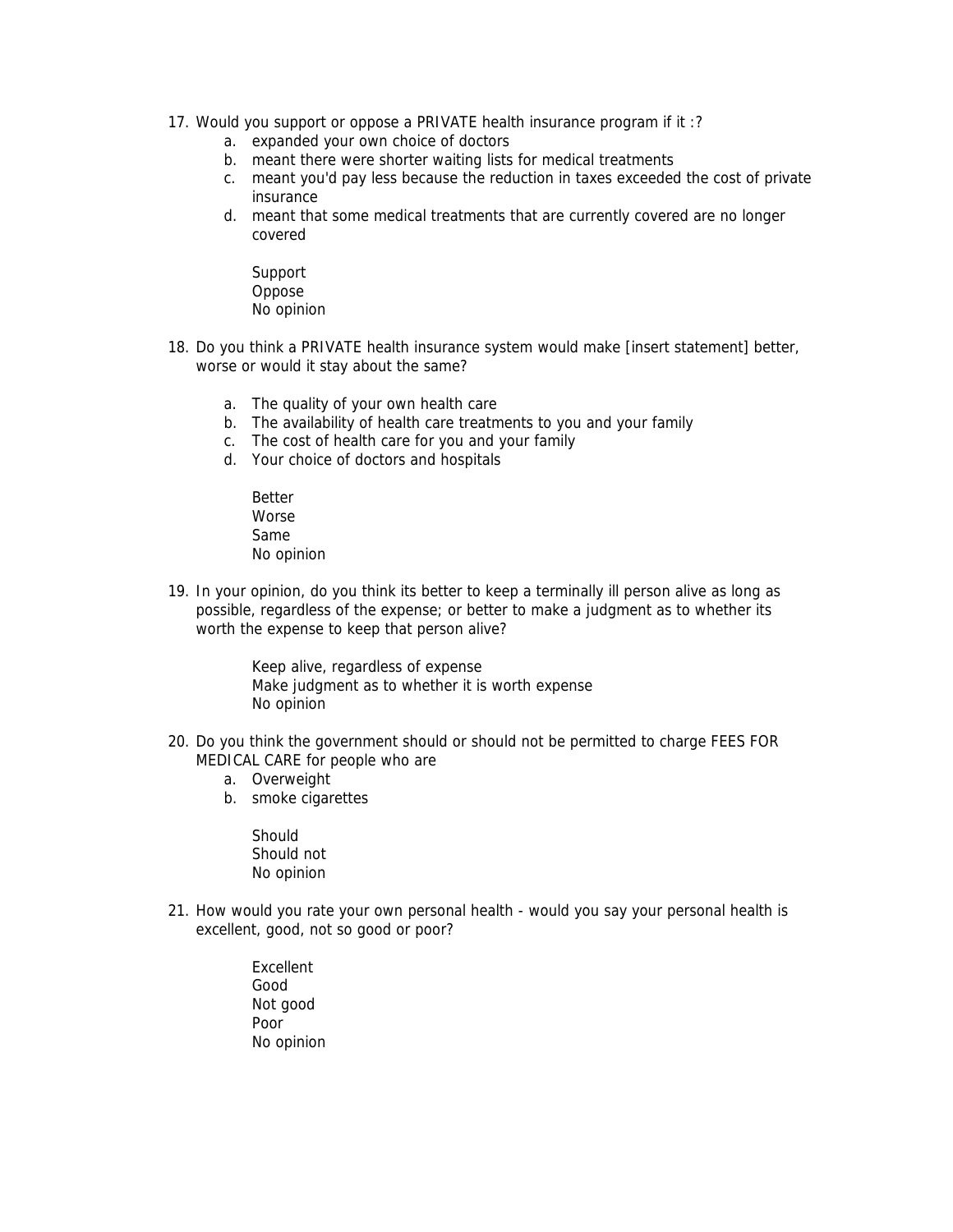- 17. Would you support or oppose a PRIVATE health insurance program if it :?
	- a. expanded your own choice of doctors
	- b. meant there were shorter waiting lists for medical treatments
	- c. meant you'd pay less because the reduction in taxes exceeded the cost of private insurance
	- d. meant that some medical treatments that are currently covered are no longer covered
		- Support Oppose No opinion
- 18. Do you think a PRIVATE health insurance system would make [insert statement] better, worse or would it stay about the same?
	- a. The quality of your own health care
	- b. The availability of health care treatments to you and your family
	- c. The cost of health care for you and your family
	- d. Your choice of doctors and hospitals
		- Better Worse Same No opinion
- 19. In your opinion, do you think its better to keep a terminally ill person alive as long as possible, regardless of the expense; or better to make a judgment as to whether its worth the expense to keep that person alive?

Keep alive, regardless of expense Make judgment as to whether it is worth expense No opinion

- 20. Do you think the government should or should not be permitted to charge FEES FOR MEDICAL CARE for people who are
	- a. Overweight
	- b. smoke cigarettes

**Should** Should not No opinion

- 21. How would you rate your own personal health would you say your personal health is excellent, good, not so good or poor?
	- Excellent Good Not good Poor No opinion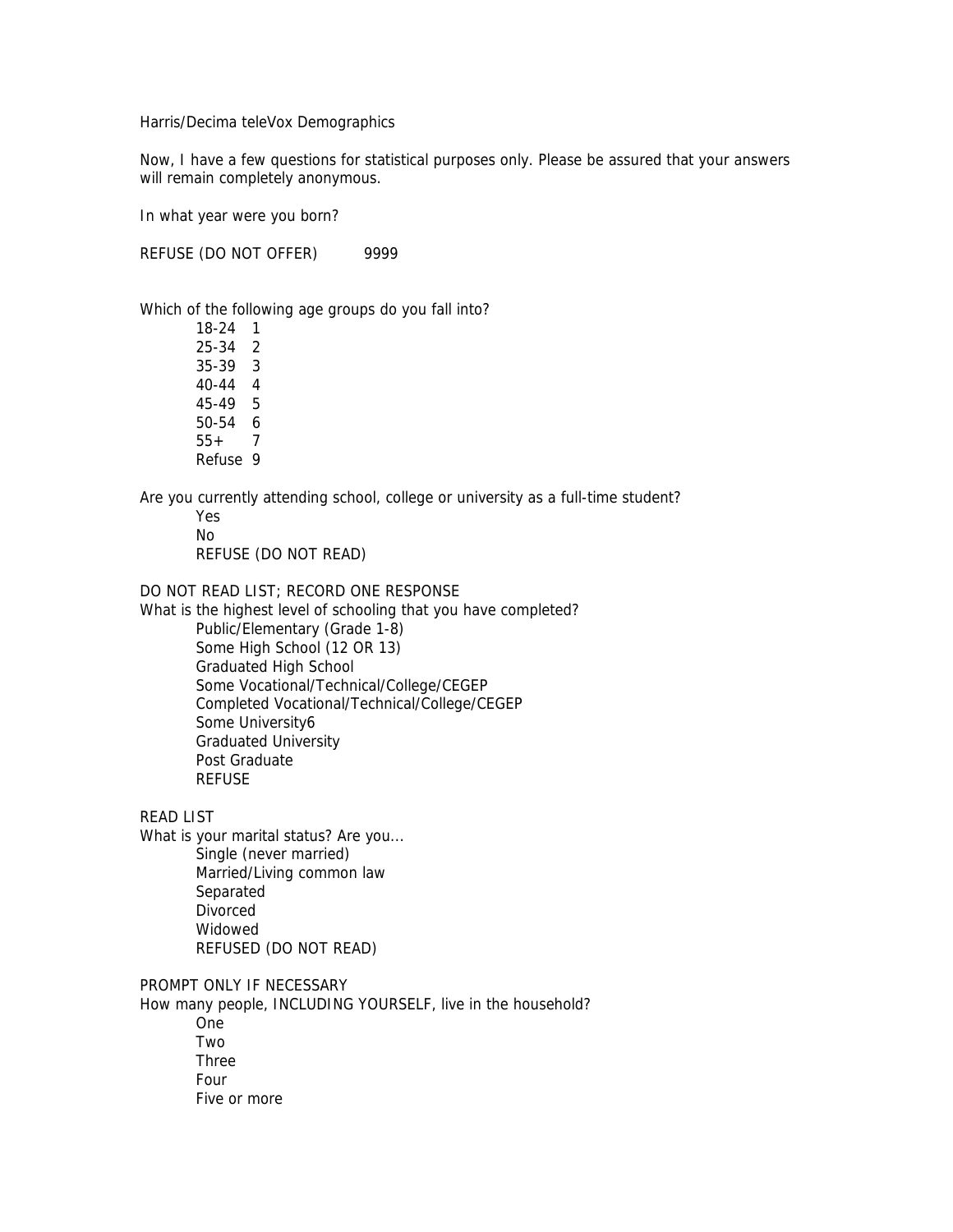Harris/Decima teleVox Demographics

Now, I have a few questions for statistical purposes only. Please be assured that your answers will remain completely anonymous.

In what year were you born?

REFUSE (DO NOT OFFER) 9999

Which of the following age groups do you fall into?

18-24 1 25-34 2 35-39 3 40-44 4 45-49 5 50-54 6 55+ 7 Refuse 9

Are you currently attending school, college or university as a full-time student?

Yes No REFUSE (DO NOT READ)

DO NOT READ LIST; RECORD ONE RESPONSE

What is the highest level of schooling that you have completed? Public/Elementary (Grade 1-8) Some High School (12 OR 13) Graduated High School Some Vocational/Technical/College/CEGEP Completed Vocational/Technical/College/CEGEP Some University6 Graduated University Post Graduate REFUSE

READ LIST

What is your marital status? Are you... Single (never married) Married/Living common law Separated Divorced Widowed REFUSED (DO NOT READ)

PROMPT ONLY IF NECESSARY

How many people, INCLUDING YOURSELF, live in the household?

One Two Three Four Five or more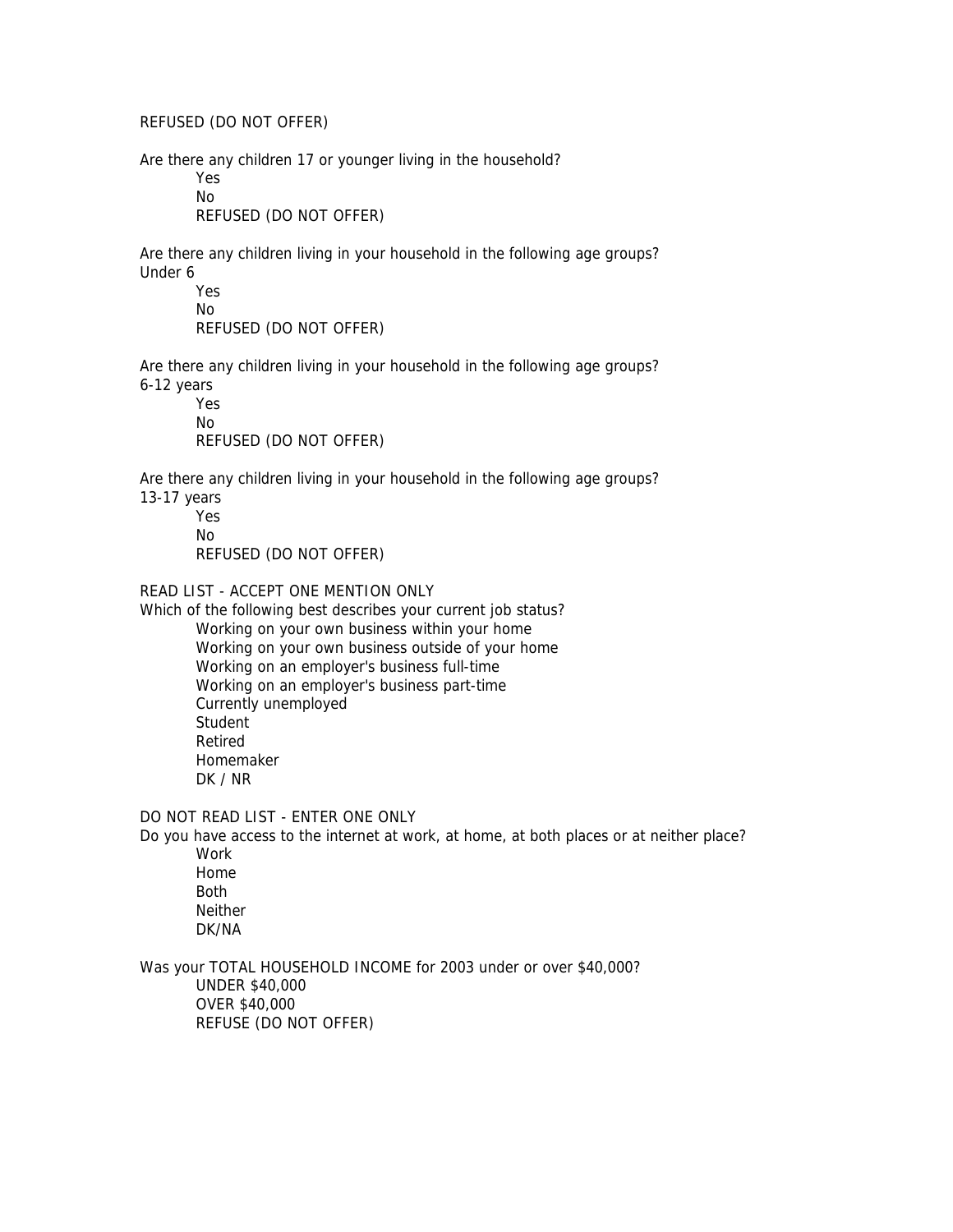REFUSED (DO NOT OFFER)

Are there any children 17 or younger living in the household?

Yes No

REFUSED (DO NOT OFFER)

Are there any children living in your household in the following age groups? Under 6

> Yes No REFUSED (DO NOT OFFER)

Are there any children living in your household in the following age groups? 6-12 years

Yes No REFUSED (DO NOT OFFER)

Are there any children living in your household in the following age groups?

13-17 years

Yes No REFUSED (DO NOT OFFER)

READ LIST - ACCEPT ONE MENTION ONLY

Which of the following best describes your current job status? Working on your own business within your home Working on your own business outside of your home Working on an employer's business full-time Working on an employer's business part-time Currently unemployed **Student** Retired Homemaker DK / NR

DO NOT READ LIST - ENTER ONE ONLY

Do you have access to the internet at work, at home, at both places or at neither place? Work Home

Both Neither DK/NA

Was your TOTAL HOUSEHOLD INCOME for 2003 under or over \$40,000? UNDER \$40,000 OVER \$40,000 REFUSE (DO NOT OFFER)